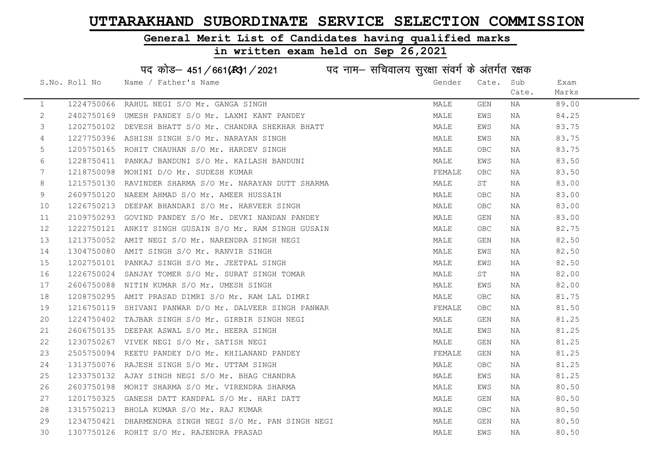#### General Merit List of Candidates having qualified marks

#### in written exam held on Sep 26,2021

S.No. Roll No Mame / Father's Name Gender Cate. Sub Cate. Exam Marks पद कोड– 451/661(स्था / 2021 व्यान सचिवालय सुरक्षा संवर्ग के अंतर्गत रक्षक 1 1224750066 RAHUL NEGI S/O Mr. GANGA SINGH MALE GEN NA 89.00 2 2402750169 UMESH PANDEY S/O Mr. LAXMI KANT PANDEY MANA MALE EWS NA 84.25 3 1202750102 DEVESH BHATT S/O Mr. CHANDRA SHEKHAR BHATT MAN MALE EWS NA 83.75 4 1227750396 ASHISH SINGH S/O Mr. NARAYAN SINGH MALE EWS NA 83.75 5 1205750165 ROHIT CHAUHAN S/O Mr. HARDEV SINGH MALE OBC NA 83.75 6 1228750411 PANKAJ BANDUNI S/O Mr. KAILASH BANDUNI MALE EWS NA 83.50 7 1218750098 MOHINI D/O Mr. SUDESH KUMAR FEMALE OBC NA 83.50 8 1215750130 RAVINDER SHARMA S/O Mr. NARAYAN DUTT SHARMA MAN MALE ST NA 83.00 9 2609750120 NAEEM AHMAD S/O Mr. AMEER HUSSAIN MALE OBC NA 83.00 10 1226750213 DEEPAK BHANDARI S/O Mr. HARVEER SINGH MALE OBC NA 83.00 11 2109750293 GOVIND PANDEY S/O Mr. DEVKI NANDAN PANDEY MALE GEN NA 83.00 12 1222750121 ANKIT SINGH GUSAIN S/O Mr. RAM SINGH GUSAIN MALE OBC NA 82.75 13 1213750052 AMIT NEGI S/O Mr. NARENDRA SINGH NEGI MALE GEN NA 82.50 14 1304750080 AMIT SINGH S/O Mr. RANVIR SINGH MALE EWS NA 82.50 15 1202750101 PANKAJ SINGH S/O Mr. JEETPAL SINGH MALE EWS NA 82.50 16 1226750024 SANJAY TOMER S/O Mr. SURAT SINGH TOMAR MALE ST NA 82.00 17 2606750088 NITIN KUMAR S/O Mr. UMESH SINGH MALE EWS NA 82.00 18 1208750295 AMIT PRASAD DIMRI S/O Mr. RAM LAL DIMRI MALE OBC NA 81.75 19 1216750119 SHIVANI PANWAR D/O Mr. DALVEER SINGH PANWAR FEMALE OBC NA 81.50 20 1224750402 TAJBAR SINGH S/O Mr. GIRBIR SINGH NEGI MALE GEN NA 81.25 21 2606750135 DEEPAK ASWAL S/O Mr. HEERA SINGH MARE MALE EWS NA 81.25 22 1230750267 VIVEK NEGI S/O Mr. SATISH NEGI MALE GEN NA 81.25 23 2505750094 REETU PANDEY D/O Mr. KHILANAND PANDEY FEMALE GEN NA 81.25 24 1313750076 RAJESH SINGH S/O Mr. UTTAM SINGH MARE MALE OBC NA 81.25 25 1233750132 AJAY SINGH NEGI S/O Mr. BHAG CHANDRA NA MALE EWS NA 81.25 26 2603750198 MOHIT SHARMA S/O Mr. VIRENDRA SHARMA MANA MALE EWS NA 80.50 27 1201750325 GANESH DATT KANDPAL S/O Mr. HARI DATT NA SOLO MALE GEN NA 80.50 28 1315750213 BHOLA KUMAR S/O Mr. RAJ KUMAR MALE OBC NA 80.50 29 1234750421 DHARMENDRA SINGH NEGI S/O Mr. PAN SINGH NEGI MALE GEN NA 80.50 30 1307750126 ROHIT S/O Mr. RAJENDRA PRASAD MALE EWS NA 80.50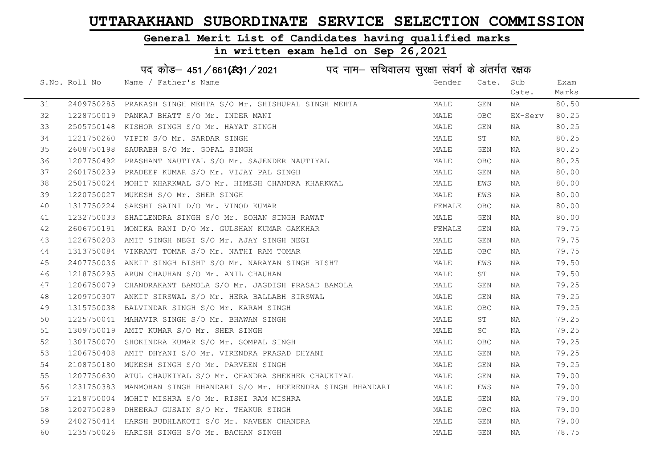#### General Merit List of Candidates having qualified marks

# in written exam held on Sep 26,2021

# पद कोड– 451/661(स्था/2021 व्यान सचिवालय सुरक्षा संवर्ग के अंतर्गत रक्षक

|    | S.No. Roll No | Name / Father's Name                                                                                    | Gender | Cate. Sub  |         | Exam  |
|----|---------------|---------------------------------------------------------------------------------------------------------|--------|------------|---------|-------|
|    |               |                                                                                                         |        |            | Cate.   | Marks |
| 31 |               | 2409750285 PRAKASH SINGH MEHTA S/O Mr. SHISHUPAL SINGH MEHTA                                            | MALE   | GEN        | NA      | 80.50 |
| 32 |               | 1228750019 PANKAJ BHATT S/O Mr. INDER MANI                                                              | MALE   | <b>OBC</b> | EX-Serv | 80.25 |
| 33 |               | 2505750148 KISHOR SINGH S/O Mr. HAYAT SINGH                                                             | MALE   | GEN        | NA      | 80.25 |
| 34 |               | 1221750260 VIPIN S/O Mr. SARDAR SINGH                                                                   | MALE   | ST         | NA      | 80.25 |
| 35 |               | 2608750198 SAURABH S/O Mr. GOPAL SINGH                                                                  | MALE   | GEN        | NA      | 80.25 |
| 36 |               | 1207750492 PRASHANT NAUTIYAL S/O Mr. SAJENDER NAUTIYAL                                                  | MALE   | <b>OBC</b> | NA      | 80.25 |
| 37 |               | 2601750239 PRADEEP KUMAR S/O Mr. VIJAY PAL SINGH                                                        | MALE   | GEN        | NA      | 80.00 |
| 38 |               | 2501750024 MOHIT KHARKWAL S/O Mr. HIMESH CHANDRA KHARKWAL                                               | MALE   | EWS        | NA      | 80.00 |
| 39 |               | 1220750027 MUKESH S/O Mr. SHER SINGH                                                                    | MALE   | EWS        | NA      | 80.00 |
| 40 |               | 1317750224 SAKSHI SAINI D/O Mr. VINOD KUMAR                                                             | FEMALE | OBC.       | NA      | 80.00 |
| 41 |               | 1232750033 SHAILENDRA SINGH S/O Mr. SOHAN SINGH RAWAT                                                   | MALE   | GEN        | NA      | 80.00 |
| 42 |               | 2606750191 MONIKA RANI D/O Mr. GULSHAN KUMAR GAKKHAR                                                    | FEMALE | GEN        | NA      | 79.75 |
| 43 |               |                                                                                                         | MALE   | GEN        | NA      | 79.75 |
| 44 |               | 1226750203 AMIT SINGH NEGI S/O Mr. AJAY SINGH NEGI<br>1313750084  VIKRANT TOMAR S/O Mr. NATHI RAM TOMAR | MALE   | OBC.       | NA      | 79.75 |
| 45 |               | 2407750036 ANKIT SINGH BISHT S/O Mr. NARAYAN SINGH BISHT                                                | MALE   | EWS        | NA      | 79.50 |
| 46 |               | 1218750295 ARUN CHAUHAN S/O Mr. ANIL CHAUHAN                                                            | MALE   | ST         | NA      | 79.50 |
| 47 |               | 1206750079 CHANDRAKANT BAMOLA S/O Mr. JAGDISH PRASAD BAMOLA                                             | MALE   | GEN        | NA      | 79.25 |
| 48 |               | 1209750307 ANKIT SIRSWAL S/O Mr. HERA BALLABH SIRSWAL                                                   | MALE   | GEN        | NA      | 79.25 |
| 49 |               | 1315750038 BALVINDAR SINGH S/O Mr. KARAM SINGH                                                          | MALE   | <b>OBC</b> | NA      | 79.25 |
| 50 |               | 1225750041 MAHAVIR SINGH S/O Mr. BHAWAN SINGH                                                           | MALE   | ST         | NA      | 79.25 |
| 51 |               | 1309750019 AMIT KUMAR S/O Mr. SHER SINGH                                                                | MALE   | SC.        | NA      | 79.25 |
| 52 |               | 1301750070 SHOKINDRA KUMAR S/O Mr. SOMPAL SINGH                                                         | MALE   | <b>OBC</b> | NA      | 79.25 |
| 53 |               | 1206750408 AMIT DHYANI S/O Mr. VIRENDRA PRASAD DHYANI                                                   | MALE   | GEN        | NA      | 79.25 |
| 54 |               | 2108750180 MUKESH SINGH S/O Mr. PARVEEN SINGH                                                           | MALE   | GEN        | NA      | 79.25 |
| 55 |               | 1207750630 ATUL CHAUKIYAL S/O Mr. CHANDRA SHEKHER CHAUKIYAL                                             | MALE   | GEN        | NA      | 79.00 |
| 56 |               | 1231750383 MANMOHAN SINGH BHANDARI S/O Mr. BEERENDRA SINGH BHANDARI                                     | MALE   | EWS        | NA      | 79.00 |
| 57 |               | 1218750004 MOHIT MISHRA S/O Mr. RISHI RAM MISHRA                                                        | MALE   | GEN        | NA      | 79.00 |
| 58 |               | 1202750289 DHEERAJ GUSAIN S/O Mr. THAKUR SINGH                                                          | MALE   | OBC.       | NA      | 79.00 |
| 59 |               | 2402750414 HARSH BUDHLAKOTI S/O Mr. NAVEEN CHANDRA                                                      | MALE   | GEN        | NA      | 79.00 |
| 60 |               | 1235750026 HARISH SINGH S/O Mr. BACHAN SINGH                                                            | MALE   | <b>GEN</b> | NA      | 78.75 |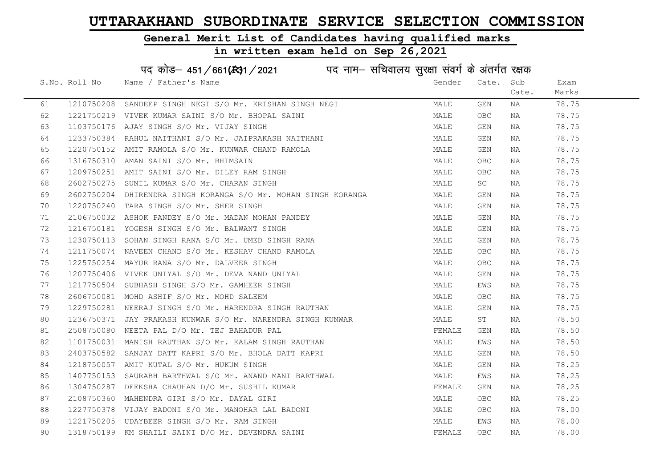#### General Merit List of Candidates having qualified marks

|    |               | पद कोड़- 451/661(431/2021 पद नाम- सचिवालय सुरक्षा संवर्ग के अंतर्गत रक्षक |        |            |       |       |
|----|---------------|---------------------------------------------------------------------------|--------|------------|-------|-------|
|    | S.No. Roll No | Name / Father's Name                                                      | Gender | Cate.      | Sub   | Exam  |
|    |               |                                                                           |        |            | Cate. | Marks |
| 61 |               | 1210750208 SANDEEP SINGH NEGI S/O Mr. KRISHAN SINGH NEGI                  | MALE   | GEN        | ΝA    | 78.75 |
| 62 |               | 1221750219 VIVEK KUMAR SAINI S/O Mr. BHOPAL SAINI                         | MALE   | OBC        | NA    | 78.75 |
| 63 |               | 1103750176 AJAY SINGH S/O Mr. VIJAY SINGH                                 | MALE   | GEN        | NA    | 78.75 |
| 64 |               | 1233750384 RAHUL NAITHANI S/O Mr. JAIPRAKASH NAITHANI                     | MALE   | GEN        | NA    | 78.75 |
| 65 |               | 1220750152 AMIT RAMOLA S/O Mr. KUNWAR CHAND RAMOLA                        | MALE   | GEN        | NA    | 78.75 |
| 66 |               | 1316750310 AMAN SAINI S/O Mr. BHIMSAIN                                    | MALE   | OBC        | NA    | 78.75 |
| 67 |               | 1209750251 AMIT SAINI S/O Mr. DILEY RAM SINGH                             | MALE   | OBC        | NA    | 78.75 |
| 68 |               | 2602750275 SUNIL KUMAR S/O Mr. CHARAN SINGH                               | MALE   | SC         | NA    | 78.75 |
| 69 |               | 2602750204 DHIRENDRA SINGH KORANGA S/O Mr. MOHAN SINGH KORANGA            | MALE   | GEN        | NA    | 78.75 |
| 70 |               | 1220750240 TARA SINGH S/O Mr. SHER SINGH                                  | MALE   | GEN        | NA    | 78.75 |
| 71 |               | 2106750032 ASHOK PANDEY S/O Mr. MADAN MOHAN PANDEY                        | MALE   | GEN        | NA    | 78.75 |
| 72 |               | 1216750181 YOGESH SINGH S/O Mr. BALWANT SINGH                             | MALE   | GEN        | NA    | 78.75 |
| 73 |               | 1230750113 SOHAN SINGH RANA S/O Mr. UMED SINGH RANA                       | MALE   | GEN        | NA    | 78.75 |
| 74 |               | 1211750074 NAVEEN CHAND S/O Mr. KESHAV CHAND RAMOLA                       | MALE   | OBC        | NA    | 78.75 |
| 75 |               | 1225750254 MAYUR RANA S/O Mr. DALVEER SINGH                               | MALE   | OBC        | NA    | 78.75 |
| 76 |               | 1207750406 VIVEK UNIYAL S/O Mr. DEVA NAND UNIYAL                          | MALE   | GEN        | NA    | 78.75 |
| 77 |               | 1217750504 SUBHASH SINGH S/O Mr. GAMHEER SINGH                            | MALE   | EWS        | NA    | 78.75 |
| 78 |               | 2606750081 MOHD ASHIF S/O Mr. MOHD SALEEM                                 | MALE   | OBC.       | NA    | 78.75 |
| 79 |               | 1229750281 NEERAJ SINGH S/O Mr. HARENDRA SINGH RAUTHAN                    | MALE   | GEN        | NA    | 78.75 |
| 80 |               | 1236750371 JAY PRAKASH KUNWAR S/O Mr. NARENDRA SINGH KUNWAR               | MALE   | ST         | NA    | 78.50 |
| 81 |               | 2508750080 NEETA PAL D/O Mr. TEJ BAHADUR PAL                              | FEMALE | GEN        | NA    | 78.50 |
| 82 |               | 1101750031 MANISH RAUTHAN S/O Mr. KALAM SINGH RAUTHAN                     | MALE   | EWS        | NA    | 78.50 |
| 83 |               | 2403750582 SANJAY DATT KAPRI S/O Mr. BHOLA DATT KAPRI                     | MALE   | GEN        | NA    | 78.50 |
| 84 | 1218750057    | AMIT KUTAL S/O Mr. HUKUM SINGH                                            | MALE   | GEN        | NA    | 78.25 |
| 85 |               | 1407750153 SAURABH BARTHWAL S/O Mr. ANAND MANI BARTHWAL                   | MALE   | EWS        | NA    | 78.25 |
| 86 |               | 1304750287 DEEKSHA CHAUHAN D/O Mr. SUSHIL KUMAR                           | FEMALE | GEN        | NA    | 78.25 |
| 87 |               | 2108750360 MAHENDRA GIRI S/O Mr. DAYAL GIRI                               | MALE   | OBC        | NA    | 78.25 |
| 88 |               | 1227750378 VIJAY BADONI S/O Mr. MANOHAR LAL BADONI                        | MALE   | OBC        | NA    | 78.00 |
| 89 |               | 1221750205 UDAYBEER SINGH S/O Mr. RAM SINGH                               | MALE   | EWS        | NA    | 78.00 |
| 90 |               | 1318750199 KM SHAILI SAINI D/O Mr. DEVENDRA SAINI                         | FEMALE | <b>OBC</b> | ΝA    | 78.00 |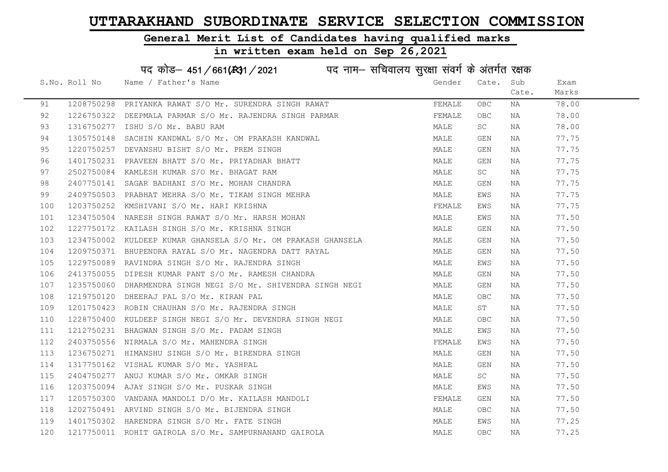### General Merit List of Candidates having qualified marks

|     |               | पद कोड़- 451/661(431/2021 पद नाम- सचिवालय सुरक्षा संवर्ग के अंतर्गत रक्षक |        |            |       |       |
|-----|---------------|---------------------------------------------------------------------------|--------|------------|-------|-------|
|     | S.No. Roll No | Name / Father's Name                                                      | Gender | Cate.      | Sub   | Exam  |
|     |               |                                                                           |        |            | Cate. | Marks |
| 91  |               | 1208750298 PRIYANKA RAWAT S/O Mr. SURENDRA SINGH RAWAT                    | FEMALE | OBC        | NA    | 78.00 |
| 92  |               | 1226750322 DEEPMALA PARMAR S/O Mr. RAJENDRA SINGH PARMAR                  | FEMALE | OBC.       | NA    | 78.00 |
| 93  | 1316750277    | ISHU S/O Mr. BABU RAM                                                     | MALE   | SC         | ΝA    | 78.00 |
| 94  | 1305750148    | SACHIN KANDWAL S/O Mr. OM PRAKASH KANDWAL                                 | MALE   | GEN        | NA    | 77.75 |
| 95  | 1220750257    | DEVANSHU BISHT S/O Mr. PREM SINGH                                         | MALE   | GEN        | ΝA    | 77.75 |
| 96  |               | 1401750231 PRAVEEN BHATT S/O Mr. PRIYADHAR BHATT                          | MALE   | GEN        | NA    | 77.75 |
| 97  |               | 2502750084 KAMLESH KUMAR S/O Mr. BHAGAT RAM                               | MALE   | SC         | NA    | 77.75 |
| 98  |               | 2407750141 SAGAR BADHANI S/O Mr. MOHAN CHANDRA                            | MALE   | GEN        | NA    | 77.75 |
| 99  |               | 2409750503 PRABHAT MEHRA S/O Mr. TIKAM SINGH MEHRA                        | MALE   | EWS        | NA    | 77.75 |
| 100 |               | 1203750252 KMSHIVANI S/O Mr. HARI KRISHNA                                 | FEMALE | EWS        | ΝA    | 77.75 |
| 101 |               | 1234750504 NARESH SINGH RAWAT S/O Mr. HARSH MOHAN                         | MALE   | EWS        | NA    | 77.50 |
| 102 |               | 1227750172 KAILASH SINGH S/O Mr. KRISHNA SINGH                            | MALE   | GEN        | NA    | 77.50 |
| 103 |               | 1234750002 KULDEEP KUMAR GHANSELA S/O Mr. OM PRAKASH GHANSELA             | MALE   | GEN        | NA    | 77.50 |
| 104 |               | 1209750371 BHUPENDRA RAYAL S/O Mr. NAGENDRA DATT RAYAL                    | MALE   | GEN        | NA    | 77.50 |
| 105 |               | 1229750089 RAVINDRA SINGH S/O Mr. RAJENDRA SINGH                          | MALE   | EWS        | NA    | 77.50 |
| 106 |               | 2413750055 DIPESH KUMAR PANT S/O Mr. RAMESH CHANDRA                       | MALE   | GEN        | NA    | 77.50 |
| 107 |               | 1235750060 DHARMENDRA SINGH NEGI S/O Mr. SHIVENDRA SINGH NEGI             | MALE   | GEN        | ΝA    | 77.50 |
| 108 |               | 1219750120 DHEERAJ PAL S/O Mr. KIRAN PAL                                  | MALE   | OBC        | ΝA    | 77.50 |
| 109 |               | 1201750423 ROBIN CHAUHAN S/O Mr. RAJENDRA SINGH                           | MALE   | ST         | NA    | 77.50 |
| 110 |               | 1228750400 KULDEEP SINGH NEGI S/O Mr. DEVENDRA SINGH NEGI                 | MALE   | OBC.       | NA    | 77.50 |
| 111 |               | 1212750231 BHAGWAN SINGH S/O Mr. PADAM SINGH                              | MALE   | EWS        | ΝA    | 77.50 |
| 112 |               | 2403750556 NIRMALA S/O Mr. MAHENDRA SINGH                                 | FEMALE | EWS        | ΝA    | 77.50 |
| 113 |               | 1236750271 HIMANSHU SINGH S/O Mr. BIRENDRA SINGH                          | MALE   | GEN        | NA    | 77.50 |
| 114 |               | 1317750162 VISHAL KUMAR S/O Mr. YASHPAL                                   | MALE   | GEN        | NA    | 77.50 |
| 115 |               | 2404750277 ANUJ KUMAR S/O Mr. OMKAR SINGH                                 | MALE   | SC         | NA    | 77.50 |
| 116 |               | 1203750094 AJAY SINGH S/O Mr. PUSKAR SINGH                                | MALE   | EWS        | NA    | 77.50 |
| 117 |               | 1205750300 VANDANA MANDOLI D/O Mr. KAILASH MANDOLI                        | FEMALE | GEN        | NA    | 77.50 |
| 118 |               | 1202750491 ARVIND SINGH S/O Mr. BIJENDRA SINGH                            | MALE   | OBC        | NA    | 77.50 |
| 119 |               | 1401750302 HARENDRA SINGH S/O Mr. FATE SINGH                              | MALE   | EWS        | ΝA    | 77.25 |
| 120 |               | 1217750011 ROHIT GAIROLA S/O Mr. SAMPURNANAND GAIROLA                     | MALE   | <b>OBC</b> | ΝA    | 77.25 |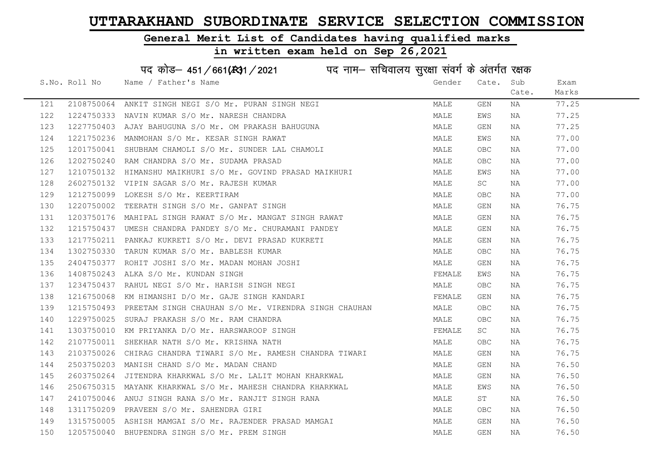#### General Merit List of Candidates having qualified marks

|     |               | पद कोड़– 451/661(431/2021 पद नाम– सचिवालय सुरक्षा संवर्ग के अंतर्गत रक्षक |        |            |       |       |
|-----|---------------|---------------------------------------------------------------------------|--------|------------|-------|-------|
|     | S.No. Roll No | Name / Father's Name                                                      | Gender | Cate.      | Sub   | Exam  |
|     |               |                                                                           |        |            | Cate. | Marks |
| 121 |               | 2108750064 ANKIT SINGH NEGI S/O Mr. PURAN SINGH NEGI                      | MALE   | GEN        | ΝA    | 77.25 |
| 122 |               | 1224750333 NAVIN KUMAR S/O Mr. NARESH CHANDRA                             | MALE   | EWS        | ΝA    | 77.25 |
| 123 |               | 1227750403 AJAY BAHUGUNA S/O Mr. OM PRAKASH BAHUGUNA                      | MALE   | GEN        | NA    | 77.25 |
| 124 | 1221750236    | MANMOHAN S/O Mr. KESAR SINGH RAWAT                                        | MALE   | EWS        | ΝA    | 77.00 |
| 125 | 1201750041    | SHUBHAM CHAMOLI S/O Mr. SUNDER LAL CHAMOLI                                | MALE   | OBC.       | NA    | 77.00 |
| 126 |               | 1202750240 RAM CHANDRA S/O Mr. SUDAMA PRASAD                              | MALE   | OBC        | NA    | 77.00 |
| 127 |               | 1210750132 HIMANSHU MAIKHURI S/O Mr. GOVIND PRASAD MAIKHURI               | MALE   | EWS        | NA    | 77.00 |
| 128 | 2602750132    | VIPIN SAGAR S/O Mr. RAJESH KUMAR                                          | MALE   | SC         | NA    | 77.00 |
| 129 | 1212750099    | LOKESH S/O Mr. KEERTIRAM                                                  | MALE   | OBC        | NA    | 77.00 |
| 130 |               | 1220750002 TEERATH SINGH S/O Mr. GANPAT SINGH                             | MALE   | GEN        | NA    | 76.75 |
| 131 |               | 1203750176 MAHIPAL SINGH RAWAT S/O Mr. MANGAT SINGH RAWAT                 | MALE   | GEN        | NA    | 76.75 |
| 132 |               | 1215750437 UMESH CHANDRA PANDEY S/O Mr. CHURAMANI PANDEY                  | MALE   | GEN        | NA    | 76.75 |
| 133 |               | 1217750211 PANKAJ KUKRETI S/O Mr. DEVI PRASAD KUKRETI                     | MALE   | GEN        | NA    | 76.75 |
| 134 |               | 1302750330 TARUN KUMAR S/O Mr. BABLESH KUMAR                              | MALE   | OBC.       | NA    | 76.75 |
| 135 |               | 2404750377 ROHIT JOSHI S/O Mr. MADAN MOHAN JOSHI                          | MALE   | GEN        | NA    | 76.75 |
| 136 | 1408750243    | ALKA S/O Mr. KUNDAN SINGH                                                 | FEMALE | EWS        | NA    | 76.75 |
| 137 | 1234750437    | RAHUL NEGI S/O Mr. HARISH SINGH NEGI                                      | MALE   | OBC.       | NA    | 76.75 |
| 138 |               | 1216750068 KM HIMANSHI D/O Mr. GAJE SINGH KANDARI                         | FEMALE | GEN        | ΝA    | 76.75 |
| 139 |               | 1215750493 PREETAM SINGH CHAUHAN S/O Mr. VIRENDRA SINGH CHAUHAN           | MALE   | OBC.       | NA    | 76.75 |
| 140 |               | 1229750025 SURAJ PRAKASH S/O Mr. RAM CHANDRA                              | MALE   | OBC        | NA    | 76.75 |
| 141 |               | 1303750010 KM PRIYANKA D/O Mr. HARSWAROOP SINGH                           | FEMALE | SC         | NA    | 76.75 |
| 142 |               | 2107750011 SHEKHAR NATH S/O Mr. KRISHNA NATH                              | MALE   | OBC        | NA    | 76.75 |
| 143 | 2103750026    | CHIRAG CHANDRA TIWARI S/O Mr. RAMESH CHANDRA TIWARI                       | MALE   | GEN        | ΝA    | 76.75 |
| 144 | 2503750203    | MANISH CHAND S/O Mr. MADAN CHAND                                          | MALE   | GEN        | NA    | 76.50 |
| 145 | 2603750264    | JITENDRA KHARKWAL S/O Mr. LALIT MOHAN KHARKWAL                            | MALE   | GEN        | NA    | 76.50 |
| 146 |               | 2506750315 MAYANK KHARKWAL S/O Mr. MAHESH CHANDRA KHARKWAL                | MALE   | EWS        | NA    | 76.50 |
| 147 |               | 2410750046 ANUJ SINGH RANA S/O Mr. RANJIT SINGH RANA                      | MALE   | ST         | ΝA    | 76.50 |
| 148 |               | 1311750209 PRAVEEN S/O Mr. SAHENDRA GIRI                                  | MALE   | OBC        | NA    | 76.50 |
| 149 |               | 1315750005 ASHISH MAMGAI S/O Mr. RAJENDER PRASAD MAMGAI                   | MALE   | <b>GEN</b> | NA    | 76.50 |
| 150 |               | 1205750040 BHUPENDRA SINGH S/O Mr. PREM SINGH                             | MALE   | GEN        | NA    | 76.50 |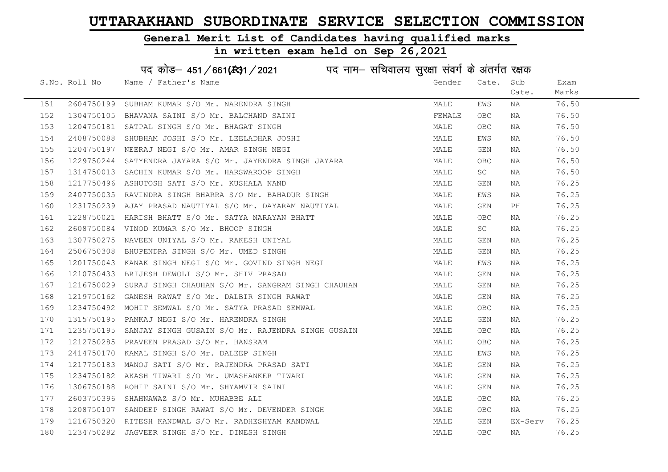#### General Merit List of Candidates having qualified marks

|     |               | पद कोड़- 451/661(431/2021 पद नाम- सचिवालय सुरक्षा संवर्ग के अंतर्गत रक्षक |        |           |         |       |
|-----|---------------|---------------------------------------------------------------------------|--------|-----------|---------|-------|
|     | S.No. Roll No | Name / Father's Name                                                      | Gender | Cate.     | Sub     | Exam  |
|     |               |                                                                           |        |           | Cate.   | Marks |
| 151 | 2604750199    | SUBHAM KUMAR S/O Mr. NARENDRA SINGH                                       | MALE   | EWS       | NA      | 76.50 |
| 152 |               | 1304750105 BHAVANA SAINI S/O Mr. BALCHAND SAINI                           | FEMALE | OBC       | NA      | 76.50 |
| 153 |               | 1204750181 SATPAL SINGH S/O Mr. BHAGAT SINGH                              | MALE   | OBC.      | NA      | 76.50 |
| 154 | 2408750088    | SHUBHAM JOSHI S/O Mr. LEELADHAR JOSHI                                     | MALE   | EWS       | NA      | 76.50 |
| 155 |               | 1204750197 NEERAJ NEGI S/O Mr. AMAR SINGH NEGI                            | MALE   | GEN       | NA      | 76.50 |
| 156 |               | 1229750244 SATYENDRA JAYARA S/O Mr. JAYENDRA SINGH JAYARA                 | MALE   | OBC       | NA      | 76.50 |
| 157 |               | 1314750013 SACHIN KUMAR S/O Mr. HARSWAROOP SINGH                          | MALE   | SC        | NA      | 76.50 |
| 158 |               | 1217750496 ASHUTOSH SATI S/O Mr. KUSHALA NAND                             | MALE   | GEN       | NA      | 76.25 |
| 159 |               | 2407750035 RAVINDRA SINGH BHARRA S/O Mr. BAHADUR SINGH                    | MALE   | EWS       | NA      | 76.25 |
| 160 |               | 1231750239 AJAY PRASAD NAUTIYAL S/O Mr. DAYARAM NAUTIYAL                  | MALE   | GEN       | PH      | 76.25 |
| 161 |               | 1228750021 HARISH BHATT S/O Mr. SATYA NARAYAN BHATT                       | MALE   | OBC       | NA      | 76.25 |
| 162 | 2608750084    | VINOD KUMAR S/O Mr. BHOOP SINGH                                           | MALE   | <b>SC</b> | NA      | 76.25 |
| 163 |               | 1307750275 NAVEEN UNIYAL S/O Mr. RAKESH UNIYAL                            | MALE   | GEN       | NA      | 76.25 |
| 164 |               | 2506750308 BHUPENDRA SINGH S/O Mr. UMED SINGH                             | MALE   | GEN       | NA      | 76.25 |
| 165 |               | 1201750043 KANAK SINGH NEGI S/O Mr. GOVIND SINGH NEGI                     | MALE   | EWS       | NA      | 76.25 |
| 166 | 1210750433    | BRIJESH DEWOLI S/O Mr. SHIV PRASAD                                        | MALE   | GEN       | NA      | 76.25 |
| 167 | 1216750029    | SURAJ SINGH CHAUHAN S/O Mr. SANGRAM SINGH CHAUHAN                         | MALE   | GEN       | NA      | 76.25 |
| 168 |               | 1219750162 GANESH RAWAT S/O Mr. DALBIR SINGH RAWAT                        | MALE   | GEN       | NA      | 76.25 |
| 169 |               | 1234750492 MOHIT SEMWAL S/O Mr. SATYA PRASAD SEMWAL                       | MALE   | OBC.      | NA      | 76.25 |
| 170 |               | 1315750195 PANKAJ NEGI S/O Mr. HARENDRA SINGH                             | MALE   | GEN       | NA      | 76.25 |
| 171 |               | 1235750195 SANJAY SINGH GUSAIN S/O Mr. RAJENDRA SINGH GUSAIN              | MALE   | OBC.      | NA      | 76.25 |
| 172 |               | 1212750285 PRAVEEN PRASAD S/O Mr. HANSRAM                                 | MALE   | OBC       | NA      | 76.25 |
| 173 |               | 2414750170 KAMAL SINGH S/O Mr. DALEEP SINGH                               | MALE   | EWS       | NA      | 76.25 |
| 174 | 1217750183    | MANOJ SATI S/O Mr. RAJENDRA PRASAD SATI                                   | MALE   | GEN       | NA      | 76.25 |
| 175 | 1234750182    | AKASH TIWARI S/O Mr. UMASHANKER TIWARI                                    | MALE   | GEN       | NA      | 76.25 |
| 176 |               | 1306750188 ROHIT SAINI S/O Mr. SHYAMVIR SAINI                             | MALE   | GEN       | NA      | 76.25 |
| 177 |               | 2603750396 SHAHNAWAZ S/O Mr. MUHABBE ALI                                  | MALE   | OBC       | NA      | 76.25 |
| 178 |               | 1208750107 SANDEEP SINGH RAWAT S/O Mr. DEVENDER SINGH                     | MALE   | OBC       | NA      | 76.25 |
| 179 |               | 1216750320 RITESH KANDWAL S/O Mr. RADHESHYAM KANDWAL                      | MALE   | GEN       | EX-Serv | 76.25 |
| 180 |               | 1234750282 JAGVEER SINGH S/O Mr. DINESH SINGH                             | MALE   | OBC       | ΝA      | 76.25 |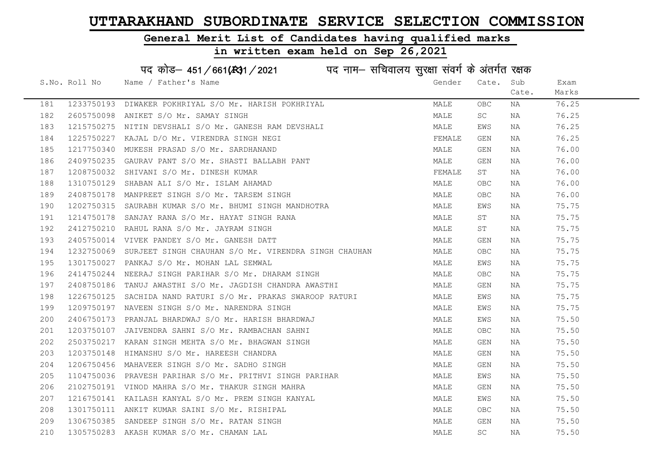#### General Merit List of Candidates having qualified marks

#### in written exam held on Sep 26,2021

S.No. Roll No Wame / Father's Name Gender Cate. Sub Cate. Exam Marks पद कोड– 451/661(स्था / 2021 व्यान सचिवालय सुरक्षा संवर्ग के अंतर्गत रक्षक 181 1233750193 DIWAKER POKHRIYAL S/O Mr. HARISH POKHRIYAL MAN MALE OBC NA 76.25 182 2605750098 ANIKET S/O Mr. SAMAY SINGH MALE SC NA 76.25 183 1215750275 NITIN DEVSHALI S/O Mr. GANESH RAM DEVSHALI MAN MALE EWS NA 76.25 184 1225750227 KAJAL D/O Mr. VIRENDRA SINGH NEGI SARA SEN TEMALE GEN NA 56.25 185 1217750340 MUKESH PRASAD S/O Mr. SARDHANAND MALE GEN NA 76.00 186 2409750235 GAURAV PANT S/O Mr. SHASTI BALLABH PANT MALE GEN NA 76.00 187 1208750032 SHIVANI S/O Mr. DINESH KUMAR TEMALAR ST ST NA 76.00 188 1310750129 SHABAN ALI S/O Mr. ISLAM AHAMAD MALE OBC NA 76.00 189 2408750178 MANPREET SINGH S/O Mr. TARSEM SINGH MALE OBC NA 76.00 190 1202750315 SAURABH KUMAR S/O Mr. BHUMI SINGH MANDHOTRA NA MALE EWS NA 75.75 191 1214750178 SANJAY RANA S/O Mr. HAYAT SINGH RANA MARA MALE ST NA 75.75 192 2412750210 RAHUL RANA S/O Mr. JAYRAM SINGH MALE ST NA 75.75 193 2405750014 VIVEK PANDEY S/O Mr. GANESH DATT MALE GEN NA 75.75 194 1232750069 SURJEET SINGH CHAUHAN S/O Mr. VIRENDRA SINGH CHAUHAN MALE OBC NA 75.75 195 1301750027 PANKAJ S/O Mr. MOHAN LAL SEMWAL NA MANA MALE EWS NA 75.75 196 2414750244 NEERAJ SINGH PARIHAR S/O Mr. DHARAM SINGH MALE OBC NA 75.75 197 2408750186 TANUJAWASTHI S/O Mr. JAGDISH CHANDRA AWASTHI MANA MALE GEN NA 75.75 198 1226750125 SACHIDA NAND RATURI S/O Mr. PRAKAS SWAROOP RATURI MALE MALE EWS NA 75.75 199 1209750197 NAVEEN SINGH S/O Mr. NARENDRA SINGH MALE EWS NA 75.75 200 2406750173 PRANJAL BHARDWAJ S/O Mr. HARISH BHARDWAJ MALE EWS NA 75.50 201 1203750107 JAIVENDRA SAHNI S/O Mr. RAMBACHAN SAHNI MANA MALE OBC NA 75.50 202 2503750217 KARAN SINGH MEHTA S/O Mr. BHAGWAN SINGH MALE GEN NA 75.50 203 1203750148 HIMANSHU S/O Mr. HAREESH CHANDRA MALE GEN NA 75.50 204 1206750456 MAHAVEER SINGH S/O Mr. SADHO SINGH MALE GEN NA 75.50 205 1104750036 PRAVESH PARIHAR S/O Mr. PRITHVI SINGH PARIHAR MAN MALE EWS NA 75.50 206 2102750191 VINOD MAHRA S/O Mr. THAKUR SINGH MAHRA MAN MALE GEN NA 75.50 207 1216750141 KAILASH KANYAL S/O Mr. PREM SINGH KANYAL NA MALE MALE EWS NA 75.50 208 1301750111 ANKIT KUMAR SAINI S/O Mr. RISHIPAL MALE OBC NA 75.50 209 1306750385 SANDEEP SINGH S/O Mr. RATAN SINGH MALE GEN NA 75.50 210 1305750283 AKASH\_KUMAR S/O\_Mr.CHAMAN\_LAL MARE MALE SC NA 75.50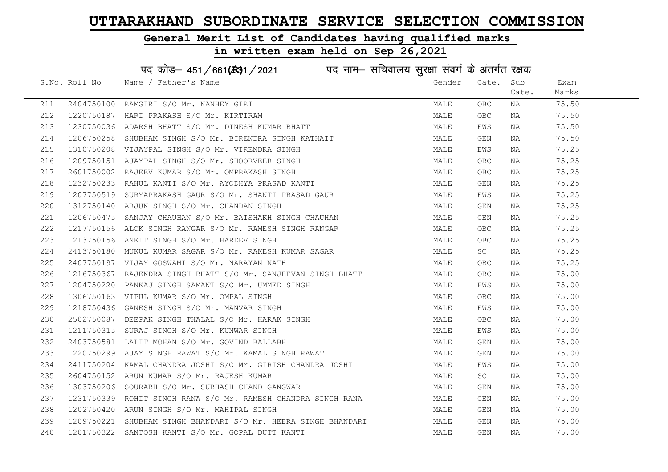#### General Merit List of Candidates having qualified marks

#### in written exam held on Sep 26,2021

S.No. Roll No Wame / Father's Name Gender Cate. Sub Cate. Exam Marks पद कोड– 451/661(स्था / 2021 व्यान सचिवालय सुरक्षा संवर्ग के अंतर्गत रक्षक 211 2404750100 RAMGIRI S/O Mr. NANHEY GIRI MANA MALE OBC NA 75.50 212 1220750187 HARI PRAKASH S/O Mr. KIRTIRAM MALE OBC NA 75.50 213 1230750036 ADARSH BHATT S/O Mr. DINESH KUMAR BHATT NA MALE EWS NA 75.50 214 1206750258 SHUBHAM SINGH S/O Mr. BIRENDRA SINGH KATHAIT MAN MALE GEN NA 75.50 215 1310750208 VIJAYPAL SINGH S/O Mr. VIRENDRA SINGH MALE EWS NA 75.25 216 1209750151 AJAYPAL SINGH S/O Mr. SHOORVEER SINGH MALE OBC NA 75.25 217 2601750002 RAJEEV KUMAR S/O Mr. OMPRAKASH SINGH MARAN MALE OBC NA 75.25 218 1232750233 RAHUL KANTI S/O Mr. AYODHYA PRASAD KANTI MALE GEN NA 75.25 219 1207750519 SURYAPRAKASH GAUR S/O Mr. SHANTI PRASAD GAUR MALE EWS NA 75.25 220 1312750140 ARJUN SINGH S/O Mr. CHANDAN SINGH MAN MALE GEN NA 75.25 221 1206750475 SANJAY CHAUHAN S/O Mr. BAISHAKH SINGH CHAUHAN MAN MALE GEN NA 75.25 222 1217750156 ALOK SINGH RANGAR S/O Mr. RAMESH SINGH RANGAR MALE OBC NA 75.25 223 1213750156 ANKIT SINGH S/O Mr. HARDEV SINGH MALE OBC NA 75.25 224 2413750180 MUKUL KUMAR SAGAR S/O Mr. RAKESH KUMAR SAGAR MALE SC NA 75.25 225 2407750197 VIJAY GOSWAMI S/O Mr. NARAYAN NATH MALE OBC NA 75.25 226 1216750367 RAJENDRA SINGH BHATT S/O Mr. SANJEEVAN SINGH BHATT MALE OBC NA 75.00 227 1204750220 PANKAJ SINGH SAMANT S/O Mr. UMMED SINGH MALE EWS NA 75.00 228 1306750163 VIPUL KUMAR S/O Mr. OMPAL SINGH MALE OBC NA 75.00 229 1218750436 GANESH SINGH S/O Mr. MANVAR SINGH MALE EWS NA 75.00 230 2502750087 DEEPAK SINGH THALAL S/O Mr. HARAK SINGH MALE OBC NA 75.00 231 1211750315 SURAJ SINGH S/O Mr. KUNWAR SINGH MALE EWS NA 75.00 232 2403750581 LALIT MOHAN S/O Mr. GOVIND BALLABH MALE GEN NA 75.00 233 1220750299 AJAY SINGH RAWAT S/O Mr. KAMAL SINGH RAWAT MARE MALE GEN NA 75.00 234 2411750204 KAMAL CHANDRA JOSHI S/O Mr. GIRISH CHANDRA JOSHI MALE EWS NA 75.00 235 2604750152 ARUN KUMAR S/O Mr. RAJESH KUMAR MANAR MALE SC NA 75.00 236 1303750206 SOURABH S/O Mr. SUBHASH CHAND GANGWAR NA MALE GEN NA 75.00 237 1231750339 ROHIT SINGH RANA S/O Mr. RAMESH CHANDRA SINGH RANA MALE GEN NA 75.00 238 1202750420 ARUN SINGH S/O Mr. MAHIPAL SINGH MALE GEN NA 75.00 239 1209750221 SHUBHAM SINGH BHANDARI S/O Mr. HEERA SINGH BHANDARI MALE GEN NA 75.00 240 1201750322 SANTOSH KANTI S/O Mr. GOPAL DUTT KANTI MALE GEN NA 75.00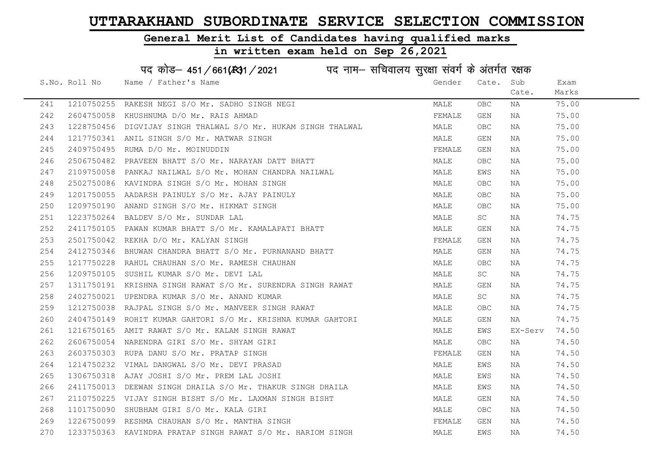#### General Merit List of Candidates having qualified marks

# in written exam held on Sep 26,2021

# पद कोड– 451/661(स्था/2021 व्यान सचिवालय सुरक्षा संवर्ग के अंतर्गत रक्षक

|     | S.No. Roll No | Name / Father's Name                                                                                                                                                                                                                                                                                | Gender | Cate.      | Sub     | Exam  |
|-----|---------------|-----------------------------------------------------------------------------------------------------------------------------------------------------------------------------------------------------------------------------------------------------------------------------------------------------|--------|------------|---------|-------|
|     |               |                                                                                                                                                                                                                                                                                                     |        |            | Cate.   | Marks |
| 241 |               | 1210750255 RAKESH NEGI S/O Mr. SADHO SINGH NEGI<br>2604750058 KHUSHNUMA D/O Mr. RAIS AHMAD                                                                                                                                                                                                          | MALE   | <b>OBC</b> | NA      | 75.00 |
| 242 |               |                                                                                                                                                                                                                                                                                                     | FEMALE | GEN        | NA      | 75.00 |
| 243 |               | 1228750456 DIGVIJAY SINGH THALWAL S/O Mr. HUKAM SINGH THALWAL                                                                                                                                                                                                                                       | MALE   | <b>OBC</b> | NA      | 75.00 |
| 244 |               | 1217750341 ANIL SINGH S/O Mr. MATWAR SINGH                                                                                                                                                                                                                                                          | MALE   | GEN        | NA      | 75.00 |
| 245 |               | 2409750495 RUMA D/O Mr. MOINUDDIN                                                                                                                                                                                                                                                                   | FEMALE | GEN        | NA      | 75.00 |
| 246 |               | 2506750482 PRAVEEN BHATT S/O Mr. NARAYAN DATT BHATT                                                                                                                                                                                                                                                 | MALE   | OBC        | NA      | 75.00 |
| 247 |               | 2109750058 PANKAJ NAILWAL S/O Mr. MOHAN CHANDRA NAILWAL                                                                                                                                                                                                                                             | MALE   | EWS        | NA      | 75.00 |
| 248 |               |                                                                                                                                                                                                                                                                                                     | MALE   | <b>OBC</b> | NA      | 75.00 |
| 249 |               |                                                                                                                                                                                                                                                                                                     | MALE   | OBC        | NA      | 75.00 |
| 250 |               |                                                                                                                                                                                                                                                                                                     | MALE   | <b>OBC</b> | NA      | 75.00 |
| 251 |               |                                                                                                                                                                                                                                                                                                     | MALE   | SC         | NA      | 74.75 |
| 252 |               | 1201750055 AADARSH PAINULY S/O Mr. MOHAN SINGH<br>1201750055 AADARSH PAINULY S/O Mr. AJAY PAINULY<br>1209750190 ANAND SINGH S/O Mr. HIKMAT SINGH<br>1223750264 BALDEV S/O Mr. SUNDAR LAL<br>2411750105 PAWAN KUMAR BHATT S/O Mr. KAMAIADAR<br>2411750105 PAWAN KUMAR BHATT S/O Mr. KAMALAPATI BHATT | MALE   | GEN        | NA      | 74.75 |
| 253 |               | 2501750042 REKHA D/O Mr. KALYAN SINGH                                                                                                                                                                                                                                                               | FEMALE | GEN        | NA      | 74.75 |
| 254 |               | 2412750346 BHUWAN CHANDRA BHATT S/O Mr. PURNANAND BHATT                                                                                                                                                                                                                                             | MALE   | GEN        | NA      | 74.75 |
| 255 |               | 1217750228 RAHUL CHAUHAN S/O Mr. RAMESH CHAUHAN<br>1209750105 SUSHIL KUMAR S/O Mr. DEVI LAL                                                                                                                                                                                                         | MALE   | <b>OBC</b> | NA      | 74.75 |
| 256 |               |                                                                                                                                                                                                                                                                                                     | MALE   | SC         | NA      | 74.75 |
| 257 |               | 1311750191 KRISHNA SINGH RAWAT S/O Mr. SURENDRA SINGH RAWAT                                                                                                                                                                                                                                         | MALE   | GEN        | NA      | 74.75 |
| 258 |               | 2402750021 UPENDRA KUMAR S/O Mr. ANAND KUMAR                                                                                                                                                                                                                                                        | MALE   | SC         | NA      | 74.75 |
| 259 |               | 1212750038 RAJPAL SINGH S/O Mr. MANVEER SINGH RAWAT                                                                                                                                                                                                                                                 | MALE   | OBC        | NA      | 74.75 |
| 260 |               | 2404750149 ROHIT KUMAR GAHTORI S/O Mr. KRISHNA KUMAR GAHTORI                                                                                                                                                                                                                                        | MALE   | GEN        | NA      | 74.75 |
| 261 |               | 1216750165 AMIT RAWAT S/O Mr. KALAM SINGH RAWAT                                                                                                                                                                                                                                                     | MALE   | EWS        | EX-Serv | 74.50 |
| 262 |               | 2606750054 NARENDRA GIRI S/O Mr. SHYAM GIRI                                                                                                                                                                                                                                                         | MALE   | OBC.       | NA      | 74.50 |
| 263 |               | 2603750303 RUPA DANU S/O Mr. PRATAP SINGH                                                                                                                                                                                                                                                           | FEMALE | GEN        | NA      | 74.50 |
| 264 |               | 1214750232 VIMAL DANGWAL S/O Mr. DEVI PRASAD<br>1306750318 AJAY JOSHI S/O Mr. PREM LAL JOSHI                                                                                                                                                                                                        | MALE   | EWS        | NA      | 74.50 |
| 265 |               |                                                                                                                                                                                                                                                                                                     | MALE   | EWS        | NA      | 74.50 |
| 266 |               | 2411750013 DEEWAN SINGH DHAILA S/O Mr. THAKUR SINGH DHAILA                                                                                                                                                                                                                                          | MALE   | EWS        | NA      | 74.50 |
| 267 |               | 2110750225 VIJAY SINGH BISHT S/O Mr. LAXMAN SINGH BISHT                                                                                                                                                                                                                                             | MALE   | GEN        | NA      | 74.50 |
| 268 |               | 1101750090 SHUBHAM GIRI S/O Mr. KALA GIRI                                                                                                                                                                                                                                                           | MALE   | OBC        | NA      | 74.50 |
| 269 |               | 1226750099 RESHMA CHAUHAN S/O Mr. MANTHA SINGH                                                                                                                                                                                                                                                      | FEMALE | GEN        | NA      | 74.50 |
| 270 |               | 1233750363 KAVINDRA PRATAP SINGH RAWAT S/O Mr. HARIOM SINGH                                                                                                                                                                                                                                         | MALE   | EWS        | NA      | 74.50 |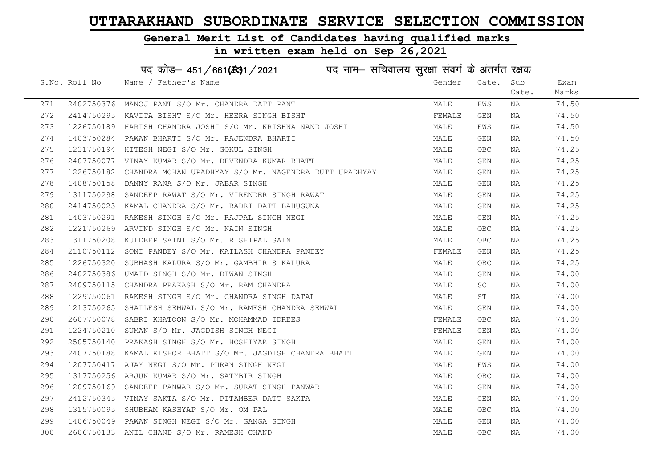### General Merit List of Candidates having qualified marks

| पद कोड़- 451/661(431/2021 पद नाम- सचिवालय सुरक्षा संवर्ग के अंतर्गत रक्षक |               |                                                                  |        |            |       |       |  |
|---------------------------------------------------------------------------|---------------|------------------------------------------------------------------|--------|------------|-------|-------|--|
|                                                                           | S.No. Roll No | Name / Father's Name                                             | Gender | Cate.      | Sub   | Exam  |  |
|                                                                           |               |                                                                  |        |            | Cate. | Marks |  |
| 271                                                                       |               | 2402750376 MANOJ PANT S/O Mr. CHANDRA DATT PANT                  | MALE   | EWS        | ΝA    | 74.50 |  |
| 272                                                                       |               | 2414750295 KAVITA BISHT S/O Mr. HEERA SINGH BISHT                | FEMALE | GEN        | NA    | 74.50 |  |
| 273                                                                       |               | 1226750189 HARISH CHANDRA JOSHI S/O Mr. KRISHNA NAND JOSHI       | MALE   | EWS        | NA    | 74.50 |  |
| 274                                                                       |               | 1403750284 PAWAN BHARTI S/O Mr. RAJENDRA BHARTI                  | MALE   | GEN        | NA    | 74.50 |  |
| 275                                                                       |               | 1231750194 HITESH NEGI S/O Mr. GOKUL SINGH                       | MALE   | <b>OBC</b> | NA    | 74.25 |  |
| 276                                                                       |               | 2407750077 VINAY KUMAR S/O Mr. DEVENDRA KUMAR BHATT              | MALE   | GEN        | NA    | 74.25 |  |
| 277                                                                       |               | 1226750182 CHANDRA MOHAN UPADHYAY S/O Mr. NAGENDRA DUTT UPADHYAY | MALE   | GEN        | ΝA    | 74.25 |  |
| 278                                                                       |               | 1408750158 DANNY RANA S/O Mr. JABAR SINGH                        | MALE   | GEN        | NA    | 74.25 |  |
| 279                                                                       |               | 1311750298 SANDEEP RAWAT S/O Mr. VIRENDER SINGH RAWAT            | MALE   | GEN        | ΝA    | 74.25 |  |
| 280                                                                       |               | 2414750023 KAMAL CHANDRA S/O Mr. BADRI DATT BAHUGUNA             | MALE   | GEN        | NA    | 74.25 |  |
| 281                                                                       |               | 1403750291 RAKESH SINGH S/O Mr. RAJPAL SINGH NEGI                | MALE   | GEN        | ΝA    | 74.25 |  |
| 282                                                                       |               | 1221750269 ARVIND SINGH S/O Mr. NAIN SINGH                       | MALE   | <b>OBC</b> | NA    | 74.25 |  |
| 283                                                                       |               | 1311750208 KULDEEP SAINI S/O Mr. RISHIPAL SAINI                  | MALE   | <b>OBC</b> | NA    | 74.25 |  |
| 284                                                                       |               | 2110750112 SONI PANDEY S/O Mr. KAILASH CHANDRA PANDEY            | FEMALE | GEN        | NA    | 74.25 |  |
| 285                                                                       |               | 1226750320 SUBHASH KALURA S/O Mr. GAMBHIR S KALURA               | MALE   | <b>OBC</b> | ΝA    | 74.25 |  |
| 286                                                                       |               | 2402750386 UMAID SINGH S/O Mr. DIWAN SINGH                       | MALE   | GEN        | NA    | 74.00 |  |
| 287                                                                       |               | 2409750115 CHANDRA PRAKASH S/O Mr. RAM CHANDRA                   | MALE   | SC         | ΝA    | 74.00 |  |
| 288                                                                       |               | 1229750061 RAKESH SINGH S/O Mr. CHANDRA SINGH DATAL              | MALE   | ST         | NA    | 74.00 |  |
| 289                                                                       |               | 1213750265 SHAILESH SEMWAL S/O Mr. RAMESH CHANDRA SEMWAL         | MALE   | GEN        | NA    | 74.00 |  |
| 290                                                                       |               | 2607750078 SABRI KHATOON S/O Mr. MOHAMMAD IDREES                 | FEMALE | <b>OBC</b> | NA    | 74.00 |  |
| 291                                                                       |               | 1224750210 SUMAN S/O Mr. JAGDISH SINGH NEGI                      | FEMALE | GEN        | NA    | 74.00 |  |
| 292                                                                       |               | 2505750140 PRAKASH SINGH S/O Mr. HOSHIYAR SINGH                  | MALE   | GEN        | NA    | 74.00 |  |
| 293                                                                       |               | 2407750188 KAMAL KISHOR BHATT S/O Mr. JAGDISH CHANDRA BHATT      | MALE   | GEN        | ΝA    | 74.00 |  |
| 294                                                                       | 1207750417    | AJAY NEGI S/O Mr. PURAN SINGH NEGI                               | MALE   | EWS        | NA    | 74.00 |  |
| 295                                                                       |               | 1317750256 ARJUN KUMAR S/O Mr. SATYBIR SINGH                     | MALE   | <b>OBC</b> | ΝA    | 74.00 |  |
| 296                                                                       |               | 1209750169 SANDEEP PANWAR S/O Mr. SURAT SINGH PANWAR             | MALE   | GEN        | NA    | 74.00 |  |
| 297                                                                       |               | 2412750345 VINAY SAKTA S/O Mr. PITAMBER DATT SAKTA               | MALE   | GEN        | NA    | 74.00 |  |
| 298                                                                       |               | 1315750095 SHUBHAM KASHYAP S/O Mr. OM PAL                        | MALE   | <b>OBC</b> | NA    | 74.00 |  |
| 299                                                                       |               | 1406750049 PAWAN SINGH NEGI S/O Mr. GANGA SINGH                  | MALE   | GEN        | NA    | 74.00 |  |
| 300                                                                       |               | 2606750133 ANIL CHAND S/O Mr. RAMESH CHAND                       | MALE   | <b>OBC</b> | ΝA    | 74.00 |  |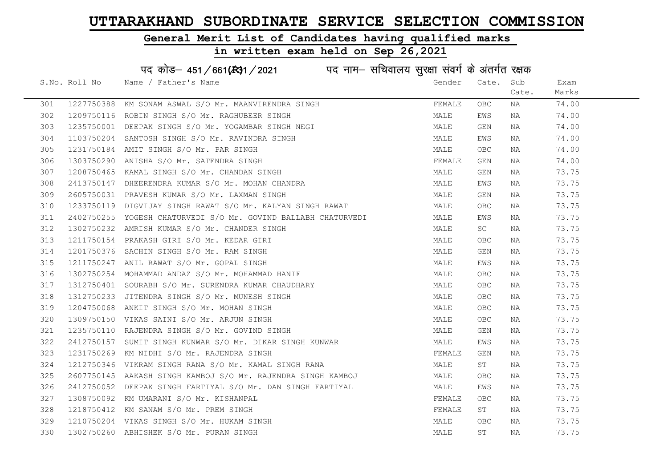### General Merit List of Candidates having qualified marks

| पद कोड़- 451/661(431/2021 पद नाम- सचिवालय सुरक्षा संवर्ग के अंतर्गत रक्षक |               |                                                                |        |            |       |       |  |
|---------------------------------------------------------------------------|---------------|----------------------------------------------------------------|--------|------------|-------|-------|--|
|                                                                           | S.No. Roll No | Name / Father's Name                                           | Gender | Cate.      | Sub   | Exam  |  |
|                                                                           |               |                                                                |        |            | Cate. | Marks |  |
| 301                                                                       |               | 1227750388 KM SONAM ASWAL S/O Mr. MAANVIRENDRA SINGH           | FEMALE | OBC        | ΝA    | 74.00 |  |
| 302                                                                       |               | 1209750116 ROBIN SINGH S/O Mr. RAGHUBEER SINGH                 | MALE   | EWS        | ΝA    | 74.00 |  |
| 303                                                                       |               | 1235750001 DEEPAK SINGH S/O Mr. YOGAMBAR SINGH NEGI            | MALE   | GEN        | ΝA    | 74.00 |  |
| 304                                                                       |               | 1103750204 SANTOSH SINGH S/O Mr. RAVINDRA SINGH                | MALE   | EWS        | NA    | 74.00 |  |
| 305                                                                       |               | 1231750184 AMIT SINGH S/O Mr. PAR SINGH                        | MALE   | <b>OBC</b> | NA    | 74.00 |  |
| 306                                                                       |               | 1303750290 ANISHA S/O Mr. SATENDRA SINGH                       | FEMALE | GEN        | NA    | 74.00 |  |
| 307                                                                       |               | 1208750465 KAMAL SINGH S/O Mr. CHANDAN SINGH                   | MALE   | GEN        | ΝA    | 73.75 |  |
| 308                                                                       |               | 2413750147 DHEERENDRA KUMAR S/O Mr. MOHAN CHANDRA              | MALE   | EWS        | ΝA    | 73.75 |  |
| 309                                                                       |               | 2605750031 PRAVESH KUMAR S/O Mr. LAXMAN SINGH                  | MALE   | GEN        | NA    | 73.75 |  |
| 310                                                                       |               | 1233750119 DIGVIJAY SINGH RAWAT S/O Mr. KALYAN SINGH RAWAT     | MALE   | OBC        | ΝA    | 73.75 |  |
| 311                                                                       |               | 2402750255 YOGESH CHATURVEDI S/O Mr. GOVIND BALLABH CHATURVEDI | MALE   | EWS        | NA    | 73.75 |  |
| 312                                                                       |               | 1302750232 AMRISH KUMAR S/O Mr. CHANDER SINGH                  | MALE   | SC         | NA    | 73.75 |  |
| 313                                                                       |               | 1211750154 PRAKASH GIRI S/O Mr. KEDAR GIRI                     | MALE   | <b>OBC</b> | NA    | 73.75 |  |
| 314                                                                       |               | 1201750376 SACHIN SINGH S/O Mr. RAM SINGH                      | MALE   | GEN        | NA    | 73.75 |  |
| 315                                                                       |               | 1211750247 ANIL RAWAT S/O Mr. GOPAL SINGH                      | MALE   | EWS        | NA    | 73.75 |  |
| 316                                                                       | 1302750254    | MOHAMMAD ANDAZ S/O Mr. MOHAMMAD HANIF                          | MALE   | <b>OBC</b> | NA    | 73.75 |  |
| 317                                                                       |               | 1312750401 SOURABH S/O Mr. SURENDRA KUMAR CHAUDHARY            | MALE   | <b>OBC</b> | NA    | 73.75 |  |
| 318                                                                       |               | 1312750233 JITENDRA SINGH S/O Mr. MUNESH SINGH                 | MALE   | <b>OBC</b> | NA    | 73.75 |  |
| 319                                                                       |               | 1204750068 ANKIT SINGH S/O Mr. MOHAN SINGH                     | MALE   | OBC        | NA    | 73.75 |  |
| 320                                                                       |               | 1309750150 VIKAS SAINI S/O Mr. ARJUN SINGH                     | MALE   | OBC        | NA    | 73.75 |  |
| 321                                                                       |               | 1235750110 RAJENDRA SINGH S/O Mr. GOVIND SINGH                 | MALE   | GEN        | NA    | 73.75 |  |
| 322                                                                       |               | 2412750157 SUMIT SINGH KUNWAR S/O Mr. DIKAR SINGH KUNWAR       | MALE   | EWS        | NA    | 73.75 |  |
| 323                                                                       | 1231750269    | KM NIDHI S/O Mr. RAJENDRA SINGH                                | FEMALE | GEN        | ΝA    | 73.75 |  |
| 324                                                                       | 1212750346    | VIKRAM SINGH RANA S/O Mr. KAMAL SINGH RANA                     | MALE   | SΤ         | NA    | 73.75 |  |
| 325                                                                       |               | 2607750145 AAKASH SINGH KAMBOJ S/O Mr. RAJENDRA SINGH KAMBOJ   | MALE   | <b>OBC</b> | ΝA    | 73.75 |  |
| 326                                                                       |               | 2412750052 DEEPAK SINGH FARTIYAL S/O Mr. DAN SINGH FARTIYAL    | MALE   | EWS        | ΝA    | 73.75 |  |
| 327                                                                       |               | 1308750092 KM UMARANI S/O Mr. KISHANPAL                        | FEMALE | <b>OBC</b> | NA    | 73.75 |  |
| 328                                                                       |               | 1218750412 KM SANAM S/O Mr. PREM SINGH                         | FEMALE | ST         | NA    | 73.75 |  |
| 329                                                                       |               | 1210750204 VIKAS SINGH S/O Mr. HUKAM SINGH                     | MALE   | <b>OBC</b> | NA    | 73.75 |  |
| 330                                                                       |               | 1302750260 ABHISHEK S/O Mr. PURAN SINGH                        | MALE   | ST         | ΝA    | 73.75 |  |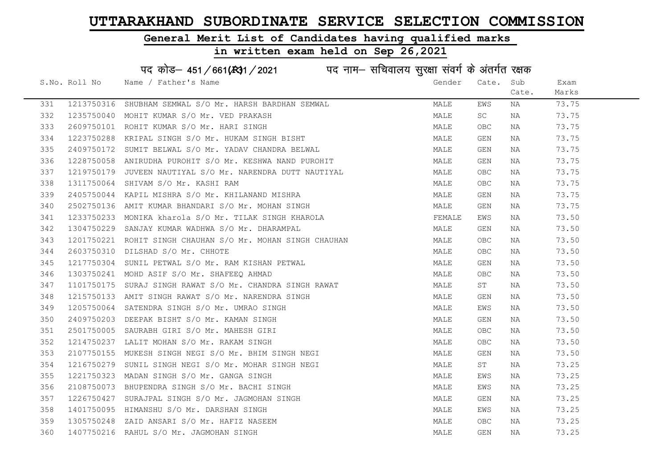#### General Merit List of Candidates having qualified marks

|     |               | पद कोड़- 451/661(431/2021 पद नाम- सचिवालय सुरक्षा संवर्ग के अंतर्गत रक्षक |        |       |       |       |
|-----|---------------|---------------------------------------------------------------------------|--------|-------|-------|-------|
|     | S.No. Roll No | Name / Father's Name                                                      | Gender | Cate. | Sub   | Exam  |
|     |               |                                                                           |        |       | Cate. | Marks |
| 331 | 1213750316    | SHUBHAM SEMWAL S/O Mr. HARSH BARDHAN SEMWAL                               | MALE   | EWS   | ΝA    | 73.75 |
| 332 |               | 1235750040 MOHIT KUMAR S/O Mr. VED PRAKASH                                | MALE   | SC    | NA    | 73.75 |
| 333 |               | 2609750101 ROHIT KUMAR S/O Mr. HARI SINGH                                 | MALE   | OBC.  | NA    | 73.75 |
| 334 | 1223750288    | KRIPAL SINGH S/O Mr. HUKAM SINGH BISHT                                    | MALE   | GEN   | NA    | 73.75 |
| 335 | 2409750172    | SUMIT BELWAL S/O Mr. YADAV CHANDRA BELWAL                                 | MALE   | GEN   | NA    | 73.75 |
| 336 |               | 1228750058 ANIRUDHA PUROHIT S/O Mr. KESHWA NAND PUROHIT                   | MALE   | GEN   | NA    | 73.75 |
| 337 |               | 1219750179 JUVEEN NAUTIYAL S/O Mr. NARENDRA DUTT NAUTIYAL                 | MALE   | OBC.  | NA    | 73.75 |
| 338 | 1311750064    | SHIVAM S/O Mr. KASHI RAM                                                  | MALE   | OBC.  | NA    | 73.75 |
| 339 | 2405750044    | KAPIL MISHRA S/O Mr. KHILANAND MISHRA                                     | MALE   | GEN   | NA    | 73.75 |
| 340 |               | 2502750136 AMIT KUMAR BHANDARI S/O Mr. MOHAN SINGH                        | MALE   | GEN   | NA    | 73.75 |
| 341 |               | 1233750233 MONIKA kharola S/O Mr. TILAK SINGH KHAROLA                     | FEMALE | EWS   | NA    | 73.50 |
| 342 | 1304750229    | SANJAY KUMAR WADHWA S/O Mr. DHARAMPAL                                     | MALE   | GEN   | NA    | 73.50 |
| 343 |               | 1201750221 ROHIT SINGH CHAUHAN S/O Mr. MOHAN SINGH CHAUHAN                | MALE   | OBC.  | NA    | 73.50 |
| 344 |               | 2603750310 DILSHAD S/O Mr. CHHOTE                                         | MALE   | OBC.  | NA    | 73.50 |
| 345 |               | 1217750304 SUNIL PETWAL S/O Mr. RAM KISHAN PETWAL                         | MALE   | GEN   | NA    | 73.50 |
| 346 | 1303750241    | MOHD ASIF S/O Mr. SHAFEEQ AHMAD                                           | MALE   | OBC.  | NA    | 73.50 |
| 347 | 1101750175    | SURAJ SINGH RAWAT S/O Mr. CHANDRA SINGH RAWAT                             | MALE   | ST    | NA    | 73.50 |
| 348 |               | 1215750133 AMIT SINGH RAWAT S/O Mr. NARENDRA SINGH                        | MALE   | GEN   | NA    | 73.50 |
| 349 |               | 1205750064 SATENDRA SINGH S/O Mr. UMRAO SINGH                             | MALE   | EWS   | NA    | 73.50 |
| 350 |               | 2409750203 DEEPAK BISHT S/O Mr. KAMAN SINGH                               | MALE   | GEN   | NA    | 73.50 |
| 351 |               | 2501750005 SAURABH GIRI S/O Mr. MAHESH GIRI                               | MALE   | OBC.  | NA    | 73.50 |
| 352 |               | 1214750237 LALIT MOHAN S/O Mr. RAKAM SINGH                                | MALE   | OBC.  | NA    | 73.50 |
| 353 | 2107750155    | MUKESH SINGH NEGI S/O Mr. BHIM SINGH NEGI                                 | MALE   | GEN   | NA    | 73.50 |
| 354 | 1216750279    | SUNIL SINGH NEGI S/O Mr. MOHAR SINGH NEGI                                 | MALE   | ST    | NA    | 73.25 |
| 355 | 1221750323    | MADAN SINGH S/O Mr. GANGA SINGH                                           | MALE   | EWS   | NA    | 73.25 |
| 356 |               | 2108750073 BHUPENDRA SINGH S/O Mr. BACHI SINGH                            | MALE   | EWS   | NA    | 73.25 |
| 357 |               | 1226750427 SURAJPAL SINGH S/O Mr. JAGMOHAN SINGH                          | MALE   | GEN   | NA    | 73.25 |
| 358 |               | 1401750095 HIMANSHU S/O Mr. DARSHAN SINGH                                 | MALE   | EWS   | NA    | 73.25 |
| 359 |               | 1305750248 ZAID ANSARI S/O Mr. HAFIZ NASEEM                               | MALE   | OBC.  | NA    | 73.25 |
| 360 |               | 1407750216 RAHUL S/O Mr. JAGMOHAN SINGH                                   | MALE   | GEN   | ΝA    | 73.25 |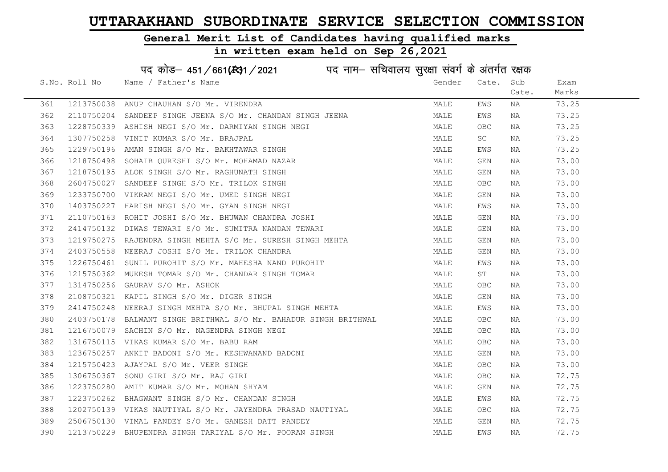#### General Merit List of Candidates having qualified marks

#### in written exam held on Sep 26,2021

S.No. Roll No Wame / Father's Name Gender Cate. Sub Cate. Exam Marks पद कोड– 451/661(स्था / 2021 व्यान सचिवालय सुरक्षा संवर्ग के अंतर्गत रक्षक 361 1213750038 ANUP CHAUHAN S/O Mr. VIRENDRA MAN MALE EWS NA 73.25 362 2110750204 SANDEEP SINGH JEENA S/O Mr. CHANDAN SINGH JEENA MALE EWS NA 73.25 363 1228750339 ASHISH NEGI S/O Mr. DARMIYAN SINGH NEGI MALE OBC NA 73.25 364 1307750258 VINIT KUMAR S/O Mr. BRAJPAL MARE MALE SC NA 73.25 365 1229750196 AMAN SINGH S/O Mr. BAKHTAWAR SINGH MALE EWS NA 73.25 366 1218750498 SOHAIB QURESHI S/O Mr. MOHAMAD NAZAR MALE GEN NA 73.00 367 1218750195 ALOK SINGH S/O Mr. RAGHUNATH SINGH MALE GEN NA 73.00 368 2604750027 SANDEEP SINGH S/O Mr. TRILOK SINGH MALE OBC NA 73.00 369 1233750700 VIKRAM NEGI S/O Mr. UMED SINGH NEGI MALE GEN NA 73.00 370 1403750227 HARISH NEGI S/O Mr. GYAN SINGH NEGI MALE EWS NA 73.00 371 2110750163 ROHIT JOSHI S/O Mr. BHUWAN CHANDRA JOSHI MAN MALE GEN NA 73.00 372 2414750132 DIWAS TEWARI S/O Mr. SUMITRA NANDAN TEWARI MANA MALE GEN NA 73.00 373 1219750275 RAJENDRA SINGH MEHTA S/O Mr. SURESH SINGH MEHTA MAN MALE GEN NA 73.00 374 2403750558 NEERAJ JOSHI S/O Mr. TRILOK CHANDRA NA MALE GEN NA 73.00 375 1226750461 SUNIL PUROHIT S/O Mr. MAHESHA NAND PUROHIT MALE MALE EWS NA 73.00 376 1215750362 MUKESH TOMAR S/O Mr. CHANDAR SINGH TOMAR MALE ST NA 73.00 377 1314750256 GAURAV S/O Mr. ASHOK MALE OBC NA 73.00 378 2108750321 KAPIL SINGH S/O Mr. DIGER SINGH MALE GEN NA 73.00 379 2414750248 NEERAJ SINGH MEHTA S/O Mr. BHUPAL SINGH MEHTA MALE EWS NA 73.00 380 2403750178 BALWANT SINGH BRITHWAL S/O Mr. BAHADUR SINGH BRITHWAL MALE OBC NA 73.00 381 1216750079 SACHIN S/O Mr. NAGENDRA SINGH NEGI MALE OBC NA 73.00 382 1316750115 VIKAS KUMAR S/O Mr. BABU RAM MALE OBC NA 73.00 383 1236750257 ANKIT BADONI S/O Mr. KESHWANAND BADONI MALE GEN NA 73.00 384 1215750423 AJAYPAL S/O Mr. VEER SINGH MALE OBC NA 73.00 385 1306750367 SONU GIRI S/O Mr. RAJ GIRI NA MANA MALE OBC NA 172.75 386 1223750280 AMIT KUMAR S/O Mr. MOHAN SHYAM MARE MALE GEN NA 72.75 387 1223750262 BHAGWANT SINGH S/O Mr. CHANDAN SINGH MAN MALE EWS NA 72.75 388 1202750139 VIKAS NAUTIYAL S/O Mr. JAYENDRA PRASAD NAUTIYAL MALE OBC NA 72.75 389 2506750130 VIMAL PANDEY S/O Mr. GANESH DATT PANDEY MALE GEN NA 72.75 390 1213750229 BHUPENDRA SINGH TARIYAL S/O Mr. POORAN SINGH MALE MALE EWS NA 72.75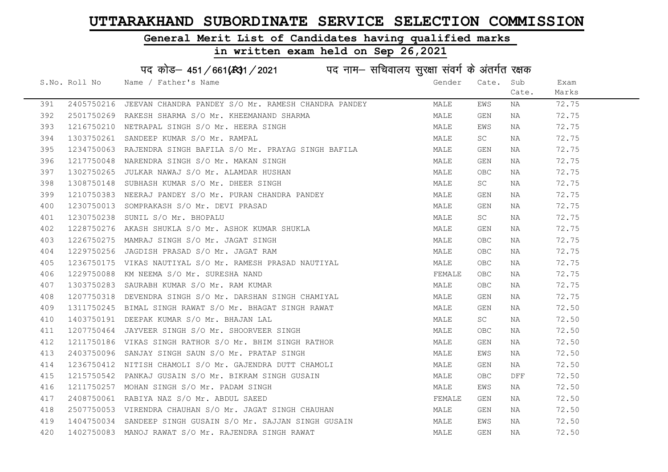#### General Merit List of Candidates having qualified marks

#### in written exam held on Sep 26,2021

S.No. Roll No Wame / Father's Name Gender Cate. Sub Cate. Exam Marks पद कोड़– 451/661(स्था/2021 व्यान सचिवालय सुरक्षा संवर्ग के अंतर्गत रक्षक 391 2405750216 JEEVAN CHANDRA PANDEY S/O Mr. RAMESH CHANDRA PANDEY MALE EWS NA 72.75 392 2501750269 RAKESH SHARMA S/O Mr. KHEEMANAND SHARMA MARAN MALE GEN NA 72.75 393 1216750210 NETRAPAL SINGH S/O Mr. HEERA SINGH MARE MALE EWS NA 72.75 394 1303750261 SANDEEP KUMAR S/O Mr. RAMPAL MARE MALE SC NA 72.75 395 1234750063 RAJENDRA SINGH BAFILA S/O Mr. PRAYAG SINGH BAFILA MALE GEN NA 72.75 396 1217750048 NARENDRA SINGH S/O Mr. MAKAN SINGH MALE GEN NA 72.75 397 1302750265 JULKAR NAWAJ S/O Mr. ALAMDAR HUSHAN MARE MALE OBC NA 72.75 398 1308750148 SUBHASH KUMAR S/O Mr. DHEER SINGH MALE SC NA 72.75 399 1210750383 NEERAJ PANDEY S/O Mr. PURAN CHANDRA PANDEY MANA MALE GEN NA 72.75 400 1230750013 SOMPRAKASH S/O Mr. DEVI PRASAD MALE GEN NA 72.75 401 1230750238 SUNIL S/O Mr. BHOPALU MALE SC NA 72.75 402 1228750276 AKASH SHUKLA S/O Mr. ASHOK KUMAR SHUKLA MALE GEN NA 72.75 403 1226750275 MAMRAJ SINGH S/O Mr. JAGAT SINGH MALE OBC NA 72.75 404 1229750256 JAGDISH PRASAD S/O Mr. JAGAT RAM MALE OBC NA 72.75 405 1236750175 VIKAS NAUTIYAL S/O Mr. RAMESH PRASAD NAUTIYAL MAN MALE OBC NA 72.75 406 1229750088 KM NEEMA S/O Mr. SURESHA NAND FEMALE OBC NA 72.75 407 1303750283 SAURABH KUMAR S/O Mr. RAM KUMAR MARRAD SAN SANG MALE OBC NA 172.75 408 1207750318 DEVENDRA SINGH S/O Mr. DARSHAN SINGH CHAMIYAL MALE GEN NA 72.75 409 1311750245 BIMAL SINGH RAWAT S/O Mr. BHAGAT SINGH RAWAT MALE GEN NA 72.50 410 1403750191 DEEPAK KUMAR S/O Mr. BHAJAN LAL MALE SC NA 72.50 411 1207750464 JAYVEER SINGH S/O Mr. SHOORVEER SINGH MALE OBC NA 72.50 412 1211750186 VIKAS SINGH RATHOR S/O Mr. BHIM SINGH RATHOR MALE GEN NA 72.50 413 2403750096 SANJAY SINGH SAUN S/O Mr. PRATAP SINGH MALE EWS NA 72.50 414 1236750412 NITISH CHAMOLI S/O Mr. GAJENDRA DUTT CHAMOLI MALE GEN NA 72.50 415 1215750542 PANKAJ GUSAIN S/O Mr. BIKRAM SINGH GUSAIN MALE OBC DFF 72.50 416 1211750257 MOHAN SINGH S/O Mr. PADAM SINGH MARE MALE EWS NA 72.50 417 2408750061 RABIYA NAZ S/O Mr. ABDUL SAEED FEMALE GEN NA 72.50 418 2507750053 VIRENDRA CHAUHAN S/O Mr. JAGAT SINGH CHAUHAN MALE GEN NA 72.50 419 1404750034 SANDEEP SINGH GUSAIN S/O Mr. SAJJAN SINGH GUSAIN MALE EWS NA 72.50 420 1402750083 MANOJ RAWAT S/O Mr. RAJENDRA SINGH RAWAT MANA MALE GEN NA 72.50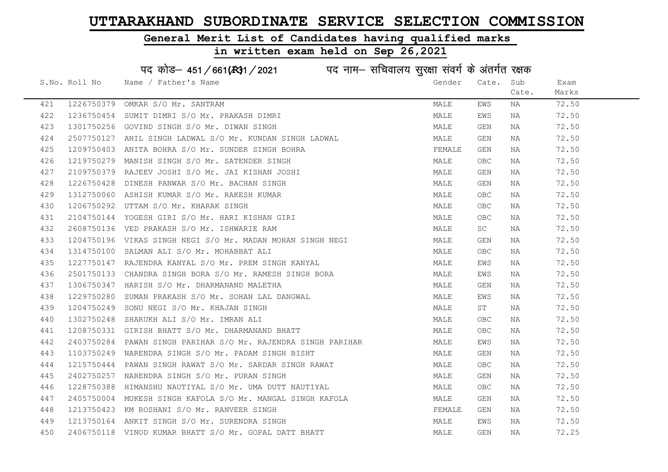### General Merit List of Candidates having qualified marks

|     |               | पद कोड़- 451/661(स्था/2021 पद नाम- सचिवालय सुरक्षा संवर्ग के अंतर्गत रक्षक |        |            |       |       |
|-----|---------------|----------------------------------------------------------------------------|--------|------------|-------|-------|
|     | S.No. Roll No | Name / Father's Name                                                       | Gender | Cate.      | Sub   | Exam  |
|     |               |                                                                            |        |            | Cate. | Marks |
| 421 | 1226750379    | OMKAR S/O Mr. SANTRAM                                                      | MALE   | EWS        | ΝA    | 72.50 |
| 422 | 1236750454    | SUMIT DIMRI S/O Mr. PRAKASH DIMRI                                          | MALE   | EWS        | NA    | 72.50 |
| 423 | 1301750256    | GOVIND SINGH S/O Mr. DIWAN SINGH                                           | MALE   | GEN        | NA    | 72.50 |
| 424 | 2507750127    | ANIL SINGH LADWAL S/O Mr. KUNDAN SINGH LADWAL                              | MALE   | GEN        | NA    | 72.50 |
| 425 |               | 1209750403 ANITA BOHRA S/O Mr. SUNDER SINGH BOHRA                          | FEMALE | GEN        | NA    | 72.50 |
| 426 |               | 1219750279 MANISH SINGH S/O Mr. SATENDER SINGH                             | MALE   | OBC.       | NA    | 72.50 |
| 427 |               | 2109750379 RAJEEV JOSHI S/O Mr. JAI KISHAN JOSHI                           | MALE   | GEN        | ΝA    | 72.50 |
| 428 | 1226750428    | DINESH PANWAR S/O Mr. BACHAN SINGH                                         | MALE   | GEN        | NA    | 72.50 |
| 429 | 1312750060    | ASHISH KUMAR S/O Mr. RAKESH KUMAR                                          | MALE   | OBC.       | NA    | 72.50 |
| 430 |               | 1206750292 UTTAM S/O Mr. KHARAK SINGH                                      | MALE   | OBC.       | NA    | 72.50 |
| 431 | 2104750144    | YOGESH GIRI S/O Mr. HARI KISHAN GIRI                                       | MALE   | OBC.       | NA    | 72.50 |
| 432 | 2608750136    | VED PRAKASH S/O Mr. ISHWARIE RAM                                           | MALE   | SC         | NA    | 72.50 |
| 433 |               | 1204750196 VIKAS SINGH NEGI S/O Mr. MADAN MOHAN SINGH NEGI                 | MALE   | GEN        | NA    | 72.50 |
| 434 |               | 1314750100 SALMAN ALI S/O Mr. MOHABBAT ALI                                 | MALE   | OBC.       | NA    | 72.50 |
| 435 |               | 1227750147 RAJENDRA KANYAL S/O Mr. PREM SINGH KANYAL                       | MALE   | EWS        | NA    | 72.50 |
| 436 | 2501750133    | CHANDRA SINGH BORA S/O Mr. RAMESH SINGH BORA                               | MALE   | EWS        | NA    | 72.50 |
| 437 | 1306750347    | HARISH S/O Mr. DHARMANAND MALETHA                                          | MALE   | GEN        | NA    | 72.50 |
| 438 |               | 1229750280 SUMAN PRAKASH S/O Mr. SOHAN LAL DANGWAL                         | MALE   | EWS        | NA    | 72.50 |
| 439 | 1204750249    | SONU NEGI S/O Mr. KHAJAN SINGH                                             | MALE   | ST         | NA    | 72.50 |
| 440 | 1302750248    | SHARUKH ALI S/O Mr. IMRAN ALI                                              | MALE   | OBC.       | NA    | 72.50 |
| 441 | 1208750331    | GIRISH BHATT S/O Mr. DHARMANAND BHATT                                      | MALE   | OBC.       | NA    | 72.50 |
| 442 |               | 2403750284 PAWAN SINGH PARIHAR S/O Mr. RAJENDRA SINGH PARIHAR              | MALE   | EWS        | NA    | 72.50 |
| 443 |               | 1103750249 NARENDRA SINGH S/O Mr. PADAM SINGH BISHT                        | MALE   | GEN        | ΝA    | 72.50 |
| 444 | 1215750444    | PAWAN SINGH RAWAT S/O Mr. SARDAR SINGH RAWAT                               | MALE   | OBC.       | NA    | 72.50 |
| 445 | 2402750257    | NARENDRA SINGH S/O Mr. PURAN SINGH                                         | MALE   | GEN        | NA    | 72.50 |
| 446 |               | 1228750388 HIMANSHU NAUTIYAL S/O Mr. UMA DUTT NAUTIYAL                     | MALE   | OBC.       | NA    | 72.50 |
| 447 |               | 2405750004 MUKESH SINGH KAFOLA S/O Mr. MANGAL SINGH KAFOLA                 | MALE   | GEN        | NA    | 72.50 |
| 448 |               | 1213750423 KM ROSHANI S/O Mr. RANVEER SINGH                                | FEMALE | GEN        | NA    | 72.50 |
| 449 |               | 1213750164 ANKIT SINGH S/O Mr. SURENDRA SINGH                              | MALE   | EWS        | NA    | 72.50 |
| 450 |               | 2406750118 VINOD KUMAR BHATT S/O Mr. GOPAL DATT BHATT                      | MALE   | <b>GEN</b> | ΝA    | 72.25 |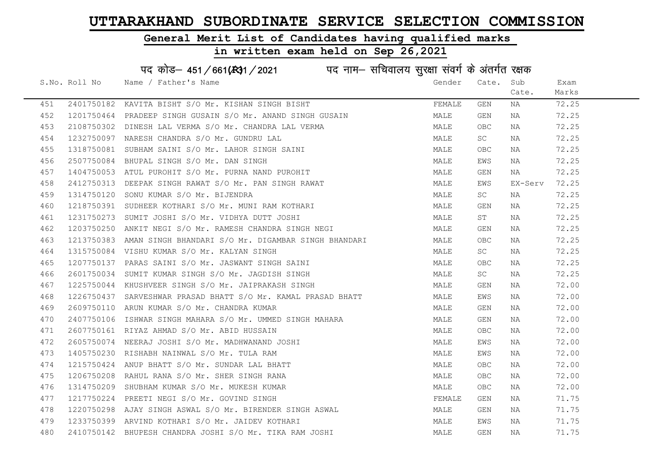#### General Merit List of Candidates having qualified marks

#### in written exam held on Sep 26,2021

S.No. Roll No Gender / Father's Name Gender Cate. Sub Cate. Exam Marks पद कोड़– 451/661(स्था/2021 व्यान सचिवालय सुरक्षा संवर्ग के अंतर्गत रक्षक 451 2401750182 KAVITA BISHT S/O Mr. KISHAN SINGH BISHT SAN SHANGHAN SEMALE GEN NA 72.25 452 1201750464 PRADEEP SINGH GUSAIN S/O Mr. ANAND SINGH GUSAIN MALE GEN NA 72.25 453 2108750302 DINESH LAL VERMA S/O Mr. CHANDRA LAL VERMA MAN MALE OBC NA 72.25 454 1232750097 NARESH CHANDRA S/O Mr. GUNDRU LAL MALL MALE SC NA 72.25 455 1318750081 SUBHAM SAINI S/O Mr. LAHOR SINGH SAINI MALE OBC NA 72.25 456 2507750084 BHUPAL SINGH S/O Mr. DAN SINGH MALE EWS NA 72.25 457 1404750053 ATUL PUROHIT S/O Mr. PURNA NAND PUROHIT NA MALE GEN NA 72.25 458 2412750313 DEEPAK SINGH RAWAT S/O Mr. PAN SINGH RAWAT MALE MALE EWS EX-Serv 72.25 459 1314750120 SONU KUMAR S/O Mr. BIJENDRA MALE SC NA 72.25 460 1218750391 SUDHEER KOTHARI S/O Mr. MUNI RAM KOTHARI MALE GEN NA 72.25 461 1231750273 SUMIT JOSHI S/O Mr. VIDHYA DUTT JOSHI MALE ST NA 72.25 462 1203750250 ANKIT NEGI S/O Mr. RAMESH CHANDRA SINGH NEGI MALE GEN NA 72.25 463 1213750383 AMAN SINGH BHANDARI S/O Mr. DIGAMBAR SINGH BHANDARI MALE OBC NA 72.25 464 1315750084 VISHU KUMAR S/O Mr. KALYAN SINGH MALE SC NA 72.25 465 1207750137 PARAS SAINI S/O Mr. JASWANT SINGH SAINI MALE OBC NA 72.25 466 2601750034 SUMIT KUMAR SINGH S/O Mr. JAGDISH SINGH MALE SC NA 72.25 467 1225750044 KHUSHVEER SINGH S/O Mr. JAIPRAKASH SINGH MALE GEN NA 72.00 468 1226750437 SARVESHWAR PRASAD BHATT S/O Mr. KAMAL PRASAD BHATT MALE MALE EWS NA 72.00 469 2609750110 ARUN KUMAR S/O Mr. CHANDRA KUMAR MALE GEN NA 72.00 470 2407750106 ISHWAR SINGH MAHARA S/O Mr. UMMED SINGH MAHARA MALE GEN NA 72.00 471 2607750161 RIYAZ AHMAD S/O Mr. ABID HUSSAIN MALE OBC NA 72.00 472 2605750074 NEERAJ JOSHI S/O Mr. MADHWANAND JOSHI MALE EWS NA 72.00 473 1405750230 RISHABH NAINWAL S/O Mr. TULA RAM MALE EWS NA 72.00 474 1215750424 ANUP BHATT S/O Mr. SUNDAR LAL BHATT NAN MALE OBC NA 72.00 475 1206750208 RAHUL RANA S/O Mr. SHER SINGH RANA MANA MALE OBC NA 72.00 476 1314750209 SHUBHAM KUMAR S/O Mr. MUKESH KUMAR MANA MALE OBC NA 72.00 477 1217750224 PREETINEGI S/OMr. GOVIND SINGH FEMALE GEN NA 71.75 478 1220750298 AJAY SINGH ASWAL S/O Mr. BIRENDER SINGH ASWAL MALE GEN NA 71.75 479 1233750399 ARVIND KOTHARI S/O Mr. JAIDEV KOTHARI MALE EWS NA 71.75 480 2410750142 BHUPESH CHANDRA JOSHI S/O Mr. TIKA RAM JOSHI MALE GEN NA 71.75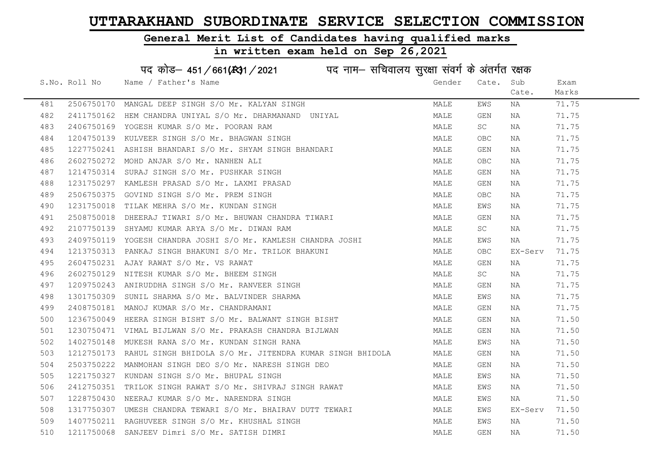#### General Merit List of Candidates having qualified marks

| पद कोड़- 451/661(431/2021 पद नाम- सचिवालय सुरक्षा संवर्ग के अंतर्गत रक्षक |               |                                                                     |        |                         |          |       |
|---------------------------------------------------------------------------|---------------|---------------------------------------------------------------------|--------|-------------------------|----------|-------|
|                                                                           | S.No. Roll No | Name / Father's Name                                                | Gender | Cate.                   | Sub      | Exam  |
|                                                                           |               |                                                                     |        |                         | Cate.    | Marks |
| 481                                                                       |               | 2506750170 MANGAL DEEP SINGH S/O Mr. KALYAN SINGH                   | MALE   | EWS                     | NA       | 71.75 |
| 482                                                                       |               | 2411750162 HEM CHANDRA UNIYAL S/O Mr. DHARMANAND UNIYAL             | MALE   | GEN                     | NA       | 71.75 |
| 483                                                                       |               | 2406750169 YOGESH KUMAR S/O Mr. POORAN RAM                          | MALE   | SC                      | NA       | 71.75 |
| 484                                                                       |               | 1204750139 KULVEER SINGH S/O Mr. BHAGWAN SINGH                      | MALE   | OBC.                    | NA       | 71.75 |
| 485                                                                       |               | 1227750241 ASHISH BHANDARI S/O Mr. SHYAM SINGH BHANDARI             | MALE   | GEN                     | NA       | 71.75 |
| 486                                                                       |               | 2602750272 MOHD ANJAR S/O Mr. NANHEN ALI                            | MALE   | OBC.                    | NA       | 71.75 |
| 487                                                                       |               | 1214750314 SURAJ SINGH S/O Mr. PUSHKAR SINGH                        | MALE   | GEN                     | NA       | 71.75 |
| 488                                                                       | 1231750297    | KAMLESH PRASAD S/O Mr. LAXMI PRASAD                                 | MALE   | GEN                     | NA       | 71.75 |
| 489                                                                       |               | 2506750375 GOVIND SINGH S/O Mr. PREM SINGH                          | MALE   | OBC.                    | NA       | 71.75 |
| 490                                                                       |               | 1231750018 TILAK MEHRA S/O Mr. KUNDAN SINGH                         | MALE   | EWS                     | NA       | 71.75 |
| 491                                                                       |               | 2508750018 DHEERAJ TIWARI S/O Mr. BHUWAN CHANDRA TIWARI             | MALE   | GEN                     | NA       | 71.75 |
| 492                                                                       |               | 2107750139 SHYAMU KUMAR ARYA S/O Mr. DIWAN RAM                      | MALE   | SC                      | NA       | 71.75 |
| 493                                                                       |               | 2409750119 YOGESH CHANDRA JOSHI S/O Mr. KAMLESH CHANDRA JOSHI       | MALE   | EWS                     | NA 1999. | 71.75 |
| 494                                                                       |               | 1213750313 PANKAJ SINGH BHAKUNI S/O Mr. TRILOK BHAKUNI              | MALE   | OBC.                    | EX-Serv  | 71.75 |
| 495                                                                       |               | 2604750231 AJAY RAWAT S/O Mr. VS RAWAT                              | MALE   | GEN                     | NA       | 71.75 |
| 496                                                                       | 2602750129    | NITESH KUMAR S/O Mr. BHEEM SINGH                                    | MALE   | SC.                     | NA       | 71.75 |
| 497                                                                       |               | 1209750243 ANIRUDDHA SINGH S/O Mr. RANVEER SINGH                    | MALE   | GEN                     | NA       | 71.75 |
| 498                                                                       |               | 1301750309 SUNIL SHARMA S/O Mr. BALVINDER SHARMA                    | MALE   | EWS                     | NA       | 71.75 |
| 499                                                                       |               | 2408750181 MANOJ KUMAR S/O Mr. CHANDRAMANI                          | MALE   | GEN                     | NA       | 71.75 |
| 500                                                                       |               | 1236750049 HEERA SINGH BISHT S/O Mr. BALWANT SINGH BISHT            | MALE   | GEN                     | NA       | 71.50 |
| 501                                                                       |               | 1230750471 VIMAL BIJLWAN S/O Mr. PRAKASH CHANDRA BIJLWAN            | MALE   | GEN                     | NA       | 71.50 |
| 502                                                                       |               | 1402750148 MUKESH RANA S/O Mr. KUNDAN SINGH RANA                    | MALE   | EWS                     | NA       | 71.50 |
| 503                                                                       |               | 1212750173 RAHUL SINGH BHIDOLA S/O Mr. JITENDRA KUMAR SINGH BHIDOLA | MALE   | GEN                     | NA       | 71.50 |
| 504                                                                       | 2503750222    | MANMOHAN SINGH DEO S/O Mr. NARESH SINGH DEO                         | MALE   | GEN                     | NA       | 71.50 |
| 505                                                                       | 1221750327    | KUNDAN SINGH S/O Mr. BHUPAL SINGH                                   | MALE   | EWS                     | NA       | 71.50 |
| 506                                                                       |               | 2412750351 TRILOK SINGH RAWAT S/O Mr. SHIVRAJ SINGH RAWAT           | MALE   | EWS                     | NA       | 71.50 |
| 507                                                                       |               | 1228750430 NEERAJ KUMAR S/O Mr. NARENDRA SINGH                      | MALE   | EWS                     | NA       | 71.50 |
| 508                                                                       |               | 1317750307 UMESH CHANDRA TEWARI S/O Mr. BHAIRAV DUTT TEWARI         | MALE   | EWS                     | EX-Serv  | 71.50 |
| 509                                                                       |               | 1407750211 RAGHUVEER SINGH S/O Mr. KHUSHAL SINGH                    | MALE   | EWS                     | NA       | 71.50 |
| 510                                                                       |               | 1211750068 SANJEEV Dimri S/O Mr. SATISH DIMRI                       | MALE   | $\mathop{\mathsf{GEN}}$ | NA       | 71.50 |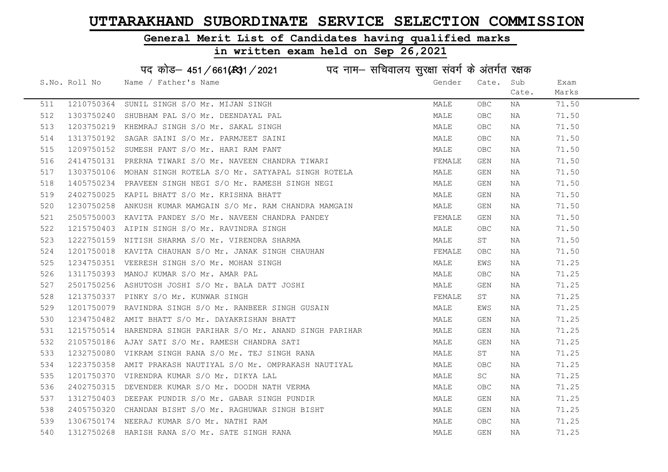#### General Merit List of Candidates having qualified marks

|     |               | पद कोड़- 451/661(स्था/2021 विद्युत्तम- सचिवालय सुरक्षा संवर्ग के अंतर्गत रक्षक |        |            |       |       |
|-----|---------------|--------------------------------------------------------------------------------|--------|------------|-------|-------|
|     | S.No. Roll No | Name / Father's Name                                                           | Gender | Cate.      | Sub   | Exam  |
|     |               |                                                                                |        |            | Cate. | Marks |
| 511 |               | 1210750364 SUNIL SINGH S/O Mr. MIJAN SINGH                                     | MALE   | OBC        | ΝA    | 71.50 |
| 512 |               | 1303750240 SHUBHAM PAL S/O Mr. DEENDAYAL PAL                                   | MALE   | <b>OBC</b> | ΝA    | 71.50 |
| 513 |               | 1203750219 KHEMRAJ SINGH S/O Mr. SAKAL SINGH                                   | MALE   | <b>OBC</b> | NA    | 71.50 |
| 514 | 1313750192    | SAGAR SAINI S/O Mr. PARMJEET SAINI                                             | MALE   | <b>OBC</b> | NA    | 71.50 |
| 515 | 1209750152    | SUMESH PANT S/O Mr. HARI RAM PANT                                              | MALE   | OBC.       | NA    | 71.50 |
| 516 |               | 2414750131 PRERNA TIWARI S/O Mr. NAVEEN CHANDRA TIWARI                         | FEMALE | GEN        | NA    | 71.50 |
| 517 |               | 1303750106  MOHAN SINGH ROTELA S/O Mr. SATYAPAL SINGH ROTELA                   | MALE   | GEN        | NA    | 71.50 |
| 518 |               | 1405750234 PRAVEEN SINGH NEGI S/O Mr. RAMESH SINGH NEGI                        | MALE   | GEN        | NA    | 71.50 |
| 519 | 2402750025    | KAPIL BHATT S/O Mr. KRISHNA BHATT                                              | MALE   | GEN        | NA    | 71.50 |
| 520 |               | 1230750258 ANKUSH KUMAR MAMGAIN S/O Mr. RAM CHANDRA MAMGAIN                    | MALE   | GEN        | NA    | 71.50 |
| 521 |               | 2505750003 KAVITA PANDEY S/O Mr. NAVEEN CHANDRA PANDEY                         | FEMALE | GEN        | NA    | 71.50 |
| 522 |               | 1215750403 AIPIN SINGH S/O Mr. RAVINDRA SINGH                                  | MALE   | OBC        | NA    | 71.50 |
| 523 |               | 1222750159 NITISH SHARMA S/O Mr. VIRENDRA SHARMA                               | MALE   | ST         | NA    | 71.50 |
| 524 |               | 1201750018 KAVITA CHAUHAN S/O Mr. JANAK SINGH CHAUHAN                          | FEMALE | OBC.       | NA    | 71.50 |
| 525 |               | 1234750351 VEERESH SINGH S/O Mr. MOHAN SINGH                                   | MALE   | EWS        | ΝA    | 71.25 |
| 526 | 1311750393    | MANOJ KUMAR S/O Mr. AMAR PAL                                                   | MALE   | OBC        | NA    | 71.25 |
| 527 | 2501750256    | ASHUTOSH JOSHI S/O Mr. BALA DATT JOSHI                                         | MALE   | GEN        | ΝA    | 71.25 |
| 528 |               | 1213750337 PINKY S/O Mr. KUNWAR SINGH                                          | FEMALE | ST         | NA    | 71.25 |
| 529 | 1201750079    | RAVINDRA SINGH S/O Mr. RANBEER SINGH GUSAIN                                    | MALE   | EWS        | ΝA    | 71.25 |
| 530 |               | 1234750482 AMIT BHATT S/O Mr. DAYAKRISHAN BHATT                                | MALE   | GEN        | NA    | 71.25 |
| 531 |               | 1215750514 HARENDRA SINGH PARIHAR S/O Mr. ANAND SINGH PARIHAR                  | MALE   | GEN        | NA    | 71.25 |
| 532 |               | 2105750186 AJAY SATI S/O Mr. RAMESH CHANDRA SATI                               | MALE   | GEN        | NA    | 71.25 |
| 533 | 1232750080    | VIKRAM SINGH RANA S/O Mr. TEJ SINGH RANA                                       | MALE   | ST         | ΝA    | 71.25 |
| 534 | 1223750358    | AMIT PRAKASH NAUTIYAL S/O Mr. OMPRAKASH NAUTIYAL                               | MALE   | <b>OBC</b> | NA    | 71.25 |
| 535 | 1201750370    | VIRENDRA KUMAR S/O Mr. DIKYA LAL                                               | MALE   | SC         | NA    | 71.25 |
| 536 |               | 2402750315 DEVENDER KUMAR S/O Mr. DOODH NATH VERMA                             | MALE   | OBC.       | NA    | 71.25 |
| 537 |               | 1312750403 DEEPAK PUNDIR S/O Mr. GABAR SINGH PUNDIR                            | MALE   | GEN        | NA    | 71.25 |
| 538 |               | 2405750320 CHANDAN BISHT S/O Mr. RAGHUWAR SINGH BISHT                          | MALE   | GEN        | NA    | 71.25 |
| 539 |               | 1306750174 NEERAJ KUMAR S/O Mr. NATHI RAM                                      | MALE   | OBC        | NA    | 71.25 |
| 540 |               | 1312750268 HARISH RANA S/O Mr. SATE SINGH RANA                                 | MALE   | GEN        | ΝA    | 71.25 |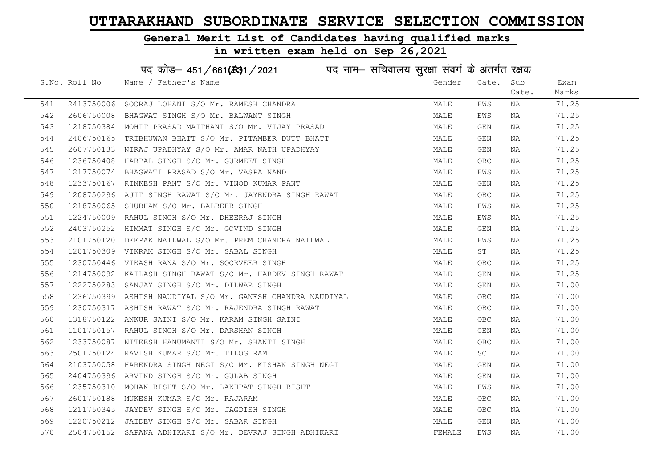#### General Merit List of Candidates having qualified marks

|     |               | पद कोड़– 451/661(431/2021 पद नाम– सचिवालय सुरक्षा संवर्ग के अंतर्गत रक्षक |        |            |       |       |
|-----|---------------|---------------------------------------------------------------------------|--------|------------|-------|-------|
|     | S.No. Roll No | Name / Father's Name                                                      | Gender | Cate. Sub  |       | Exam  |
|     |               |                                                                           |        |            | Cate. | Marks |
| 541 |               | 2413750006 SOORAJ LOHANI S/O Mr. RAMESH CHANDRA                           | MALE   | EWS        | NA    | 71.25 |
| 542 |               | 2606750008 BHAGWAT SINGH S/O Mr. BALWANT SINGH                            | MALE   | EWS        | NA    | 71.25 |
| 543 |               | 1218750384 MOHIT PRASAD MAITHANI S/O Mr. VIJAY PRASAD                     | MALE   | GEN        | NA    | 71.25 |
| 544 |               | 2406750165 TRIBHUWAN BHATT S/O Mr. PITAMBER DUTT BHATT                    | MALE   | GEN        | NA    | 71.25 |
| 545 |               | 2607750133 NIRAJ UPADHYAY S/O Mr. AMAR NATH UPADHYAY                      | MALE   | GEN        | NA    | 71.25 |
| 546 |               | 1236750408 HARPAL SINGH S/O Mr. GURMEET SINGH                             | MALE   | OBC        | NA    | 71.25 |
| 547 |               | 1217750074 BHAGWATI PRASAD S/O Mr. VASPA NAND                             | MALE   | EWS        | NA    | 71.25 |
| 548 |               | 1233750167 RINKESH PANT S/O Mr. VINOD KUMAR PANT                          | MALE   | GEN        | NA    | 71.25 |
| 549 |               | 1208750296 AJIT SINGH RAWAT S/O Mr. JAYENDRA SINGH RAWAT                  | MALE   | <b>OBC</b> | NA    | 71.25 |
| 550 |               | 1218750065 SHUBHAM S/O Mr. BALBEER SINGH                                  | MALE   | EWS        | NA    | 71.25 |
| 551 |               | 1224750009 RAHUL SINGH S/O Mr. DHEERAJ SINGH                              | MALE   | EWS        | NA    | 71.25 |
| 552 |               | 2403750252 HIMMAT SINGH S/O Mr. GOVIND SINGH                              | MALE   | GEN        | NA    | 71.25 |
| 553 |               | 2101750120 DEEPAK NAILWAL S/O Mr. PREM CHANDRA NAILWAL                    | MALE   | EWS        | NA    | 71.25 |
| 554 |               | 1201750309 VIKRAM SINGH S/O Mr. SABAL SINGH                               | MALE   | ST         | NA    | 71.25 |
| 555 |               | 1230750446 VIKASH RANA S/O Mr. SOORVEER SINGH                             | MALE   | <b>OBC</b> | NA    | 71.25 |
| 556 |               | 1214750092 KAILASH SINGH RAWAT S/O Mr. HARDEV SINGH RAWAT                 | MALE   | GEN        | NA    | 71.25 |
| 557 | 1222750283    | SANJAY SINGH S/O Mr. DILWAR SINGH                                         | MALE   | GEN        | NA    | 71.00 |
| 558 |               | 1236750399 ASHISH NAUDIYAL S/O Mr. GANESH CHANDRA NAUDIYAL                | MALE   | <b>OBC</b> | NA    | 71.00 |
| 559 |               | 1230750317 ASHISH RAWAT S/O Mr. RAJENDRA SINGH RAWAT                      | MALE   | OBC        | NA    | 71.00 |
| 560 |               | 1318750122 ANKUR SAINI S/O Mr. KARAM SINGH SAINI                          | MALE   | <b>OBC</b> | NA    | 71.00 |
| 561 |               | 1101750157 RAHUL SINGH S/O Mr. DARSHAN SINGH                              | MALE   | GEN        | NA    | 71.00 |
| 562 |               | 1233750087 NITEESH HANUMANTI S/O Mr. SHANTI SINGH                         | MALE   | OBC        | NA    | 71.00 |
| 563 |               | 2501750124 RAVISH KUMAR S/O Mr. TILOG RAM                                 | MALE   | SC         | NA    | 71.00 |
| 564 |               | 2103750058 HARENDRA SINGH NEGI S/O Mr. KISHAN SINGH NEGI                  | MALE   | GEN        | NA    | 71.00 |
| 565 |               | 2404750396 ARVIND SINGH S/O Mr. GULAB SINGH                               | MALE   | GEN        | NA    | 71.00 |
| 566 |               | 1235750310 MOHAN BISHT S/O Mr. LAKHPAT SINGH BISHT                        | MALE   | EWS        | NA    | 71.00 |
| 567 |               | 2601750188 MUKESH KUMAR S/O Mr. RAJARAM                                   | MALE   | <b>OBC</b> | ΝA    | 71.00 |
| 568 |               | 1211750345 JAYDEV SINGH S/O Mr. JAGDISH SINGH                             | MALE   | <b>OBC</b> | NA    | 71.00 |
| 569 |               | 1220750212 JAIDEV SINGH S/O Mr. SABAR SINGH                               | MALE   | GEN        | ΝA    | 71.00 |
| 570 |               | 2504750152 SAPANA ADHIKARI S/O Mr. DEVRAJ SINGH ADHIKARI                  | FEMALE | EWS        | ΝA    | 71.00 |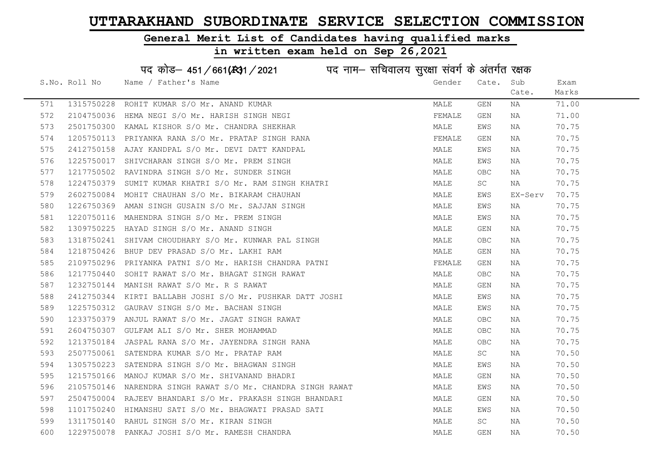#### General Merit List of Candidates having qualified marks

|     |               | पद कोड़– 451/661(431/2021 पद नाम– सचिवालय सुरक्षा संवर्ग के अंतर्गत रक्षक |        |            |         |       |
|-----|---------------|---------------------------------------------------------------------------|--------|------------|---------|-------|
|     | S.No. Roll No | Name / Father's Name                                                      | Gender | Cate.      | Sub     | Exam  |
|     |               |                                                                           |        |            | Cate.   | Marks |
| 571 | 1315750228    | ROHIT KUMAR S/O Mr. ANAND KUMAR                                           | MALE   | GEN        | NA      | 71.00 |
| 572 | 2104750036    | HEMA NEGI S/O Mr. HARISH SINGH NEGI                                       | FEMALE | GEN        | NA      | 71.00 |
| 573 |               | 2501750300 KAMAL KISHOR S/O Mr. CHANDRA SHEKHAR                           | MALE   | EWS        | NA      | 70.75 |
| 574 | 1205750113    | PRIYANKA RANA S/O Mr. PRATAP SINGH RANA                                   | FEMALE | GEN        | NA      | 70.75 |
| 575 | 2412750158    | AJAY KANDPAL S/O Mr. DEVI DATT KANDPAL                                    | MALE   | EWS        | NA      | 70.75 |
| 576 |               | 1225750017 SHIVCHARAN SINGH S/O Mr. PREM SINGH                            | MALE   | EWS        | NA      | 70.75 |
| 577 |               | 1217750502 RAVINDRA SINGH S/O Mr. SUNDER SINGH                            | MALE   | OBC.       | NA      | 70.75 |
| 578 | 1224750379    | SUMIT KUMAR KHATRI S/O Mr. RAM SINGH KHATRI                               | MALE   | SC         | NA      | 70.75 |
| 579 | 2602750084    | MOHIT CHAUHAN S/O Mr. BIKARAM CHAUHAN                                     | MALE   | EWS        | EX-Serv | 70.75 |
| 580 | 1226750369    | AMAN SINGH GUSAIN S/O Mr. SAJJAN SINGH                                    | MALE   | EWS        | NA      | 70.75 |
| 581 |               | 1220750116 MAHENDRA SINGH S/O Mr. PREM SINGH                              | MALE   | EWS        | NA      | 70.75 |
| 582 | 1309750225    | HAYAD SINGH S/O Mr. ANAND SINGH                                           | MALE   | GEN        | NA      | 70.75 |
| 583 | 1318750241    | SHIVAM CHOUDHARY S/O Mr. KUNWAR PAL SINGH                                 | MALE   | OBC.       | NA      | 70.75 |
| 584 | 1218750426    | BHUP DEV PRASAD S/O Mr. LAKHI RAM                                         | MALE   | GEN        | NA      | 70.75 |
| 585 |               | 2109750296 PRIYANKA PATNI S/O Mr. HARISH CHANDRA PATNI                    | FEMALE | GEN        | NA      | 70.75 |
| 586 | 1217750440    | SOHIT RAWAT S/O Mr. BHAGAT SINGH RAWAT                                    | MALE   | OBC.       | NA      | 70.75 |
| 587 | 1232750144    | MANISH RAWAT S/O Mr. R S RAWAT                                            | MALE   | GEN        | NA      | 70.75 |
| 588 | 2412750344    | KIRTI BALLABH JOSHI S/O Mr. PUSHKAR DATT JOSHI                            | MALE   | EWS        | NA      | 70.75 |
| 589 | 1225750312    | GAURAV SINGH S/O Mr. BACHAN SINGH                                         | MALE   | EWS        | NA      | 70.75 |
| 590 | 1233750379    | ANJUL RAWAT S/O Mr. JAGAT SINGH RAWAT                                     | MALE   | OBC        | NA      | 70.75 |
| 591 | 2604750307    | GULFAM ALI S/O Mr. SHER MOHAMMAD                                          | MALE   | OBC        | NA      | 70.75 |
| 592 | 1213750184    | JASPAL RANA S/O Mr. JAYENDRA SINGH RANA                                   | MALE   | <b>OBC</b> | NA      | 70.75 |
| 593 |               | 2507750061 SATENDRA KUMAR S/O Mr. PRATAP RAM                              | MALE   | SC         | ΝA      | 70.50 |
| 594 | 1305750223    | SATENDRA SINGH S/O Mr. BHAGWAN SINGH                                      | MALE   | EWS        | NA      | 70.50 |
| 595 | 1215750166    | MANOJ KUMAR S/O Mr. SHIVANAND BHADRI                                      | MALE   | GEN        | NA      | 70.50 |
| 596 |               | 2105750146 NARENDRA SINGH RAWAT S/O Mr. CHANDRA SINGH RAWAT               | MALE   | EWS        | NA      | 70.50 |
| 597 |               | 2504750004 RAJEEV BHANDARI S/O Mr. PRAKASH SINGH BHANDARI                 | MALE   | GEN        | NA      | 70.50 |
| 598 |               | 1101750240 HIMANSHU SATI S/O Mr. BHAGWATI PRASAD SATI                     | MALE   | EWS        | NA      | 70.50 |
| 599 |               | 1311750140 RAHUL SINGH S/O Mr. KIRAN SINGH                                | MALE   | SC         | ΝA      | 70.50 |
| 600 |               | 1229750078 PANKAJ JOSHI S/O Mr. RAMESH CHANDRA                            | MALE   | GEN        | ΝA      | 70.50 |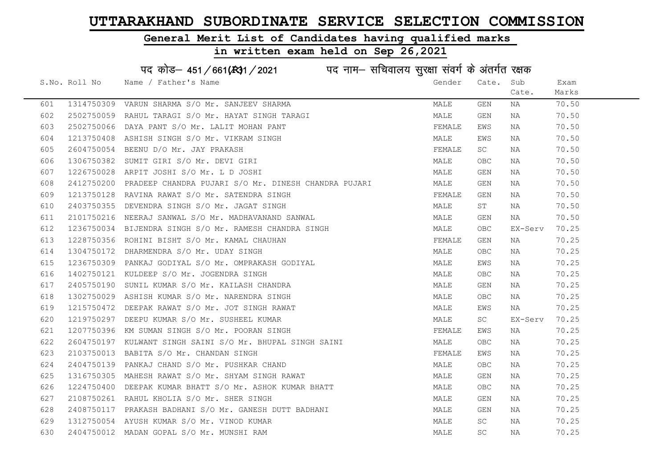### General Merit List of Candidates having qualified marks

|     |               | पद कोड़– 451/661(431/2021 पद नाम– सचिवालय सुरक्षा संवर्ग के अंतर्गत रक्षक |        |                         |         |       |
|-----|---------------|---------------------------------------------------------------------------|--------|-------------------------|---------|-------|
|     | S.No. Roll No | Name / Father's Name                                                      | Gender | Cate.                   | Sub     | Exam  |
|     |               |                                                                           |        |                         | Cate.   | Marks |
| 601 | 1314750309    | VARUN SHARMA S/O Mr. SANJEEV SHARMA                                       | MALE   | $\mathop{\mathsf{GEN}}$ | ΝA      | 70.50 |
| 602 |               | 2502750059 RAHUL TARAGI S/O Mr. HAYAT SINGH TARAGI                        | MALE   | GEN                     | ΝA      | 70.50 |
| 603 |               | 2502750066 DAYA PANT S/O Mr. LALIT MOHAN PANT                             | FEMALE | EWS                     | ΝA      | 70.50 |
| 604 |               | 1213750408 ASHISH SINGH S/O Mr. VIKRAM SINGH                              | MALE   | EWS                     | NA      | 70.50 |
| 605 |               | 2604750054 BEENU D/O Mr. JAY PRAKASH                                      | FEMALE | SC                      | NA      | 70.50 |
| 606 |               | 1306750382 SUMIT GIRI S/O Mr. DEVI GIRI                                   | MALE   | <b>OBC</b>              | NA      | 70.50 |
| 607 |               | 1226750028 ARPIT JOSHI S/O Mr. L D JOSHI                                  | MALE   | GEN                     | ΝA      | 70.50 |
| 608 | 2412750200    | PRADEEP CHANDRA PUJARI S/O Mr. DINESH CHANDRA PUJARI                      | MALE   | GEN                     | NA      | 70.50 |
| 609 |               | 1213750128 RAVINA RAWAT S/O Mr. SATENDRA SINGH                            | FEMALE | GEN                     | NA      | 70.50 |
| 610 |               | 2403750355 DEVENDRA SINGH S/O Mr. JAGAT SINGH                             | MALE   | ST                      | NA      | 70.50 |
| 611 |               | 2101750216 NEERAJ SANWAL S/O Mr. MADHAVANAND SANWAL                       | MALE   | GEN                     | ΝA      | 70.50 |
| 612 |               | 1236750034 BIJENDRA SINGH S/O Mr. RAMESH CHANDRA SINGH                    | MALE   | OBC                     | EX-Serv | 70.25 |
| 613 |               | 1228750356 ROHINI BISHT S/O Mr. KAMAL CHAUHAN                             | FEMALE | GEN                     | NA      | 70.25 |
| 614 |               | 1304750172 DHARMENDRA S/O Mr. UDAY SINGH                                  | MALE   | OBC                     | NA      | 70.25 |
| 615 |               | 1236750309 PANKAJ GODIYAL S/O Mr. OMPRAKASH GODIYAL                       | MALE   | EWS                     | NA      | 70.25 |
| 616 |               | 1402750121 KULDEEP S/O Mr. JOGENDRA SINGH                                 | MALE   | <b>OBC</b>              | NA      | 70.25 |
| 617 |               | 2405750190 SUNIL KUMAR S/O Mr. KAILASH CHANDRA                            | MALE   | GEN                     | NA      | 70.25 |
| 618 |               | 1302750029 ASHISH KUMAR S/O Mr. NARENDRA SINGH                            | MALE   | OBC                     | NA      | 70.25 |
| 619 |               | 1215750472 DEEPAK RAWAT S/O Mr. JOT SINGH RAWAT                           | MALE   | EWS                     | NA      | 70.25 |
| 620 |               | 1219750297 DEEPU KUMAR S/O Mr. SUSHEEL KUMAR                              | MALE   | SC                      | EX-Serv | 70.25 |
| 621 |               | 1207750396 KM SUMAN SINGH S/O Mr. POORAN SINGH                            | FEMALE | EWS                     | NA      | 70.25 |
| 622 |               | 2604750197 KULWANT SINGH SAINI S/O Mr. BHUPAL SINGH SAINI                 | MALE   | OBC                     | ΝA      | 70.25 |
| 623 | 2103750013    | BABITA S/O Mr. CHANDAN SINGH                                              | FEMALE | EWS                     | ΝA      | 70.25 |
| 624 |               | 2404750139 PANKAJ CHAND S/O Mr. PUSHKAR CHAND                             | MALE   | <b>OBC</b>              | NA      | 70.25 |
| 625 |               | 1316750305 MAHESH RAWAT S/O Mr. SHYAM SINGH RAWAT                         | MALE   | GEN                     | NA      | 70.25 |
| 626 |               | 1224750400 DEEPAK KUMAR BHATT S/O Mr. ASHOK KUMAR BHATT                   | MALE   | OBC                     | ΝA      | 70.25 |
| 627 |               | 2108750261 RAHUL KHOLIA S/O Mr. SHER SINGH                                | MALE   | GEN                     | NA      | 70.25 |
| 628 |               | 2408750117 PRAKASH BADHANI S/O Mr. GANESH DUTT BADHANI                    | MALE   | GEN                     | NA      | 70.25 |
| 629 |               | 1312750054 AYUSH KUMAR S/O Mr. VINOD KUMAR                                | MALE   | SC                      | NA      | 70.25 |
| 630 |               | 2404750012 MADAN GOPAL S/O Mr. MUNSHI RAM                                 | MALE   | SC                      | ΝA      | 70.25 |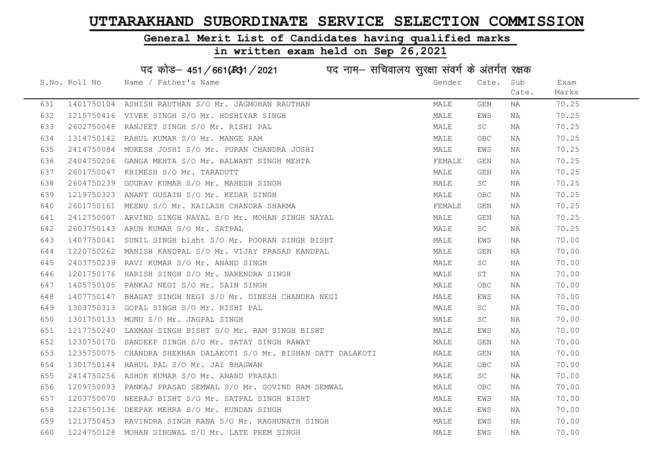#### General Merit List of Candidates having qualified marks

|     |               | पद कोड़- 451/661(431/2021 पद नाम- सचिवालय सुरक्षा संवर्ग के अंतर्गत रक्षक |        |                     |       |       |
|-----|---------------|---------------------------------------------------------------------------|--------|---------------------|-------|-------|
|     | S.No. Roll No | Name / Father's Name                                                      | Gender | Cate.               | Sub   | Exam  |
|     |               |                                                                           |        |                     | Cate. | Marks |
| 631 |               | 1401750104 ASHISH RAUTHAN S/O Mr. JAGMOHAN RAUTHAN                        | MALE   | GEN                 | NA    | 70.25 |
| 632 |               | 1215750416 VIVEK SINGH S/O Mr. HOSHIYAR SINGH                             | MALE   | EWS                 | NA    | 70.25 |
| 633 |               | 2602750048 RANJEET SINGH S/O Mr. RISHI PAL                                | MALE   | $\operatorname{SC}$ | NA    | 70.25 |
| 634 |               | 1314750142 RAHUL KUMAR S/O Mr. MANGE RAM                                  | MALE   | OBC                 | NA    | 70.25 |
| 635 |               | 2414750084 MUKESH JOSHI S/O Mr. PURAN CHANDRA JOSHI                       | MALE   | EWS                 | NA    | 70.25 |
| 636 |               | 2404750206 GANGA MEHTA S/O Mr. BALWANT SINGH MEHTA                        | FEMALE | GEN                 | NA    | 70.25 |
| 637 |               | 2601750047 KHIMESH S/O Mr. TARADUTT                                       | MALE   | GEN                 | NA    | 70.25 |
| 638 |               | 2604750239 GOURAV KUMAR S/O Mr. MAHESH SINGH                              | MALE   | SC                  | NA    | 70.25 |
| 639 |               | 1219750323 ANANT GUSAIN S/O Mr. KEDAR SINGH                               | MALE   | OBC                 | NA    | 70.25 |
| 640 |               | 2601750161 MEENU S/O Mr. KAILASH CHANDRA SHARMA                           | FEMALE | GEN                 | NA    | 70.25 |
| 641 |               | 2412750007 ARVIND SINGH NAYAL S/O Mr. MOHAN SINGH NAYAL                   | MALE   | GEN                 | NA    | 70.25 |
| 642 |               | 2603750143 ARUN KUMAR S/O Mr. SATPAL                                      | MALE   | SC                  | NA    | 70.25 |
| 643 |               | 1407750041 SUNIL SINGH bisht S/O Mr. POORAN SINGH BISHT                   | MALE   | EWS                 | NA    | 70.00 |
| 644 |               | 1220750262 MANISH KANDPAL S/O Mr. VIJAY PRASAD KANDPAL                    | MALE   | GEN                 | NA    | 70.00 |
| 645 |               | 2403750239 RAVI KUMAR S/O Mr. ANAND SINGH                                 | MALE   | SC                  | NA    | 70.00 |
| 646 |               | 1201750176 HARISH SINGH S/O Mr. NARENDRA SINGH                            | MALE   | ST                  | NA    | 70.00 |
| 647 |               | 1405750105 PANKAJ NEGI S/O Mr. SAIN SINGH                                 | MALE   | OBC                 | NA    | 70.00 |
| 648 |               | 1407750147 BHAGAT SINGH NEGI S/O Mr. DINESH CHANDRA NEGI                  | MALE   | EWS                 | NA    | 70.00 |
| 649 |               | 1303750313 GOPAL SINGH S/O Mr. RISHI PAL                                  | MALE   | SC                  | NA    | 70.00 |
| 650 |               | 1301750133 MONU S/O Mr. JAGPAL SINGH                                      | MALE   | SC                  | NA    | 70.00 |
| 651 |               | 1217750240 LAXMAN SINGH BISHT S/O Mr. RAM SINGH BISHT                     | MALE   | EWS                 | NA    | 70.00 |
| 652 |               | 1230750170 SANDEEP SINGH S/O Mr. SATAY SINGH RAWAT                        | MALE   | GEN                 | NA    | 70.00 |
| 653 |               | 1235750075 CHANDRA SHEKHAR DALAKOTI S/O Mr. BISHAN DATT DALAKOTI          | MALE   | GEN                 | NA    | 70.00 |
| 654 |               | 1301750144 RAHUL PAL S/O Mr. JAI BHAGWAN                                  | MALE   | OBC                 | NA    | 70.00 |
| 655 |               | 2414750256 ASHOK KUMAR S/O Mr. ANAND PRASAD                               | MALE   | SC                  | NA    | 70.00 |
| 656 |               | 1209750093 PANKAJ PRASAD SEMWAL S/O Mr. GOVIND RAM SEMWAL                 | MALE   | OBC                 | NA    | 70.00 |
| 657 |               | 1203750070 NEERAJ BISHT S/O Mr. SATPAL SINGH BISHT                        | MALE   | EWS                 | NA    | 70.00 |
| 658 |               | 1226750136 DEEPAK MEHRA S/O Mr. KUNDAN SINGH                              | MALE   | EWS                 | NA    | 70.00 |
| 659 |               | 1213750453 RAVINDRA SINGH RANA S/O Mr. RAGHUNATH SINGH                    | MALE   | EWS                 | NA    | 70.00 |
| 660 |               | 1224750128 MOHAN SINGWAL S/O Mr. LATE PREM SINGH                          | MALE   | EWS                 | NA    | 70.00 |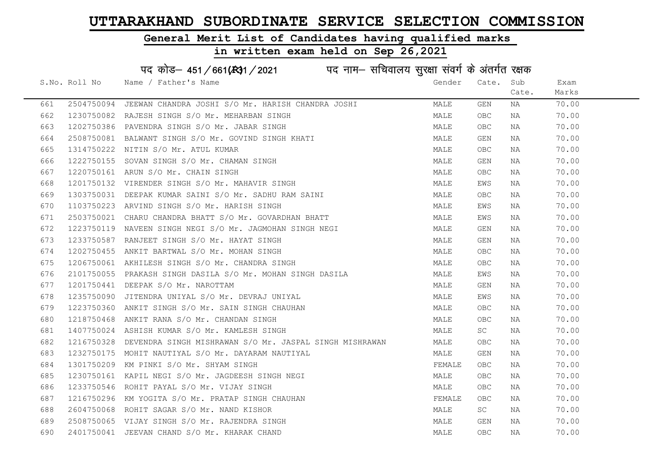#### General Merit List of Candidates having qualified marks

# in written exam held on Sep 26,2021

# पद कोड– 451/661(स्था/2021 व्यान सचिवालय सुरक्षा संवर्ग के अंतर्गत रक्षक

|     | S.No. Roll No | Name / Father's Name                                                                            | Gender | Cate. Sub |       | Exam  |  |
|-----|---------------|-------------------------------------------------------------------------------------------------|--------|-----------|-------|-------|--|
|     |               |                                                                                                 |        |           | Cate. | Marks |  |
| 661 |               | 2504750094 JEEWAN CHANDRA JOSHI S/O Mr. HARISH CHANDRA JOSHI                                    | MALE   | GEN       | NA    | 70.00 |  |
| 662 |               | 1230750082 RAJESH SINGH S/O Mr. MEHARBAN SINGH                                                  | MALE   | OBC.      | NA    | 70.00 |  |
| 663 |               | 1202750386 PAVENDRA SINGH S/O Mr. JABAR SINGH                                                   | MALE   | OBC       | NA    | 70.00 |  |
| 664 |               | 2508750081 BALWANT SINGH S/O Mr. GOVIND SINGH KHATI                                             | MALE   | GEN       | NA    | 70.00 |  |
| 665 |               | 1314750222 NITIN S/O Mr. ATUL KUMAR                                                             | MALE   | OBC.      | ΝA    | 70.00 |  |
| 666 |               | 1222750155 SOVAN SINGH S/O Mr. CHAMAN SINGH                                                     | MALE   | GEN       | NA    | 70.00 |  |
| 667 |               | 1220750161 ARUN S/O Mr. CHAIN SINGH                                                             | MALE   | OBC.      | NA    | 70.00 |  |
| 668 |               | 1201750132 VIRENDER SINGH S/O Mr. MAHAVIR SINGH                                                 | MALE   | EWS       | NA    | 70.00 |  |
| 669 |               | 1303750031 DEEPAK KUMAR SAINI S/O Mr. SADHU RAM SAINI                                           | MALE   | OBC       | NA    | 70.00 |  |
| 670 |               | 1103750223 ARVIND SINGH S/O Mr. HARISH SINGH                                                    | MALE   | EWS       | NA    | 70.00 |  |
| 671 |               | 2503750021 CHARU CHANDRA BHATT S/O Mr. GOVARDHAN BHATT                                          | MALE   | EWS       | NA    | 70.00 |  |
| 672 |               | 1223750119 NAVEEN SINGH NEGI S/O Mr. JAGMOHAN SINGH NEGI                                        | MALE   | GEN       | NA    | 70.00 |  |
| 673 |               | 1233750587 RANJEET SINGH S/O Mr. HAYAT SINGH                                                    | MALE   | GEN       | NA    | 70.00 |  |
| 674 |               | 1202750455 ANKIT BARTWAL S/O Mr. MOHAN SINGH                                                    | MALE   | OBC.      | NA    | 70.00 |  |
| 675 |               | 1206750061 AKHILESH SINGH S/O Mr. CHANDRA SINGH                                                 | MALE   | OBC.      | NA    | 70.00 |  |
| 676 |               | 2101750055 PRAKASH SINGH DASILA S/O Mr. MOHAN SINGH DASILA                                      | MALE   | EWS       | NA    | 70.00 |  |
| 677 |               | 1201750441 DEEPAK S/O Mr. NAROTTAM                                                              | MALE   | GEN       | NA    | 70.00 |  |
| 678 |               | 1235750090 JITENDRA UNIYAL S/O Mr. DEVRAJ UNIYAL                                                | MALE   | EWS       | NA    | 70.00 |  |
| 679 |               | 1223750360 ANKIT SINGH S/O Mr. SAIN SINGH CHAUHAN                                               | MALE   | OBC.      | NA    | 70.00 |  |
| 680 |               | 1218750468 ANKIT RANA S/O Mr. CHANDAN SINGH                                                     | MALE   | OBC       | NA    | 70.00 |  |
| 681 |               | 1407750024 ASHISH KUMAR S/O Mr. KAMLESH SINGH                                                   | MALE   | <b>SC</b> | NA    | 70.00 |  |
| 682 |               | 1216750328 DEVENDRA SINGH MISHRAWAN S/O Mr. JASPAL SINGH MISHRAWAN                              | MALE   | OBC       | NA    | 70.00 |  |
| 683 |               | 1232750175 MOHIT NAUTIYAL S/O Mr. DAYARAM NAUTIYAL                                              | MALE   | GEN       | NA    | 70.00 |  |
| 684 |               | 1301750209 KM PINKI S/O Mr. SHYAM SINGH                                                         | FEMALE | OBC.      | NA    | 70.00 |  |
| 685 |               | 1230750161 KAPIL NEGI S/O Mr. JAGDEESH SINGH NEGI                                               | MALE   | OBC       | NA    | 70.00 |  |
| 686 |               | 1233750546 ROHIT PAYAL S/O Mr. VIUAI JINU.<br>1216750296 KM YOGITA S/O Mr. PRATAP SINGH CHAUHAN | MALE   | OBC       | NA    | 70.00 |  |
| 687 |               |                                                                                                 | FEMALE | OBC.      | NA    | 70.00 |  |
| 688 |               |                                                                                                 | MALE   | <b>SC</b> | NA    | 70.00 |  |
| 689 |               | 2508750065 VIJAY SINGH S/O Mr. RAJENDRA SINGH                                                   | MALE   | GEN       | NA    | 70.00 |  |
| 690 |               | 2401750041 JEEVAN CHAND S/O Mr. KHARAK CHAND                                                    | MALE   | OBC       | NA    | 70.00 |  |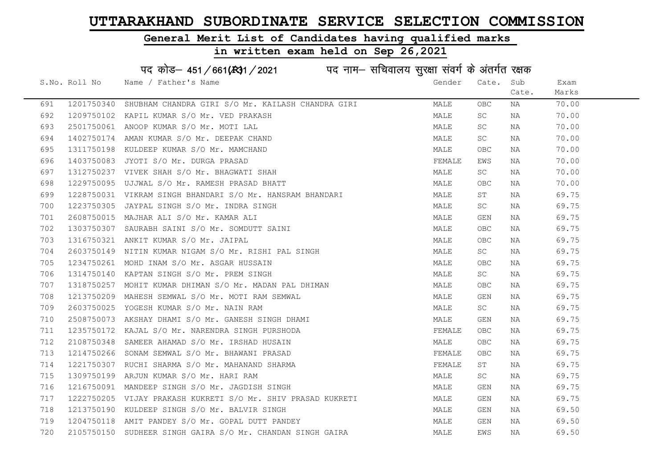#### General Merit List of Candidates having qualified marks

#### in written exam held on Sep 26,2021

S.No. Roll No Wame / Father's Name Gender Cate. Sub Cate. Exam Marks पद कोड– 451/661(स्था / 2021 व्यान सचिवालय सुरक्षा संवर्ग के अंतर्गत रक्षक 691 1201750340 SHUBHAM CHANDRA GIRI S/O Mr. KAILASH CHANDRA GIRI MALE OBC NA 70.00 692 1209750102 KAPIL KUMAR S/O Mr. VED PRAKASH MALE SC NA 70.00 693 2501750061 ANOOP KUMAR S/O Mr. MOTI LAL MARE SC NA 70.00 694 1402750174 AMAN KUMAR S/O Mr. DEEPAK CHAND MALE SC NA 70.00 695 1311750198 KULDEEP KUMAR S/O Mr. MAMCHAND MALE OBC NA 70.00 696 1403750083 JYOTI S/O Mr. DURGA PRASAD FEMALE EWS NA 70.00 697 1312750237 VIVEK SHAH S/O Mr. BHAGWATI SHAH MALE SC NA 70.00 698 1229750095 UJJWAL S/O Mr. RAMESH PRASAD BHATT NA MALE OBC NA 70.00 699 1228750031 VIKRAM SINGH BHANDARI S/O Mr. HANSRAM BHANDARI MALE ST NA 69.75 700 1223750305 JAYPAL SINGH S/O Mr. INDRA SINGH MALE SC NA 69.75 701 2608750015 MAJHAR ALI S/O Mr. KAMAR ALI MALE GEN NA 69.75 702 1303750307 SAURABH SAINI S/O Mr. SOMDUTT SAINI MALE OBC NA 69.75 703 1316750321 ANKIT KUMAR S/O Mr. JAIPAL MALE OBC NA 69.75 704 2603750149 NITIN KUMAR NIGAM S/O Mr. RISHI PAL SINGH MALE SC NA 69.75 705 1234750261 MOHD INAM S/O Mr. ASGAR HUSSAIN MALE OBC NA 69.75 706 1314750140 KAPTAN SINGH S/O Mr. PREM SINGH MALE SC NA 69.75 707 1318750257 MOHIT KUMAR DHIMAN S/O Mr. MADAN PAL DHIMAN MALE OBC NA 69.75 708 1213750209 MAHESH SEMWAL S/O Mr. MOTI RAM SEMWAL MALE GEN NA 69.75 709 2603750025 YOGESH KUMAR S/O Mr. NAIN RAM MALE SC NA 69.75 710 2508750073 AKSHAY DHAMI S/O Mr. GANESH SINGH DHAMI MALE GEN NA 69.75 711 1235750172 KAJAL S/O Mr. NARENDRA SINGH PURSHODA **FEMALE OBC** NA 69.75 712 2108750348 SAMEER AHAMAD S/O Mr. IRSHAD HUSAIN MALE OBC NA 69.75 713 1214750266 SONAM SEMWAL S/O Mr. BHAWANI PRASAD SAND THE SEMALE OBC NA 69.75 714 1221750307 RUCHI SHARMA S/O Mr. MAHANAND SHARMA TEMANAN TEMALE ST NA 69.75 715 1309750199 ARJUN KUMAR S/O Mr. HARI RAM MARI MANA MALE SC NA 69.75 716 1216750091 MANDEEP SINGH S/O Mr. JAGDISH SINGH MARRE MALE GEN NA 69.75 717 1222750205 VIJAY PRAKASH KUKRETI S/O Mr. SHIV PRASAD KUKRETI MALE GEN NA 69.75 718 1213750190 KULDEEP SINGH S/O Mr. BALVIR SINGH MALE GEN NA 69.50 719 1204750118 AMIT PANDEY S/O Mr. GOPAL DUTT PANDEY MALE GEN NA 69.50 720 2105750150 SUDHEER SINGH GAIRA S/O Mr. CHANDAN SINGH GAIRA MANA MALE EWS NA 69.50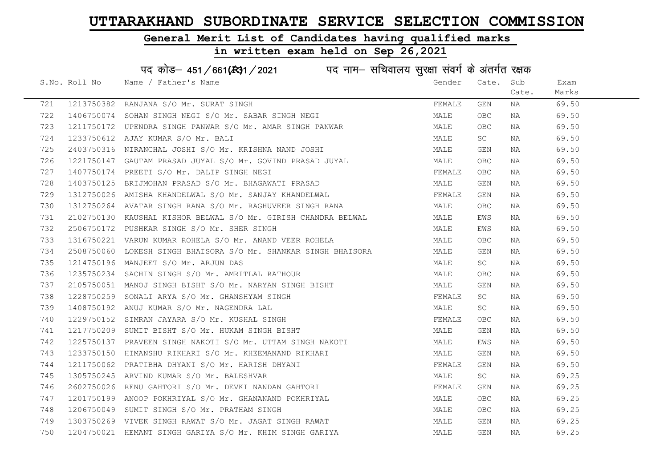#### General Merit List of Candidates having qualified marks

#### in written exam held on Sep 26,2021

S.No. Roll No Gender / Father's Name Gender Cate. Sub Cate. Exam Marks पद कोड– 451/661(स्था/2021 in uke नाम– सचिवालय सुरक्षा संवर्ग के अंतर्गत रक्षक 721 1213750382 RANJANA S/O Mr. SURAT SINGH FEMALE GEN NA 69.50 722 1406750074 SOHAN SINGH NEGI S/O Mr. SABAR SINGH NEGI MALE OBC NA 69.50 723 1211750172 UPENDRA SINGH PANWAR S/O Mr. AMAR SINGH PANWAR MARRAM MALE OBC NA 69.50 724 1233750612 AJAY KUMAR S/O Mr. BALI MALE SC NA 69.50 725 2403750316 NIRANCHAL JOSHI S/O Mr. KRISHNA NAND JOSHI MALE GEN NA 69.50 726 1221750147 GAUTAM PRASAD JUYAL S/O Mr. GOVIND PRASAD JUYAL MALE OBC NA 69.50 727 1407750174 PREETI S/O Mr. DALIP SINGH NEGI SARANG TEMALE OBC NA 69.50 728 1403750125 BRIJMOHAN PRASAD S/O Mr. BHAGAWATI PRASAD MALE GEN NA 69.50 729 1312750026 AMISHA KHANDELWAL S/O Mr. SANJAY KHANDELWAL FEMALE GEN NA 69.50 730 1312750264 AVATAR SINGH RANA S/O Mr. RAGHUVEER SINGH RANA MALE OBC NA 69.50 731 2102750130 KAUSHAL KISHOR BELWAL S/O Mr. GIRISH CHANDRA BELWAL MALE MALE EWS NA 69.50 732 2506750172 PUSHKAR SINGH S/O Mr. SHER SINGH MALE EWS NA 69.50 733 1316750221 VARUN KUMAR ROHELA S/O Mr. ANAND VEER ROHELA MALE OBC NA 69.50 734 2508750060 LOKESH SINGH BHAISORA S/O Mr. SHANKAR SINGH BHAISORA MALE GEN NA 69.50 735 1214750196 MANJEET S/O Mr. ARJUN DAS MALE SC NA 69.50 736 1235750234 SACHIN SINGH S/O Mr. AMRITLAL RATHOUR MALE OBC NA 69.50 737 2105750051 MANOJ SINGH BISHT S/O Mr. NARYAN SINGH BISHT MALE GEN NA 69.50 738 1228750259 SONALI ARYA S/O Mr. GHANSHYAM SINGH FEMALE SC NA 69.50 739 1408750192 ANUJ KUMAR S/O Mr. NAGENDRA LAL MALE SC NA 69.50 740 1229750152 SIMRAN JAYARA S/O Mr. KUSHAL SINGH FEMALE OBC NA 69.50 741 1217750209 SUMIT BISHT S/O Mr. HUKAM SINGH BISHT MAN MALE GEN NA 69.50 742 1225750137 PRAVEEN SINGH NAKOTI S/O Mr. UTTAM SINGH NAKOTI SAN MALE EWS NA 69.50 743 1233750150 HIMANSHU RIKHARI S/O Mr. KHEEMANAND RIKHARI MANA MALE GEN NA 69.50 744 1211750062 PRATIBHA DHYANI S/O Mr. HARISH DHYANI **FRANT SHALL SEN NA 199.50** 745 1305750245 ARVIND KUMAR S/O Mr. BALESHVAR MARRE SC NA 69.25 746 2602750026 RENU GAHTORI S/O Mr. DEVKI NANDAN GAHTORI SAN SEMALE GEN NA 199.25 747 1201750199 ANOOP POKHRIYAL S/O Mr. GHANANAND POKHRIYAL CONNER MALE OBC NA 69.25 748 1206750049 SUMIT SINGH S/O Mr. PRATHAM SINGH MALE OBC NA 69.25 749 1303750269 VIVEK SINGH RAWAT S/O Mr. JAGAT SINGH RAWAT MARRAMAT MALE GEN NA 69.25 750 1204750021 HEMANT SINGH GARIYA S/O Mr. KHIM SINGH GARIYA MALE GEN NA 69.25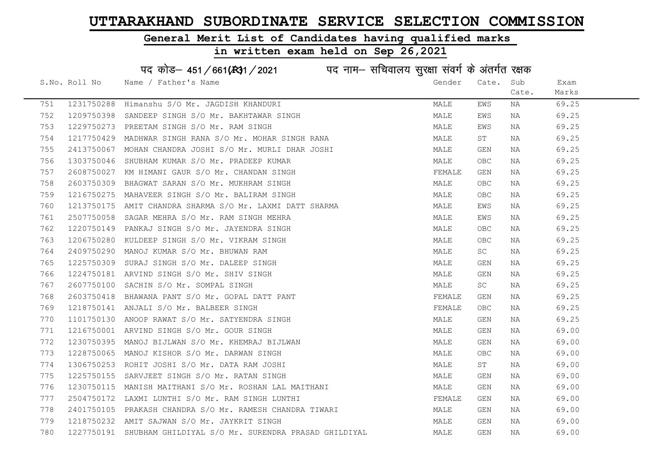### General Merit List of Candidates having qualified marks

|     |               | पद कोड़- 451/661(431/2021 पद नाम- सचिवालय सुरक्षा संवर्ग के अंतर्गत रक्षक |        |            |       |       |
|-----|---------------|---------------------------------------------------------------------------|--------|------------|-------|-------|
|     | S.No. Roll No | Name / Father's Name                                                      | Gender | Cate.      | Sub   | Exam  |
|     |               |                                                                           |        |            | Cate. | Marks |
| 751 | 1231750288    | Himanshu S/O Mr. JAGDISH KHANDURI                                         | MALE   | EWS        | ΝA    | 69.25 |
| 752 |               | 1209750398 SANDEEP SINGH S/O Mr. BAKHTAWAR SINGH                          | MALE   | EWS        | NA    | 69.25 |
| 753 | 1229750273    | PREETAM SINGH S/O Mr. RAM SINGH                                           | MALE   | EWS        | NA    | 69.25 |
| 754 | 1217750429    | MADHWAR SINGH RANA S/O Mr. MOHAR SINGH RANA                               | MALE   | ST         | NA    | 69.25 |
| 755 |               | 2413750067 MOHAN CHANDRA JOSHI S/O Mr. MURLI DHAR JOSHI                   | MALE   | GEN        | NA    | 69.25 |
| 756 |               | 1303750046 SHUBHAM KUMAR S/O Mr. PRADEEP KUMAR                            | MALE   | <b>OBC</b> | NA    | 69.25 |
| 757 |               | 2608750027 KM HIMANI GAUR S/O Mr. CHANDAN SINGH                           | FEMALE | GEN        | NA    | 69.25 |
| 758 | 2603750309    | BHAGWAT SARAN S/O Mr. MUKHRAM SINGH                                       | MALE   | <b>OBC</b> | NA    | 69.25 |
| 759 | 1216750275    | MAHAVEER SINGH S/O Mr. BALIRAM SINGH                                      | MALE   | <b>OBC</b> | NA    | 69.25 |
| 760 |               | 1213750175 AMIT CHANDRA SHARMA S/O Mr. LAXMI DATT SHARMA                  | MALE   | EWS        | NA    | 69.25 |
| 761 | 2507750058    | SAGAR MEHRA S/O Mr. RAM SINGH MEHRA                                       | MALE   | EWS        | NA    | 69.25 |
| 762 |               | 1220750149 PANKAJ SINGH S/O Mr. JAYENDRA SINGH                            | MALE   | OBC        | NA    | 69.25 |
| 763 |               | 1206750280 KULDEEP SINGH S/O Mr. VIKRAM SINGH                             | MALE   | <b>OBC</b> | NA    | 69.25 |
| 764 |               | 2409750290 MANOJ KUMAR S/O Mr. BHUWAN RAM                                 | MALE   | SC         | NA    | 69.25 |
| 765 |               | 1225750309 SURAJ SINGH S/O Mr. DALEEP SINGH                               | MALE   | GEN        | NA    | 69.25 |
| 766 | 1224750181    | ARVIND SINGH S/O Mr. SHIV SINGH                                           | MALE   | GEN        | NA    | 69.25 |
| 767 |               | 2607750100 SACHIN S/O Mr. SOMPAL SINGH                                    | MALE   | SC         | NA    | 69.25 |
| 768 |               | 2603750418 BHAWANA PANT S/O Mr. GOPAL DATT PANT                           | FEMALE | GEN        | NA    | 69.25 |
| 769 |               | 1218750141 ANJALI S/O Mr. BALBEER SINGH                                   | FEMALE | OBC        | NA    | 69.25 |
| 770 | 1101750130    | ANOOP RAWAT S/O Mr. SATYENDRA SINGH                                       | MALE   | GEN        | NA    | 69.25 |
| 771 |               | 1216750001 ARVIND SINGH S/O Mr. GOUR SINGH                                | MALE   | GEN        | NA    | 69.00 |
| 772 |               | 1230750395 MANOJ BIJLWAN S/O Mr. KHEMRAJ BIJLWAN                          | MALE   | GEN        | NA    | 69.00 |
| 773 | 1228750065    | MANOJ KISHOR S/O Mr. DARWAN SINGH                                         | MALE   | OBC        | ΝA    | 69.00 |
| 774 |               | 1306750253 ROHIT JOSHI S/O Mr. DATA RAM JOSHI                             | MALE   | ST         | NA    | 69.00 |
| 775 |               | 1225750155 SARVJEET SINGH S/O Mr. RATAN SINGH                             | MALE   | GEN        | NA    | 69.00 |
| 776 |               | 1230750115 MANISH MAITHANI S/O Mr. ROSHAN LAL MAITHANI                    | MALE   | GEN        | NA    | 69.00 |
| 777 |               | 2504750172 LAXMI LUNTHI S/O Mr. RAM SINGH LUNTHI                          | FEMALE | GEN        | NA    | 69.00 |
| 778 |               | 2401750105 PRAKASH CHANDRA S/O Mr. RAMESH CHANDRA TIWARI                  | MALE   | GEN        | NA    | 69.00 |
| 779 |               | 1218750232 AMIT SAJWAN S/O Mr. JAYKRIT SINGH                              | MALE   | GEN        | ΝA    | 69.00 |
| 780 |               | 1227750191 SHUBHAM GHILDIYAL S/O Mr. SURENDRA PRASAD GHILDIYAL            | MALE   | <b>GEN</b> | ΝA    | 69.00 |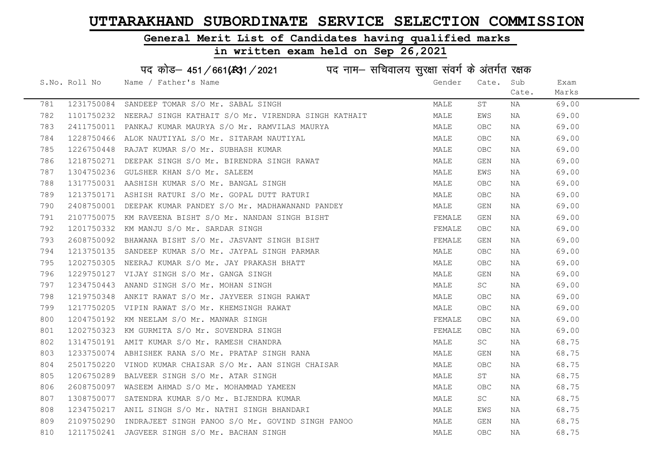#### General Merit List of Candidates having qualified marks

#### in written exam held on Sep 26,2021

S.No. Roll No Mame / Father's Name Gender Cate. Sub Cate. Exam Marks पद कोड– 451/661( $k$ 31/2021 in ura नाम– सचिवालय सुरक्षा संवर्ग के अंतर्गत रक्षक 781 1231750084 SANDEEP TOMAR S/O Mr. SABAL SINGH MALE ST NA 69.00 782 1101750232 NEERAJ SINGH KATHAIT S/O Mr. VIRENDRA SINGH KATHAIT MALE EWS NA 69.00 783 2411750011 PANKAJ KUMAR MAURYA S/O Mr. RAMVILAS MAURYA MALE OBC NA 69.00 784 1228750466 ALOK NAUTIYAL S/O Mr. SITARAM NAUTIYAL MALE OBC NA 69.00 785 1226750448 RAJAT KUMAR S/O Mr. SUBHASH KUMAR MARRADINA MALE OBC NA 69.00 786 1218750271 DEEPAK SINGH S/O Mr. BIRENDRA SINGH RAWAT MALE GEN NA 69.00 787 1304750236 GULSHER KHAN S/O Mr. SALEEM **MALE SALE EWS NA 69.00** 788 1317750031 AASHISH KUMAR S/O Mr. BANGAL SINGH MALE OBC NA 69.00 789 1213750171 ASHISH RATURI S/O Mr. GOPAL DUTT RATURI MALE OBC NA 69.00 790 2408750001 DEEPAK KUMAR PANDEY S/O Mr. MADHAWANAND PANDEY MALE GEN NA 69.00 791 2107750075 KM RAVEENA BISHT S/O Mr. NANDAN SINGH BISHT FEMALE GEN NA 69.00 792 1201750332 KM MANJU S/O Mr. SARDAR SINGH FEMALE OBC NA 69.00

| 792 | 1201750332 | KM MANJU S/O Mr. SARDAR SINGH                    | FEMALE | <b>OBC</b> | NA        | 69.00 |
|-----|------------|--------------------------------------------------|--------|------------|-----------|-------|
| 793 | 2608750092 | BHAWANA BISHT S/O Mr. JASVANT SINGH BISHT        | FEMALE | GEN        | NA        | 69.00 |
| 794 | 1213750135 | SANDEEP KUMAR S/O Mr. JAYPAL SINGH PARMAR        | MALE   | OBC.       | ΝA        | 69.00 |
| 795 | 1202750305 | NEERAJ KUMAR S/O Mr. JAY PRAKASH BHATT           | MALE   | OBC.       | ΝA        | 69.00 |
| 796 | 1229750127 | VIJAY SINGH S/O Mr. GANGA SINGH                  | MALE   | GEN        | NA        | 69.00 |
| 797 | 1234750443 | ANAND SINGH S/O Mr. MOHAN SINGH                  | MALE   | SC.        | NA        | 69.00 |
| 798 | 1219750348 | ANKIT RAWAT S/O Mr. JAYVEER SINGH RAWAT          | MALE   | OBC.       | ΝA        | 69.00 |
| 799 | 1217750205 | VIPIN RAWAT S/O Mr. KHEMSINGH RAWAT              | MALE   | <b>OBC</b> | NA        | 69.00 |
| 800 | 1204750192 | KM NEELAM S/O Mr. MANWAR SINGH                   | FEMALE | <b>OBC</b> | NA        | 69.00 |
| 801 | 1202750323 | KM GURMITA S/O Mr. SOVENDRA SINGH                | FEMALE | <b>OBC</b> | NA        | 69.00 |
| 802 | 1314750191 | AMIT KUMAR S/O Mr. RAMESH CHANDRA                | MALE   | SC.        | NA        | 68.75 |
| 803 | 1233750074 | ABHISHEK RANA S/O Mr. PRATAP SINGH RANA          | MALE   | GEN        | NA        | 68.75 |
| 804 | 2501750220 | VINOD KUMAR CHAISAR S/O Mr. AAN SINGH CHAISAR    | MALE   | OBC        | NA        | 68.75 |
| 805 | 1206750289 | BALVEER SINGH S/O Mr. ATAR SINGH                 | MALE   | ST         | ΝA        | 68.75 |
| 806 | 2608750097 | WASEEM AHMAD S/O Mr. MOHAMMAD YAMEEN             | MALE   | <b>OBC</b> | NA        | 68.75 |
| 807 | 1308750077 | SATENDRA KUMAR S/O Mr. BIJENDRA KUMAR            | MALE   | SC.        | <b>NA</b> | 68.75 |
| 808 | 1234750217 | ANIL SINGH S/O Mr. NATHI SINGH BHANDARI          | MALE   | EWS        | <b>NA</b> | 68.75 |
| 809 | 2109750290 | INDRAJEET SINGH PANOO S/O Mr. GOVIND SINGH PANOO | MALE   | GEN        | <b>NA</b> | 68.75 |
| 810 | 1211750241 | JAGVEER SINGH S/O Mr. BACHAN SINGH               | MALE   | OBC        | NA        | 68.75 |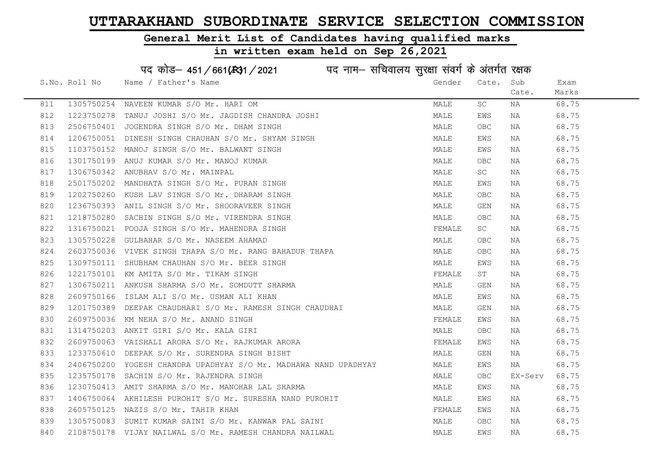### General Merit List of Candidates having qualified marks

|     |               | पद कोड़- 451/661(431/2021 पद नाम- सचिवालय सुरक्षा संवर्ग के अंतर्गत रक्षक |        |            |         |       |
|-----|---------------|---------------------------------------------------------------------------|--------|------------|---------|-------|
|     | S.No. Roll No | Name / Father's Name                                                      | Gender | Cate.      | Sub     | Exam  |
|     |               |                                                                           |        |            | Cate.   | Marks |
| 811 |               | 1305750254 NAVEEN KUMAR S/O Mr. HARI OM                                   | MALE   | SC         | ΝA      | 68.75 |
| 812 |               | 1223750278 TANUJ JOSHI S/O Mr. JAGDISH CHANDRA JOSHI                      | MALE   | EWS        | NA      | 68.75 |
| 813 |               | 2506750401 JOGENDRA SINGH S/O Mr. DHAM SINGH                              | MALE   | OBC        | NA      | 68.75 |
| 814 |               | 1206750051 DINESH SINGH CHAUHAN S/O Mr. SHYAM SINGH                       | MALE   | EWS        | NA      | 68.75 |
| 815 | 1103750152    | MANOJ SINGH S/O Mr. BALWANT SINGH                                         | MALE   | EWS        | NA      | 68.75 |
| 816 |               | 1301750199 ANUJ KUMAR S/O Mr. MANOJ KUMAR                                 | MALE   | OBC        | NA      | 68.75 |
| 817 |               | 1306750342 ANUBHAV S/O Mr. MAINPAL                                        | MALE   | SC         | NA      | 68.75 |
| 818 | 2501750202    | MANDHATA SINGH S/O Mr. PURAN SINGH                                        | MALE   | EWS        | ΝA      | 68.75 |
| 819 |               | 1202750260 KUSH LAV SINGH S/O Mr. DHARAM SINGH                            | MALE   | OBC        | NA      | 68.75 |
| 820 |               | 1236750393 ANIL SINGH S/O Mr. SHOORAVEER SINGH                            | MALE   | GEN        | ΝA      | 68.75 |
| 821 |               | 1218750280 SACHIN SINGH S/O Mr. VIRENDRA SINGH                            | MALE   | <b>OBC</b> | NA      | 68.75 |
| 822 |               | 1316750021 POOJA SINGH S/O Mr. MAHENDRA SINGH                             | FEMALE | SC         | NA      | 68.75 |
| 823 |               | 1305750228 GULBAHAR S/O Mr. NASEEM AHAMAD                                 | MALE   | OBC        | NA      | 68.75 |
| 824 |               | 2603750036 VIVEK SINGH THAPA S/O Mr. RANG BAHADUR THAPA                   | MALE   | OBC        | NA      | 68.75 |
| 825 |               | 1309750111 SHUBHAM CHAUHAN S/O Mr. BEER SINGH                             | MALE   | EWS        | ΝA      | 68.75 |
| 826 |               | 1221750101 KM AMITA S/O Mr. TIKAM SINGH                                   | FEMALE | ST         | ΝA      | 68.75 |
| 827 |               | 1306750211 ANKUSH SHARMA S/O Mr. SOMDUTT SHARMA                           | MALE   | GEN        | NA      | 68.75 |
| 828 |               | 2609750166 ISLAM ALI S/O Mr. USMAN ALI KHAN                               | MALE   | EWS        | ΝA      | 68.75 |
| 829 |               | 1201750389 DEEPAK CHAUDHARI S/O Mr. RAMESH SINGH CHAUDHAI                 | MALE   | GEN        | NA      | 68.75 |
| 830 |               | 2609750036 KM NEHA S/O Mr. ANAND SINGH                                    | FEMALE | EWS        | NA      | 68.75 |
| 831 |               | 1314750203 ANKIT GIRI S/O Mr. KALA GIRI                                   | MALE   | <b>OBC</b> | NA      | 68.75 |
| 832 |               | 2609750063 VAISHALI ARORA S/O Mr. RAJKUMAR ARORA                          | FEMALE | EWS        | NA      | 68.75 |
| 833 |               | 1233750610 DEEPAK S/O Mr. SURENDRA SINGH BISHT                            | MALE   | GEN        | NA      | 68.75 |
| 834 | 2406750200    | YOGESH CHANDRA UPADHYAY S/O Mr. MADHAWA NAND UPADHYAY                     | MALE   | EWS        | NA      | 68.75 |
| 835 | 1235750178    | SACHIN S/O Mr. RAJENDRA SINGH                                             | MALE   | OBC        | EX-Serv | 68.75 |
| 836 |               | 1230750413 AMIT SHARMA S/O Mr. MANOHAR LAL SHARMA                         | MALE   | EWS        | NA      | 68.75 |
| 837 |               | 1406750064 AKHILESH PUROHIT S/O Mr. SURESHA NAND PUROHIT                  | MALE   | EWS        | NA      | 68.75 |
| 838 |               | 2605750125 NAZIS S/O Mr. TAHIR KHAN                                       | FEMALE | EWS        | NA      | 68.75 |
| 839 |               | 1305750083 SUMIT KUMAR SAINI S/O Mr. KANWAR PAL SAINI                     | MALE   | OBC        | ΝA      | 68.75 |
| 840 |               | 2108750178 VIJAY NAILWAL S/O Mr. RAMESH CHANDRA NAILWAL                   | MALE   | EWS        | NA      | 68.75 |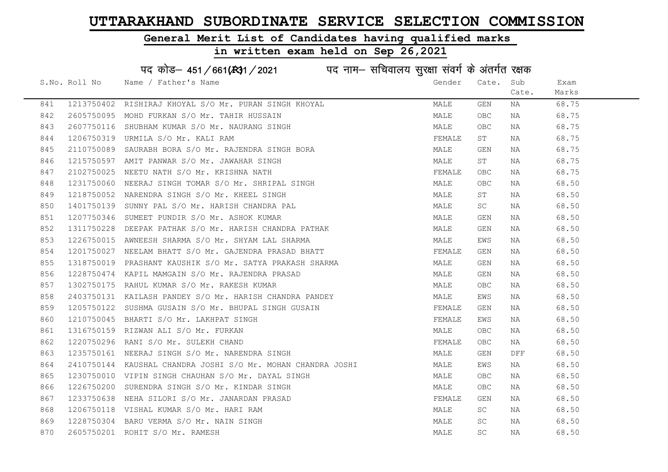### General Merit List of Candidates having qualified marks

|     |               | पद कोड़- 451/661(431/2021 पद नाम- सचिवालय सुरक्षा संवर्ग के अंतर्गत रक्षक |        |                     |       |       |
|-----|---------------|---------------------------------------------------------------------------|--------|---------------------|-------|-------|
|     | S.No. Roll No | Name / Father's Name                                                      | Gender | Cate.               | Sub   | Exam  |
|     |               |                                                                           |        |                     | Cate. | Marks |
| 841 |               | 1213750402 RISHIRAJ KHOYAL S/O Mr. PURAN SINGH KHOYAL                     | MALE   | GEN                 | NA    | 68.75 |
| 842 |               | 2605750095 MOHD FURKAN S/O Mr. TAHIR HUSSAIN                              | MALE   | OBC.                | NA    | 68.75 |
| 843 |               | 2607750116 SHUBHAM KUMAR S/O Mr. NAURANG SINGH                            | MALE   | OBC.                | NA    | 68.75 |
| 844 |               | 1206750319 URMILA S/O Mr. KALI RAM                                        | FEMALE | ST                  | NA    | 68.75 |
| 845 |               | 2110750089 SAURABH BORA S/O Mr. RAJENDRA SINGH BORA                       | MALE   | GEN                 | NA    | 68.75 |
| 846 |               | 1215750597 AMIT PANWAR S/O Mr. JAWAHAR SINGH                              | MALE   | ST                  | NA    | 68.75 |
| 847 |               | 2102750025 NEETU NATH S/O Mr. KRISHNA NATH                                | FEMALE | OBC                 | NA    | 68.75 |
| 848 |               | 1231750060 NEERAJ SINGH TOMAR S/O Mr. SHRIPAL SINGH                       | MALE   | OBC                 | NA    | 68.50 |
| 849 |               | 1218750052 NARENDRA SINGH S/O Mr. KHEEL SINGH                             | MALE   | ST                  | NA    | 68.50 |
| 850 |               | 1401750139 SUNNY PAL S/O Mr. HARISH CHANDRA PAL                           | MALE   | SC                  | NA    | 68.50 |
| 851 |               | 1207750346 SUMEET PUNDIR S/O Mr. ASHOK KUMAR                              | MALE   | GEN                 | NA    | 68.50 |
| 852 |               | 1311750228 DEEPAK PATHAK S/O Mr. HARISH CHANDRA PATHAK                    | MALE   | GEN                 | NA    | 68.50 |
| 853 |               | 1226750015 AWNEESH SHARMA S/O Mr. SHYAM LAL SHARMA                        | MALE   | EWS                 | NA    | 68.50 |
| 854 |               | 1201750027 NEELAM BHATT S/O Mr. GAJENDRA PRASAD BHATT                     | FEMALE | GEN                 | NA    | 68.50 |
| 855 |               | 1318750019 PRASHANT KAUSHIK S/O Mr. SATYA PRAKASH SHARMA                  | MALE   | GEN                 | NA    | 68.50 |
| 856 |               | 1228750474 KAPIL MAMGAIN S/O Mr. RAJENDRA PRASAD                          | MALE   | GEN                 | NA    | 68.50 |
| 857 |               | 1302750175 RAHUL KUMAR S/O Mr. RAKESH KUMAR                               | MALE   | OBC                 | NA    | 68.50 |
| 858 |               | 2403750131 KAILASH PANDEY S/O Mr. HARISH CHANDRA PANDEY                   | MALE   | EWS                 | NA    | 68.50 |
| 859 |               | 1205750122 SUSHMA GUSAIN S/O Mr. BHUPAL SINGH GUSAIN                      | FEMALE | GEN                 | NA    | 68.50 |
| 860 |               | 1210750045 BHARTI S/O Mr. LAKHPAT SINGH                                   | FEMALE | EWS                 | NA    | 68.50 |
| 861 |               | 1316750159 RIZWAN ALI S/O Mr. FURKAN                                      | MALE   | OBC.                | NA    | 68.50 |
| 862 |               | 1220750296 RANI S/O Mr. SULEKH CHAND                                      | FEMALE | OBC.                | NA    | 68.50 |
| 863 |               | 1235750161 NEERAJ SINGH S/O Mr. NARENDRA SINGH                            | MALE   | GEN                 | DFF   | 68.50 |
| 864 |               | 2410750144 KAUSHAL CHANDRA JOSHI S/O Mr. MOHAN CHANDRA JOSHI              | MALE   | EWS                 | NA    | 68.50 |
| 865 |               | 1230750010 VIPIN SINGH CHAUHAN S/O Mr. DAYAL SINGH                        | MALE   | OBC                 | NA    | 68.50 |
| 866 |               | 1226750200 SURENDRA SINGH S/O Mr. KINDAR SINGH                            | MALE   | OBC                 | NA    | 68.50 |
| 867 |               | 1233750638 NEHA SILORI S/O Mr. JANARDAN PRASAD                            | FEMALE | GEN                 | NA    | 68.50 |
| 868 |               | 1206750118 VISHAL KUMAR S/O Mr. HARI RAM                                  | MALE   | SC                  | NA    | 68.50 |
| 869 |               | 1228750304 BARU VERMA S/O Mr. NAIN SINGH                                  | MALE   | SC                  | NA    | 68.50 |
| 870 |               | 2605750201 ROHIT S/O Mr. RAMESH                                           | MALE   | $\operatorname{SC}$ | ΝA    | 68.50 |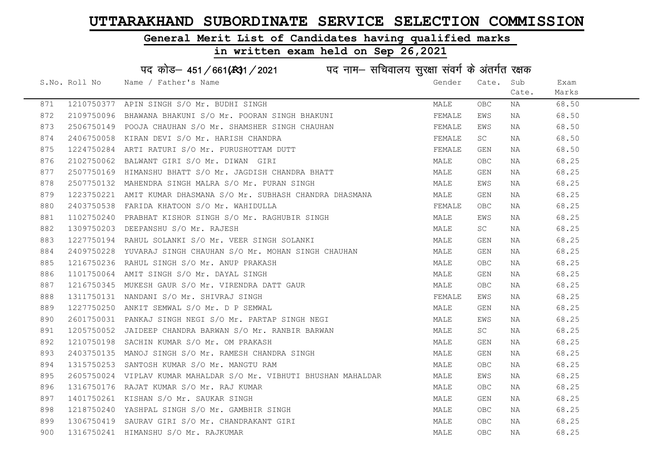#### General Merit List of Candidates having qualified marks

|     |               | पद कोड़- 451/661(431/2021 पद नाम- सचिवालय सुरक्षा संवर्ग के अंतर्गत रक्षक |        |       |       |       |
|-----|---------------|---------------------------------------------------------------------------|--------|-------|-------|-------|
|     | S.No. Roll No | Name / Father's Name                                                      | Gender | Cate. | Sub   | Exam  |
|     |               |                                                                           |        |       | Cate. | Marks |
| 871 |               | 1210750377 APIN SINGH S/O Mr. BUDHI SINGH                                 | MALE   | OBC.  | NA    | 68.50 |
| 872 |               | 2109750096 BHAWANA BHAKUNI S/O Mr. POORAN SINGH BHAKUNI                   | FEMALE | EWS   | NA    | 68.50 |
| 873 |               | 2506750149 POOJA CHAUHAN S/O Mr. SHAMSHER SINGH CHAUHAN                   | FEMALE | EWS   | NA    | 68.50 |
| 874 |               | 2406750058 KIRAN DEVI S/O Mr. HARISH CHANDRA                              | FEMALE | SC    | NA    | 68.50 |
| 875 |               | 1224750284 ARTI RATURI S/O Mr. PURUSHOTTAM DUTT                           | FEMALE | GEN   | NA    | 68.50 |
| 876 |               | 2102750062 BALWANT GIRI S/O Mr. DIWAN GIRI                                | MALE   | OBC.  | NA    | 68.25 |
| 877 |               | 2507750169 HIMANSHU BHATT S/O Mr. JAGDISH CHANDRA BHATT                   | MALE   | GEN   | NA    | 68.25 |
| 878 |               | 2507750132 MAHENDRA SINGH MALRA S/O Mr. PURAN SINGH                       | MALE   | EWS   | NA    | 68.25 |
| 879 | 1223750221    | AMIT KUMAR DHASMANA S/O Mr. SUBHASH CHANDRA DHASMANA                      | MALE   | GEN   | NA    | 68.25 |
| 880 |               | 2403750538 FARIDA KHATOON S/O Mr. WAHIDULLA                               | FEMALE | OBC.  | NA    | 68.25 |
| 881 |               | 1102750240 PRABHAT KISHOR SINGH S/O Mr. RAGHUBIR SINGH                    | MALE   | EWS   | NA    | 68.25 |
| 882 |               | 1309750203 DEEPANSHU S/O Mr. RAJESH                                       | MALE   | SC    | NA    | 68.25 |
| 883 |               | 1227750194 RAHUL SOLANKI S/O Mr. VEER SINGH SOLANKI                       | MALE   | GEN   | NA    | 68.25 |
| 884 |               | 2409750228 YUVARAJ SINGH CHAUHAN S/O Mr. MOHAN SINGH CHAUHAN              | MALE   | GEN   | NA    | 68.25 |
| 885 |               | 1216750236 RAHUL SINGH S/O Mr. ANUP PRAKASH                               | MALE   | OBC.  | NA    | 68.25 |
| 886 | 1101750064    | AMIT SINGH S/O Mr. DAYAL SINGH                                            | MALE   | GEN   | NA    | 68.25 |
| 887 |               | 1216750345 MUKESH GAUR S/O Mr. VIRENDRA DATT GAUR                         | MALE   | OBC.  | NA    | 68.25 |
| 888 |               | 1311750131 NANDANI S/O Mr. SHIVRAJ SINGH                                  | FEMALE | EWS   | NA    | 68.25 |
| 889 |               | 1227750250 ANKIT SEMWAL S/O Mr. D P SEMWAL                                | MALE   | GEN   | NA    | 68.25 |
| 890 |               | 2601750031 PANKAJ SINGH NEGI S/O Mr. PARTAP SINGH NEGI                    | MALE   | EWS   | NA    | 68.25 |
| 891 |               | 1205750052 JAIDEEP CHANDRA BARWAN S/O Mr. RANBIR BARWAN                   | MALE   | SC    | NA    | 68.25 |
| 892 |               | 1210750198 SACHIN KUMAR S/O Mr. OM PRAKASH                                | MALE   | GEN   | NA    | 68.25 |
| 893 |               | 2403750135 MANOJ SINGH S/O Mr. RAMESH CHANDRA SINGH                       | MALE   | GEN   | ΝA    | 68.25 |
| 894 |               | 1315750253 SANTOSH KUMAR S/O Mr. MANGTU RAM                               | MALE   | OBC.  | NA    | 68.25 |
| 895 |               | 2605750024 VIPLAV KUMAR MAHALDAR S/O Mr. VIBHUTI BHUSHAN MAHALDAR         | MALE   | EWS   | NA    | 68.25 |
| 896 |               | 1316750176 RAJAT KUMAR S/O Mr. RAJ KUMAR                                  | MALE   | OBC.  | NA    | 68.25 |
| 897 |               | 1401750261 KISHAN S/O Mr. SAUKAR SINGH                                    | MALE   | GEN   | NA    | 68.25 |
| 898 |               | 1218750240 YASHPAL SINGH S/O Mr. GAMBHIR SINGH                            | MALE   | OBC.  | NA    | 68.25 |
| 899 |               | 1306750419 SAURAV GIRI S/O Mr. CHANDRAKANT GIRI                           | MALE   | OBC.  | NA    | 68.25 |
| 900 |               | 1316750241 HIMANSHU S/O Mr. RAJKUMAR                                      | MALE   | OBC   | ΝA    | 68.25 |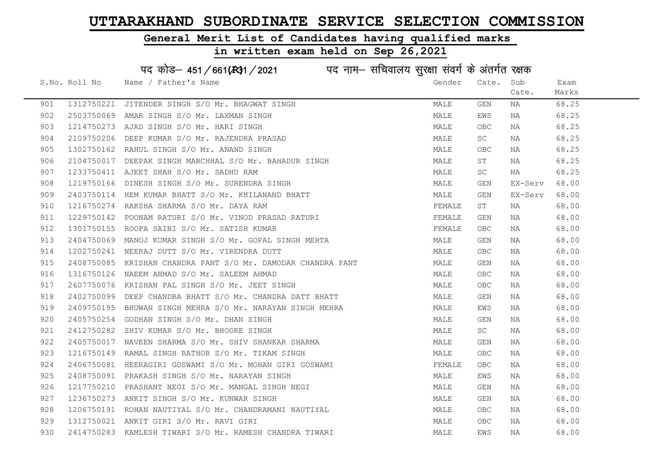### General Merit List of Candidates having qualified marks

|     |               | पद कोड़– 451/661(131/2021 पद नाम– सचिवालय सुरक्षा संवर्ग के अंतर्गत रक्षक |        |            |         |       |
|-----|---------------|---------------------------------------------------------------------------|--------|------------|---------|-------|
|     | S.No. Roll No | Name / Father's Name                                                      | Gender | Cate.      | Sub     | Exam  |
|     |               |                                                                           |        |            | Cate.   | Marks |
| 901 | 1312750221    | JITENDER SINGH S/O Mr. BHAGWAT SINGH                                      | MALE   | GEN        | ΝA      | 68.25 |
| 902 |               | 2503750069 AMAR SINGH S/O Mr. LAXMAN SINGH                                | MALE   | EWS        | NA      | 68.25 |
| 903 |               | 1214750273 AJAD SINGH S/O Mr. HARI SINGH                                  | MALE   | OBC        | NA      | 68.25 |
| 904 | 2109750206    | DEEP KUMAR S/O Mr. RAJENDRA PRASAD                                        | MALE   | SC         | NA      | 68.25 |
| 905 |               | 1302750162 RAHUL SINGH S/O Mr. ANAND SINGH                                | MALE   | OBC        | NA      | 68.25 |
| 906 |               | 2104750017 DEEPAK SINGH MARCHHAL S/O Mr. BAHADUR SINGH                    | MALE   | SΤ         | NA      | 68.25 |
| 907 |               | 1233750411 AJEET SHAH S/O Mr. SADHU RAM                                   | MALE   | SC         | NA      | 68.25 |
| 908 | 1219750166    | DINESH SINGH S/O Mr. SURENDRA SINGH                                       | MALE   | GEN        | EX-Serv | 68.00 |
| 909 |               | 2403750114 HEM KUMAR BHATT S/O Mr. KHILANAND BHATT                        | MALE   | GEN        | EX-Serv | 68.00 |
| 910 |               | 1216750274 RAKSHA SHARMA S/O Mr. DAYA RAM                                 | FEMALE | ST         | NA      | 68.00 |
| 911 |               | 1229750142 POONAM RATURI S/O Mr. VINOD PRASAD RATURI                      | FEMALE | GEN        | NA      | 68.00 |
| 912 |               | 1301750155 ROOPA SAINI S/O Mr. SATISH KUMAR                               | FEMALE | OBC.       | NA      | 68.00 |
| 913 |               | 2404750069 MANOJ KUMAR SINGH S/O Mr. GOPAL SINGH MEHTA                    | MALE   | GEN        | NA      | 68.00 |
| 914 |               | 1202750241 NEERAJ DUTT S/O Mr. VIRENDRA DUTT                              | MALE   | OBC        | NA      | 68.00 |
| 915 |               | 2408750085 KRISHAN CHANDRA PANT S/O Mr. DAMODAR CHANDRA PANT              | MALE   | GEN        | NA      | 68.00 |
| 916 |               | 1316750126 NAEEM AHMAD S/O Mr. SALEEM AHMAD                               | MALE   | OBC        | NA      | 68.00 |
| 917 |               | 2607750076 KRISHAN PAL SINGH S/O Mr. JEET SINGH                           | MALE   | <b>OBC</b> | ΝA      | 68.00 |
| 918 |               | 2402750099 DEEP CHANDRA BHATT S/O Mr. CHANDRA DATT BHATT                  | MALE   | GEN        | ΝA      | 68.00 |
| 919 |               | 2409750195 BHUWAN SINGH MEHRA S/O Mr. NARAYAN SINGH MEHRA                 | MALE   | EWS        | NA      | 68.00 |
| 920 |               | 2405750254 GODHAN SINGH S/O Mr. DHAN SINGH                                | MALE   | GEN        | NA      | 68.00 |
| 921 |               | 2412750282 SHIV KUMAR S/O Mr. BHOORE SINGH                                | MALE   | SC         | NA      | 68.00 |
| 922 |               | 2405750017 NAVEEN SHARMA S/O Mr. SHIV SHANKAR SHARMA                      | MALE   | GEN        | ΝA      | 68.00 |
| 923 |               | 1216750149 RAMAL SINGH RATHOR S/O Mr. TIKAM SINGH                         | MALE   | <b>OBC</b> | NA      | 68.00 |
| 924 |               | 2406750081 HEERAGIRI GOSWAMI S/O Mr. MOHAN GIRI GOSWAMI                   | FEMALE | <b>OBC</b> | ΝA      | 68.00 |
| 925 |               | 2408750091 PRAKASH SINGH S/O Mr. NARAYAN SINGH                            | MALE   | EWS        | NA      | 68.00 |
| 926 |               | 1217750210 PRASHANT NEGI S/O Mr. MANGAL SINGH NEGI                        | MALE   | GEN        | NA      | 68.00 |
| 927 |               | 1236750273 ANKIT SINGH S/O Mr. KUNWAR SINGH                               | MALE   | GEN        | NA      | 68.00 |
| 928 |               | 1206750191 ROHAN NAUTIYAL S/O Mr. CHANDRAMANI NAUTIYAL                    | MALE   | <b>OBC</b> | NA      | 68.00 |
| 929 |               | 1312750021 ANKIT GIRI S/O Mr. RAVI GIRI                                   | MALE   | <b>OBC</b> | NA      | 68.00 |
| 930 |               | 2414750283 KAMLESH TIWARI S/O Mr. RAMESH CHANDRA TIWARI                   | MALE   | EWS        | ΝA      | 68.00 |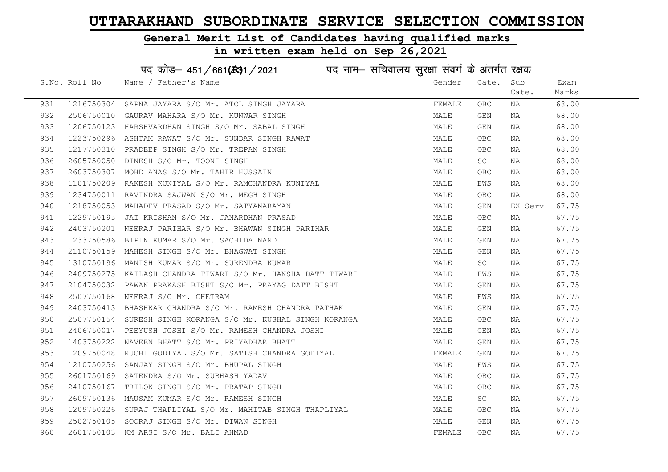#### General Merit List of Candidates having qualified marks

#### in written exam held on Sep 26,2021

S.No. Roll No Wame / Father's Name Gender Cate. Sub Cate. Exam Marks पद कोड– 451/661(स्था / 2021 व्यान सचिवालय सुरक्षा संवर्ग के अंतर्गत रक्षक 931 1216750304 SAPNA JAYARA S/O Mr. ATOL SINGH JAYARA **FEMALE OBC NA 68.00** 932 2506750010 GAURAV MAHARA S/O Mr. KUNWAR SINGH MALE GEN NA 68.00 933 1206750123 HARSHVARDHAN SINGH S/O Mr. SABAL SINGH MAN MALE GEN NA 68.00 934 1223750296 ASHTAM RAWAT S/O Mr. SUNDAR SINGH RAWAT NAN MALE OBC NA 68.00 935 1217750310 PRADEEP SINGH S/O Mr. TREPAN SINGH MARE MALE OBC NA 68.00 936 2605750050 DINESH S/O Mr. TOONI SINGH MALE SC NA 68.00 937 2603750307 MOHD ANAS S/O Mr. TAHIR HUSSAIN MALE OBC NA 68.00 938 1101750209 RAKESH KUNIYAL S/O Mr. RAMCHANDRA KUNIYAL MAN MALE EWS NA 68.00 939 1234750011 RAVINDRA SAJWAN S/O Mr. MEGH SINGH MALE OBC NA 68.00 940 1218750053 MAHADEV PRASAD S/O Mr. SATYANARAYAN MANARAYAN MALE GEN EX-Serv 67.75 941 1229750195 JAI KRISHAN S/O Mr. JANARDHAN PRASAD NA MALE OBC NA 67.75 942 2403750201 NEERAJ PARIHAR S/O Mr. BHAWAN SINGH PARIHAR MAN MALE GEN NA 67.75 943 1233750586 BIPIN KUMAR S/O Mr. SACHIDA NAND MALE GEN NA 67.75 944 2110750159 MAHESH SINGH S/O Mr. BHAGWAT SINGH MALE GEN NA 67.75 945 1310750196 MANISH\_KUMAR\_S/O\_Mr. SURENDRA\_KUMAR MARRADINA MALE SC NA 67.75 946 2409750275 KAILASH CHANDRA TIWARI S/O Mr. HANSHA DATT TIWARI MALE EWS NA 67.75 947 2104750032 PAWAN PRAKASH BISHT S/O Mr. PRAYAG DATT BISHT MAN MALE GEN NA 67.75 948 2507750168 NEERAJ S/O Mr. CHETRAM NA SANTO AND SANTO MALE EWS NA 67.75 949 2403750413 BHASHKAR CHANDRA S/O Mr. RAMESH CHANDRA PATHAK MALE GEN NA 67.75 950 2507750154 SURESH SINGH KORANGA S/O Mr. KUSHAL SINGH KORANGA MALE OBC NA 67.75 951 2406750017 PEEYUSH JOSHI S/O Mr. RAMESH CHANDRA JOSHI MAN MALE GEN NA 67.75 952 1403750222 NAVEEN BHATT S/O Mr. PRIYADHAR BHATT NA MALE GEN NA 67.75 953 1209750048 RUCHI GODIYAL S/O Mr. SATISH CHANDRA GODIYAL SAN THEMALE GEN NA 67.75 954 1210750256 SANJAY SINGH S/O Mr. BHUPAL SINGH MANA MALE EWS NA 67.75 955 2601750169 SATENDRA S/O Mr. SUBHASH YADAV MANA MALE OBC NA 67.75 956 2410750167 TRILOK SINGH S/O Mr. PRATAP SINGH NA MANA MALE OBC NA 67.75 957 2609750136 MAUSAM KUMAR S/O Mr. RAMESH SINGH MARA MAN MALE SC NA 67.75 958 1209750226 SURAJ THAPLIYAL S/O Mr. MAHITAB SINGH THAPLIYAL MALE OBC NA 67.75 959 2502750105 SOORAJ SINGH S/O Mr. DIWAN SINGH MALE GEN NA 67.75 960 2601750103 KM ARSI S/O Mr. BALI AHMAD SAND SAND SERMALE OBC NA 67.75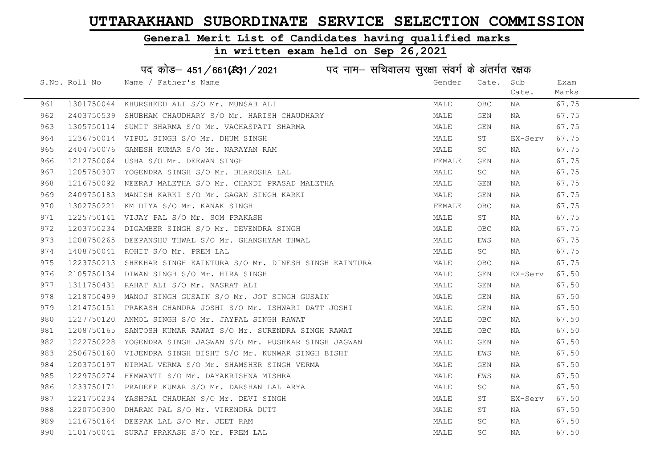### General Merit List of Candidates having qualified marks

|     |               | पद कोड़- 451/661(431/2021 पद नाम- सचिवालय सुरक्षा संवर्ग के अंतर्गत रक्षक |        |                         |         |       |
|-----|---------------|---------------------------------------------------------------------------|--------|-------------------------|---------|-------|
|     | S.No. Roll No | Name / Father's Name                                                      | Gender | Cate.                   | Sub     | Exam  |
|     |               |                                                                           |        |                         | Cate.   | Marks |
| 961 |               | 1301750044 KHURSHEED ALI S/O Mr. MUNSAB ALI                               | MALE   | <b>OBC</b>              | ΝA      | 67.75 |
| 962 |               | 2403750539 SHUBHAM CHAUDHARY S/O Mr. HARISH CHAUDHARY                     | MALE   | GEN                     | NA      | 67.75 |
| 963 |               | 1305750114 SUMIT SHARMA S/O Mr. VACHASPATI SHARMA                         | MALE   | GEN                     | NA      | 67.75 |
| 964 |               | 1236750014 VIPUL SINGH S/O Mr. DHUM SINGH                                 | MALE   | ST                      | EX-Serv | 67.75 |
| 965 |               | 2404750076 GANESH KUMAR S/O Mr. NARAYAN RAM                               | MALE   | SC                      | NA      | 67.75 |
| 966 |               | 1212750064 USHA S/O Mr. DEEWAN SINGH                                      | FEMALE | GEN                     | NA      | 67.75 |
| 967 |               | 1205750307 YOGENDRA SINGH S/O Mr. BHAROSHA LAL                            | MALE   | SC                      | ΝA      | 67.75 |
| 968 |               | 1216750092 NEERAJ MALETHA S/O Mr. CHANDI PRASAD MALETHA                   | MALE   | GEN                     | ΝA      | 67.75 |
| 969 |               | 2409750183 MANISH KARKI S/O Mr. GAGAN SINGH KARKI                         | MALE   | GEN                     | NA      | 67.75 |
| 970 |               | 1302750221 KM DIYA S/O Mr. KANAK SINGH                                    | FEMALE | OBC                     | ΝA      | 67.75 |
| 971 |               | 1225750141 VIJAY PAL S/O Mr. SOM PRAKASH                                  | MALE   | SТ                      | NA      | 67.75 |
| 972 |               | 1203750234 DIGAMBER SINGH S/O Mr. DEVENDRA SINGH                          | MALE   | <b>OBC</b>              | NA      | 67.75 |
| 973 |               | 1208750265 DEEPANSHU THWAL S/O Mr. GHANSHYAM THWAL                        | MALE   | EWS                     | NA      | 67.75 |
| 974 |               | 1408750041 ROHIT S/O Mr. PREM LAL                                         | MALE   | SC                      | NA      | 67.75 |
| 975 |               | 1223750213 SHEKHAR SINGH KAINTURA S/O Mr. DINESH SINGH KAINTURA           | MALE   | OBC                     | NA      | 67.75 |
| 976 |               | 2105750134 DIWAN SINGH S/O Mr. HIRA SINGH                                 | MALE   | GEN                     | EX-Serv | 67.50 |
| 977 |               | 1311750431 RAHAT ALI S/O Mr. NASRAT ALI                                   | MALE   | GEN                     | NA      | 67.50 |
| 978 |               | 1218750499 MANOJ SINGH GUSAIN S/O Mr. JOT SINGH GUSAIN                    | MALE   | GEN                     | ΝA      | 67.50 |
| 979 |               | 1214750151 PRAKASH CHANDRA JOSHI S/O Mr. ISHWARI DATT JOSHI               | MALE   | GEN                     | ΝA      | 67.50 |
| 980 |               | 1227750120 ANMOL SINGH S/O Mr. JAYPAL SINGH RAWAT                         | MALE   | OBC                     | NA      | 67.50 |
| 981 |               | 1208750165 SANTOSH KUMAR RAWAT S/O Mr. SURENDRA SINGH RAWAT               | MALE   | OBC                     | NA      | 67.50 |
| 982 |               | 1222750228 YOGENDRA SINGH JAGWAN S/O Mr. PUSHKAR SINGH JAGWAN             | MALE   | GEN                     | NA      | 67.50 |
| 983 |               | 2506750160 VIJENDRA SINGH BISHT S/O Mr. KUNWAR SINGH BISHT                | MALE   | EWS                     | ΝA      | 67.50 |
| 984 |               | 1203750197 NIRMAL VERMA S/O Mr. SHAMSHER SINGH VERMA                      | MALE   | $\mathop{\mathsf{GEN}}$ | NA      | 67.50 |
| 985 |               | 1229750274 HEMWANTI S/O Mr. DAYAKRISHNA MISHRA                            | MALE   | EWS                     | ΝA      | 67.50 |
| 986 |               | 1233750171 PRADEEP KUMAR S/O Mr. DARSHAN LAL ARYA                         | MALE   | SC                      | NA      | 67.50 |
| 987 |               | 1221750234 YASHPAL CHAUHAN S/O Mr. DEVI SINGH                             | MALE   | SΤ                      | EX-Serv | 67.50 |
| 988 |               | 1220750300 DHARAM PAL S/O Mr. VIRENDRA DUTT                               | MALE   | ST                      | NA      | 67.50 |
| 989 |               | 1216750164 DEEPAK LAL S/O Mr. JEET RAM                                    | MALE   | <b>SC</b>               | NA      | 67.50 |
| 990 |               | 1101750041 SURAJ PRAKASH S/O Mr. PREM LAL                                 | MALE   | <b>SC</b>               | NA      | 67.50 |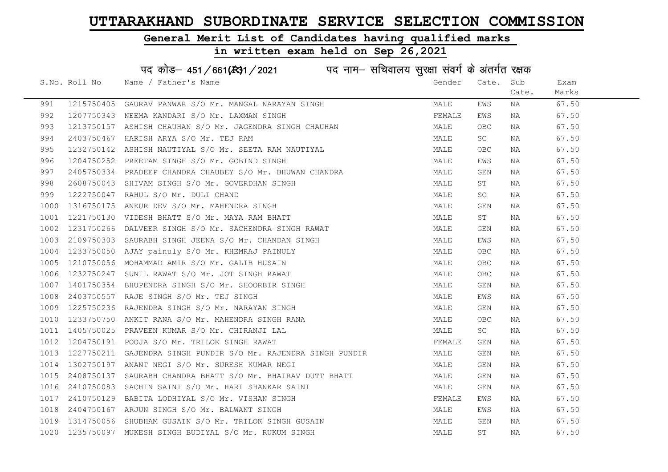### General Merit List of Candidates having qualified marks

|      |               | पद कोड़– 451/661(131/2021 पद नाम– सचिवालय सुरक्षा संवर्ग के अंतर्गत रक्षक |        |                         |       |       |
|------|---------------|---------------------------------------------------------------------------|--------|-------------------------|-------|-------|
|      | S.No. Roll No | Name / Father's Name                                                      | Gender | Cate.                   | Sub   | Exam  |
|      |               |                                                                           |        |                         | Cate. | Marks |
| 991  | 1215750405    | GAURAV PANWAR S/O Mr. MANGAL NARAYAN SINGH                                | MALE   | EWS                     | NA    | 67.50 |
| 992  |               | 1207750343 NEEMA KANDARI S/O Mr. LAXMAN SINGH                             | FEMALE | EWS                     | ΝA    | 67.50 |
| 993  |               | 1213750157 ASHISH CHAUHAN S/O Mr. JAGENDRA SINGH CHAUHAN                  | MALE   | <b>OBC</b>              | NA    | 67.50 |
| 994  | 2403750467    | HARISH ARYA S/O Mr. TEJ RAM                                               | MALE   | SC                      | NA    | 67.50 |
| 995  |               | 1232750142 ASHISH NAUTIYAL S/O Mr. SEETA RAM NAUTIYAL                     | MALE   | <b>OBC</b>              | NA    | 67.50 |
| 996  |               | 1204750252 PREETAM SINGH S/O Mr. GOBIND SINGH                             | MALE   | EWS                     | NA    | 67.50 |
| 997  |               | 2405750334 PRADEEP CHANDRA CHAUBEY S/O Mr. BHUWAN CHANDRA                 | MALE   | <b>GEN</b>              | NA    | 67.50 |
| 998  | 2608750043    | SHIVAM SINGH S/O Mr. GOVERDHAN SINGH                                      | MALE   | SΤ                      | NA    | 67.50 |
| 999  | 1222750047    | RAHUL S/O Mr. DULI CHAND                                                  | MALE   | SC                      | ΝA    | 67.50 |
| 1000 |               | 1316750175 ANKUR DEV S/O Mr. MAHENDRA SINGH                               | MALE   | GEN                     | ΝA    | 67.50 |
| 1001 |               | 1221750130 VIDESH BHATT S/O Mr. MAYA RAM BHATT                            | MALE   | ST                      | ΝA    | 67.50 |
| 1002 |               | 1231750266 DALVEER SINGH S/O Mr. SACHENDRA SINGH RAWAT                    | MALE   | <b>GEN</b>              | NA    | 67.50 |
| 1003 |               | 2109750303 SAURABH SINGH JEENA S/O Mr. CHANDAN SINGH                      | MALE   | EWS                     | NA    | 67.50 |
| 1004 |               | 1233750050 AJAY painuly S/O Mr. KHEMRAJ PAINULY                           | MALE   | ${\sf OBC}$             | NA    | 67.50 |
| 1005 |               | 1210750056 MOHAMMAD AMIR S/O Mr. GALIB HUSAIN                             | MALE   | OBC                     | NA    | 67.50 |
| 1006 | 1232750247    | SUNIL RAWAT S/O Mr. JOT SINGH RAWAT                                       | MALE   | OBC                     | NA    | 67.50 |
| 1007 | 1401750354    | BHUPENDRA SINGH S/O Mr. SHOORBIR SINGH                                    | MALE   | $\mathop{\mathsf{GEN}}$ | ΝA    | 67.50 |
| 1008 | 2403750557    | RAJE SINGH S/O Mr. TEJ SINGH                                              | MALE   | EWS                     | ΝA    | 67.50 |
| 1009 |               | 1225750236 RAJENDRA SINGH S/O Mr. NARAYAN SINGH                           | MALE   | $\mathop{\mathsf{GEN}}$ | NA    | 67.50 |
| 1010 |               | 1233750750 ANKIT RANA S/O Mr. MAHENDRA SINGH RANA                         | MALE   | <b>OBC</b>              | NA    | 67.50 |
| 1011 |               | 1405750025 PRAVEEN KUMAR S/O Mr. CHIRANJI LAL                             | MALE   | SC                      | NA    | 67.50 |
| 1012 |               | 1204750191 POOJA S/O Mr. TRILOK SINGH RAWAT                               | FEMALE | GEN                     | NA    | 67.50 |
| 1013 | 1227750211    | GAJENDRA SINGH PUNDIR S/O Mr. RAJENDRA SINGH PUNDIR                       | MALE   | GEN                     | ΝA    | 67.50 |
| 1014 | 1302750197    | ANANT NEGI S/O Mr. SURESH KUMAR NEGI                                      | MALE   | $\mathop{\mathsf{GEN}}$ | ΝA    | 67.50 |
| 1015 | 2408750137    | SAURABH CHANDRA BHATT S/O Mr. BHAIRAV DUTT BHATT                          | MALE   | GEN                     | NA    | 67.50 |
| 1016 | 2410750083    | SACHIN SAINI S/O Mr. HARI SHANKAR SAINI                                   | MALE   | <b>GEN</b>              | NA    | 67.50 |
| 1017 |               | 2410750129 BABITA LODHIYAL S/O Mr. VISHAN SINGH                           | FEMALE | EWS                     | NA    | 67.50 |
| 1018 |               | 2404750167 ARJUN SINGH S/O Mr. BALWANT SINGH                              | MALE   | EWS                     | NA    | 67.50 |
| 1019 |               | 1314750056 SHUBHAM GUSAIN S/O Mr. TRILOK SINGH GUSAIN                     | MALE   | GEN                     | ΝA    | 67.50 |
| 1020 |               | 1235750097 MUKESH SINGH BUDIYAL S/O Mr. RUKUM SINGH                       | MALE   | ST                      | NA    | 67.50 |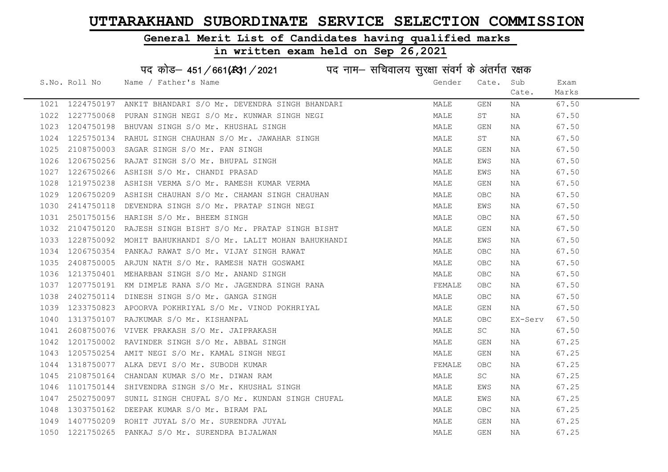#### General Merit List of Candidates having qualified marks

#### in written exam held on Sep 26,2021

S.No. Roll No Wame / Father's Name Gender Cate. Sub Cate. Exam Marks पद कोड– 451/661(स्था/2021 पद नाम– सचिवालय सुरक्षा संवर्ग के अंतर्गत रक्षक 1021 1224750197 ANKIT BHANDARI S/O Mr. DEVENDRA SINGH BHANDARI MALE GEN NA 67.50 1022 1227750068 PURAN SINGH NEGI S/O Mr. KUNWAR SINGH NEGI MALE ST NA 67.50 1023 1204750198 BHUVAN SINGH S/O Mr. KHUSHAL SINGH MALE GEN NA 67.50 1024 1225750134 RAHUL SINGH CHAUHAN S/O Mr. JAWAHAR SINGH MANA MALE ST NA 67.50 1025 2108750003 SAGAR SINGH S/O Mr. PAN SINGH MALE GEN NA 67.50 1026 1206750256 RAJAT SINGH S/O Mr. BHUPAL SINGH MALE EWS NA 67.50 1027 1226750266 ASHISH S/O Mr. CHANDI PRASAD MALE EWS NA 67.50 1028 1219750238 ASHISH VERMA S/O Mr. RAMESH KUMAR VERMA MALE GEN NA 67.50 1029 1206750209 ASHISH CHAUHAN S/O Mr. CHAMAN SINGH CHAUHAN MALE MALE OBC NA 67.50 1030 2414750118 DEVENDRA SINGH S/O Mr. PRATAP SINGH NEGI MALE EWS NA 67.50 1031 2501750156 HARISH S/O Mr. BHEEM SINGH MALE OBC NA 67.50 1032 2104750120 RAJESH SINGH BISHT S/O Mr. PRATAP SINGH BISHT MALE GEN NA 67.50 1033 1228750092 MOHIT BAHUKHANDI S/O Mr. LALIT MOHAN BAHUKHANDI MALE MALE EWS NA 67.50 1034 1206750354 PANKAJ RAWAT S/O Mr. VIJAY SINGH RAWAT MALE OBC NA 67.50 1035 2408750005 ARJUN NATH S/O Mr. RAMESH NATH GOSWAMI MALE OBC NA 67.50 1036 1213750401 MEHARBAN SINGH S/O Mr. ANAND SINGH MALE OBC NA 67.50 1037 1207750191 KM DIMPLE RANA S/O Mr. JAGENDRA SINGH RANA FEMALE OBC NA 67.50 1038 2402750114 DINESH SINGH S/O Mr. GANGA SINGH NAN MALE OBC NA 67.50 1039 1233750823 APOORVA POKHRIYAL S/O Mr. VINOD POKHRIYAL NA MALE GEN NA 67.50 1040 1313750107 RAJKUMAR S/O Mr. KISHANPAL 1040 MALE OBC EX-Serv 67.50 1041 2608750076 VIVEK PRAKASH S/O Mr. JAIPRAKASH MALE SC NA 67.50 1042 1201750002 RAVINDER SINGH S/O Mr. ABBAL SINGH MALE GEN NA 67.25 1043 1205750254 AMIT NEGI S/O Mr. KAMAL SINGH NEGI MALE GEN NA 67.25 1044 1318750077 ALKA DEVI S/O Mr. SUBODH KUMAR **FEMALE** OBC NA 67.25 1045 2108750164 CHANDAN KUMAR S/O Mr. DIWAN RAM MALE SC NA 67.25 1046 1101750144 SHIVENDRA SINGH S/O Mr. KHUSHAL SINGH MANA MALE MALE EWS NA 67.25 1047 2502750097 SUNIL SINGH CHUFAL S/O Mr. KUNDAN SINGH CHUFAL MALE MALE EWS NA 67.25 1048 1303750162 DEEPAK KUMAR S/O Mr. BIRAM PAL MALE OBC NA 67.25 1049 1407750209 ROHIT JUYAL S/O Mr. SURENDRA JUYAL MALE GEN NA 67.25 1050 1221750265 PANKAJ S/O Mr. SURENDRA BIJALWAN MALE GEN NA 67.25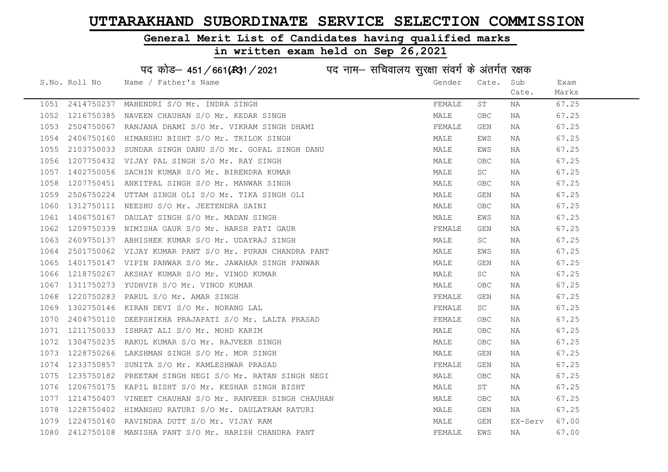#### General Merit List of Candidates having qualified marks

#### in written exam held on Sep 26,2021

S.No. Roll No Wame / Father's Name Gender Cate. Sub Cate. Exam Marks पद कोड– 451/661(स्था) / 2021 विद्युत्त नाम– सचिवालय सुरक्षा संवर्ग के अंतर्गत रक्षक 1051 2414750237 MAHENDRI S/O Mr. INDRA SINGH FEMALE ST NA 67.25 1052 1216750385 NAVEEN CHAUHAN S/O Mr. KEDAR SINGH MALE OBC NA 67.25 1053 2504750067 RANJANA DHAMI S/O Mr. VIKRAM SINGH DHAMI NA FEMALE GEN NA 67.25 1054 2406750160 HIMANSHU BISHT S/O Mr. TRILOK SINGH MALE EWS NA 67.25 1055 2103750033 SUNDAR SINGH DANU S/O Mr. GOPAL SINGH DANU MALE EWS NA 67.25 1056 1207750432 VIJAY PAL SINGH S/O Mr. RAY SINGH MALE OBC NA 67.25 1057 1402750056 SACHIN KUMAR S/O Mr. BIRENDRA KUMAR MANA MALE SC NA 67.25 1058 1207750451 ANKITPAL SINGH S/O Mr. MANWAR SINGH MALE OBC NA 67.25 1059 2506750224 UTTAM SINGH OLI S/O Mr. TIKA SINGH OLI CONTROLLER SEN NA 67.25 1060 1312750111 NEESHU S/O Mr. JEETENDRA SAINI MALE OBC NA 67.25 1061 1406750167 DAULAT SINGH S/O Mr. MADAN SINGH MALE EWS NA 67.25 1062 1209750339 NIMISHA GAUR S/O Mr. HARSH PATI GAUR FEMALE GEN NA 67.25 1063 2609750137 ABHISHEK KUMAR S/O Mr. UDAYRAJ SINGH MALE SC NA 67.25 1064 2501750062 VIJAY KUMAR PANT S/O Mr. PURAN CHANDRA PANT MALE EWS NA 67.25 1065 1401750147 VIPIN PANWAR S/O Mr. JAWAHAR SINGH PANWAR MARRE MALE GEN NA 197.25 1066 1218750267 AKSHAY KUMAR S/O Mr. VINOD KUMAR MALE SC NA 67.25 1067 1311750273 YUDHVIR S/O Mr. VINOD KUMAR MALE OBC NA 67.25 1068 1220750283 PARUL S/O Mr. AMAR SINGH FEMALE GEN NA 67.25 1069 1302750146 KIRAN DEVI S/O Mr. NORANG LAL FEMALE SC NA 67.25 1070 2404750110 DEEPSHIKHA PRAJAPATI S/O Mr. LALTA PRASAD FEMALE OBC NA 67.25 1071 1211750033 ISHRAT ALI S/O Mr. MOHD KARIM MALE OBC NA 67.25 1072 1304750235 RAKUL KUMAR S/O Mr. RAJVEER SINGH MALE OBC NA 67.25 1073 1228750266 LAKSHMAN SINGH S/O Mr. MOR SINGH MALE GEN NA 67.25 1074 1233750857 SUNITA S/O Mr. KAMLESHWAR PRASAD SUNITAL SEN REMALE GEN NA 67.25 1075 1235750182 PREETAM SINGH NEGI S/O Mr. RATAN SINGH NEGI MALE OBC NA 67.25 1076 1206750175 KAPIL BISHT S/O Mr. KESHAR SINGH BISHT MALE ST NA 67.25 1077 1214750407 VINEET CHAUHAN S/O Mr. RANVEER SINGH CHAUHAN MALE OBC NA 67.25 1078 1228750402 HIMANSHU RATURI S/O Mr. DAULATRAM RATURI MALE GEN NA 67.25 1079 1224750140 RAVINDRA DUTT S/O Mr. VIJAY RAM MALE GEN EX-Serv 67.00 1080 2412750108 MANISHA PANT S/O Mr. HARISH CHANDRA PANT FEMALE EWS NA 67.00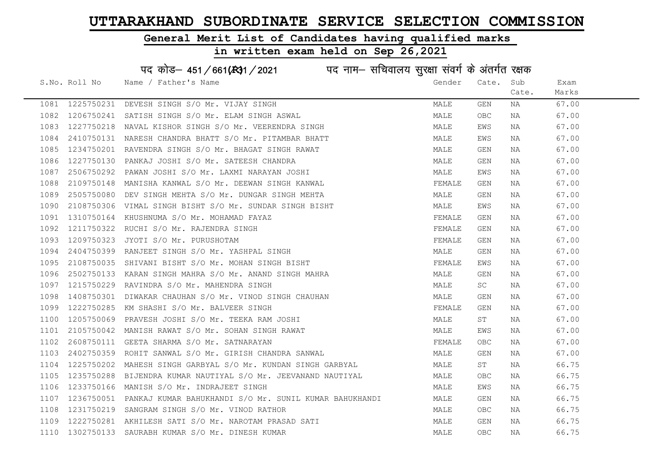#### General Merit List of Candidates having qualified marks

| पद कोड़– 451/661(431/2021 पद नाम– सचिवालय सुरक्षा संवर्ग के अंतर्गत रक्षक |                 |                                                        |        |       |       |       |  |
|---------------------------------------------------------------------------|-----------------|--------------------------------------------------------|--------|-------|-------|-------|--|
|                                                                           | S.No. Roll No   | Name / Father's Name                                   | Gender | Cate. | Sub   | Exam  |  |
|                                                                           |                 |                                                        |        |       | Cate. | Marks |  |
|                                                                           | 1081 1225750231 | DEVESH SINGH S/O Mr. VIJAY SINGH                       | MALE   | GEN   | NA    | 67.00 |  |
| 1082                                                                      | 1206750241      | SATISH SINGH S/O Mr. ELAM SINGH ASWAL                  | MALE   | OBC   | NA    | 67.00 |  |
| 1083                                                                      | 1227750218      | NAVAL KISHOR SINGH S/O Mr. VEERENDRA SINGH             | MALE   | EWS   | NA    | 67.00 |  |
| 1084                                                                      | 2410750131      | NARESH CHANDRA BHATT S/O Mr. PITAMBAR BHATT            | MALE   | EWS   | NA    | 67.00 |  |
| 1085                                                                      | 1234750201      | RAVENDRA SINGH S/O Mr. BHAGAT SINGH RAWAT              | MALE   | GEN   | NA    | 67.00 |  |
| 1086                                                                      |                 | 1227750130 PANKAJ JOSHI S/O Mr. SATEESH CHANDRA        | MALE   | GEN   | NA    | 67.00 |  |
| 1087                                                                      |                 | 2506750292 PAWAN JOSHI S/O Mr. LAXMI NARAYAN JOSHI     | MALE   | EWS   | NA    | 67.00 |  |
| 1088                                                                      | 2109750148      | MANISHA KANWAL S/O Mr. DEEWAN SINGH KANWAL             | FEMALE | GEN   | NA    | 67.00 |  |
| 1089                                                                      | 2505750080      | DEV SINGH MEHTA S/O Mr. DUNGAR SINGH MEHTA             | MALE   | GEN   | NA    | 67.00 |  |
| 1090                                                                      | 2108750306      | VIMAL SINGH BISHT S/O Mr. SUNDAR SINGH BISHT           | MALE   | EWS   | NA    | 67.00 |  |
| 1091                                                                      | 1310750164      | KHUSHNUMA S/O Mr. MOHAMAD FAYAZ                        | FEMALE | GEN   | NA    | 67.00 |  |
| 1092                                                                      | 1211750322      | RUCHI S/O Mr. RAJENDRA SINGH                           | FEMALE | GEN   | NA    | 67.00 |  |
| 1093                                                                      | 1209750323      | JYOTI S/O Mr. PURUSHOTAM                               | FEMALE | GEN   | NA    | 67.00 |  |
| 1094                                                                      |                 | 2404750399 RANJEET SINGH S/O Mr. YASHPAL SINGH         | MALE   | GEN   | NA    | 67.00 |  |
| 1095                                                                      | 2108750035      | SHIVANI BISHT S/O Mr. MOHAN SINGH BISHT                | FEMALE | EWS   | NA    | 67.00 |  |
| 1096                                                                      | 2502750133      | KARAN SINGH MAHRA S/O Mr. ANAND SINGH MAHRA            | MALE   | GEN   | NA    | 67.00 |  |
| 1097                                                                      | 1215750229      | RAVINDRA S/O Mr. MAHENDRA SINGH                        | MALE   | SC    | NA    | 67.00 |  |
| 1098                                                                      | 1408750301      | DIWAKAR CHAUHAN S/O Mr. VINOD SINGH CHAUHAN            | MALE   | GEN   | NA    | 67.00 |  |
| 1099                                                                      | 1222750285      | KM SHASHI S/O Mr. BALVEER SINGH                        | FEMALE | GEN   | NA    | 67.00 |  |
| 1100                                                                      | 1205750069      | PRAVESH JOSHI S/O Mr. TEEKA RAM JOSHI                  | MALE   | ST    | NA    | 67.00 |  |
| 1101                                                                      | 2105750042      | MANISH RAWAT S/O Mr. SOHAN SINGH RAWAT                 | MALE   | EWS   | NA    | 67.00 |  |
| 1102                                                                      | 2608750111      | GEETA SHARMA S/O Mr. SATNARAYAN                        | FEMALE | OBC   | NA    | 67.00 |  |
| 1103                                                                      | 2402750359      | ROHIT SANWAL S/O Mr. GIRISH CHANDRA SANWAL             | MALE   | GEN   | NA    | 67.00 |  |
| 1104                                                                      | 1225750202      | MAHESH SINGH GARBYAL S/O Mr. KUNDAN SINGH GARBYAL      | MALE   | ST    | NA    | 66.75 |  |
| 1105                                                                      | 1235750288      | BIJENDRA KUMAR NAUTIYAL S/O Mr. JEEVANAND NAUTIYAL     | MALE   | OBC   | NA    | 66.75 |  |
| 1106                                                                      | 1233750166      | MANISH S/O Mr. INDRAJEET SINGH                         | MALE   | EWS   | NA    | 66.75 |  |
| 1107                                                                      | 1236750051      | PANKAJ KUMAR BAHUKHANDI S/O Mr. SUNIL KUMAR BAHUKHANDI | MALE   | GEN   | NA    | 66.75 |  |
| 1108                                                                      |                 | 1231750219 SANGRAM SINGH S/O Mr. VINOD RATHOR          | MALE   | OBC   | NA    | 66.75 |  |
| 1109                                                                      |                 | 1222750281 AKHILESH SATI S/O Mr. NAROTAM PRASAD SATI   | MALE   | GEN   | NA    | 66.75 |  |
|                                                                           |                 | 1110 1302750133 SAURABH KUMAR S/O Mr. DINESH KUMAR     | MALE   | OBC   | ΝA    | 66.75 |  |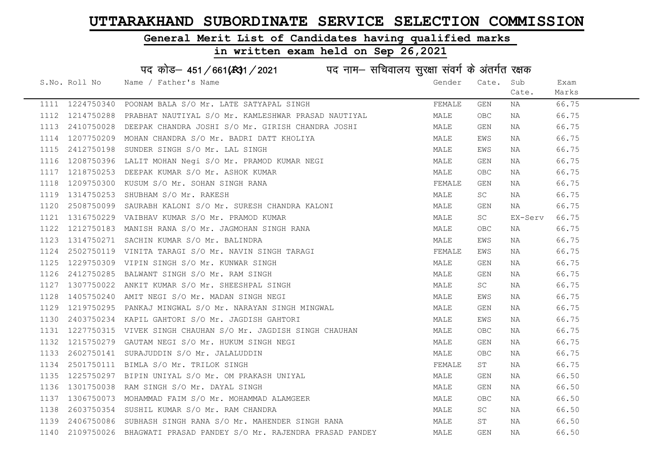#### General Merit List of Candidates having qualified marks

# in written exam held on Sep 26,2021

|      | S.No. Roll No | Name / Father's Name                                                                                                                                                                                                                       | Gender | Cate.      | Sub     | Exam  |
|------|---------------|--------------------------------------------------------------------------------------------------------------------------------------------------------------------------------------------------------------------------------------------|--------|------------|---------|-------|
|      |               |                                                                                                                                                                                                                                            |        |            | Cate.   | Marks |
|      |               | 1111 1224750340 POONAM BALA S/O Mr. LATE SATYAPAL SINGH                                                                                                                                                                                    | FEMALE | GEN        | NA      | 66.75 |
|      |               | 1112 1214750288 PRABHAT NAUTIYAL S/O Mr. KAMLESHWAR PRASAD NAUTIYAL                                                                                                                                                                        | MALE   | <b>OBC</b> | NA      | 66.75 |
|      |               | 1113  2410750028  DEEPAK CHANDRA JOSHI S/O Mr. GIRISH CHANDRA JOSHI                                                                                                                                                                        | MALE   | GEN        | NA      | 66.75 |
|      |               | 1114 1207750209 MOHAN CHANDRA S/O Mr. BADRI DATT KHOLIYA<br>1115 2412750198 SUNDER SINGH S/O Mr. LAL SINGH                                                                                                                                 | MALE   | EWS        | NA      | 66.75 |
|      |               |                                                                                                                                                                                                                                            | MALE   | EWS        | NA      | 66.75 |
|      |               |                                                                                                                                                                                                                                            | MALE   | GEN        | NA      | 66.75 |
|      |               |                                                                                                                                                                                                                                            | MALE   | <b>OBC</b> | NA      | 66.75 |
|      |               |                                                                                                                                                                                                                                            | FEMALE | GEN        | NA      | 66.75 |
|      |               | 1116 1208750396 LALIT MOHAN Negi S/O Mr. PRAMOD KUMAR NEGI<br>1117 1218750253 DEEPAK KUMAR S/O Mr. ASHOK KUMAR<br>1118 1209750300 KUSUM S/O Mr. SOHAN SINGH RANA<br>1119 1314750253 SHUBHAM S/O Mr. RAKESH                                 | MALE   | SC         | NA      | 66.75 |
|      |               | 1120 2508750099 SAURABH KALONI S/O Mr. SURESH CHANDRA KALONI<br>1121 1316750229 VAIBHAV KUMAR S/O Mr. PRAMOD KUMAR<br>1122 1212750183 MANISH RANA S/O Mr. JAGMOHAN SINGH RANA<br>1123 1314750271 SACHIN KUMAR S/O Mr. BALINDRA<br>1124 250 | MALE   | GEN        | NA      | 66.75 |
|      |               |                                                                                                                                                                                                                                            | MALE   | SC         | EX-Serv | 66.75 |
|      |               |                                                                                                                                                                                                                                            | MALE   | OBC        | NA      | 66.75 |
|      |               |                                                                                                                                                                                                                                            | MALE   | EWS        | NA      | 66.75 |
|      |               |                                                                                                                                                                                                                                            | FEMALE | EWS        | NA      | 66.75 |
| 1125 |               | 1229750309 VIPIN SINGH S/O Mr. KUNWAR SINGH                                                                                                                                                                                                | MALE   | GEN        | NA      | 66.75 |
| 1126 |               | 1229750309 VIPIN SINGH S/O Mr. KUNWAR SINGH<br>2412750285 BALWANT SINGH S/O Mr. RAM SINGH<br>1307750022 ANKIT KUMAR S/O Mr. SHEESHPAL SINGH<br>1405750240 AMIT NEGI S/O Mr. MADAN SINGH NEGI                                               | MALE   | GEN        | NA      | 66.75 |
| 1127 |               |                                                                                                                                                                                                                                            | MALE   | SC         | NA      | 66.75 |
| 1128 |               | 1405750240 AMIT NEGI S/O Mr. MADAN SINGH NEGI                                                                                                                                                                                              | MALE   | EWS        | NA      | 66.75 |
|      |               | 1129 1219750295 PANKAJ MINGWAL S/O Mr. NARAYAN SINGH MINGWAL                                                                                                                                                                               | MALE   | GEN        | NA      | 66.75 |
| 1130 |               | 2403750234 KAPIL GAHTORI S/O Mr. JAGDISH GAHTORI                                                                                                                                                                                           | MALE   | EWS        | NA      | 66.75 |
|      |               | 1131 1227750315 VIVEK SINGH CHAUHAN S/O Mr. JAGDISH SINGH CHAUHAN                                                                                                                                                                          | MALE   | <b>OBC</b> | NA      | 66.75 |
|      |               | 1132 1215750279 GAUTAM NEGI S/O Mr. HUKUM SINGH NEGI                                                                                                                                                                                       | MALE   | GEN        | NA      | 66.75 |
| 1133 |               |                                                                                                                                                                                                                                            | MALE   | OBC        | NA      | 66.75 |
| 1134 |               | 1215750279 GAUTAM NEGI S/O Mr. HUNUM JINOW 2002750141 SURAJUDDIN S/O Mr. JALALUDDIN<br>2501750111 BIMLA S/O Mr. TRILOK SINGH<br>1225750297 BIPIN UNIYAL S/O Mr. OM PRAKASH UNIYAL                                                          | FEMALE | ST         | NA      | 66.75 |
| 1135 |               |                                                                                                                                                                                                                                            | MALE   | GEN        | NA      | 66.50 |
| 1136 |               |                                                                                                                                                                                                                                            | MALE   | GEN        | NA      | 66.50 |
| 1137 |               | 1306750073 MOHAMMAD FAIM S/O Mr. MOHAMMAD ALAMGEER                                                                                                                                                                                         | MALE   | OBC        | NA      | 66.50 |
| 1138 |               | 2603750354 SUSHIL KUMAR S/O Mr. RAM CHANDRA                                                                                                                                                                                                | MALE   | SC         | NA      | 66.50 |
| 1139 |               | 2406750086 SUBHASH SINGH RANA S/O Mr. MAHENDER SINGH RANA                                                                                                                                                                                  | MALE   | ST         | NA      | 66.50 |
|      |               | 1140 2109750026 BHAGWATI PRASAD PANDEY S/O Mr. RAJENDRA PRASAD PANDEY                                                                                                                                                                      | MALE   | <b>GEN</b> | NA      | 66.50 |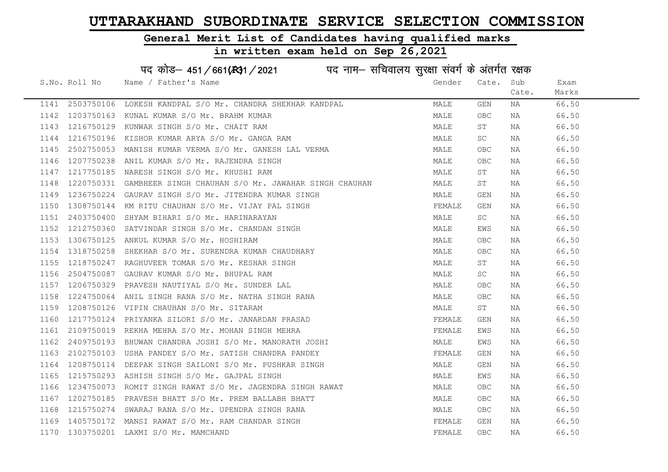#### General Merit List of Candidates having qualified marks

#### in written exam held on Sep 26,2021

S.No. Roll No Wame / Father's Name Gender Cate. Sub Cate. Exam Marks पद कोड– 451/661(स्था/2021 पद नाम– सचिवालय सुरक्षा संवर्ग के अंतर्गत रक्षक 1141 2503750106 LOKESH KANDPAL S/O Mr. CHANDRA SHEKHAR KANDPAL MALE GEN NA 66.50 1142 1203750163 KUNAL KUMAR S/O Mr. BRAHM KUMAR MARRE MALE OBC NA 66.50 1143 1216750129 KUNWAR SINGH S/O Mr. CHAIT RAM MALE ST NA 66.50 1144 1216750196 KISHOR KUMAR ARYA S/O Mr. GANGA RAM MALE SC NA 66.50 1145 2502750053 MANISH KUMAR VERMA S/O Mr. GANESH LAL VERMA MALE OBC NA 66.50 1146 1207750238 ANIL KUMAR S/O Mr. RAJENDRA SINGH MALE OBC NA 66.50 1147 1217750185 NARESH SINGH S/O Mr. KHUSHI RAM MALE ST NA 66.50 1148 1220750331 GAMBHEER SINGH CHAUHAN S/O Mr. JAWAHAR SINGH CHAUHAN MALE ST NA 66.50 1149 1236750224 GAURAV SINGH S/O Mr. JITENDRA KUMAR SINGH MALE GEN NA 66.50 1150 1308750144 KM RITU CHAUHAN S/O Mr. VIJAY PAL SINGH FEMALE GEN NA 66.50 1151 2403750400 SHYAM BIHARI S/O Mr. HARINARAYAN MALE SC NA 66.50 1152 1212750360 SATVINDAR SINGH S/O Mr. CHANDAN SINGH MANA MALE EWS NA 66.50 1153 1306750125 ANKUL KUMAR S/O Mr. HOSHIRAM MALE OBC NA 66.50 1154 1318750258 SHEKHAR S/O Mr. SURENDRA KUMAR CHAUDHARY MALE OBC NA 66.50 1155 1218750247 RAGHUVEER TOMAR S/O Mr. KESHAR SINGH MALE ST NA 66.50 1156 2504750087 GAURAV KUMAR S/O Mr. BHUPAL RAM MALE SC NA 66.50 1157 1206750329 PRAVESH NAUTIYAL S/O Mr. SUNDER LAL MANA MALE OBC NA 66.50 1158 1224750064 ANIL SINGH RANA S/O Mr. NATHA SINGH RANA MANA MALE OBC NA 66.50 1159 1208750126 VIPIN CHAUHAN S/O Mr. SITARAM MALE ST NA 66.50 1160 1217750124 PRIYANKA SILORI S/O Mr. JANARDAN PRASAD SANDRO FEMALE GEN NA 66.50 1161 2109750019 REKHA MEHRA S/O Mr. MOHAN SINGH MEHRA FUNCHI SHANGH TEMALE EWS NA 66.50 1162 2409750193 BHUWAN CHANDRA JOSHI S/O Mr. MANORATH JOSHI MAN MALE EWS NA 66.50 1163 2102750103 USHA PANDEY S/O Mr. SATISH CHANDRA PANDEY FEMALE GEN NA 66.50 1164 1208750114 DEEPAK SINGH SAILONI S/O Mr. PUSHKAR SINGH MANA MALE GEN NA 66.50 1165 1215750293 ASHISH SINGH S/O Mr. GAJPAL SINGH NAN MALE MALE EWS NA 166.50 1166 1234750073 ROMIT SINGH RAWAT S/O Mr. JAGENDRA SINGH RAWAT MALE OBC NA 66.50 1167 1202750185 PRAVESH BHATT S/O Mr. PREM BALLABH BHATT MAN MALE OBC NA 66.50 1168 1215750274 SWARAJ RANA S/O Mr. UPENDRA SINGH RANA MANA MALE OBC NA 66.50 1169 1405750172 MANSI RAWAT S/O Mr. RAM CHANDAR SINGH FRAME SERNALE GEN NA 66.50

1170 1303750201 LAXMI S/O Mr. MAMCHAND FEMALE OBC NA 66.50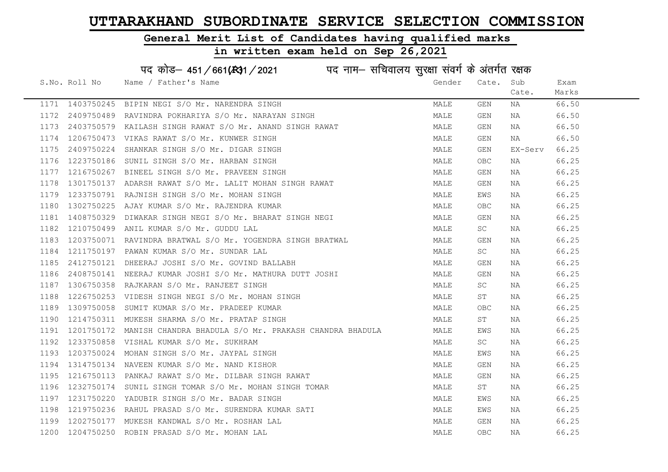#### General Merit List of Candidates having qualified marks

|      |                 | पद कोड़– 451/661(431/2021 पद नाम– सचिवालय सुरक्षा संवर्ग के अंतर्गत रक्षक |        |            |         |       |
|------|-----------------|---------------------------------------------------------------------------|--------|------------|---------|-------|
|      | S.No. Roll No   | Name / Father's Name                                                      | Gender | Cate.      | Sub     | Exam  |
|      |                 |                                                                           |        |            | Cate.   | Marks |
|      | 1171 1403750245 | BIPIN NEGI S/O Mr. NARENDRA SINGH                                         | MALE   | GEN        | NA      | 66.50 |
| 1172 | 2409750489      | RAVINDRA POKHARIYA S/O Mr. NARAYAN SINGH                                  | MALE   | GEN        | NA      | 66.50 |
| 1173 | 2403750579      | KAILASH SINGH RAWAT S/O Mr. ANAND SINGH RAWAT                             | MALE   | GEN        | NA      | 66.50 |
| 1174 | 1206750473      | VIKAS RAWAT S/O Mr. KUNWER SINGH                                          | MALE   | GEN        | NA      | 66.50 |
| 1175 | 2409750224      | SHANKAR SINGH S/O Mr. DIGAR SINGH                                         | MALE   | GEN        | EX-Serv | 66.25 |
| 1176 | 1223750186      | SUNIL SINGH S/O Mr. HARBAN SINGH                                          | MALE   | <b>OBC</b> | NA      | 66.25 |
| 1177 | 1216750267      | BINEEL SINGH S/O Mr. PRAVEEN SINGH                                        | MALE   | GEN        | NA      | 66.25 |
| 1178 | 1301750137      | ADARSH RAWAT S/O Mr. LALIT MOHAN SINGH RAWAT                              | MALE   | GEN        | NA      | 66.25 |
| 1179 | 1233750791      | RAJNISH SINGH S/O Mr. MOHAN SINGH                                         | MALE   | EWS        | NA      | 66.25 |
| 1180 | 1302750225      | AJAY KUMAR S/O Mr. RAJENDRA KUMAR                                         | MALE   | OBC        | NA      | 66.25 |
| 1181 | 1408750329      | DIWAKAR SINGH NEGI S/O Mr. BHARAT SINGH NEGI                              | MALE   | GEN        | NA      | 66.25 |
| 1182 | 1210750499      | ANIL KUMAR S/O Mr. GUDDU LAL                                              | MALE   | SC         | NA      | 66.25 |
| 1183 | 1203750071      | RAVINDRA BRATWAL S/O Mr. YOGENDRA SINGH BRATWAL                           | MALE   | <b>GEN</b> | NA      | 66.25 |
| 1184 |                 | 1211750197 PAWAN KUMAR S/O Mr. SUNDAR LAL                                 | MALE   | SC         | NA      | 66.25 |
| 1185 | 2412750121      | DHEERAJ JOSHI S/O Mr. GOVIND BALLABH                                      | MALE   | <b>GEN</b> | NA      | 66.25 |
| 1186 | 2408750141      | NEERAJ KUMAR JOSHI S/O Mr. MATHURA DUTT JOSHI                             | MALE   | <b>GEN</b> | NA      | 66.25 |
| 1187 | 1306750358      | RAJKARAN S/O Mr. RANJEET SINGH                                            | MALE   | SC         | NA      | 66.25 |
| 1188 | 1226750253      | VIDESH SINGH NEGI S/O Mr. MOHAN SINGH                                     | MALE   | ST         | NA      | 66.25 |
| 1189 | 1309750058      | SUMIT KUMAR S/O Mr. PRADEEP KUMAR                                         | MALE   | <b>OBC</b> | NA      | 66.25 |
| 1190 | 1214750311      | MUKESH SHARMA S/O Mr. PRATAP SINGH                                        | MALE   | ST         | NA      | 66.25 |
| 1191 | 1201750172      | MANISH CHANDRA BHADULA S/O Mr. PRAKASH CHANDRA BHADULA                    | MALE   | EWS        | NA      | 66.25 |
| 1192 | 1233750858      | VISHAL KUMAR S/O Mr. SUKHRAM                                              | MALE   | SC         | NA      | 66.25 |
| 1193 | 1203750024      | MOHAN SINGH S/O Mr. JAYPAL SINGH                                          | MALE   | EWS        | ΝA      | 66.25 |
| 1194 | 1314750134      | NAVEEN KUMAR S/O Mr. NAND KISHOR                                          | MALE   | GEN        | NA      | 66.25 |
| 1195 | 1216750113      | PANKAJ RAWAT S/O Mr. DILBAR SINGH RAWAT                                   | MALE   | GEN        | ΝA      | 66.25 |
| 1196 | 1232750174      | SUNIL SINGH TOMAR S/O Mr. MOHAN SINGH TOMAR                               | MALE   | ST         | NA      | 66.25 |
| 1197 | 1231750220      | YADUBIR SINGH S/O Mr. BADAR SINGH                                         | MALE   | EWS        | NA      | 66.25 |
| 1198 |                 | 1219750236 RAHUL PRASAD S/O Mr. SURENDRA KUMAR SATI                       | MALE   | EWS        | NA      | 66.25 |
| 1199 | 1202750177      | MUKESH KANDWAL S/O Mr. ROSHAN LAL                                         | MALE   | <b>GEN</b> | NA      | 66.25 |
| 1200 | 1204750250      | ROBIN PRASAD S/O Mr. MOHAN LAL                                            | MALE   | <b>OBC</b> | ΝA      | 66.25 |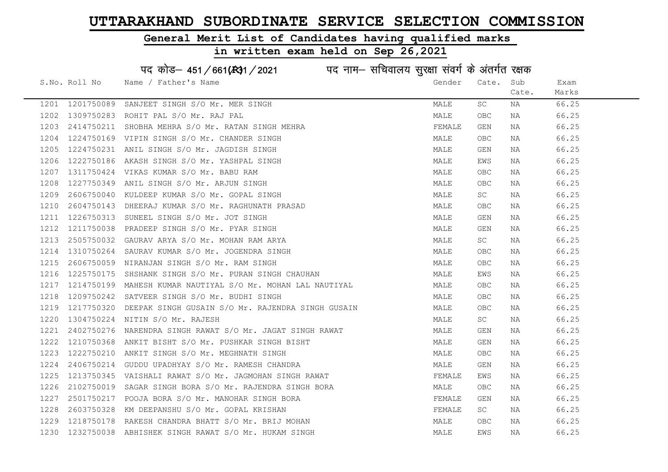#### General Merit List of Candidates having qualified marks

in written exam held on Sep 26,2021

S.No. Roll No Wame / Father's Name Gender Cate. Sub Cate. Exam Marks पद कोड– 451/661(स्था) / 2021 विद्युत्त नाम– सचिवालय सुरक्षा संवर्ग के अंतर्गत रक्षक 1201 1201750089 SANJEET SINGH S/O Mr. MER SINGH MALE SC NA 66.25 1202 1309750283 ROHIT PAL S/O Mr. RAJ PAL MALE OBC NA 66.25 1203 2414750211 SHOBHA MEHRA S/O Mr. RATAN SINGH MEHRA FRANCH SHORAL SHANA FEMALE GEN NA 66.25 1204 1224750169 VIPIN SINGH S/O Mr. CHANDER SINGH MALE OBC NA 66.25 1205 1224750231 ANIL SINGH S/O Mr. JAGDISH SINGH MALE GEN NA 66.25 1206 1222750186 AKASH SINGH S/O Mr. YASHPAL SINGH MALE EWS NA 66.25 1207 1311750424 VIKAS KUMAR S/O Mr. BABU RAM MALE OBC NA 66.25 1208 1227750349 ANIL SINGH S/O Mr. ARJUN SINGH MALE OBC NA 66.25 1209 2606750040 KULDEEP KUMAR S/O Mr. GOPAL SINGH MALE SC NA 66.25 1210 2604750143 DHEERAJ KUMAR S/O Mr. RAGHUNATH PRASAD MALE OBC NA 66.25 1211 1226750313 SUNEEL SINGH S/O Mr. JOT SINGH MALE GEN NA 66.25 1212 1211750038 PRADEEP SINGH S/O Mr. PYAR SINGH MALE GEN NA 66.25 1213 2505750032 GAURAV ARYA S/O Mr. MOHAN RAM ARYA MALE SC NA 66.25 1214 1310750264 SAURAV KUMAR S/O Mr. JOGENDRA SINGH MALE OBC NA 66.25 1215 2606750059 NIRANJAN SINGH S/O Mr. RAM SINGH MALE OBC NA 66.25 1216 1225750175 SHSHANK SINGH S/O Mr. PURAN SINGH CHAUHAN MAN MALE EWS NA 66.25 1217 1214750199 MAHESH KUMAR NAUTIYAL S/O Mr. MOHAN LAL NAUTIYAL MALE OBC NA 66.25 1218 1209750242 SATVEER SINGH S/O Mr. BUDHI SINGH MALE OBC NA 66.25 1219 1217750320 DEEPAK SINGH GUSAIN S/O Mr. RAJENDRA SINGH GUSAIN MALE OBC NA 66.25 1220 1304750224 NITIN S/O Mr. RAJESH MALE SC NA 66.25 1221 2402750276 NARENDRA SINGH RAWAT S/O Mr. JAGAT SINGH RAWAT MANAT MALE GEN NA 66.25 1222 1210750368 ANKIT BISHT S/O Mr. PUSHKAR SINGH BISHT MAN MALE GEN NA 66.25 1223 1222750210 ANKIT SINGH S/O Mr. MEGHNATH SINGH MALE OBC NA 66.25 1224 2406750214 GUDDU UPADHYAY S/O Mr. RAMESH CHANDRA NA MALE GEN NA 66.25 1225 1213750345 VAISHALI RAWAT S/O Mr. JAGMOHAN SINGH RAWAT THE SAND REMALE EWS NA 66.25 1226 2102750019 SAGAR SINGH BORA S/O Mr. RAJENDRA SINGH BORA MALE OBC NA 66.25 1227 2501750217 POOJA BORA S/O Mr. MANOHAR SINGH BORA FEMALE GEN NA 66.25 1228 2603750328 KM DEEPANSHU S/O Mr. GOPAL KRISHAN FEMALE SC NA 66.25 1229 1218750178 RAKESH CHANDRA BHATT S/O Mr. BRIJ MOHAN MALE MALE OBC NA 66.25 1230 1232750038 ABHISHEK SINGH RAWAT S/O Mr. HUKAM SINGH MANA MALE EWS NA 66.25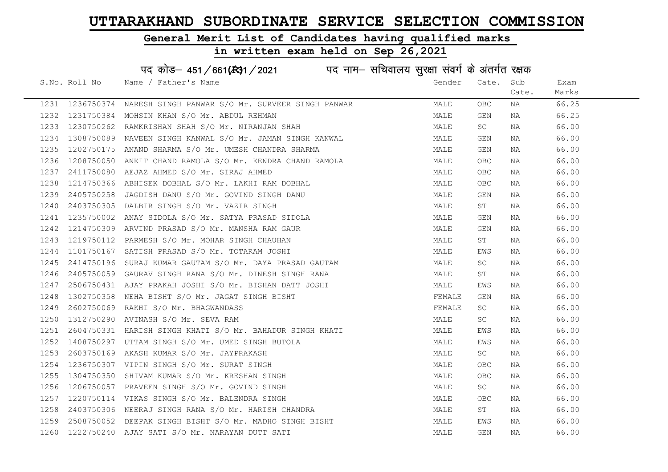#### General Merit List of Candidates having qualified marks

# in written exam held on Sep 26,2021

|      | S.No. Roll No | Name / Father's Name                                                                                                                                                                                                                       | Gender | Cate.      | Sub   | Exam  |
|------|---------------|--------------------------------------------------------------------------------------------------------------------------------------------------------------------------------------------------------------------------------------------|--------|------------|-------|-------|
|      |               |                                                                                                                                                                                                                                            |        |            | Cate. | Marks |
|      |               | 1231 1236750374 NARESH SINGH PANWAR S/O Mr. SURVEER SINGH PANWAR<br>1232 1231750384 MOHSIN KHAN S/O Mr. ABDUL REHMAN                                                                                                                       | MALE   | OBC        | NA    | 66.25 |
|      |               |                                                                                                                                                                                                                                            | MALE   | GEN        | NA    | 66.25 |
| 1233 |               | 1230750262 RAMKRISHAN SHAH S/O Mr. NIRANJAN SHAH                                                                                                                                                                                           | MALE   | SC         | NA    | 66.00 |
| 1234 |               | 1308750089 NAVEEN SINGH KANWAL S/O Mr. JAMAN SINGH KANWAL                                                                                                                                                                                  | MALE   | GEN        | NA    | 66.00 |
| 1235 |               | 1202750175 ANAND SHARMA S/O Mr. UMESH CHANDRA SHARMA                                                                                                                                                                                       | MALE   | GEN        | NA    | 66.00 |
| 1236 |               |                                                                                                                                                                                                                                            | MALE   | <b>OBC</b> | NA    | 66.00 |
| 1237 |               |                                                                                                                                                                                                                                            | MALE   | OBC        | NA    | 66.00 |
| 1238 |               |                                                                                                                                                                                                                                            | MALE   | <b>OBC</b> | NA    | 66.00 |
| 1239 |               | 1208750050 ANKIT CHAND RAMOLA S/O Mr. KENDRA CHAND RAMOLA<br>1208750050 ANKIT CHAND RAMOLA S/O Mr. KENDRA CHAND RAMOLA<br>1214750366 ABHISEK DOBHAL S/O Mr. LAKHI RAM DOBHAL<br>2405750258 JAGDISH DANU S/O Mr. GOVIND SINGH DANU<br>12037 | MALE   | GEN        | NA    | 66.00 |
| 1240 |               |                                                                                                                                                                                                                                            | MALE   | ST         | NA    | 66.00 |
| 1241 |               |                                                                                                                                                                                                                                            | MALE   | GEN        | NA    | 66.00 |
| 1242 |               |                                                                                                                                                                                                                                            | MALE   | GEN        | NA    | 66.00 |
| 1243 |               |                                                                                                                                                                                                                                            | MALE   | ST         | NA    | 66.00 |
| 1244 |               |                                                                                                                                                                                                                                            | MALE   | EWS        | NA    | 66.00 |
| 1245 | 2414750196    | SURAJ KUMAR GAUTAM S/O Mr. DAYA PRASAD GAUTAM                                                                                                                                                                                              | MALE   | SC         | NA    | 66.00 |
| 1246 |               | 2405750059 GAURAV SINGH RANA S/O Mr. DINESH SINGH RANA                                                                                                                                                                                     | MALE   | ST         | NA    | 66.00 |
| 1247 |               | 2506750431 AJAY PRAKAH JOSHI S/O Mr. BISHAN DATT JOSHI                                                                                                                                                                                     | MALE   | EWS        | NA    | 66.00 |
| 1248 | 1302750358    | NEHA BISHT S/O Mr. JAGAT SINGH BISHT                                                                                                                                                                                                       | FEMALE | GEN        | NA    | 66.00 |
| 1249 |               | 2602750069 RAKHI S/O Mr. BHAGWANDASS                                                                                                                                                                                                       | FEMALE | SC         | NA    | 66.00 |
| 1250 |               | 1312750290 AVINASH S/O Mr. SEVA RAM                                                                                                                                                                                                        | MALE   | SC         | NA    | 66.00 |
| 1251 |               | 2604750331 HARISH SINGH KHATI S/O Mr. BAHADUR SINGH KHATI                                                                                                                                                                                  | MALE   | EWS        | NA    | 66.00 |
| 1252 |               | 1408750297 UTTAM SINGH S/O Mr. UMED SINGH BUTOLA                                                                                                                                                                                           | MALE   | EWS        | NA    | 66.00 |
| 1253 |               |                                                                                                                                                                                                                                            | MALE   | SC .       | NA    | 66.00 |
| 1254 |               |                                                                                                                                                                                                                                            | MALE   | OBC        | NA    | 66.00 |
| 1255 |               |                                                                                                                                                                                                                                            | MALE   | OBC        | NA    | 66.00 |
| 1256 |               |                                                                                                                                                                                                                                            | MALE   | <b>SC</b>  | NA    | 66.00 |
| 1257 |               |                                                                                                                                                                                                                                            | MALE   | OBC        | NA    | 66.00 |
| 1258 |               | 2603750169 AKASH KUMAR S/O Mr. JAYPRAKASH<br>1236750307 VIPIN SINGH S/O Mr. SURAT SINGH<br>1304750350 SHIVAM KUMAR S/O Mr. KRESHAN SINGH<br>1206750057 PRAVEEN SINGH S/O Mr. GOVIND SINGH<br>1220750114 VIKAS SINGH S/O Mr. BALENDRA SINGH | MALE   | ST         | NA    | 66.00 |
| 1259 |               | 2508750052 DEEPAK SINGH BISHT S/O Mr. MADHO SINGH BISHT                                                                                                                                                                                    | MALE   | EWS        | NA    | 66.00 |
|      |               | 1260 1222750240 AJAY SATI S/O Mr. NARAYAN DUTT SATI                                                                                                                                                                                        | MALE   | <b>GEN</b> | NA    | 66.00 |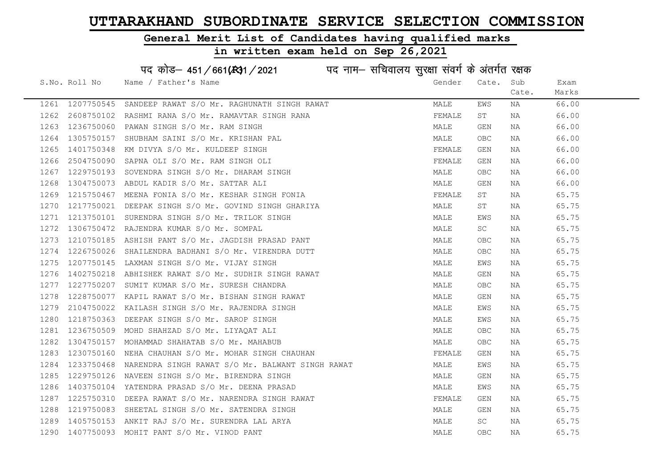#### General Merit List of Candidates having qualified marks

#### in written exam held on Sep 26,2021

S.No. Roll No Wame / Father's Name Gender Cate. Sub Cate. Exam Marks पद कोड– 451/661(स्था) / 2021 विद्युत्त नाम– सचिवालय सुरक्षा संवर्ग के अंतर्गत रक्षक 1261 1207750545 SANDEEP RAWAT S/O Mr. RAGHUNATH SINGH RAWAT MANA MALE EWS NA 66.00 1262 2608750102 RASHMI RANA S/O Mr. RAMAVTAR SINGH RANA FEMALE ST NA 66.00 1263 1236750060 PAWAN SINGH S/O Mr. RAM SINGH MALE GEN NA 66.00 1264 1305750157 SHUBHAM SAINI S/O Mr. KRISHAN PAL MALLANDAN MALE OBC NA 66.00 1265 1401750348 KM DIVYA S/O Mr. KULDEEP SINGH FEMALE GEN NA 66.00 1266 2504750090 SAPNA OLI S/O Mr. RAM SINGH OLI FEMALE GEN NA 66.00 1267 1229750193 SOVENDRA SINGH S/O Mr. DHARAM SINGH MALE OBC NA 66.00 1268 1304750073 ABDUL KADIR S/O Mr. SATTAR ALI MALE GEN NA 66.00 1269 1215750467 MEENA FONIA S/O Mr. KESHAR SINGH FONIA FEMALE ST NA 65.75 1270 1217750021 DEEPAK SINGH S/O Mr. GOVIND SINGH GHARIYA MARE ST NA 65.75 1271 1213750101 SURENDRA SINGH S/O Mr. TRILOK SINGH MALE EWS NA 65.75 1272 1306750472 RAJENDRA KUMAR S/O Mr. SOMPAL MARE MALE SC NA 65.75 1273 1210750185 ASHISH PANT S/O Mr. JAGDISH PRASAD PANT MALE OBC NA 65.75 1274 1226750026 SHAILENDRA BADHANI S/O Mr. VIRENDRA DUTT NA MALE OBC NA 65.75 1275 1207750145 LAXMAN SINGH S/O Mr. VIJAY SINGH MALE EWS NA 65.75 1276 1402750218 ABHISHEK RAWAT S/O Mr. SUDHIR SINGH RAWAT MALE GEN NA 65.75 1277 1227750207 SUMIT KUMAR S/O Mr. SURESH CHANDRA MALE OBC NA 65.75 1278 1228750077 KAPIL RAWAT S/O Mr. BISHAN SINGH RAWAT MALE GEN NA 65.75 1279 2104750022 KAILASH SINGH S/O Mr. RAJENDRA SINGH MALE EWS NA 65.75 1280 1218750363 DEEPAK SINGH S/O Mr. SAROP SINGH MALE EWS NA 65.75 1281 1236750509 MOHD SHAHZAD S/O Mr. LIYAQAT ALI MALE OBC NA 65.75 1282 1304750157 MOHAMMAD SHAHATAB S/O Mr. MAHABUB MALE OBC NA 65.75 1283 1230750160 NEHA CHAUHAN S/O Mr. MOHAR SINGH CHAUHAN SAN SERALE GEN NA 65.75 1284 1233750468 NARENDRA SINGH RAWAT S/O Mr. BALWANT SINGH RAWAT MARE MALE EWS NA 65.75 1285 1229750126 NAVEEN SINGH S/O Mr. BIRENDRA SINGH MALE GEN NA 65.75 1286 1403750104 YATENDRA PRASAD S/O Mr. DEENA PRASAD NA MALE EWS NA 65.75 1287 1225750310 DEEPARAWAT S/OM r. NARENDRA SINGH RAWAT TENNELL GEN DAN 1225750310 DEEPARAWAT S/OM r. NARENDRA SINGH RAWAT 1288 1219750083 SHEETAL SINGH S/O Mr. SATENDRA SINGH MALE GEN NA 65.75

1289 1405750153 ANKIT RAJ S/O Mr. SURENDRA LAL ARYA MALE SC NA 65.75 1290 1407750093 MOHIT PANT S/O Mr. VINOD PANT NAN MALE MALE OBC NA 65.75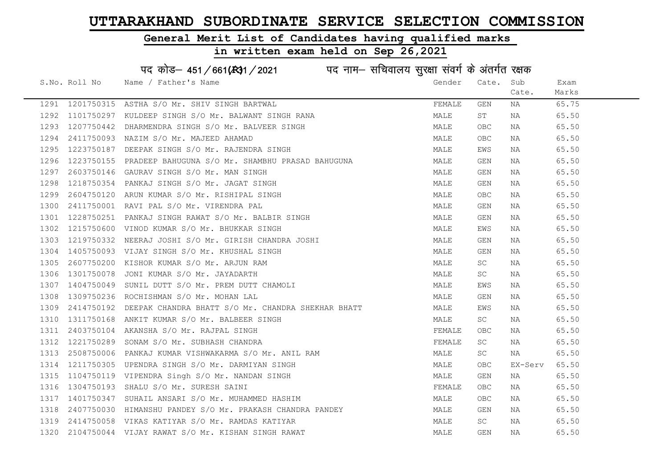#### General Merit List of Candidates having qualified marks

#### in written exam held on Sep 26,2021

S.No. Roll No Wame / Father's Name Gender Cate. Sub Cate. Exam Marks पद कोड़– 451/661(स्था/2021 व्याम- सचिवालय सुरक्षा संवर्ग के अंतर्गत रक्षक 1291 1201750315 ASTHA S/O Mr. SHIV SINGH BARTWAL THE SAND SERVALLE GEN NA 65.75 1292 1101750297 KULDEEP SINGH S/O Mr. BALWANT SINGH RANA MALE ST NA 65.50 1293 1207750442 DHARMENDRA SINGH S/O Mr. BALVEER SINGH MALE OBC NA 65.50 1294 2411750093 NAZIM S/O Mr. MAJEED AHAMAD MALE OBC NA 65.50 1295 1223750187 DEEPAK SINGH S/O Mr. RAJENDRA SINGH MALE EWS NA 65.50 1296 1223750155 PRADEEP BAHUGUNA S/O Mr. SHAMBHU PRASAD BAHUGUNA MANA MALE GEN NA 65.50 1297 2603750146 GAURAV SINGH S/O Mr. MAN SINGH MALE GEN NA 65.50 1298 1218750354 PANKAJ SINGH S/O Mr. JAGAT SINGH MALE GEN NA 65.50 1299 2604750120 ARUN KUMAR S/O Mr. RISHIPAL SINGH MALE OBC NA 65.50 1300 2411750001 RAVI PAL S/O Mr. VIRENDRA PAL MALE GEN NA 65.50 1301 1228750251 PANKAJ SINGH RAWAT S/O Mr. BALBIR SINGH MALE GEN NA 65.50 1302 1215750600 VINOD KUMAR S/O Mr. BHUKKAR SINGH MALE EWS NA 65.50 1303 1219750332 NEERAJ JOSHI S/O Mr. GIRISH CHANDRA JOSHI NA MALE GEN NA 65.50 1304 1405750093 VIJAY SINGH S/O Mr. KHUSHAL SINGH MALE GEN NA 65.50 1305 2607750200 KISHOR KUMAR S/O Mr. ARJUN RAM MALE SC NA 65.50 1306 1301750078 JONI KUMAR S/O Mr. JAYADARTH SAN SANDARTH MALE SC NA 65.50 1307 1404750049 SUNIL DUTT S/O Mr. PREM DUTT CHAMOLI CHEMONIC CONTROLLER MALE EWS NA 65.50 1308 1309750236 ROCHISHMAN S/O Mr. MOHAN LAL MALE GEN NA 65.50 1309 2414750192 DEEPAK CHANDRA BHATT S/O Mr. CHANDRA SHEKHAR BHATT MALE EWS NA 65.50 1310 1311750168 ANKIT KUMAR S/O Mr. BALBEER SINGH MALE SC NA 65.50 1311 2403750104 AKANSHA S/O Mr. RAJPAL SINGH FEMAL FEMALE OBC NA 65.50 1312 1221750289 SONAM S/O Mr. SUBHASH CHANDRA FEMALE SC NA 65.50 1313 2508750006 PANKAJ KUMAR VISHWAKARMA S/O Mr. ANIL RAM MALE SC NA 65.50 1314 1211750305 UPENDRA SINGH S/O Mr. DARMIYAN SINGH MALE OBC EX-Serv 65.50 1315 1104750119 VIPENDRA Singh S/O Mr. NANDAN SINGH MANA MALE GEN NA 65.50 1316 1304750193 SHALU S/O Mr. SURESH SAINI **FEMALE** OBC NA 65.50 1317 1401750347 SUHAIL ANSARI S/O Mr. MUHAMMED HASHIM MARE MALE OBC NA 65.50 1318 2407750030 HIMANSHU PANDEY S/O Mr. PRAKASH CHANDRA PANDEY MALE GEN NA 65.50 1319 2414750058 VIKAS KATIYAR S/O Mr. RAMDAS KATIYAR MANA MALE SC NA 65.50 1320 2104750044 VIJAY RAWAT S/O Mr. KISHAN SINGH RAWAT MAN MALE GEN NA 65.50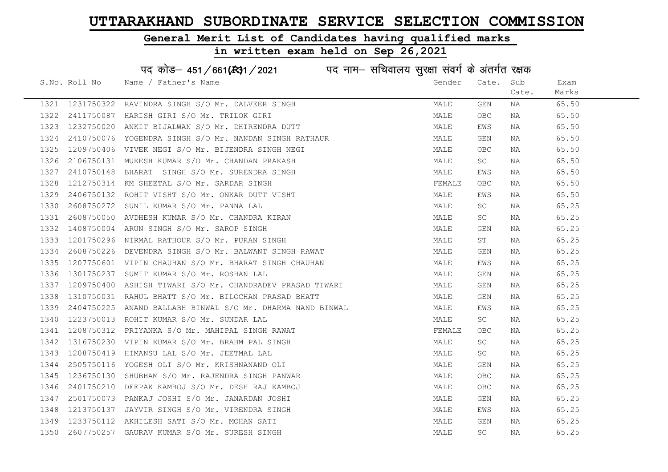#### General Merit List of Candidates having qualified marks

|      |               | पद कोड़– 451/661(431/2021 पद नाम– सचिवालय सुरक्षा संवर्ग के अंतर्गत रक्षक |        |                         |       |       |
|------|---------------|---------------------------------------------------------------------------|--------|-------------------------|-------|-------|
|      | S.No. Roll No | Name / Father's Name                                                      | Gender | Cate.                   | Sub   | Exam  |
|      |               |                                                                           |        |                         | Cate. | Marks |
| 1321 | 1231750322    | RAVINDRA SINGH S/O Mr. DALVEER SINGH                                      | MALE   | GEN                     | NA    | 65.50 |
| 1322 | 2411750087    | HARISH GIRI S/O Mr. TRILOK GIRI                                           | MALE   | OBC                     | NA    | 65.50 |
| 1323 | 1232750020    | ANKIT BIJALWAN S/O Mr. DHIRENDRA DUTT                                     | MALE   | EWS                     | NA    | 65.50 |
| 1324 | 2410750076    | YOGENDRA SINGH S/O Mr. NANDAN SINGH RATHAUR                               | MALE   | GEN                     | NA    | 65.50 |
| 1325 | 1209750406    | VIVEK NEGI S/O Mr. BIJENDRA SINGH NEGI                                    | MALE   | OBC                     | NA    | 65.50 |
| 1326 | 2106750131    | MUKESH KUMAR S/O Mr. CHANDAN PRAKASH                                      | MALE   | SC                      | NA    | 65.50 |
| 1327 | 2410750148    | SINGH S/O Mr. SURENDRA SINGH<br>BHARAT                                    | MALE   | EWS                     | ΝA    | 65.50 |
| 1328 | 1212750314    | KM SHEETAL S/O Mr. SARDAR SINGH                                           | FEMALE | <b>OBC</b>              | NA    | 65.50 |
| 1329 | 2406750132    | ROHIT VISHT S/O Mr. ONKAR DUTT VISHT                                      | MALE   | EWS                     | NA    | 65.50 |
| 1330 | 2608750272    | SUNIL KUMAR S/O Mr. PANNA LAL                                             | MALE   | SC                      | NA    | 65.25 |
| 1331 | 2608750050    | AVDHESH KUMAR S/O Mr. CHANDRA KIRAN                                       | MALE   | SC                      | ΝA    | 65.25 |
| 1332 | 1408750004    | ARUN SINGH S/O Mr. SAROP SINGH                                            | MALE   | GEN                     | NA    | 65.25 |
| 1333 | 1201750296    | NIRMAL RATHOUR S/O Mr. PURAN SINGH                                        | MALE   | ST                      | ΝA    | 65.25 |
| 1334 | 2608750226    | DEVENDRA SINGH S/O Mr. BALWANT SINGH RAWAT                                | MALE   | GEN                     | NA    | 65.25 |
| 1335 | 1207750601    | VIPIN CHAUHAN S/O Mr. BHARAT SINGH CHAUHAN                                | MALE   | EWS                     | NA    | 65.25 |
| 1336 | 1301750237    | SUMIT KUMAR S/O Mr. ROSHAN LAL                                            | MALE   | $\mathop{\mathsf{GEN}}$ | NA    | 65.25 |
| 1337 | 1209750400    | ASHISH TIWARI S/O Mr. CHANDRADEV PRASAD TIWARI                            | MALE   | GEN                     | NA    | 65.25 |
| 1338 | 1310750031    | RAHUL BHATT S/O Mr. BILOCHAN PRASAD BHATT                                 | MALE   | GEN                     | ΝA    | 65.25 |
| 1339 | 2404750225    | ANAND BALLABH BINWAL S/O Mr. DHARMA NAND BINWAL                           | MALE   | EWS                     | ΝA    | 65.25 |
| 1340 | 1223750013    | ROHIT KUMAR S/O Mr. SUNDAR LAL                                            | MALE   | SC                      | ΝA    | 65.25 |
| 1341 | 1208750312    | PRIYANKA S/O Mr. MAHIPAL SINGH RAWAT                                      | FEMALE | <b>OBC</b>              | NA    | 65.25 |
| 1342 | 1316750230    | VIPIN KUMAR S/O Mr. BRAHM PAL SINGH                                       | MALE   | SC                      | NA    | 65.25 |
| 1343 | 1208750419    | HIMANSU LAL S/O Mr. JEETMAL LAL                                           | MALE   | SC                      | NA    | 65.25 |
| 1344 | 2505750116    | YOGESH OLI S/O Mr. KRISHNANAND OLI                                        | MALE   | GEN                     | NA    | 65.25 |
| 1345 | 1236750130    | SHUBHAM S/O Mr. RAJENDRA SINGH PANWAR                                     | MALE   | <b>OBC</b>              | NA    | 65.25 |
| 1346 | 2401750210    | DEEPAK KAMBOJ S/O Mr. DESH RAJ KAMBOJ                                     | MALE   | OBC.                    | NA    | 65.25 |
| 1347 | 2501750073    | PANKAJ JOSHI S/O Mr. JANARDAN JOSHI                                       | MALE   | GEN                     | NA    | 65.25 |
| 1348 | 1213750137    | JAYVIR SINGH S/O Mr. VIRENDRA SINGH                                       | MALE   | EWS                     | NA    | 65.25 |
| 1349 | 1233750112    | AKHILESH SATI S/O Mr. MOHAN SATI                                          | MALE   | GEN                     | NA    | 65.25 |
| 1350 | 2607750257    | GAURAV KUMAR S/O Mr. SURESH SINGH                                         | MALE   | $\operatorname{SC}$     | ΝA    | 65.25 |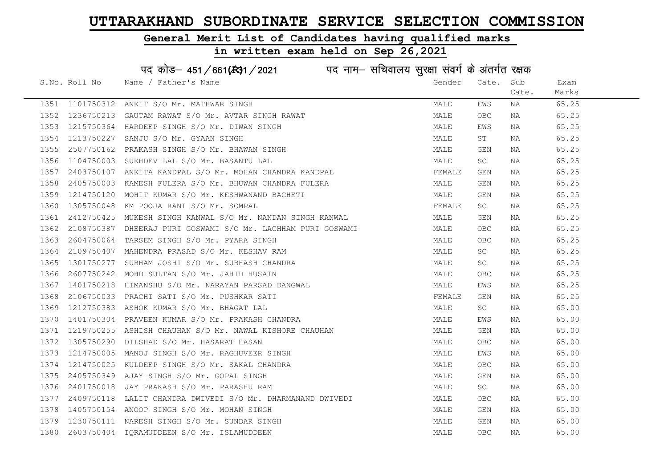### General Merit List of Candidates having qualified marks

|      |               | पद कोड़– 451/661(स्था/2021 विद्युत्तम- सचिवालय सुरक्षा संवर्ग के अंतर्गत रक्षक |        |                         |       |       |
|------|---------------|--------------------------------------------------------------------------------|--------|-------------------------|-------|-------|
|      | S.No. Roll No | Name / Father's Name                                                           | Gender | Cate.                   | Sub   | Exam  |
|      |               |                                                                                |        |                         | Cate. | Marks |
| 1351 | 1101750312    | ANKIT S/O Mr. MATHWAR SINGH                                                    | MALE   | EWS                     | NA    | 65.25 |
| 1352 |               | 1236750213 GAUTAM RAWAT S/O Mr. AVTAR SINGH RAWAT                              | MALE   | OBC                     | ΝA    | 65.25 |
| 1353 |               | 1215750364 HARDEEP SINGH S/O Mr. DIWAN SINGH                                   | MALE   | EWS                     | NA    | 65.25 |
| 1354 | 1213750227    | SANJU S/O Mr. GYAAN SINGH                                                      | MALE   | ST                      | NA    | 65.25 |
| 1355 |               | 2507750162 PRAKASH SINGH S/O Mr. BHAWAN SINGH                                  | MALE   | GEN                     | NA    | 65.25 |
| 1356 |               | 1104750003 SUKHDEV LAL S/O Mr. BASANTU LAL                                     | MALE   | SC                      | NA    | 65.25 |
| 1357 |               | 2403750107 ANKITA KANDPAL S/O Mr. MOHAN CHANDRA KANDPAL                        | FEMALE | GEN                     | NA    | 65.25 |
| 1358 | 2405750003    | KAMESH FULERA S/O Mr. BHUWAN CHANDRA FULERA                                    | MALE   | GEN                     | NA    | 65.25 |
| 1359 | 1214750120    | MOHIT KUMAR S/O Mr. KESHWANAND BACHETI                                         | MALE   | GEN                     | NA    | 65.25 |
| 1360 | 1305750048    | KM POOJA RANI S/O Mr. SOMPAL                                                   | FEMALE | SC                      | NA    | 65.25 |
| 1361 | 2412750425    | MUKESH SINGH KANWAL S/O Mr. NANDAN SINGH KANWAL                                | MALE   | GEN                     | NA    | 65.25 |
| 1362 |               | 2108750387 DHEERAJ PURI GOSWAMI S/O Mr. LACHHAM PURI GOSWAMI                   | MALE   | OBC                     | NA    | 65.25 |
| 1363 |               | 2604750064 TARSEM SINGH S/O Mr. PYARA SINGH                                    | MALE   | OBC                     | NA    | 65.25 |
| 1364 |               | 2109750407 MAHENDRA PRASAD S/O Mr. KESHAV RAM                                  | MALE   | SC.                     | NA    | 65.25 |
| 1365 |               | 1301750277 SUBHAM JOSHI S/O Mr. SUBHASH CHANDRA                                | MALE   | <b>SC</b>               | NA    | 65.25 |
| 1366 |               | 2607750242 MOHD SULTAN S/O Mr. JAHID HUSAIN                                    | MALE   | OBC                     | NA    | 65.25 |
| 1367 | 1401750218    | HIMANSHU S/O Mr. NARAYAN PARSAD DANGWAL                                        | MALE   | EWS                     | NA    | 65.25 |
| 1368 |               | 2106750033 PRACHI SATI S/O Mr. PUSHKAR SATI                                    | FEMALE | GEN                     | NA    | 65.25 |
| 1369 |               | 1212750383 ASHOK KUMAR S/O Mr. BHAGAT LAL                                      | MALE   | SC                      | NA    | 65.00 |
| 1370 |               | 1401750304 PRAVEEN KUMAR S/O Mr. PRAKASH CHANDRA                               | MALE   | EWS                     | NA    | 65.00 |
| 1371 |               | 1219750255 ASHISH CHAUHAN S/O Mr. NAWAL KISHORE CHAUHAN                        | MALE   | GEN                     | NA    | 65.00 |
| 1372 |               | 1305750290 DILSHAD S/O Mr. HASARAT HASAN                                       | MALE   | <b>OBC</b>              | NA    | 65.00 |
| 1373 | 1214750005    | MANOJ SINGH S/O Mr. RAGHUVEER SINGH                                            | MALE   | EWS                     | NA    | 65.00 |
| 1374 | 1214750025    | KULDEEP SINGH S/O Mr. SAKAL CHANDRA                                            | MALE   | <b>OBC</b>              | NA    | 65.00 |
| 1375 |               | 2405750349 AJAY SINGH S/O Mr. GOPAL SINGH                                      | MALE   | GEN                     | NA    | 65.00 |
| 1376 | 2401750018    | JAY PRAKASH S/O Mr. PARASHU RAM                                                | MALE   | SC                      | NA    | 65.00 |
| 1377 | 2409750118    | LALIT CHANDRA DWIVEDI S/O Mr. DHARMANAND DWIVEDI                               | MALE   | OBC                     | NA    | 65.00 |
| 1378 |               | 1405750154 ANOOP SINGH S/O Mr. MOHAN SINGH                                     | MALE   | GEN                     | NA    | 65.00 |
| 1379 |               | 1230750111 NARESH SINGH S/O Mr. SUNDAR SINGH                                   | MALE   | $\mathop{\mathsf{GEN}}$ | NA    | 65.00 |
| 1380 |               | 2603750404 IQRAMUDDEEN S/O Mr. ISLAMUDDEEN                                     | MALE   | OBC                     | ΝA    | 65.00 |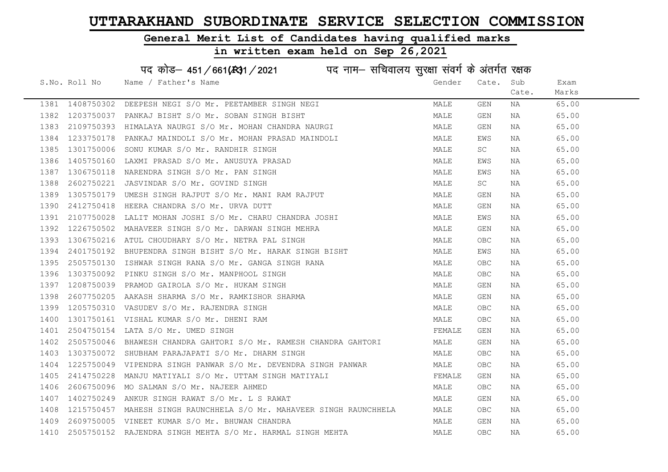#### General Merit List of Candidates having qualified marks

|      |               | पद कोड़– 451/661(431/2021 पद नाम– सचिवालय सुरक्षा संवर्ग के अंतर्गत रक्षक |        |            |       |       |
|------|---------------|---------------------------------------------------------------------------|--------|------------|-------|-------|
|      | S.No. Roll No | Name / Father's Name                                                      | Gender | Cate.      | Sub   | Exam  |
|      |               |                                                                           |        |            | Cate. | Marks |
| 1381 | 1408750302    | DEEPESH NEGI S/O Mr. PEETAMBER SINGH NEGI                                 | MALE   | GEN        | NA    | 65.00 |
| 1382 | 1203750037    | PANKAJ BISHT S/O Mr. SOBAN SINGH BISHT                                    | MALE   | GEN        | NA    | 65.00 |
| 1383 | 2109750393    | HIMALAYA NAURGI S/O Mr. MOHAN CHANDRA NAURGI                              | MALE   | GEN        | NA    | 65.00 |
| 1384 | 1233750178    | PANKAJ MAINDOLI S/O Mr. MOHAN PRASAD MAINDOLI                             | MALE   | EWS        | NA    | 65.00 |
| 1385 | 1301750006    | SONU KUMAR S/O Mr. RANDHIR SINGH                                          | MALE   | SC         | NA    | 65.00 |
| 1386 | 1405750160    | LAXMI PRASAD S/O Mr. ANUSUYA PRASAD                                       | MALE   | EWS        | NA    | 65.00 |
| 1387 | 1306750118    | NARENDRA SINGH S/O Mr. PAN SINGH                                          | MALE   | EWS        | NA    | 65.00 |
| 1388 | 2602750221    | JASVINDAR S/O Mr. GOVIND SINGH                                            | MALE   | SC         | NA    | 65.00 |
| 1389 | 1305750179    | UMESH SINGH RAJPUT S/O Mr. MANI RAM RAJPUT                                | MALE   | <b>GEN</b> | NA    | 65.00 |
| 1390 | 2412750418    | HEERA CHANDRA S/O Mr. URVA DUTT                                           | MALE   | GEN        | NA    | 65.00 |
| 1391 | 2107750028    | LALIT MOHAN JOSHI S/O Mr. CHARU CHANDRA JOSHI                             | MALE   | EWS        | NA    | 65.00 |
| 1392 | 1226750502    | MAHAVEER SINGH S/O Mr. DARWAN SINGH MEHRA                                 | MALE   | GEN        | NA    | 65.00 |
| 1393 |               | 1306750216 ATUL CHOUDHARY S/O Mr. NETRA PAL SINGH                         | MALE   | OBC.       | NA    | 65.00 |
| 1394 |               | 2401750192 BHUPENDRA SINGH BISHT S/O Mr. HARAK SINGH BISHT                | MALE   | EWS        | NA    | 65.00 |
| 1395 | 2505750130    | ISHWAR SINGH RANA S/O Mr. GANGA SINGH RANA                                | MALE   | <b>OBC</b> | NA    | 65.00 |
| 1396 | 1303750092    | PINKU SINGH S/O Mr. MANPHOOL SINGH                                        | MALE   | OBC.       | NA    | 65.00 |
| 1397 | 1208750039    | PRAMOD GAIROLA S/O Mr. HUKAM SINGH                                        | MALE   | GEN        | NA    | 65.00 |
| 1398 | 2607750205    | AAKASH SHARMA S/O Mr. RAMKISHOR SHARMA                                    | MALE   | GEN        | NA    | 65.00 |
| 1399 | 1205750310    | VASUDEV S/O Mr. RAJENDRA SINGH                                            | MALE   | OBC.       | NA    | 65.00 |
| 1400 |               | 1301750161 VISHAL KUMAR S/O Mr. DHENI RAM                                 | MALE   | OBC.       | NA    | 65.00 |
| 1401 | 2504750154    | LATA S/O Mr. UMED SINGH                                                   | FEMALE | GEN        | NA    | 65.00 |
| 1402 |               | 2505750046 BHAWESH CHANDRA GAHTORI S/O Mr. RAMESH CHANDRA GAHTORI         | MALE   | GEN        | NA    | 65.00 |
| 1403 | 1303750072    | SHUBHAM PARAJAPATI S/O Mr. DHARM SINGH                                    | MALE   | <b>OBC</b> | ΝA    | 65.00 |
| 1404 | 1225750049    | VIPENDRA SINGH PANWAR S/O Mr. DEVENDRA SINGH PANWAR                       | MALE   | OBC        | NA    | 65.00 |
| 1405 | 2414750228    | MANJU MATIYALI S/O Mr. UTTAM SINGH MATIYALI                               | FEMALE | GEN        | NA    | 65.00 |
| 1406 | 2606750096    | MO SALMAN S/O Mr. NAJEER AHMED                                            | MALE   | OBC.       | NA    | 65.00 |
| 1407 |               | 1402750249 ANKUR SINGH RAWAT S/O Mr. L S RAWAT                            | MALE   | GEN        | NA    | 65.00 |
| 1408 | 1215750457    | MAHESH SINGH RAUNCHHELA S/O Mr. MAHAVEER SINGH RAUNCHHELA                 | MALE   | OBC        | NA    | 65.00 |
| 1409 |               | 2609750005 VINEET KUMAR S/O Mr. BHUWAN CHANDRA                            | MALE   | GEN        | ΝA    | 65.00 |
| 1410 |               | 2505750152 RAJENDRA SINGH MEHTA S/O Mr. HARMAL SINGH MEHTA                | MALE   | <b>OBC</b> | ΝA    | 65.00 |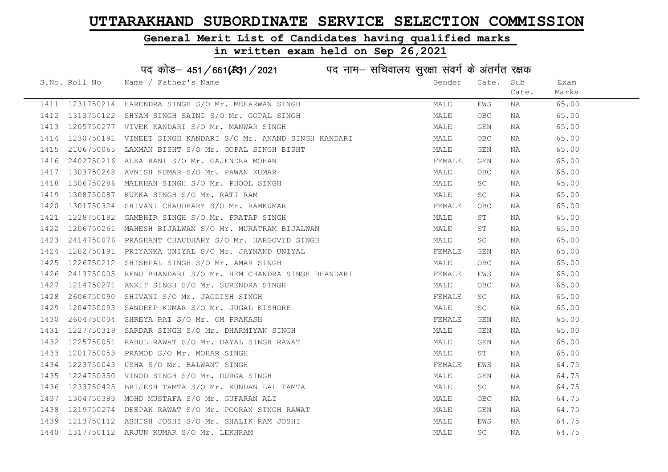#### General Merit List of Candidates having qualified marks

|      |               | पद कोड़– 451/661(431/2021 पद नाम– सचिवालय सुरक्षा संवर्ग के अंतर्गत रक्षक |        |            |       |       |
|------|---------------|---------------------------------------------------------------------------|--------|------------|-------|-------|
|      | S.No. Roll No | Name / Father's Name                                                      | Gender | Cate.      | Sub   | Exam  |
|      |               |                                                                           |        |            | Cate. | Marks |
|      |               | 1411 1231750214 HARENDRA SINGH S/O Mr. MEHARWAN SINGH                     | MALE   | EWS        | NA    | 65.00 |
| 1412 | 1313750122    | SHYAM SINGH SAINI S/O Mr. GOPAL SINGH                                     | MALE   | OBC.       | NA    | 65.00 |
| 1413 | 1205750277    | VIVEK KANDARI S/O Mr. MANWAR SINGH                                        | MALE   | GEN        | NA    | 65.00 |
| 1414 | 1230750191    | VINEET SINGH KANDARI S/O Mr. ANAND SINGH KANDARI                          | MALE   | OBC        | NA    | 65.00 |
| 1415 | 2106750065    | LAXMAN BISHT S/O Mr. GOPAL SINGH BISHT                                    | MALE   | GEN        | NA    | 65.00 |
| 1416 | 2402750216    | ALKA RANI S/O Mr. GAJENDRA MOHAN                                          | FEMALE | GEN        | NA    | 65.00 |
| 1417 | 1303750248    | AVNISH KUMAR S/O Mr. PAWAN KUMAR                                          | MALE   | OBC        | NA    | 65.00 |
| 1418 | 1306750286    | MALKHAN SINGH S/O Mr. PHOOL SINGH                                         | MALE   | SC         | NA    | 65.00 |
| 1419 | 1308750087    | KUKKA SINGH S/O Mr. RATI RAM                                              | MALE   | SC         | NA    | 65.00 |
| 1420 | 1301750324    | SHIVANI CHAUDHARY S/O Mr. RAMKUMAR                                        | FEMALE | OBC        | NA    | 65.00 |
| 1421 | 1228750182    | GAMBHIR SINGH S/O Mr. PRATAP SINGH                                        | MALE   | SΤ         | NA    | 65.00 |
| 1422 | 1206750261    | MAHESH BIJALWAN S/O Mr. MURATRAM BIJALWAN                                 | MALE   | SΤ         | NA    | 65.00 |
| 1423 | 2414750076    | PRASHANT CHAUDHARY S/O Mr. HARGOVID SINGH                                 | MALE   | SC         | NA    | 65.00 |
| 1424 |               | 1202750191 PRIYANKA UNIYAL S/O Mr. JAYNAND UNIYAL                         | FEMALE | GEN        | NA    | 65.00 |
| 1425 | 1226750212    | SHISHPAL SINGH S/O Mr. AMAR SINGH                                         | MALE   | <b>OBC</b> | NA    | 65.00 |
| 1426 | 2413750005    | RENU BHANDARI S/O Mr. HEM CHANDRA SINGH BHANDARI                          | FEMALE | EWS        | ΝA    | 65.00 |
| 1427 | 1214750271    | ANKIT SINGH S/O Mr. SURENDRA SINGH                                        | MALE   | OBC.       | NA    | 65.00 |
| 1428 | 2606750090    | SHIVANI S/O Mr. JAGDISH SINGH                                             | FEMALE | SC         | NA    | 65.00 |
| 1429 | 1204750093    | SANDEEP KUMAR S/O Mr. JUGAL KISHORE                                       | MALE   | SC         | NA    | 65.00 |
| 1430 | 2604750004    | SHREYA RAI S/O Mr. OM PRAKASH                                             | FEMALE | GEN        | NA    | 65.00 |
| 1431 | 1227750319    | SARDAR SINGH S/O Mr. DHARMIYAN SINGH                                      | MALE   | GEN        | NA    | 65.00 |
| 1432 |               | 1225750051 RAHUL RAWAT S/O Mr. DAYAL SINGH RAWAT                          | MALE   | GEN        | NA    | 65.00 |
| 1433 | 1201750053    | PRAMOD S/O Mr. MOHAR SINGH                                                | MALE   | ST         | NA    | 65.00 |
| 1434 | 1223750043    | USHA S/O Mr. BALWANT SINGH                                                | FEMALE | EWS        | NA    | 64.75 |
| 1435 | 1224750350    | VINOD SINGH S/O Mr. DURGA SINGH                                           | MALE   | GEN        | NA    | 64.75 |
| 1436 | 1233750425    | BRIJESH TAMTA S/O Mr. KUNDAN LAL TAMTA                                    | MALE   | SC         | NA    | 64.75 |
| 1437 | 1304750383    | MOHD MUSTAFA S/O Mr. GUFARAN ALI                                          | MALE   | OBC        | NA    | 64.75 |
| 1438 |               | 1219750274 DEEPAK RAWAT S/O Mr. POORAN SINGH RAWAT                        | MALE   | GEN        | NA    | 64.75 |
| 1439 |               | 1213750112 ASHISH JOSHI S/O Mr. SHALIK RAM JOSHI                          | MALE   | EWS        | NA    | 64.75 |
| 1440 |               | 1317750112 ARJUN KUMAR S/O Mr. LEKHRAM                                    | MALE   | <b>SC</b>  | ΝA    | 64.75 |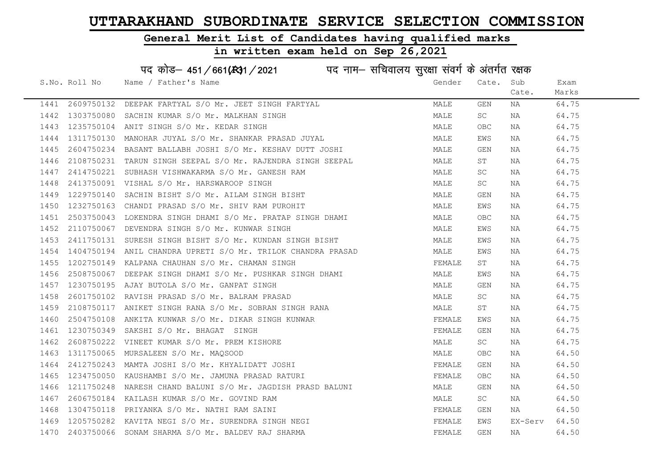#### General Merit List of Candidates having qualified marks

#### in written exam held on Sep 26,2021

S.No. Roll No Wame / Father's Name Gender Cate. Sub Cate. Exam Marks पद कोड– 451/661(स्था/2021 पद नाम– सचिवालय सुरक्षा संवर्ग के अंतर्गत रक्षक 1441 2609750132 DEEPAK FARTYAL S/O Mr. JEET SINGH FARTYAL MALE GEN NA 64.75 1442 1303750080 SACHIN KUMAR S/O Mr. MALKHAN SINGH MALE SC NA 64.75 1443 1235750104 ANIT SINGH S/O Mr. KEDAR SINGH MALE OBC NA 64.75 1444 1311750130 MANOHAR JUYAL S/O Mr. SHANKAR PRASAD JUYAL MANA MALE EWS NA 64.75 1445 2604750234 BASANT BALLABH JOSHI S/O Mr. KESHAV DUTT JOSHI MALE GEN NA 64.75 1446 2108750231 TARUN SINGH SEEPAL S/O Mr. RAJENDRA SINGH SEEPAL MALE ST NA 64.75 1447 2414750221 SUBHASH VISHWAKARMA S/O Mr. GANESH RAM MANA MALE SC NA 64.75 1448 2413750091 VISHAL S/O Mr. HARSWAROOP SINGH MALE SC NA 64.75 1449 1229750140 SACHIN BISHT S/O Mr. AILAM SINGH BISHT MALE GEN NA 64.75 1450 1232750163 CHANDI PRASAD S/O Mr. SHIV RAM PUROHIT NAN MALE EWS NA 64.75 1451 2503750043 LOKENDRA SINGH DHAMI S/O Mr. PRATAP SINGH DHAMI MALE OBC NA 64.75 1452 2110750067 DEVENDRA SINGH S/O Mr. KUNWAR SINGH MARRISH MANA MALE MANG NA 64.75 1453 2411750131 SURESH SINGH BISHT S/O Mr. KUNDAN SINGH BISHT MALE MALE EWS NA 64.75 1454 1404750194 ANIL CHANDRA UPRETI S/O Mr. TRILOK CHANDRA PRASAD MALE MALE EWS NA 64.75 1455 1202750149 KALPANA CHAUHAN S/O Mr. CHAMAN SINGH FEMALL ST NA 64.75 1456 2508750067 DEEPAK SINGH DHAMI S/O Mr. PUSHKAR SINGH DHAMI MALE MALE EWS NA 64.75 1457 1230750195 AJAY BUTOLA S/O Mr. GANPAT SINGH MALE GEN NA 64.75 1458 2601750102 RAVISH PRASAD S/O Mr. BALRAM PRASAD MALE SC NA 64.75 1459 2108750117 ANIKET SINGH RANA S/O Mr. SOBRAN SINGH RANA MALE ST NA 64.75 1460 2504750108 ANKITA KUNWAR S/O Mr. DIKAR SINGH KUNWAR FEMALE EWS NA 64.75 1461 1230750349 SAKSHI S/O Mr. BHAGAT SINGH FEMALE GEN NA 64.75 1462 2608750222 VINEET KUMAR S/O Mr. PREM KISHORE MALE SC NA 64.75 1463 1311750065 MURSALEEN S/O Mr. MAQSOOD MALE OBC NA 64.50 1464 2412750243 MAMTA JOSHI S/O Mr. KHYALIDATT JOSHI SARA SHANA TEMALE GEN NA 64.50 1465 1234750050 KAUSHAMBI S/O Mr. JAMUNA PRASAD RATURI TEMALE THE SEMALE OBC NA 64.50 1466 1211750248 NARESH CHAND BALUNI S/O Mr. JAGDISH PRASD BALUNI MALE GEN NA 64.50 1467 2606750184 KAILASH KUMAR S/O Mr. GOVIND RAM MALE SC NA 64.50 1468 1304750118 PRIYANKA S/O Mr. NATHI RAM SAINI FEMALE GEN NA 64.50 1469 1205750282 KAVITA NEGI S/O Mr. SURENDRA SINGH NEGI FEMALE EWS EX-Serv 64.50 1470 2403750066 SONAM SHARMA S/O Mr. BALDEV RAJ SHARMA FEMALE GEN NA 64.50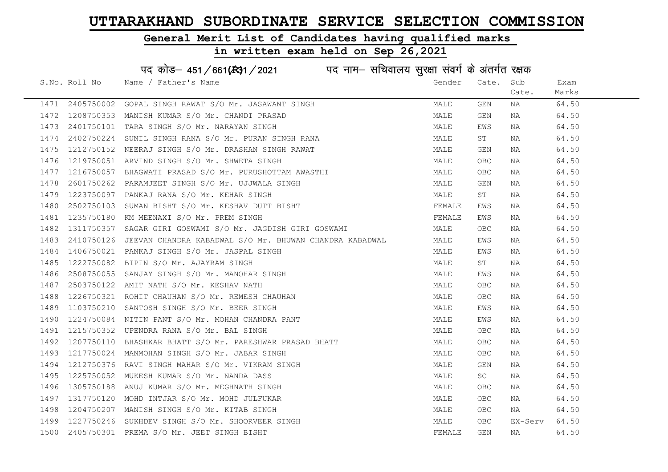#### General Merit List of Candidates having qualified marks

|      | पद कोड़- 451/661(431/2021 पद नाम- सचिवालय सुरक्षा संवर्ग के अंतर्गत रक्षक |                                                          |        |       |         |       |  |  |
|------|---------------------------------------------------------------------------|----------------------------------------------------------|--------|-------|---------|-------|--|--|
|      | S.No. Roll No                                                             | Name / Father's Name                                     | Gender | Cate. | Sub     | Exam  |  |  |
|      |                                                                           |                                                          |        |       | Cate.   | Marks |  |  |
| 1471 | 2405750002                                                                | GOPAL SINGH RAWAT S/O Mr. JASAWANT SINGH                 | MALE   | GEN   | NA      | 64.50 |  |  |
| 1472 | 1208750353                                                                | MANISH KUMAR S/O Mr. CHANDI PRASAD                       | MALE   | GEN   | NA      | 64.50 |  |  |
| 1473 | 2401750101                                                                | TARA SINGH S/O Mr. NARAYAN SINGH                         | MALE   | EWS   | NA      | 64.50 |  |  |
| 1474 | 2402750224                                                                | SUNIL SINGH RANA S/O Mr. PURAN SINGH RANA                | MALE   | ST    | NA      | 64.50 |  |  |
| 1475 | 1212750152                                                                | NEERAJ SINGH S/O Mr. DRASHAN SINGH RAWAT                 | MALE   | GEN   | NA      | 64.50 |  |  |
| 1476 |                                                                           | 1219750051 ARVIND SINGH S/O Mr. SHWETA SINGH             | MALE   | OBC   | NA      | 64.50 |  |  |
| 1477 | 1216750057                                                                | BHAGWATI PRASAD S/O Mr. PURUSHOTTAM AWASTHI              | MALE   | OBC   | NA      | 64.50 |  |  |
| 1478 | 2601750262                                                                | PARAMJEET SINGH S/O Mr. UJJWALA SINGH                    | MALE   | GEN   | NA      | 64.50 |  |  |
| 1479 | 1223750097                                                                | PANKAJ RANA S/O Mr. KEHAR SINGH                          | MALE   | ST    | NA      | 64.50 |  |  |
| 1480 | 2502750103                                                                | SUMAN BISHT S/O Mr. KESHAV DUTT BISHT                    | FEMALE | EWS   | NA      | 64.50 |  |  |
| 1481 | 1235750180                                                                | KM MEENAXI S/O Mr. PREM SINGH                            | FEMALE | EWS   | NA      | 64.50 |  |  |
| 1482 | 1311750357                                                                | SAGAR GIRI GOSWAMI S/O Mr. JAGDISH GIRI GOSWAMI          | MALE   | OBC.  | NA      | 64.50 |  |  |
| 1483 | 2410750126                                                                | JEEVAN CHANDRA KABADWAL S/O Mr. BHUWAN CHANDRA KABADWAL  | MALE   | EWS   | NA      | 64.50 |  |  |
| 1484 | 1406750021                                                                | PANKAJ SINGH S/O Mr. JASPAL SINGH                        | MALE   | EWS   | NA      | 64.50 |  |  |
| 1485 | 1222750082                                                                | BIPIN S/O Mr. AJAYRAM SINGH                              | MALE   | ST    | NA      | 64.50 |  |  |
| 1486 | 2508750055                                                                | SANJAY SINGH S/O Mr. MANOHAR SINGH                       | MALE   | EWS   | NA      | 64.50 |  |  |
| 1487 | 2503750122                                                                | AMIT NATH S/O Mr. KESHAV NATH                            | MALE   | OBC.  | NA      | 64.50 |  |  |
| 1488 | 1226750321                                                                | ROHIT CHAUHAN S/O Mr. REMESH CHAUHAN                     | MALE   | OBC   | NA      | 64.50 |  |  |
| 1489 | 1103750210                                                                | SANTOSH SINGH S/O Mr. BEER SINGH                         | MALE   | EWS   | NA      | 64.50 |  |  |
| 1490 | 1224750084                                                                | NITIN PANT S/O Mr. MOHAN CHANDRA PANT                    | MALE   | EWS   | NA      | 64.50 |  |  |
| 1491 | 1215750352                                                                | UPENDRA RANA S/O Mr. BAL SINGH                           | MALE   | OBC.  | NA      | 64.50 |  |  |
| 1492 |                                                                           | 1207750110 BHASHKAR BHATT S/O Mr. PARESHWAR PRASAD BHATT | MALE   | OBC   | NA      | 64.50 |  |  |
| 1493 | 1217750024                                                                | MANMOHAN SINGH S/O Mr. JABAR SINGH                       | MALE   | OBC   | NA      | 64.50 |  |  |
| 1494 | 1212750376                                                                | RAVI SINGH MAHAR S/O Mr. VIKRAM SINGH                    | MALE   | GEN   | NA      | 64.50 |  |  |
| 1495 | 1225750052                                                                | MUKESH KUMAR S/O Mr. NANDA DASS                          | MALE   | SC    | NA      | 64.50 |  |  |
| 1496 | 1305750188                                                                | ANUJ KUMAR S/O Mr. MEGHNATH SINGH                        | MALE   | OBC   | NA      | 64.50 |  |  |
| 1497 | 1317750120                                                                | MOHD INTJAR S/O Mr. MOHD JULFUKAR                        | MALE   | OBC   | NA      | 64.50 |  |  |
| 1498 | 1204750207                                                                | MANISH SINGH S/O Mr. KITAB SINGH                         | MALE   | OBC   | NA      | 64.50 |  |  |
| 1499 | 1227750246                                                                | SUKHDEV SINGH S/O Mr. SHOORVEER SINGH                    | MALE   | OBC.  | EX-Serv | 64.50 |  |  |
| 1500 |                                                                           | 2405750301 PREMA S/O Mr. JEET SINGH BISHT                | FEMALE | GEN   | NA      | 64.50 |  |  |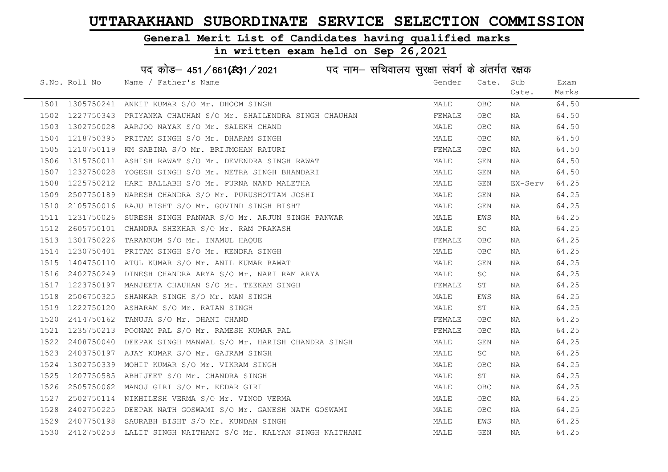Cate.

Exam Marks

### General Merit List of Candidates having qualified marks

#### in written exam held on Sep 26,2021

S.No. Roll No Mame / Father's Name Gender Cate. Sub पद कोड– 451/661(स्था/2021 व्यान सचिवालय सुरक्षा संवर्ग के अंतर्गत रक्षक 1501 1305750241 ANKIT KUMAR S/O Mr. DHOOM SINGH (1999) AND MALE OBC NA 64.50<br>1502 1227750242 BRIVANKA GUALUUAN S/O Mr. SUAIIBNDRA SINGU GUALUAN 1502 1227750343 PRIYANKA CHAUHAN S/O Mr. SHAILENDRA SINGH CHAUHAN FEMALE OBC NA 64.50

| エコリム | 1227750343 | PRIYANKA CHAUHAN S/O MY. SHAILENDRA SINGH CHAUHAN                                                                                                                                                                                          | FEMATE | OBC.       | NA      | 64.50 |
|------|------------|--------------------------------------------------------------------------------------------------------------------------------------------------------------------------------------------------------------------------------------------|--------|------------|---------|-------|
| 1503 |            | 1302750028 AARJOO NAYAK S/O Mr. SALEKH CHAND<br>1218750395 PRITAM SINGH S/O Mr. DHARAM SINGH<br>1210750119 KM SABINA S/O Mr. BRIJMOHAN RATURI<br>1315750011 ASHISH RAWAT S/O Mr. DEVENDRA SINGH RAWAT                                      | MALE   | OBC        | NA      | 64.50 |
|      |            | 1504 1218750395 PRITAM SINGH S/O Mr. DHARAM SINGH                                                                                                                                                                                          | MALE   | <b>OBC</b> | NA      | 64.50 |
| 1505 |            |                                                                                                                                                                                                                                            | FEMALE | <b>OBC</b> | NA      | 64.50 |
| 1506 |            |                                                                                                                                                                                                                                            | MALE   | GEN        | NA      | 64.50 |
|      |            | 1507 1232750028 YOGESH SINGH S/O Mr. NETRA SINGH BHANDARI                                                                                                                                                                                  | MALE   | GEN        | NA      | 64.50 |
| 1508 |            | 1225750212 HARI BALLABH S/O Mr. PURNA NAND MALETHA<br>2507750189 NARESH CHANDRA S/O Mr. PURUSHOTTAM JOSHI<br>2105750016 RAJU BISHT S/O Mr. GOVIND SINGH BISHT                                                                              | MALE   | GEN        | EX-Serv | 64.25 |
| 1509 |            |                                                                                                                                                                                                                                            | MALE   | GEN        | NA      | 64.25 |
| 1510 |            |                                                                                                                                                                                                                                            | MALE   | GEN        | NA      | 64.25 |
| 1511 |            | 1231750026 SURESH SINGH PANWAR S/O Mr. ARJUN SINGH PANWAR                                                                                                                                                                                  | MALE   | EWS        | NA      | 64.25 |
| 1512 |            | 2605750101 CHANDRA SHEKHAR S/O Mr. RAM PRAKASH<br>1301750226 TARANNUM S/O Mr. INAMUL HAQUE<br>1230750401 PRITAM SINGH S/O Mr. KENDRA SINGH<br>1404750110 ATUL KUMAR S/O Mr. ANIL KUMAR RAWAT                                               | MALE   | SC         | NA      | 64.25 |
| 1513 |            |                                                                                                                                                                                                                                            | FEMALE | OBC        | NA      | 64.25 |
| 1514 |            |                                                                                                                                                                                                                                            | MALE   | OBC        | NA      | 64.25 |
| 1515 |            |                                                                                                                                                                                                                                            | MALE   | GEN        | NA      | 64.25 |
|      |            | 1516 2402750249 DINESH CHANDRA ARYA S/O Mr. NARI RAM ARYA<br>1517 1223750197 MANJEETA CHAUHAN S/O Mr. TEEKAM SINGH<br>1518 2506750325 SHANKAR SINGH S/O Mr. MAN SINGH<br>1519 1222750120 ASHARAM S/O Mr. RATAN SINGH<br>1520 2414750162 TA | MALE   | SC         | NA      | 64.25 |
|      |            |                                                                                                                                                                                                                                            | FEMALE | ST         | NA      | 64.25 |
|      |            |                                                                                                                                                                                                                                            | MALE   | EWS        | NA      | 64.25 |
|      |            |                                                                                                                                                                                                                                            | MALE   | ST         | NA      | 64.25 |
|      |            |                                                                                                                                                                                                                                            | FEMALE | OBC        | NA      | 64.25 |
|      |            |                                                                                                                                                                                                                                            | FEMALE | OBC        | NA      | 64.25 |
| 1522 |            | 2408750040 DEEPAK SINGH MANWAL S/O Mr. HARISH CHANDRA SINGH                                                                                                                                                                                | MALE   | GEN        | NA      | 64.25 |
| 1523 |            | 2403750197 AJAY KUMAR S/O Mr. GAJRAM SINGH                                                                                                                                                                                                 | MALE   | SC         | NA      | 64.25 |
| 1524 |            |                                                                                                                                                                                                                                            | MALE   | OBC        | NA      | 64.25 |
| 1525 |            |                                                                                                                                                                                                                                            | MALE   | ST         | NA      | 64.25 |
| 1526 |            | 1302750339 MOHIT KUMAR S/O Mr. VIKRAM SINGH<br>1207750585 ABHIJEET S/O Mr. CHANDRA SINGH<br>2505750062 MANOJ GIRI S/O Mr. KEDAR GIRI<br>2502750114 NIKHILESH VERMA S/O Mr. VINOD VERMA<br>2402750225 DEEDAY NATH GOGHANG S/O H             | MALE   | OBC        | NA      | 64.25 |
| 1527 |            |                                                                                                                                                                                                                                            | MALE   | OBC        | NA      | 64.25 |
| 1528 |            | 2402750225 DEEPAK NATH GOSWAMI S/O Mr. GANESH NATH GOSWAMI                                                                                                                                                                                 | MALE   | <b>OBC</b> | NA      | 64.25 |
| 1529 |            | 2407750198 SAURABH BISHT S/O Mr. KUNDAN SINGH                                                                                                                                                                                              | MALE   | EWS        | NA      | 64.25 |
|      |            | 1530 2412750253 LALIT SINGH NAITHANI S/O Mr. KALYAN SINGH NAITHANI                                                                                                                                                                         | MALE   | GEN        | NA      | 64.25 |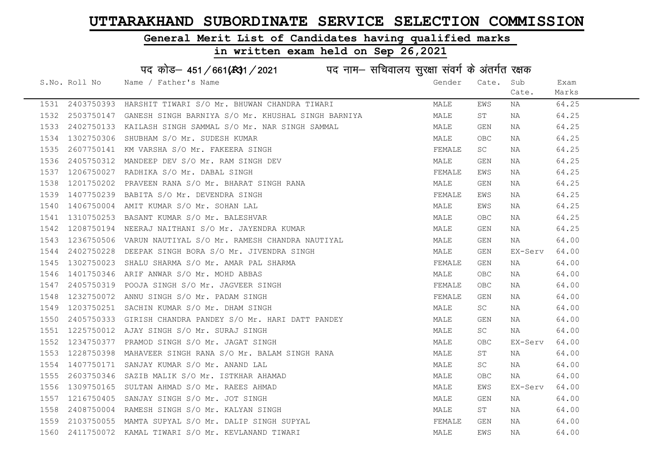#### General Merit List of Candidates having qualified marks

#### in written exam held on Sep 26,2021

S.No. Roll No Wame / Father's Name Gender Cate. Sub Cate. Exam Marks पद कोड– 451/661(स्था) / 2021 विद्युत्त नाम– सचिवालय सुरक्षा संवर्ग के अंतर्गत रक्षक 1531 2403750393 HARSHIT TIWARI S/O Mr. BHUWAN CHANDRA TIWARI MARRI MALE EWS NA 64.25 1532 2503750147 GANESH SINGH BARNIYA S/O Mr. KHUSHAL SINGH BARNIYA MALE ST NA 64.25 1533 2402750133 KAILASH SINGH SAMMAL S/O Mr. NAR SINGH SAMMAL MALE GEN NA 64.25 1534 1302750306 SHUBHAM S/O Mr. SUDESH KUMAR MALE MALE OBC NA 64.25 1535 2607750141 KM VARSHA S/O Mr. FAKEERA SINGH FEMALE SC NA 64.25 1536 2405750312 MANDEEP DEV S/O Mr. RAM SINGH DEV MALE GEN NA 64.25 1537 1206750027 RADHIKA S/O Mr. DABAL SINGH FEMAL FEMALE EWS NA 64.25 1538 1201750202 PRAVEEN RANA S/O Mr. BHARAT SINGH RANA MANA MALE GEN NA 64.25 1539 1407750239 BABITA S/O Mr. DEVENDRA SINGH FEMALE EWS NA 64.25 1540 1406750004 AMIT KUMAR S/O Mr. SOHAN LAL MALE EWS NA 64.25 1541 1310750253 BASANT KUMAR S/O Mr. BALESHVAR MALE OBC NA 64.25 1542 1208750194 NEERAJ NAITHANI S/O Mr. JAYENDRA KUMAR MANA MALE GEN NA 64.25 1543 1236750506 VARUN NAUTIYAL S/O Mr. RAMESH CHANDRA NAUTIYAL MAN MALE GEN NA 64.00 1544 2402750228 DEEPAK SINGH BORA S/O Mr. JIVENDRA SINGH MANANA SANGHAN MALE GEN EX-Serv 64.00 1545 1302750023 SHALU SHARMA S/O Mr. AMAR PAL SHARMA FRANCHI SAN SHANA FEMALE GEN NA 164.00 1546 1401750346 ARIF ANWAR S/O Mr. MOHD ABBAS MALE OBC NA 64.00 1547 2405750319 POOJA SINGH S/O Mr. JAGVEER SINGH FEMALE OBC NA 64.00 1548 1232750072 ANNU SINGH S/O Mr. PADAM SINGH FEMALE GEN NA 64.00 1549 1203750251 SACHIN KUMAR S/O Mr. DHAM SINGH MALE SC NA 64.00 1550 2405750333 GIRISH CHANDRA PANDEY S/O Mr. HARI DATT PANDEY MALE GEN NA 64.00 1551 1225750012 AJAY SINGH S/O Mr. SURAJ SINGH MALE SC NA 64.00 1552 1234750377 PRAMOD SINGH S/O Mr. JAGAT SINGH MALE OBC EX-Serv 64.00 1553 1228750398 MAHAVEER SINGH RANA S/O Mr. BALAM SINGH RANA MALE ST NA 64.00 1554 1407750171 SANJAY KUMAR S/O Mr. ANAND LAL MALL MALE SC NA 64.00 1555 2603750346 SAZIB MALIK S/O Mr. ISTKHAR AHAMAD MALE OBC NA 64.00 1556 1309750165 SULTAN AHMAD S/O Mr. RAEES AHMAD MALE EWS EX-Serv 64.00 1557 1216750405 SANJAY SINGH S/O Mr. JOT SINGH MALE GEN NA 64.00 1558 2408750004 RAMESH SINGH S/O Mr. KALYAN SINGH MALE ST NA 64.00 1559 2103750055 MAMTA SUPYAL S/O Mr. DALIP SINGH SUPYAL FEMALE GEN NA 64.00 1560 2411750072 KAMAL TIWARI S/O Mr. KEVLANAND TIWARI MALE EWS NA 64.00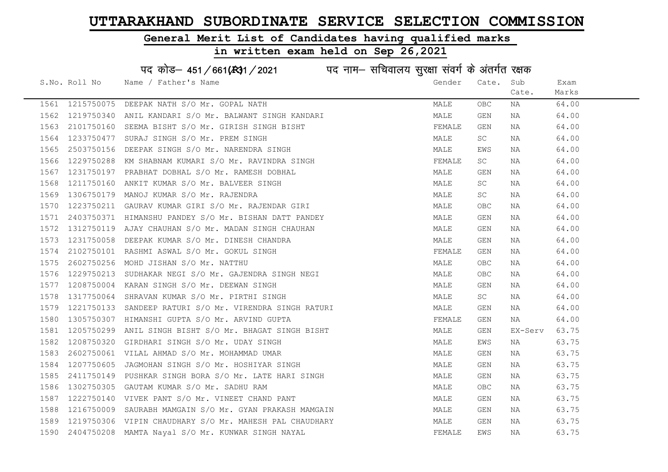#### General Merit List of Candidates having qualified marks

in written exam held on Sep 26,2021

S.No. Roll No Wame / Father's Name Gender Cate. Sub Cate. Exam Marks पद कोड़– 451/661(स्था/2021 व्याम- सचिवालय सुरक्षा संवर्ग के अंतर्गत रक्षक 1561 1215750075 DEEPAK NATH S/O Mr. GOPAL NATH MALE OBC NA 64.00 1562 1219750340 ANIL KANDARI S/O Mr. BALWANT SINGH KANDARI MALE GEN NA 64.00 1563 2101750160 SEEMA BISHT S/O Mr. GIRISH SINGH BISHT SAN SHOTTAN SEEMALE GEN NA 64.00 1564 1233750477 SURAJ SINGH S/O Mr. PREM SINGH MALE SC NA 64.00 1565 2503750156 DEEPAK SINGH S/O Mr. NARENDRA SINGH MALE EWS NA 64.00 1566 1229750288 KM SHABNAM KUMARI S/O Mr. RAVINDRA SINGH FEMALE SC NA 64.00 1567 1231750197 PRABHAT DOBHAL S/O Mr. RAMESH DOBHAL NA MALE GEN NA 64.00 1568 1211750160 ANKIT KUMAR S/O Mr. BALVEER SINGH MALE SC NA 64.00 1569 1306750179 MANOJ KUMAR S/O Mr. RAJENDRA MALE SC NA 64.00 1570 1223750211 GAURAV KUMAR GIRI S/O Mr. RAJENDAR GIRI MAN MALE OBC NA 64.00 1571 2403750371 HIMANSHU PANDEY S/O Mr. BISHAN DATT PANDEY MALE GEN NA 64.00 1572 1312750119 AJAY CHAUHAN S/O Mr. MADAN SINGH CHAUHAN MALE GEN NA 64.00 1573 1231750058 DEEPAK KUMAR S/O Mr. DINESH CHANDRA MALE GEN NA 64.00 1574 2102750101 RASHMI ASWAL S/O Mr. GOKUL SINGH FEMALE GEN NA 64.00 1575 2602750256 MOHD JISHAN S/O Mr. NATTHU MALE OBC NA 64.00 1576 1229750213 SUDHAKAR NEGI S/O Mr. GAJENDRA SINGH NEGI MALE OBC NA 64.00 1577 1208750004 KARAN SINGH S/O Mr. DEEWAN SINGH MALE GEN NA 64.00 1578 1317750064 SHRAVAN KUMAR S/O Mr. PIRTHI SINGH MALE SC NA 64.00 1579 1221750133 SANDEEP RATURI S/O Mr. VIRENDRA SINGH RATURI CON MALE GEN NA 64.00 1580 1305750307 HIMANSHI GUPTA S/O Mr. ARVIND GUPTA FEMALE GEN NA 64.00 1581 1205750299 ANIL SINGH BISHT S/O Mr. BHAGAT SINGH BISHT MALE GEN EX-Serv 63.75 1582 1208750320 GIRDHARI SINGH S/O Mr. UDAY SINGH MALE EWS NA 63.75 1583 2602750061 VILAL AHMAD S/O Mr. MOHAMMAD UMAR MALE GEN NA 63.75 1584 1207750605 JAGMOHAN SINGH S/O Mr. HOSHIYAR SINGH MALE GEN NA 63.75 1585 2411750149 PUSHKAR SINGH BORA S/O Mr. LATE HARI SINGH MAN MALE GEN NA 63.75 1586 1302750305 GAUTAM KUMAR S/O Mr. SADHU RAM MALE OBC NA 63.75 1587 1222750140 VIVEK PANT S/O Mr. VINEET CHAND PANT NAN MALE GEN NA 63.75 1588 1216750009 SAURABH MAMGAIN S/O Mr. GYAN PRAKASH MAMGAIN MALE GEN NA 63.75 1589 1219750306 VIPIN CHAUDHARY S/O Mr. MAHESH PAL CHAUDHARY NAN MALE GEN NA 63.75 1590 2404750208 MAMTA Nayal S/O Mr. KUNWAR SINGH NAYAL FEMALE EWS NA 63.75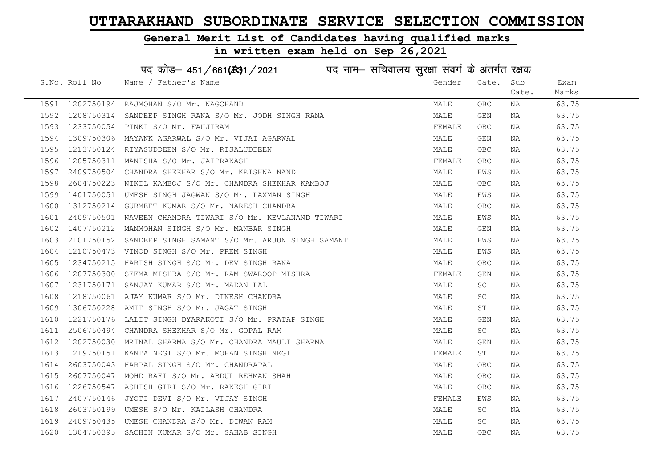### General Merit List of Candidates having qualified marks

| पद कोड– 451/661(स्था/2021 ) पद नाम– सचिवालय सुरक्षा संवर्ग के अंतर्गत रक्षक |               |                                                            |        |                         |       |       |  |  |
|-----------------------------------------------------------------------------|---------------|------------------------------------------------------------|--------|-------------------------|-------|-------|--|--|
|                                                                             | S.No. Roll No | Name / Father's Name                                       | Gender | Cate.                   | Sub   | Exam  |  |  |
|                                                                             |               |                                                            |        |                         | Cate. | Marks |  |  |
| 1591                                                                        | 1202750194    | RAJMOHAN S/O Mr. NAGCHAND                                  | MALE   | OBC.                    | ΝA    | 63.75 |  |  |
| 1592                                                                        |               | 1208750314 SANDEEP SINGH RANA S/O Mr. JODH SINGH RANA      | MALE   | $\mathop{\mathsf{GEN}}$ | NA    | 63.75 |  |  |
| 1593                                                                        | 1233750054    | PINKI S/O Mr. FAUJIRAM                                     | FEMALE | <b>OBC</b>              | ΝA    | 63.75 |  |  |
| 1594                                                                        | 1309750306    | MAYANK AGARWAL S/O Mr. VIJAI AGARWAL                       | MALE   | GEN                     | NA    | 63.75 |  |  |
| 1595                                                                        |               | 1213750124 RIYASUDDEEN S/O Mr. RISALUDDEEN                 | MALE   | <b>OBC</b>              | NA    | 63.75 |  |  |
| 1596                                                                        |               | 1205750311 MANISHA S/O Mr. JAIPRAKASH                      | FEMALE | OBC                     | NA    | 63.75 |  |  |
| 1597                                                                        | 2409750504    | CHANDRA SHEKHAR S/O Mr. KRISHNA NAND                       | MALE   | EWS                     | NA    | 63.75 |  |  |
| 1598                                                                        | 2604750223    | NIKIL KAMBOJ S/O Mr. CHANDRA SHEKHAR KAMBOJ                | MALE   | OBC                     | NA    | 63.75 |  |  |
| 1599                                                                        | 1401750051    | UMESH SINGH JAGWAN S/O Mr. LAXMAN SINGH                    | MALE   | EWS                     | NA    | 63.75 |  |  |
| 1600                                                                        |               | 1312750214 GURMEET KUMAR S/O Mr. NARESH CHANDRA            | MALE   | OBC                     | NA    | 63.75 |  |  |
| 1601                                                                        | 2409750501    | NAVEEN CHANDRA TIWARI S/O Mr. KEVLANAND TIWARI             | MALE   | EWS                     | NA    | 63.75 |  |  |
| 1602                                                                        |               | 1407750212 MANMOHAN SINGH S/O Mr. MANBAR SINGH             | MALE   | GEN                     | NA    | 63.75 |  |  |
| 1603                                                                        |               | 2101750152 SANDEEP SINGH SAMANT S/O Mr. ARJUN SINGH SAMANT | MALE   | EWS                     | NA    | 63.75 |  |  |
| 1604                                                                        |               | 1210750473 VINOD SINGH S/O Mr. PREM SINGH                  | MALE   | EWS                     | NA    | 63.75 |  |  |
| 1605                                                                        | 1234750215    | HARISH SINGH S/O Mr. DEV SINGH RANA                        | MALE   | OBC                     | NA    | 63.75 |  |  |
| 1606                                                                        | 1207750300    | SEEMA MISHRA S/O Mr. RAM SWAROOP MISHRA                    | FEMALE | GEN                     | NA    | 63.75 |  |  |
| 1607                                                                        | 1231750171    | SANJAY KUMAR S/O Mr. MADAN LAL                             | MALE   | SC                      | NA    | 63.75 |  |  |
| 1608                                                                        |               | 1218750061 AJAY KUMAR S/O Mr. DINESH CHANDRA               | MALE   | SC                      | NA    | 63.75 |  |  |
| 1609                                                                        | 1306750228    | AMIT SINGH S/O Mr. JAGAT SINGH                             | MALE   | SТ                      | ΝA    | 63.75 |  |  |
| 1610                                                                        | 1221750176    | LALIT SINGH DYARAKOTI S/O Mr. PRATAP SINGH                 | MALE   | GEN                     | NA    | 63.75 |  |  |
| 1611                                                                        |               | 2506750494 CHANDRA SHEKHAR S/O Mr. GOPAL RAM               | MALE   | SC                      | NA    | 63.75 |  |  |
| 1612                                                                        | 1202750030    | MRINAL SHARMA S/O Mr. CHANDRA MAULI SHARMA                 | MALE   | GEN                     | NA    | 63.75 |  |  |
| 1613                                                                        | 1219750151    | KANTA NEGI S/O Mr. MOHAN SINGH NEGI                        | FEMALE | SΤ                      | NA    | 63.75 |  |  |
| 1614                                                                        | 2603750043    | HARPAL SINGH S/O Mr. CHANDRAPAL                            | MALE   | OBC                     | NA    | 63.75 |  |  |
| 1615                                                                        |               | 2607750047 MOHD RAFI S/O Mr. ABDUL REHMAN SHAH             | MALE   | OBC                     | NA    | 63.75 |  |  |
| 1616                                                                        |               | 1226750547 ASHISH GIRI S/O Mr. RAKESH GIRI                 | MALE   | OBC                     | NA    | 63.75 |  |  |
| 1617                                                                        |               | 2407750146 JYOTI DEVI S/O Mr. VIJAY SINGH                  | FEMALE | EWS                     | NA    | 63.75 |  |  |
| 1618                                                                        |               | 2603750199 UMESH S/O Mr. KAILASH CHANDRA                   | MALE   | SC                      | NA    | 63.75 |  |  |
| 1619                                                                        |               | 2409750435 UMESH CHANDRA S/O Mr. DIWAN RAM                 | MALE   | SC                      | NA    | 63.75 |  |  |
| 1620                                                                        |               | 1304750395 SACHIN KUMAR S/O Mr. SAHAB SINGH                | MALE   | <b>OBC</b>              | ΝA    | 63.75 |  |  |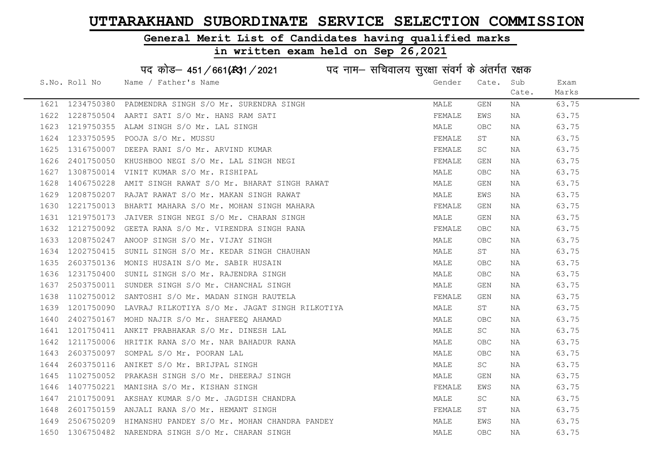#### General Merit List of Candidates having qualified marks

#### in written exam held on Sep 26,2021

S.No. Roll No Wame / Father's Name Gender Cate. Sub Cate. Exam Marks पद कोड– 451/661(स्था) / 2021 विद्युत्त नाम– सचिवालय सुरक्षा संवर्ग के अंतर्गत रक्षक 1621 1234750380 PADMENDRA SINGH S/O Mr. SURENDRA SINGH MALE GEN NA 63.75 1622 1228750504 AARTI SATI S/O Mr. HANS RAM SATI FEMALE EWS NA 63.75 1623 1219750355 ALAM SINGH S/O Mr. LAL SINGH MALE OBC NA 63.75 1624 1233750595 POOJA S/O Mr. MUSSU FEMALE ST NA 63.75 1625 1316750007 DEEPA RANI S/O Mr. ARVIND KUMAR FEMALE SC NA 63.75 1626 2401750050 KHUSHBOO NEGI S/O Mr. LAL SINGH NEGI FEMALE GEN NA 63.75 1627 1308750014 VINIT KUMAR S/O Mr. RISHIPAL MALE OBC NA 63.75 1628 1406750228 AMIT SINGH RAWAT S/O Mr. BHARAT SINGH RAWAT MANING MALE GEN NA 63.75 1629 1208750207 RAJAT RAWAT S/O Mr. MAKAN SINGH RAWAT NAN MALE EWS NA 63.75 1630 1221750013 BHARTI MAHARA S/O Mr. MOHAN SINGH MAHARA THANAN TEMALE GEN NA 63.75 1631 1219750173 JAIVER SINGH NEGI S/O Mr. CHARAN SINGH MANA MALE GEN NA 63.75 1632 1212750092 GEETA RANA S/O Mr. VIRENDRA SINGH RANA FEMALE OBC NA 63.75 1633 1208750247 ANOOP SINGH S/O Mr. VIJAY SINGH MALE OBC NA 63.75 1634 1202750415 SUNIL SINGH S/O Mr. KEDAR SINGH CHAUHAN MALE ST NA 63.75 1635 2603750136 MONIS HUSAIN S/O Mr. SABIR HUSAIN MALE OBC NA 63.75 1636 1231750400 SUNIL SINGH S/O Mr. RAJENDRA SINGH MALE OBC NA 63.75 1637 2503750011 SUNDER SINGH S/O Mr. CHANCHAL SINGH MALE GEN NA 63.75 1638 1102750012 SANTOSHI S/O Mr. MADAN SINGH RAUTELA FEMALE GEN NA 63.75 1639 1201750090 LAVRAJ RILKOTIYA S/O Mr. JAGAT SINGH RILKOTIYA NAN MALE ST NA 63.75 1640 2402750167 MOHD NAJIR S/O Mr. SHAFEEQ AHAMAD **MALE** OBC NA 63.75 1641 1201750411 ANKIT PRABHAKAR S/O Mr. DINESH LAL MANA MALE SC NA 63.75 1642 1211750006 HRITIK RANA S/O Mr. NAR BAHADUR RANA MALE OBC NA 63.75 1643 2603750097 SOMPAL S/O Mr. POORAN LAL MALE OBC NA 63.75 1644 2603750116 ANIKET S/O Mr. BRIJPAL SINGH MALE SC NA 63.75 1645 1102750052 PRAKASH SINGH S/O Mr. DHEERAJ SINGH MALE GEN NA 63.75 1646 1407750221 MANISHA S/O Mr. KISHAN SINGH FEMALE EMALE EWS NA 63.75 1647 2101750091 AKSHAY KUMAR S/O Mr. JAGDISH CHANDRA MALE SC NA 63.75 1648 2601750159 ANJALI RANA S/O Mr. HEMANT SINGH FEMALE ST NA 63.75 1649 2506750209 HIMANSHU PANDEY S/O Mr. MOHAN CHANDRA PANDEY MALE EWS NA 63.75 1650 1306750482 NARENDRA SINGH S/O Mr. CHARAN SINGH MALE OBC NA 63.75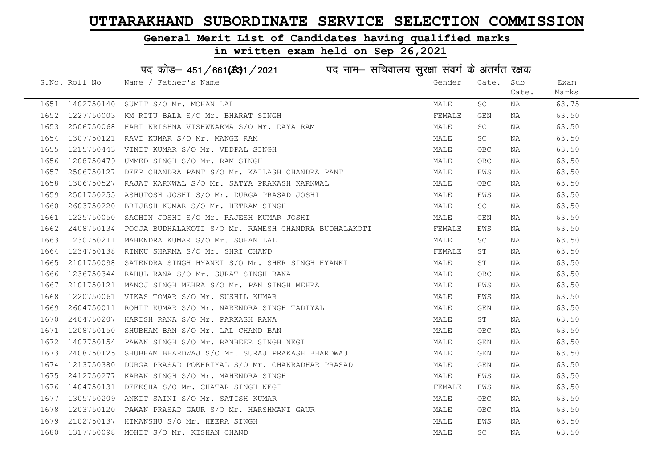#### General Merit List of Candidates having qualified marks

|      |                 | पद कोड़- 451/661(431/2021 पद नाम- सचिवालय सुरक्षा संवर्ग के अंतर्गत रक्षक |        |                     |       |       |
|------|-----------------|---------------------------------------------------------------------------|--------|---------------------|-------|-------|
|      | S.No. Roll No   | Name / Father's Name                                                      | Gender | Cate.               | Sub   | Exam  |
|      |                 |                                                                           |        |                     | Cate. | Marks |
|      | 1651 1402750140 | SUMIT S/O Mr. MOHAN LAL                                                   | MALE   | SC                  | NA    | 63.75 |
| 1652 | 1227750003      | KM RITU BALA S/O Mr. BHARAT SINGH                                         | FEMALE | GEN                 | NA    | 63.50 |
| 1653 | 2506750068      | HARI KRISHNA VISHWKARMA S/O Mr. DAYA RAM                                  | MALE   | SC.                 | NA    | 63.50 |
| 1654 | 1307750121      | RAVI KUMAR S/O Mr. MANGE RAM                                              | MALE   | SC                  | ΝA    | 63.50 |
| 1655 | 1215750443      | VINIT KUMAR S/O Mr. VEDPAL SINGH                                          | MALE   | <b>OBC</b>          | ΝA    | 63.50 |
| 1656 | 1208750479      | UMMED SINGH S/O Mr. RAM SINGH                                             | MALE   | OBC                 | NA    | 63.50 |
| 1657 | 2506750127      | DEEP CHANDRA PANT S/O Mr. KAILASH CHANDRA PANT                            | MALE   | EWS                 | NA    | 63.50 |
| 1658 | 1306750527      | RAJAT KARNWAL S/O Mr. SATYA PRAKASH KARNWAL                               | MALE   | OBC                 | NA    | 63.50 |
| 1659 | 2501750255      | ASHUTOSH JOSHI S/O Mr. DURGA PRASAD JOSHI                                 | MALE   | EWS                 | NA    | 63.50 |
| 1660 | 2603750220      | BRIJESH KUMAR S/O Mr. HETRAM SINGH                                        | MALE   | SC                  | NA    | 63.50 |
| 1661 | 1225750050      | SACHIN JOSHI S/O Mr. RAJESH KUMAR JOSHI                                   | MALE   | GEN                 | ΝA    | 63.50 |
| 1662 | 2408750134      | POOJA BUDHALAKOTI S/O Mr. RAMESH CHANDRA BUDHALAKOTI                      | FEMALE | EWS                 | NA    | 63.50 |
| 1663 | 1230750211      | MAHENDRA KUMAR S/O Mr. SOHAN LAL                                          | MALE   | SC                  | NA    | 63.50 |
| 1664 | 1234750138      | RINKU SHARMA S/O Mr. SHRI CHAND                                           | FEMALE | ST                  | NA    | 63.50 |
| 1665 | 2101750098      | SATENDRA SINGH HYANKI S/O Mr. SHER SINGH HYANKI                           | MALE   | SΤ                  | NA    | 63.50 |
| 1666 | 1236750344      | RAHUL RANA S/O Mr. SURAT SINGH RANA                                       | MALE   | <b>OBC</b>          | NA    | 63.50 |
| 1667 | 2101750121      | MANOJ SINGH MEHRA S/O Mr. PAN SINGH MEHRA                                 | MALE   | EWS                 | NA    | 63.50 |
| 1668 | 1220750061      | VIKAS TOMAR S/O Mr. SUSHIL KUMAR                                          | MALE   | EWS                 | NA    | 63.50 |
| 1669 | 2604750011      | ROHIT KUMAR S/O Mr. NARENDRA SINGH TADIYAL                                | MALE   | GEN                 | NA    | 63.50 |
| 1670 | 2404750207      | HARISH RANA S/O Mr. PARKASH RANA                                          | MALE   | ST                  | NA    | 63.50 |
| 1671 | 1208750150      | SHUBHAM BAN S/O Mr. LAL CHAND BAN                                         | MALE   | OBC.                | NA    | 63.50 |
| 1672 | 1407750154      | PAWAN SINGH S/O Mr. RANBEER SINGH NEGI                                    | MALE   | GEN                 | ΝA    | 63.50 |
| 1673 | 2408750125      | SHUBHAM BHARDWAJ S/O Mr. SURAJ PRAKASH BHARDWAJ                           | MALE   | GEN                 | NA    | 63.50 |
| 1674 | 1213750380      | DURGA PRASAD POKHRIYAL S/O Mr. CHAKRADHAR PRASAD                          | MALE   | GEN                 | NA    | 63.50 |
| 1675 | 2412750277      | KARAN SINGH S/O Mr. MAHENDRA SINGH                                        | MALE   | EWS                 | NA    | 63.50 |
| 1676 | 1404750131      | DEEKSHA S/O Mr. CHATAR SINGH NEGI                                         | FEMALE | EWS                 | NA    | 63.50 |
| 1677 | 1305750209      | ANKIT SAINI S/O Mr. SATISH KUMAR                                          | MALE   | OBC.                | NA    | 63.50 |
| 1678 | 1203750120      | PAWAN PRASAD GAUR S/O Mr. HARSHMANI GAUR                                  | MALE   | OBC                 | NA    | 63.50 |
| 1679 | 2102750137      | HIMANSHU S/O Mr. HEERA SINGH                                              | MALE   | EWS                 | ΝA    | 63.50 |
| 1680 | 1317750098      | MOHIT S/O Mr. KISHAN CHAND                                                | MALE   | $\operatorname{SC}$ | ΝA    | 63.50 |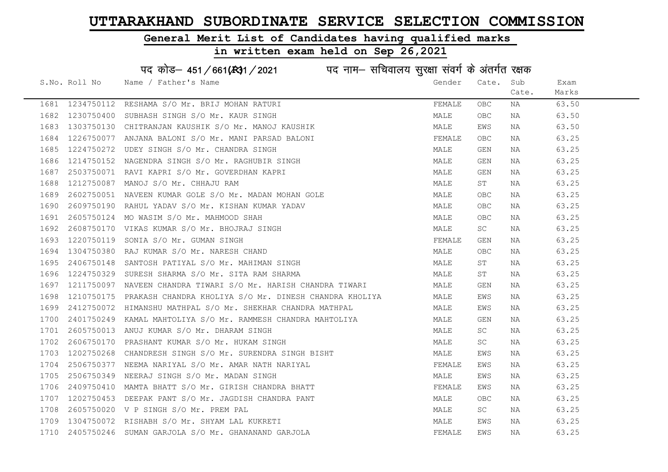#### General Merit List of Candidates having qualified marks

| पद कोड़– 451/661(431/2021 पद नाम– सचिवालय सुरक्षा संवर्ग के अंतर्गत रक्षक |               |                                                        |        |            |       |       |  |
|---------------------------------------------------------------------------|---------------|--------------------------------------------------------|--------|------------|-------|-------|--|
|                                                                           | S.No. Roll No | Name / Father's Name                                   | Gender | Cate.      | Sub   | Exam  |  |
|                                                                           |               |                                                        |        |            | Cate. | Marks |  |
| 1681                                                                      | 1234750112    | RESHAMA S/O Mr. BRIJ MOHAN RATURI                      | FEMALE | <b>OBC</b> | NA    | 63.50 |  |
| 1682                                                                      | 1230750400    | SUBHASH SINGH S/O Mr. KAUR SINGH                       | MALE   | <b>OBC</b> | NA    | 63.50 |  |
| 1683                                                                      | 1303750130    | CHITRANJAN KAUSHIK S/O Mr. MANOJ KAUSHIK               | MALE   | EWS        | NA    | 63.50 |  |
| 1684                                                                      | 1226750077    | ANJANA BALONI S/O Mr. MANI PARSAD BALONI               | FEMALE | <b>OBC</b> | NA    | 63.25 |  |
| 1685                                                                      | 1224750272    | UDEY SINGH S/O Mr. CHANDRA SINGH                       | MALE   | GEN        | NA    | 63.25 |  |
| 1686                                                                      | 1214750152    | NAGENDRA SINGH S/O Mr. RAGHUBIR SINGH                  | MALE   | GEN        | NA    | 63.25 |  |
| 1687                                                                      | 2503750071    | RAVI KAPRI S/O Mr. GOVERDHAN KAPRI                     | MALE   | <b>GEN</b> | NA    | 63.25 |  |
| 1688                                                                      | 1212750087    | MANOJ S/O Mr. CHHAJU RAM                               | MALE   | ST         | NA    | 63.25 |  |
| 1689                                                                      | 2602750051    | NAVEEN KUMAR GOLE S/O Mr. MADAN MOHAN GOLE             | MALE   | OBC        | NA    | 63.25 |  |
| 1690                                                                      | 2609750190    | RAHUL YADAV S/O Mr. KISHAN KUMAR YADAV                 | MALE   | OBC        | NA    | 63.25 |  |
| 1691                                                                      | 2605750124    | MO WASIM S/O Mr. MAHMOOD SHAH                          | MALE   | <b>OBC</b> | NA    | 63.25 |  |
| 1692                                                                      | 2608750170    | VIKAS KUMAR S/O Mr. BHOJRAJ SINGH                      | MALE   | SC         | NA    | 63.25 |  |
| 1693                                                                      | 1220750119    | SONIA S/O Mr. GUMAN SINGH                              | FEMALE | <b>GEN</b> | NA    | 63.25 |  |
| 1694                                                                      | 1304750380    | RAJ KUMAR S/O Mr. NARESH CHAND                         | MALE   | OBC        | NA    | 63.25 |  |
| 1695                                                                      | 2406750148    | SANTOSH PATIYAL S/O Mr. MAHIMAN SINGH                  | MALE   | ST         | NA    | 63.25 |  |
| 1696                                                                      | 1224750329    | SURESH SHARMA S/O Mr. SITA RAM SHARMA                  | MALE   | ST         | NA    | 63.25 |  |
| 1697                                                                      | 1211750097    | NAVEEN CHANDRA TIWARI S/O Mr. HARISH CHANDRA TIWARI    | MALE   | GEN        | NA    | 63.25 |  |
| 1698                                                                      | 1210750175    | PRAKASH CHANDRA KHOLIYA S/O Mr. DINESH CHANDRA KHOLIYA | MALE   | EWS        | ΝA    | 63.25 |  |
| 1699                                                                      | 2412750072    | HIMANSHU MATHPAL S/O Mr. SHEKHAR CHANDRA MATHPAL       | MALE   | EWS        | NA    | 63.25 |  |
| 1700                                                                      | 2401750249    | KAMAL MAHTOLIYA S/O Mr. RAMMESH CHANDRA MAHTOLIYA      | MALE   | GEN        | NA    | 63.25 |  |
| 1701                                                                      | 2605750013    | ANUJ KUMAR S/O Mr. DHARAM SINGH                        | MALE   | SC         | NA    | 63.25 |  |
| 1702                                                                      | 2606750170    | PRASHANT KUMAR S/O Mr. HUKAM SINGH                     | MALE   | SC         | NA    | 63.25 |  |
| 1703                                                                      | 1202750268    | CHANDRESH SINGH S/O Mr. SURENDRA SINGH BISHT           | MALE   | EWS        | NA    | 63.25 |  |
| 1704                                                                      | 2506750377    | NEEMA NARIYAL S/O Mr. AMAR NATH NARIYAL                | FEMALE | EWS        | NA    | 63.25 |  |
| 1705                                                                      | 2506750349    | NEERAJ SINGH S/O Mr. MADAN SINGH                       | MALE   | EWS        | NA    | 63.25 |  |
| 1706                                                                      | 2409750410    | MAMTA BHATT S/O Mr. GIRISH CHANDRA BHATT               | FEMALE | EWS        | NA    | 63.25 |  |
| 1707                                                                      | 1202750453    | DEEPAK PANT S/O Mr. JAGDISH CHANDRA PANT               | MALE   | OBC        | NA    | 63.25 |  |
| 1708                                                                      | 2605750020    | V P SINGH S/O Mr. PREM PAL                             | MALE   | SC         | NA    | 63.25 |  |
| 1709                                                                      | 1304750072    | RISHABH S/O Mr. SHYAM LAL KUKRETI                      | MALE   | EWS        | ΝA    | 63.25 |  |
| 1710                                                                      |               | 2405750246 SUMAN GARJOLA S/O Mr. GHANANAND GARJOLA     | FEMALE | EWS        | ΝA    | 63.25 |  |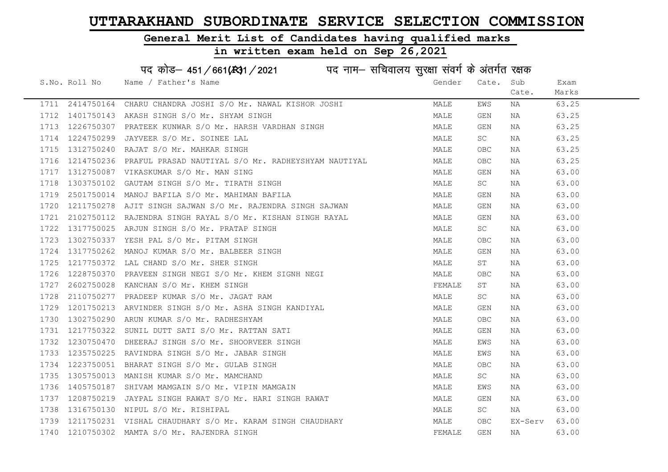#### General Merit List of Candidates having qualified marks

#### in written exam held on Sep 26,2021

S.No. Roll No Wame / Father's Name Gender Cate. Sub Cate. Exam Marks पद कोड– 451/661(स्था/2021 पद नाम– सचिवालय सुरक्षा संवर्ग के अंतर्गत रक्षक 1711 2414750164 CHARU CHANDRA JOSHI S/O Mr. NAWAL KISHOR JOSHI MALE EWS NA 63.25 1712 1401750143 AKASH SINGH S/O Mr. SHYAM SINGH MALE GEN NA 63.25 1713 1226750307 PRATEEK KUNWAR S/O Mr. HARSH VARDHAN SINGH MALE GEN NA 63.25 1714 1224750299 JAYVEER S/O Mr. SOINEE LAL 1714 1224750299 JAYVEER S/O Mr. SOINEE LAL 1715 1312750240 RAJAT S/O Mr. MAHKAR SINGH MALE OBC NA 63.25 1716 1214750236 PRAFUL PRASAD NAUTIYAL S/O Mr. RADHEYSHYAM NAUTIYAL MALE OBC NA 63.25 1717 1312750087 VIKASKUMAR S/O Mr. MAN SING NAN MANA MALE GEN NA 63.00 1718 1303750102 GAUTAM SINGH S/O Mr. TIRATH SINGH MALE SC NA 63.00 1719 2501750014 MANOJ BAFILA S/O Mr. MAHIMAN BAFILA MALE GEN NA 63.00 1720 1211750278 AJIT SINGH SAJWAN S/O Mr. RAJENDRA SINGH SAJWAN MALE GEN NA 63.00 1721 2102750112 RAJENDRA SINGH RAYAL S/O Mr. KISHAN SINGH RAYAL MANA MALE GEN NA 63.00 1722 1317750025 ARJUN SINGH S/O Mr. PRATAP SINGH MALE SC NA 63.00 1723 1302750337 YESH PAL S/O Mr. PITAM SINGH MALE OBC NA 63.00 1724 1317750262 MANOJ KUMAR S/O Mr. BALBEER SINGH MALE GEN NA 63.00 1725 1217750372 LAL CHAND S/O Mr. SHER SINGH MALE ST NA 63.00 1726 1228750370 PRAVEEN SINGH NEGI S/O Mr. KHEM SIGNH NEGI MAN MALE OBC NA 63.00 1727 2602750028 KANCHAN S/O Mr. KHEM SINGH FEMALE ST NA 63.00 1728 2110750277 PRADEEP KUMAR S/O Mr. JAGAT RAM MALE SC NA 63.00 1729 1201750213 ARVINDER SINGH S/O Mr. ASHA SINGH KANDIYAL MAN MALE GEN NA 63.00 1730 1302750290 ARUN KUMAR S/O Mr. RADHESHYAM MALE OBC NA 63.00 1731 1217750322 SUNIL DUTT SATI S/O Mr. RATTAN SATI MALE GEN NA 63.00 1732 1230750470 DHEERAJ SINGH S/O Mr. SHOORVEER SINGH MALE EWS NA 63.00 1733 1235750225 RAVINDRA SINGH S/O Mr. JABAR SINGH MALE EWS NA 63.00 1734 1223750051 BHARAT SINGH S/O Mr. GULAB SINGH MALE OBC NA 63.00 1735 1305750013 MANISH KUMAR S/O Mr. MAMCHAND MALE SC NA 63.00 1736 1405750187 SHIVAM MAMGAIN S/O Mr. VIPIN MAMGAIN MANILL MALE EWS NA 63.00 1737 1208750219 JAYPAL SINGH RAWAT S/O Mr. HARI SINGH RAWAT MANA MALE GEN NA 63.00 1738 1316750130 NIPUL S/O Mr. RISHIPAL MALE SC NA 63.00 1739 1211750231 VISHAL CHAUDHARY S/O Mr. KARAM SINGH CHAUDHARY MALE OBC EX-Serv 63.00 1740 1210750302 MAMTA S/O Mr. RAJENDRA SINGH FEMALE GEN NA 63.00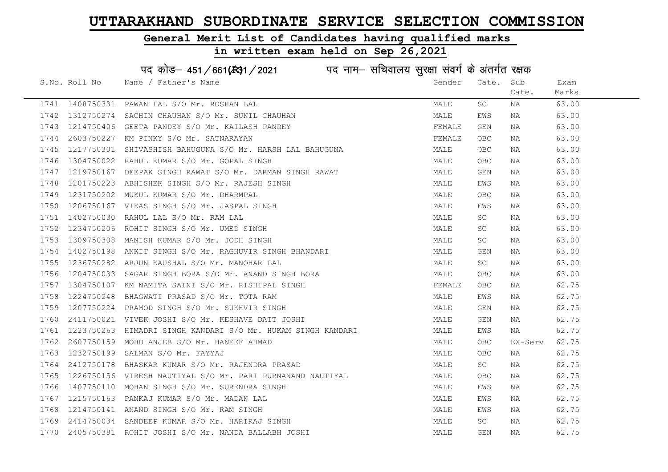### General Merit List of Candidates having qualified marks

| पद कोड़- 451/661(431/2021 पद नाम- सचिवालय सुरक्षा संवर्ग के अंतर्गत रक्षक |                 |                                                    |        |            |         |       |  |
|---------------------------------------------------------------------------|-----------------|----------------------------------------------------|--------|------------|---------|-------|--|
|                                                                           | S.No. Roll No   | Name / Father's Name                               | Gender | Cate.      | Sub     | Exam  |  |
|                                                                           |                 |                                                    |        |            | Cate.   | Marks |  |
|                                                                           | 1741 1408750331 | PAWAN LAL S/O Mr. ROSHAN LAL                       | MALE   | SC         | ΝA      | 63.00 |  |
| 1742                                                                      | 1312750274      | SACHIN CHAUHAN S/O Mr. SUNIL CHAUHAN               | MALE   | EWS        | NA      | 63.00 |  |
| 1743                                                                      | 1214750406      | GEETA PANDEY S/O Mr. KAILASH PANDEY                | FEMALE | GEN        | NA      | 63.00 |  |
| 1744                                                                      | 2603750227      | KM PINKY S/O Mr. SATNARAYAN                        | FEMALE | OBC        | NA      | 63.00 |  |
| 1745                                                                      | 1217750301      | SHIVASHISH BAHUGUNA S/O Mr. HARSH LAL BAHUGUNA     | MALE   | OBC        | NA      | 63.00 |  |
| 1746                                                                      | 1304750022      | RAHUL KUMAR S/O Mr. GOPAL SINGH                    | MALE   | <b>OBC</b> | NA      | 63.00 |  |
| 1747                                                                      | 1219750167      | DEEPAK SINGH RAWAT S/O Mr. DARMAN SINGH RAWAT      | MALE   | GEN        | ΝA      | 63.00 |  |
| 1748                                                                      | 1201750223      | ABHISHEK SINGH S/O Mr. RAJESH SINGH                | MALE   | EWS        | NA      | 63.00 |  |
| 1749                                                                      | 1231750202      | MUKUL KUMAR S/O Mr. DHARMPAL                       | MALE   | <b>OBC</b> | NA      | 63.00 |  |
| 1750                                                                      | 1206750167      | VIKAS SINGH S/O Mr. JASPAL SINGH                   | MALE   | EWS        | ΝA      | 63.00 |  |
| 1751                                                                      | 1402750030      | RAHUL LAL S/O Mr. RAM LAL                          | MALE   | SC         | ΝA      | 63.00 |  |
| 1752                                                                      | 1234750206      | ROHIT SINGH S/O Mr. UMED SINGH                     | MALE   | SC         | NA      | 63.00 |  |
| 1753                                                                      | 1309750308      | MANISH KUMAR S/O Mr. JODH SINGH                    | MALE   | SC         | NA      | 63.00 |  |
| 1754                                                                      | 1402750198      | ANKIT SINGH S/O Mr. RAGHUVIR SINGH BHANDARI        | MALE   | GEN        | NA      | 63.00 |  |
| 1755                                                                      | 1236750282      | ARJUN KAUSHAL S/O Mr. MANOHAR LAL                  | MALE   | SC         | ΝA      | 63.00 |  |
| 1756                                                                      | 1204750033      | SAGAR SINGH BORA S/O Mr. ANAND SINGH BORA          | MALE   | <b>OBC</b> | NA      | 63.00 |  |
| 1757                                                                      | 1304750107      | KM NAMITA SAINI S/O Mr. RISHIPAL SINGH             | FEMALE | OBC        | NA      | 62.75 |  |
| 1758                                                                      | 1224750248      | BHAGWATI PRASAD S/O Mr. TOTA RAM                   | MALE   | EWS        | NA      | 62.75 |  |
| 1759                                                                      | 1207750224      | PRAMOD SINGH S/O Mr. SUKHVIR SINGH                 | MALE   | GEN        | NA      | 62.75 |  |
| 1760                                                                      | 2411750021      | VIVEK JOSHI S/O Mr. KESHAVE DATT JOSHI             | MALE   | GEN        | NA      | 62.75 |  |
| 1761                                                                      | 1223750263      | HIMADRI SINGH KANDARI S/O Mr. HUKAM SINGH KANDARI  | MALE   | EWS        | NA      | 62.75 |  |
| 1762                                                                      | 2607750159      | MOHD ANJEB S/O Mr. HANEEF AHMAD                    | MALE   | OBC.       | EX-Serv | 62.75 |  |
| 1763                                                                      | 1232750199      | SALMAN S/O Mr. FAYYAJ                              | MALE   | OBC        | ΝA      | 62.75 |  |
| 1764                                                                      | 2412750178      | BHASKAR KUMAR S/O Mr. RAJENDRA PRASAD              | MALE   | SC         | NA      | 62.75 |  |
| 1765                                                                      | 1226750156      | VIRESH NAUTIYAL S/O Mr. PARI PURNANAND NAUTIYAL    | MALE   | <b>OBC</b> | ΝA      | 62.75 |  |
| 1766                                                                      |                 | 1407750110 MOHAN SINGH S/O Mr. SURENDRA SINGH      | MALE   | EWS        | NA      | 62.75 |  |
| 1767                                                                      | 1215750163      | PANKAJ KUMAR S/O Mr. MADAN LAL                     | MALE   | EWS        | ΝA      | 62.75 |  |
| 1768                                                                      |                 | 1214750141 ANAND SINGH S/O Mr. RAM SINGH           | MALE   | EWS        | NA      | 62.75 |  |
| 1769                                                                      |                 | 2414750034 SANDEEP KUMAR S/O Mr. HARIRAJ SINGH     | MALE   | <b>SC</b>  | NA      | 62.75 |  |
| 1770                                                                      |                 | 2405750381 ROHIT JOSHI S/O Mr. NANDA BALLABH JOSHI | MALE   | GEN        | ΝA      | 62.75 |  |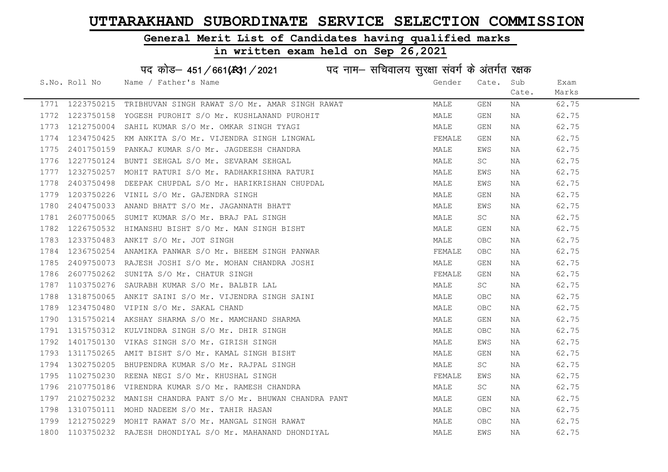#### General Merit List of Candidates having qualified marks

#### in written exam held on Sep 26,2021

S.No. Roll No Wame / Father's Name Gender Cate. Sub Cate. Exam Marks पद कोड़– 451/661(स्था/2021 व्याम- सचिवालय सुरक्षा संवर्ग के अंतर्गत रक्षक 1771 1223750215 TRIBHUVAN SINGH RAWAT S/O Mr. AMAR SINGH RAWAT MALE GEN NA 62.75 1772 1223750158 YOGESH PUROHIT S/O Mr. KUSHLANAND PUROHIT NA MALE GEN NA 62.75 1773 1212750004 SAHIL KUMAR S/O Mr. OMKAR SINGH TYAGI NA MALE GEN NA 62.75 1774 1234750425 KM ANKITA S/O Mr. VIJENDRA SINGH LINGWAL TENNE FEMALE GEN NA 62.75 1775 2401750159 PANKAJ KUMAR S/O Mr. JAGDEESH CHANDRA NA MALE EWS NA 62.75 1776 1227750124 BUNTI SEHGAL S/O Mr. SEVARAM SEHGAL MALE SC NA 62.75 1777 1232750257 MOHIT RATURI S/O Mr. RADHAKRISHNA RATURI NA MALE MALE EWS NA 62.75 1778 2403750498 DEEPAK CHUPDAL S/O Mr. HARIKRISHAN CHUPDAL MAN MALE EWS NA 62.75 1779 1203750226 VINIL S/O Mr. GAJENDRA SINGH MALE GEN NA 62.75 1780 2404750033 ANAND BHATT S/O Mr. JAGANNATH BHATT NA MALE MALE EWS NA 62.75 1781 2607750065 SUMIT KUMAR S/O Mr. BRAJ PAL SINGH MALE SC NA 62.75 1782 1226750532 HIMANSHU BISHT S/O Mr. MAN SINGH BISHT MAN MALE GEN NA 62.75 1783 1233750483 ANKIT S/O Mr. JOT SINGH MALE OBC NA 62.75 1784 1236750254 ANAMIKA PANWAR S/O Mr. BHEEM SINGH PANWAR SANG THE SEMALE OBC NA 62.75 1785 2409750073 RAJESH JOSHI S/O Mr. MOHAN CHANDRA JOSHI NA MALE GEN NA 62.75 1786 2607750262 SUNITA S/O Mr. CHATUR SINGH FEMALE GEN NA 62.75 1787 1103750276 SAURABH KUMAR S/O Mr. BALBIR LAL NAN MARE SC NA 62.75 1788 1318750065 ANKIT SAINI S/O Mr. VIJENDRA SINGH SAINI MALE OBC NA 62.75 1789 1234750480 VIPIN S/O Mr. SAKAL CHAND MALE OBC NA 62.75 1790 1315750214 AKSHAY SHARMA S/O Mr. MAMCHAND SHARMA MANA MALE GEN NA 62.75 1791 1315750312 KULVINDRA SINGH S/O Mr. DHIR SINGH MANA MALE OBC NA 62.75 1792 1401750130 VIKAS SINGH S/O Mr. GIRISH SINGH MALE EWS NA 62.75 1793 1311750265 AMIT BISHT S/O Mr. KAMAL SINGH BISHT MALE GEN NA 62.75 1794 1302750205 BHUPENDRA KUMAR S/O Mr. RAJPAL SINGH MANA MALE SC NA 62.75 1795 1102750230 REENA NEGI S/O Mr. KHUSHAL SINGH FEMAL FEMALE EWS NA 62.75 1796 2107750186 VIRENDRA KUMAR S/O Mr. RAMESH CHANDRA MANA MALE SC NA 62.75 1797 2102750232 MANISH CHANDRA PANT S/O Mr. BHUWAN CHANDRA PANT MALE GEN NA 62.75 1798 1310750111 MOHD NADEEM S/O Mr. TAHIR HASAN MALE OBC NA 62.75 1799 1212750229 MOHIT RAWAT S/O Mr. MANGAL SINGH RAWAT MARE MALE OBC NA 62.75 1800 1103750232 RAJESH DHONDIYAL S/O Mr. MAHANAND DHONDIYAL MALE EWS NA 62.75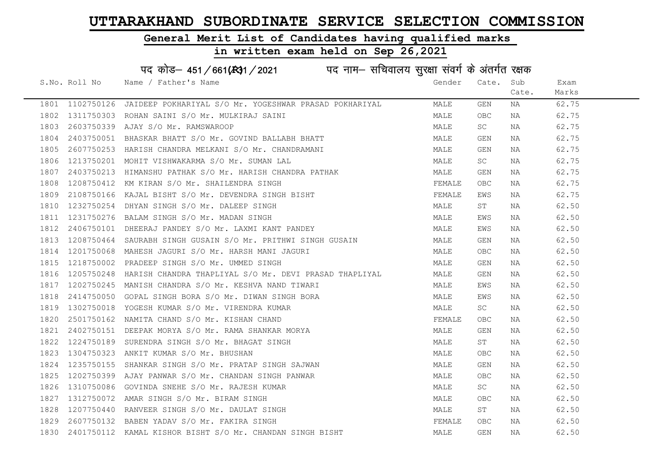#### General Merit List of Candidates having qualified marks

# in written exam held on Sep 26,2021

|      | S.No. Roll No | Name / Father's Name                                                                                                                                                                                                                       | Gender | Cate. Sub  |       | Exam  |
|------|---------------|--------------------------------------------------------------------------------------------------------------------------------------------------------------------------------------------------------------------------------------------|--------|------------|-------|-------|
|      |               |                                                                                                                                                                                                                                            |        |            | Cate. | Marks |
|      |               | 1801 1102750126 JAIDEEP POKHARIYAL S/O Mr. YOGESHWAR PRASAD POKHARIYAL                                                                                                                                                                     | MALE   | GEN        | NA    | 62.75 |
| 1802 |               | 1311750303 ROHAN SAINI S/O Mr. MULKIRAJ SAINI                                                                                                                                                                                              | MALE   | OBC        | NA    | 62.75 |
| 1803 |               | 2603750339 AJAY S/O Mr. RAMSWAROOP                                                                                                                                                                                                         | MALE   | SC         | NA    | 62.75 |
| 1804 |               | 2403750051 BHASKAR BHATT S/O Mr. GOVIND BALLABH BHATT                                                                                                                                                                                      | MALE   | GEN        | NA    | 62.75 |
| 1805 |               | 2607750253 HARISH CHANDRA MELKANI S/O Mr. CHANDRAMANI<br>1213750201 MOHIT VISHWAKARMA S/O Mr. SUMAN LAL                                                                                                                                    | MALE   | GEN        | NA    | 62.75 |
| 1806 |               |                                                                                                                                                                                                                                            | MALE   | SC         | NA    | 62.75 |
| 1807 |               | 2403750213 HIMANSHU PATHAK S/O Mr. HARISH CHANDRA PATHAK                                                                                                                                                                                   | MALE   | GEN        | NA    | 62.75 |
| 1808 |               |                                                                                                                                                                                                                                            | FEMALE | <b>OBC</b> | NA    | 62.75 |
| 1809 |               | 1208750412 KM KIRAN S/O Mr. SHAILENDRA SINGH<br>2108750166 KAJAL BISHT S/O Mr. DEVENDRA SINGH BISHT<br>1232750254 DHYAN SINGH S/O Mr. DALEEP SINGH<br>1231750276 BALAM SINGH S/O Mr. MADAN SINGH                                           | FEMALE | EWS        | NA    | 62.75 |
| 1810 |               |                                                                                                                                                                                                                                            | MALE   | ST         | NA    | 62.50 |
| 1811 |               |                                                                                                                                                                                                                                            | MALE   | EWS        | NA    | 62.50 |
| 1812 |               | 2406750101 DHEERAJ PANDEY S/O Mr. LAXMI KANT PANDEY                                                                                                                                                                                        |        | EWS        | NA    | 62.50 |
| 1813 |               | 1208750464 SAURABH SINGH GUSAIN S/O Mr. PRITHWI SINGH GUSAIN MALE                                                                                                                                                                          |        | GEN        | NA    | 62.50 |
| 1814 |               | 1201750068 MAHESH JAGURI S/O Mr. HARSH MANI JAGURI                                                                                                                                                                                         | MALE   | OBC        | NA    | 62.50 |
| 1815 |               | 1218750002 PRADEEP SINGH S/O Mr. UMMED SINGH                                                                                                                                                                                               | MALE   | GEN        | NA    | 62.50 |
| 1816 |               | 1205750248 HARISH CHANDRA THAPLIYAL S/O Mr. DEVI PRASAD THAPLIYAL MALE                                                                                                                                                                     |        | GEN        | NA    | 62.50 |
| 1817 |               | 1202750245 MANISH CHANDRA S/O Mr. KESHVA NAND TIWARI                                                                                                                                                                                       | MALE   | EWS        | NA    | 62.50 |
| 1818 |               | 2414750050 GOPAL SINGH BORA S/O Mr. DIWAN SINGH BORA                                                                                                                                                                                       | MALE   | EWS        | NA    | 62.50 |
| 1819 |               | 1302750018 YOGESH KUMAR S/O Mr. VIRENDRA KUMAR<br>2501750162 NAMITA CHAND S/O Mr. KISHAN CHAND<br>2402750151 DEEPAK MORYA S/O Mr. RAMA SHANKAR MORYA<br>1224750189 SURENDRA SINGH S/O Mr. BHAGAT SINGH<br>1304750323 ANKIT KUMAR S/O Mr. B | MALE   | SC         | NA    | 62.50 |
| 1820 |               |                                                                                                                                                                                                                                            | FEMALE | <b>OBC</b> | NA    | 62.50 |
| 1821 |               |                                                                                                                                                                                                                                            | MALE   | GEN        | NA    | 62.50 |
| 1822 |               |                                                                                                                                                                                                                                            | MALE   | ST         | NA    | 62.50 |
| 1823 |               |                                                                                                                                                                                                                                            | MALE   | OBC        | NA    | 62.50 |
| 1824 |               | 1235750155 SHANKAR SINGH S/O Mr. PRATAP SINGH SAJWAN                                                                                                                                                                                       | MALE   | GEN        | NA    | 62.50 |
| 1825 |               |                                                                                                                                                                                                                                            |        | OBC        | NA    | 62.50 |
| 1826 |               |                                                                                                                                                                                                                                            |        | SC .       | NA    | 62.50 |
| 1827 |               |                                                                                                                                                                                                                                            |        | <b>OBC</b> | NA    | 62.50 |
| 1828 |               | 1202750399 AJAY PANWAR S/O Mr. CHANDAN SINGH PANWAR MALE<br>1310750086 GOVINDA SNEHE S/O Mr. RAJESH KUMAR MALE MALE<br>1312750072 AMAR SINGH S/O Mr. BIRAM SINGH<br>1207750440 RANVEER SINGH S/O Mr. DAULAT SINGH MALE MALE<br>2607750132  |        | ST         | NA    | 62.50 |
| 1829 |               |                                                                                                                                                                                                                                            |        | OBC        | NA    | 62.50 |
|      |               | 1830 2401750112 KAMAL KISHOR BISHT S/O Mr. CHANDAN SINGH BISHT                                                                                                                                                                             | MALE   | <b>GEN</b> | NA    | 62.50 |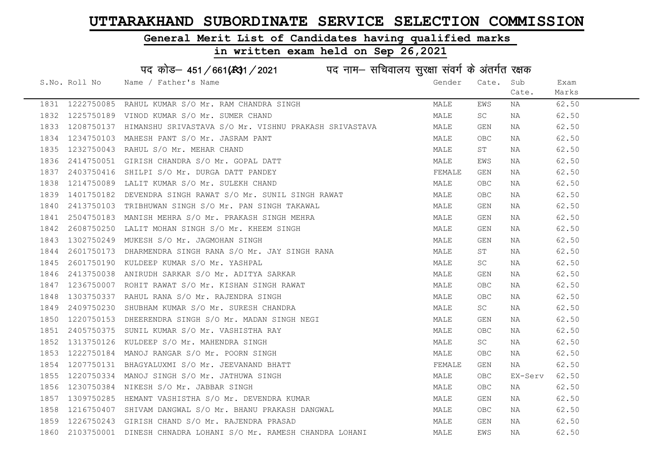#### General Merit List of Candidates having qualified marks

# in written exam held on Sep 26,2021

|      | S.No. Roll No | Name / Father's Name                                                                                                                                                                                                                       | Gender | Cate.      | Sub     | Exam  |
|------|---------------|--------------------------------------------------------------------------------------------------------------------------------------------------------------------------------------------------------------------------------------------|--------|------------|---------|-------|
|      |               |                                                                                                                                                                                                                                            |        |            | Cate.   | Marks |
|      |               | 1831 1222750085 RAHUL KUMAR S/O Mr. RAM CHANDRA SINGH                                                                                                                                                                                      | MALE   | EWS        | NA      | 62.50 |
|      |               | 1832 1225750189 VINOD KUMAR S/O Mr. SUMER CHAND                                                                                                                                                                                            | MALE   | SC         | NA      | 62.50 |
| 1833 |               | 1208750137 HIMANSHU SRIVASTAVA S/O Mr. VISHNU PRAKASH SRIVASTAVA                                                                                                                                                                           | MALE   | GEN        | NA      | 62.50 |
|      |               | 1834 1234750103 MAHESH PANT S/O Mr. JASRAM PANT                                                                                                                                                                                            | MALE   | OBC.       | NA      | 62.50 |
| 1835 |               | 1232750043 RAHUL S/O Mr. MEHAR CHAND                                                                                                                                                                                                       | MALE   | ST         | NA      | 62.50 |
| 1836 |               | 2414750051 GIRISH CHANDRA S/O Mr. GOPAL DATT                                                                                                                                                                                               | MALE   | EWS        | NA      | 62.50 |
| 1837 |               | 2403750416 SHILPI S/O Mr. DURGA DATT PANDEY                                                                                                                                                                                                | FEMALE | GEN        | NA      | 62.50 |
| 1838 |               | 1214750089 LALIT KUMAR S/O Mr. SULEKH CHAND                                                                                                                                                                                                | MALE   | <b>OBC</b> | NA      | 62.50 |
| 1839 |               | 1401750182 DEVENDRA SINGH RAWAT S/O Mr. SUNIL SINGH RAWAT                                                                                                                                                                                  | MALE   | OBC        | NA      | 62.50 |
| 1840 |               | 2413750103 TRIBHUWAN SINGH S/O Mr. PAN SINGH TAKAWAL                                                                                                                                                                                       | MALE   | GEN        | NA      | 62.50 |
| 1841 |               | 2504750183 MANISH MEHRA S/O Mr. PRAKASH SINGH MEHRA<br>2608750250 LALIT MOHAN SINGH S/O Mr. KHEEM SINGH<br>1302750249 MUKESH S/O Mr. JAGMOHAN SINGH<br>2601750173 DHARMENDRA SINGH SAMA S(O Mr. JAY GINGY RIVE                             | MALE   | GEN        | NA      | 62.50 |
| 1842 |               |                                                                                                                                                                                                                                            | MALE   | GEN        | NA      | 62.50 |
| 1843 |               | 1302750249 MUKESH S/O Mr. JAGMOHAN SINGH                                                                                                                                                                                                   | MALE   | GEN        | NA      | 62.50 |
| 1844 |               | 2601750173 DHARMENDRA SINGH RANA S/O Mr. JAY SINGH RANA                                                                                                                                                                                    | MALE   | ST         | NA      | 62.50 |
| 1845 |               |                                                                                                                                                                                                                                            | MALE   | SC         | NA      | 62.50 |
| 1846 |               | 2601750173 DHARMENDRA SINGH RANA S/O MI. VAI SINGH RANA 2413750038 ANIRUDH SARKAR S/O Mr. ADITYA SARKAR<br>1236750007 ROHIT RAWAT S/O Mr. KISHAN SINGH RAWAT<br>1303750337 RAHUL RANA S/O Mr. RAJENDRA SINGH<br>2409750230 SHUBHAM KUMA    | MALE   | GEN        | NA      | 62.50 |
| 1847 |               |                                                                                                                                                                                                                                            | MALE   | OBC        | NA      | 62.50 |
| 1848 |               |                                                                                                                                                                                                                                            | MALE   | <b>OBC</b> | NA      | 62.50 |
| 1849 |               |                                                                                                                                                                                                                                            | MALE   | SC         | NA      | 62.50 |
| 1850 |               | 1220750153 DHEERENDRA SINGH S/O Mr. MADAN SINGH NEGI                                                                                                                                                                                       | MALE   | GEN        | NA      | 62.50 |
|      |               | 1851 2405750375 SUNIL KUMAR S/O Mr. VASHISTHA RAY<br>1852 1313750126 KULDEEP S/O Mr. MAHENDRA SINGH<br>1853 1222750184 MANOJ RANGAR S/O Mr. POORN SINGH<br>1854 1207750131 BHAGYALUXMI S/O Mr. JEEVANAND BHATT<br>1855 1220750334 MANOJ SI | MALE   | <b>OBC</b> | NA      | 62.50 |
|      |               |                                                                                                                                                                                                                                            | MALE   | SC         | NA      | 62.50 |
|      |               |                                                                                                                                                                                                                                            | MALE   | OBC        | NA      | 62.50 |
|      |               |                                                                                                                                                                                                                                            | FEMALE | GEN        | NA      | 62.50 |
|      |               |                                                                                                                                                                                                                                            | MALE   | OBC        | EX-Serv | 62.50 |
| 1856 |               | 1230750384 NIKESH S/O Mr. JABBAR SINGH                                                                                                                                                                                                     | MALE   | OBC        | NA      | 62.50 |
| 1857 |               | 1309750285 HEMANT VASHISTHA S/O Mr. DEVENDRA KUMAR                                                                                                                                                                                         | MALE   | GEN        | NA      | 62.50 |
| 1858 |               | 1216750407 SHIVAM DANGWAL S/O Mr. BHANU PRAKASH DANGWAL                                                                                                                                                                                    | MALE   | <b>OBC</b> | NA      | 62.50 |
| 1859 |               | 1226750243 GIRISH CHAND S/O Mr. RAJENDRA PRASAD                                                                                                                                                                                            | MALE   | GEN        | NA      | 62.50 |
|      |               | 1860 2103750001 DINESH CHNADRA LOHANI S/O Mr. RAMESH CHANDRA LOHANI                                                                                                                                                                        | MALE   | EWS        | NA      | 62.50 |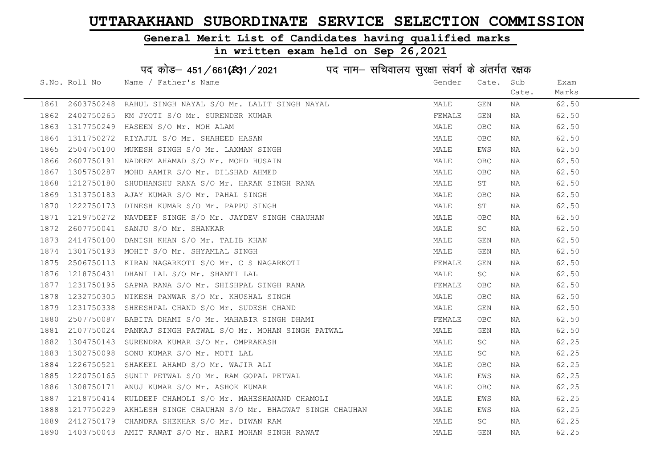#### General Merit List of Candidates having qualified marks

# in written exam held on Sep 26,2021

|      | S.No. Roll No | Name / Father's Name                                                                                                                                                                                                                     | Gender | Cate.      | Sub   | Exam  |
|------|---------------|------------------------------------------------------------------------------------------------------------------------------------------------------------------------------------------------------------------------------------------|--------|------------|-------|-------|
|      |               |                                                                                                                                                                                                                                          |        |            | Cate. | Marks |
| 1861 |               | 2603750248 RAHUL SINGH NAYAL S/O Mr. LALIT SINGH NAYAL                                                                                                                                                                                   | MALE   | GEN        | NA    | 62.50 |
| 1862 |               | 2402750265 KM JYOTI S/O Mr. SURENDER KUMAR                                                                                                                                                                                               | FEMALE | GEN        | NA    | 62.50 |
| 1863 |               | 1317750249 HASEEN S/O Mr. MOH ALAM                                                                                                                                                                                                       | MALE   | OBC        | NA    | 62.50 |
| 1864 | 1311750272    | RIYAJUL S/O Mr. SHAHEED HASAN                                                                                                                                                                                                            | MALE   | <b>OBC</b> | NA    | 62.50 |
| 1865 |               | 2504750100 MUKESH SINGH S/O Mr. LAXMAN SINGH                                                                                                                                                                                             | MALE   | EWS        | NA    | 62.50 |
| 1866 |               | 2607750191 NADEEM AHAMAD S/O Mr. MOHD HUSAIN                                                                                                                                                                                             | MALE   | OBC        | NA    | 62.50 |
| 1867 |               | 1305750287 MOHD AAMIR S/O Mr. DILSHAD AHMED                                                                                                                                                                                              | MALE   | OBC        | NA    | 62.50 |
| 1868 |               | 1212750180 SHUDHANSHU RANA S/O Mr. HARAK SINGH RANA                                                                                                                                                                                      | MALE   | ST         | NA    | 62.50 |
| 1869 | 1313750183    | AJAY KUMAR S/O Mr. PAHAL SINGH                                                                                                                                                                                                           | MALE   | OBC        | NA    | 62.50 |
| 1870 | 1222750173    | DINESH KUMAR S/O Mr. PAPPU SINGH                                                                                                                                                                                                         | MALE   | ST         | NA    | 62.50 |
| 1871 |               | 1219750272 NAVDEEP SINGH S/O Mr. JAYDEV SINGH CHAUHAN                                                                                                                                                                                    | MALE   | <b>OBC</b> | NA    | 62.50 |
| 1872 | 2607750041    | SANJU S/O Mr. SHANKAR                                                                                                                                                                                                                    | MALE   | SC         | NA    | 62.50 |
| 1873 |               |                                                                                                                                                                                                                                          | MALE   | GEN        | NA    | 62.50 |
| 1874 |               |                                                                                                                                                                                                                                          | MALE   | GEN        | NA    | 62.50 |
| 1875 |               |                                                                                                                                                                                                                                          | FEMALE | GEN        | NA    | 62.50 |
| 1876 |               | ADDITIONAL SINGH<br>2506750113 KIRAN NAGARKOTI S/O Mr. C S NAGARKOTI<br>1218750431 DHANI LAL S/O Mr. SHANTI LAL<br>1231750195 SAPNA RANA S/O Mr. SHISHPAL SINGH RANA<br>1232750305 NIKESH PANWAR S/O Mr. KHUSHAL SINGH<br>1231750338 SHE | MALE   | SC         | NA    | 62.50 |
| 1877 |               |                                                                                                                                                                                                                                          | FEMALE | OBC        | NA    | 62.50 |
| 1878 |               |                                                                                                                                                                                                                                          | MALE   | OBC        | NA    | 62.50 |
| 1879 |               |                                                                                                                                                                                                                                          | MALE   | GEN        | NA    | 62.50 |
| 1880 |               |                                                                                                                                                                                                                                          | FEMALE | OBC        | NA    | 62.50 |
| 1881 |               |                                                                                                                                                                                                                                          | MALE   | GEN        | NA    | 62.50 |
| 1882 |               | 1304750143 SURENDRA KUMAR S/O Mr. OMPRAKASH                                                                                                                                                                                              | MALE   | SC         | NA    | 62.25 |
| 1883 | 1302750098    | SONU KUMAR S/O Mr. MOTI LAL                                                                                                                                                                                                              | MALE   | SC.        | NA    | 62.25 |
| 1884 |               |                                                                                                                                                                                                                                          | MALE   | OBC        | NA    | 62.25 |
| 1885 |               | 1226750521 SHAKEEL AHAMD S/O Mr. WAJIR ALI<br>1220750165 SUNIT PETWAL S/O Mr. RAM GOPAL PETWAL                                                                                                                                           | MALE   | EWS        | NA    | 62.25 |
| 1886 |               | 1308750171 ANUJ KUMAR S/O Mr. ASHOK KUMAR                                                                                                                                                                                                | MALE   | <b>OBC</b> | NA    | 62.25 |
| 1887 | 1218750414    | KULDEEP CHAMOLI S/O Mr. MAHESHANAND CHAMOLI                                                                                                                                                                                              | MALE   | EWS        | NA    | 62.25 |
| 1888 |               | 1217750229 AKHLESH SINGH CHAUHAN S/O Mr. BHAGWAT SINGH CHAUHAN                                                                                                                                                                           | MALE   | EWS        | NA    | 62.25 |
| 1889 |               | 2412750179 CHANDRA SHEKHAR S/O Mr. DIWAN RAM                                                                                                                                                                                             | MALE   | SC         | NA    | 62.25 |
|      |               | 1890 1403750043 AMIT RAWAT S/O Mr. HARI MOHAN SINGH RAWAT                                                                                                                                                                                | MALE   | <b>GEN</b> | NA    | 62.25 |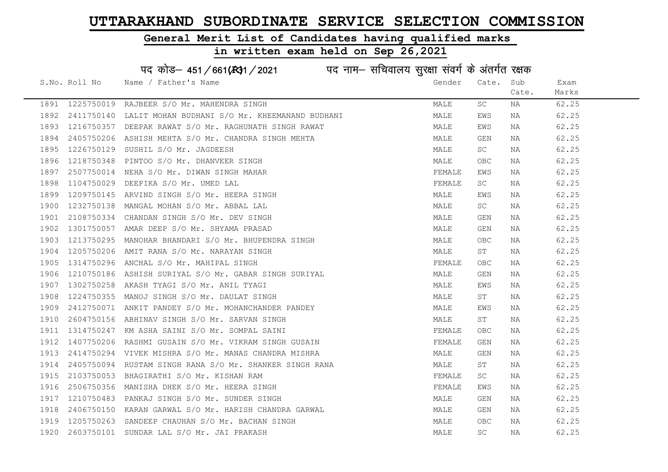#### General Merit List of Candidates having qualified marks

#### in written exam held on Sep 26,2021

S.No. Roll No Wame / Father's Name Gender Cate. Sub Cate. Exam Marks पद कोड– 451/661(स्था) / 2021 विद्युत्त नाम– सचिवालय सुरक्षा संवर्ग के अंतर्गत रक्षक 1891 1225750019 RAJBEER S/O Mr. MAHENDRA SINGH MARE SC NA 62.25 1892 2411750140 LALIT MOHAN BUDHANI S/O Mr. KHEEMANAND BUDHANI MALE EWS NA 62.25 1893 1216750357 DEEPAK RAWAT S/O Mr. RAGHUNATH SINGH RAWAT MAN MALE EWS NA 62.25 1894 2405750206 ASHISH MEHTA S/O Mr. CHANDRA SINGH MEHTA MANA MALE GEN NA 62.25 1895 1226750129 SUSHIL S/O Mr. JAGDEESH MALE SC NA 62.25 1896 1218750348 PINTOO S/O Mr. DHANVEER SINGH MALE OBC NA 62.25 1897 2507750014 NEHA S/O Mr. DIWAN SINGH MAHAR TEMALL THE SEMALE EWS NA 62.25 1898 1104750029 DEEPIKA S/O Mr. UMED LAL FEMALE SC NA 62.25 1899 1209750145 ARVIND SINGH S/O Mr. HEERA SINGH MALE EWS NA 62.25 1900 1232750138 MANGAL MOHAN S/O Mr. ABBAL LAL MALE SC NA 62.25 1901 2108750334 CHANDAN SINGH S/O Mr. DEV SINGH MALE GEN NA 62.25 1902 1301750057 AMAR DEEP S/O Mr. SHYAMA PRASAD MALE GEN NA 62.25 1903 1213750295 MANOHAR BHANDARI S/O Mr. BHUPENDRA SINGH MANA MALE OBC NA 62.25 1904 1205750206 AMIT RANA S/O Mr. NARAYAN SINGH MALE ST NA 62.25 1905 1314750296 ANCHAL S/O\_Mr. MAHIPAL SINGH FEMALE OBC NA 62.25 1906 1210750186 ASHISH SURIYAL S/O Mr. GABAR SINGH SURIYAL MAN MALE GEN NA 62.25 1907 1302750258 AKASH TYAGI S/O Mr. ANIL TYAGI MALE EWS NA 62.25 1908 1224750355 MANOJ SINGH S/O Mr. DAULAT SINGH MALE ST NA 62.25 1909 2412750071 ANKIT PANDEY S/O Mr. MOHANCHANDER PANDEY MALE EWS NA 62.25 1910 2604750156 ABHINAV SINGH S/O Mr. SARVAN SINGH MALE ST NA 62.25 1911 1314750247 KM ASHA SAINI S/O Mr. SOMPAL SAINI FEMALE OBC NA 62.25 1912 1407750206 RASHMI GUSAIN S/O Mr. VIKRAM SINGH GUSAIN SUN SEN REMALE GEN NA 62.25 1913 2414750294 VIVEK MISHRA S/O Mr. MANAS CHANDRA MISHRA MALE GEN NA 62.25 1914 2405750094 RUSTAM SINGH RANA S/O Mr. SHANKER SINGH RANA MANA MALE ST NA 62.25 1915 2103750053 BHAGIRATHI S/O Mr. KISHAN RAM **FEMALE** SC NA 62.25 1916 2506750356 MANISHA DHEK S/O Mr. HEERA SINGH FEMALE EMALE EWS NA 62.25 1917 1210750483 PANKAJ SINGH S/O Mr. SUNDER SINGH MALE GEN NA 62.25 1918 2406750150 KARAN GARWAL S/O Mr. HARISH CHANDRA GARWAL MAN MALE GEN NA 62.25 1919 1205750263 SANDEEP CHAUHAN S/O Mr. BACHAN SINGH MALE OBC NA 62.25 1920 2603750101 SUNDAR LAL S/O Mr. JAI PRAKASH MALE SC NA 62.25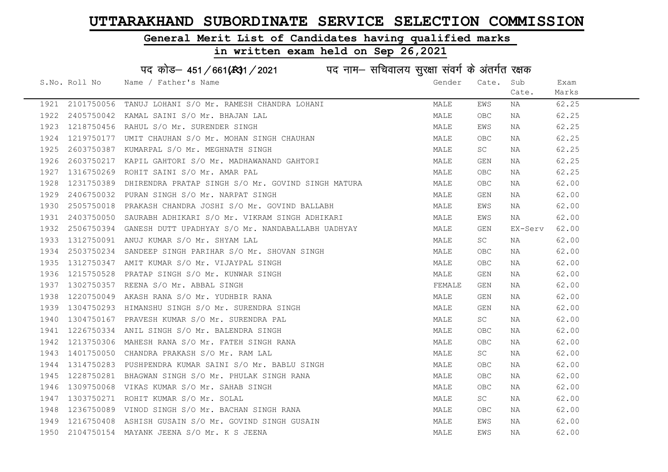#### General Merit List of Candidates having qualified marks

|      |               | पद कोड़– 451/661(स्था/2021 व्यान सचिवालय सुरक्षा संवर्ग के अंतर्गत रक्षक |        |            |         |       |
|------|---------------|--------------------------------------------------------------------------|--------|------------|---------|-------|
|      | S.No. Roll No | Name / Father's Name                                                     | Gender | Cate.      | Sub     | Exam  |
|      |               |                                                                          |        |            | Cate.   | Marks |
| 1921 | 2101750056    | TANUJ LOHANI S/O Mr. RAMESH CHANDRA LOHANI                               | MALE   | EWS        | NA      | 62.25 |
| 1922 |               | 2405750042 KAMAL SAINI S/O Mr. BHAJAN LAL                                | MALE   | OBC        | NA      | 62.25 |
| 1923 |               | 1218750456 RAHUL S/O Mr. SURENDER SINGH                                  | MALE   | EWS        | NA      | 62.25 |
| 1924 | 1219750177    | UMIT CHAUHAN S/O Mr. MOHAN SINGH CHAUHAN                                 | MALE   | <b>OBC</b> | NA      | 62.25 |
| 1925 |               | 2603750387 KUMARPAL S/O Mr. MEGHNATH SINGH                               | MALE   | SC         | NA      | 62.25 |
| 1926 |               | 2603750217 KAPIL GAHTORI S/O Mr. MADHAWANAND GAHTORI                     | MALE   | GEN        | NA      | 62.25 |
| 1927 | 1316750269    | ROHIT SAINI S/O Mr. AMAR PAL                                             | MALE   | <b>OBC</b> | NA      | 62.25 |
| 1928 | 1231750389    | DHIRENDRA PRATAP SINGH S/O Mr. GOVIND SINGH MATURA                       | MALE   | <b>OBC</b> | NA      | 62.00 |
| 1929 |               | 2406750032 PURAN SINGH S/O Mr. NARPAT SINGH                              | MALE   | GEN        | NA      | 62.00 |
| 1930 |               | 2505750018 PRAKASH CHANDRA JOSHI S/O Mr. GOVIND BALLABH                  | MALE   | EWS        | NA      | 62.00 |
| 1931 |               | 2403750050 SAURABH ADHIKARI S/O Mr. VIKRAM SINGH ADHIKARI                | MALE   | EWS        | NA      | 62.00 |
| 1932 |               | 2506750394 GANESH DUTT UPADHYAY S/O Mr. NANDABALLABH UADHYAY             | MALE   | GEN        | EX-Serv | 62.00 |
| 1933 |               | 1312750091 ANUJ KUMAR S/O Mr. SHYAM LAL                                  | MALE   | SC         | NA      | 62.00 |
| 1934 |               | 2503750234 SANDEEP SINGH PARIHAR S/O Mr. SHOVAN SINGH                    | MALE   | OBC        | NA      | 62.00 |
| 1935 |               | 1312750347 AMIT KUMAR S/O Mr. VIJAYPAL SINGH                             | MALE   | OBC        | NA      | 62.00 |
| 1936 | 1215750528    | PRATAP SINGH S/O Mr. KUNWAR SINGH                                        | MALE   | <b>GEN</b> | NA      | 62.00 |
| 1937 |               | 1302750357 REENA S/O Mr. ABBAL SINGH                                     | FEMALE | GEN        | NA      | 62.00 |
| 1938 |               | 1220750049 AKASH RANA S/O Mr. YUDHBIR RANA                               | MALE   | GEN        | NA      | 62.00 |
| 1939 |               | 1304750293 HIMANSHU SINGH S/O Mr. SURENDRA SINGH                         | MALE   | GEN        | NA      | 62.00 |
| 1940 |               | 1304750167 PRAVESH KUMAR S/O Mr. SURENDRA PAL                            | MALE   | SC         | NA      | 62.00 |
| 1941 |               | 1226750334 ANIL SINGH S/O Mr. BALENDRA SINGH                             | MALE   | OBC        | NA      | 62.00 |
| 1942 | 1213750306    | MAHESH RANA S/O Mr. FATEH SINGH RANA                                     | MALE   | OBC        | NA      | 62.00 |
| 1943 |               | 1401750050 CHANDRA PRAKASH S/O Mr. RAM LAL                               | MALE   | SC         | NA      | 62.00 |
| 1944 |               | 1314750283 PUSHPENDRA KUMAR SAINI S/O Mr. BABLU SINGH                    | MALE   | <b>OBC</b> | ΝA      | 62.00 |
| 1945 |               | 1228750281 BHAGWAN SINGH S/O Mr. PHULAK SINGH RANA                       | MALE   | OBC        | NA      | 62.00 |
| 1946 |               | 1309750068 VIKAS KUMAR S/O Mr. SAHAB SINGH                               | MALE   | OBC        | NA      | 62.00 |
| 1947 |               | 1303750271 ROHIT KUMAR S/O Mr. SOLAL                                     | MALE   | SC         | NA      | 62.00 |
| 1948 |               | 1236750089 VINOD SINGH S/O Mr. BACHAN SINGH RANA                         | MALE   | OBC        | NA      | 62.00 |
| 1949 |               | 1216750408 ASHISH GUSAIN S/O Mr. GOVIND SINGH GUSAIN                     | MALE   | EWS        | NA      | 62.00 |
| 1950 |               | 2104750154 MAYANK JEENA S/O Mr. K S JEENA                                | MALE   | EWS        | ΝA      | 62.00 |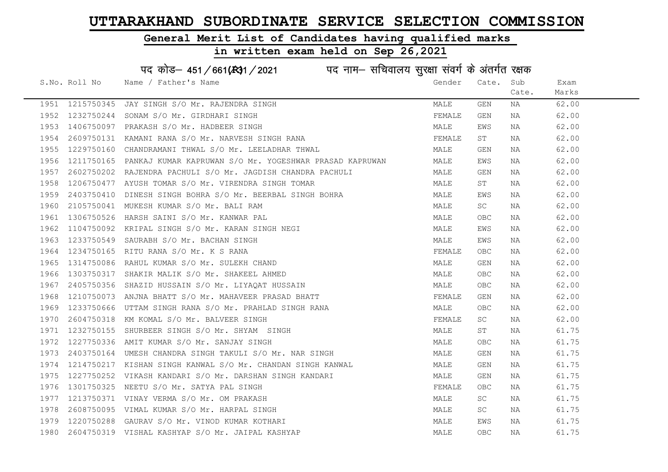### General Merit List of Candidates having qualified marks

| पद कोड़- 451/661(431/2021 पद नाम- सचिवालय सुरक्षा संवर्ग के अंतर्गत रक्षक |               |                                                                    |        |            |       |       |  |
|---------------------------------------------------------------------------|---------------|--------------------------------------------------------------------|--------|------------|-------|-------|--|
|                                                                           | S.No. Roll No | Name / Father's Name                                               | Gender | Cate.      | Sub   | Exam  |  |
|                                                                           |               |                                                                    |        |            | Cate. | Marks |  |
| 1951                                                                      | 1215750345    | JAY SINGH S/O Mr. RAJENDRA SINGH                                   | MALE   | GEN        | NA    | 62.00 |  |
| 1952                                                                      | 1232750244    | SONAM S/O Mr. GIRDHARI SINGH                                       | FEMALE | GEN        | NA    | 62.00 |  |
| 1953                                                                      | 1406750097    | PRAKASH S/O Mr. HADBEER SINGH                                      | MALE   | EWS        | NA    | 62.00 |  |
| 1954                                                                      | 2609750131    | KAMANI RANA S/O Mr. NARVESH SINGH RANA                             | FEMALE | ST         | NA    | 62.00 |  |
| 1955                                                                      | 1229750160    | CHANDRAMANI THWAL S/O Mr. LEELADHAR THWAL                          | MALE   | GEN        | NA    | 62.00 |  |
| 1956                                                                      |               | 1211750165 PANKAJ KUMAR KAPRUWAN S/O Mr. YOGESHWAR PRASAD KAPRUWAN | MALE   | EWS        | NA    | 62.00 |  |
| 1957                                                                      |               | 2602750202 RAJENDRA PACHULI S/O Mr. JAGDISH CHANDRA PACHULI        | MALE   | GEN        | NA    | 62.00 |  |
| 1958                                                                      | 1206750477    | AYUSH TOMAR S/O Mr. VIRENDRA SINGH TOMAR                           | MALE   | ST         | NA    | 62.00 |  |
| 1959                                                                      | 2403750410    | DINESH SINGH BOHRA S/O Mr. BEERBAL SINGH BOHRA                     | MALE   | EWS        | NA    | 62.00 |  |
| 1960                                                                      | 2105750041    | MUKESH KUMAR S/O Mr. BALI RAM                                      | MALE   | SC         | NA    | 62.00 |  |
| 1961                                                                      | 1306750526    | HARSH SAINI S/O Mr. KANWAR PAL                                     | MALE   | <b>OBC</b> | NA    | 62.00 |  |
| 1962                                                                      | 1104750092    | KRIPAL SINGH S/O Mr. KARAN SINGH NEGI                              | MALE   | EWS        | NA    | 62.00 |  |
| 1963                                                                      | 1233750549    | SAURABH S/O Mr. BACHAN SINGH                                       | MALE   | EWS        | NA    | 62.00 |  |
| 1964                                                                      | 1234750165    | RITU RANA S/O Mr. K S RANA                                         | FEMALE | OBC.       | NA    | 62.00 |  |
| 1965                                                                      | 1314750086    | RAHUL KUMAR S/O Mr. SULEKH CHAND                                   | MALE   | GEN        | NA    | 62.00 |  |
| 1966                                                                      | 1303750317    | SHAKIR MALIK S/O Mr. SHAKEEL AHMED                                 | MALE   | OBC        | NA    | 62.00 |  |
| 1967                                                                      | 2405750356    | SHAZID HUSSAIN S/O Mr. LIYAQAT HUSSAIN                             | MALE   | OBC        | NA    | 62.00 |  |
| 1968                                                                      | 1210750073    | ANJNA BHATT S/O Mr. MAHAVEER PRASAD BHATT                          | FEMALE | GEN        | NA    | 62.00 |  |
| 1969                                                                      | 1233750666    | UTTAM SINGH RANA S/O Mr. PRAHLAD SINGH RANA                        | MALE   | OBC.       | NA    | 62.00 |  |
| 1970                                                                      | 2604750318    | KM KOMAL S/O Mr. BALVEER SINGH                                     | FEMALE | SC         | NA    | 62.00 |  |
| 1971                                                                      |               | 1232750155 SHURBEER SINGH S/O Mr. SHYAM SINGH                      | MALE   | ST         | NA    | 61.75 |  |
| 1972                                                                      | 1227750336    | AMIT KUMAR S/O Mr. SANJAY SINGH                                    | MALE   | OBC.       | NA    | 61.75 |  |
| 1973                                                                      | 2403750164    | UMESH CHANDRA SINGH TAKULI S/O Mr. NAR SINGH                       | MALE   | GEN        | NA    | 61.75 |  |
| 1974                                                                      | 1214750217    | KISHAN SINGH KANWAL S/O Mr. CHANDAN SINGH KANWAL                   | MALE   | GEN        | NA    | 61.75 |  |
| 1975                                                                      |               | 1227750252 VIKASH KANDARI S/O Mr. DARSHAN SINGH KANDARI            | MALE   | GEN        | NA    | 61.75 |  |
| 1976                                                                      | 1301750325    | NEETU S/O Mr. SATYA PAL SINGH                                      | FEMALE | OBC.       | NA    | 61.75 |  |
| 1977                                                                      |               | 1213750371 VINAY VERMA S/O Mr. OM PRAKASH                          | MALE   | SC         | NA    | 61.75 |  |
| 1978                                                                      | 2608750095    | VIMAL KUMAR S/O Mr. HARPAL SINGH                                   | MALE   | SC         | NA    | 61.75 |  |
| 1979                                                                      |               | 1220750288 GAURAV S/O Mr. VINOD KUMAR KOTHARI                      | MALE   | EWS        | NA    | 61.75 |  |
| 1980                                                                      |               | 2604750319 VISHAL KASHYAP S/O Mr. JAIPAL KASHYAP                   | MALE   | <b>OBC</b> | ΝA    | 61.75 |  |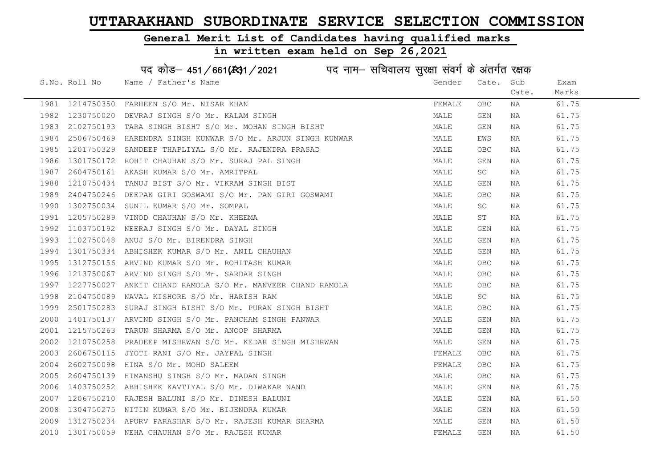#### General Merit List of Candidates having qualified marks

#### in written exam held on Sep 26,2021

S.No. Roll No Wame / Father's Name Gender Cate. Sub Cate. Exam Marks पद कोड– 451/661(स्था) / 2021 विद्युत्त नाम– सचिवालय सुरक्षा संवर्ग के अंतर्गत रक्षक 1981 1214750350 FARHEEN S/O Mr. NISAR KHAN FEMALE OBC NA 61.75 1982 1230750020 DEVRAJ SINGH S/O Mr. KALAM SINGH MALE GEN NA 61.75 1983 2102750193 TARA SINGH BISHT S/O Mr. MOHAN SINGH BISHT NA SAN MALE GEN NA 161.75 1984 2506750469 HARENDRA SINGH KUNWAR S/O Mr. ARJUN SINGH KUNWAR NAN MALE MALE EWS NA 161.75 1985 1201750329 SANDEEP THAPLIYAL S/O Mr. RAJENDRA PRASAD MANA MALE OBC NA 61.75 1986 1301750172 ROHIT CHAUHAN S/O Mr. SURAJ PAL SINGH MALE GEN NA 61.75 1987 2604750161 AKASH KUMAR S/O Mr. AMRITPAL 1987 2604750161 AKASH KUMAR SO NA 61.75 1988 1210750434 TANUJ BIST S/O Mr. VIKRAM SINGH BIST NA MALE GEN NA 61.75 1989 2404750246 DEEPAK GIRI GOSWAMI S/O Mr. PAN GIRI GOSWAMI MALE MALE OBC NA 61.75 1990 1302750034 SUNIL KUMAR S/O Mr. SOMPAL MALE SC NA 61.75 1991 1205750289 VINOD CHAUHAN S/O Mr. KHEEMA MALE ST NA 61.75 1992 1103750192 NEERAJ SINGH S/O Mr. DAYAL SINGH MALE GEN NA 61.75 1993 1102750048 ANUJ S/O Mr. BIRENDRA SINGH MALE GEN NA 61.75 1994 1301750334 ABHISHEK KUMAR S/O Mr. ANIL CHAUHAN MAN MALE GEN NA 61.75 1995 1312750156 ARVIND\_KUMAR\_S/O\_Mr.ROHITASH\_KUMAR MARR MALE OBC NA 61.75 1996 1213750067 ARVIND SINGH S/O Mr. SARDAR SINGH MALE OBC NA 61.75 1997 1227750027 ANKIT CHAND RAMOLA S/O Mr. MANVEER CHAND RAMOLA MALE OBC NA 61.75 1998 2104750089 NAVAL KISHORE S/O Mr. HARISH RAM MALE SC NA 61.75 1999 2501750283 SURAJ SINGH BISHT S/O Mr. PURAN SINGH BISHT MALE OBC NA 61.75 2000 1401750137 ARVIND SINGH S/O Mr. PANCHAM SINGH PANWAR MAN MALE GEN NA 61.75 2001 1215750263 TARUN SHARMA S/O Mr. ANOOP SHARMA MARE MALE GEN NA 61.75 2002 1210750258 PRADEEP MISHRWAN S/O Mr. KEDAR SINGH MISHRWAN MALE GEN NA 61.75 2003 2606750115 JYOTI RANI S/O Mr. JAYPAL SINGH FEMALE OBC NA 61.75 2004 2602750098 HINA S/O Mr. MOHD SALEEM FEMALE OBC NA 61.75 2005 2604750139 HIMANSHU SINGH S/O Mr. MADAN SINGH MANA MALE OBC NA 61.75 2006 1403750252 ABHISHEK KAVTIYAL S/O Mr. DIWAKAR NAND MALE GEN NA 61.75 2007 1206750210 RAJESH BALUNI S/O Mr. DINESH BALUNI MALE GEN NA 61.50 2008 1304750275 NITIN KUMAR S/O Mr. BIJENDRA KUMAR MALE GEN NA 61.50 2009 1312750234 APURV PARASHAR S/O Mr. RAJESH KUMAR SHARMA MALE GEN NA 61.50 2010 1301750059 NEHA CHAUHAN S/O Mr. RAJESH KUMAR FEMALE GEN NA 61.50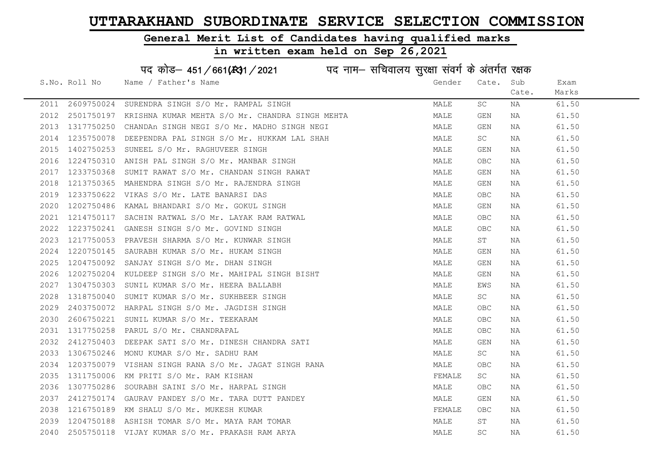#### General Merit List of Candidates having qualified marks

in written exam held on Sep 26,2021

S.No. Roll No Wame / Father's Name Gender Cate. Sub Cate. Exam Marks पद कोड– 451/661(स्था) / 2021 विद्युत्त नाम– सचिवालय सुरक्षा संवर्ग के अंतर्गत रक्षक 2011 2609750024 SURENDRA SINGH S/O Mr. RAMPAL SINGH MALE SC NA 61.50 2012 2501750197 KRISHNA KUMAR MEHTA S/O Mr. CHANDRA SINGH MEHTA MALE GEN NA 61.50 2013 1317750250 CHANDAn SINGH NEGI S/O Mr. MADHO SINGH NEGI MALE GEN NA 61.50 2014 1235750078 DEEPENDRA PAL SINGH S/O Mr. HUKKAM LAL SHAH MALL MALE SC NA 61.50 2015 1402750253 SUNEEL S/O Mr. RAGHUVEER SINGH MALE GEN NA 61.50 2016 1224750310 ANISH PAL SINGH S/O Mr. MANBAR SINGH MALE OBC NA 61.50 2017 1233750368 SUMIT RAWAT S/O Mr. CHANDAN SINGH RAWAT MAN MALE GEN NA 61.50 2018 1213750365 MAHENDRA SINGH S/O Mr. RAJENDRA SINGH MALE GEN NA 61.50 2019 1233750622 VIKAS S/O Mr. LATE BANARSI DAS MALE OBC NA 61.50 2020 1202750486 KAMAL BHANDARI S/O Mr. GOKUL SINGH MALE GEN NA 61.50 2021 1214750117 SACHIN RATWAL S/O Mr. LAYAK RAM RATWAL MANAL MALE OBC NA 61.50 2022 1223750241 GANESH SINGH S/O Mr. GOVIND SINGH MALE OBC NA 61.50 2023 1217750053 PRAVESH SHARMA S/O Mr. KUNWAR SINGH MALE ST NA 61.50 2024 1220750145 SAURABH KUMAR S/O Mr. HUKAM SINGH MALE GEN NA 61.50 2025 1204750092 SANJAY SINGH S/O Mr. DHAN SINGH MALE GEN NA 61.50 2026 1202750204 KULDEEP SINGH S/O Mr. MAHIPAL SINGH BISHT MALE GEN NA 61.50 2027 1304750303 SUNIL KUMAR S/O Mr. HEERA BALLABH MALE EWS NA 61.50 2028 1318750040 SUMIT KUMAR S/O Mr. SUKHBEER SINGH MALE SC NA 61.50 2029 2403750072 HARPAL SINGH S/O Mr. JAGDISH SINGH MALE OBC NA 61.50 2030 2606750221 SUNIL KUMAR S/O Mr. TEEKARAM MALE OBC NA 61.50 2031 1317750258 PARUL S/O Mr. CHANDRAPAL 2031 1317750258 PARUL 61.50 2032 2412750403 DEEPAK SATI S/O Mr. DINESH CHANDRA SATI SAN MALE GEN NA 61.50 2033 1306750246 MONU KUMAR S/O Mr. SADHU RAM MALE SC NA 61.50 2034 1203750079 VISHAN SINGH RANA S/O Mr. JAGAT SINGH RANA MANA MALE OBC NA 61.50 2035 1311750006 KM PRITI S/O Mr. RAM KISHAN FEMALE SC NA 61.50 2036 1307750286 SOURABH SAINI S/O Mr. HARPAL SINGH MALE OBC NA 61.50 2037 2412750174 GAURAV PANDEY S/O Mr. TARA DUTT PANDEY MALE GEN NA 61.50 2038 1216750189 KM SHALU S/O Mr. MUKESH KUMAR FEMALE OBC NA 61.50 2039 1204750188 ASHISH TOMAR S/O Mr. MAYA RAM TOMAR MALE ST NA 61.50 2040 2505750118 VIJAY KUMAR S/O Mr. PRAKASH RAM ARYA MALE SC NA 61.50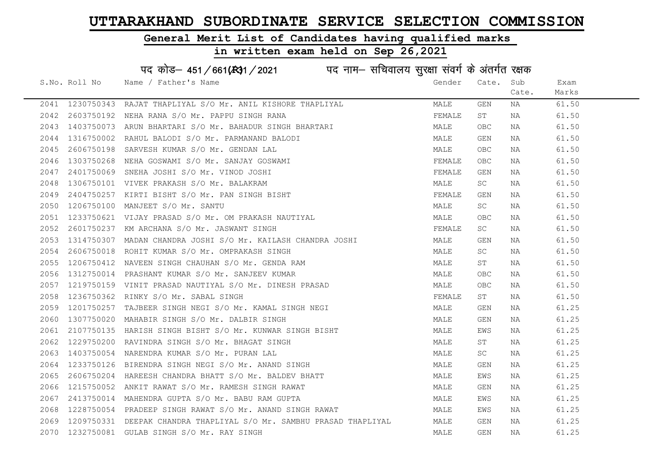#### General Merit List of Candidates having qualified marks

# in written exam held on Sep 26,2021

|      | S.No. Roll No | Name / Father's Name                                                                                                                                                                                                                       | Gender | Cate.      | Sub   | Exam  |
|------|---------------|--------------------------------------------------------------------------------------------------------------------------------------------------------------------------------------------------------------------------------------------|--------|------------|-------|-------|
|      |               |                                                                                                                                                                                                                                            |        |            | Cate. | Marks |
|      |               | 2041 1230750343 RAJAT THAPLIYAL S/O Mr. ANIL KISHORE THAPLIYAL                                                                                                                                                                             | MALE   | GEN        | NA    | 61.50 |
|      |               | 2042 2603750192 NEHA RANA S/O Mr. PAPPU SINGH RANA                                                                                                                                                                                         | FEMALE | ST         | NA    | 61.50 |
| 2043 |               | 1403750073 ARUN BHARTARI S/O Mr. BAHADUR SINGH BHARTARI                                                                                                                                                                                    | MALE   | OBC        | NA    | 61.50 |
| 2044 |               |                                                                                                                                                                                                                                            | MALE   | GEN        | NA    | 61.50 |
| 2045 |               |                                                                                                                                                                                                                                            | MALE   | OBC.       | NA    | 61.50 |
| 2046 |               |                                                                                                                                                                                                                                            | FEMALE | OBC.       | NA    | 61.50 |
| 2047 |               |                                                                                                                                                                                                                                            | FEMALE | GEN        | NA    | 61.50 |
| 2048 |               |                                                                                                                                                                                                                                            | MALE   | SC.        | NA    | 61.50 |
| 2049 |               | 1316750002 RAHUL BALODI S/O Mr. PARMANAND BALODI<br>2606750198 SARVESH KUMAR S/O Mr. GENDAN LAL<br>1303750268 NEHA GOSWAMI S/O Mr. SANJAY GOSWAMI<br>2401750069 SNEHA JOSHI S/O Mr. VINOD JOSHI<br>1306750101 VIVEK PRAKASH S/O Mr. BALAKR | FEMALE | GEN        | NA    | 61.50 |
| 2050 |               |                                                                                                                                                                                                                                            | MALE   | SC         | NA    | 61.50 |
| 2051 |               | 1233750621 VIJAY PRASAD S/O Mr. OM PRAKASH NAUTIYAL                                                                                                                                                                                        | MALE   | OBC.       | NA    | 61.50 |
| 2052 |               | 2601750237 KM ARCHANA S/O Mr. JASWANT SINGH                                                                                                                                                                                                | FEMALE | SC         | NA    | 61.50 |
| 2053 |               | 1314750307 MADAN CHANDRA JOSHI S/O Mr. KAILASH CHANDRA JOSHI                                                                                                                                                                               | MALE   | GEN        | NA    | 61.50 |
| 2054 |               | 2606750018 ROHIT KUMAR S/O Mr. OMPRAKASH SINGH                                                                                                                                                                                             | MALE   | SC         | NA    | 61.50 |
|      |               | 2055 1206750412 NAVEEN SINGH CHAUHAN S/O Mr. GENDA RAM                                                                                                                                                                                     | MALE   | ST         | NA    | 61.50 |
|      |               | 2056 1312750014 PRASHANT KUMAR S/O Mr. SANJEEV KUMAR<br>2057 1219750150 VIVIE DRAGAR HILL                                                                                                                                                  | MALE   | <b>OBC</b> | NA    | 61.50 |
| 2057 |               | 1219750159 VINIT PRASAD NAUTIYAL S/O Mr. DINESH PRASAD                                                                                                                                                                                     | MALE   | OBC.       | NA    | 61.50 |
| 2058 |               | 1236750362 RINKY S/O Mr. SABAL SINGH                                                                                                                                                                                                       | FEMALE | ST         | NA    | 61.50 |
| 2059 |               | 1201750257 TAJBEER SINGH NEGI S/O Mr. KAMAL SINGH NEGI                                                                                                                                                                                     | MALE   | GEN        | NA    | 61.25 |
| 2060 |               | 1307750020 MAHABIR SINGH S/O Mr. DALBIR SINGH                                                                                                                                                                                              | MALE   | GEN        | NA    | 61.25 |
| 2061 |               | 2107750135 HARISH SINGH BISHT S/O Mr. KUNWAR SINGH BISHT                                                                                                                                                                                   | MALE   | EWS        | NA    | 61.25 |
| 2062 |               | 1229750200 RAVINDRA SINGH S/O Mr. BHAGAT SINGH                                                                                                                                                                                             | MALE   | ST         | NA    | 61.25 |
| 2063 |               | 1403750054 NARENDRA KUMAR S/O Mr. PURAN LAL                                                                                                                                                                                                | MALE   | SC         | NA    | 61.25 |
|      |               | 2064 1233750126 BIRENDRA SINGH NEGI S/O Mr. ANAND SINGH                                                                                                                                                                                    | MALE   | GEN        | NA    | 61.25 |
| 2065 |               |                                                                                                                                                                                                                                            | MALE   | EWS        | NA    | 61.25 |
| 2066 |               | 2606750204 HAREESH CHANDRA BHATT S/O Mr. BALDEV BHATT<br>1215750052 ANKIT RAWAT S/O Mr. RAMESH SINGH RAWAT<br>1215750052 ANKIT RAWAT S/O Mr. RAMESH SINGH RAWAT                                                                            | MALE   | GEN        | NA    | 61.25 |
| 2067 |               | 2413750014 MAHENDRA GUPTA S/O Mr. BABU RAM GUPTA                                                                                                                                                                                           | MALE   | EWS        | NA    | 61.25 |
| 2068 |               | 1228750054 PRADEEP SINGH RAWAT S/O Mr. ANAND SINGH RAWAT                                                                                                                                                                                   | MALE   | EWS        | NA    | 61.25 |
| 2069 |               | 1209750331 DEEPAK CHANDRA THAPLIYAL S/O Mr. SAMBHU PRASAD THAPLIYAL                                                                                                                                                                        | MALE   | GEN        | NA    | 61.25 |
|      |               | 2070 1232750081 GULAB SINGH S/O Mr. RAY SINGH                                                                                                                                                                                              | MALE   | GEN        | NA    | 61.25 |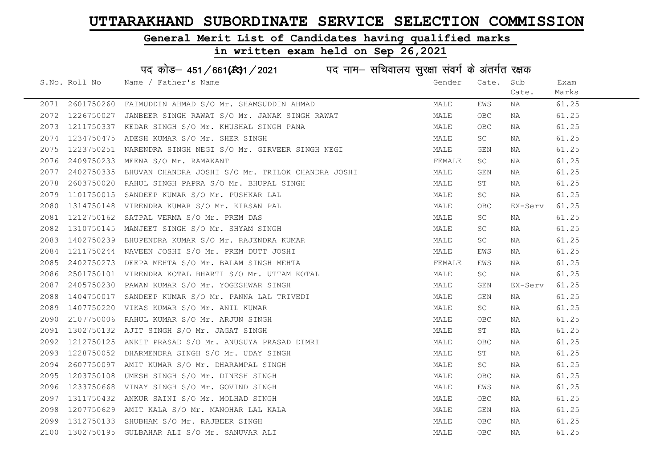#### General Merit List of Candidates having qualified marks

|      |               | पद कोड़- 451/661(431/2021 पद नाम- सचिवालय सुरक्षा संवर्ग के अंतर्गत रक्षक |        |                     |         |       |
|------|---------------|---------------------------------------------------------------------------|--------|---------------------|---------|-------|
|      | S.No. Roll No | Name / Father's Name                                                      | Gender | Cate.               | Sub     | Exam  |
|      |               |                                                                           |        |                     | Cate.   | Marks |
| 2071 | 2601750260    | FAIMUDDIN AHMAD S/O Mr. SHAMSUDDIN AHMAD                                  | MALE   | EWS                 | ΝA      | 61.25 |
| 2072 | 1226750027    | JANBEER SINGH RAWAT S/O Mr. JANAK SINGH RAWAT                             | MALE   | <b>OBC</b>          | NA      | 61.25 |
| 2073 | 1211750337    | KEDAR SINGH S/O Mr. KHUSHAL SINGH PANA                                    | MALE   | OBC.                | NA      | 61.25 |
| 2074 | 1234750475    | ADESH KUMAR S/O Mr. SHER SINGH                                            | MALE   | SC                  | NA      | 61.25 |
| 2075 | 1223750251    | NARENDRA SINGH NEGI S/O Mr. GIRVEER SINGH NEGI                            | MALE   | GEN                 | NA      | 61.25 |
| 2076 | 2409750233    | MEENA S/O Mr. RAMAKANT                                                    | FEMALE | SC                  | NA      | 61.25 |
| 2077 | 2402750335    | BHUVAN CHANDRA JOSHI S/O Mr. TRILOK CHANDRA JOSHI                         | MALE   | GEN                 | NA      | 61.25 |
| 2078 | 2603750020    | RAHUL SINGH PAPRA S/O Mr. BHUPAL SINGH                                    | MALE   | SΤ                  | NA      | 61.25 |
| 2079 | 1101750015    | SANDEEP KUMAR S/O Mr. PUSHKAR LAL                                         | MALE   | SC                  | NA      | 61.25 |
| 2080 | 1314750148    | VIRENDRA KUMAR S/O Mr. KIRSAN PAL                                         | MALE   | OBC                 | EX-Serv | 61.25 |
| 2081 | 1212750162    | SATPAL VERMA S/O Mr. PREM DAS                                             | MALE   | SC.                 | NA      | 61.25 |
| 2082 | 1310750145    | MANJEET SINGH S/O Mr. SHYAM SINGH                                         | MALE   | SC                  | NA      | 61.25 |
| 2083 | 1402750239    | BHUPENDRA KUMAR S/O Mr. RAJENDRA KUMAR                                    | MALE   | <b>SC</b>           | NA      | 61.25 |
| 2084 |               | 1211750244 NAVEEN JOSHI S/O Mr. PREM DUTT JOSHI                           | MALE   | EWS                 | NA      | 61.25 |
| 2085 |               | 2402750273 DEEPA MEHTA S/O Mr. BALAM SINGH MEHTA                          | FEMALE | EWS                 | NA      | 61.25 |
| 2086 | 2501750101    | VIRENDRA KOTAL BHARTI S/O Mr. UTTAM KOTAL                                 | MALE   | $\operatorname{SC}$ | NA      | 61.25 |
| 2087 | 2405750230    | PAWAN KUMAR S/O Mr. YOGESHWAR SINGH                                       | MALE   | GEN                 | EX-Serv | 61.25 |
| 2088 | 1404750017    | SANDEEP KUMAR S/O Mr. PANNA LAL TRIVEDI                                   | MALE   | GEN                 | NA      | 61.25 |
| 2089 | 1407750220    | VIKAS KUMAR S/O Mr. ANIL KUMAR                                            | MALE   | SC                  | NA      | 61.25 |
| 2090 | 2107750006    | RAHUL KUMAR S/O Mr. ARJUN SINGH                                           | MALE   | OBC                 | ΝA      | 61.25 |
| 2091 | 1302750132    | AJIT SINGH S/O Mr. JAGAT SINGH                                            | MALE   | ST                  | NA      | 61.25 |
| 2092 | 1212750125    | ANKIT PRASAD S/O Mr. ANUSUYA PRASAD DIMRI                                 | MALE   | OBC                 | NA      | 61.25 |
| 2093 | 1228750052    | DHARMENDRA SINGH S/O Mr. UDAY SINGH                                       | MALE   | ST                  | NA      | 61.25 |
| 2094 | 2607750097    | AMIT KUMAR S/O Mr. DHARAMPAL SINGH                                        | MALE   | SC                  | NA      | 61.25 |
| 2095 | 1203750108    | UMESH SINGH S/O Mr. DINESH SINGH                                          | MALE   | <b>OBC</b>          | NA      | 61.25 |
| 2096 | 1233750668    | VINAY SINGH S/O Mr. GOVIND SINGH                                          | MALE   | EWS                 | NA      | 61.25 |
| 2097 | 1311750432    | ANKUR SAINI S/O Mr. MOLHAD SINGH                                          | MALE   | OBC.                | NA      | 61.25 |
| 2098 | 1207750629    | AMIT KALA S/O Mr. MANOHAR LAL KALA                                        | MALE   | GEN                 | NA      | 61.25 |
| 2099 | 1312750133    | SHUBHAM S/O Mr. RAJBEER SINGH                                             | MALE   | <b>OBC</b>          | NA      | 61.25 |
| 2100 | 1302750195    | GULBAHAR ALI S/O Mr. SANUVAR ALI                                          | MALE   | OBC                 | ΝA      | 61.25 |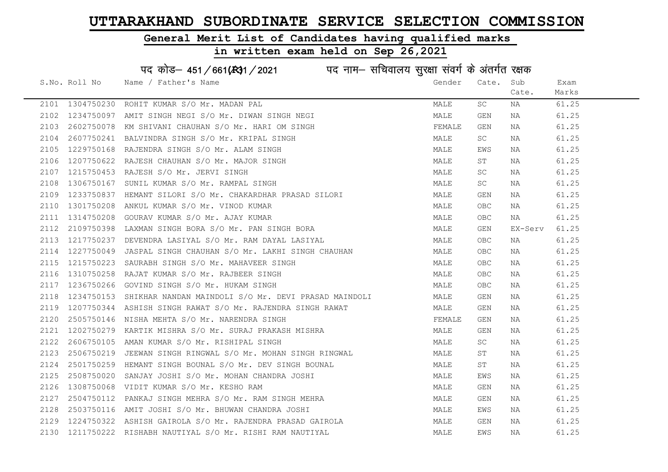#### General Merit List of Candidates having qualified marks

|      |                 | पद कोड़- 451/661(431/2021 पद नाम- सचिवालय सुरक्षा संवर्ग के अंतर्गत रक्षक |                                                                  |        |             |         |       |
|------|-----------------|---------------------------------------------------------------------------|------------------------------------------------------------------|--------|-------------|---------|-------|
|      | S.No. Roll No   | Name / Father's Name                                                      |                                                                  | Gender | Cate. Sub   |         | Exam  |
|      |                 |                                                                           |                                                                  |        |             | Cate.   | Marks |
|      | 2101 1304750230 | ROHIT KUMAR S/O Mr. MADAN PAL                                             |                                                                  | MALE   | SC          | NA      | 61.25 |
| 2102 | 1234750097      | AMIT SINGH NEGI S/O Mr. DIWAN SINGH NEGI                                  |                                                                  | MALE   | GEN         | NA      | 61.25 |
| 2103 | 2602750078      | KM SHIVANI CHAUHAN S/O Mr. HARI OM SINGH                                  |                                                                  | FEMALE | GEN         | NA      | 61.25 |
| 2104 | 2607750241      | BALVINDRA SINGH S/O Mr. KRIPAL SINGH                                      |                                                                  | MALE   | SC          | NA      | 61.25 |
| 2105 | 1229750168      | RAJENDRA SINGH S/O Mr. ALAM SINGH                                         |                                                                  | MALE   | EWS         | NA      | 61.25 |
| 2106 |                 | 1207750622 RAJESH CHAUHAN S/O Mr. MAJOR SINGH                             |                                                                  | MALE   | ST          | NA      | 61.25 |
| 2107 |                 | 1215750453 RAJESH S/O Mr. JERVI SINGH                                     |                                                                  | MALE   | SC          | NA      | 61.25 |
| 2108 | 1306750167      | SUNIL KUMAR S/O Mr. RAMPAL SINGH                                          |                                                                  | MALE   | SC          | NA      | 61.25 |
| 2109 | 1233750837      | HEMANT SILORI S/O Mr. CHAKARDHAR PRASAD SILORI                            | ILORI<br> -<br>  The Samuel School (1990)<br>  The School (1990) | MALE   | GEN         | NA      | 61.25 |
| 2110 | 1301750208      | ANKUL KUMAR S/O Mr. VINOD KUMAR                                           |                                                                  | MALE   | <b>OBC</b>  | NA      | 61.25 |
| 2111 | 1314750208      | GOURAV KUMAR S/O Mr. AJAY KUMAR                                           |                                                                  | MALE   | <b>OBC</b>  | NA      | 61.25 |
| 2112 | 2109750398      | LAXMAN SINGH BORA S/O Mr. PAN SINGH BORA                                  |                                                                  | MALE   | GEN         | EX-Serv | 61.25 |
| 2113 | 1217750237      | DEVENDRA LASIYAL S/O Mr. RAM DAYAL LASIYAL                                |                                                                  | MALE   | OBC.        | NA      | 61.25 |
| 2114 |                 | 1227750049 JASPAL SINGH CHAUHAN S/O Mr. LAKHI SINGH CHAUHAN               |                                                                  | MALE   | OBC         | NA      | 61.25 |
| 2115 |                 | 1215750223 SAURABH SINGH S/O Mr. MAHAVEER SINGH                           |                                                                  | MALE   | OBC.        | NA      | 61.25 |
| 2116 | 1310750258      | RAJAT KUMAR S/O Mr. RAJBEER SINGH                                         |                                                                  | MALE   | ${\sf OBC}$ | NA      | 61.25 |
| 2117 | 1236750266      | GOVIND SINGH S/O Mr. HUKAM SINGH                                          |                                                                  | MALE   | OBC.        | NA      | 61.25 |
| 2118 | 1234750153      | SHIKHAR NANDAN MAINDOLI S/O Mr. DEVI PRASAD MAINDOLI                      |                                                                  | MALE   | GEN         | NA      | 61.25 |
| 2119 |                 | 1207750344 ASHISH SINGH RAWAT S/O Mr. RAJENDRA SINGH RAWAT                |                                                                  | MALE   | GEN         | NA      | 61.25 |
| 2120 |                 | 2505750146 NISHA MEHTA S/O Mr. NARENDRA SINGH                             |                                                                  | FEMALE | GEN         | NA      | 61.25 |
| 2121 | 1202750279      | KARTIK MISHRA S/O Mr. SURAJ PRAKASH MISHRA                                |                                                                  | MALE   | GEN         | NA      | 61.25 |
| 2122 |                 | 2606750105 AMAN KUMAR S/O Mr. RISHIPAL SINGH                              |                                                                  | MALE   | SC          | NA      | 61.25 |
| 2123 | 2506750219      | JEEWAN SINGH RINGWAL S/O Mr. MOHAN SINGH RINGWAL                          |                                                                  | MALE   | ST          | NA      | 61.25 |
| 2124 | 2501750259      | HEMANT SINGH BOUNAL S/O Mr. DEV SINGH BOUNAL                              |                                                                  | MALE   | SΤ          | NA      | 61.25 |
| 2125 | 2508750020      | SANJAY JOSHI S/O Mr. MOHAN CHANDRA JOSHI                                  |                                                                  | MALE   | EWS         | NA      | 61.25 |
| 2126 |                 | 1308750068 VIDIT KUMAR S/O Mr. KESHO RAM                                  |                                                                  | MALE   | GEN         | NA      | 61.25 |
| 2127 | 2504750112      | PANKAJ SINGH MEHRA S/O Mr. RAM SINGH MEHRA                                |                                                                  | MALE   | GEN         | NA      | 61.25 |
| 2128 |                 | 2503750116 AMIT JOSHI S/O Mr. BHUWAN CHANDRA JOSHI                        |                                                                  | MALE   | EWS         | NA      | 61.25 |
| 2129 |                 | 1224750322 ASHISH GAIROLA S/O Mr. RAJENDRA PRASAD GAIROLA                 |                                                                  | MALE   | GEN         | NA      | 61.25 |
|      |                 | 2130 1211750222 RISHABH NAUTIYAL S/O Mr. RISHI RAM NAUTIYAL               |                                                                  | MALE   | EWS         | ΝA      | 61.25 |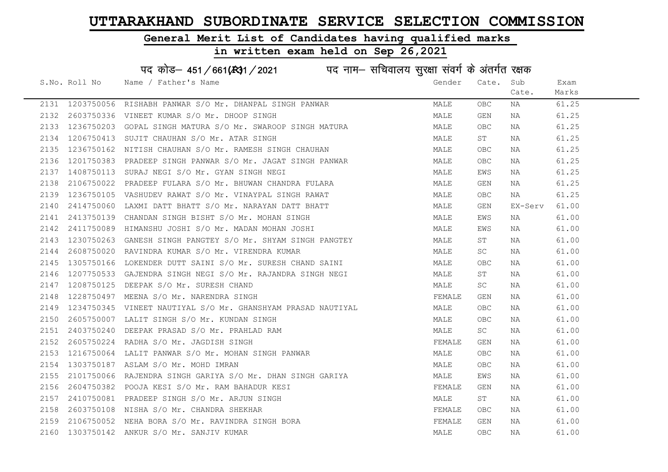#### General Merit List of Candidates having qualified marks

#### in written exam held on Sep 26,2021

S.No. Roll No Wame / Father's Name Gender Cate. Sub Cate. Exam Marks पद कोड– 451/661(स्था) / 2021 विज्ञान सचिवालय सुरक्षा संवर्ग के अंतर्गत रक्षक 2131 1203750056 RISHABH PANWAR S/O Mr. DHANPAL SINGH PANWAR MAN MALE OBC NA 61.25 2132 2603750336 VINEET KUMAR S/O Mr. DHOOP SINGH MALE GEN NA 61.25 2133 1236750203 GOPAL SINGH MATURA S/O Mr. SWAROOP SINGH MATURA MALE OBC NA 61.25 2134 1206750413 SUJIT CHAUHAN S/O Mr. ATAR SINGH MARE MALE ST NA 61.25 2135 1236750162 NITISH CHAUHAN S/O Mr. RAMESH SINGH CHAUHAN MAN MALE OBC NA 61.25 2136 1201750383 PRADEEP SINGH PANWAR S/O Mr. JAGAT SINGH PANWAR MALE OBC NA 61.25 2137 1408750113 SURAJ NEGI S/O Mr. GYAN SINGH NEGI NA MARE EWS NA 61.25 2138 2106750022 PRADEEP FULARA S/O Mr. BHUWAN CHANDRA FULARA MANA MALE GEN NA 61.25 2139 1236750105 VASHUDEV RAWAT S/O Mr. VINAYPAL SINGH RAWAT MALE OBC NA 61.25 2140 2414750060 LAXMI DATT BHATT S/O Mr. NARAYAN DATT BHATT MALE MALE GEN EX-Serv 61.00 2141 2413750139 CHANDAN SINGH BISHT S/O Mr. MOHAN SINGH MALE EWS NA 61.00 2142 2411750089 HIMANSHU JOSHI S/O Mr. MADAN MOHAN JOSHI MALE EWS NA 61.00 2112 1111 1111<br>2143 1230750263 GANESH SINGH PANGTEY S/O Mr. SHYAM SINGH PANGTEY MALE ST NA 61.00 2144 2608750020 RAVINDRA KUMAR S/O Mr. VIRENDRA KUMAR MALE SC NA 61.00 2145 1305750166 LOKENDER DUTT SAINI S/O Mr. SURESH CHAND SAINI MALE OBC NA 61.00 2146 1207750533 GAJENDRA SINGH NEGI S/O Mr. RAJANDRA SINGH NEGI MALE ST NA 61.00 2147 1208750125 DEEPAK S/O Mr. SURESH CHAND MALE SC NA 61.00 2148 1228750497 MEENA S/O Mr. NARENDRA SINGH FEMALE GEN NA 61.00 2149 1234750345 VINEET NAUTIYAL S/O Mr. GHANSHYAM PRASAD NAUTIYAL MALE OBC NA 61.00 2150 2605750007 LALIT SINGH S/O Mr. KUNDAN SINGH MALE OBC NA 61.00 2151 2403750240 DEEPAK PRASAD S/O Mr. PRAHLAD RAM MALE SC NA 61.00 2152 2605750224 RADHA S/O Mr. JAGDISH SINGH FEMALE GEN NA 61.00 2153 1216750064 LALIT PANWAR S/O Mr. MOHAN SINGH PANWAR MARRIAN MALE OBC NA 61.00 2154 1303750187 ASLAM S/O Mr. MOHD IMRAN MALE OBC NA 61.00 2155 2101750066 RAJENDRA SINGH GARIYA S/O Mr. DHAN SINGH GARIYA MANILAN MALE EWS NA 61.00 2156 2604750382 POOJA KESI S/O Mr. RAM BAHADUR KESI SARA SERI SEMALE GEN NA SARA 61.00 2157 2410750081 PRADEEP SINGH S/O Mr. ARJUN SINGH MALE ST NA 61.00 2158 2603750108 NISHA S/O Mr. CHANDRA SHEKHAR FEMALE OBC NA 61.00 2159 2106750052 NEHA BORA S/O Mr. RAVINDRA SINGH BORA FEMALE GEN NA 61.00 2160 1303750142 ANKUR S/O Mr. SANJIV KUMAR MALE OBC NA 61.00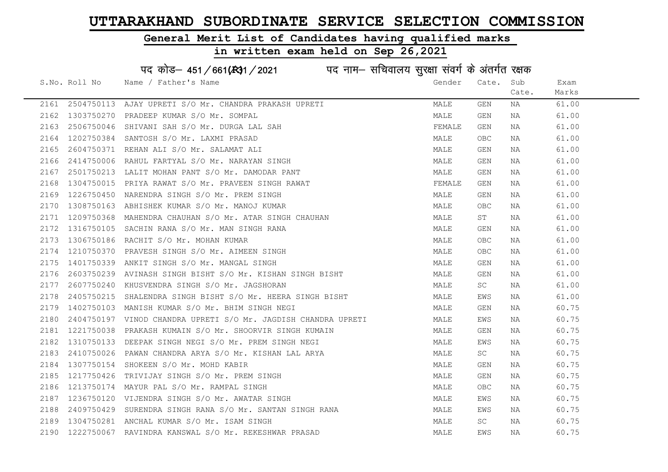### General Merit List of Candidates having qualified marks

# in written exam held on Sep 26,2021

पद कोड– 451/661(स्था/2021 व्यान सचिवालय सुरक्षा संवर्ग के अंतर्गत रक्षक

|      | S.No. Roll No | Name / Father's Name                                                                                                                                                                                                         | Gender | Cate.      | Sub   | Exam  |
|------|---------------|------------------------------------------------------------------------------------------------------------------------------------------------------------------------------------------------------------------------------|--------|------------|-------|-------|
|      |               |                                                                                                                                                                                                                              |        |            | Cate. | Marks |
|      |               | 2161 2504750113 AJAY UPRETI S/O Mr. CHANDRA PRAKASH UPRETI 2162 1303750270 PRADEEP KUMAR S/O Mr. SOMPAL 2163 2506750046 SHIVANI SAH S/O Mr. DURGA LAL SAH 2164 1202750384 SANTOSH S/O Mr. LAXMI PRASAD 2165 2604750371 REHAN | MALE   | GEN        | NA    | 61.00 |
|      |               |                                                                                                                                                                                                                              | MALE   | GEN        | NA    | 61.00 |
|      |               |                                                                                                                                                                                                                              | FEMALE | GEN        | NA    | 61.00 |
|      |               |                                                                                                                                                                                                                              | MALE   | OBC.       | NA    | 61.00 |
|      |               |                                                                                                                                                                                                                              | MALE   | GEN        | NA    | 61.00 |
|      |               |                                                                                                                                                                                                                              | MALE   | GEN        | NA    | 61.00 |
|      |               |                                                                                                                                                                                                                              | MALE   | GEN        | NA    | 61.00 |
|      |               |                                                                                                                                                                                                                              | FEMALE | GEN        | NA    | 61.00 |
|      |               |                                                                                                                                                                                                                              | MALE   | GEN        | NA    | 61.00 |
|      |               |                                                                                                                                                                                                                              | MALE   | <b>OBC</b> | NA    | 61.00 |
| 2171 |               | 1209750368 MAHENDRA CHAUHAN S/O Mr. ATAR SINGH CHAUHAN                                                                                                                                                                       | MALE   | ST         | NA    | 61.00 |
| 2172 |               | 1316750105 SACHIN RANA S/O Mr. MAN SINGH RANA                                                                                                                                                                                | MALE   | GEN        | NA    | 61.00 |
| 2173 |               | 1306750186 RACHIT S/O Mr. MOHAN KUMAR                                                                                                                                                                                        | MALE   | OBC        | NA    | 61.00 |
| 2174 |               | 1210750370 PRAVESH SINGH S/O Mr. AIMEEN SINGH                                                                                                                                                                                | MALE   | <b>OBC</b> | NA    | 61.00 |
| 2175 | 1401750339    | ANKIT SINGH S/O Mr. MANGAL SINGH                                                                                                                                                                                             | MALE   | GEN        | NA    | 61.00 |
| 2176 | 2603750239    | AVINASH SINGH BISHT S/O Mr. KISHAN SINGH BISHT<br>KHUSVENDRA SINGH S/O Mr. JAGSHORAN                                                                                                                                         | MALE   | GEN        | NA    | 61.00 |
| 2177 |               | 2607750240 KHUSVENDRA SINGH S/O Mr. JAGSHORAN                                                                                                                                                                                | MALE   | SC         | NA    | 61.00 |
| 2178 |               | 2405750215 SHALENDRA SINGH BISHT S/O Mr. HEERA SINGH BISHT                                                                                                                                                                   | MALE   | EWS        | NA    | 61.00 |
| 2179 |               | 1402750103 MANISH KUMAR S/O Mr. BHIM SINGH NEGI                                                                                                                                                                              | MALE   | GEN        | NA    | 60.75 |
| 2180 |               | 2404750197 VINOD CHANDRA UPRETI S/O Mr. JAGDISH CHANDRA UPRETI                                                                                                                                                               | MALE   | EWS        | NA    | 60.75 |
| 2181 |               | 1221750038 PRAKASH KUMAIN S/O Mr. SHOORVIR SINGH KUMAIN                                                                                                                                                                      | MALE   | GEN        | NA    | 60.75 |
| 2182 |               | 1310750133 DEEPAK SINGH NEGI S/O Mr. PREM SINGH NEGI                                                                                                                                                                         | MALE   | EWS        | NA    | 60.75 |
| 2183 | 2410750026    | PAWAN CHANDRA ARYA S/O Mr. KISHAN LAL ARYA                                                                                                                                                                                   | MALE   | SC         | NA    | 60.75 |
| 2184 |               | 1307750154 SHOKEEN S/O Mr. MOHD KABIR                                                                                                                                                                                        | MALE   | GEN        | NA    | 60.75 |
| 2185 | 1217750426    | TRIVIJAY SINGH S/O Mr. PREM SINGH                                                                                                                                                                                            | MALE   | GEN        | NA    | 60.75 |
| 2186 | 1213750174    | MAYUR PAL S/O Mr. RAMPAL SINGH                                                                                                                                                                                               | MALE   | <b>OBC</b> | NA    | 60.75 |
| 2187 |               | 1236750120 VIJENDRA SINGH S/O Mr. AWATAR SINGH                                                                                                                                                                               | MALE   | EWS        | NA    | 60.75 |
| 2188 |               | H<br>TNGH RANA<br>2409750429 SURENDRA SINGH RANA S/O Mr. SANTAN SINGH RANA                                                                                                                                                   | MALE   | EWS        | NA    | 60.75 |
| 2189 |               | 1304750281 ANCHAL KUMAR S/O Mr. ISAM SINGH                                                                                                                                                                                   | MALE   | SC         | NA    | 60.75 |
|      |               | 2190 1222750067 RAVINDRA KANSWAL S/O Mr. REKESHWAR PRASAD                                                                                                                                                                    | MALE   | EWS        | NA    | 60.75 |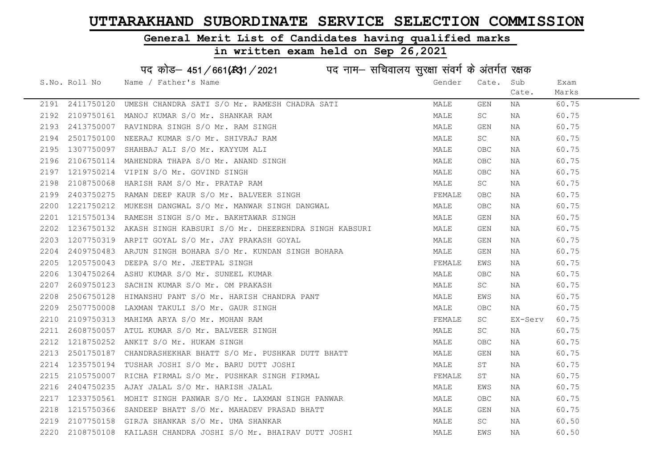### General Merit List of Candidates having qualified marks

### in written exam held on Sep 26,2021

S.No. Roll No Wame / Father's Name Gender Cate. Sub Cate. Exam Marks पद कोड़– 451/661(स्था/2021 in uke नाम– सचिवालय सुरक्षा संवर्ग के अंतर्गत रक्षक 2191 2411750120 UMESH CHANDRA SATI S/O Mr. RAMESH CHADRA SATI MAN MALE GEN NA 60.75 2192 2109750161 MANOJ KUMAR S/O Mr. SHANKAR RAM MALE SC NA 60.75 2193 2413750007 RAVINDRA SINGH S/O Mr. RAM SINGH MALE GEN NA 60.75 2194 2501750100 NEERAJ KUMAR S/O Mr. SHIVRAJ RAM MANA MALE SC NA 60.75 2195 1307750097 SHAHBAJ ALI S/O Mr. KAYYUM ALI MALE OBC NA 60.75 2196 2106750114 MAHENDRA THAPA S/O Mr. ANAND SINGH MALE OBC NA 60.75 2197 1219750214 VIPIN S/O Mr. GOVIND SINGH MALE OBC NA 60.75 2198 2108750068 HARISH RAM S/O Mr. PRATAP RAM MALE SC NA 60.75 2199 2403750275 RAMAN DEEP KAUR S/O Mr. BALVEER SINGH FRANCH FEMALE OBC NA 60.75 2200 1221750212 MUKESH DANGWAL S/O Mr. MANWAR SINGH DANGWAL MANG MALE OBC NA 60.75 2201 1215750134 RAMESH SINGH S/O Mr. BAKHTAWAR SINGH MALE GEN NA 60.75 2202 1236750132 AKASH SINGH KABSURI S/O Mr. DHEERENDRA SINGH KABSURI MALE GEN NA 60.75 2203 1207750319 ARPIT GOYAL S/O Mr. JAY PRAKASH GOYAL MALE GEN NA 60.75 2204 2409750483 ARJUN SINGH BOHARA S/O Mr. KUNDAN SINGH BOHARA MALE GEN NA 60.75 2205 1205750043 DEEPA S/O Mr. JEETPAL SINGH FEMALE EWS NA 60.75 2206 1304750264 ASHU KUMAR S/O Mr. SUNEEL KUMAR MALE OBC NA 60.75 2207 2609750123 SACHIN KUMAR S/O Mr. OM PRAKASH MALE SC NA 60.75 2208 2506750128 HIMANSHU PANT S/O Mr. HARISH CHANDRA PANT MANILLE EWS NA 60.75 2209 2507750008 LAXMAN TAKULI S/O Mr. GAUR SINGH MALE OBC NA 60.75 2210 2109750313 MAHIMA ARYA S/O Mr. MOHAN RAM FEMALE SC EX-Serv 60.75 2211 2608750057 ATUL KUMAR S/O Mr. BALVEER SINGH MANA MALE SC NA 60.75 2212 1218750252 ANKIT S/O Mr. HUKAM SINGH MALE OBC NA 60.75 2213 2501750187 CHANDRASHEKHAR BHATT S/O Mr. PUSHKAR DUTT BHATT MAN MALE GEN NA 60.75 2214 1235750194 TUSHAR JOSHI S/O Mr. BARU DUTT JOSHI MALE ST NA 60.75 2215 2105750007 RICHA FIRMAL S/O Mr. PUSHKAR SINGH FIRMAL TRANING THE ST AN 1980.75 2216 2404750235 AJAY JALAL S/O Mr. HARISH JALAL NAN MANA MALE EWS NA 60.75 2217 1233750561 MOHIT SINGH PANWAR S/O Mr. LAXMAN SINGH PANWAR MALE OBC NA 60.75 2218 1215750366 SANDEEP BHATT S/O Mr. MAHADEV PRASAD BHATT MAN MALE GEN NA 60.75 2219 2107750158 GIRJA SHANKAR S/O Mr. UMA SHANKAR MANA MALE SC NA 60.50

2220 2108750108 KAILASH CHANDRA JOSHI S/O Mr. BHAIRAV DUTT JOSHI MALE EWS NA 60.50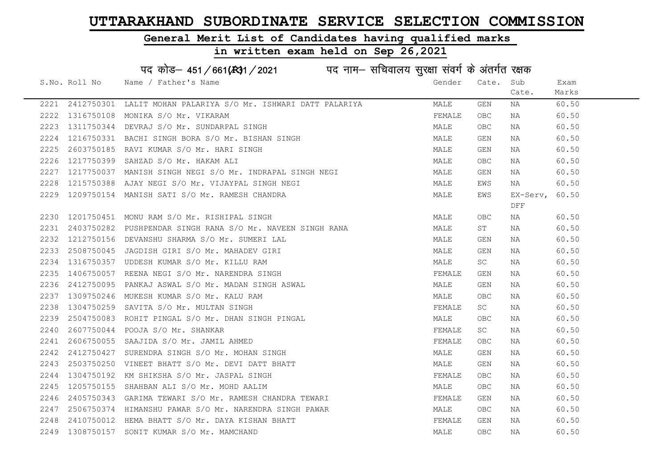### General Merit List of Candidates having qualified marks

#### in written exam held on Sep 26,2021

S.No. Roll No Wame / Father's Name Gender Cate. Sub Cate. Exam Marks पद कोड– 451/661(स्था) / 2021 विद्युत्त नाम– सचिवालय सुरक्षा संवर्ग के अंतर्गत रक्षक 2221 2412750301 LALIT MOHAN PALARIYA S/O Mr. ISHWARI DATT PALARIYA MALE GEN NA 60.50 2222 1316750108 MONIKA S/O Mr. VIKARAM FEMALE OBC NA 60.50 2223 1311750344 DEVRAJ S/O Mr. SUNDARPAL SINGH MALE OBC NA 60.50 2224 1216750331 BACHI SINGH BORA S/O Mr. BISHAN SINGH MALE GEN NA 60.50 2225 2603750185 RAVI KUMAR S/O Mr. HARI SINGH MALE GEN NA 60.50 2226 1217750399 SAHZAD S/O Mr. HAKAM ALI MALE OBC NA 60.50 2227 1217750037 MANISH SINGH NEGI S/O Mr. INDRAPAL SINGH NEGI MALE GEN NA 60.50 2228 1215750388 AJAY NEGI S/O Mr. VIJAYPAL SINGH NEGI MALE EWS NA 60.50 2229 1209750154 MANISH SATI S/O Mr. RAMESH CHANDRA NAME MALE MALE EWS DFF EX-Serv, 60.50 2230 1201750451 MONU RAM S/O Mr. RISHIPAL SINGH MALE OBC NA 60.50 2231 2403750282 PUSHPENDAR SINGH RANA S/O Mr. NAVEEN SINGH RANA MALE ST NA 60.50 2232 1212750156 DEVANSHU SHARMA S/O Mr. SUMERI LAL MALE GEN NA 60.50 2233 2508750045 JAGDISH GIRI S/O Mr. MAHADEV GIRI MALE GEN NA 60.50 2234 1316750357 UDDESH KUMAR S/O Mr. KILLU RAM MALE SC NA 60.50 2235 1406750057 REENA NEGI S/O Mr. NARENDRA SINGH FEMALE GEN NA 60.50 2236 2412750095 PANKAJ ASWAL S/O Mr. MADAN SINGH ASWAL MALE GEN NA 60.50 2237 1309750246 MUKESH KUMAR S/O Mr. KALU RAM MALE OBC NA 60.50 2238 1304750259 SAVITA S/O Mr. MULTAN SINGH FEMALE SC NA 60.50 2239 2504750083 ROHIT PINGAL S/O Mr. DHAN SINGH PINGAL MALE OBC NA 60.50 2240 2607750044 POOJA S/O Mr. SHANKAR FEMALE SC NA 60.50 2241 2606750055 SAAJIDA S/O Mr. JAMIL AHMED FEMALE OBC NA 60.50 2242 2412750427 SURENDRA SINGH S/O Mr. MOHAN SINGH MALE GEN NA 60.50 2243 2503750250 VINEET BHATT S/O Mr. DEVI DATT BHATT NA MALE GEN NA 60.50 2244 1304750192 KM SHIKSHA S/O Mr. JASPAL SINGH FEMALE OBC NA 60.50 2245 1205750155 SHAHBAN ALI S/O Mr. MOHD AALIM MALE OBC NA 60.50 2246 2405750343 GARIMA TEWARI S/O Mr. RAMESH CHANDRA TEWARI TEMANI FEMALE GEN NA 60.50 2247 2506750374 HIMANSHU PAWAR S/O Mr. NARENDRA SINGH PAWAR MARRAD MALE OBC NA 60.50 2248 2410750012 HEMA BHATT S/O Mr. DAYA KISHAN BHATT **FEMALE GEN NA** 60.50 2249 1308750157 SONIT KUMAR S/O Mr. MAMCHAND MALE OBC NA 60.50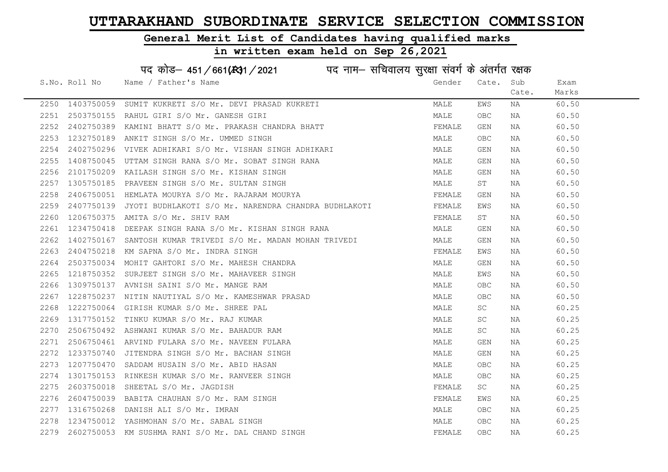### General Merit List of Candidates having qualified marks

|      |               | पद कोड़- 451/661(431/2021 पद नाम- सचिवालय सुरक्षा संवर्ग के अंतर्गत रक्षक |        |       |       |       |
|------|---------------|---------------------------------------------------------------------------|--------|-------|-------|-------|
|      | S.No. Roll No | Name / Father's Name                                                      | Gender | Cate. | Sub   | Exam  |
|      |               |                                                                           |        |       | Cate. | Marks |
| 2250 | 1403750059    | SUMIT KUKRETI S/O Mr. DEVI PRASAD KUKRETI                                 | MALE   | EWS   | NA    | 60.50 |
| 2251 | 2503750155    | RAHUL GIRI S/O Mr. GANESH GIRI                                            | MALE   | OBC   | NA    | 60.50 |
| 2252 | 2402750389    | KAMINI BHATT S/O Mr. PRAKASH CHANDRA BHATT                                | FEMALE | GEN   | NA    | 60.50 |
| 2253 | 1232750189    | ANKIT SINGH S/O Mr. UMMED SINGH                                           | MALE   | OBC.  | NA    | 60.50 |
| 2254 | 2402750296    | VIVEK ADHIKARI S/O Mr. VISHAN SINGH ADHIKARI                              | MALE   | GEN   | NA    | 60.50 |
| 2255 | 1408750045    | UTTAM SINGH RANA S/O Mr. SOBAT SINGH RANA                                 | MALE   | GEN   | NA    | 60.50 |
| 2256 | 2101750209    | KAILASH SINGH S/O Mr. KISHAN SINGH                                        | MALE   | GEN   | NA    | 60.50 |
| 2257 | 1305750185    | PRAVEEN SINGH S/O Mr. SULTAN SINGH                                        | MALE   | ST    | NA    | 60.50 |
| 2258 | 2406750051    | HEMLATA MOURYA S/O Mr. RAJARAM MOURYA                                     | FEMALE | GEN   | NA    | 60.50 |
| 2259 | 2407750139    | JYOTI BUDHLAKOTI S/O Mr. NARENDRA CHANDRA BUDHLAKOTI                      | FEMALE | EWS   | NA    | 60.50 |
| 2260 | 1206750375    | AMITA S/O Mr. SHIV RAM                                                    | FEMALE | ST    | NA    | 60.50 |
| 2261 | 1234750418    | DEEPAK SINGH RANA S/O Mr. KISHAN SINGH RANA                               | MALE   | GEN   | NA    | 60.50 |
| 2262 | 1402750167    | SANTOSH KUMAR TRIVEDI S/O Mr. MADAN MOHAN TRIVEDI                         | MALE   | GEN   | NA    | 60.50 |
| 2263 |               | 2404750218 KM SAPNA S/O Mr. INDRA SINGH                                   | FEMALE | EWS   | NA    | 60.50 |
| 2264 |               | 2503750034 MOHIT GAHTORI S/O Mr. MAHESH CHANDRA                           | MALE   | GEN   | NA    | 60.50 |
| 2265 | 1218750352    | SURJEET SINGH S/O Mr. MAHAVEER SINGH                                      | MALE   | EWS   | NA    | 60.50 |
| 2266 | 1309750137    | AVNISH SAINI S/O Mr. MANGE RAM                                            | MALE   | OBC.  | NA    | 60.50 |
| 2267 | 1228750237    | NITIN NAUTIYAL S/O Mr. KAMESHWAR PRASAD                                   | MALE   | OBC   | NA    | 60.50 |
| 2268 | 1222750064    | GIRISH KUMAR S/O Mr. SHREE PAL                                            | MALE   | SC.   | NA    | 60.25 |
| 2269 | 1317750152    | TINKU KUMAR S/O Mr. RAJ KUMAR                                             | MALE   | SC    | NA    | 60.25 |
| 2270 | 2506750492    | ASHWANI KUMAR S/O Mr. BAHADUR RAM                                         | MALE   | SC    | NA    | 60.25 |
| 2271 |               | 2506750461 ARVIND FULARA S/O Mr. NAVEEN FULARA                            | MALE   | GEN   | NA    | 60.25 |
| 2272 | 1233750740    | JITENDRA SINGH S/O Mr. BACHAN SINGH                                       | MALE   | GEN   | NA    | 60.25 |
| 2273 | 1207750470    | SADDAM HUSAIN S/O Mr. ABID HASAN                                          | MALE   | OBC   | NA    | 60.25 |
| 2274 | 1301750153    | RINKESH KUMAR S/O Mr. RANVEER SINGH                                       | MALE   | OBC.  | NA    | 60.25 |
| 2275 | 2603750018    | SHEETAL S/O Mr. JAGDISH                                                   | FEMALE | SC    | NA    | 60.25 |
| 2276 | 2604750039    | BABITA CHAUHAN S/O Mr. RAM SINGH                                          | FEMALE | EWS   | NA    | 60.25 |
| 2277 | 1316750268    | DANISH ALI S/O Mr. IMRAN                                                  | MALE   | OBC.  | NA    | 60.25 |
| 2278 |               | 1234750012 YASHMOHAN S/O Mr. SABAL SINGH                                  | MALE   | OBC.  | NA    | 60.25 |
| 2279 |               | 2602750053 KM SUSHMA RANI S/O Mr. DAL CHAND SINGH                         | FEMALE | OBC   | ΝA    | 60.25 |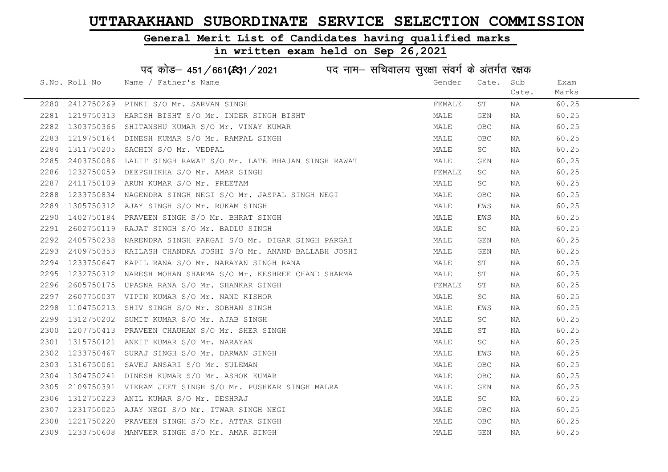### General Merit List of Candidates having qualified marks

#### in written exam held on Sep 26,2021

S.No. Roll No Wame / Father's Name Gender Cate. Sub Cate. Exam Marks पद कोड– 451/661(स्था) / 2021 विद्युत्त नाम– सचिवालय सुरक्षा संवर्ग के अंतर्गत रक्षक 2280 2412750269 PINKI S/O Mr. SARVAN SINGH FEMALE ST NA 60.25 2281 1219750313 HARISH BISHT S/O Mr. INDER SINGH BISHT MAN MALE GEN NA 60.25 2282 1303750366 SHITANSHU KUMAR S/O Mr. VINAY KUMAR MALE OBC NA 60.25 2283 1219750164 DINESH KUMAR S/O Mr. RAMPAL SINGH MALE OBC NA 60.25 2284 1311750205 SACHIN S/O Mr. VEDPAL MALE SC NA 60.25 2285 2403750086 LALIT SINGH RAWAT S/O Mr. LATE BHAJAN SINGH RAWAT MALE GEN NA 60.25 2286 1232750059 DEEPSHIKHA S/O Mr. AMAR SINGH FEMALE SC NA 60.25 2287 2411750109 ARUN KUMAR S/O Mr. PREETAM MALE SC NA 60.25 2288 1233750834 NAGENDRA SINGH NEGI S/O Mr. JASPAL SINGH NEGI MALE OBC NA 60.25 2289 1305750312 AJAY SINGH S/O Mr. RUKAM SINGH MALE EWS NA 60.25 2290 1402750184 PRAVEEN SINGH S/O Mr. BHRAT SINGH MALE EWS NA 60.25 2291 2602750119 RAJAT SINGH S/O Mr. BADLU SINGH MALE SC NA 60.25 2292 2405750238 NARENDRA SINGH PARGAI S/O Mr. DIGAR SINGH PARGAI MALE GEN NA 60.25 2292 2100700200 ----------<br>2293 2409750353 KAILASH CHANDRA JOSHI S/O Mr. ANAND BALLABH JOSHI MALE GEN NA 60.25 2294 1233750647 KAPIL RANA S/O Mr. NARAYAN SINGH RANA MALE ST NA 60.25 2295 1232750312 NARESH MOHAN SHARMA S/O Mr. KESHREE CHAND SHARMA MALE ST NA 60.25 2296 2605750175 UPASNA RANA S/O Mr. SHANKAR SINGH FEMALE ST NA 60.25 2297 2607750037 VIPIN KUMAR S/O Mr. NAND KISHOR MALE SC NA 60.25 2298 1104750213 SHIV SINGH S/O Mr. SOBHAN SINGH MALE EWS NA 60.25 2299 1312750202 SUMIT KUMAR S/O Mr. AJAB SINGH MALE SC NA 60.25 2300 1207750413 PRAVEEN CHAUHAN S/O Mr. SHER SINGH MALE ST NA 60.25 2301 1315750121 ANKIT KUMAR S/O Mr. NARAYAN MALE SC NA 60.25 2302 1233750467 SURAJ SINGH S/O Mr. DARWAN SINGH MALE EWS NA 60.25 2303 1316750061 SAVEJ ANSARI S/O Mr. SULEMAN MALE OBC NA 60.25 2304 1304750241 DINESH KUMAR S/O Mr. ASHOK KUMAR MARRADINA MALE OBC NA 60.25 2305 2109750391 VIKRAM JEET SINGH S/O Mr. PUSHKAR SINGH MALRA MAN MALE GEN NA 60.25 2306 1312750223 ANIL KUMAR S/O Mr. DESHRAJ MALE SC NA 60.25 2307 1231750025 AJAY NEGI S/O Mr. ITWAR SINGH NEGI MALE OBC NA 60.25 2308 1221750220 PRAVEEN SINGH S/O Mr. ATTAR SINGH MALE OBC NA 60.25 2309 1233750608 MANVEER SINGH S/O Mr. AMAR SINGH MALE GEN NA 60.25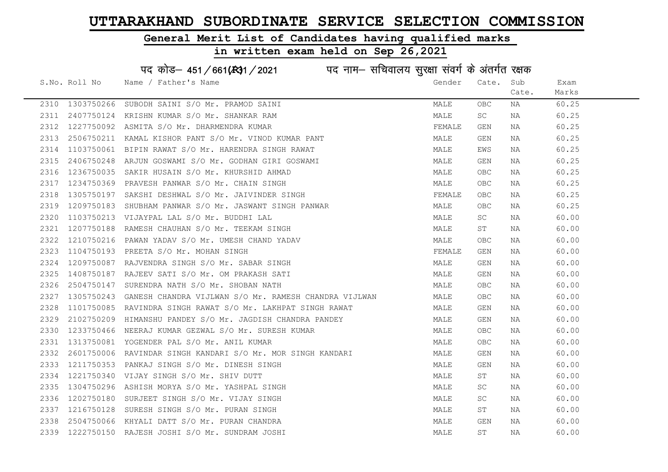### General Merit List of Candidates having qualified marks

|      |               | पद कोड़– 451/661(131/2021 पद नाम– सचिवालय सुरक्षा संवर्ग के अंतर्गत रक्षक |        |           |       |       |
|------|---------------|---------------------------------------------------------------------------|--------|-----------|-------|-------|
|      | S.No. Roll No | Name / Father's Name                                                      | Gender | Cate.     | Sub   | Exam  |
|      |               |                                                                           |        |           | Cate. | Marks |
| 2310 | 1303750266    | SUBODH SAINI S/O Mr. PRAMOD SAINI                                         | MALE   | OBC       | NA    | 60.25 |
| 2311 | 2407750124    | KRISHN KUMAR S/O Mr. SHANKAR RAM                                          | MALE   | SC        | NA    | 60.25 |
| 2312 | 1227750092    | ASMITA S/O Mr. DHARMENDRA KUMAR                                           | FEMALE | GEN       | NA    | 60.25 |
| 2313 | 2506750211    | KAMAL KISHOR PANT S/O Mr. VINOD KUMAR PANT                                | MALE   | GEN       | ΝA    | 60.25 |
| 2314 | 1103750061    | BIPIN RAWAT S/O Mr. HARENDRA SINGH RAWAT                                  | MALE   | EWS       | ΝA    | 60.25 |
| 2315 | 2406750248    | ARJUN GOSWAMI S/O Mr. GODHAN GIRI GOSWAMI                                 | MALE   | GEN       | NA    | 60.25 |
| 2316 | 1236750035    | SAKIR HUSAIN S/O Mr. KHURSHID AHMAD                                       | MALE   | OBC.      | NA    | 60.25 |
| 2317 | 1234750369    | PRAVESH PANWAR S/O Mr. CHAIN SINGH                                        | MALE   | OBC.      | NA    | 60.25 |
| 2318 | 1305750197    | SAKSHI DESHWAL S/O Mr. JAIVINDER SINGH                                    | FEMALE | OBC.      | NA    | 60.25 |
| 2319 | 1209750183    | SHUBHAM PANWAR S/O Mr. JASWANT SINGH PANWAR                               | MALE   | OBC.      | NA    | 60.25 |
| 2320 | 1103750213    | VIJAYPAL LAL S/O Mr. BUDDHI LAL                                           | MALE   | SC        | NA    | 60.00 |
| 2321 | 1207750188    | RAMESH CHAUHAN S/O Mr. TEEKAM SINGH                                       | MALE   | ST        | NA    | 60.00 |
| 2322 | 1210750216    | PAWAN YADAV S/O Mr. UMESH CHAND YADAV                                     | MALE   | OBC       | NA    | 60.00 |
| 2323 | 1104750193    | PREETA S/O Mr. MOHAN SINGH                                                | FEMALE | GEN       | NA    | 60.00 |
| 2324 | 1209750087    | RAJVENDRA SINGH S/O Mr. SABAR SINGH                                       | MALE   | GEN       | NA    | 60.00 |
| 2325 | 1408750187    | RAJEEV SATI S/O Mr. OM PRAKASH SATI                                       | MALE   | GEN       | NA    | 60.00 |
| 2326 | 2504750147    | SURENDRA NATH S/O Mr. SHOBAN NATH                                         | MALE   | OBC       | NA    | 60.00 |
| 2327 | 1305750243    | GANESH CHANDRA VIJLWAN S/O Mr. RAMESH CHANDRA VIJLWAN                     | MALE   | OBC.      | NA    | 60.00 |
| 2328 | 1101750085    | RAVINDRA SINGH RAWAT S/O Mr. LAKHPAT SINGH RAWAT                          | MALE   | GEN       | NA    | 60.00 |
| 2329 | 2102750209    | HIMANSHU PANDEY S/O Mr. JAGDISH CHANDRA PANDEY                            | MALE   | GEN       | NA    | 60.00 |
| 2330 | 1233750466    | NEERAJ KUMAR GEZWAL S/O Mr. SURESH KUMAR                                  | MALE   | OBC       | ΝA    | 60.00 |
| 2331 |               | 1313750081 YOGENDER PAL S/O Mr. ANIL KUMAR                                | MALE   | OBC.      | NA    | 60.00 |
| 2332 | 2601750006    | RAVINDAR SINGH KANDARI S/O Mr. MOR SINGH KANDARI                          | MALE   | GEN       | NA    | 60.00 |
| 2333 | 1211750353    | PANKAJ SINGH S/O Mr. DINESH SINGH                                         | MALE   | GEN       | NA    | 60.00 |
| 2334 | 1221750340    | VIJAY SINGH S/O Mr. SHIV DUTT                                             | MALE   | ST        | ΝA    | 60.00 |
| 2335 | 1304750296    | ASHISH MORYA S/O Mr. YASHPAL SINGH                                        | MALE   | SC        | NA    | 60.00 |
| 2336 | 1202750180    | SURJEET SINGH S/O Mr. VIJAY SINGH                                         | MALE   | SC.       | NA    | 60.00 |
| 2337 | 1216750128    | SURESH SINGH S/O Mr. PURAN SINGH                                          | MALE   | ST        | NA    | 60.00 |
| 2338 | 2504750066    | KHYALI DATT S/O Mr. PURAN CHANDRA                                         | MALE   | GEN       | NA    | 60.00 |
| 2339 |               | 1222750150 RAJESH JOSHI S/O Mr. SUNDRAM JOSHI                             | MALE   | <b>ST</b> | ΝA    | 60.00 |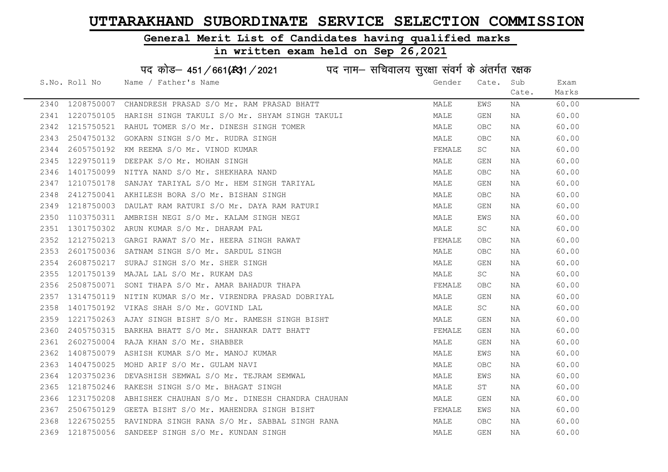# General Merit List of Candidates having qualified marks

|      |               | पद कोड़– 451/661(431/2021 पद नाम– सचिवालय सुरक्षा संवर्ग के अंतर्गत रक्षक |        |            |       |       |
|------|---------------|---------------------------------------------------------------------------|--------|------------|-------|-------|
|      | S.No. Roll No | Name / Father's Name                                                      | Gender | Cate.      | Sub   | Exam  |
|      |               |                                                                           |        |            | Cate. | Marks |
| 2340 | 1208750007    | CHANDRESH PRASAD S/O Mr. RAM PRASAD BHATT                                 | MALE   | EWS        | ΝA    | 60.00 |
| 2341 |               | 1220750105 HARISH SINGH TAKULI S/O Mr. SHYAM SINGH TAKULI                 | MALE   | <b>GEN</b> | ΝA    | 60.00 |
| 2342 | 1215750521    | RAHUL TOMER S/O Mr. DINESH SINGH TOMER                                    | MALE   | OBC        | ΝA    | 60.00 |
| 2343 | 2504750132    | GOKARN SINGH S/O Mr. RUDRA SINGH                                          | MALE   | OBC        | ΝA    | 60.00 |
| 2344 | 2605750192    | KM REEMA S/O Mr. VINOD KUMAR                                              | FEMALE | SC         | NA    | 60.00 |
| 2345 | 1229750119    | DEEPAK S/O Mr. MOHAN SINGH                                                | MALE   | GEN        | ΝA    | 60.00 |
| 2346 | 1401750099    | NITYA NAND S/O Mr. SHEKHARA NAND                                          | MALE   | OBC        | ΝA    | 60.00 |
| 2347 | 1210750178    | SANJAY TARIYAL S/O Mr. HEM SINGH TARIYAL                                  | MALE   | GEN        | ΝA    | 60.00 |
| 2348 | 2412750041    | AKHILESH BORA S/O Mr. BISHAN SINGH                                        | MALE   | <b>OBC</b> | ΝA    | 60.00 |
| 2349 | 1218750003    | DAULAT RAM RATURI S/O Mr. DAYA RAM RATURI                                 | MALE   | GEN        | NA    | 60.00 |
| 2350 | 1103750311    | AMBRISH NEGI S/O Mr. KALAM SINGH NEGI                                     | MALE   | EWS        | ΝA    | 60.00 |
| 2351 |               | 1301750302 ARUN KUMAR S/O Mr. DHARAM PAL                                  | MALE   | SC         | ΝA    | 60.00 |
| 2352 |               | 1212750213 GARGI RAWAT S/O Mr. HEERA SINGH RAWAT                          | FEMALE | OBC        | NA    | 60.00 |
| 2353 | 2601750036    | SATNAM SINGH S/O Mr. SARDUL SINGH                                         | MALE   | OBC        | ΝA    | 60.00 |
| 2354 | 2608750217    | SURAJ SINGH S/O Mr. SHER SINGH                                            | MALE   | GEN        | ΝA    | 60.00 |
| 2355 | 1201750139    | MAJAL LAL S/O Mr. RUKAM DAS                                               | MALE   | SC         | ΝA    | 60.00 |
| 2356 | 2508750071    | SONI THAPA S/O Mr. AMAR BAHADUR THAPA                                     | FEMALE | OBC        | ΝA    | 60.00 |
| 2357 | 1314750119    | NITIN KUMAR S/O Mr. VIRENDRA PRASAD DOBRIYAL                              | MALE   | GEN        | ΝA    | 60.00 |
| 2358 | 1401750192    | VIKAS SHAH S/O Mr. GOVIND LAL                                             | MALE   | SC         | ΝA    | 60.00 |
| 2359 | 1221750263    | AJAY SINGH BISHT S/O Mr. RAMESH SINGH BISHT                               | MALE   | GEN        | NA    | 60.00 |
| 2360 | 2405750315    | BARKHA BHATT S/O Mr. SHANKAR DATT BHATT                                   | FEMALE | GEN        | ΝA    | 60.00 |
| 2361 | 2602750004    | RAJA KHAN S/O Mr. SHABBER                                                 | MALE   | GEN        | ΝA    | 60.00 |
| 2362 | 1408750079    | ASHISH KUMAR S/O Mr. MANOJ KUMAR                                          | MALE   | EWS        | ΝA    | 60.00 |
| 2363 | 1404750025    | MOHD ARIF S/O Mr. GULAM NAVI                                              | MALE   | OBC        | ΝA    | 60.00 |
| 2364 | 1203750236    | DEVASHISH SEMWAL S/O Mr. TEJRAM SEMWAL                                    | MALE   | EWS        | ΝA    | 60.00 |
| 2365 | 1218750246    | RAKESH SINGH S/O Mr. BHAGAT SINGH                                         | MALE   | SТ         | ΝA    | 60.00 |
| 2366 | 1231750208    | ABHISHEK CHAUHAN S/O Mr. DINESH CHANDRA CHAUHAN                           | MALE   | GEN        | NA    | 60.00 |
| 2367 |               | 2506750129 GEETA BISHT S/O Mr. MAHENDRA SINGH BISHT                       | FEMALE | EWS        | ΝA    | 60.00 |
| 2368 |               | 1226750255 RAVINDRA SINGH RANA S/O Mr. SABBAL SINGH RANA                  | MALE   | <b>OBC</b> | ΝA    | 60.00 |
| 2369 |               | 1218750056 SANDEEP SINGH S/O Mr. KUNDAN SINGH                             | MALE   | <b>GEN</b> | ΝA    | 60.00 |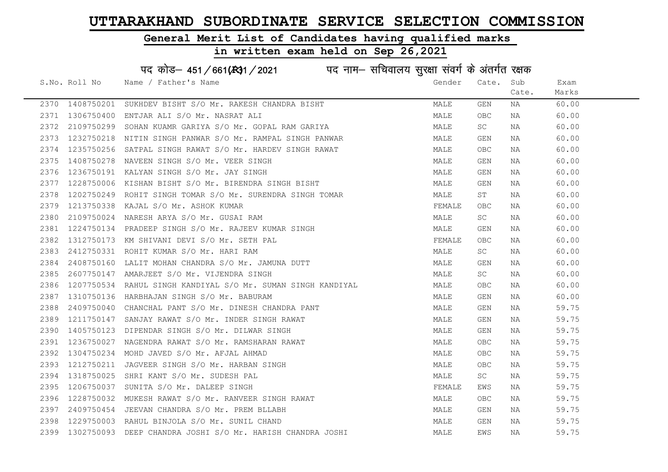### General Merit List of Candidates having qualified marks

|      |               | पद कोड़– 451/661(431/2021 पद नाम– सचिवालय सुरक्षा संवर्ग के अंतर्गत रक्षक                                    |        |            |       |       |
|------|---------------|--------------------------------------------------------------------------------------------------------------|--------|------------|-------|-------|
|      | S.No. Roll No | Name / Father's Name                                                                                         | Gender | Cate.      | Sub   | Exam  |
|      |               |                                                                                                              |        |            | Cate. | Marks |
| 2370 | 1408750201    | SUKHDEV BISHT S/O Mr. RAKESH CHANDRA BISHT                                                                   | MALE   | GEN        | NA    | 60.00 |
| 2371 | 1306750400    | ENTJAR ALI S/O Mr. NASRAT ALI                                                                                | MALE   | <b>OBC</b> | NA    | 60.00 |
| 2372 | 2109750299    | SOHAN KUAMR GARIYA S/O Mr. GOPAL RAM GARIYA                                                                  | MALE   | SC         | NA    | 60.00 |
| 2373 | 1232750218    | NITIN SINGH PANWAR S/O Mr. RAMPAL SINGH PANWAR                                                               | MALE   | GEN        | NA    | 60.00 |
| 2374 | 1235750256    | SATPAL SINGH RAWAT S/O Mr. HARDEV SINGH RAWAT                                                                | MALE   | OBC        | NA    | 60.00 |
| 2375 | 1408750278    | NAVEEN SINGH S/O Mr. VEER SINGH                                                                              | MALE   | GEN        | NA    | 60.00 |
| 2376 |               | 1236750191 KALYAN SINGH S/O Mr. JAY SINGH                                                                    | MALE   | GEN        | NA    | 60.00 |
| 2377 | 1228750006    | KISHAN BISHT S/O Mr. BIRENDRA SINGH BISHT                                                                    | MALE   | GEN        | NA    | 60.00 |
| 2378 | 1202750249    |                                                                                                              | MALE   | SТ         | NA    | 60.00 |
| 2379 | 1213750338    | ROHIT SINGH TOMAR S/O Mr. SURENDRA SINGH TOMAR<br>KAJAL S/O Mr. ASHOK KUMAR<br>NARESH ARYA S/O Mr. GUSAI RAM | FEMALE | OBC        | NA    | 60.00 |
| 2380 | 2109750024    |                                                                                                              | MALE   | SC         | NA    | 60.00 |
| 2381 | 1224750134    | PRADEEP SINGH S/O Mr. RAJEEV KUMAR SINGH                                                                     | MALE   | GEN        | NA    | 60.00 |
| 2382 | 1312750173    | KM SHIVANI DEVI S/O Mr. SETH PAL                                                                             | FEMALE | <b>OBC</b> | NA    | 60.00 |
| 2383 |               | 2412750331 ROHIT KUMAR S/O Mr. HARI RAM                                                                      | MALE   | SC         | NA    | 60.00 |
| 2384 | 2408750160    | LALIT MOHAN CHANDRA S/O Mr. JAMUNA DUTT                                                                      | MALE   | GEN        | NA    | 60.00 |
| 2385 | 2607750147    | AMARJEET S/O Mr. VIJENDRA SINGH                                                                              | MALE   | SC         | NA    | 60.00 |
| 2386 | 1207750534    | RAHUL SINGH KANDIYAL S/O Mr. SUMAN SINGH KANDIYAL                                                            | MALE   | OBC        | NA    | 60.00 |
| 2387 |               | 1310750136 HARBHAJAN SINGH S/O Mr. BABURAM                                                                   | MALE   | GEN        | NA    | 60.00 |
| 2388 | 2409750040    | CHANCHAL PANT S/O Mr. DINESH CHANDRA PANT                                                                    | MALE   | GEN        | ΝA    | 59.75 |
| 2389 | 1211750147    | SANJAY RAWAT S/O Mr. INDER SINGH RAWAT                                                                       | MALE   | GEN        | NA    | 59.75 |
| 2390 | 1405750123    | DIPENDAR SINGH S/O Mr. DILWAR SINGH                                                                          | MALE   | GEN        | NA    | 59.75 |
| 2391 | 1236750027    | NAGENDRA RAWAT S/O Mr. RAMSHARAN RAWAT                                                                       | MALE   | <b>OBC</b> | NA    | 59.75 |
| 2392 | 1304750234    | MOHD JAVED S/O Mr. AFJAL AHMAD                                                                               | MALE   | <b>OBC</b> | NA    | 59.75 |
| 2393 | 1212750211    | JAGVEER SINGH S/O Mr. HARBAN SINGH                                                                           | MALE   | <b>OBC</b> | NA    | 59.75 |
| 2394 | 1318750025    | SHRI KANT S/O Mr. SUDESH PAL                                                                                 | MALE   | SC         | NA    | 59.75 |
| 2395 | 1206750037    | SUNITA S/O Mr. DALEEP SINGH                                                                                  | FEMALE | EWS        | NA    | 59.75 |
| 2396 | 1228750032    | MUKESH RAWAT S/O Mr. RANVEER SINGH RAWAT                                                                     | MALE   | <b>OBC</b> | NA    | 59.75 |
| 2397 | 2409750454    | JEEVAN CHANDRA S/O Mr. PREM BLLABH                                                                           | MALE   | GEN        | NA    | 59.75 |
| 2398 |               | 1229750003 RAHUL BINJOLA S/O Mr. SUNIL CHAND                                                                 | MALE   | GEN        | NA    | 59.75 |
|      |               | 2399 1302750093 DEEP CHANDRA JOSHI S/O Mr. HARISH CHANDRA JOSHI                                              | MALE   | EWS        | ΝA    | 59.75 |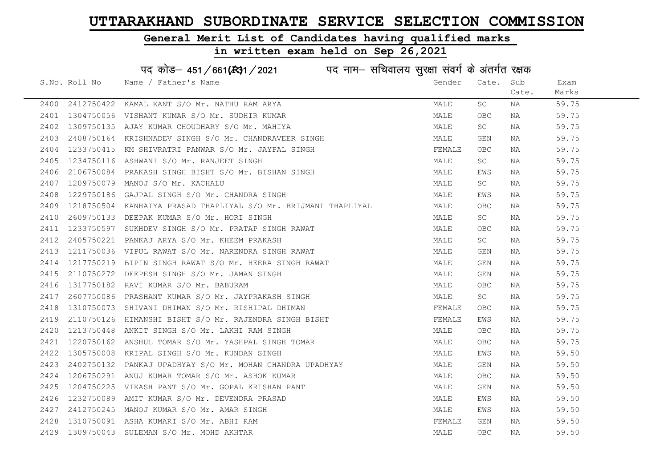### General Merit List of Candidates having qualified marks

|      |               | पद कोड़- 451/661(431/2021 पद नाम- सचिवालय सुरक्षा संवर्ग के अंतर्गत रक्षक |        |            |       |       |
|------|---------------|---------------------------------------------------------------------------|--------|------------|-------|-------|
|      | S.No. Roll No | Name / Father's Name                                                      | Gender | Cate. Sub  |       | Exam  |
|      |               |                                                                           |        |            | Cate. | Marks |
| 2400 | 2412750422    | KAMAL KANT S/O Mr. NATHU RAM ARYA                                         | MALE   | SC.        | NA    | 59.75 |
| 2401 | 1304750056    | VISHANT KUMAR S/O Mr. SUDHIR KUMAR                                        | MALE   | <b>OBC</b> | NA    | 59.75 |
| 2402 | 1309750135    | AJAY KUMAR CHOUDHARY S/O Mr. MAHIYA                                       | MALE   | SC         | NA    | 59.75 |
| 2403 | 2408750164    | KRISHNADEV SINGH S/O Mr. CHANDRAVEER SINGH                                | MALE   | GEN        | NA    | 59.75 |
| 2404 | 1233750415    | KM SHIVRATRI PANWAR S/O Mr. JAYPAL SINGH                                  | FEMALE | <b>OBC</b> | NA    | 59.75 |
| 2405 |               | 1234750116 ASHWANI S/O Mr. RANJEET SINGH                                  | MALE   | SC         | NA    | 59.75 |
| 2406 |               | 2106750084 PRAKASH SINGH BISHT S/O Mr. BISHAN SINGH                       | MALE   | EWS        | NA    | 59.75 |
| 2407 | 1209750079    | MANOJ S/O Mr. KACHALU                                                     | MALE   | SC         | NA    | 59.75 |
| 2408 | 1229750186    | GAJPAL SINGH S/O Mr. CHANDRA SINGH                                        | MALE   | EWS        | NA    | 59.75 |
| 2409 |               | 1218750504 KANHAIYA PRASAD THAPLIYAL S/O Mr. BRIJMANI THAPLIYAL           | MALE   | OBC        | NA    | 59.75 |
| 2410 |               | 2609750133 DEEPAK KUMAR S/O Mr. HORI SINGH                                | MALE   | SC         | NA    | 59.75 |
| 2411 | 1233750597    | SUKHDEV SINGH S/O Mr. PRATAP SINGH RAWAT                                  | MALE   | OBC        | NA    | 59.75 |
| 2412 | 2405750221    | PANKAJ ARYA S/O Mr. KHEEM PRAKASH                                         | MALE   | SC .       | NA    | 59.75 |
| 2413 |               | 1211750036 VIPUL RAWAT S/O Mr. NARENDRA SINGH RAWAT                       | MALE   | GEN        | NA    | 59.75 |
| 2414 |               | 1217750219 BIPIN SINGH RAWAT S/O Mr. HEERA SINGH RAWAT                    | MALE   | GEN        | NA    | 59.75 |
| 2415 | 2110750272    | DEEPESH SINGH S/O Mr. JAMAN SINGH                                         | MALE   | GEN        | NA    | 59.75 |
| 2416 | 1317750182    | RAVI KUMAR S/O Mr. BABURAM                                                | MALE   | <b>OBC</b> | NA    | 59.75 |
| 2417 |               | 2607750086 PRASHANT KUMAR S/O Mr. JAYPRAKASH SINGH                        | MALE   | SC         | NA    | 59.75 |
| 2418 | 1310750073    | SHIVANI DHIMAN S/O Mr. RISHIPAL DHIMAN                                    | FEMALE | OBC        | NA    | 59.75 |
| 2419 | 2110750126    | HIMANSHI BISHT S/O Mr. RAJENDRA SINGH BISHT                               | FEMALE | EWS        | NA    | 59.75 |
| 2420 | 1213750448    | ANKIT SINGH S/O Mr. LAKHI RAM SINGH                                       | MALE   | OBC        | NA    | 59.75 |
| 2421 |               | 1220750162 ANSHUL TOMAR S/O Mr. YASHPAL SINGH TOMAR                       | MALE   | OBC        | NA    | 59.75 |
| 2422 | 1305750008    | KRIPAL SINGH S/O Mr. KUNDAN SINGH                                         | MALE   | EWS        | ΝA    | 59.50 |
| 2423 | 2402750132    | PANKAJ UPADHYAY S/O Mr. MOHAN CHANDRA UPADHYAY                            | MALE   | GEN        | NA    | 59.50 |
| 2424 | 1206750291    | ANUJ KUMAR TOMAR S/O Mr. ASHOK KUMAR                                      | MALE   | OBC        | NA    | 59.50 |
| 2425 | 1204750225    | VIKASH PANT S/O Mr. GOPAL KRISHAN PANT                                    | MALE   | GEN        | NA    | 59.50 |
| 2426 | 1232750089    | AMIT KUMAR S/O Mr. DEVENDRA PRASAD                                        | MALE   | EWS        | NA    | 59.50 |
| 2427 |               | 2412750245 MANOJ KUMAR S/O Mr. AMAR SINGH                                 | MALE   | EWS        | NA    | 59.50 |
| 2428 |               | 1310750091 ASHA KUMARI S/O Mr. ABHI RAM                                   | FEMALE | GEN        | NA    | 59.50 |
|      |               | 2429 1309750043 SULEMAN S/O Mr. MOHD AKHTAR                               | MALE   | OBC        | ΝA    | 59.50 |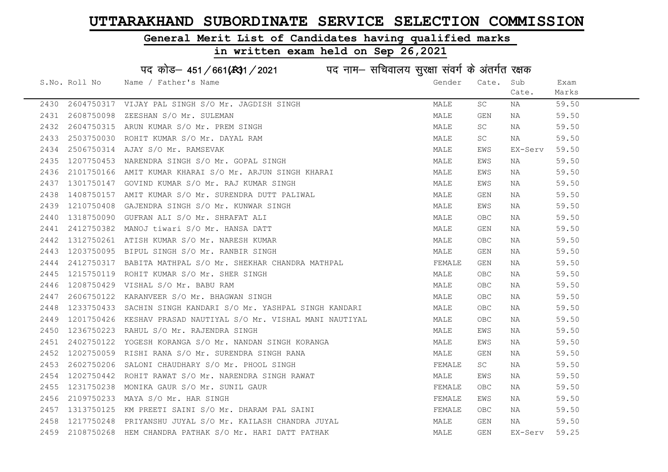### General Merit List of Candidates having qualified marks

### in written exam held on Sep 26,2021

S.No. Roll No Wame / Father's Name Gender Cate. Sub Cate. Exam Marks पद कोड– 451/661(स्था) / 2021 विद्युत्त नाम– सचिवालय सुरक्षा संवर्ग के अंतर्गत रक्षक 2430 2604750317 VIJAY PAL SINGH S/O Mr. JAGDISH SINGH MALE SC NA 59.50 2431 2608750098 ZEESHAN S/O Mr. SULEMAN MALE GEN NA 59.50 2432 2604750315 ARUN KUMAR S/O Mr. PREM SINGH MALE SC NA 59.50 2433 2503750030 ROHIT KUMAR S/O Mr. DAYAL RAM MALE SC NA 59.50 2434 2506750314 AJAY S/O Mr. RAMSEVAK MALE EWS EX-Serv 59.50 2435 1207750453 NARENDRA SINGH S/O Mr. GOPAL SINGH MALE EWS NA 59.50 2436 2101750166 AMIT KUMAR KHARAI S/O Mr. ARJUN SINGH KHARAI MAN MALE EWS NA 59.50 2437 1301750147 GOVIND KUMAR S/O Mr. RAJ KUMAR SINGH MALE EWS NA 59.50 2438 1408750157 AMIT KUMAR S/O Mr. SURENDRA DUTT PALIWAL MAN MALE GEN NA 59.50 2439 1210750408 GAJENDRA SINGH S/O Mr. KUNWAR SINGH MALE EWS NA 59.50 2440 1318750090 GUFRAN ALI S/O Mr. SHRAFAT ALI MALE OBC NA 59.50 2441 2412750382 MANOJ tiwari S/O Mr. HANSA DATT MALE GEN NA 59.50 2442 1312750261 ATISH KUMAR S/O Mr. NARESH KUMAR MALE OBC NA 59.50 2443 1203750095 BIPUL SINGH S/O Mr. RANBIR SINGH MALE GEN NA 59.50 2444 2412750317 BABITA MATHPAL S/O Mr. SHEKHAR CHANDRA MATHPAL **FRALL SHALL SEN SO SO SO SO SO SO SO** 2445 1215750119 ROHIT KUMAR S/O Mr. SHER SINGH MALE OBC NA 59.50 2446 1208750429 VISHAL S/O Mr. BABU RAM MALE OBC NA 59.50 2447 2606750122 KARANVEER S/O Mr. BHAGWAN SINGH MALE OBC NA 59.50 2448 1233750433 SACHIN SINGH KANDARI S/O Mr. YASHPAL SINGH KANDARI MALE OBC NA 59.50 2449 1201750426 KESHAV PRASAD NAUTIYAL S/O Mr. VISHAL MANI NAUTIYAL MALE OBC NA 59.50 2450 1236750223 RAHUL S/O Mr. RAJENDRA SINGH MALE EWS NA 59.50 2451 2402750122 YOGESH KORANGA S/O Mr. NANDAN SINGH KORANGA MALE EWS NA 59.50 2452 1202750059 RISHI RANA S/O Mr. SURENDRA SINGH RANA MALE GEN NA 59.50 2453 2602750206 SALONI CHAUDHARY S/O Mr. PHOOL SINGH FUNCH SALL SO THE REMALE SC NA 59.50 2454 1202750442 ROHIT RAWAT S/O Mr. NARENDRA SINGH RAWAT MAN MALE EWS NA 59.50 2455 1231750238 MONIKA GAUR S/O Mr. SUNIL GAUR FEMALE OBC NA 59.50 2456 2109750233 MAYA S/O Mr. HAR SINGH FEMALE EWS NA 59.50 2457 1313750125 KM PREETI SAINI S/O Mr. DHARAM PAL SAINI FEMALE OBC NA 59.50 2458 1217750248 PRIYANSHU JUYAL S/O Mr. KAILASH CHANDRA JUYAL MALE GEN NA 59.50 2459 2108750268 HEM CHANDRA PATHAK S/O Mr. HARI DATT PATHAK MALE GEN EX-Serv 59.25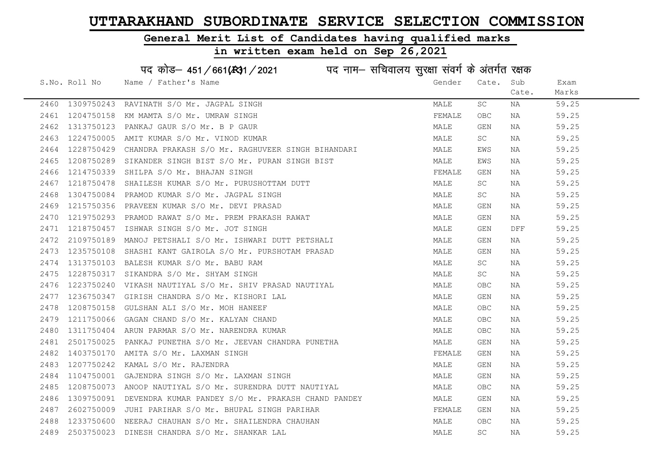### General Merit List of Candidates having qualified marks

|      |               | पद कोड़– 451/661(431/2021 पद नाम– सचिवालय सुरक्षा संवर्ग के अंतर्गत रक्षक |        |                         |       |       |
|------|---------------|---------------------------------------------------------------------------|--------|-------------------------|-------|-------|
|      | S.No. Roll No | Name / Father's Name                                                      | Gender | Cate.                   | Sub   | Exam  |
|      |               |                                                                           |        |                         | Cate. | Marks |
| 2460 | 1309750243    | RAVINATH S/O Mr. JAGPAL SINGH                                             | MALE   | SC                      | ΝA    | 59.25 |
| 2461 | 1204750158    | KM MAMTA S/O Mr. UMRAW SINGH                                              | FEMALE | <b>OBC</b>              | NA    | 59.25 |
| 2462 | 1313750123    | PANKAJ GAUR S/O Mr. B P GAUR                                              | MALE   | GEN                     | NA    | 59.25 |
| 2463 | 1224750005    | AMIT KUMAR S/O Mr. VINOD KUMAR                                            | MALE   | SC                      | NA    | 59.25 |
| 2464 | 1228750429    | CHANDRA PRAKASH S/O Mr. RAGHUVEER SINGH BIHANDARI                         | MALE   | EWS                     | NA    | 59.25 |
| 2465 |               | 1208750289 SIKANDER SINGH BIST S/O Mr. PURAN SINGH BIST                   | MALE   | EWS                     | NA    | 59.25 |
| 2466 | 1214750339    | SHILPA S/O Mr. BHAJAN SINGH                                               | FEMALE | GEN                     | NA    | 59.25 |
| 2467 | 1218750478    | SHAILESH KUMAR S/O Mr. PURUSHOTTAM DUTT                                   | MALE   | SC                      | NA    | 59.25 |
| 2468 | 1304750084    | PRAMOD KUMAR S/O Mr. JAGPAL SINGH                                         | MALE   | SC                      | NA    | 59.25 |
| 2469 | 1215750356    | PRAVEEN KUMAR S/O Mr. DEVI PRASAD                                         | MALE   | GEN                     | NA    | 59.25 |
| 2470 | 1219750293    | PRAMOD RAWAT S/O Mr. PREM PRAKASH RAWAT                                   | MALE   | GEN                     | ΝA    | 59.25 |
| 2471 | 1218750457    | ISHWAR SINGH S/O Mr. JOT SINGH                                            | MALE   | GEN                     | DFF   | 59.25 |
| 2472 | 2109750189    | MANOJ PETSHALI S/O Mr. ISHWARI DUTT PETSHALI                              | MALE   | GEN                     | NA    | 59.25 |
| 2473 | 1235750108    | SHASHI KANT GAIROLA S/O Mr. PURSHOTAM PRASAD                              | MALE   | GEN                     | NA    | 59.25 |
| 2474 |               | 1313750103 BALESH KUMAR S/O Mr. BABU RAM                                  | MALE   | SC                      | NA    | 59.25 |
| 2475 | 1228750317    | SIKANDRA S/O Mr. SHYAM SINGH                                              | MALE   | SC                      | NA    | 59.25 |
| 2476 | 1223750240    | VIKASH NAUTIYAL S/O Mr. SHIV PRASAD NAUTIYAL                              | MALE   | <b>OBC</b>              | NA    | 59.25 |
| 2477 | 1236750347    | GIRISH CHANDRA S/O Mr. KISHORI LAL                                        | MALE   | GEN                     | NA    | 59.25 |
| 2478 | 1208750158    | GULSHAN ALI S/O Mr. MOH HANEEF                                            | MALE   | OBC                     | NA    | 59.25 |
| 2479 | 1211750066    | GAGAN CHAND S/O Mr. KALYAN CHAND                                          | MALE   | OBC                     | NA    | 59.25 |
| 2480 |               | 1311750404 ARUN PARMAR S/O Mr. NARENDRA KUMAR                             | MALE   | OBC                     | NA    | 59.25 |
| 2481 | 2501750025    | PANKAJ PUNETHA S/O Mr. JEEVAN CHANDRA PUNETHA                             | MALE   | $\mathop{\mathsf{GEN}}$ | NA    | 59.25 |
| 2482 | 1403750170    | AMITA S/O Mr. LAXMAN SINGH                                                | FEMALE | GEN                     | NA    | 59.25 |
| 2483 | 1207750242    | KAMAL S/O Mr. RAJENDRA                                                    | MALE   | GEN                     | NA    | 59.25 |
| 2484 | 1104750001    | GAJENDRA SINGH S/O Mr. LAXMAN SINGH                                       | MALE   | GEN                     | NA    | 59.25 |
| 2485 |               | 1208750073 ANOOP NAUTIYAL S/O Mr. SURENDRA DUTT NAUTIYAL                  | MALE   | OBC                     | NA    | 59.25 |
| 2486 | 1309750091    | DEVENDRA KUMAR PANDEY S/O Mr. PRAKASH CHAND PANDEY                        | MALE   | GEN                     | NA    | 59.25 |
| 2487 |               | 2602750009 JUHI PARIHAR S/O Mr. BHUPAL SINGH PARIHAR                      | FEMALE | GEN                     | NA    | 59.25 |
| 2488 |               | 1233750600 NEERAJ CHAUHAN S/O Mr. SHAILENDRA CHAUHAN                      | MALE   | <b>OBC</b>              | NA    | 59.25 |
| 2489 |               | 2503750023 DINESH CHANDRA S/O Mr. SHANKAR LAL                             | MALE   | SC                      | ΝA    | 59.25 |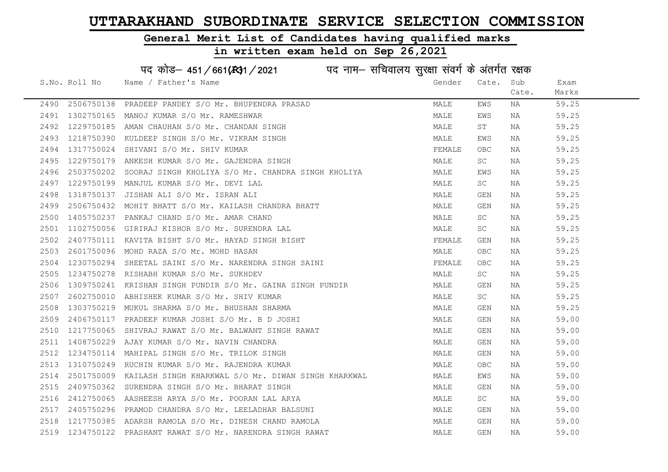### General Merit List of Candidates having qualified marks

### in written exam held on Sep 26,2021

S.No. Roll No Wame / Father's Name Gender Cate. Sub Cate. Exam Marks पद कोड– 451/661(स्था) / 2021 विद्युत्त नाम– सचिवालय सुरक्षा संवर्ग के अंतर्गत रक्षक 2490 2506750138 PRADEEP PANDEY S/O Mr. BHUPENDRA PRASAD MALE EWS NA 59.25 2491 1302750165 MANOJ KUMAR S/O Mr. RAMESHWAR MARE SHOW SHOW MALE EWS NA 59.25 2492 1229750185 AMAN CHAUHAN S/O Mr. CHANDAN SINGH MALE ST NA 59.25 2493 1218750390 KULDEEP SINGH S/O Mr. VIKRAM SINGH MALE EWS NA 59.25 2494 1317750024 SHIVANI S/O Mr. SHIV KUMAR FEMALE OBC NA 59.25 2495 1229750179 ANKESH KUMAR S/O Mr. GAJENDRA SINGH MALE SC NA 59.25 2496 2503750202 SOORAJ SINGH KHOLIYA S/O Mr. CHANDRA SINGH KHOLIYA MALE MALE EWS NA 59.25 2497 1229750199 MANJUL KUMAR S/O Mr. DEVI LAL MALE SC NA 59.25 2498 1318750137 JISHAN ALI S/O Mr. ISRAN ALI MALE GEN NA 59.25 2499 2506750432 MOHIT BHATT S/O Mr. KAILASH CHANDRA BHATT MALE GEN NA 59.25 2500 1405750237 PANKAJ CHAND S/O Mr. AMAR CHAND MALE SC NA 59.25 2501 1102750056 GIRIRAJ KISHOR S/O Mr. SURENDRA LAL MANA MALE SC NA 59.25 2501 1102/56000 SINIIII NEW YORK. HAYAD SINGH BISHT<br>2502 2407750111 KAVITA BISHT S/ORK. HAYAD SINGH BISHT 2503 2601750096 MOHD RAZA S/O Mr. MOHD HASAN MALE OBC NA 59.25 2504 1230750294 SHEETAL SAINI S/O Mr. NARENDRA SINGH SAINI SANTA SHARALE OBC NA 59.25 2505 1234750278 RISHABH KUMAR S/O Mr. SUKHDEV MALE SC NA 59.25 2506 1309750241 KRISHAN SINGH PUNDIR S/O Mr. GAINA SINGH PUNDIR MALE GEN NA 59.25 2507 2602750010 ABHISHEK KUMAR S/O Mr. SHIV KUMAR MALE SC NA 59.25 2508 1303750219 MUKUL SHARMA S/O Mr. BHUSHAN SHARMA MALE GEN NA 59.25 2509 2406750117 PRADEEP KUMAR JOSHI S/O Mr. B D JOSHI MALE GEN NA 59.00 2510 1217750065 SHIVRAJ RAWAT S/O Mr. BALWANT SINGH RAWAT MAN MALE GEN NA 59.00 2511 1408750229 AJAY KUMAR S/O Mr. NAVIN CHANDRA MALE GEN NA 59.00 2512 1234750114 MAHIPAL SINGH S/O Mr. TRILOK SINGH MALE GEN NA 59.00 2513 1310750249 RUCHIN KUMAR S/O Mr. RAJENDRA KUMAR MANA MALE OBC NA 59.00 2514 2501750009 KAILASH SINGH KHARKWAL S/O Mr. DIWAN SINGH KHARKWAL MALE EWS NA 59.00 2515 2409750362 SURENDRA SINGH S/O Mr. BHARAT SINGH MALE GEN NA 59.00 2516 2412750065 AASHEESH ARYA S/O Mr. POORAN LAL ARYA MALE SC NA 59.00 2517 2405750296 PRAMOD CHANDRA S/O Mr. LEELADHAR BALSUNI MALE GEN NA 59.00 2518 1217750385 ADARSH RAMOLA S/O Mr. DINESH CHAND RAMOLA MALE GEN NA 59.00 2519 1234750122 PRASHANT RAWAT S/O Mr. NARENDRA SINGH RAWAT MAN MALE GEN NA 59.00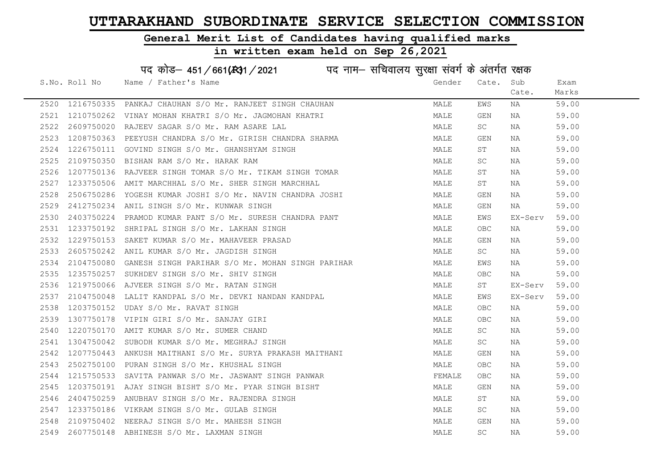### General Merit List of Candidates having qualified marks

|      |               | पद कोड़– 451/661(431/2021 पद नाम– सचिवालय सुरक्षा संवर्ग के अंतर्गत रक्षक |        |            |         |       |
|------|---------------|---------------------------------------------------------------------------|--------|------------|---------|-------|
|      | S.No. Roll No | Name / Father's Name                                                      | Gender | Cate.      | Sub     | Exam  |
|      |               |                                                                           |        |            | Cate.   | Marks |
| 2520 |               | 1216750335 PANKAJ CHAUHAN S/O Mr. RANJEET SINGH CHAUHAN                   | MALE   | EWS        | ΝA      | 59.00 |
| 2521 |               | 1210750262 VINAY MOHAN KHATRI S/O Mr. JAGMOHAN KHATRI                     | MALE   | GEN        | NA      | 59.00 |
| 2522 | 2609750020    | RAJEEV SAGAR S/O Mr. RAM ASARE LAL                                        | MALE   | SC         | NA      | 59.00 |
| 2523 | 1208750363    | PEEYUSH CHANDRA S/O Mr. GIRISH CHANDRA SHARMA                             | MALE   | GEN        | NA      | 59.00 |
| 2524 | 1226750111    | GOVIND SINGH S/O Mr. GHANSHYAM SINGH                                      | MALE   | ST         | NA      | 59.00 |
| 2525 | 2109750350    | BISHAN RAM S/O Mr. HARAK RAM                                              | MALE   | SC         | NA      | 59.00 |
| 2526 |               | 1207750136 RAJVEER SINGH TOMAR S/O Mr. TIKAM SINGH TOMAR                  | MALE   | ST         | NA      | 59.00 |
| 2527 | 1233750506    | AMIT MARCHHAL S/O Mr. SHER SINGH MARCHHAL                                 | MALE   | ST         | NA      | 59.00 |
| 2528 | 2506750286    | YOGESH KUMAR JOSHI S/O Mr. NAVIN CHANDRA JOSHI                            | MALE   | GEN        | NA      | 59.00 |
| 2529 | 2412750234    | ANIL SINGH S/O Mr. KUNWAR SINGH                                           | MALE   | GEN        | NA      | 59.00 |
| 2530 | 2403750224    | PRAMOD KUMAR PANT S/O Mr. SURESH CHANDRA PANT                             | MALE   | EWS        | EX-Serv | 59.00 |
| 2531 | 1233750192    | SHRIPAL SINGH S/O Mr. LAKHAN SINGH                                        | MALE   | <b>OBC</b> | NA      | 59.00 |
| 2532 | 1229750153    | SAKET KUMAR S/O Mr. MAHAVEER PRASAD                                       | MALE   | GEN        | NA      | 59.00 |
| 2533 |               | 2605750242 ANIL KUMAR S/O Mr. JAGDISH SINGH                               | MALE   | SC         | NA      | 59.00 |
| 2534 | 2104750080    | GANESH SINGH PARIHAR S/O Mr. MOHAN SINGH PARIHAR                          | MALE   | EWS        | NA      | 59.00 |
| 2535 | 1235750257    | SUKHDEV SINGH S/O Mr. SHIV SINGH                                          | MALE   | <b>OBC</b> | NA      | 59.00 |
| 2536 | 1219750066    | AJVEER SINGH S/O Mr. RATAN SINGH                                          | MALE   | ST         | EX-Serv | 59.00 |
| 2537 | 2104750048    | LALIT KANDPAL S/O Mr. DEVKI NANDAN KANDPAL                                | MALE   | EWS        | EX-Serv | 59.00 |
| 2538 | 1203750152    | UDAY S/O Mr. RAVAT SINGH                                                  | MALE   | OBC.       | NA      | 59.00 |
| 2539 | 1307750178    | VIPIN GIRI S/O Mr. SANJAY GIRI                                            | MALE   | OBC.       | NA      | 59.00 |
| 2540 | 1220750170    | AMIT KUMAR S/O Mr. SUMER CHAND                                            | MALE   | SC         | NA      | 59.00 |
| 2541 |               | 1304750042 SUBODH KUMAR S/O Mr. MEGHRAJ SINGH                             | MALE   | SC         | NA      | 59.00 |
| 2542 | 1207750443    | ANKUSH MAITHANI S/O Mr. SURYA PRAKASH MAITHANI                            | MALE   | GEN        | ΝA      | 59.00 |
| 2543 | 2502750100    | PURAN SINGH S/O Mr. KHUSHAL SINGH                                         | MALE   | OBC        | NA      | 59.00 |
| 2544 | 1215750533    | SAVITA PANWAR S/O Mr. JASWANT SINGH PANWAR                                | FEMALE | OBC        | NA      | 59.00 |
| 2545 | 1203750191    | AJAY SINGH BISHT S/O Mr. PYAR SINGH BISHT                                 | MALE   | GEN        | NA      | 59.00 |
| 2546 | 2404750259    | ANUBHAV SINGH S/O Mr. RAJENDRA SINGH                                      | MALE   | ST         | ΝA      | 59.00 |
| 2547 |               | 1233750186 VIKRAM SINGH S/O Mr. GULAB SINGH                               | MALE   | SC         | ΝA      | 59.00 |
| 2548 | 2109750402    | NEERAJ SINGH S/O Mr. MAHESH SINGH                                         | MALE   | <b>GEN</b> | NA      | 59.00 |
| 2549 |               | 2607750148 ABHINESH S/O Mr. LAXMAN SINGH                                  | MALE   | <b>SC</b>  | ΝA      | 59.00 |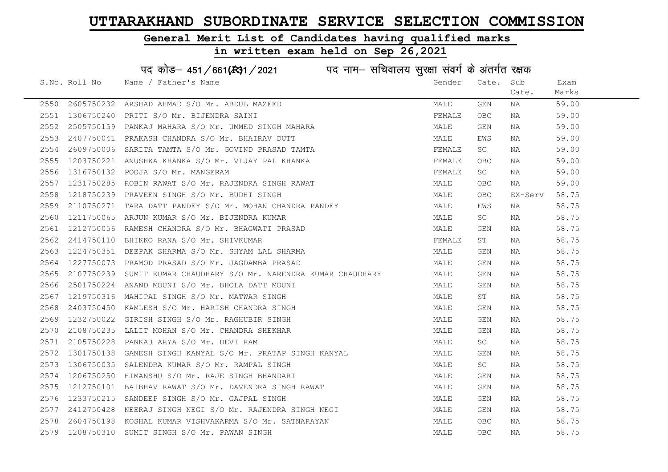### General Merit List of Candidates having qualified marks

### in written exam held on Sep 26,2021

S.No. Roll No Wame / Father's Name Gender Cate. Sub Cate. Exam Marks पद कोड– 451/661(स्था) / 2021 विज्ञान सचिवालय सुरक्षा संवर्ग के अंतर्गत रक्षक 2550 2605750232 ARSHAD AHMAD S/O Mr. ABDUL MAZEED MALE GEN NA 59.00 2551 1306750240 PRITI S/O Mr. BIJENDRA SAINI FEMALE OBC NA 59.00 2552 2505750159 PANKAJ MAHARA S/O Mr. UMMED SINGH MAHARA MALE GEN NA 59.00 2553 2407750041 PRAKASH CHANDRA S/O Mr. BHAIRAV DUTT NA MALE MALE EWS NA 59.00 2554 2609750006 SARITA TAMTA S/O Mr. GOVIND PRASAD TAMTA TANTA FEMALE SC NA 59.00 2555 1203750221 ANUSHKA KHANKA S/O Mr. VIJAY PAL KHANKA FEMALE OBC NA 59.00 2556 1316750132 POOJA S/O Mr. MANGERAM FEMALE SC NA 59.00 2557 1231750285 ROBIN RAWAT S/O Mr. RAJENDRA SINGH RAWAT MANA MALE OBC NA 59.00 2558 1218750239 PRAVEEN SINGH S/O Mr. BUDHI SINGH MALE OBC EX-Serv 58.75 2559 2110750271 TARA DATT PANDEY S/O Mr. MOHAN CHANDRA PANDEY MANILL MALE EWS NA 58.75 2560 1211750065 ARJUN KUMAR S/O Mr. BIJENDRA KUMAR MALE SC NA 58.75 2561 1212750056 RAMESH CHANDRA S/O Mr. BHAGWATI PRASAD MALE GEN NA 58.75 2562 2414750110 BHIKKO RANA S/O Mr. SHIVKUMAR FEMALE ST NA 58.75 2563 1224750351 DEEPAK SHARMA S/O Mr. SHYAM LAL SHARMA MALE GEN NA 58.75 2564 1227750073 PRAMOD PRASAD S/O Mr. JAGDAMBA PRASAD MALE GEN NA 58.75 2565 2107750239 SUMIT KUMAR CHAUDHARY S/O Mr. NARENDRA KUMAR CHAUDHARY MALE GEN NA 58.75 2566 2501750224 ANAND MOUNI S/O Mr. BHOLA DATT MOUNI MALE GEN NA 58.75 2567 1219750316 MAHIPAL SINGH S/O Mr. MATWAR SINGH MALE ST NA 58.75 2568 2403750450 KAMLESH S/O Mr. HARISH CHANDRA SINGH MALE GEN NA 58.75 2569 1232750022 GIRISH SINGH S/O Mr. RAGHUBIR SINGH MALE GEN NA 58.75 2570 2108750235 LALIT MOHAN S/O Mr. CHANDRA SHEKHAR MALE GEN NA 58.75 2571 2105750228 PANKAJ ARYA S/O Mr. DEVI RAM MALE SC NA 58.75 2572 1301750138 GANESH SINGH KANYAL S/O Mr. PRATAP SINGH KANYAL MANAL MALE GEN NA 58.75 2573 1306750035 SALENDRA KUMAR S/O Mr. RAMPAL SINGH MANA MALE SC NA 58.75 2574 1206750250 HIMANSHU S/O Mr. RAJE SINGH BHANDARI MALE GEN NA 58.75 2575 1212750101 BAIBHAV RAWAT S/O Mr. DAVENDRA SINGH RAWAT MAN MALE GEN NA 58.75 2576 1233750215 SANDEEP SINGH S/O Mr. GAJPAL SINGH MALE GEN NA 58.75 2577 2412750428 NEERAJ SINGH NEGI S/O Mr. RAJENDRA SINGH NEGI MALE GEN NA 58.75 2578 2604750198 KOSHAL KUMAR VISHVAKARMA S/O Mr. SATNARAYAN MAN MALE OBC NA 58.75 2579 1208750310 SUMIT SINGH S/O Mr. PAWAN SINGH MALE OBC NA 58.75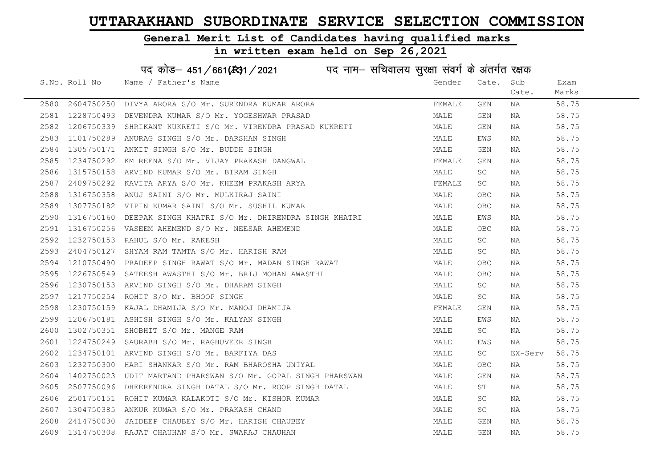### General Merit List of Candidates having qualified marks

### in written exam held on Sep 26,2021

S.No. Roll No Wame / Father's Name Gender Cate. Sub Cate. Exam Marks पद कोड– 451/661(स्था) / 2021 विद्युत्त नाम– सचिवालय सुरक्षा संवर्ग के अंतर्गत रक्षक 2580 2604750250 DIVYA ARORA S/O Mr. SURENDRA KUMAR ARORA FEMALE GEN NA 58.75 2581 1228750493 DEVENDRA KUMAR S/O Mr. YOGESHWAR PRASAD MALE GEN NA 58.75 2582 1206750339 SHRIKANT KUKRETI S/O Mr. VIRENDRA PRASAD KUKRETI MALE GEN NA 58.75 2583 1101750289 ANURAG SINGH S/O Mr. DARSHAN SINGH MANA MALE EWS NA 58.75 2584 1305750171 ANKIT SINGH S/O Mr. BUDDH SINGH MALE GEN NA 58.75 2585 1234750292 KM REENA S/O Mr. VIJAY PRAKASH DANGWAL FEMALE GEN NA 58.75 2586 1315750158 ARVIND KUMAR S/O Mr. BIRAM SINGH MALE SC NA 58.75 2587 2409750292 KAVITA ARYA S/O Mr. KHEEM PRAKASH ARYA FEMALE SC NA 58.75 2588 1316750358 ANUJ SAINI S/O Mr. MULKIRAJ SAINI MALE OBC NA 58.75 2589 1307750182 VIPIN KUMAR SAINI S/O Mr. SUSHIL KUMAR MANAR MALE OBC NA 58.75 2590 1316750160 DEEPAK SINGH KHATRI S/O Mr. DHIRENDRA SINGH KHATRI MALE EWS NA 58.75 2591 1316750256 VASEEM AHEMEND S/O Mr. NEESAR AHEMEND MALE OBC NA 58.75 2592 1232750153 RAHUL S/O Mr. RAKESH MALE SC NA 58.75 2593 2404750127 SHYAM RAM TAMTA S/O Mr. HARISH RAM MALE SC NA 58.75 2594 1210750490 PRADEEP SINGH RAWAT S/O Mr. MADAN SINGH RAWAT MALE OBC NA 58.75 2595 1226750549 SATEESH AWASTHI S/O Mr. BRIJ MOHAN AWASTHI MALE OBC NA 58.75 2596 1230750153 ARVIND SINGH S/O Mr. DHARAM SINGH MALE SC NA 58.75 2597 1217750254 ROHIT S/O Mr. BHOOP SINGH MALE SC NA 58.75 2598 1230750159 KAJAL DHAMIJA S/O Mr. MANOJ DHAMIJA FEMALE GEN NA 58.75 2599 1206750181 ASHISH SINGH S/O Mr. KALYAN SINGH MALE EWS NA 58.75 2600 1302750351 SHOBHIT S/O Mr. MANGE RAM MALE SC NA 58.75 2601 1224750249 SAURABH S/O Mr. RAGHUVEER SINGH MALE EWS NA 58.75 2602 1234750101 ARVIND SINGH S/O Mr. BARFIYA DAS MALE SC EX-Serv 58.75 2603 1232750300 HARI SHANKAR S/O Mr. RAM BHAROSHA UNIYAL MANA MALE OBC NA 58.75 2604 1402750023 UDIT MARTAND PHARSWAN S/O Mr. GOPAL SINGH PHARSWAN MALE GEN NA 58.75 2605 2507750096 DHEERENDRA SINGH DATAL S/O Mr. ROOP SINGH DATAL MALE ST NA 58.75 2606 2501750151 ROHIT KUMAR KALAKOTI S/O Mr. KISHOR KUMAR MALE SC NA 58.75 2607 1304750385 ANKUR KUMAR S/O Mr. PRAKASH CHAND MALE SC NA 58.75 2608 2414750030 JAIDEEP CHAUBEY S/O Mr. HARISH CHAUBEY MALE GEN NA 58.75 2609 1314750308 RAJAT CHAUHAN S/O Mr. SWARAJ CHAUHAN MALE GEN NA 58.75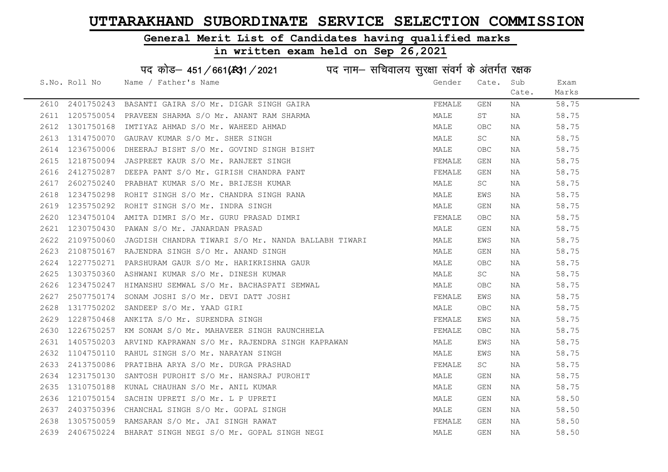### General Merit List of Candidates having qualified marks

|      |               | पद कोड़– 451/661(स्था/2021 व्यान सचिवालय सुरक्षा संवर्ग के अंतर्गत रक्षक |        |                     |       |       |
|------|---------------|--------------------------------------------------------------------------|--------|---------------------|-------|-------|
|      | S.No. Roll No | Name / Father's Name                                                     | Gender | Cate.               | Sub   | Exam  |
|      |               |                                                                          |        |                     | Cate. | Marks |
| 2610 | 2401750243    | BASANTI GAIRA S/O Mr. DIGAR SINGH GAIRA                                  | FEMALE | GEN                 | ΝA    | 58.75 |
| 2611 | 1205750054    | PRAVEEN SHARMA S/O Mr. ANANT RAM SHARMA                                  | MALE   | ST                  | NA    | 58.75 |
| 2612 | 1301750168    | IMTIYAZ AHMAD S/O Mr. WAHEED AHMAD                                       | MALE   | <b>OBC</b>          | NA    | 58.75 |
| 2613 | 1314750070    | GAURAV KUMAR S/O Mr. SHER SINGH                                          | MALE   | SC                  | NA    | 58.75 |
| 2614 | 1236750006    | DHEERAJ BISHT S/O Mr. GOVIND SINGH BISHT                                 | MALE   | OBC                 | NA    | 58.75 |
| 2615 | 1218750094    | JASPREET KAUR S/O Mr. RANJEET SINGH                                      | FEMALE | GEN                 | NA    | 58.75 |
| 2616 | 2412750287    | DEEPA PANT S/O Mr. GIRISH CHANDRA PANT                                   | FEMALE | GEN                 | NA    | 58.75 |
| 2617 | 2602750240    | PRABHAT KUMAR S/O Mr. BRIJESH KUMAR                                      | MALE   | $\operatorname{SC}$ | NA    | 58.75 |
| 2618 | 1234750298    | ROHIT SINGH S/O Mr. CHANDRA SINGH RANA                                   | MALE   | EWS                 | NA    | 58.75 |
| 2619 | 1235750292    | ROHIT SINGH S/O Mr. INDRA SINGH                                          | MALE   | GEN                 | NA    | 58.75 |
| 2620 | 1234750104    | AMITA DIMRI S/O Mr. GURU PRASAD DIMRI                                    | FEMALE | OBC.                | NA    | 58.75 |
| 2621 | 1230750430    | PAWAN S/O Mr. JANARDAN PRASAD                                            | MALE   | GEN                 | ΝA    | 58.75 |
| 2622 | 2109750060    | JAGDISH CHANDRA TIWARI S/O Mr. NANDA BALLABH TIWARI                      | MALE   | EWS                 | NA    | 58.75 |
| 2623 |               | 2108750167 RAJENDRA SINGH S/O Mr. ANAND SINGH                            | MALE   | GEN                 | NA    | 58.75 |
| 2624 |               | 1227750271 PARSHURAM GAUR S/O Mr. HARIKRISHNA GAUR                       | MALE   | <b>OBC</b>          | NA    | 58.75 |
| 2625 | 1303750360    | ASHWANI KUMAR S/O Mr. DINESH KUMAR                                       | MALE   | SC                  | NA    | 58.75 |
| 2626 | 1234750247    | HIMANSHU SEMWAL S/O Mr. BACHASPATI SEMWAL                                | MALE   | OBC                 | NA    | 58.75 |
| 2627 | 2507750174    | SONAM JOSHI S/O Mr. DEVI DATT JOSHI                                      | FEMALE | EWS                 | NA    | 58.75 |
| 2628 | 1317750202    | SANDEEP S/O Mr. YAAD GIRI                                                | MALE   | OBC.                | NA    | 58.75 |
| 2629 | 1228750468    | ANKITA S/O Mr. SURENDRA SINGH                                            | FEMALE | EWS                 | NA    | 58.75 |
| 2630 | 1226750257    | KM SONAM S/O Mr. MAHAVEER SINGH RAUNCHHELA                               | FEMALE | OBC                 | NA    | 58.75 |
| 2631 | 1405750203    | ARVIND KAPRAWAN S/O Mr. RAJENDRA SINGH KAPRAWAN                          | MALE   | EWS                 | NA    | 58.75 |
| 2632 | 1104750110    | RAHUL SINGH S/O Mr. NARAYAN SINGH                                        | MALE   | EWS                 | NA    | 58.75 |
| 2633 | 2413750086    | PRATIBHA ARYA S/O Mr. DURGA PRASHAD                                      | FEMALE | SC                  | NA    | 58.75 |
| 2634 | 1231750130    | SANTOSH PUROHIT S/O Mr. HANSRAJ PUROHIT                                  | MALE   | GEN                 | NA    | 58.75 |
| 2635 | 1310750188    | KUNAL CHAUHAN S/O Mr. ANIL KUMAR                                         | MALE   | GEN                 | NA    | 58.75 |
| 2636 | 1210750154    | SACHIN UPRETI S/O Mr. L P UPRETI                                         | MALE   | GEN                 | NA    | 58.50 |
| 2637 | 2403750396    | CHANCHAL SINGH S/O Mr. GOPAL SINGH                                       | MALE   | GEN                 | NA    | 58.50 |
| 2638 |               | 1305750059 RAMSARAN S/O Mr. JAI SINGH RAWAT                              | FEMALE | GEN                 | NA    | 58.50 |
| 2639 |               | 2406750224 BHARAT SINGH NEGI S/O Mr. GOPAL SINGH NEGI                    | MALE   | GEN                 | ΝA    | 58.50 |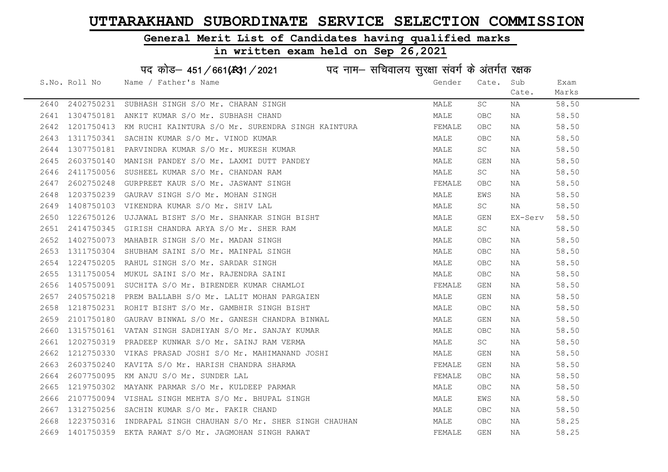### General Merit List of Candidates having qualified marks

# in written exam held on Sep 26,2021

# पद कोड– 451/661(स्था/2021 व्यान सचिवालय सुरक्षा संवर्ग के अंतर्गत रक्षक

|      | S.No. Roll No | Name / Father's Name                                                                                                                                                                                                                       | Gender | Cate.      | Sub     | Exam  |
|------|---------------|--------------------------------------------------------------------------------------------------------------------------------------------------------------------------------------------------------------------------------------------|--------|------------|---------|-------|
|      |               |                                                                                                                                                                                                                                            |        |            | Cate.   | Marks |
|      |               | 2640 2402750231 SUBHASH SINGH S/O Mr. CHARAN SINGH                                                                                                                                                                                         | MALE   | SC         | NA      | 58.50 |
|      |               | 2641 1304750181 ANKIT KUMAR S/O Mr. SUBHASH CHAND                                                                                                                                                                                          | MALE   | OBC        | NA      | 58.50 |
| 2642 |               | 1201750413 KM RUCHI KAINTURA S/O Mr. SURENDRA SINGH KAINTURA                                                                                                                                                                               | FEMALE | OBC        | NA      | 58.50 |
| 2643 |               | 1311750341 SACHIN KUMAR S/O Mr. VINOD KUMAR                                                                                                                                                                                                | MALE   | OBC.       | NA      | 58.50 |
| 2644 |               | 1307750181 PARVINDRA KUMAR S/O Mr. MUKESH KUMAR                                                                                                                                                                                            | MALE   | SC         | NA      | 58.50 |
| 2645 |               |                                                                                                                                                                                                                                            | MALE   | GEN        | NA      | 58.50 |
| 2646 |               |                                                                                                                                                                                                                                            | MALE   | SC         | NA      | 58.50 |
| 2647 |               |                                                                                                                                                                                                                                            | FEMALE | OBC.       | NA      | 58.50 |
| 2648 |               | 2603750140 MANISH PANDEY S/O Mr. LAXMI DUTT PANDEY<br>2411750056 SUSHEEL KUMAR S/O Mr. CHANDAN RAM<br>2602750248 GURPREET KAUR S/O Mr. JASWANT SINGH<br>1203750239 GAURAV SINGH S/O Mr. MOHAN SINGH                                        | MALE   | EWS        | NA      | 58.50 |
| 2649 |               | 1408750103 VIKENDRA KUMAR S/O Mr. SHIV LAL                                                                                                                                                                                                 | MALE   | <b>SC</b>  | NA      | 58.50 |
| 2650 |               | 1226750126 UJJAWAL BISHT S/O Mr. SHANKAR SINGH BISHT                                                                                                                                                                                       | MALE   | GEN        | EX-Serv | 58.50 |
| 2651 |               | 2414750345 GIRISH CHANDRA ARYA S/O Mr. SHER RAM                                                                                                                                                                                            | MALE   | <b>SC</b>  | NA      | 58.50 |
| 2652 |               |                                                                                                                                                                                                                                            | MALE   | OBC        | NA      | 58.50 |
| 2653 |               |                                                                                                                                                                                                                                            | MALE   | OBC.       | NA      | 58.50 |
| 2654 |               |                                                                                                                                                                                                                                            | MALE   | OBC        | NA      | 58.50 |
| 2655 |               | 1402750073 MAHABIR SINGH S/O Mr. MADAN SINGH<br>1311750304 SHUBHAM SAINI S/O Mr. MAINPAL SINGH<br>1224750205 RAHUL SINGH S/O Mr. SARDAR SINGH<br>1311750054 MUKUL SAINI S/O Mr. RAJENDRA SAINI<br>1405750091 SUCHITA S/O Mr. BIRENDER KUMA | MALE   | OBC        | NA      | 58.50 |
| 2656 |               |                                                                                                                                                                                                                                            | FEMALE | GEN        | NA      | 58.50 |
| 2657 |               | 2405750218 PREM BALLABH S/O Mr. LALIT MOHAN PARGAIEN                                                                                                                                                                                       | MALE   | GEN        | NA      | 58.50 |
| 2658 |               | 1218750231 ROHIT BISHT S/O Mr. GAMBHIR SINGH BISHT                                                                                                                                                                                         | MALE   | OBC.       | NA      | 58.50 |
| 2659 |               | 2101750180 GAURAV BINWAL S/O Mr. GANESH CHANDRA BINWAL                                                                                                                                                                                     | MALE   | GEN        | NA      | 58.50 |
| 2660 |               | 1315750161 VATAN SINGH SADHIYAN S/O Mr. SANJAY KUMAR                                                                                                                                                                                       | MALE   | OBC.       | NA      | 58.50 |
| 2661 |               | 1202750319 PRADEEP KUNWAR S/O Mr. SAINJ RAM VERMA                                                                                                                                                                                          | MALE   | SC         | NA      | 58.50 |
| 2662 |               | 1212750330 VIKAS PRASAD JOSHI S/O Mr. MAHIMANAND JOSHI                                                                                                                                                                                     | MALE   | GEN        | NA      | 58.50 |
| 2663 |               | 2603750240 KAVITA S/O Mr. HARISH CHANDRA SHARMA                                                                                                                                                                                            | FEMALE | GEN        | NA      | 58.50 |
| 2664 |               | 2607750095  KM ANJU S/O Mr. SUNDER LAL<br>1219750302  MAYANK PARMAR S/O Mr. KULDEEP PARMAR                                                                                                                                                 | FEMALE | OBC.       | NA      | 58.50 |
| 2665 |               |                                                                                                                                                                                                                                            | MALE   | OBC.       | NA      | 58.50 |
| 2666 |               | 2107750094 VISHAL SINGH MEHTA S/O Mr. BHUPAL SINGH                                                                                                                                                                                         | MALE   | EWS        | NA      | 58.50 |
| 2667 |               | 1312750256 SACHIN KUMAR S/O Mr. FAKIR CHAND                                                                                                                                                                                                | MALE   | OBC.       | NA      | 58.50 |
| 2668 |               | 1223750316 INDRAPAL SINGH CHAUHAN S/O Mr. SHER SINGH CHAUHAN                                                                                                                                                                               | MALE   | OBC.       | NA      | 58.25 |
|      |               | 2669 1401750359 EKTA RAWAT S/O Mr. JAGMOHAN SINGH RAWAT                                                                                                                                                                                    | FEMALE | <b>GEN</b> | NA      | 58.25 |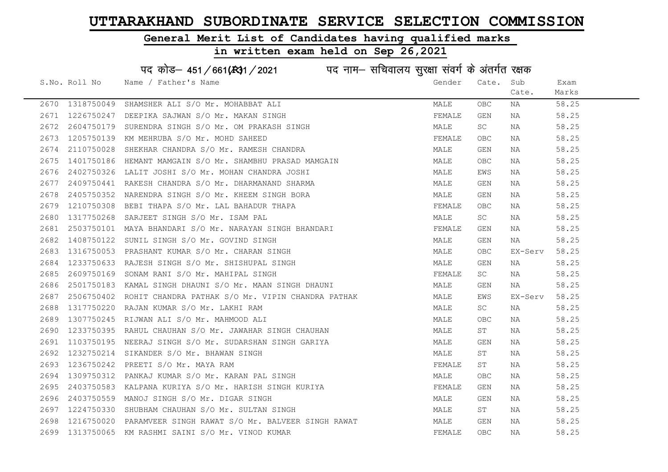### General Merit List of Candidates having qualified marks

in written exam held on Sep 26,2021

S.No. Roll No Wame / Father's Name Gender Cate. Sub Cate. Exam Marks पद कोड़– 451/661(स्था/2021 व्याम- सचिवालय सुरक्षा संवर्ग के अंतर्गत रक्षक 2670 1318750049 SHAMSHER ALI S/O Mr. MOHABBAT ALI MALE OBC NA 58.25 2671 1226750247 DEEPIKA SAJWAN S/O Mr. MAKAN SINGH FEMALE GEN NA 58.25 2672 2604750179 SURENDRA SINGH S/O Mr. OM PRAKASH SINGH STRAND MALE SC NA 58.25 2673 1205750139 KM MEHRUBA S/O Mr. MOHD SAHEED **FEMALE** OBC NA 58.25 2674 2110750028 SHEKHAR CHANDRA S/O Mr. RAMESH CHANDRA MALE GEN NA 58.25 2675 1401750186 HEMANT MAMGAIN S/O Mr. SHAMBHU PRASAD MAMGAIN MALE OBC NA 58.25 2676 2402750326 LALIT JOSHI S/O Mr. MOHAN CHANDRA JOSHI MALE EWS NA 58.25 2677 2409750441 RAKESH CHANDRA S/O Mr. DHARMANAND SHARMA MANA MALE GEN NA 58.25 2678 2405750352 NARENDRA SINGH S/O Mr. KHEEM SINGH BORA MALE GEN NA 58.25 2679 1210750308 BEBI THAPA S/O Mr. LAL BAHADUR THAPA FEMALE OBC NA 58.25 2680 1317750268 SARJEET SINGH S/O Mr. ISAM PAL MALE SC NA 58.25 2681 2503750101 MAYA BHANDARI S/O Mr. NARAYAN SINGH BHANDARI THAN THAN FEMALE GEN NA 58.25 2682 1408750122 SUNIL SINGH S/O Mr. GOVIND SINGH MALE GEN NA 58.25 2683 1316750053 PRASHANT KUMAR S/O Mr. CHARAN SINGH MALE OBC EX-Serv 58.25 2684 1233750633 RAJESH SINGH S/O Mr. SHISHUPAL SINGH MALE GEN NA 58.25 2685 2609750169 SONAM RANI S/O Mr. MAHIPAL SINGH FEMALE SC NA 58.25 2686 2501750183 KAMAL SINGH DHAUNI S/O Mr. MAAN SINGH DHAUNI MALE GEN NA 58.25 2687 2506750402 ROHIT CHANDRA PATHAK S/O Mr. VIPIN CHANDRA PATHAK MALE MALE EWS EX-Serv 58.25 2688 1317750220 RAJAN KUMAR S/O Mr. LAKHI RAM MALE SC NA 58.25 2689 1307750245 RIJWAN ALI S/O Mr. MAHMOOD ALI MALE OBC NA 58.25 2690 1233750395 RAHUL CHAUHAN S/O Mr. JAWAHAR SINGH CHAUHAN MAN MALE ST NA 58.25 2691 1103750195 NEERAJ SINGH S/O Mr. SUDARSHAN SINGH GARIYA MALE GEN NA 58.25 2692 1232750214 SIKANDER S/O Mr. BHAWAN SINGH MALE ST NA 58.25 2693 1236750242 PREETI S/O Mr. MAYA RAM FEMALE ST NA 58.25 2694 1309750312 PANKAJ KUMAR S/O Mr. KARAN PAL SINGH MALE OBC NA 58.25 2695 2403750583 KALPANA KURIYA S/O Mr. HARISH SINGH KURIYA FUNANA FEMALE GEN NA 58.25 2696 2403750559 MANOJ SINGH S/O Mr. DIGAR SINGH MALE GEN NA 58.25 2697 1224750330 SHUBHAM CHAUHAN S/O Mr. SULTAN SINGH MALE ST NA 58.25 2698 1216750020 PARAMVEER SINGH RAWAT S/O Mr. BALVEER SINGH RAWAT MALE GEN NA 58.25 2699 1313750065 KM RASHMI SAINI S/O Mr. VINOD KUMAR FEMALE THE SELLE THAT THE SAINT S8.25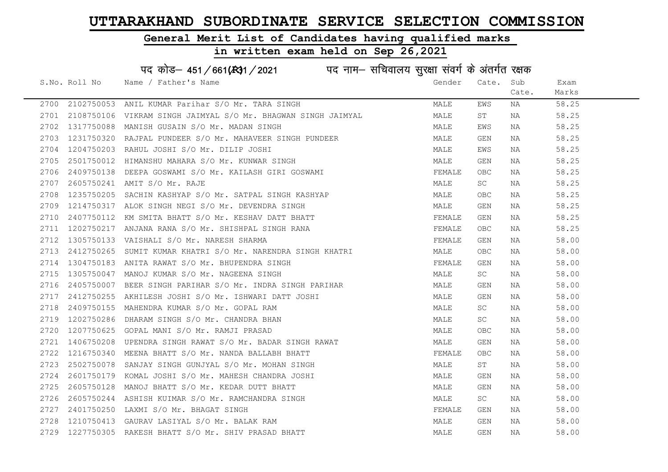### General Merit List of Candidates having qualified marks

### in written exam held on Sep 26,2021

S.No. Roll No Wame / Father's Name Gender Cate. Sub Cate. Exam Marks पद कोड़– 451/661(स्था/2021 व्याम- सचिवालय सुरक्षा संवर्ग के अंतर्गत रक्षक 2700 2102750053 ANIL KUMAR Parihar S/O Mr. TARA SINGH MARE MALE EWS NA 58.25 2701 2108750106 VIKRAM SINGH JAIMYAL S/O Mr. BHAGWAN SINGH JAIMYAL MALE ST NA 58.25 2702 1317750088 MANISH GUSAIN S/O Mr. MADAN SINGH MALE EWS NA 58.25 2703 1231750320 RAJPAL PUNDEER S/O Mr. MAHAVEER SINGH PUNDEER MANA MALE GEN NA 58.25 2704 1204750203 RAHUL JOSHI S/O Mr. DILIP JOSHI MALE EWS NA 58.25 2705 2501750012 HIMANSHU MAHARA S/O Mr. KUNWAR SINGH MALE GEN NA 58.25 2706 2409750138 DEEPA GOSWAMI S/O Mr. KAILASH GIRI GOSWAMI SARA SEMALE OBC NA 58.25 2707 2605750241 AMIT S/O Mr. RAJE MALE SC NA 58.25 2708 1235750205 SACHIN KASHYAP S/O Mr. SATPAL SINGH KASHYAP MAN MALE OBC NA 58.25 2709 1214750317 ALOK SINGH NEGI S/O Mr. DEVENDRA SINGH MALE GEN NA 58.25 2710 2407750112 KM SMITA BHATT S/O Mr. KESHAV DATT BHATT FUNITING THAT THAT SEN AN 58.25 2711 1202750217 ANJANA RANA S/O Mr. SHISHPAL SINGH RANA FEMALE OBC NA 58.25 2712 1305750133 VAISHALI S/O Mr. NARESH SHARMA FEMALE GEN NA 58.00 2713 2412750265 SUMIT KUMAR KHATRI S/O Mr. NARENDRA SINGH KHATRI NANA MALE OBC NA 58.00 2714 1304750183 ANITA RAWAT S/O Mr. BHUPENDRA SINGH FEMALL SEN REMALE GEN NA 58.00 2715 1305750047 MANOJ KUMAR S/O Mr. NAGEENA SINGH MALE SC NA 58.00 2716 2405750007 BEER SINGH PARIHAR S/O Mr. INDRA SINGH PARIHAR MAN MALE GEN NA 58.00 2717 2412750255 AKHILESH JOSHI S/O Mr. ISHWARI DATT JOSHI NA MALE GEN NA 58.00 2718 2409750155 MAHENDRA KUMAR S/O Mr. GOPAL RAM NAN MALE SC NA 58.00 2719 1202750286 DHARAM SINGH S/O Mr. CHANDRA BHAN MALE SC NA 58.00 2720 1207750625 GOPAL MANI S/O Mr. RAMJI PRASAD MALE OBC NA 58.00 2721 1406750208 UPENDRA SINGH RAWAT S/O Mr. BADAR SINGH RAWAT MAN MALE GEN NA 58.00 2722 1216750340 MEENA BHATT S/O Mr. NANDA BALLABH BHATT FEMALE OBC NA 58.00 2723 2502750078 SANJAY SINGH GUNJYAL S/O Mr. MOHAN SINGH MALE ST NA 58.00 2724 2601750179 KOMAL JOSHI S/O Mr. MAHESH CHANDRA JOSHI MALE GEN NA 58.00 2725 2605750128 MANOJ BHATT S/O Mr. KEDAR DUTT BHATT NA MALE GEN NA S8.00 2726 2605750244 ASHISH KUIMAR S/O Mr. RAMCHANDRA SINGH MALE SC NA 58.00 2727 2401750250 LAXMI S/O Mr. BHAGAT SINGH FEMALE GEN NA 58.00 2728 1210750413 GAURAV LASIYAL S/O Mr. BALAK RAM MALE GEN NA 58.00 2729 1227750305 RAKESH BHATT S/O Mr. SHIV PRASAD BHATT NA MALE GEN NA 58.00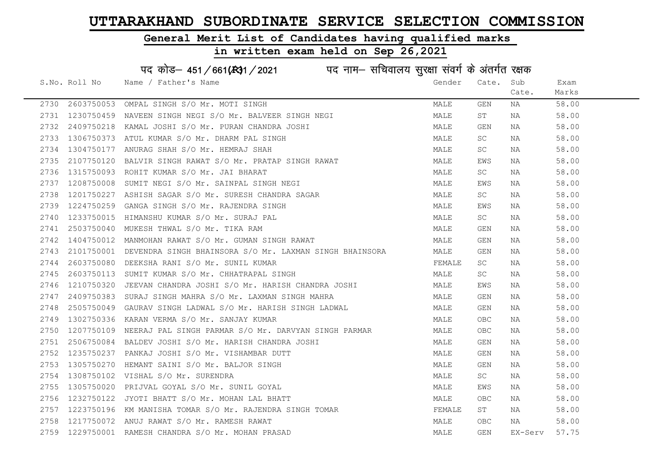### General Merit List of Candidates having qualified marks

|      |               | पद कोड़- 451/661(431/2021 पद नाम- सचिवालय सुरक्षा संवर्ग के अंतर्गत रक्षक |        |            |         |       |
|------|---------------|---------------------------------------------------------------------------|--------|------------|---------|-------|
|      | S.No. Roll No | Name / Father's Name                                                      | Gender | Cate. Sub  |         | Exam  |
|      |               |                                                                           |        |            | Cate.   | Marks |
| 2730 | 2603750053    | OMPAL SINGH S/O Mr. MOTI SINGH                                            | MALE   | GEN        | NA      | 58.00 |
| 2731 | 1230750459    | NAVEEN SINGH NEGI S/O Mr. BALVEER SINGH NEGI                              | MALE   | ST         | NA      | 58.00 |
| 2732 | 2409750218    | KAMAL JOSHI S/O Mr. PURAN CHANDRA JOSHI                                   | MALE   | GEN        | NA      | 58.00 |
| 2733 | 1306750373    | ATUL KUMAR S/O Mr. DHARM PAL SINGH                                        | MALE   | SC         | NA      | 58.00 |
| 2734 | 1304750177    | ANURAG SHAH S/O Mr. HEMRAJ SHAH                                           | MALE   | SC         | NA      | 58.00 |
| 2735 |               | 2107750120 BALVIR SINGH RAWAT S/O Mr. PRATAP SINGH RAWAT                  | MALE   | EWS        | NA      | 58.00 |
| 2736 |               | 1315750093 ROHIT KUMAR S/O Mr. JAI BHARAT                                 | MALE   | SC         | NA      | 58.00 |
| 2737 | 1208750008    | SUMIT NEGI S/O Mr. SAINPAL SINGH NEGI                                     | MALE   | EWS        | NA      | 58.00 |
| 2738 | 1201750227    | ASHISH SAGAR S/O Mr. SURESH CHANDRA SAGAR                                 | MALE   | SC         | NA      | 58.00 |
| 2739 | 1224750259    | GANGA SINGH S/O Mr. RAJENDRA SINGH                                        | MALE   | EWS        | NA      | 58.00 |
| 2740 | 1233750015    | HIMANSHU KUMAR S/O Mr. SURAJ PAL                                          | MALE   | SC         | NA      | 58.00 |
| 2741 | 2503750040    | MUKESH THWAL S/O Mr. TIKA RAM                                             | MALE   | GEN        | NA      | 58.00 |
| 2742 |               | 1404750012 MANMOHAN RAWAT S/O Mr. GUMAN SINGH RAWAT                       | MALE   | GEN        | NA      | 58.00 |
| 2743 |               | 2101750001 DEVENDRA SINGH BHAINSORA S/O Mr. LAXMAN SINGH BHAINSORA        | MALE   | GEN        | NA      | 58.00 |
| 2744 |               | 2603750080 DEEKSHA RANI S/O Mr. SUNIL KUMAR                               | FEMALE | SC         | NA      | 58.00 |
| 2745 | 2603750113    | SUMIT KUMAR S/O Mr. CHHATRAPAL SINGH                                      | MALE   | SC         | NA      | 58.00 |
| 2746 | 1210750320    | JEEVAN CHANDRA JOSHI S/O Mr. HARISH CHANDRA JOSHI                         | MALE   | EWS        | NA      | 58.00 |
| 2747 | 2409750383    | SURAJ SINGH MAHRA S/O Mr. LAXMAN SINGH MAHRA                              | MALE   | GEN        | NA      | 58.00 |
| 2748 | 2505750049    | GAURAV SINGH LADWAL S/O Mr. HARISH SINGH LADWAL                           | MALE   | GEN        | NA      | 58.00 |
| 2749 | 1302750336    | KARAN VERMA S/O Mr. SANJAY KUMAR                                          | MALE   | <b>OBC</b> | NA      | 58.00 |
| 2750 | 1207750109    | NEERAJ PAL SINGH PARMAR S/O Mr. DARVYAN SINGH PARMAR                      | MALE   | OBC.       | NA      | 58.00 |
| 2751 |               | 2506750084 BALDEV JOSHI S/O Mr. HARISH CHANDRA JOSHI                      | MALE   | GEN        | NA      | 58.00 |
| 2752 |               | 1235750237 PANKAJ JOSHI S/O Mr. VISHAMBAR DUTT                            | MALE   | GEN        | NA      | 58.00 |
| 2753 | 1305750270    | HEMANT SAINI S/O Mr. BALJOR SINGH                                         | MALE   | GEN        | NA      | 58.00 |
| 2754 | 1308750102    | VISHAL S/O Mr. SURENDRA                                                   | MALE   | SC         | NA      | 58.00 |
| 2755 | 1305750020    | PRIJVAL GOYAL S/O Mr. SUNIL GOYAL                                         | MALE   | EWS        | NA      | 58.00 |
| 2756 | 1232750122    | JYOTI BHATT S/O Mr. MOHAN LAL BHATT                                       | MALE   | <b>OBC</b> | NA      | 58.00 |
| 2757 | 1223750196    | KM MANISHA TOMAR S/O Mr. RAJENDRA SINGH TOMAR                             | FEMALE | ST         | NA      | 58.00 |
| 2758 |               | 1217750072 ANUJ RAWAT S/O Mr. RAMESH RAWAT                                | MALE   | <b>OBC</b> | NA      | 58.00 |
|      |               | 2759 1229750001 RAMESH CHANDRA S/O Mr. MOHAN PRASAD                       | MALE   | GEN        | EX-Serv | 57.75 |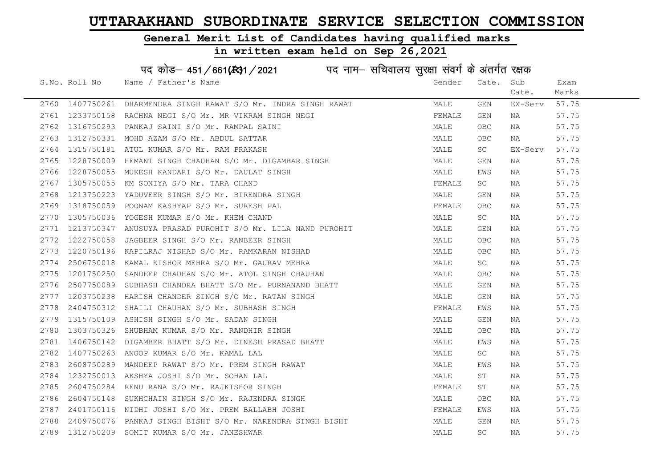### General Merit List of Candidates having qualified marks

# in written exam held on Sep 26,2021

# पद कोड– 451/661(स्था/2021 in uat नाम– सचिवालय सुरक्षा संवर्ग के अंतर्गत रक्षक

|      | S.No. Roll No | Name / Father's Name                                                                                                                                                                                  | Gender | Cate.      | Sub     | Exam  |
|------|---------------|-------------------------------------------------------------------------------------------------------------------------------------------------------------------------------------------------------|--------|------------|---------|-------|
|      |               |                                                                                                                                                                                                       |        |            | Cate.   | Marks |
|      |               | 2760 1407750261 DHARMENDRA SINGH RAWAT S/O Mr. INDRA SINGH RAWAT                                                                                                                                      | MALE   | GEN        | EX-Serv | 57.75 |
|      |               | 2761 1233750158 RACHNA NEGI S/O Mr. MR VIKRAM SINGH NEGI                                                                                                                                              | FEMALE | GEN        | NA      | 57.75 |
| 2762 |               | 1316750293 PANKAJ SAINI S/O Mr. RAMPAL SAINI                                                                                                                                                          | MALE   | OBC        | NA      | 57.75 |
|      |               | 2763 1312750331 MOHD AZAM S/O Mr. ABDUL SATTAR                                                                                                                                                        | MALE   | <b>OBC</b> | NA      | 57.75 |
| 2764 |               | 1315750181 ATUL KUMAR S/O Mr. RAM PRAKASH                                                                                                                                                             | MALE   | SC         | EX-Serv | 57.75 |
| 2765 |               | 1228750009 HEMANT SINGH CHAUHAN S/O Mr. DIGAMBAR SINGH                                                                                                                                                | MALE   | GEN        | NA      | 57.75 |
|      |               | 2766 1228750055 MUKESH KANDARI S/O Mr. DAULAT SINGH                                                                                                                                                   | MALE   | EWS        | NA      | 57.75 |
|      |               | 2767 1305750055 KM SONIYA S/O Mr. TARA CHAND                                                                                                                                                          | FEMALE | SC         | NA      | 57.75 |
| 2768 |               | 1213750223 YADUVEER SINGH S/O Mr. BIRENDRA SINGH<br>1318750059 POONAM KASHYAP S/O Mr. SURESH PAL<br>1305750036 YOGESH KUMAR S/O Mr. KHEM CHAND<br>1213750347 ANUSUYA PRASAD PUROHIT S/O Mr. IIIN 1111 | MALE   | GEN        | NA      | 57.75 |
| 2769 |               |                                                                                                                                                                                                       | FEMALE | OBC.       | NA      | 57.75 |
| 2770 |               |                                                                                                                                                                                                       | MALE   | SC         | NA      | 57.75 |
| 2771 |               | 1213750347 ANUSUYA PRASAD PUROHIT S/O Mr. LILA NAND PUROHIT                                                                                                                                           | MALE   | GEN        | NA      | 57.75 |
|      |               | 2772 1222750058 JAGBEER SINGH S/O Mr. RANBEER SINGH                                                                                                                                                   | MALE   | <b>OBC</b> | NA      | 57.75 |
|      |               | 1220750196  KAPILRAJ NISHAD S/O Mr. RAMKARAN NISHAD<br>2506750018  KAMAL KISHOR MEHRA S/O Mr. GAURAV MEHRA<br>2773 1220750196 KAPILRAJ NISHAD S/O Mr. RAMKARAN NISHAD                                 | MALE   | OBC.       | NA      | 57.75 |
| 2774 |               |                                                                                                                                                                                                       | MALE   | SC         | NA      | 57.75 |
| 2775 |               | 1201750250 SANDEEP CHAUHAN S/O Mr. ATOL SINGH CHAUHAN                                                                                                                                                 | MALE   | <b>OBC</b> | NA      | 57.75 |
| 2776 |               | 2507750089 SUBHASH CHANDRA BHATT S/O Mr. PURNANAND BHATT                                                                                                                                              | MALE   | GEN        | NA      | 57.75 |
|      |               | 2777 1203750238 HARISH CHANDER SINGH S/O Mr. RATAN SINGH                                                                                                                                              | MALE   | GEN        | NA      | 57.75 |
|      |               | 2778  2404750312  SHAILI CHAUHAN S/O Mr. SUBHASH SINGH                                                                                                                                                | FEMALE | EWS        | NA      | 57.75 |
| 2779 |               | 1315750109 ASHISH SINGH S/O Mr. SADAN SINGH                                                                                                                                                           | MALE   | GEN        | ΝA      | 57.75 |
| 2780 |               | 1303750326 SHUBHAM KUMAR S/O Mr. RANDHIR SINGH                                                                                                                                                        | MALE   | OBC        | NA      | 57.75 |
| 2781 |               |                                                                                                                                                                                                       | MALE   | EWS        | NA      | 57.75 |
| 2782 |               | 1406750142 DIGAMBER BHATT S/O Mr. DINESH PRASAD BHATT<br>1407750263 ANOOP KUMAR S/O Mr. KAMAL LAL                                                                                                     | MALE   | SC         | NA      | 57.75 |
|      |               | 2783 2608750289 MANDEEP RAWAT S/O Mr. PREM SINGH RAWAT                                                                                                                                                | MALE   | EWS        | NA      | 57.75 |
|      |               | 1232750013 AKSHYA JOSHI S/O Mr. SOHAN LAL<br>2604750284 RENU RANA S/O Mr. RAJKISHOR SINGH<br>2604750148 SUKHCHAIN SINGH S/O Mr. RAJENDRA SINGH<br>2784 1232750013 AKSHYA JOSHI S/O Mr. SOHAN LAL      | MALE   | ST         | NA      | 57.75 |
| 2785 |               |                                                                                                                                                                                                       | FEMALE | ST         | NA      | 57.75 |
| 2786 |               |                                                                                                                                                                                                       | MALE   | <b>OBC</b> | NA      | 57.75 |
| 2787 |               | 2401750116 NIDHI JOSHI S/O Mr. PREM BALLABH JOSHI                                                                                                                                                     | FEMALE | EWS        | NA      | 57.75 |
| 2788 |               | 2409750076 PANKAJ SINGH BISHT S/O Mr. NARENDRA SINGH BISHT                                                                                                                                            | MALE   | GEN        | ΝA      | 57.75 |
|      |               | 2789 1312750209 SOMIT KUMAR S/O Mr. JANESHWAR                                                                                                                                                         | MALE   | SC         | NA      | 57.75 |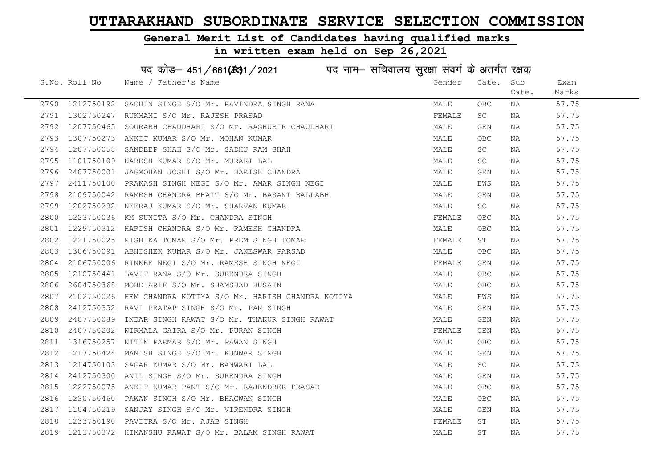### General Merit List of Candidates having qualified marks

### in written exam held on Sep 26,2021

S.No. Roll No Wame / Father's Name Gender Cate. Sub Cate. Exam Marks पद कोड– 451/661(स्था) / 2021 विज्ञान सचिवालय सुरक्षा संवर्ग के अंतर्गत रक्षक 2790 1212750192 SACHIN SINGH S/O Mr. RAVINDRA SINGH RANA MARA MALE OBC NA 57.75 2791 1302750247 RUKMANI S/O Mr. RAJESH PRASAD **FEMALE** SC NA 57.75 2792 1207750465 SOURABH CHAUDHARI S/O Mr. RAGHUBIR CHAUDHARI MALE GEN NA 57.75 2793 1307750273 ANKIT KUMAR S/O Mr. MOHAN KUMAR MANA MALE OBC NA 57.75 2794 1207750058 SANDEEP SHAH S/O Mr. SADHU RAM SHAH MALE SC NA 57.75 2795 1101750109 NARESH\_KUMAR\_S/O\_Mr. MURARI LAL MARE SC NA 57.75 2796 2407750001 JAGMOHAN JOSHI S/O Mr. HARISH CHANDRA NA MALE GEN NA 57.75 2797 2411750100 PRAKASH SINGH NEGI S/O Mr. AMAR SINGH NEGI MANA MALE EWS NA 57.75 2798 2109750042 RAMESH CHANDRA BHATT S/O Mr. BASANT BALLABH MANA MALE GEN NA 57.75 2799 1202750292 NEERAJ KUMAR S/O Mr. SHARVAN KUMAR MALE SC NA 57.75 2800 1223750036 KM SUNITA S/O Mr. CHANDRA SINGH FEMALE OBC NA 57.75 2801 1229750312 HARISH CHANDRA S/O Mr. RAMESH CHANDRA NAN MALE OBC NA 57.75 2802 1221750025 RISHIKA TOMAR S/O Mr. PREM SINGH TOMAR FEMALE ST NA 57.75 2803 1306750091 ABHISHEK KUMAR S/O Mr. JANESWAR PARSAD MALE OBC NA 57.75 2804 2106750006 RINKEE NEGI S/O Mr. RAMESH SINGH NEGI FRANCHI FEMALE GEN NA 57.75 2805 1210750441 LAVIT RANA S/O Mr. SURENDRA SINGH MALE OBC NA 57.75 2806 2604750368 MOHD ARIF S/O Mr. SHAMSHAD HUSAIN MALE OBC NA 57.75 2807 2102750026 HEM CHANDRA KOTIYA S/O Mr. HARISH CHANDRA KOTIYA MALE MALE EWS NA 57.75 2808 2412750352 RAVI PRATAP SINGH S/O Mr. PAN SINGH MALE GEN NA 57.75 2809 2407750089 INDAR SINGH RAWAT S/O Mr. THAKUR SINGH RAWAT MANA MALE GEN NA 57.75 2810 2407750202 NIRMALA GAIRA S/O Mr. PURAN SINGH FEMALA STRANGHISH FEMALE GEN NA 57.75 2811 1316750257 NITIN PARMAR S/O Mr. PAWAN SINGH MALE OBC NA 57.75 2812 1217750424 MANISH SINGH S/O Mr. KUNWAR SINGH MALE GEN NA 57.75 2813 1214750103 SAGAR KUMAR S/O Mr. BANWARI LAL MARE SC NA 57.75 2814 2412750300 ANIL SINGH S/O Mr. SURENDRA SINGH MANA MALE GEN NA 57.75 2815 1222750075 ANKIT KUMAR PANT S/O Mr. RAJENDRER PRASAD MALE OBC NA 57.75 2816 1230750460 PAWAN SINGH S/O Mr. BHAGWAN SINGH MALE OBC NA 57.75 2817 1104750219 SANJAY SINGH S/O Mr. VIRENDRA SINGH MALE GEN NA 57.75 2818 1233750190 PAVITRA S/O Mr. AJAB SINGH FEMALE ST NA 57.75 2819 1213750372 HIMANSHU RAWAT S/O Mr. BALAM SINGH RAWAT MALE ST NA 57.75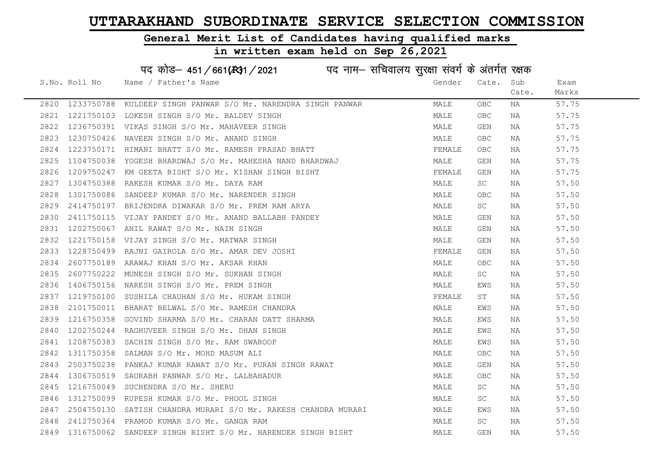### General Merit List of Candidates having qualified marks

# in written exam held on Sep 26,2021

# पद कोड– 451/661(स्था/2021 व्यान सचिवालय सुरक्षा संवर्ग के अंतर्गत रक्षक

|      | S.No. Roll No | Name / Father's Name                                                                                                                                                                                                                | Gender | Cate. | Sub   | Exam  |
|------|---------------|-------------------------------------------------------------------------------------------------------------------------------------------------------------------------------------------------------------------------------------|--------|-------|-------|-------|
|      |               |                                                                                                                                                                                                                                     |        |       | Cate. | Marks |
|      |               | 2820 1233750788 KULDEEP SINGH PANWAR S/O Mr. NARENDRA SINGH PANWAR                                                                                                                                                                  | MALE   | OBC   | NA    | 57.75 |
|      |               | 2821 1221750103 LOKESH SINGH S/O Mr. BALDEV SINGH                                                                                                                                                                                   | MALE   | OBC.  | NA    | 57.75 |
| 2822 |               | 1236750391 VIKAS SINGH S/O Mr. MAHAVEER SINGH                                                                                                                                                                                       | MALE   | GEN   | NA    | 57.75 |
| 2823 |               | 1230750426 NAVEEN SINGH S/O Mr. ANAND SINGH<br>1223750171 HIMANI BHATT S/O Mr. RAMESH PRASAD BHATT                                                                                                                                  | MALE   | OBC.  | NA    | 57.75 |
| 2824 |               |                                                                                                                                                                                                                                     | FEMALE | OBC.  | NA    | 57.75 |
| 2825 |               | 1104750038 YOGESH BHARDWAJ S/O Mr. MAHESHA NAND BHARDWAJ                                                                                                                                                                            | MALE   | GEN   | NA    | 57.75 |
|      |               |                                                                                                                                                                                                                                     | FEMALE | GEN   | NA    | 57.75 |
|      |               |                                                                                                                                                                                                                                     | MALE   | SC.   | NA    | 57.50 |
|      |               |                                                                                                                                                                                                                                     | MALE   | OBC.  | NA    | 57.50 |
|      |               |                                                                                                                                                                                                                                     | MALE   | SC    | NA    | 57.50 |
|      |               |                                                                                                                                                                                                                                     | MALE   | GEN   | NA    | 57.50 |
|      |               |                                                                                                                                                                                                                                     | MALE   | GEN   | NA    | 57.50 |
|      |               |                                                                                                                                                                                                                                     | MALE   | GEN   | NA    | 57.50 |
|      |               |                                                                                                                                                                                                                                     | FEMALE | GEN   | NA    | 57.50 |
|      |               | 2825 1104750038 YOGESH BHARDWAJ S/O Mr. MAHESHA NAND BHARDWAJ 2825 1209750247 KM GEETA BISHT 36/O Mr. NXIBAN SINGH BISHT 2827 1304750388 RAKESH KUMAR S/O Mr. DAYA RAM<br>2827 1304750388 RAKESH KUMAR S/O Mr. DAYA RAM<br>2829 241 | MALE   | OBC.  | NA    | 57.50 |
|      |               |                                                                                                                                                                                                                                     | MALE   | SC    | NA    | 57.50 |
|      |               |                                                                                                                                                                                                                                     | MALE   | EWS   | NA    | 57.50 |
|      |               |                                                                                                                                                                                                                                     | FEMALE | ST    | NA    | 57.50 |
|      |               |                                                                                                                                                                                                                                     | MALE   | EWS   | NA    | 57.50 |
|      |               |                                                                                                                                                                                                                                     | MALE   | EWS   | NA    | 57.50 |
|      |               |                                                                                                                                                                                                                                     | MALE   | EWS   | NA    | 57.50 |
|      |               |                                                                                                                                                                                                                                     | MALE   | EWS   | NA    | 57.50 |
|      |               |                                                                                                                                                                                                                                     | MALE   | OBC   | NA    | 57.50 |
| 2843 |               |                                                                                                                                                                                                                                     | MALE   | GEN   | NA    | 57.50 |
| 2844 |               | 2503750238 PANKAJ KUMAR RAWAT S/O Mr. PURAN SINGH RAWAT<br>1306750519 SAURABH PANWAR S/O Mr. LALBAHADUR<br>1216750049 SUCHENDRA S/O Mr. SHERU<br>1312750099 RUPESH KUMAR S/O Mr. PHOOL SINGH                                        | MALE   | OBC.  | NA    | 57.50 |
| 2845 |               |                                                                                                                                                                                                                                     | MALE   | SC    | NA    | 57.50 |
| 2846 |               | 1312750099 RUPESH KUMAR S/O Mr. PHOOL SINGH                                                                                                                                                                                         | MALE   | SC    | NA    | 57.50 |
| 2847 |               | 2504750130 SATISH CHANDRA MURARI S/O Mr. RAKESH CHANDRA MURARI MALE                                                                                                                                                                 |        | EWS   | NA    | 57.50 |
| 2848 |               | 2412750364 PRAMOD KUMAR S/O Mr. GANGA RAM                                                                                                                                                                                           | MALE   | SC.   | NA    | 57.50 |
|      |               | 2849 1316750062 SANDEEP SINGH BISHT S/O Mr. HARENDER SINGH BISHT                                                                                                                                                                    | MALE   | GEN   | ΝA    | 57.50 |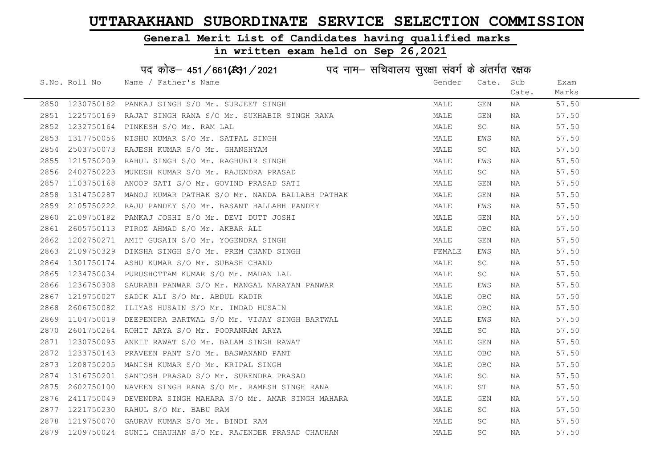# General Merit List of Candidates having qualified marks

| पद कोड़- 451/661(431/2021 पद नाम- सचिवालय सुरक्षा संवर्ग के अंतर्गत रक्षक |               |                                                 |        |           |       |       |  |
|---------------------------------------------------------------------------|---------------|-------------------------------------------------|--------|-----------|-------|-------|--|
|                                                                           | S.No. Roll No | Name / Father's Name                            | Gender | Cate.     | Sub   | Exam  |  |
|                                                                           |               |                                                 |        |           | Cate. | Marks |  |
| 2850                                                                      | 1230750182    | PANKAJ SINGH S/O Mr. SURJEET SINGH              | MALE   | GEN       | ΝA    | 57.50 |  |
| 2851                                                                      | 1225750169    | RAJAT SINGH RANA S/O Mr. SUKHABIR SINGH RANA    | MALE   | GEN       | NA    | 57.50 |  |
| 2852                                                                      | 1232750164    | PINKESH S/O Mr. RAM LAL                         | MALE   | SC        | NA    | 57.50 |  |
| 2853                                                                      | 1317750056    | NISHU KUMAR S/O Mr. SATPAL SINGH                | MALE   | EWS       | NA    | 57.50 |  |
| 2854                                                                      | 2503750073    | RAJESH KUMAR S/O Mr. GHANSHYAM                  | MALE   | SC        | NA    | 57.50 |  |
| 2855                                                                      | 1215750209    | RAHUL SINGH S/O Mr. RAGHUBIR SINGH              | MALE   | EWS       | NA    | 57.50 |  |
| 2856                                                                      | 2402750223    | MUKESH KUMAR S/O Mr. RAJENDRA PRASAD            | MALE   | SC        | ΝA    | 57.50 |  |
| 2857                                                                      | 1103750168    | ANOOP SATI S/O Mr. GOVIND PRASAD SATI           | MALE   | GEN       | ΝA    | 57.50 |  |
| 2858                                                                      | 1314750287    | MANOJ KUMAR PATHAK S/O Mr. NANDA BALLABH PATHAK | MALE   | GEN       | ΝA    | 57.50 |  |
| 2859                                                                      | 2105750222    | RAJU PANDEY S/O Mr. BASANT BALLABH PANDEY       | MALE   | EWS       | ΝA    | 57.50 |  |
| 2860                                                                      | 2109750182    | PANKAJ JOSHI S/O Mr. DEVI DUTT JOSHI            | MALE   | GEN       | NA    | 57.50 |  |
| 2861                                                                      | 2605750113    | FIROZ AHMAD S/O Mr. AKBAR ALI                   | MALE   | OBC       | NA    | 57.50 |  |
| 2862                                                                      | 1202750271    | AMIT GUSAIN S/O Mr. YOGENDRA SINGH              | MALE   | GEN       | NA    | 57.50 |  |
| 2863                                                                      | 2109750329    | DIKSHA SINGH S/O Mr. PREM CHAND SINGH           | FEMALE | EWS       | NA    | 57.50 |  |
| 2864                                                                      | 1301750174    | ASHU KUMAR S/O Mr. SUBASH CHAND                 | MALE   | SC        | ΝA    | 57.50 |  |
| 2865                                                                      | 1234750034    | PURUSHOTTAM KUMAR S/O Mr. MADAN LAL             | MALE   | SC        | ΝA    | 57.50 |  |
| 2866                                                                      | 1236750308    | SAURABH PANWAR S/O Mr. MANGAL NARAYAN PANWAR    | MALE   | EWS       | ΝA    | 57.50 |  |
| 2867                                                                      | 1219750027    | SADIK ALI S/O Mr. ABDUL KADIR                   | MALE   | OBC       | NA    | 57.50 |  |
| 2868                                                                      | 2606750082    | ILIYAS HUSAIN S/O Mr. IMDAD HUSAIN              | MALE   | OBC       | NA    | 57.50 |  |
| 2869                                                                      | 1104750019    | DEEPENDRA BARTWAL S/O Mr. VIJAY SINGH BARTWAL   | MALE   | EWS       | NA    | 57.50 |  |
| 2870                                                                      | 2601750264    | ROHIT ARYA S/O Mr. POORANRAM ARYA               | MALE   | SC        | ΝA    | 57.50 |  |
| 2871                                                                      | 1230750095    | ANKIT RAWAT S/O Mr. BALAM SINGH RAWAT           | MALE   | GEN       | NA    | 57.50 |  |
| 2872                                                                      | 1233750143    | PRAVEEN PANT S/O Mr. BASWANAND PANT             | MALE   | OBC       | ΝA    | 57.50 |  |
| 2873                                                                      | 1208750205    | MANISH KUMAR S/O Mr. KRIPAL SINGH               | MALE   | OBC       | NA    | 57.50 |  |
| 2874                                                                      | 1316750201    | SANTOSH PRASAD S/O Mr. SURENDRA PRASAD          | MALE   | SC        | ΝA    | 57.50 |  |
| 2875                                                                      | 2602750100    | NAVEEN SINGH RANA S/O Mr. RAMESH SINGH RANA     | MALE   | SΤ        | ΝA    | 57.50 |  |
| 2876                                                                      | 2411750049    | DEVENDRA SINGH MAHARA S/O Mr. AMAR SINGH MAHARA | MALE   | GEN       | NA    | 57.50 |  |
| 2877                                                                      | 1221750230    | RAHUL S/O Mr. BABU RAM                          | MALE   | SC.       | NA    | 57.50 |  |
| 2878                                                                      | 1219750070    | GAURAV KUMAR S/O Mr. BINDI RAM                  | MALE   | SC        | ΝA    | 57.50 |  |
| 2879                                                                      | 1209750024    | SUNIL CHAUHAN S/O Mr. RAJENDER PRASAD CHAUHAN   | MALE   | <b>SC</b> | ΝA    | 57.50 |  |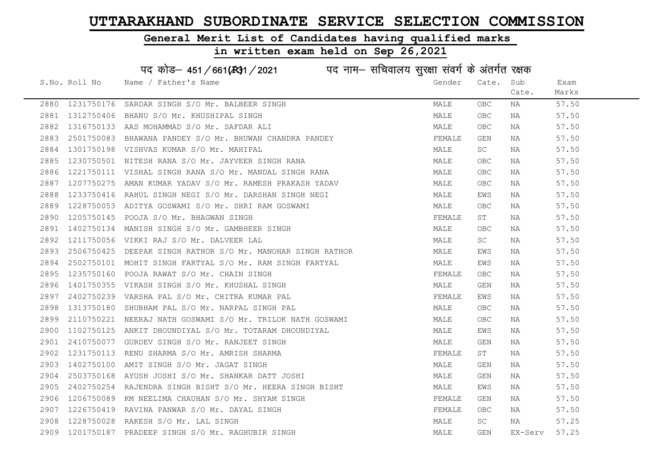### General Merit List of Candidates having qualified marks

#### in written exam held on Sep 26,2021

S.No. Roll No Wame / Father's Name Gender Cate. Sub Cate. Exam Marks पद कोड– 451/661(स्था) / 2021 विद्युत्त नाम– सचिवालय सुरक्षा संवर्ग के अंतर्गत रक्षक 2880 1231750176 SARDAR SINGH S/O Mr. BALBEER SINGH MALE OBC NA 57.50 2881 1312750406 BHANU S/O Mr. KHUSHIPAL SINGH MALE OBC NA 57.50 2882 1316750133 AAS MOHAMMAD S/O Mr. SAFDAR ALI MALE OBC NA 57.50 2883 2501750083 BHAWANA PANDEY S/O Mr. BHUWAN CHANDRA PANDEY THE SANDEY FEMALE GEN NA 57.50 2884 1301750198 VISHVAS KUMAR S/O Mr. MAHIPAL MALE SC NA 57.50 2885 1230750501 NITESH RANA S/O Mr. JAYVEER SINGH RANA MALE OBC NA 57.50 2886 1221750111 VISHAL SINGH RANA S/O Mr. MANDAL SINGH RANA MALE OBC NA 57.50 2887 1207750275 AMAN KUMAR YADAV S/O Mr. RAMESH PRAKASH YADAV MALE OBC NA 57.50 2888 1233750416 RAHUL SINGH NEGI S/O Mr. DARSHAN SINGH NEGI MAN MALE EWS NA 57.50 2889 1228750053 ADITYA GOSWAMI S/O Mr. SHRI RAM GOSWAMI MALE OBC NA 57.50 2890 1205750145 POOJA S/O Mr. BHAGWAN SINGH FEMALE ST NA 57.50 2891 1402750134 MANISH SINGH S/O Mr. GAMBHEER SINGH MALE OBC NA 57.50 2892 1211750056 VIKKI RAJ S/O Mr. DALVEER LAL MALE SC NA 57.50 2893 2506750425 DEEPAK SINGH RATHOR S/O Mr. MANOHAR SINGH RATHOR MALE EWS NA 57.50 2894 2502750101 MOHIT SINGH FARTYAL S/O Mr. RAM SINGH FARTYAL MANA MALE EWS NA 57.50 2895 1235750160 POOJA RAWAT S/O Mr. CHAIN SINGH FEMALE FEMALE OBC NA 57.50 2896 1401750355 VIKASH SINGH S/O Mr. KHUSHAL SINGH MALE GEN NA 57.50 2897 2402750239 VARSHA PAL S/O Mr. CHITRA KUMAR PAL FEMALE EWS NA 57.50 2898 1313750180 SHUBHAM PAL S/O Mr. NARPAL SINGH PAL MALE OBC NA 57.50 2899 2110750221 NEERAJ NATH GOSWAMI S/O Mr. TRILOK NATH GOSWAMI MALE OBC NA 57.50 2900 1102750125 ANKIT DHOUNDIYAL S/O Mr. TOTARAM DHOUNDIYAL MAN MALE EWS NA 57.50 2901 2410750077 GURDEV SINGH S/O Mr. RANJEET SINGH MALE GEN NA 57.50 2902 1231750113 RENU SHARMA S/O Mr. AMRISH SHARMA FEMALE ST NA 57.50 2903 1402750100 AMIT SINGH S/O Mr. JAGAT SINGH MALE GEN NA 57.50 2904 2503750168 AYUSH JOSHI S/O Mr. SHANKAR DATT JOSHI MALE GEN NA 57.50 2905 2402750254 RAJENDRA SINGH BISHT S/O Mr. HEERA SINGH BISHT MALE MALE EWS NA 57.50 2906 1206750089 KM NEELIMA CHAUHAN S/O Mr. SHYAM SINGH FEMALE GEN NA 57.50 2907 1226750419 RAVINA PANWAR S/O Mr. DAYAL SINGH FEMALE OBC NA 57.50 2908 1228750028 RAKESH S/O Mr. LAL SINGH MALE SC NA 57.25 2909 1201750187 PRADEEP SINGH S/O Mr. RAGHUBIR SINGH MALE GEN EX-Serv 57.25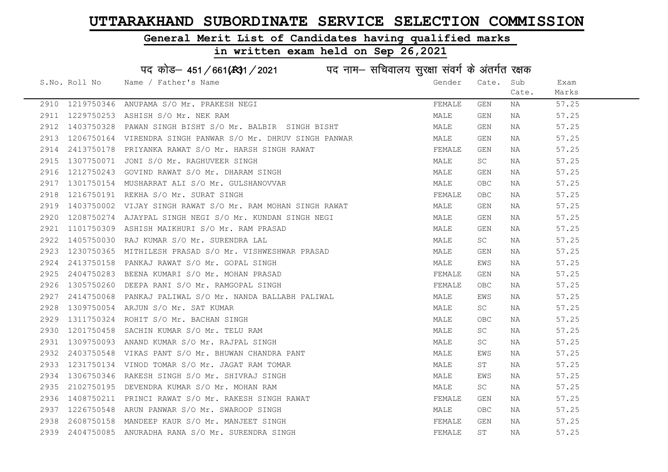### General Merit List of Candidates having qualified marks

### in written exam held on Sep 26,2021

S.No. Roll No Wame / Father's Name Gender Cate. Sub Cate. Exam Marks पद कोड– 451/661(स्था) / 2021 विद्युत्त नाम– सचिवालय सुरक्षा संवर्ग के अंतर्गत रक्षक 2910 1219750346 ANUPAMA S/O Mr. PRAKESH NEGI SARA TAN SANG TEMALE GEN NA 57.25 2911 1229750253 ASHISH S/O Mr. NEK RAM MALE GEN NA 57.25 2912 1403750328 PAWAN SINGH BISHT S/O Mr. BALBIR SINGH BISHT MALE GEN NA 57.25 2913 1206750164 VIRENDRA SINGH PANWAR S/O Mr. DHRUV SINGH PANWAR MANA MALE GEN NA 57.25 2914 2413750178 PRIYANKA RAWAT S/O Mr. HARSH SINGH RAWAT FRAMAT FEMALE GEN NA 57.25 2915 1307750071 JONI S/O Mr. RAGHUVEER SINGH MALE SC NA 57.25 2916 1212750243 GOVIND RAWAT S/O Mr. DHARAM SINGH MANA MALE GEN NA 57.25 2917 1301750154 MUSHARRAT ALI S/O Mr. GULSHANOVVAR NAN MALE OBC NA 57.25 2918 1216750191 REKHA S/O Mr. SURAT SINGH FEMALE OBC NA 57.25 2919 1403750002 VIJAY SINGH RAWAT S/O Mr. RAM MOHAN SINGH RAWAT MAN MALE GEN NA 57.25 2920 1208750274 AJAYPAL SINGH NEGI S/O Mr. KUNDAN SINGH NEGI MALE GEN NA 57.25 2921 1101750309 ASHISH MAIKHURI S/O Mr. RAM PRASAD MALE GEN NA 57.25 2922 1405750030 RAJ KUMAR S/O Mr. SURENDRA LAL MALE SC NA 57.25 2923 1230750365 MITHILESH PRASAD S/O Mr. VISHWESHWAR PRASAD MALE GEN NA 57.25 2924 2413750158 PANKAJ RAWAT S/O Mr. GOPAL SINGH MALE EWS NA 57.25 2925 2404750283 BEENA KUMARI S/O Mr. MOHAN PRASAD FEMALE GEN NA 57.25 2926 1305750260 DEEPARANI S/OMT. RAMGOPAL SINGH FEMALE OBC NA 57.25 2927 2414750068 PANKAJ PALIWAL S/O Mr. NANDA BALLABH PALIWAL MALE EWS NA 57.25 2928 1309750054 ARJUN S/O Mr. SAT KUMAR MALE SC NA 57.25 2929 1311750324 ROHIT S/O Mr. BACHAN SINGH MALE OBC NA 57.25 2930 1201750458 SACHIN KUMAR S/O Mr. TELU RAM MALE SC NA 57.25 2931 1309750093 ANAND KUMAR S/O Mr. RAJPAL SINGH MALE SC NA 57.25 2932 2403750548 VIKAS PANT S/O Mr. BHUWAN CHANDRA PANT NAN MALE EWS NA 57.25 2933 1231750134 VINOD TOMAR S/O Mr. JAGAT RAM TOMAR MANA MALE ST NA 57.25 2934 1306750346 RAKESH SINGH S/O Mr. SHIVRAJ SINGH MANA MALE EWS NA 57.25 2935 2102750195 DEVENDRA KUMAR S/O Mr. MOHAN RAM MALE SC NA 57.25 2936 1408750211 PRINCI\_RAWAT\_S/O\_Mr. RAKESH\_SINGH\_RAWAT TEMALL FEMALE GEN NA 57.25 2937 1226750548 ARUN PANWAR S/O Mr. SWAROOP SINGH MALE OBC NA 57.25 2938 2608750158 MANDEEP KAUR S/O Mr. MANJEET SINGH FEMALE GEN NA 57.25 2939 2404750085 ANURADHA RANA S/O Mr. SURENDRA SINGH FEMALE ST NA 57.25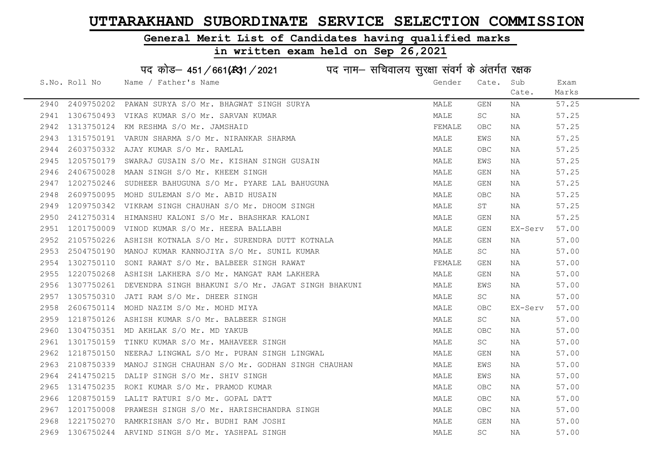### General Merit List of Candidates having qualified marks

#### in written exam held on Sep 26,2021

S.No. Roll No Wame / Father's Name Gender Cate. Sub Cate. Exam Marks पद कोड– 451/661(स्था / 2021 व्यान सचिवालय सुरक्षा संवर्ग के अंतर्गत रक्षक 2940 2409750202 PAWAN SURYA S/O Mr. BHAGWAT SINGH SURYA MALE GEN NA 57.25 2941 1306750493 VIKAS KUMAR S/O Mr. SARVAN KUMAR MARRI MANA MALE SC NA 57.25 2942 1313750124 KM RESHMA S/O Mr. JAMSHAID FEMALE OBC NA 57.25 2943 1315750191 VARUN SHARMA S/O Mr. NIRANKAR SHARMA MANA MALE EWS NA 57.25 2944 2603750332 AJAY KUMAR S/O Mr. RAMLAL MALE OBC NA 57.25 2945 1205750179 SWARAJ GUSAIN S/O Mr. KISHAN SINGH GUSAIN MAN MALE EWS NA 57.25 2946 2406750028 MAAN SINGH S/O Mr. KHEEM SINGH MALE GEN NA 57.25 2947 1202750246 SUDHEER BAHUGUNA S/O Mr. PYARE LAL BAHUGUNA MANA MALE GEN NA 57.25 2948 2609750095 MOHD SULEMAN S/O Mr. ABID HUSAIN MALE OBC NA 57.25 2949 1209750342 VIKRAM SINGH CHAUHAN S/O Mr. DHOOM SINGH MALE ST NA 57.25 2950 2412750314 HIMANSHU KALONI S/O Mr. BHASHKAR KALONI MALE GEN NA 57.25 2951 1201750009 VINOD KUMAR S/O Mr. HEERA BALLABH MALE GEN EX-Serv 57.00 2952 2105750226 ASHISH KOTNALA S/O Mr. SURENDRA DUTT KOTNALA MALE GEN NA 57.00 2953 2504750190 MANOJ KUMAR KANNOJIYA S/O Mr. SUNIL KUMAR MALE SC NA 57.00 2954 1302750110 SONI RAWAT S/O Mr. BALBEER SINGH RAWAT FEMALE GEN NA 57.00 2955 1220750268 ASHISH LAKHERA S/O Mr. MANGAT RAM LAKHERA MALE GEN NA 57.00 2956 1307750261 DEVENDRA SINGH BHAKUNI S/O Mr. JAGAT SINGH BHAKUNI MALE EWS NA 57.00 2957 1305750310 JATI RAM S/O Mr. DHEER SINGH MALE SC NA 57.00 2958 2606750114 MOHD NAZIM S/O Mr. MOHD MIYA MALE OBC EX-Serv 57.00 2959 1218750126 ASHISH KUMAR S/O Mr. BALBEER SINGH MALE SC NA 57.00 2960 1304750351 MD AKHLAK S/O Mr. MD YAKUB MALE OBC NA 57.00 2961 1301750159 TINKU KUMAR S/O Mr. MAHAVEER SINGH MALE SC NA 57.00 2962 1218750150 NEERAJ LINGWAL S/O Mr. PURAN SINGH LINGWAL MALE GEN NA 57.00 2963 2108750339 MANOJ SINGH CHAUHAN S/O Mr. GODHAN SINGH CHAUHAN MALE MALE EWS NA 57.00 2964 2414750215 DALIP SINGH S/O Mr. SHIV SINGH MALE EWS NA 57.00 2965 1314750235 ROKI KUMAR S/O Mr. PRAMOD KUMAR MALE MALE OBC NA 57.00 2966 1208750159 LALIT RATURI S/O Mr. GOPAL DATT NAN MALE OBC NA 57.00 2967 1201750008 PRAWESH SINGH S/O Mr. HARISHCHANDRA SINGH MALE OBC NA 57.00 2968 1221750270 RAMKRISHAN S/O Mr. BUDHI RAM JOSHI MALE GEN NA 57.00 2969 1306750244 ARVIND SINGH S/O Mr. YASHPAL SINGH MALE SC NA 57.00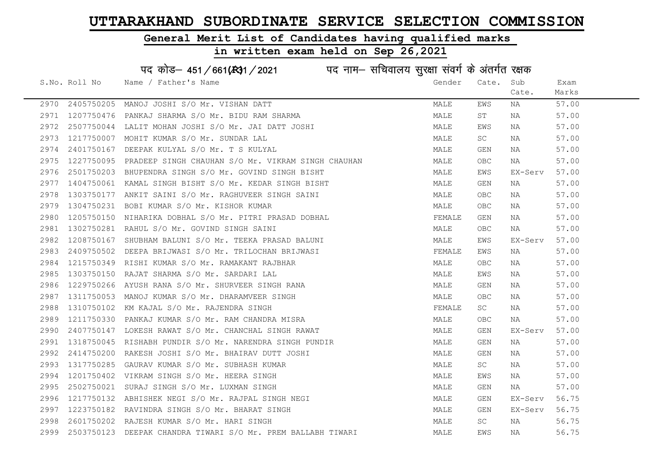### General Merit List of Candidates having qualified marks

|      |               | पद कोड़– 451/661(431/2021 पद नाम– सचिवालय सुरक्षा संवर्ग के अंतर्गत रक्षक         |        |                         |         |       |
|------|---------------|-----------------------------------------------------------------------------------|--------|-------------------------|---------|-------|
|      | S.No. Roll No | Name / Father's Name                                                              | Gender | Cate.                   | Sub     | Exam  |
|      |               |                                                                                   |        |                         | Cate.   | Marks |
| 2970 | 2405750205    | MANOJ JOSHI S/O Mr. VISHAN DATT                                                   | MALE   | EWS                     | NA      | 57.00 |
| 2971 | 1207750476    | PANKAJ SHARMA S/O Mr. BIDU RAM SHARMA                                             | MALE   | ST                      | NA      | 57.00 |
| 2972 | 2507750044    | LALIT MOHAN JOSHI S/O Mr. JAI DATT JOSHI                                          | MALE   | EWS                     | NA      | 57.00 |
| 2973 | 1217750007    | MOHIT KUMAR S/O Mr. SUNDAR LAL                                                    | MALE   | SC                      | NA      | 57.00 |
| 2974 | 2401750167    | DEEPAK KULYAL S/O Mr. T S KULYAL                                                  | MALE   | GEN                     | NA      | 57.00 |
| 2975 | 1227750095    | PRADEEP SINGH CHAUHAN S/O Mr. VIKRAM SINGH CHAUHAN                                | MALE   | <b>OBC</b>              | NA      | 57.00 |
| 2976 | 2501750203    | BHUPENDRA SINGH S/O Mr. GOVIND SINGH BISHT                                        | MALE   | EWS                     | EX-Serv | 57.00 |
| 2977 | 1404750061    | KAMAL SINGH BISHT S/O Mr. KEDAR SINGH BISHT                                       | MALE   | $\mathop{\mathsf{GEN}}$ | NA      | 57.00 |
| 2978 | 1303750177    | ANKIT SAINI S/O Mr. RAGHUVEER SINGH SAINI                                         | MALE   | OBC.                    | NA      | 57.00 |
| 2979 | 1304750231    | BOBI KUMAR S/O Mr. KISHOR KUMAR                                                   | MALE   | OBC                     | NA      | 57.00 |
| 2980 | 1205750150    | NIHARIKA DOBHAL S/O Mr. PITRI PRASAD DOBHAL                                       | FEMALE | GEN                     | NA      | 57.00 |
| 2981 | 1302750281    | RAHUL S/O Mr. GOVIND SINGH SAINI                                                  | MALE   | OBC.                    | NA      | 57.00 |
| 2982 | 1208750167    | SHUBHAM BALUNI S/O Mr. TEEKA PRASAD BALUNI                                        | MALE   | EWS                     | EX-Serv | 57.00 |
| 2983 | 2409750502    | DEEPA BRIJWASI S/O Mr. TRILOCHAN BRIJWASI<br>PISHI KUMAR S/O Mr. DAMAYONT DI TTIL | FEMALE | EWS                     | NA      | 57.00 |
| 2984 | 1215750349    | RISHI KUMAR S/O Mr. RAMAKANT RAJBHAR                                              | MALE   | OBC.                    | NA      | 57.00 |
| 2985 | 1303750150    | RAJAT SHARMA S/O Mr. SARDARI LAL                                                  | MALE   | EWS                     | NA      | 57.00 |
| 2986 | 1229750266    | AYUSH RANA S/O Mr. SHURVEER SINGH RANA                                            | MALE   | GEN                     | NA      | 57.00 |
| 2987 |               | 1311750053 MANOJ KUMAR S/O Mr. DHARAMVEER SINGH                                   | MALE   | <b>OBC</b>              | NA      | 57.00 |
| 2988 | 1310750102    | KM KAJAL S/O Mr. RAJENDRA SINGH                                                   | FEMALE | SC                      | NA      | 57.00 |
| 2989 | 1211750330    | PANKAJ KUMAR S/O Mr. RAM CHANDRA MISRA                                            | MALE   | <b>OBC</b>              | NA      | 57.00 |
| 2990 | 2407750147    | LOKESH RAWAT S/O Mr. CHANCHAL SINGH RAWAT                                         | MALE   | GEN                     | EX-Serv | 57.00 |
| 2991 |               | 1318750045 RISHABH PUNDIR S/O Mr. NARENDRA SINGH PUNDIR                           | MALE   | $\mathop{\mathsf{GEN}}$ | NA      | 57.00 |
| 2992 | 2414750200    | RAKESH JOSHI S/O Mr. BHAIRAV DUTT JOSHI                                           | MALE   | GEN                     | NA      | 57.00 |
| 2993 | 1317750285    | GAURAV KUMAR S/O Mr. SUBHASH KUMAR                                                | MALE   | SC                      | NA      | 57.00 |
| 2994 | 1201750402    | VIKRAM SINGH S/O Mr. HEERA SINGH                                                  | MALE   | EWS                     | NA      | 57.00 |
| 2995 | 2502750021    | SURAJ SINGH S/O Mr. LUXMAN SINGH                                                  | MALE   | GEN                     | NA      | 57.00 |
| 2996 | 1217750132    | ABHISHEK NEGI S/O Mr. RAJPAL SINGH NEGI                                           | MALE   | GEN                     | EX-Serv | 56.75 |
| 2997 |               | 1223750182 RAVINDRA SINGH S/O Mr. BHARAT SINGH                                    | MALE   | GEN                     | EX-Serv | 56.75 |
| 2998 |               | 2601750202 RAJESH KUMAR S/O Mr. HARI SINGH                                        | MALE   | SC                      | NA      | 56.75 |
| 2999 |               | 2503750123 DEEPAK CHANDRA TIWARI S/O Mr. PREM BALLABH TIWARI                      | MALE   | EWS                     | ΝA      | 56.75 |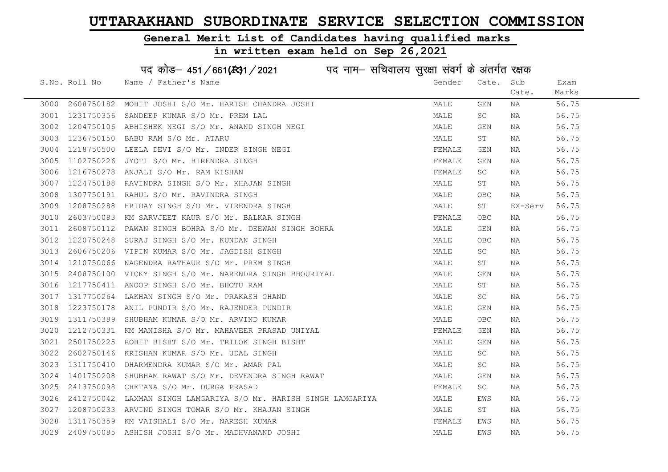### General Merit List of Candidates having qualified marks

|      |               | पद कोड़– 451/661(431/2021 पद नाम– सचिवालय सुरक्षा संवर्ग के अंतर्गत रक्षक |        |                         |         |       |
|------|---------------|---------------------------------------------------------------------------|--------|-------------------------|---------|-------|
|      | S.No. Roll No | Name / Father's Name                                                      | Gender | Cate.                   | Sub     | Exam  |
|      |               |                                                                           |        |                         | Cate.   | Marks |
| 3000 | 2608750182    | MOHIT JOSHI S/O Mr. HARISH CHANDRA JOSHI                                  | MALE   | GEN                     | NA      | 56.75 |
| 3001 | 1231750356    | SANDEEP KUMAR S/O Mr. PREM LAL                                            | MALE   | SC                      | NA      | 56.75 |
| 3002 |               | 1204750106 ABHISHEK NEGI S/O Mr. ANAND SINGH NEGI                         | MALE   | GEN                     | NA      | 56.75 |
| 3003 | 1236750150    | BABU RAM S/O Mr. ATARU                                                    | MALE   | ST                      | NA      | 56.75 |
| 3004 | 1218750500    | LEELA DEVI S/O Mr. INDER SINGH NEGI                                       | FEMALE | GEN                     | NA      | 56.75 |
| 3005 |               | 1102750226 JYOTI S/O Mr. BIRENDRA SINGH                                   | FEMALE | GEN                     | NA      | 56.75 |
| 3006 | 1216750278    | ANJALI S/O Mr. RAM KISHAN                                                 | FEMALE | SC.                     | NA      | 56.75 |
| 3007 | 1224750188    | RAVINDRA SINGH S/O Mr. KHAJAN SINGH                                       | MALE   | ST                      | NA      | 56.75 |
| 3008 | 1307750191    | RAHUL S/O Mr. RAVINDRA SINGH                                              | MALE   | OBC                     | NA      | 56.75 |
| 3009 | 1208750288    | HRIDAY SINGH S/O Mr. VIRENDRA SINGH                                       | MALE   | ST                      | EX-Serv | 56.75 |
| 3010 | 2603750083    | KM SARVJEET KAUR S/O Mr. BALKAR SINGH                                     | FEMALE | <b>OBC</b>              | NA      | 56.75 |
| 3011 | 2608750112    | PAWAN SINGH BOHRA S/O Mr. DEEWAN SINGH BOHRA                              | MALE   | GEN                     | NA      | 56.75 |
| 3012 | 1220750248    | SURAJ SINGH S/O Mr. KUNDAN SINGH                                          | MALE   | <b>OBC</b>              | NA      | 56.75 |
| 3013 |               | 2606750206 VIPIN KUMAR S/O Mr. JAGDISH SINGH                              | MALE   | SC                      | NA      | 56.75 |
| 3014 |               | 1210750066 NAGENDRA RATHAUR S/O Mr. PREM SINGH                            | MALE   | ST                      | NA      | 56.75 |
| 3015 |               | 2408750100 VICKY SINGH S/O Mr. NARENDRA SINGH BHOURIYAL                   | MALE   | $\mathop{\mathsf{GEN}}$ | NA      | 56.75 |
| 3016 | 1217750411    | ANOOP SINGH S/O Mr. BHOTU RAM                                             | MALE   | ST                      | NA      | 56.75 |
| 3017 | 1317750264    | LAKHAN SINGH S/O Mr. PRAKASH CHAND                                        | MALE   | SC                      | NA      | 56.75 |
| 3018 | 1223750178    | ANIL PUNDIR S/O Mr. RAJENDER PUNDIR                                       | MALE   | GEN                     | NA      | 56.75 |
| 3019 | 1311750389    | SHUBHAM KUMAR S/O Mr. ARVIND KUMAR                                        | MALE   | OBC                     | NA      | 56.75 |
| 3020 | 1212750331    | KM MANISHA S/O Mr. MAHAVEER PRASAD UNIYAL                                 | FEMALE | GEN                     | NA      | 56.75 |
| 3021 | 2501750225    | ROHIT BISHT S/O Mr. TRILOK SINGH BISHT                                    | MALE   | GEN                     | NA      | 56.75 |
| 3022 | 2602750146    | KRISHAN KUMAR S/O Mr. UDAL SINGH                                          | MALE   | SC.                     | NA      | 56.75 |
| 3023 | 1311750410    | DHARMENDRA KUMAR S/O Mr. AMAR PAL                                         | MALE   | SC                      | NA      | 56.75 |
| 3024 | 1401750208    | SHUBHAM RAWAT S/O Mr. DEVENDRA SINGH RAWAT                                | MALE   | GEN                     | NA      | 56.75 |
| 3025 | 2413750098    | CHETANA S/O Mr. DURGA PRASAD                                              | FEMALE | SC                      | NA      | 56.75 |
| 3026 | 2412750042    | LAXMAN SINGH LAMGARIYA S/O Mr. HARISH SINGH LAMGARIYA                     | MALE   | EWS                     | NA      | 56.75 |
| 3027 |               | 1208750233 ARVIND SINGH TOMAR S/O Mr. KHAJAN SINGH                        | MALE   | ST                      | NA      | 56.75 |
| 3028 | 1311750359    | KM VAISHALI S/O Mr. NARESH KUMAR                                          | FEMALE | EWS                     | NA      | 56.75 |
| 3029 |               | 2409750085 ASHISH JOSHI S/O Mr. MADHVANAND JOSHI                          | MALE   | EWS                     | ΝA      | 56.75 |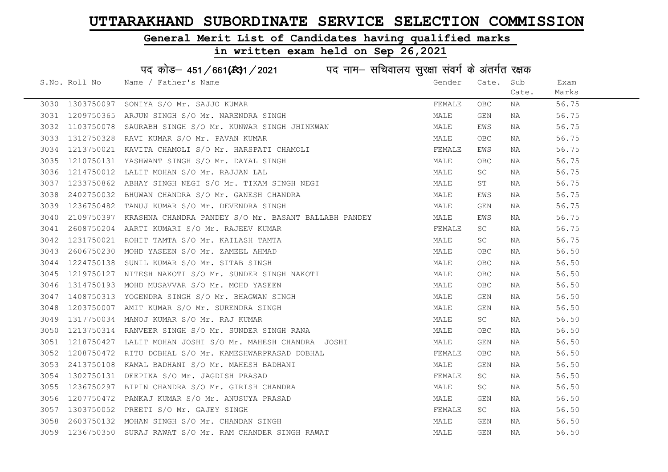### General Merit List of Candidates having qualified marks

### in written exam held on Sep 26,2021

S.No. Roll No Wame / Father's Name Gender Cate. Sub Cate. Exam Marks पद कोड– 451/661(स्था / 2021 व्यान सचिवालय सुरक्षा संवर्ग के अंतर्गत रक्षक 3030 1303750097 SONIYA S/O Mr. SAJJO KUMAR FEMALE OBC NA 56.75 3031 1209750365 ARJUN SINGH S/O Mr. NARENDRA SINGH MALE GEN NA 56.75 3032 1103750078 SAURABH SINGH S/O Mr. KUNWAR SINGH JHINKWAN MALE EWS NA 56.75 3033 1312750328 RAVI KUMAR S/O Mr. PAVAN KUMAR MARRADISH MALE OBC NA 56.75 3034 1213750021 KAVITA CHAMOLI S/O Mr. HARSPATI CHAMOLI SAN SERMALE EWS NA 56.75 3035 1210750131 YASHWANT SINGH S/O Mr. DAYAL SINGH MALE OBC NA 56.75 3036 1214750012 LALIT MOHAN S/O Mr. RAJJAN LAL NAN MALE SC NA 56.75 3037 1233750862 ABHAY SINGH NEGI S/O Mr. TIKAM SINGH NEGI MALE ST NA 56.75 3038 2402750032 BHUWAN CHANDRA S/O Mr. GANESH CHANDRA MANA MALE EWS NA 56.75 3039 1236750482 TANUJ KUMAR S/O Mr. DEVENDRA SINGH MALE GEN NA 56.75 3040 2109750397 KRASHNA CHANDRA PANDEY S/O Mr. BASANT BALLABH PANDEY MALE EWS NA 56.75 3041 2608750204 AARTI KUMARI S/O Mr. RAJEEV KUMAR FEMALE SC NA 56.75 3042 1231750021 ROHIT TAMTA S/O Mr. KAILASH TAMTA MALE SC NA 56.75 3043 2606750230 MOHD YASEEN S/O Mr. ZAMEEL AHMAD MALE OBC NA 56.50 3044 1224750138 SUNIL KUMAR S/O Mr. SITAB SINGH MALE OBC NA 56.50 3045 1219750127 NITESH NAKOTI S/O Mr. SUNDER SINGH NAKOTI MALE OBC NA 56.50 3046 1314750193 MOHD MUSAVVAR S/O Mr. MOHD YASEEN MALE OBC NA 56.50 3047 1408750313 YOGENDRA SINGH S/O Mr. BHAGWAN SINGH MALE GEN NA 56.50 3048 1203750007 AMIT KUMAR S/O Mr. SURENDRA SINGH MALE GEN NA 56.50 3049 1317750034 MANOJ KUMAR S/O Mr. RAJ KUMAR MALE SC NA 56.50 3050 1213750314 RANVEER SINGH S/O Mr. SUNDER SINGH RANA MANA MALE OBC NA 56.50 3051 1218750427 LALIT MOHAN JOSHI S/O Mr. MAHESH CHANDRA JOSHI MANA MALE GEN NA 56.50 3052 1208750472 RITU DOBHAL S/O Mr. KAMESHWARPRASAD DOBHAL THE SAN THE REMALE OBC NA 56.50 3053 2413750108 KAMAL BADHANI S/O Mr. MAHESH BADHANI MALE GEN NA 56.50 3054 1302750131 DEEPIKA S/O Mr. JAGDISH PRASAD **FEMALE** SC NA 56.50 3055 1236750297 BIPIN CHANDRA S/O Mr. GIRISH CHANDRA NAN MALE SC NA 56.50 3056 1207750472 PANKAJ KUMAR S/O Mr. ANUSUYA PRASAD MALE GEN NA 56.50 3057 1303750052 PREETI S/O Mr. GAJEY SINGH FEMALE SC NA 56.50 3058 2603750132 MOHAN SINGH S/O Mr. CHANDAN SINGH MALE GEN NA 56.50 3059 1236750350 SURAJ RAWAT S/O Mr. RAM CHANDER SINGH RAWAT MALE GEN NA 56.50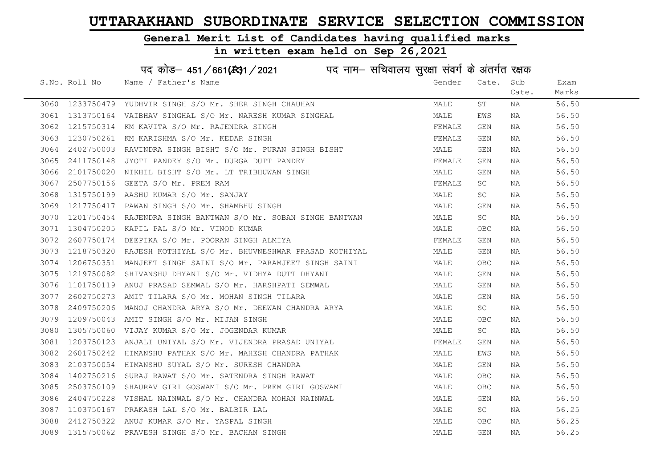### General Merit List of Candidates having qualified marks

|      |               | पद कोड़– 451/661(431/2021 पद नाम– सचिवालय सुरक्षा संवर्ग के अंतर्गत रक्षक |        |            |       |       |
|------|---------------|---------------------------------------------------------------------------|--------|------------|-------|-------|
|      | S.No. Roll No | Name / Father's Name                                                      | Gender | Cate.      | Sub   | Exam  |
|      |               |                                                                           |        |            | Cate. | Marks |
| 3060 |               | 1233750479 YUDHVIR SINGH S/O Mr. SHER SINGH CHAUHAN                       | MALE   | ST         | ΝA    | 56.50 |
| 3061 | 1313750164    | VAIBHAV SINGHAL S/O Mr. NARESH KUMAR SINGHAL                              | MALE   | EWS        | NA    | 56.50 |
| 3062 | 1215750314    | KM KAVITA S/O Mr. RAJENDRA SINGH                                          | FEMALE | GEN        | NA    | 56.50 |
| 3063 |               | 1230750261 KM KARISHMA S/O Mr. KEDAR SINGH                                | FEMALE | GEN        | NA    | 56.50 |
| 3064 | 2402750003    | RAVINDRA SINGH BISHT S/O Mr. PURAN SINGH BISHT                            | MALE   | GEN        | NA    | 56.50 |
| 3065 | 2411750148    | JYOTI PANDEY S/O Mr. DURGA DUTT PANDEY                                    | FEMALE | GEN        | NA    | 56.50 |
| 3066 | 2101750020    | NIKHIL BISHT S/O Mr. LT TRIBHUWAN SINGH                                   | MALE   | GEN        | NA    | 56.50 |
| 3067 | 2507750156    | GEETA S/O Mr. PREM RAM                                                    | FEMALE | SC         | NA    | 56.50 |
| 3068 | 1315750199    | AASHU KUMAR S/O Mr. SANJAY                                                | MALE   | <b>SC</b>  | NA    | 56.50 |
| 3069 | 1217750417    | PAWAN SINGH S/O Mr. SHAMBHU SINGH                                         | MALE   | GEN        | NA    | 56.50 |
| 3070 |               | 1201750454 RAJENDRA SINGH BANTWAN S/O Mr. SOBAN SINGH BANTWAN             | MALE   | SC         | NA    | 56.50 |
| 3071 | 1304750205    | KAPIL PAL S/O Mr. VINOD KUMAR                                             | MALE   | OBC        | ΝA    | 56.50 |
| 3072 | 2607750174    | DEEPIKA S/O Mr. POORAN SINGH ALMIYA                                       | FEMALE | GEN        | NA    | 56.50 |
| 3073 |               | 1218750320 RAJESH KOTHIYAL S/O Mr. BHUVNESHWAR PRASAD KOTHIYAL            | MALE   | GEN        | NA    | 56.50 |
| 3074 |               | 1206750351 MANJEET SINGH SAINI S/O Mr. PARAMJEET SINGH SAINI              | MALE   | <b>OBC</b> | NA    | 56.50 |
| 3075 | 1219750082    | SHIVANSHU DHYANI S/O Mr. VIDHYA DUTT DHYANI                               | MALE   | GEN        | NA    | 56.50 |
| 3076 | 1101750119    | ANUJ PRASAD SEMWAL S/O Mr. HARSHPATI SEMWAL                               | MALE   | GEN        | NA    | 56.50 |
| 3077 | 2602750273    | AMIT TILARA S/O Mr. MOHAN SINGH TILARA                                    | MALE   | GEN        | NA    | 56.50 |
| 3078 | 2409750206    | MANOJ CHANDRA ARYA S/O Mr. DEEWAN CHANDRA ARYA                            | MALE   | SC         | NA    | 56.50 |
| 3079 | 1209750043    | AMIT SINGH S/O Mr. MIJAN SINGH                                            | MALE   | OBC.       | NA    | 56.50 |
| 3080 | 1305750060    | VIJAY KUMAR S/O Mr. JOGENDAR KUMAR                                        | MALE   | SC         | NA    | 56.50 |
| 3081 |               | 1203750123 ANJALI UNIYAL S/O Mr. VIJENDRA PRASAD UNIYAL                   | FEMALE | GEN        | ΝA    | 56.50 |
| 3082 |               | 2601750242 HIMANSHU PATHAK S/O Mr. MAHESH CHANDRA PATHAK                  | MALE   | EWS        | ΝA    | 56.50 |
| 3083 | 2103750054    | HIMANSHU SUYAL S/O Mr. SURESH CHANDRA                                     | MALE   | GEN        | NA    | 56.50 |
| 3084 | 1402750216    | SURAJ RAWAT S/O Mr. SATENDRA SINGH RAWAT                                  | MALE   | OBC        | NA    | 56.50 |
| 3085 | 2503750109    | SHAURAV GIRI GOSWAMI S/O Mr. PREM GIRI GOSWAMI                            | MALE   | OBC.       | NA    | 56.50 |
| 3086 | 2404750228    | VISHAL NAINWAL S/O Mr. CHANDRA MOHAN NAINWAL                              | MALE   | GEN        | ΝA    | 56.50 |
| 3087 | 1103750167    | PRAKASH LAL S/O Mr. BALBIR LAL                                            | MALE   | SC         | ΝA    | 56.25 |
| 3088 |               | 2412750322 ANUJ KUMAR S/O Mr. YASPAL SINGH                                | MALE   | <b>OBC</b> | NA    | 56.25 |
| 3089 |               | 1315750062 PRAVESH SINGH S/O Mr. BACHAN SINGH                             | MALE   | GEN        | ΝA    | 56.25 |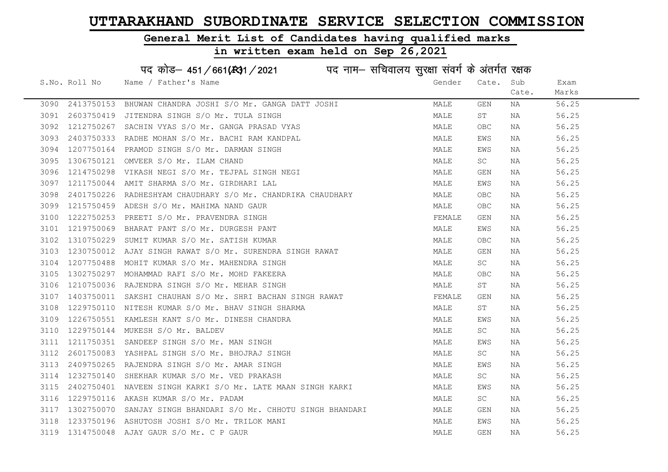### General Merit List of Candidates having qualified marks

|      |               | पद कोड़- 451/661(431/2021 पद नाम- सचिवालय सुरक्षा संवर्ग के अंतर्गत रक्षक |        |             |       |       |
|------|---------------|---------------------------------------------------------------------------|--------|-------------|-------|-------|
|      | S.No. Roll No | Name / Father's Name                                                      | Gender | Cate.       | Sub   | Exam  |
|      |               |                                                                           |        |             | Cate. | Marks |
| 3090 | 2413750153    | BHUWAN CHANDRA JOSHI S/O Mr. GANGA DATT JOSHI                             | MALE   | GEN         | NA    | 56.25 |
| 3091 | 2603750419    | JITENDRA SINGH S/O Mr. TULA SINGH                                         | MALE   | ST          | NA    | 56.25 |
| 3092 | 1212750267    | SACHIN VYAS S/O Mr. GANGA PRASAD VYAS                                     | MALE   | <b>OBC</b>  | NA    | 56.25 |
| 3093 | 2403750333    | RADHE MOHAN S/O Mr. BACHI RAM KANDPAL                                     | MALE   | EWS         | NA    | 56.25 |
| 3094 | 1207750164    | PRAMOD SINGH S/O Mr. DARMAN SINGH                                         | MALE   | EWS         | NA    | 56.25 |
| 3095 | 1306750121    | OMVEER S/O Mr. ILAM CHAND                                                 | MALE   | SC          | NA    | 56.25 |
| 3096 | 1214750298    | VIKASH NEGI S/O Mr. TEJPAL SINGH NEGI                                     | MALE   | GEN         | NA    | 56.25 |
| 3097 | 1211750044    | AMIT SHARMA S/O Mr. GIRDHARI LAL                                          | MALE   | EWS         | NA    | 56.25 |
| 3098 | 2401750226    | RADHESHYAM CHAUDHARY S/O Mr. CHANDRIKA CHAUDHARY                          | MALE   | <b>OBC</b>  | NA    | 56.25 |
| 3099 | 1215750459    | ADESH S/O Mr. MAHIMA NAND GAUR                                            | MALE   | <b>OBC</b>  | NA    | 56.25 |
| 3100 | 1222750253    | PREETI S/O Mr. PRAVENDRA SINGH                                            | FEMALE | GEN         | NA    | 56.25 |
| 3101 | 1219750069    | BHARAT PANT S/O Mr. DURGESH PANT                                          | MALE   | EWS         | NA    | 56.25 |
| 3102 | 1310750229    | SUMIT KUMAR S/O Mr. SATISH KUMAR                                          | MALE   | OBC         | NA    | 56.25 |
| 3103 |               | 1230750012 AJAY SINGH RAWAT S/O Mr. SURENDRA SINGH RAWAT                  | MALE   | GEN         | NA    | 56.25 |
| 3104 |               | 1207750488 MOHIT KUMAR S/O Mr. MAHENDRA SINGH                             | MALE   | SC          | NA    | 56.25 |
| 3105 | 1302750297    | MOHAMMAD RAFI S/O Mr. MOHD FAKEERA                                        | MALE   | ${\sf OBC}$ | NA    | 56.25 |
| 3106 |               | 1210750036 RAJENDRA SINGH S/O Mr. MEHAR SINGH                             | MALE   | ST          | NA    | 56.25 |
| 3107 | 1403750011    | SAKSHI CHAUHAN S/O Mr. SHRI BACHAN SINGH RAWAT                            | FEMALE | GEN         | NA    | 56.25 |
| 3108 |               | 1229750110 NITESH KUMAR S/O Mr. BHAV SINGH SHARMA                         | MALE   | ST          | NA    | 56.25 |
| 3109 | 1226750551    | KAMLESH KANT S/O Mr. DINESH CHANDRA                                       | MALE   | EWS         | NA    | 56.25 |
| 3110 |               | 1229750144 MUKESH S/O Mr. BALDEV                                          | MALE   | SC          | NA    | 56.25 |
| 3111 |               | 1211750351 SANDEEP SINGH S/O Mr. MAN SINGH                                | MALE   | EWS         | NA    | 56.25 |
| 3112 |               | 2601750083 YASHPAL SINGH S/O Mr. BHOJRAJ SINGH                            | MALE   | SC          | NA    | 56.25 |
| 3113 | 2409750265    | RAJENDRA SINGH S/O Mr. AMAR SINGH                                         | MALE   | EWS         | NA    | 56.25 |
| 3114 | 1232750140    | SHEKHAR KUMAR S/O Mr. VED PRAKASH                                         | MALE   | SC          | NA    | 56.25 |
| 3115 | 2402750401    | NAVEEN SINGH KARKI S/O Mr. LATE MAAN SINGH KARKI                          | MALE   | EWS         | NA    | 56.25 |
| 3116 | 1229750116    | AKASH KUMAR S/O Mr. PADAM                                                 | MALE   | SC          | NA    | 56.25 |
| 3117 | 1302750070    | SANJAY SINGH BHANDARI S/O Mr. CHHOTU SINGH BHANDARI                       | MALE   | GEN         | NA    | 56.25 |
| 3118 |               | 1233750196 ASHUTOSH JOSHI S/O Mr. TRILOK MANI                             | MALE   | EWS         | NA    | 56.25 |
|      |               | 3119 1314750048 AJAY GAUR S/O Mr. C P GAUR                                | MALE   | <b>GEN</b>  | ΝA    | 56.25 |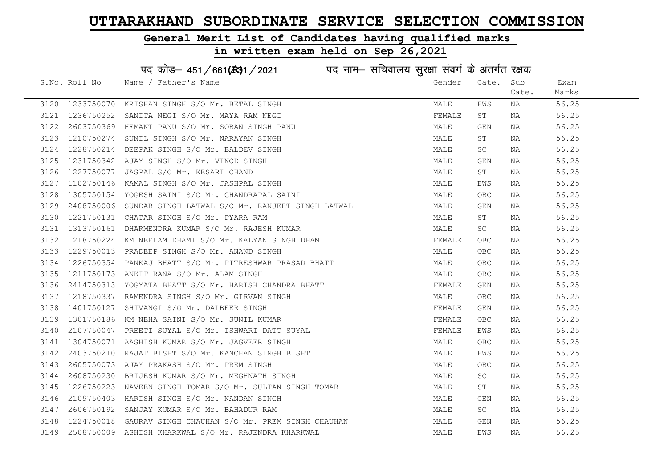### General Merit List of Candidates having qualified marks

in written exam held on Sep 26,2021

S.No. Roll No Wame / Father's Name Gender Cate. Sub Cate. Exam Marks पद कोड– 451/661(स्था / 2021 व्यान सचिवालय सुरक्षा संवर्ग के अंतर्गत रक्षक 3120 1233750070 KRISHAN SINGH S/O Mr. BETAL SINGH MALE EWS NA 56.25 3121 1236750252 SANITA NEGI S/O Mr. MAYA RAM NEGI FEMALE ST NA 56.25 3122 2603750369 HEMANT PANU S/O Mr. SOBAN SINGH PANU MALE GEN NA 56.25 3123 1210750274 SUNIL SINGH S/O Mr. NARAYAN SINGH MALE ST NA 56.25 3124 1228750214 DEEPAK SINGH S/O Mr. BALDEV SINGH MALE SC NA 56.25 3125 1231750342 AJAY SINGH S/O Mr. VINOD SINGH MALE GEN NA 56.25 3126 1227750077 JASPAL S/O Mr. KESARI CHAND **MALE** ST NA 56.25 3127 1102750146 KAMAL SINGH S/O Mr. JASHPAL SINGH MALE EWS NA 56.25 3128 1305750154 YOGESH SAINI S/O Mr. CHANDRAPAL SAINI MALE OBC NA 56.25 3129 2408750006 SUNDAR SINGH LATWAL S/O Mr. RANJEET SINGH LATWAL MALL MALLE GEN NA 56.25 3130 1221750131 CHATAR SINGH S/O Mr. PYARA RAM NA MALE ST NA 56.25 3131 1313750161 DHARMENDRA KUMAR S/O Mr. RAJESH KUMAR MANA MALE SC NA 56.25 3132 1218750224 KM NEELAM DHAMI S/O Mr. KALYAN SINGH DHAMI SAN SHARA TEMALE OBC NA S6.25 3133 1229750013 PRADEEP SINGH S/O Mr. ANAND SINGH MALE MALE OBC NA 56.25 3134 1226750354 PANKAJ BHATT S/O Mr. PITRESHWAR PRASAD BHATT MANILLAND MALE OBC NA 56.25 3135 1211750173 ANKIT RANA S/O Mr. ALAM SINGH MALE OBC NA 56.25 3136 2414750313 YOGYATA BHATT S/O Mr. HARISH CHANDRA BHATT SUMMAN FEMALE GEN NA 56.25 3137 1218750337 RAMENDRA SINGH S/O Mr. GIRVAN SINGH MALE OBC NA 56.25 3138 1401750127 SHIVANGI S/O Mr. DALBEER SINGH FEMALE GEN NA 56.25 3139 1301750186 KM NEHA SAINI S/O Mr. SUNIL KUMAR TENANG TERMALE OBC NA 56.25 3140 2107750047 PREETI SUYAL S/O Mr. ISHWARI DATT SUYAL FUNCHI SUNA FEMALE EWS NA 56.25 3141 1304750071 AASHISH KUMAR S/O Mr. JAGVEER SINGH MALE OBC NA 56.25 3142 2403750210 RAJAT BISHT S/O Mr. KANCHAN SINGH BISHT MAN MALE EWS NA 56.25 3143 2605750073 AJAY PRAKASH S/O Mr. PREM SINGH MALE MALE OBC NA 56.25 3144 2608750230 BRIJESH KUMAR S/O Mr. MEGHNATH SINGH SAN SAN MALE SC NA 56.25 3145 1226750223 NAVEEN SINGH TOMAR S/O Mr. SULTAN SINGH TOMAR MALE ST NA 56.25 3146 2109750403 HARISH SINGH S/O Mr. NANDAN SINGH MALE GEN NA 56.25 3147 2606750192 SANJAY KUMAR S/O Mr. BAHADUR RAM MALE SC NA 56.25 3148 1224750018 GAURAV SINGH CHAUHAN S/O Mr. PREM SINGH CHAUHAN MALE GEN NA 56.25 3149 2508750009 ASHISH KHARKWAL S/O Mr. RAJENDRA KHARKWAL MALE EWS NA 56.25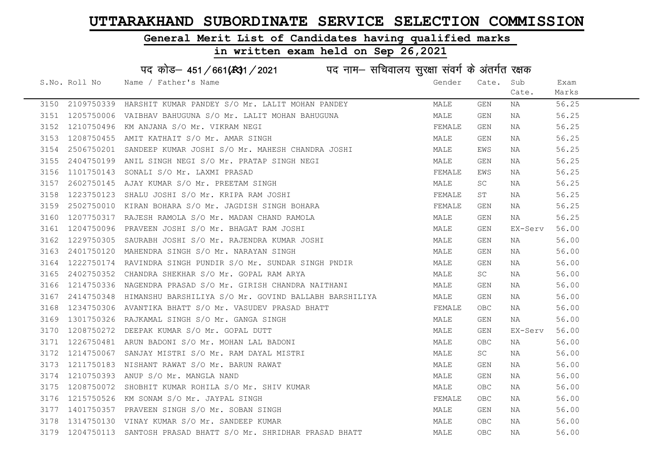### General Merit List of Candidates having qualified marks

### in written exam held on Sep 26,2021

S.No. Roll No Wame / Father's Name Gender Cate. Sub Cate. Exam Marks पद कोड– 451/661(स्था/2021 पद नाम– सचिवालय सुरक्षा संवर्ग के अंतर्गत रक्षक 3150 2109750339 HARSHIT KUMAR PANDEY S/O Mr. LALIT MOHAN PANDEY MALE GEN NA 56.25 3151 1205750006 VAIBHAV BAHUGUNA S/O Mr. LALIT MOHAN BAHUGUNA MAN MALE GEN NA 56.25 3152 1210750496 KM ANJANA S/O Mr. VIKRAM NEGI FEMALE GEN NA 56.25 3153 1208750455 AMIT KATHAIT S/O Mr. AMAR SINGH MALE GEN NA 56.25 3154 2506750201 SANDEEP KUMAR JOSHI S/O Mr. MAHESH CHANDRA JOSHI MALE MALE EWS NA 56.25 3155 2404750199 ANIL SINGH NEGI S/O Mr. PRATAP SINGH NEGI MALE GEN NA 56.25 3156 1101750143 SONALI S/O Mr. LAXMI PRASAD **FEMALE EWS** NA 56.25 3157 2602750145 AJAY KUMAR S/O Mr. PREETAM SINGH MALE SC NA 56.25 3158 1223750123 SHALU JOSHI S/O Mr. KRIPA RAM JOSHI FEMALE ST NA 56.25 3159 2502750010 KIRAN BOHARA S/O Mr. JAGDISH SINGH BOHARA FRANCH FEMALE GEN NA 56.25 3160 1207750317 RAJESH RAMOLA S/O Mr. MADAN CHAND RAMOLA MANILLAND MALE GEN NA 56.25 3161 1204750096 PRAVEEN JOSHI S/O Mr. BHAGAT RAM JOSHI MALE GEN EX-Serv 56.00 3162 1229750305 SAURABH JOSHI S/O Mr. RAJENDRA KUMAR JOSHI NA MALE GEN NA 56.00 3163 2401750120 MAHENDRA SINGH S/O Mr. NARAYAN SINGH MALE GEN NA 56.00 3164 1222750174 RAVINDRA SINGH PUNDIR S/O Mr. SUNDAR SINGH PNDIR MANA MALE GEN NA 56.00 3165 2402750352 CHANDRA SHEKHAR S/O Mr. GOPAL RAM ARYA MALE SC NA 56.00 3166 1214750336 NAGENDRA PRASAD S/O Mr. GIRISH CHANDRA NAITHANI MALE GEN NA 56.00 3167 2414750348 HIMANSHU BARSHILIYA S/O Mr. GOVIND BALLABH BARSHILIYA MALE GEN NA 56.00 3168 1234750306 AVANTIKA BHATT S/O Mr. VASUDEV PRASAD BHATT FRANCE OBC NA 56.00 3169 1301750326 RAJKAMAL SINGH S/O Mr. GANGA SINGH MALE GEN NA 56.00 3170 1208750272 DEEPAK KUMAR S/O Mr. GOPAL DUTT NALL MALE GEN EX-Serv 56.00 3171 1226750481 ARUN BADONI S/O Mr. MOHAN LAL BADONI MALE OBC NA 56.00 3172 1214750067 SANJAY MISTRI S/O Mr. RAM DAYAL MISTRI MALE SC NA 56.00 3173 1211750183 NISHANT RAWAT S/O Mr. BARUN RAWAT NA MALE GEN NA S6.00 3174 1210750393 ANUP S/O Mr. MANGLA NAND MALE GEN NA 56.00 3175 1208750072 SHOBHIT KUMAR ROHILA S/O Mr. SHIV KUMAR MARRAD MALE OBC NA 56.00 3176 1215750526 KM SONAM S/O Mr. JAYPAL SINGH FEMALL SAND FEMALE OBC NA 56.00 3177 1401750357 PRAVEEN SINGH S/O Mr. SOBAN SINGH MALE GEN NA 56.00 3178 1314750130 VINAY KUMAR S/O Mr. SANDEEP KUMAR MALE OBC NA 56.00 3179 1204750113 SANTOSH PRASAD BHATT S/O Mr. SHRIDHAR PRASAD BHATT MALE OBC NA 56.00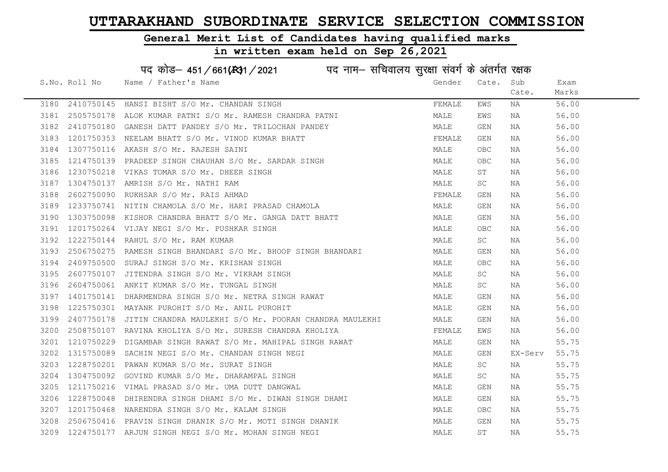### General Merit List of Candidates having qualified marks

### in written exam held on Sep 26,2021

S.No. Roll No Wame / Father's Name Gender Cate. Sub Cate. Exam Marks पद कोड– 451/661(स्था / 2021 व्यान सचिवालय सुरक्षा संवर्ग के अंतर्गत रक्षक 3180 2410750145 HANSI BISHT S/O Mr. CHANDAN SINGH TEMALL THE SEMALE EWS NA 56.00 3181 2505750178 ALOK KUMAR PATNI S/O Mr. RAMESH CHANDRA PATNI MALE EWS NA 56.00 3182 2410750180 GANESH DATT PANDEY S/O Mr. TRILOCHAN PANDEY MANILLE GEN NA 56.00 3183 1201750353 NEELAM BHATT S/O Mr. VINOD KUMAR BHATT SAND FEMALE GEN NA 56.00 3184 1307750116 AKASH S/O Mr. RAJESH SAINI MALE OBC NA 56.00 3185 1214750139 PRADEEP SINGH CHAUHAN S/O Mr. SARDAR SINGH MALE MALE OBC NA 56.00 3186 1230750218 VIKAS TOMAR S/O Mr. DHEER SINGH MALE ST NA 56.00 3187 1304750137 AMRISH S/O Mr. NATHI RAM MALE SC NA 56.00 3188 2602750090 RUKHSAR S/O Mr. RAIS AHMAD FEMALE GEN NA 56.00 3189 1233750741 NITIN CHAMOLA S/O Mr. HARI PRASAD CHAMOLA MAN MALE GEN NA 56.00 3190 1303750098 KISHOR CHANDRA BHATT S/O Mr. GANGA DATT BHATT MALE GEN NA 56.00 3191 1201750264 VIJAY NEGI S/O Mr. PUSHKAR SINGH MALE OBC NA 56.00 3192 1222750144 RAHUL S/O Mr. RAM KUMAR MALE SC NA 56.00 3193 2506750275 RAMESH SINGH BHANDARI S/O Mr. BHOOP SINGH BHANDARI MALE GEN NA 56.00 3194 2409750500 SURAJ SINGH S/O Mr. KRISHAN SINGH MALE OBC NA 56.00 3195 2607750107 JITENDRA SINGH S/O Mr. VIKRAM SINGH MALE SC NA 56.00 3196 2604750061 ANKIT KUMAR S/O Mr. TUNGAL SINGH MALE SC NA 56.00 3197 1401750141 DHARMENDRA SINGH S/O Mr. NETRA SINGH RAWAT MALE GEN NA 56.00 3198 1225750301 MAYANK PUROHIT S/O Mr. ANIL PUROHIT MALE GEN NA 56.00 3199 2407750178 JITIN CHANDRA MAULEKHI S/O Mr. POORAN CHANDRA MAULEKHI MALE GEN NA 56.00 3200 2508750107 RAVINA KHOLIYA S/O Mr. SURESH CHANDRA KHOLIYA FEMALE EWS NA 56.00 3201 1210750229 DIGAMBAR SINGH RAWAT S/O Mr. MAHIPAL SINGH RAWAT MALE GEN NA 55.75 3202 1315750089 SACHIN NEGI S/O Mr. CHANDAN SINGH NEGI MALE GEN EX-Serv 55.75 3203 1228750201 PAWAN KUMAR S/O Mr. SURAT SINGH MARE MALE SC NA 55.75 3204 1304750092 GOVIND KUMAR S/O Mr. DHARAMPAL SINGH MANA MALE SC NA 55.75 3205 1211750216 VIMAL PRASAD S/O Mr. UMA DUTT DANGWAL NAN MARE GEN NA S5.75 3206 1228750048 DHIRENDRA SINGH DHAMI S/O Mr. DIWAN SINGH DHAMI MANI MALE GEN NA 55.75 3207 1201750468 NARENDRA SINGH S/O Mr. KALAM SINGH MALE OBC NA 55.75 3208 2506750416 PRAVIN SINGH DHANIK S/O Mr. MOTI SINGH DHANIK MALE GEN NA 55.75 3209 1224750177 ARJUN SINGH NEGI S/O Mr. MOHAN SINGH NEGI MAN SHANALE ST NA 55.75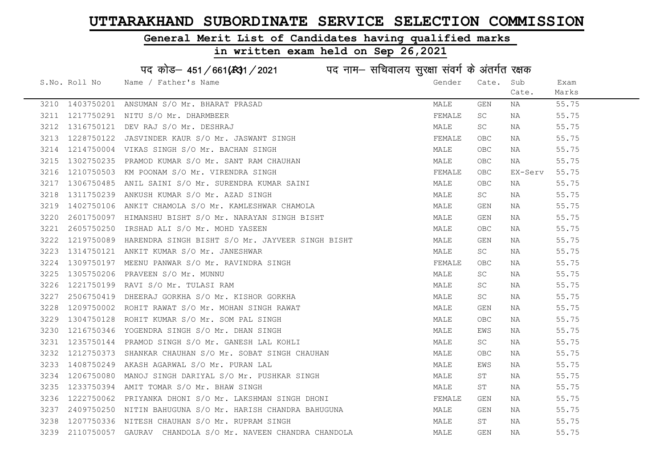### General Merit List of Candidates having qualified marks

# in written exam held on Sep 26,2021

# पद कोड– 451/661(स्था/2021 व्यान सचिवालय सुरक्षा संवर्ग के अंतर्गत रक्षक

|      | S.No. Roll No | Name / Father's Name                                        | Gender | Cate.      | Sub     | Exam  |
|------|---------------|-------------------------------------------------------------|--------|------------|---------|-------|
|      |               |                                                             |        |            | Cate.   | Marks |
|      |               | 3210 1403750201 ANSUMAN S/O Mr. BHARAT PRASAD               | MALE   | GEN        | NA      | 55.75 |
| 3211 |               | 1217750291 NITU S/O Mr. DHARMBEER                           | FEMALE | SC.        | NA      | 55.75 |
| 3212 | 1316750121    | DEV RAJ S/O Mr. DESHRAJ                                     | MALE   | SC         | NA      | 55.75 |
| 3213 | 1228750122    | JASVINDER KAUR S/O Mr. JASWANT SINGH                        | FEMALE | OBC        | NA      | 55.75 |
| 3214 |               | 1214750004 VIKAS SINGH S/O Mr. BACHAN SINGH                 | MALE   | OBC.       | NA      | 55.75 |
| 3215 | 1302750235    | PRAMOD KUMAR S/O Mr. SANT RAM CHAUHAN                       | MALE   | <b>OBC</b> | NA      | 55.75 |
| 3216 |               | 1210750503 KM POONAM S/O Mr. VIRENDRA SINGH                 | FEMALE | OBC        | EX-Serv | 55.75 |
| 3217 |               | 1306750485 ANIL SAINI S/O Mr. SURENDRA KUMAR SAINI          | MALE   | <b>OBC</b> | NA      | 55.75 |
| 3218 | 1311750239    | ANKUSH KUMAR S/O Mr. AZAD SINGH                             | MALE   | SC         | NA      | 55.75 |
| 3219 | 1402750106    | ANKIT CHAMOLA S/O Mr. KAMLESHWAR CHAMOLA                    | MALE   | GEN        | NA      | 55.75 |
| 3220 |               | 2601750097 HIMANSHU BISHT S/O Mr. NARAYAN SINGH BISHT       | MALE   | GEN        | NA      | 55.75 |
| 3221 |               | 2605750250 IRSHAD ALI S/O Mr. MOHD YASEEN                   | MALE   | OBC        | NA      | 55.75 |
| 3222 |               | 1219750089 HARENDRA SINGH BISHT S/O Mr. JAYVEER SINGH BISHT | MALE   | GEN        | NA      | 55.75 |
| 3223 |               | 1314750121 ANKIT KUMAR S/O Mr. JANESHWAR                    | MALE   | SC         | NA      | 55.75 |
| 3224 | 1309750197    | MEENU PANWAR S/O Mr. RAVINDRA SINGH                         | FEMALE | <b>OBC</b> | NA      | 55.75 |
| 3225 | 1305750206    | PRAVEEN S/O Mr. MUNNU                                       | MALE   | SC.        | NA      | 55.75 |
| 3226 | 1221750199    | RAVI S/O Mr. TULASI RAM                                     | MALE   | SC.        | NA      | 55.75 |
| 3227 | 2506750419    | DHEERAJ GORKHA S/O Mr. KISHOR GORKHA                        | MALE   | SC         | NA      | 55.75 |
| 3228 |               | 1209750002 ROHIT RAWAT S/O Mr. MOHAN SINGH RAWAT            | MALE   | GEN        | NA      | 55.75 |
| 3229 | 1304750128    | ROHIT KUMAR S/O Mr. SOM PAL SINGH                           | MALE   | <b>OBC</b> | NA      | 55.75 |
| 3230 | 1216750346    | YOGENDRA SINGH S/O Mr. DHAN SINGH                           | MALE   | EWS        | NA      | 55.75 |
| 3231 |               | 1235750144 PRAMOD SINGH S/O Mr. GANESH LAL KOHLI            | MALE   | SC.        | NA      | 55.75 |
| 3232 | 1212750373    | SHANKAR CHAUHAN S/O Mr. SOBAT SINGH CHAUHAN                 | MALE   | <b>OBC</b> | NA      | 55.75 |
| 3233 |               | 1408750249 AKASH AGARWAL S/O Mr. PURAN LAL                  | MALE   | EWS        | NA      | 55.75 |
| 3234 |               | 1206750080 MANOJ SINGH DARIYAL S/O Mr. PUSHKAR SINGH        | MALE   | ST         | NA      | 55.75 |
| 3235 | 1233750394    | AMIT TOMAR S/O Mr. BHAW SINGH                               | MALE   | ST         | NA      | 55.75 |
| 3236 |               | 1222750062 PRIYANKA DHONI S/O Mr. LAKSHMAN SINGH DHONI      | FEMALE | GEN        | NA      | 55.75 |
| 3237 |               | 2409750250 NITIN BAHUGUNA S/O Mr. HARISH CHANDRA BAHUGUNA   | MALE   | GEN        | NA      | 55.75 |
| 3238 |               | 1207750336 NITESH CHAUHAN S/O Mr. RUPRAM SINGH              | MALE   | ST         | NA      | 55.75 |
| 3239 |               | 2110750057 GAURAV CHANDOLA S/O Mr. NAVEEN CHANDRA CHANDOLA  | MALE   | <b>GEN</b> | ΝA      | 55.75 |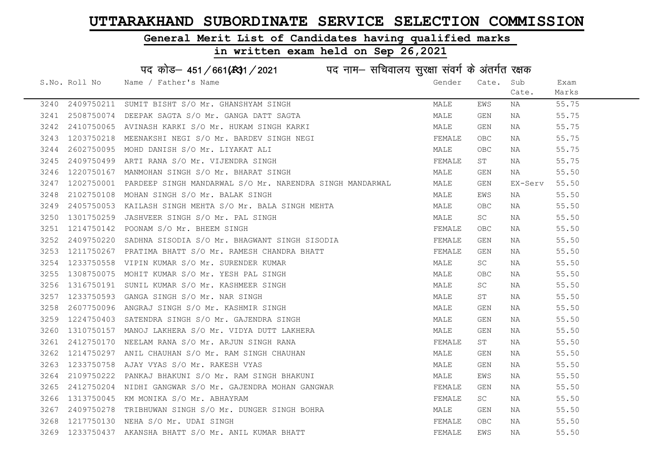#### General Merit List of Candidates having qualified marks

|      | पद कोड़- 451/661(431/2021 पद नाम- सचिवालय सुरक्षा संवर्ग के अंतर्गत रक्षक |                                                          |        |            |         |       |  |  |
|------|---------------------------------------------------------------------------|----------------------------------------------------------|--------|------------|---------|-------|--|--|
|      | S.No. Roll No                                                             | Name / Father's Name                                     | Gender | Cate.      | Sub     | Exam  |  |  |
|      |                                                                           |                                                          |        |            | Cate.   | Marks |  |  |
| 3240 | 2409750211                                                                | SUMIT BISHT S/O Mr. GHANSHYAM SINGH                      | MALE   | EWS        | NA      | 55.75 |  |  |
| 3241 | 2508750074                                                                | DEEPAK SAGTA S/O Mr. GANGA DATT SAGTA                    | MALE   | GEN        | NA      | 55.75 |  |  |
| 3242 | 2410750065                                                                | AVINASH KARKI S/O Mr. HUKAM SINGH KARKI                  | MALE   | GEN        | NA      | 55.75 |  |  |
| 3243 | 1203750218                                                                | MEENAKSHI NEGI S/O Mr. BARDEV SINGH NEGI                 | FEMALE | <b>OBC</b> | NA      | 55.75 |  |  |
| 3244 | 2602750095                                                                | MOHD DANISH S/O Mr. LIYAKAT ALI                          | MALE   | <b>OBC</b> | NA      | 55.75 |  |  |
| 3245 | 2409750499                                                                | ARTI RANA S/O Mr. VIJENDRA SINGH                         | FEMALE | ST         | NA      | 55.75 |  |  |
| 3246 | 1220750167                                                                | MANMOHAN SINGH S/O Mr. BHARAT SINGH                      | MALE   | GEN        | NA      | 55.50 |  |  |
| 3247 | 1202750001                                                                | PARDEEP SINGH MANDARWAL S/O Mr. NARENDRA SINGH MANDARWAL | MALE   | GEN        | EX-Serv | 55.50 |  |  |
| 3248 | 2102750108                                                                | MOHAN SINGH S/O Mr. BALAK SINGH                          | MALE   | EWS        | NA      | 55.50 |  |  |
| 3249 | 2405750053                                                                | KAILASH SINGH MEHTA S/O Mr. BALA SINGH MEHTA             | MALE   | OBC        | NA      | 55.50 |  |  |
| 3250 | 1301750259                                                                | JASHVEER SINGH S/O Mr. PAL SINGH                         | MALE   | SC         | NA      | 55.50 |  |  |
| 3251 | 1214750142                                                                | POONAM S/O Mr. BHEEM SINGH                               | FEMALE | <b>OBC</b> | NA      | 55.50 |  |  |
| 3252 | 2409750220                                                                | SADHNA SISODIA S/O Mr. BHAGWANT SINGH SISODIA            | FEMALE | GEN        | NA      | 55.50 |  |  |
| 3253 | 1211750267                                                                | PRATIMA BHATT S/O Mr. RAMESH CHANDRA BHATT               | FEMALE | GEN        | NA      | 55.50 |  |  |
| 3254 | 1233750558                                                                | VIPIN KUMAR S/O Mr. SURENDER KUMAR                       | MALE   | SC         | NA      | 55.50 |  |  |
| 3255 | 1308750075                                                                | MOHIT KUMAR S/O Mr. YESH PAL SINGH                       | MALE   | <b>OBC</b> | NA      | 55.50 |  |  |
| 3256 | 1316750191                                                                | SUNIL KUMAR S/O Mr. KASHMEER SINGH                       | MALE   | SC         | NA      | 55.50 |  |  |
| 3257 | 1233750593                                                                | GANGA SINGH S/O Mr. NAR SINGH                            | MALE   | SΤ         | NA      | 55.50 |  |  |
| 3258 | 2607750096                                                                | ANGRAJ SINGH S/O Mr. KASHMIR SINGH                       | MALE   | GEN        | NA      | 55.50 |  |  |
| 3259 | 1224750403                                                                | SATENDRA SINGH S/O Mr. GAJENDRA SINGH                    | MALE   | GEN        | NA      | 55.50 |  |  |
| 3260 | 1310750157                                                                | MANOJ LAKHERA S/O Mr. VIDYA DUTT LAKHERA                 | MALE   | GEN        | NA      | 55.50 |  |  |
| 3261 | 2412750170                                                                | NEELAM RANA S/O Mr. ARJUN SINGH RANA                     | FEMALE | ST         | NA      | 55.50 |  |  |
| 3262 | 1214750297                                                                | ANIL CHAUHAN S/O Mr. RAM SINGH CHAUHAN                   | MALE   | GEN        | NA      | 55.50 |  |  |
| 3263 | 1233750758                                                                | AJAY VYAS S/O Mr. RAKESH VYAS                            | MALE   | GEN        | NA      | 55.50 |  |  |
| 3264 | 2109750222                                                                | PANKAJ BHAKUNI S/O Mr. RAM SINGH BHAKUNI                 | MALE   | EWS        | NA      | 55.50 |  |  |
| 3265 | 2412750204                                                                | NIDHI GANGWAR S/O Mr. GAJENDRA MOHAN GANGWAR             | FEMALE | GEN        | NA      | 55.50 |  |  |
| 3266 | 1313750045                                                                | KM MONIKA S/O Mr. ABHAYRAM                               | FEMALE | SC         | NA      | 55.50 |  |  |
| 3267 | 2409750278                                                                | TRIBHUWAN SINGH S/O Mr. DUNGER SINGH BOHRA               | MALE   | GEN        | NA      | 55.50 |  |  |
| 3268 | 1217750130                                                                | NEHA S/O Mr. UDAI SINGH                                  | FEMALE | <b>OBC</b> | NA      | 55.50 |  |  |
|      |                                                                           | 3269 1233750437 AKANSHA BHATT S/O Mr. ANIL KUMAR BHATT   | FEMALE | EWS        | ΝA      | 55.50 |  |  |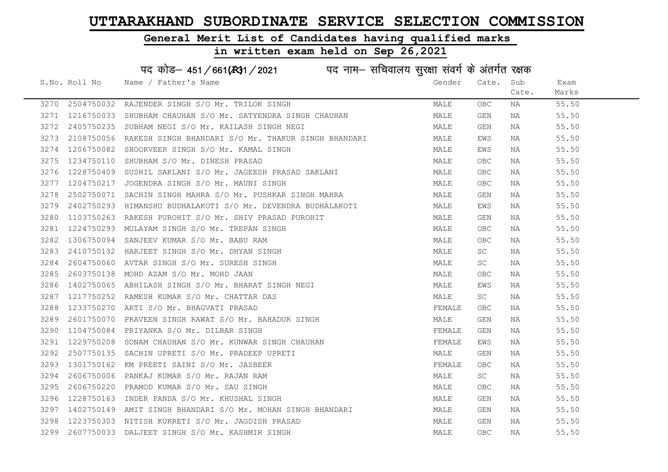#### General Merit List of Candidates having qualified marks

|      |               | पद कोड़- 451/661(431/2021 पद नाम- सचिवालय सुरक्षा संवर्ग के अंतर्गत रक्षक |        |            |       |       |
|------|---------------|---------------------------------------------------------------------------|--------|------------|-------|-------|
|      | S.No. Roll No | Name / Father's Name                                                      | Gender | Cate. Sub  |       | Exam  |
|      |               |                                                                           |        |            | Cate. | Marks |
| 3270 | 2504750032    | RAJENDER SINGH S/O Mr. TRILOK SINGH                                       | MALE   | <b>OBC</b> | NA    | 55.50 |
| 3271 |               | 1216750033 SHUBHAM CHAUHAN S/O Mr. SATYENDRA SINGH CHAUHAN                | MALE   | GEN        | NA    | 55.50 |
| 3272 | 2405750235    | SUBHAM NEGI S/O Mr. KAILASH SINGH NEGI                                    | MALE   | GEN        | NA    | 55.50 |
| 3273 |               | 2108750056 RAKESH SINGH BHANDARI S/O Mr. THAKUR SINGH BHANDARI            | MALE   | EWS        | NA    | 55.50 |
| 3274 | 1206750082    | SHOORVEER SINGH S/O Mr. KAMAL SINGH                                       | MALE   | EWS        | NA    | 55.50 |
| 3275 |               | 1234750110 SHUBHAM S/O Mr. DINESH PRASAD                                  | MALE   | <b>OBC</b> | NA    | 55.50 |
| 3276 |               | 1228750409 SUSHIL SAKLANI S/O Mr. JAGEESH PRASAD SAKLANI                  | MALE   | <b>OBC</b> | NA    | 55.50 |
| 3277 | 1204750217    | JOGENDRA SINGH S/O Mr. MAUNI SINGH                                        | MALE   | <b>OBC</b> | NA    | 55.50 |
| 3278 | 2502750071    | SACHIN SINGH MAHRA S/O Mr. PUSHKAR SINGH MAHRA                            | MALE   | GEN        | NA    | 55.50 |
| 3279 |               | 2402750293 HIMANSHU BUDHALAKOTI S/O Mr. DEVENDRA BUDHALAKOTI              | MALE   | EWS        | NA    | 55.50 |
| 3280 |               | 1103750263 RAKESH PUROHIT S/O Mr. SHIV PRASAD PUROHIT                     | MALE   | GEN        | NA    | 55.50 |
| 3281 | 1224750293    | MULAYAM SINGH S/O Mr. TREPAN SINGH                                        | MALE   | <b>OBC</b> | NA    | 55.50 |
| 3282 | 1306750094    | SANJEEV KUMAR S/O Mr. BABU RAM                                            | MALE   | <b>OBC</b> | NA    | 55.50 |
| 3283 |               | 2410750132 HARJEET SINGH S/O Mr. DHYAN SINGH                              | MALE   | <b>SC</b>  | NA    | 55.50 |
| 3284 | 2604750060    | AVTAR SINGH S/O Mr. SURESH SINGH                                          | MALE   | SC         | NA    | 55.50 |
| 3285 | 2603750138    | MOHD AZAM S/O Mr. MOHD JAAN                                               | MALE   | <b>OBC</b> | NA    | 55.50 |
| 3286 | 1402750065    | ABHILASH SINGH S/O Mr. BHARAT SINGH NEGI                                  | MALE   | EWS        | NA    | 55.50 |
| 3287 | 1217750252    | RAMESH KUMAR S/O Mr. CHATTAR DAS                                          | MALE   | SC         | NA    | 55.50 |
| 3288 | 1233750270    | ARTI S/O Mr. BHAGVATI PRASAD                                              | FEMALE | OBC.       | NA    | 55.50 |
| 3289 | 2601750070    | PRAVEEN SINGH RAWAT S/O Mr. BAHADUR SINGH                                 | MALE   | GEN        | NA    | 55.50 |
| 3290 |               | 1104750084 PRIYANKA S/O Mr. DILBAR SINGH                                  | FEMALE | GEN        | NA    | 55.50 |
| 3291 |               | 1229750208 SONAM CHAUHAN S/O Mr. KUNWAR SINGH CHAUHAN                     | FEMALE | EWS        | NA    | 55.50 |
| 3292 | 2507750135    | SACHIN UPRETI S/O Mr. PRADEEP UPRETI                                      | MALE   | GEN        | NA    | 55.50 |
| 3293 | 1301750162    | KM PREETI SAINI S/O Mr. JASBEER                                           | FEMALE | <b>OBC</b> | NA    | 55.50 |
| 3294 | 2606750006    | PANKAJ KUMAR S/O Mr. RAJAN RAM                                            | MALE   | SC         | NA    | 55.50 |
| 3295 | 2606750220    | PRAMOD KUMAR S/O Mr. SAU SINGH                                            | MALE   | <b>OBC</b> | NA    | 55.50 |
| 3296 | 1228750163    | INDER PANDA S/O Mr. KHUSHAL SINGH                                         | MALE   | GEN        | NA    | 55.50 |
| 3297 | 1402750149    | AMIT SINGH BHANDARI S/O Mr. MOHAN SINGH BHANDARI                          | MALE   | GEN        | NA    | 55.50 |
| 3298 |               | 1223750303 NITISH KUKRETI S/O Mr. JAGDISH PRASAD                          | MALE   | GEN        | NA    | 55.50 |
| 3299 |               | 2607750033 DALJEET SINGH S/O Mr. KASHMIR SINGH                            | MALE   | <b>OBC</b> | ΝA    | 55.50 |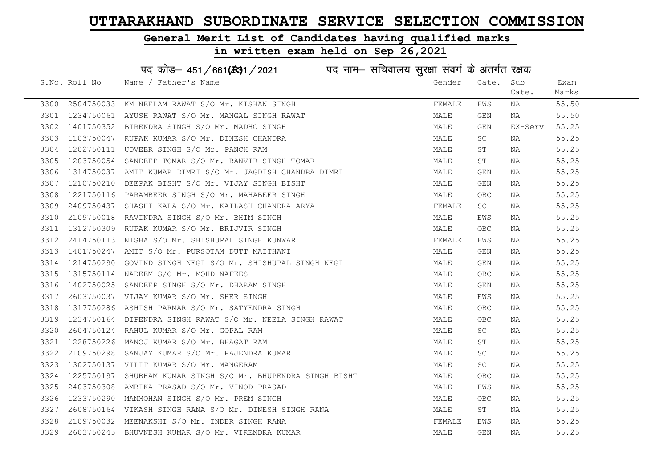#### General Merit List of Candidates having qualified marks

in written exam held on Sep 26,2021

S.No. Roll No Name / Father's Name Gender Cate. Sub Cate. Exam Marks पद कोड– 451/661(स्था / 2021 व्यान सचिवालय सुरक्षा संवर्ग के अंतर्गत रक्षक 3300 2504750033 KM NEELAM RAWAT S/O Mr. KISHAN SINGH FRANCH FEMALE EWS NA 55.50 3301 1234750061 AYUSH RAWAT S/O Mr. MANGAL SINGH RAWAT MARE MALE GEN NA 55.50 3302 1401750352 BIRENDRA SINGH S/O Mr. MADHO SINGH MALE GEN EX-Serv 55.25 3303 1103750047 RUPAK KUMAR S/O Mr. DINESH CHANDRA NAN MALE SC NA 55.25 3304 1202750111 UDVEER SINGH S/O Mr. PANCH RAM MALE ST NA 55.25 3305 1203750054 SANDEEP TOMAR S/O Mr. RANVIR SINGH TOMAR MALE ST NA 55.25 3306 1314750037 AMIT KUMAR DIMRI S/O Mr. JAGDISH CHANDRA DIMRI MAN MALE GEN NA 55.25 3307 1210750210 DEEPAK BISHT S/O Mr. VIJAY SINGH BISHT MALE GEN NA 55.25 3308 1221750116 PARAMBEER SINGH S/O Mr. MAHABEER SINGH MALE OBC NA 55.25 3309 2409750437 SHASHI KALA S/O Mr. KAILASH CHANDRA ARYA FEMALE SC NA 55.25 3310 2109750018 RAVINDRA SINGH S/O Mr. BHIM SINGH MALE EWS NA 55.25 3311 1312750309 RUPAK KUMAR S/O Mr. BRIJVIR SINGH MANA MALE OBC NA 55.25 3312 2414750113 NISHA S/O Mr. SHISHUPAL SINGH KUNWAR FEMALE EWS NA 55.25 3313 1401750247 AMIT S/O Mr. PURSOTAM DUTT MAITHANI CON CONTROL CON MALE GEN NA S5.25 3314 1214750290 GOVIND SINGH NEGI S/O Mr. SHISHUPAL SINGH NEGI MANA MALE GEN NA 55.25 3315 1315750114 NADEEM S/O Mr. MOHD NAFEES MALE OBC NA 55.25 3316 1402750025 SANDEEP SINGH S/O Mr. DHARAM SINGH MALE GEN NA 55.25 3317 2603750037 VIJAY KUMAR S/O Mr. SHER SINGH MALE EWS NA 55.25 3318 1317750286 ASHISH PARMAR S/O Mr. SATYENDRA SINGH MALE OBC NA 55.25 3319 1234750164 DIPENDRA SINGH RAWAT S/O Mr. NEELA SINGH RAWAT MALE OBC NA 55.25 3320 2604750124 RAHUL KUMAR S/O Mr. GOPAL RAM MALE SC NA 55.25 3321 1228750226 MANOJ KUMAR S/O Mr. BHAGAT RAM MALE ST NA 55.25 3322 2109750298 SANJAY KUMAR S/O Mr. RAJENDRA KUMAR MALE SC NA 55.25 3323 1302750137 VILIT KUMAR S/O Mr. MANGERAM MALE SC NA 55.25 3324 1225750197 SHUBHAM KUMAR SINGH S/O Mr. BHUPENDRA SINGH BISHT MALE OBC NA 55.25 3325 2403750308 AMBIKA PRASAD S/O Mr. VINOD PRASAD MALE EWS NA 55.25 3326 1233750290 MANMOHAN SINGH S/O Mr. PREM SINGH MALE OBC NA 55.25 3327 2608750164 VIKASH SINGH RANA S/O Mr. DINESH SINGH RANA MANA MALE ST NA 55.25 3328 2109750032 MEENAKSHI S/O Mr. INDER SINGH RANA FEMALE EWS NA 55.25 3329 2603750245 BHUVNESH KUMAR S/O Mr. VIRENDRA KUMAR MALE GEN NA 55.25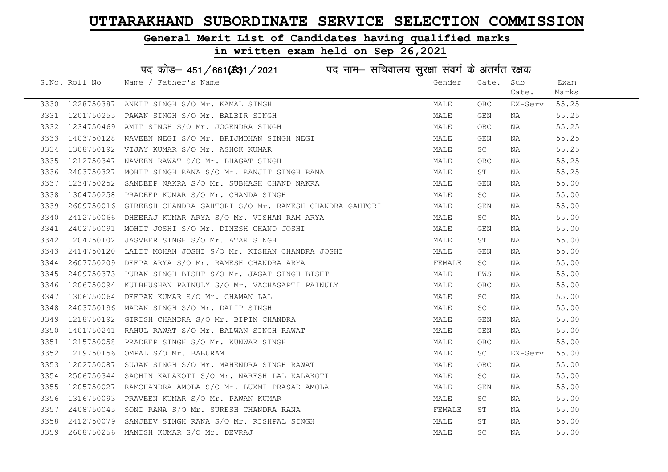#### General Merit List of Candidates having qualified marks

|      |               | पद कोड़– 451/661(431/2021 पद नाम– सचिवालय सुरक्षा संवर्ग के अंतर्गत रक्षक |        |                         |         |       |
|------|---------------|---------------------------------------------------------------------------|--------|-------------------------|---------|-------|
|      | S.No. Roll No | Name / Father's Name                                                      | Gender | Cate.                   | Sub     | Exam  |
|      |               |                                                                           |        |                         | Cate.   | Marks |
| 3330 | 1228750387    | ANKIT SINGH S/O Mr. KAMAL SINGH                                           | MALE   | <b>OBC</b>              | EX-Serv | 55.25 |
| 3331 | 1201750255    | PAWAN SINGH S/O Mr. BALBIR SINGH                                          | MALE   | GEN                     | NA      | 55.25 |
| 3332 | 1234750469    | AMIT SINGH S/O Mr. JOGENDRA SINGH                                         | MALE   | <b>OBC</b>              | NA      | 55.25 |
| 3333 | 1403750128    | NAVEEN NEGI S/O Mr. BRIJMOHAN SINGH NEGI                                  | MALE   | GEN                     | NA      | 55.25 |
| 3334 | 1308750192    | VIJAY KUMAR S/O Mr. ASHOK KUMAR                                           | MALE   | SC.                     | NA      | 55.25 |
| 3335 | 1212750347    | NAVEEN RAWAT S/O Mr. BHAGAT SINGH                                         | MALE   | <b>OBC</b>              | NA      | 55.25 |
| 3336 | 2403750327    | MOHIT SINGH RANA S/O Mr. RANJIT SINGH RANA                                | MALE   | ST                      | NA      | 55.25 |
| 3337 | 1234750252    | SANDEEP NAKRA S/O Mr. SUBHASH CHAND NAKRA                                 | MALE   | $\mathop{\mathsf{GEN}}$ | NA      | 55.00 |
| 3338 | 1304750258    | PRADEEP KUMAR S/O Mr. CHANDA SINGH                                        | MALE   | SC                      | NA      | 55.00 |
| 3339 | 2609750016    | GIREESH CHANDRA GAHTORI S/O Mr. RAMESH CHANDRA GAHTORI                    | MALE   | GEN                     | NA      | 55.00 |
| 3340 | 2412750066    | DHEERAJ KUMAR ARYA S/O Mr. VISHAN RAM ARYA                                | MALE   | SC.                     | NA      | 55.00 |
| 3341 | 2402750091    | MOHIT JOSHI S/O Mr. DINESH CHAND JOSHI                                    | MALE   | GEN                     | NA      | 55.00 |
| 3342 | 1204750102    | JASVEER SINGH S/O Mr. ATAR SINGH                                          | MALE   | ST                      | NA      | 55.00 |
| 3343 | 2414750120    | LALIT MOHAN JOSHI S/O Mr. KISHAN CHANDRA JOSHI                            | MALE   | GEN                     | NA      | 55.00 |
| 3344 | 2607750209    | DEEPA ARYA S/O Mr. RAMESH CHANDRA ARYA                                    | FEMALE | SC                      | NA      | 55.00 |
| 3345 | 2409750373    | PURAN SINGH BISHT S/O Mr. JAGAT SINGH BISHT                               | MALE   | EWS                     | NA      | 55.00 |
| 3346 | 1206750094    | KULBHUSHAN PAINULY S/O Mr. VACHASAPTI PAINULY                             | MALE   | <b>OBC</b>              | NA      | 55.00 |
| 3347 | 1306750064    | DEEPAK KUMAR S/O Mr. CHAMAN LAL                                           | MALE   | SC                      | NA      | 55.00 |
| 3348 | 2403750196    | MADAN SINGH S/O Mr. DALIP SINGH                                           | MALE   | SC                      | NA      | 55.00 |
| 3349 | 1218750192    | GIRISH CHANDRA S/O Mr. BIPIN CHANDRA                                      | MALE   | GEN                     | NA      | 55.00 |
| 3350 | 1401750241    | RAHUL RAWAT S/O Mr. BALWAN SINGH RAWAT                                    | MALE   | GEN                     | NA      | 55.00 |
| 3351 | 1215750058    | PRADEEP SINGH S/O Mr. KUNWAR SINGH                                        | MALE   | OBC.                    | NA      | 55.00 |
| 3352 | 1219750156    | OMPAL S/O Mr. BABURAM                                                     | MALE   | SC.                     | EX-Serv | 55.00 |
| 3353 | 1202750087    | SUJAN SINGH S/O Mr. MAHENDRA SINGH RAWAT                                  | MALE   | OBC                     | NA      | 55.00 |
| 3354 | 2506750344    | SACHIN KALAKOTI S/O Mr. NARESH LAL KALAKOTI                               | MALE   | SC.                     | NA      | 55.00 |
| 3355 | 1205750027    | RAMCHANDRA AMOLA S/O Mr. LUXMI PRASAD AMOLA                               | MALE   | GEN                     | NA      | 55.00 |
| 3356 | 1316750093    | PRAVEEN KUMAR S/O Mr. PAWAN KUMAR                                         | MALE   | SC                      | NA      | 55.00 |
| 3357 | 2408750045    | SONI RANA S/O Mr. SURESH CHANDRA RANA                                     | FEMALE | SΤ                      | NA      | 55.00 |
| 3358 | 2412750079    | SANJEEV SINGH RANA S/O Mr. RISHPAL SINGH                                  | MALE   | SΤ                      | NA      | 55.00 |
| 3359 |               | 2608750256 MANISH KUMAR S/O Mr. DEVRAJ                                    | MALE   | $\operatorname{SC}$     | ΝA      | 55.00 |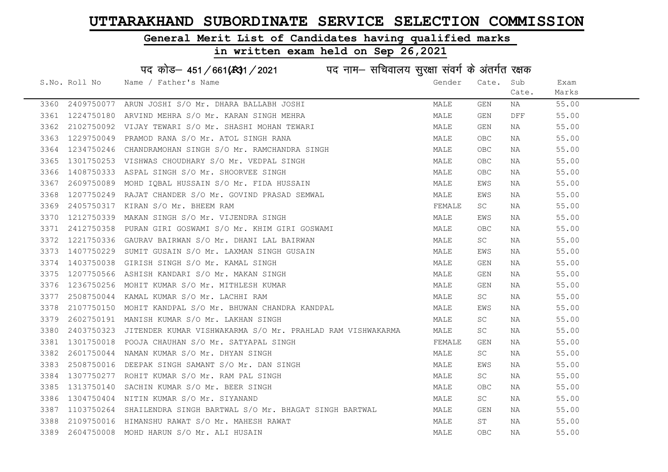#### General Merit List of Candidates having qualified marks

|      | पद कोड़- 451/661(431/2021 पद नाम- सचिवालय सुरक्षा संवर्ग के अंतर्गत रक्षक |                                                            |        |            |       |       |  |  |
|------|---------------------------------------------------------------------------|------------------------------------------------------------|--------|------------|-------|-------|--|--|
|      | S.No. Roll No                                                             | Name / Father's Name                                       | Gender | Cate.      | Sub   | Exam  |  |  |
|      |                                                                           |                                                            |        |            | Cate. | Marks |  |  |
| 3360 | 2409750077                                                                | ARUN JOSHI S/O Mr. DHARA BALLABH JOSHI                     | MALE   | GEN        | NA    | 55.00 |  |  |
| 3361 | 1224750180                                                                | ARVIND MEHRA S/O Mr. KARAN SINGH MEHRA                     | MALE   | GEN        | DFF   | 55.00 |  |  |
| 3362 | 2102750092                                                                | VIJAY TEWARI S/O Mr. SHASHI MOHAN TEWARI                   | MALE   | GEN        | NA    | 55.00 |  |  |
| 3363 | 1229750049                                                                | PRAMOD RANA S/O Mr. ATOL SINGH RANA                        | MALE   | OBC        | NA    | 55.00 |  |  |
| 3364 | 1234750246                                                                | CHANDRAMOHAN SINGH S/O Mr. RAMCHANDRA SINGH                | MALE   | <b>OBC</b> | NA    | 55.00 |  |  |
| 3365 |                                                                           | 1301750253 VISHWAS CHOUDHARY S/O Mr. VEDPAL SINGH          | MALE   | OBC        | NA    | 55.00 |  |  |
| 3366 | 1408750333                                                                | ASPAL SINGH S/O Mr. SHOORVEE SINGH                         | MALE   | OBC        | NA    | 55.00 |  |  |
| 3367 | 2609750089                                                                | MOHD IQBAL HUSSAIN S/O Mr. FIDA HUSSAIN                    | MALE   | EWS        | NA    | 55.00 |  |  |
| 3368 | 1207750249                                                                | RAJAT CHANDER S/O Mr. GOVIND PRASAD SEMWAL                 | MALE   | EWS        | NA    | 55.00 |  |  |
| 3369 | 2405750317                                                                | KIRAN S/O Mr. BHEEM RAM                                    | FEMALE | SC         | NA    | 55.00 |  |  |
| 3370 | 1212750339                                                                | MAKAN SINGH S/O Mr. VIJENDRA SINGH                         | MALE   | EWS        | NA    | 55.00 |  |  |
| 3371 | 2412750358                                                                | PURAN GIRI GOSWAMI S/O Mr. KHIM GIRI GOSWAMI               | MALE   | OBC        | NA    | 55.00 |  |  |
| 3372 | 1221750336                                                                | GAURAV BAIRWAN S/O Mr. DHANI LAL BAIRWAN                   | MALE   | <b>SC</b>  | NA    | 55.00 |  |  |
| 3373 |                                                                           | 1407750229 SUMIT GUSAIN S/O Mr. LAXMAN SINGH GUSAIN        | MALE   | EWS        | NA    | 55.00 |  |  |
| 3374 | 1403750038                                                                | GIRISH SINGH S/O Mr. KAMAL SINGH                           | MALE   | GEN        | NA    | 55.00 |  |  |
| 3375 | 1207750566                                                                | ASHISH KANDARI S/O Mr. MAKAN SINGH                         | MALE   | GEN        | NA    | 55.00 |  |  |
| 3376 | 1236750256                                                                | MOHIT KUMAR S/O Mr. MITHLESH KUMAR                         | MALE   | GEN        | NA    | 55.00 |  |  |
| 3377 | 2508750044                                                                | KAMAL KUMAR S/O Mr. LACHHI RAM                             | MALE   | SC         | NA    | 55.00 |  |  |
| 3378 | 2107750150                                                                | MOHIT KANDPAL S/O Mr. BHUWAN CHANDRA KANDPAL               | MALE   | EWS        | NA    | 55.00 |  |  |
| 3379 | 2602750191                                                                | MANISH KUMAR S/O Mr. LAKHAN SINGH                          | MALE   | SC         | NA    | 55.00 |  |  |
| 3380 | 2403750323                                                                | JITENDER KUMAR VISHWAKARMA S/O Mr. PRAHLAD RAM VISHWAKARMA | MALE   | SC         | NA    | 55.00 |  |  |
| 3381 |                                                                           | 1301750018 POOJA CHAUHAN S/O Mr. SATYAPAL SINGH            | FEMALE | GEN        | NA    | 55.00 |  |  |
| 3382 | 2601750044                                                                | NAMAN KUMAR S/O Mr. DHYAN SINGH                            | MALE   | SC.        | NA    | 55.00 |  |  |
| 3383 | 2508750016                                                                | DEEPAK SINGH SAMANT S/O Mr. DAN SINGH                      | MALE   | EWS        | NA    | 55.00 |  |  |
| 3384 | 1307750277                                                                | ROHIT KUMAR S/O Mr. RAM PAL SINGH                          | MALE   | SC.        | NA    | 55.00 |  |  |
| 3385 | 1313750140                                                                | SACHIN KUMAR S/O Mr. BEER SINGH                            | MALE   | OBC        | NA    | 55.00 |  |  |
| 3386 |                                                                           | 1304750404 NITIN KUMAR S/O Mr. SIYANAND                    | MALE   | SC         | NA    | 55.00 |  |  |
| 3387 | 1103750264                                                                | SHAILENDRA SINGH BARTWAL S/O Mr. BHAGAT SINGH BARTWAL      | MALE   | GEN        | NA    | 55.00 |  |  |
| 3388 |                                                                           | 2109750016 HIMANSHU RAWAT S/O Mr. MAHESH RAWAT             | MALE   | ST         | NA    | 55.00 |  |  |
| 3389 |                                                                           | 2604750008 MOHD HARUN S/O Mr. ALI HUSAIN                   | MALE   | <b>OBC</b> | ΝA    | 55.00 |  |  |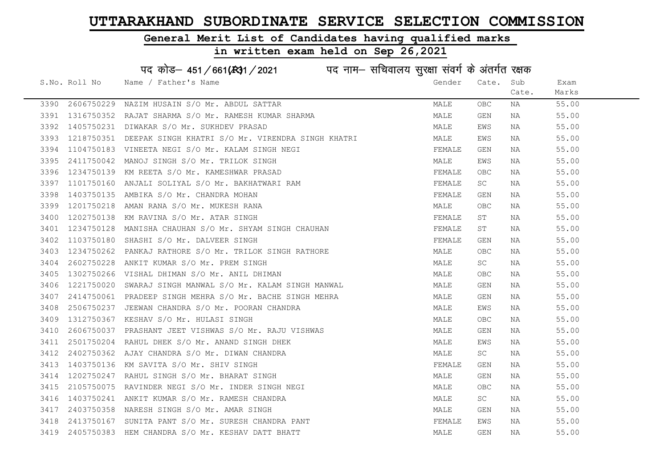#### General Merit List of Candidates having qualified marks

#### in written exam held on Sep 26,2021

S.No. Roll No Name / Father's Name Gender Cate. Sub Cate. Exam Marks पद कोड– 451/661(स्था) / 2021 विज्ञान सचिवालय सुरक्षा संवर्ग के अंतर्गत रक्षक 3390 2606750229 NAZIM HUSAIN S/O Mr. ABDUL SATTAR MALE OBC NA 55.00 3391 1316750352 RAJAT SHARMA S/O Mr. RAMESH KUMAR SHARMA MALE GEN NA 55.00 3392 1405750231 DIWAKAR S/O Mr. SUKHDEV PRASAD NA SONO MALE EWS NA S5.00 3393 1218750351 DEEPAK SINGH KHATRI S/O Mr. VIRENDRA SINGH KHATRI NANA MALE KWS NA 165.00 3394 1104750183 VINEETANEGI S/OM r. KALAM SINGH NEGI SARA SHARA TEMALE GEN NA S5.00 3395 2411750042 MANOJ SINGH S/O Mr. TRILOK SINGH MALE EWS NA 55.00 3396 1234750139 KM REETA S/O Mr. KAMESHWAR PRASAD **FEMALE OBC NA 55.00** 3397 1101750160 ANJALI SOLIYAL S/O Mr. BAKHATWARI RAM **FEMALE** SC NA 55.00 3398 1403750135 AMBIKA S/O Mr. CHANDRA MOHAN FEMALE GEN NA 55.00 3399 1201750218 AMAN RANA S/O Mr. MUKESH RANA MALE OBC NA 55.00 3400 1202750138 KM RAVINA S/O Mr. ATAR SINGH FEMALE ST NA 55.00 3401 1234750128 MANISHA CHAUHAN S/O Mr. SHYAM SINGH CHAUHAN FEMALE ST NA 55.00 3402 1103750180 SHASHI S/O Mr. DALVEER SINGH FEMALE GEN NA 55.00 3403 1234750262 PANKAJ RATHORE S/O Mr. TRILOK SINGH RATHORE MANUS MALE OBC NA 55.00 3404 2602750228 ANKIT KUMAR S/O Mr. PREM SINGH MALE SC NA 55.00 3405 1302750266 VISHAL DHIMAN S/O Mr. ANIL DHIMAN MALE OBC NA 55.00 3406 1221750020 SWARAJ SINGH MANWAL S/O Mr. KALAM SINGH MANWAL MALE GEN NA 55.00 3407 2414750061 PRADEEP SINGH MEHRA S/O Mr. BACHE SINGH MEHRA MALE GEN NA 55.00 3408 2506750237 JEEWAN CHANDRA S/O Mr. POORAN CHANDRA MALE EWS NA 55.00 3409 1312750367 KESHAV S/O Mr. HULASI SINGH MALE OBC NA 55.00 3410 2606750037 PRASHANT JEET VISHWAS S/O Mr. RAJU VISHWAS MARRE MALE GEN NA 55.00 3411 2501750204 RAHUL DHEK S/O Mr. ANAND SINGH DHEK MALE EWS NA 55.00 3412 2402750362 AJAY CHANDRA S/O Mr. DIWAN CHANDRA MALE SC NA 55.00 3413 1403750136 KM SAVITA S/O Mr. SHIV SINGH FEMALE GEN NA 55.00 3414 1202750247 RAHUL SINGH S/O Mr. BHARAT SINGH MALE GEN NA 55.00 3415 2105750075 RAVINDER NEGI S/O Mr. INDER SINGH NEGI MALE OBC NA 55.00 3416 1403750241 ANKIT KUMAR S/O Mr. RAMESH CHANDRA MALE SC NA 55.00 3417 2403750358 NARESH SINGH S/O Mr. AMAR SINGH MALE GEN NA 55.00 3418 2413750167 SUNITA PANT S/O Mr. SURESH CHANDRA PANT FEMALE EWS NA 55.00 3419 2405750383 HEM CHANDRA S/O Mr. KESHAV DATT BHATT MALE GEN NA 55.00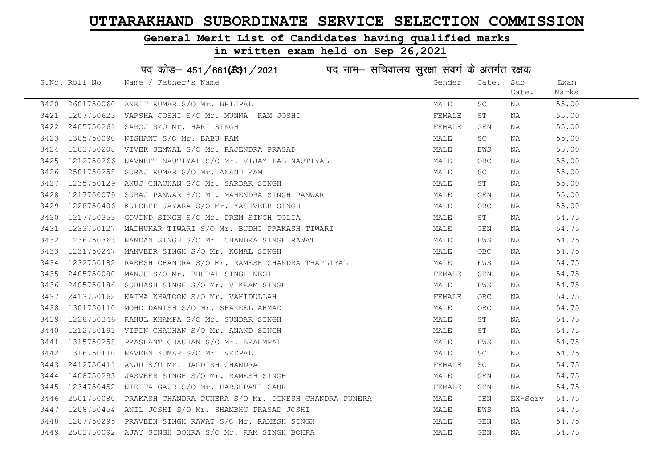#### General Merit List of Candidates having qualified marks

|      |               | पद कोड़– 451/661(स्था/2021 व्यान सचिवालय सुरक्षा संवर्ग के अंतर्गत रक्षक |        |                                  |         |       |
|------|---------------|--------------------------------------------------------------------------|--------|----------------------------------|---------|-------|
|      | S.No. Roll No | Name / Father's Name                                                     | Gender | Cate.                            | Sub     | Exam  |
|      |               |                                                                          |        |                                  | Cate.   | Marks |
| 3420 | 2601750060    | ANKIT KUMAR S/O Mr. BRIJPAL                                              | MALE   | $\operatorname{SC}$              | ΝA      | 55.00 |
| 3421 | 1207750623    | VARSHA JOSHI S/O Mr. MUNNA RAM JOSHI                                     | FEMALE | ST                               | NA      | 55.00 |
| 3422 | 2405750261    | SAROJ S/O Mr. HARI SINGH                                                 | FEMALE | GEN                              | ΝA      | 55.00 |
| 3423 | 1305750090    | NISHANT S/O Mr. BABU RAM                                                 | MALE   | SC                               | NA      | 55.00 |
| 3424 | 1103750208    | VIVEK SEMWAL S/O Mr. RAJENDRA PRASAD                                     | MALE   | EWS                              | NA      | 55.00 |
| 3425 | 1212750266    | NAVNEET NAUTIYAL S/O Mr. VIJAY LAL NAUTIYAL                              | MALE   | $\mathsf{O}\mathsf{B}\mathsf{C}$ | NA      | 55.00 |
| 3426 | 2501750258    | SURAJ KUMAR S/O Mr. ANAND RAM                                            | MALE   | SC                               | NA      | 55.00 |
| 3427 | 1235750129    | ANUJ CHAUHAN S/O Mr. SARDAR SINGH                                        | MALE   | SΤ                               | ΝA      | 55.00 |
| 3428 | 1217750079    | SURAJ PANWAR S/O Mr. MAHENDRA SINGH PANWAR                               | MALE   | GEN                              | ΝA      | 55.00 |
| 3429 | 1228750406    | KULDEEP JAYARA S/O Mr. YASHVEER SINGH                                    | MALE   | OBC                              | NA      | 55.00 |
| 3430 | 1217750353    | GOVIND SINGH S/O Mr. PREM SINGH TOLIA                                    | MALE   | ST                               | NA      | 54.75 |
| 3431 | 1233750127    | MADHUKAR TIWARI S/O Mr. BUDHI PRAKASH TIWARI                             | MALE   | GEN                              | ΝA      | 54.75 |
| 3432 | 1236750363    | NANDAN SINGH S/O Mr. CHANDRA SINGH RAWAT                                 | MALE   | EWS                              | NA      | 54.75 |
| 3433 |               | 1231750247 MANVEER SINGH S/O Mr. KOMAL SINGH                             | MALE   | <b>OBC</b>                       | NA      | 54.75 |
| 3434 | 1232750182    | RAKESH CHANDRA S/O Mr. RAMESH CHANDRA THAPLIYAL                          | MALE   | EWS                              | ΝA      | 54.75 |
| 3435 | 2405750080    | MANJU S/O Mr. BHUPAL SINGH NEGI                                          | FEMALE | $\mathop{\mathsf{GEN}}$          | ΝA      | 54.75 |
| 3436 | 2405750184    | SUBHASH SINGH S/O Mr. VIKRAM SINGH                                       | MALE   | EWS                              | NA      | 54.75 |
| 3437 | 2413750162    | NAIMA KHATOON S/O Mr. VAHIDULLAH                                         | FEMALE | <b>OBC</b>                       | NA      | 54.75 |
| 3438 | 1301750110    | MOHD DANISH S/O Mr. SHAKEEL AHMAD                                        | MALE   | $\mathsf{O}\mathsf{B}\mathsf{C}$ | ΝA      | 54.75 |
| 3439 | 1228750346    | RAHUL KHAMPA S/O Mr. SUNDAR SINGH                                        | MALE   | ST                               | ΝA      | 54.75 |
| 3440 |               | 1212750191 VIPIN CHAUHAN S/O Mr. ANAND SINGH                             | MALE   | ST                               | ΝA      | 54.75 |
| 3441 | 1315750258    | PRASHANT CHAUHAN S/O Mr. BRAHMPAL                                        | MALE   | EWS                              | NA      | 54.75 |
| 3442 | 1316750110    | NAVEEN KUMAR S/O Mr. VEDPAL                                              | MALE   | SC                               | NA      | 54.75 |
| 3443 | 2412750411    | ANJU S/O Mr. JAGDISH CHANDRA                                             | FEMALE | SC                               | ΝA      | 54.75 |
| 3444 | 1408750293    | JASVEER SINGH S/O Mr. RAMESH SINGH                                       | MALE   | GEN                              | NA      | 54.75 |
| 3445 |               | 1234750452 NIKITA GAUR S/O Mr. HARSHPATI GAUR                            | FEMALE | GEN                              | NA      | 54.75 |
| 3446 | 2501750080    | PRAKASH CHANDRA PUNERA S/O Mr. DINESH CHANDRA PUNERA                     | MALE   | GEN                              | EX-Serv | 54.75 |
| 3447 |               | 1208750454 ANIL JOSHI S/O Mr. SHAMBHU PRASAD JOSHI                       | MALE   | EWS                              | NA      | 54.75 |
| 3448 |               | 1207750295 PRAVEEN SINGH RAWAT S/O Mr. RAMESH SINGH                      | MALE   | GEN                              | NA      | 54.75 |
| 3449 |               | 2503750092 AJAY SINGH BOHRA S/O Mr. RAM SINGH BOHRA                      | MALE   | $\mathop{\mathsf{GEN}}$          | ΝA      | 54.75 |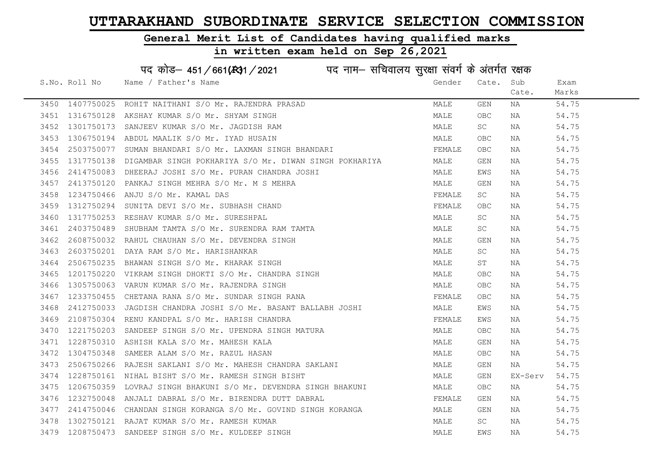#### General Merit List of Candidates having qualified marks

| पद कोड़- 451/661(431/2021 पद नाम- सचिवालय सुरक्षा संवर्ग के अंतर्गत रक्षक |                 |                                                                   |        |             |         |       |  |
|---------------------------------------------------------------------------|-----------------|-------------------------------------------------------------------|--------|-------------|---------|-------|--|
|                                                                           | S.No. Roll No   | Name / Father's Name                                              | Gender | Cate.       | Sub     | Exam  |  |
|                                                                           |                 |                                                                   |        |             | Cate.   | Marks |  |
|                                                                           | 3450 1407750025 | ROHIT NAITHANI S/O Mr. RAJENDRA PRASAD                            | MALE   | GEN         | NA      | 54.75 |  |
| 3451                                                                      | 1316750128      | AKSHAY KUMAR S/O Mr. SHYAM SINGH                                  | MALE   | <b>OBC</b>  | NA      | 54.75 |  |
| 3452                                                                      | 1301750173      | SANJEEV KUMAR S/O Mr. JAGDISH RAM                                 | MALE   | SC          | NA      | 54.75 |  |
| 3453                                                                      | 1306750194      | ABDUL MAALIK S/O Mr. IYAD HUSAIN                                  | MALE   | <b>OBC</b>  | NA      | 54.75 |  |
| 3454                                                                      | 2503750077      | SUMAN BHANDARI S/O Mr. LAXMAN SINGH BHANDARI                      | FEMALE | OBC         | NA      | 54.75 |  |
| 3455                                                                      |                 | 1317750138 DIGAMBAR SINGH POKHARIYA S/O Mr. DIWAN SINGH POKHARIYA | MALE   | GEN         | NA      | 54.75 |  |
| 3456                                                                      |                 | 2414750083 DHEERAJ JOSHI S/O Mr. PURAN CHANDRA JOSHI              | MALE   | EWS         | NA      | 54.75 |  |
| 3457                                                                      | 2413750120      | PANKAJ SINGH MEHRA S/O Mr. M S MEHRA                              | MALE   | GEN         | NA      | 54.75 |  |
| 3458                                                                      | 1234750466      | ANJU S/O Mr. KAMAL DAS                                            | FEMALE | SC          | NA      | 54.75 |  |
| 3459                                                                      | 1312750294      | SUNITA DEVI S/O Mr. SUBHASH CHAND                                 | FEMALE | OBC         | NA      | 54.75 |  |
| 3460                                                                      |                 | 1317750253 RESHAV KUMAR S/O Mr. SURESHPAL                         | MALE   | SC          | NA      | 54.75 |  |
| 3461                                                                      | 2403750489      | SHUBHAM TAMTA S/O Mr. SURENDRA RAM TAMTA                          | MALE   | SC          | ΝA      | 54.75 |  |
| 3462                                                                      |                 | 2608750032 RAHUL CHAUHAN S/O Mr. DEVENDRA SINGH                   | MALE   | GEN         | NA      | 54.75 |  |
| 3463                                                                      |                 | 2603750201 DAYA RAM S/O Mr. HARISHANKAR                           | MALE   | SC          | NA      | 54.75 |  |
| 3464                                                                      |                 | 2506750235 BHAWAN SINGH S/O Mr. KHARAK SINGH                      | MALE   | ST          | NA      | 54.75 |  |
| 3465                                                                      | 1201750220      | VIKRAM SINGH DHOKTI S/O Mr. CHANDRA SINGH                         | MALE   | ${\sf OBC}$ | NA      | 54.75 |  |
| 3466                                                                      | 1305750063      | VARUN KUMAR S/O Mr. RAJENDRA SINGH                                | MALE   | <b>OBC</b>  | NA      | 54.75 |  |
| 3467                                                                      |                 | 1233750455 CHETANA RANA S/O Mr. SUNDAR SINGH RANA                 | FEMALE | OBC         | NA      | 54.75 |  |
| 3468                                                                      | 2412750033      | JAGDISH CHANDRA JOSHI S/O Mr. BASANT BALLABH JOSHI                | MALE   | EWS         | NA      | 54.75 |  |
| 3469                                                                      | 2108750304      | RENU KANDPAL S/O Mr. HARISH CHANDRA                               | FEMALE | EWS         | NA      | 54.75 |  |
| 3470                                                                      |                 | 1221750203 SANDEEP SINGH S/O Mr. UPENDRA SINGH MATURA             | MALE   | OBC         | NA      | 54.75 |  |
| 3471                                                                      |                 | 1228750310 ASHISH KALA S/O Mr. MAHESH KALA                        | MALE   | GEN         | NA      | 54.75 |  |
| 3472                                                                      |                 | 1304750348 SAMEER ALAM S/O Mr. RAZUL HASAN                        | MALE   | <b>OBC</b>  | NA      | 54.75 |  |
| 3473                                                                      | 2506750266      | RAJESH SAKLANI S/O Mr. MAHESH CHANDRA SAKLANI                     | MALE   | GEN         | NA      | 54.75 |  |
| 3474                                                                      | 1228750161      | NIHAL BISHT S/O Mr. RAMESH SINGH BISHT                            | MALE   | GEN         | EX-Serv | 54.75 |  |
| 3475                                                                      | 1206750359      | LOVRAJ SINGH BHAKUNI S/O Mr. DEVENDRA SINGH BHAKUNI               | MALE   | <b>OBC</b>  | NA      | 54.75 |  |
| 3476                                                                      | 1232750048      | ANJALI DABRAL S/O Mr. BIRENDRA DUTT DABRAL                        | FEMALE | GEN         | NA      | 54.75 |  |
| 3477                                                                      |                 | 2414750046 CHANDAN SINGH KORANGA S/O Mr. GOVIND SINGH KORANGA     | MALE   | GEN         | NA      | 54.75 |  |
| 3478                                                                      |                 | 1302750121 RAJAT KUMAR S/O Mr. RAMESH KUMAR                       | MALE   | SC          | ΝA      | 54.75 |  |
|                                                                           |                 | 3479 1208750473 SANDEEP SINGH S/O Mr. KULDEEP SINGH               | MALE   | EWS         | NA      | 54.75 |  |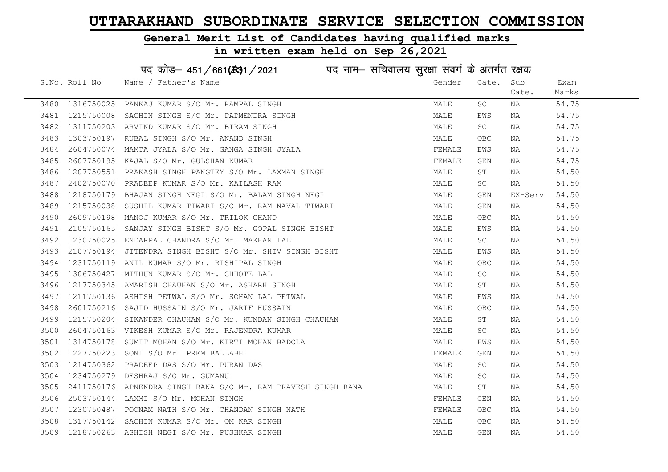#### General Merit List of Candidates having qualified marks

|      |               | पद कोड़– 451/661(131/2021 पद नाम– सचिवालय सुरक्षा संवर्ग के अंतर्गत रक्षक |        |                     |         |       |
|------|---------------|---------------------------------------------------------------------------|--------|---------------------|---------|-------|
|      | S.No. Roll No | Name / Father's Name                                                      | Gender | Cate.               | Sub     | Exam  |
|      |               |                                                                           |        |                     | Cate.   | Marks |
|      |               | 3480 1316750025 PANKAJ KUMAR S/O Mr. RAMPAL SINGH                         | MALE   | SC                  | NA      | 54.75 |
| 3481 |               | 1215750008 SACHIN SINGH S/O Mr. PADMENDRA SINGH                           | MALE   | EWS                 | NA      | 54.75 |
| 3482 | 1311750203    | ARVIND KUMAR S/O Mr. BIRAM SINGH                                          | MALE   | SC                  | NA      | 54.75 |
| 3483 | 1303750197    | RUBAL SINGH S/O Mr. ANAND SINGH                                           | MALE   | OBC.                | NA      | 54.75 |
| 3484 | 2604750074    | MAMTA JYALA S/O Mr. GANGA SINGH JYALA                                     | FEMALE | EWS                 | NA      | 54.75 |
| 3485 |               | 2607750195 KAJAL S/O Mr. GULSHAN KUMAR                                    | FEMALE | GEN                 | NA      | 54.75 |
| 3486 |               | 1207750551 PRAKASH SINGH PANGTEY S/O Mr. LAXMAN SINGH                     | MALE   | ST                  | NA      | 54.50 |
| 3487 |               | 2402750070 PRADEEP KUMAR S/O Mr. KAILASH RAM                              | MALE   | $\operatorname{SC}$ | NA      | 54.50 |
| 3488 | 1218750179    | BHAJAN SINGH NEGI S/O Mr. BALAM SINGH NEGI                                | MALE   | GEN                 | EX-Serv | 54.50 |
| 3489 | 1215750038    | SUSHIL KUMAR TIWARI S/O Mr. RAM NAVAL TIWARI                              | MALE   | GEN                 | NA      | 54.50 |
| 3490 | 2609750198    | MANOJ KUMAR S/O Mr. TRILOK CHAND                                          | MALE   | OBC                 | NA      | 54.50 |
| 3491 | 2105750165    | SANJAY SINGH BISHT S/O Mr. GOPAL SINGH BISHT                              | MALE   | EWS                 | NA      | 54.50 |
| 3492 |               | 1230750025 ENDARPAL CHANDRA S/O Mr. MAKHAN LAL                            | MALE   | SC                  | NA      | 54.50 |
| 3493 |               | 2107750194 JITENDRA SINGH BISHT S/O Mr. SHIV SINGH BISHT                  | MALE   | EWS                 | NA      | 54.50 |
| 3494 |               | 1231750119 ANIL KUMAR S/O Mr. RISHIPAL SINGH                              | MALE   | OBC                 | NA      | 54.50 |
| 3495 | 1306750427    | MITHUN KUMAR S/O Mr. CHHOTE LAL                                           | MALE   | SC                  | NA      | 54.50 |
| 3496 | 1217750345    | AMARISH CHAUHAN S/O Mr. ASHARH SINGH                                      | MALE   | ST                  | NA      | 54.50 |
| 3497 |               | 1211750136 ASHISH PETWAL S/O Mr. SOHAN LAL PETWAL                         | MALE   | EWS                 | NA      | 54.50 |
| 3498 | 2601750216    | SAJID HUSSAIN S/O Mr. JARIF HUSSAIN                                       | MALE   | OBC                 | NA      | 54.50 |
| 3499 |               | 1215750204 SIKANDER CHAUHAN S/O Mr. KUNDAN SINGH CHAUHAN                  | MALE   | ST                  | NA      | 54.50 |
| 3500 |               | 2604750163 VIKESH KUMAR S/O Mr. RAJENDRA KUMAR                            | MALE   | SC                  | NA      | 54.50 |
| 3501 |               | 1314750178 SUMIT MOHAN S/O Mr. KIRTI MOHAN BADOLA                         | MALE   | EWS                 | NA      | 54.50 |
| 3502 | 1227750223    | SONI S/O Mr. PREM BALLABH                                                 | FEMALE | GEN                 | NA      | 54.50 |
| 3503 | 1214750362    | PRADEEP DAS S/O Mr. PURAN DAS                                             | MALE   | SC                  | NA      | 54.50 |
| 3504 | 1234750279    | DESHRAJ S/O Mr. GUMANU                                                    | MALE   | SC.                 | NA      | 54.50 |
| 3505 |               | 2411750176 APNENDRA SINGH RANA S/O Mr. RAM PRAVESH SINGH RANA             | MALE   | SΤ                  | NA      | 54.50 |
| 3506 |               | 2503750144 LAXMI S/O Mr. MOHAN SINGH                                      | FEMALE | GEN                 | NA      | 54.50 |
| 3507 |               | 1230750487 POONAM NATH S/O Mr. CHANDAN SINGH NATH                         | FEMALE | OBC.                | NA      | 54.50 |
| 3508 |               | 1317750142 SACHIN KUMAR S/O Mr. OM KAR SINGH                              | MALE   | OBC.                | NA      | 54.50 |
|      |               | 3509 1218750263 ASHISH NEGI S/O Mr. PUSHKAR SINGH                         | MALE   | <b>GEN</b>          | ΝA      | 54.50 |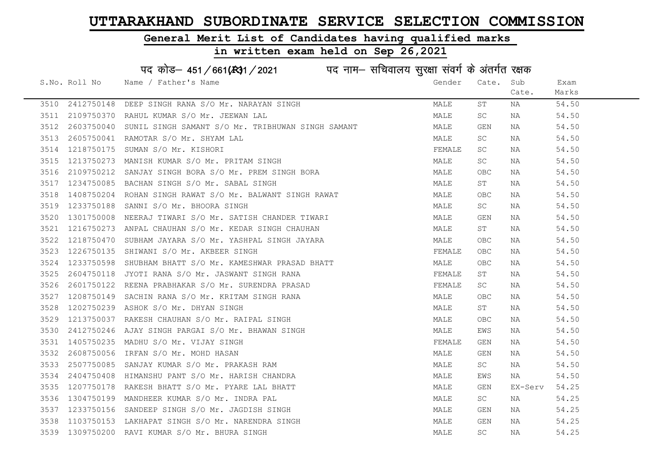#### General Merit List of Candidates having qualified marks

## in written exam held on Sep 26,2021

# पद कोड– 451/661(स्था/2021 व्यान सचिवालय सुरक्षा संवर्ग के अंतर्गत रक्षक

|      | S.No. Roll No | Name / Father's Name                                                                                                                                                                                                                       | Gender | Cate.      | Sub     | Exam  |
|------|---------------|--------------------------------------------------------------------------------------------------------------------------------------------------------------------------------------------------------------------------------------------|--------|------------|---------|-------|
|      |               |                                                                                                                                                                                                                                            |        |            | Cate.   | Marks |
|      |               | 3510 2412750148 DEEP SINGH RANA S/O Mr. NARAYAN SINGH                                                                                                                                                                                      | MALE   | ST         | NA      | 54.50 |
| 3511 |               | 2109750370 RAHUL KUMAR S/O Mr. JEEWAN LAL                                                                                                                                                                                                  | MALE   | SC         | NA      | 54.50 |
| 3512 |               | 2603750040 SUNIL SINGH SAMANT S/O Mr. TRIBHUWAN SINGH SAMANT                                                                                                                                                                               | MALE   | GEN        | NA      | 54.50 |
| 3513 | 2605750041    | RAMOTAR S/O Mr. SHYAM LAL                                                                                                                                                                                                                  | MALE   | SC.        | NA      | 54.50 |
| 3514 | 1218750175    | SUMAN S/O Mr. KISHORI                                                                                                                                                                                                                      | FEMALE | SC         | NA      | 54.50 |
| 3515 | 1213750273    | MANISH KUMAR S/O Mr. PRITAM SINGH                                                                                                                                                                                                          | MALE   | <b>SC</b>  | NA      | 54.50 |
| 3516 |               | 2109750212 SANJAY SINGH BORA S/O Mr. PREM SINGH BORA                                                                                                                                                                                       | MALE   | <b>OBC</b> | NA      | 54.50 |
| 3517 |               | 1234750085 BACHAN SINGH S/O Mr. SABAL SINGH                                                                                                                                                                                                | MALE   | ST         | NA      | 54.50 |
| 3518 | 1408750204    | ROHAN SINGH RAWAT S/O Mr. BALWANT SINGH RAWAT                                                                                                                                                                                              | MALE   | <b>OBC</b> | NA      | 54.50 |
| 3519 | 1233750188    | SANNI S/O Mr. BHOORA SINGH                                                                                                                                                                                                                 | MALE   | SC         | NA      | 54.50 |
| 3520 |               | 1301750008 NEERAJ TIWARI S/O Mr. SATISH CHANDER TIWARI                                                                                                                                                                                     | MALE   | GEN        | NA      | 54.50 |
| 3521 | 1216750273    | ANPAL CHAUHAN S/O Mr. KEDAR SINGH CHAUHAN                                                                                                                                                                                                  | MALE   | ST         | NA      | 54.50 |
| 3522 |               | 1218750470 SUBHAM JAYARA S/O Mr. YASHPAL SINGH JAYARA                                                                                                                                                                                      | MALE   | OBC        | NA      | 54.50 |
| 3523 |               | 1226750135 SHIWANI S/O Mr. AKBEER SINGH                                                                                                                                                                                                    | FEMALE | <b>OBC</b> | NA      | 54.50 |
| 3524 | 1233750598    | SHUBHAM BHATT S/O Mr. KAMESHWAR PRASAD BHATT                                                                                                                                                                                               | MALE   | OBC        | NA      | 54.50 |
| 3525 |               |                                                                                                                                                                                                                                            | FEMALE | ST         | NA      | 54.50 |
| 3526 |               |                                                                                                                                                                                                                                            | FEMALE | SC         | NA      | 54.50 |
| 3527 |               |                                                                                                                                                                                                                                            | MALE   | <b>OBC</b> | NA      | 54.50 |
| 3528 |               |                                                                                                                                                                                                                                            | MALE   | ST         | NA      | 54.50 |
| 3529 |               |                                                                                                                                                                                                                                            | MALE   | <b>OBC</b> | NA      | 54.50 |
| 3530 |               |                                                                                                                                                                                                                                            | MALE   | EWS        | NA      | 54.50 |
| 3531 |               |                                                                                                                                                                                                                                            | FEMALE | GEN        | NA      | 54.50 |
| 3532 |               |                                                                                                                                                                                                                                            | MALE   | GEN        | NA      | 54.50 |
| 3533 |               |                                                                                                                                                                                                                                            | MALE   | SC .       | NA      | 54.50 |
| 3534 |               |                                                                                                                                                                                                                                            | MALE   | EWS        | NA      | 54.50 |
| 3535 |               |                                                                                                                                                                                                                                            | MALE   | GEN        | EX-Serv | 54.25 |
| 3536 |               |                                                                                                                                                                                                                                            | MALE   | SC         | NA      | 54.25 |
| 3537 |               |                                                                                                                                                                                                                                            | MALE   | GEN        | NA      | 54.25 |
| 3538 |               | 1233750598 SHUBHAM BHATT S/O Mr. KAMESHWAR PRASAD BHATT<br>2604750118 JYOTI RANA S/O Mr. JASWANT SINGH RANA<br>2601750122 REENA PRABHAKAR S/O Mr. SURENDRA PRASAD<br>1208750149 SACHIN RANA S/O Mr. KRITAM SINGH RANA<br>120750238 ASHOK S | MALE   | GEN        | NA      | 54.25 |
|      |               | 3539 1309750200 RAVI KUMAR S/O Mr. BHURA SINGH                                                                                                                                                                                             | MALE   | SC         | NA      | 54.25 |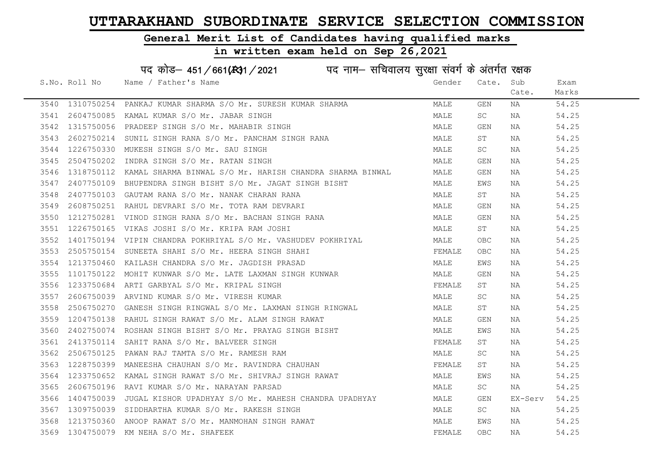#### General Merit List of Candidates having qualified marks

## in written exam held on Sep 26,2021

# पद कोड– 451/661(स्था/2021 व्यान सचिवालय सुरक्षा संवर्ग के अंतर्गत रक्षक

|      | S.No. Roll No Mame / Father's Name                                                                                                                                                                                                  | Gender | Cate.     | Sub         | Exam  |
|------|-------------------------------------------------------------------------------------------------------------------------------------------------------------------------------------------------------------------------------------|--------|-----------|-------------|-------|
|      |                                                                                                                                                                                                                                     |        |           | Cate.       | Marks |
|      | 3540 1310750254 PANKAJ KUMAR SHARMA S/O Mr. SURESH KUMAR SHARMA<br>3541 2604750085 KAMAL KUMAR S/O Mr. JABAR SINGH<br>3542 1315750056 PRADEEP SINGH S/O Mr. MAHABIR SINGH<br>3543 2602750214 SUNIL SINGH RANA S/O Mr. PANGUAM SINGH | MALE   | GEN       | NA          | 54.25 |
|      |                                                                                                                                                                                                                                     | MALE   | <b>SC</b> | NA          | 54.25 |
|      |                                                                                                                                                                                                                                     |        | GEN       | NA          | 54.25 |
|      | 1315750056 PRADEEP SINGH S/O Mr. MAHABIR SINGH<br>2602750214 SUNIL SINGH RANA S/O Mr. PANCHAM SINGH RANA MALE<br>1226750330 MUKESH SINGH S/O Mr. SAU SINGH<br>1226750330 MUKESH SINGH S/O Mr. RATAN SINGH MALE MALE                 |        | ST        | NA          | 54.25 |
| 3544 | 1226750330 MUKESH SINGH S/O Mr. SAU SINGH                                                                                                                                                                                           |        | SC        | NA          | 54.25 |
| 3545 |                                                                                                                                                                                                                                     |        | GEN       | NA          | 54.25 |
| 3546 | 1318750112 KAMAL SHARMA BINWAL S/O Mr. HARISH CHANDRA SHARMA BINWAL MALE                                                                                                                                                            |        | GEN       | NA          | 54.25 |
| 3547 | 2407750109 BHUPENDRA SINGH BISHT S/O Mr. JAGAT SINGH BISHT NALE                                                                                                                                                                     |        | EWS       | NA          | 54.25 |
| 3548 |                                                                                                                                                                                                                                     |        | ST        | NA          | 54.25 |
| 3549 | 2407750103 GAUTAM RANA S/O Mr. NANAK CHARAN RANA<br>2608750251 RAHUL DEVRARI S/O Mr. TOTA RAM DEVRARI<br>1212750281 VINOD SINGH RANA S/O Mr. BACHAN SINGH RANA MALE MALE                                                            |        | GEN       | NA          | 54.25 |
| 3550 |                                                                                                                                                                                                                                     |        | GEN       | NA          | 54.25 |
|      | MALE<br>3551 1226750165 VIKAS JOSHI S/O Mr. KRIPA RAM JOSHI                                                                                                                                                                         |        | ST        | NA          | 54.25 |
|      |                                                                                                                                                                                                                                     |        | OBC       | NA          | 54.25 |
|      |                                                                                                                                                                                                                                     |        | OBC       | NA          | 54.25 |
|      |                                                                                                                                                                                                                                     |        | EWS       | NA          | 54.25 |
| 3555 |                                                                                                                                                                                                                                     |        | GEN       | NA          | 54.25 |
| 3556 |                                                                                                                                                                                                                                     |        | ST        | NA          | 54.25 |
| 3557 |                                                                                                                                                                                                                                     |        | <b>SC</b> | NA          | 54.25 |
| 3558 | 2506750270 GANESH SINGH RINGWAL S/O Mr. LAXMAN SINGH RINGWAL MALE                                                                                                                                                                   |        | ST        | NA          | 54.25 |
| 3559 | 1204750138 RAHUL SINGH RAWAT S/O Mr. ALAM SINGH RAWAT                                                                                                                                                                               |        | GEN       | NA          | 54.25 |
|      | 3560 2402750074 ROSHAN SINGH BISHT S/O Mr. PRAYAG SINGH BISHT<br>3561 2413750114 SAHIT RANA S/O Mr. BALVEER SINGH<br>3562 2506750125 PAWAN RAJ TAMTA S/O Mr. RAMESH RAM                                                             | MALE   | EWS       | NA          | 54.25 |
|      |                                                                                                                                                                                                                                     | FEMALE | ST        | NA          | 54.25 |
|      |                                                                                                                                                                                                                                     | MALE   | SC        | NA          | 54.25 |
|      | 3563 1228750399 MANEESHA CHAUHAN S/O Mr. RAVINDRA CHAUHAN                                                                                                                                                                           |        | ST        | NA 1999.    | 54.25 |
|      | 3564 1233750652 KAMAL SINGH RAWAT S/O Mr. SHIVRAJ SINGH RAWAT                                                                                                                                                                       | MALE   | EWS       | NA          | 54.25 |
| 3565 | MALE<br>2606750196 RAVI KUMAR S/O Mr. NARAYAN PARSAD                                                                                                                                                                                |        | <b>SC</b> | NA 1999.    | 54.25 |
| 3566 | 1404750039 JUGAL KISHOR UPADHYAY S/O Mr. MAHESH CHANDRA UPADHYAY MALE                                                                                                                                                               |        | GEN       | EX-Serv     | 54.25 |
| 3567 | 1309750039 SIDDHARTHA KUMAR S/O Mr. RAKESH SINGH                                                                                                                                                                                    | MALE   | SC.       | NA 1999.    | 54.25 |
| 3568 | 1213750360 ANOOP RAWAT S/O Mr. MANMOHAN SINGH RAWAT<br>1304750079  KM NEHA S/O Mr. SHAFEEK                                                                                                                                          | MALE   | EWS       | NA 1993. NA | 54.25 |
|      | 3569 1304750079 KM NEHA S/O Mr. SHAFEEK                                                                                                                                                                                             | FEMALE | OBC.      | NA          | 54.25 |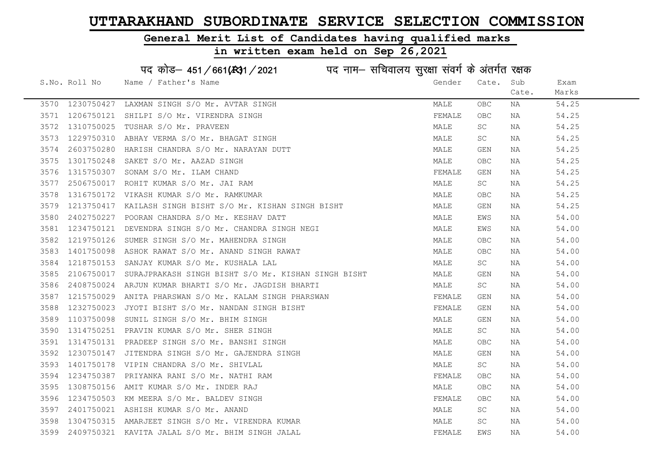#### General Merit List of Candidates having qualified marks

|      |               | पद कोड़– 451/661(431/2021 पद नाम– सचिवालय सुरक्षा संवर्ग के अंतर्गत रक्षक |        |                     |       |       |
|------|---------------|---------------------------------------------------------------------------|--------|---------------------|-------|-------|
|      | S.No. Roll No | Name / Father's Name                                                      | Gender | Cate.               | Sub   | Exam  |
|      |               |                                                                           |        |                     | Cate. | Marks |
| 3570 | 1230750427    | LAXMAN SINGH S/O Mr. AVTAR SINGH                                          | MALE   | <b>OBC</b>          | ΝA    | 54.25 |
| 3571 | 1206750121    | SHILPI S/O Mr. VIRENDRA SINGH                                             | FEMALE | OBC                 | NA    | 54.25 |
| 3572 | 1310750025    | TUSHAR S/O Mr. PRAVEEN                                                    | MALE   | SC                  | NA    | 54.25 |
| 3573 | 1229750310    | ABHAY VERMA S/O Mr. BHAGAT SINGH                                          | MALE   | SC                  | ΝA    | 54.25 |
| 3574 | 2603750280    | HARISH CHANDRA S/O Mr. NARAYAN DUTT                                       | MALE   | <b>GEN</b>          | ΝA    | 54.25 |
| 3575 | 1301750248    | SAKET S/O Mr. AAZAD SINGH                                                 | MALE   | OBC                 | ΝA    | 54.25 |
| 3576 | 1315750307    | SONAM S/O Mr. ILAM CHAND                                                  | FEMALE | <b>GEN</b>          | NA    | 54.25 |
| 3577 | 2506750017    | ROHIT KUMAR S/O Mr. JAI RAM                                               | MALE   | $\operatorname{SC}$ | ΝA    | 54.25 |
| 3578 | 1316750172    | VIKASH KUMAR S/O Mr. RAMKUMAR                                             | MALE   | OBC                 | ΝA    | 54.25 |
| 3579 | 1213750417    | KAILASH SINGH BISHT S/O Mr. KISHAN SINGH BISHT                            | MALE   | GEN                 | NA    | 54.25 |
| 3580 | 2402750227    | POORAN CHANDRA S/O Mr. KESHAV DATT                                        | MALE   | EWS                 | NA    | 54.00 |
| 3581 | 1234750121    | DEVENDRA SINGH S/O Mr. CHANDRA SINGH NEGI                                 | MALE   | EWS                 | ΝA    | 54.00 |
| 3582 | 1219750126    | SUMER SINGH S/O Mr. MAHENDRA SINGH                                        | MALE   | <b>OBC</b>          | NA    | 54.00 |
| 3583 | 1401750098    | ASHOK RAWAT S/O Mr. ANAND SINGH RAWAT                                     | MALE   | OBC                 | NA    | 54.00 |
| 3584 | 1218750153    | SANJAY KUMAR S/O Mr. KUSHALA LAL                                          | MALE   | SC                  | ΝA    | 54.00 |
| 3585 | 2106750017    | SURAJPRAKASH SINGH BISHT S/O Mr. KISHAN SINGH BISHT                       | MALE   | <b>GEN</b>          | NA    | 54.00 |
| 3586 | 2408750024    | ARJUN KUMAR BHARTI S/O Mr. JAGDISH BHARTI                                 | MALE   | SC                  | ΝA    | 54.00 |
| 3587 | 1215750029    | ANITA PHARSWAN S/O Mr. KALAM SINGH PHARSWAN                               | FEMALE | GEN                 | NA    | 54.00 |
| 3588 | 1232750023    | JYOTI BISHT S/O Mr. NANDAN SINGH BISHT                                    | FEMALE | <b>GEN</b>          | ΝA    | 54.00 |
| 3589 | 1103750098    | SUNIL SINGH S/O Mr. BHIM SINGH                                            | MALE   | GEN                 | ΝA    | 54.00 |
| 3590 | 1314750251    | PRAVIN KUMAR S/O Mr. SHER SINGH                                           | MALE   | SC                  | ΝA    | 54.00 |
| 3591 |               | 1314750131 PRADEEP SINGH S/O Mr. BANSHI SINGH                             | MALE   | $_{\rm OBC}$        | NA    | 54.00 |
| 3592 | 1230750147    | JITENDRA SINGH S/O Mr. GAJENDRA SINGH                                     | MALE   | GEN                 | ΝA    | 54.00 |
| 3593 | 1401750178    | VIPIN CHANDRA S/O Mr. SHIVLAL                                             | MALE   | SC                  | NA    | 54.00 |
| 3594 | 1234750387    | PRIYANKA RANI S/O Mr. NATHI RAM                                           | FEMALE | OBC                 | ΝA    | 54.00 |
| 3595 | 1308750156    | AMIT KUMAR S/O Mr. INDER RAJ                                              | MALE   | OBC                 | NA    | 54.00 |
| 3596 | 1234750503    | KM MEERA S/O Mr. BALDEV SINGH                                             | FEMALE | OBC                 | NA    | 54.00 |
| 3597 |               | 2401750021 ASHISH KUMAR S/O Mr. ANAND                                     | MALE   | SC                  | NA    | 54.00 |
| 3598 |               | 1304750315 AMARJEET SINGH S/O Mr. VIRENDRA KUMAR                          | MALE   | SC                  | NA    | 54.00 |
| 3599 |               | 2409750321 KAVITA JALAL S/O Mr. BHIM SINGH JALAL                          | FEMALE | EWS                 | ΝA    | 54.00 |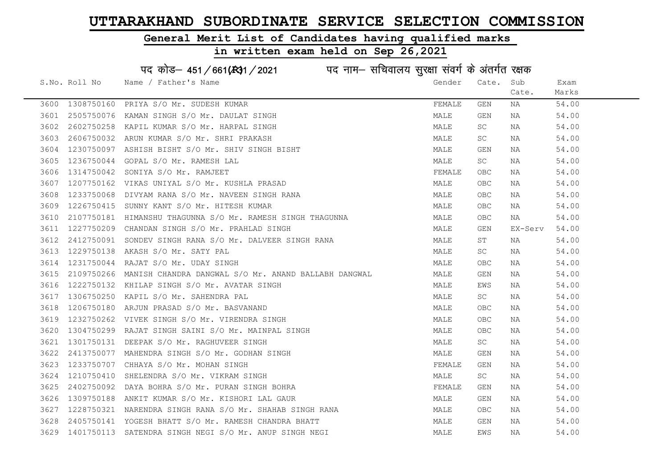Cate.

Exam Marks

#### General Merit List of Candidates having qualified marks

#### in written exam held on Sep 26,2021

S.No. Roll No Mame / Father's Name Gender Cate. Sub पद कोड– 451/661(स्था) / 2021 विज्ञान सचिवालय सुरक्षा संवर्ग के अंतर्गत रक्षक 3600 1308750160 PRIYA S/O Mr. SUDESH KUMAR FEMALE GEN NA 54.00 3601 2505750076 KAMAN SINGH S/O Mr. DAULAT SINGH MALE GEN NA 54.00 3602 2602750258 KAPIL KUMAR S/O Mr. HARPAL SINGH MALE SC NA 54.00 3603 2606750032 ARUN KUMAR S/O Mr. SHRI PRAKASH MALE SC NA 54.00 3604 1230750097 ASHISH BISHT S/O Mr. SHIV SINGH BISHT MALE GEN NA 54.00 3605 1236750044 GOPAL S/O Mr. RAMESH LAL MALE SC NA 54.00

| 3606 | 1314750042 SONIYA S/O Mr. RAMJEET<br>1207750162  VIKAS UNIYAL S/O Mr. KUSHLA PRASAD                                                                | FEMALE | OBC        | NA       | 54.00 |
|------|----------------------------------------------------------------------------------------------------------------------------------------------------|--------|------------|----------|-------|
| 3607 |                                                                                                                                                    | MALE   | OBC        | NA       | 54.00 |
| 3608 | 1233750068 DIVYAM RANA S/O Mr. NAVEEN SINGH RANA                                                                                                   | MALE   | OBC        | NA       | 54.00 |
| 3609 | 1226750415 SUNNY KANT S/O Mr. HITESH KUMAR                                                                                                         | MALE   | OBC        | NA       | 54.00 |
| 3610 | 2107750181 HIMANSHU THAGUNNA S/O Mr. RAMESH SINGH THAGUNNA                                                                                         | MALE   | <b>OBC</b> | NA 1999. | 54.00 |
| 3611 | 1227750209 CHANDAN SINGH S/O Mr. PRAHLAD SINGH                                                                                                     | MALE   | GEN        | EX-Serv  | 54.00 |
| 3612 | 2412750091 SONDEV SINGH RANA S/O Mr. DALVEER SINGH RANA                                                                                            | MALE   | ST         | NA       | 54.00 |
| 3613 | 1229750138 AKASH S/O Mr. SATY PAL                                                                                                                  | MALE   | SC         | NA       | 54.00 |
| 3614 | 1231750044 RAJAT S/O Mr. UDAY SINGH                                                                                                                | MALE   | OBC        | NA       | 54.00 |
| 3615 | 2109750266 MANISH CHANDRA DANGWAL S/O Mr. ANAND BALLABH DANGWAL                                                                                    | MALE   | GEN        | NA       | 54.00 |
|      | 3616 1222750132 KHILAP SINGH S/O Mr. AVATAR SINGH                                                                                                  | MALE   | EWS        | NA       | 54.00 |
|      |                                                                                                                                                    | MALE   | SC         | NA       | 54.00 |
|      | 3617 1306750250 KAPIL S/O Mr. SAHENDRA PAL<br>3618 1206750180 ARJUN PRASAD S/O Mr. BASVANAND<br>3619 1232750262 VIVEK SINGH S/O Mr. VIRENDRA SINGH | MALE   | OBC        | NA       | 54.00 |
|      |                                                                                                                                                    | MALE   | <b>OBC</b> | NA       | 54.00 |
|      | 3620 1304750299 RAJAT SINGH SAINI S/O Mr. MAINPAL SINGH                                                                                            | MALE   | OBC        | NA       | 54.00 |
| 3621 | 1301750131 DEEPAK S/O Mr. RAGHUVEER SINGH                                                                                                          | MALE   | SC -       | NA       | 54.00 |
| 3622 | 2413750077 MAHENDRA SINGH S/O Mr. GODHAN SINGH                                                                                                     | MALE   | GEN        | NA       | 54.00 |
| 3623 | 1233750707 CHHAYA S/O Mr. MOHAN SINGH                                                                                                              | FEMALE | GEN        | NA       | 54.00 |
| 3624 | 1210750410 SHELENDRA S/O Mr. VIKRAM SINGH                                                                                                          | MALE   | SC         | NA       | 54.00 |
| 3625 | 2402750092 DAYA BOHRA S/O Mr. PURAN SINGH BOHRA                                                                                                    | FEMALE | GEN        | NA       | 54.00 |
| 3626 | 1309750188 ANKIT KUMAR S/O Mr. KISHORI LAL GAUR                                                                                                    | MALE   | GEN        | NA       | 54.00 |
| 3627 | 1228750321 NARENDRA SINGH RANA S/O Mr. SHAHAB SINGH RANA                                                                                           | MALE   | OBC        | NA       | 54.00 |
| 3628 | 2405750141 YOGESH BHATT S/O Mr. RAMESH CHANDRA BHATT                                                                                               | MALE   | GEN        | NA       | 54.00 |
|      | 3629 1401750113 SATENDRA SINGH NEGI S/O Mr. ANUP SINGH NEGI                                                                                        | MALE   | EWS        | NA       | 54.00 |
|      |                                                                                                                                                    |        |            |          |       |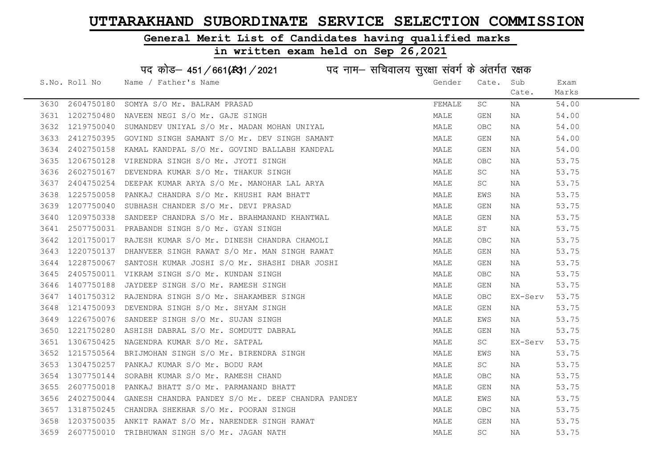#### General Merit List of Candidates having qualified marks

#### in written exam held on Sep 26,2021

S.No. Roll No Name / Father's Name Gender Cate. Sub Cate. Exam Marks पद कोड– 451/661(स्था) / 2021 विज्ञान सचिवालय सुरक्षा संवर्ग के अंतर्गत रक्षक 3630 2604750180 SOMYA S/O Mr. BALRAM PRASAD FEMALE SC NA 54.00 3631 1202750480 NAVEEN NEGI S/O Mr. GAJE SINGH MALE GEN NA 54.00 3632 1219750040 SUMANDEV UNIYAL S/O Mr. MADAN MOHAN UNIYAL MALE OBC NA 54.00 3633 2412750395 GOVIND SINGH SAMANT S/O Mr. DEV SINGH SAMANT MALE GEN NA 54.00 3634 2402750158 KAMAL KANDPAL S/O Mr. GOVIND BALLABH KANDPAL MALE GEN NA 54.00 3635 1206750128 VIRENDRA SINGH S/O Mr. JYOTI SINGH MALE OBC NA 53.75 3636 2602750167 DEVENDRA KUMAR S/O Mr. THAKUR SINGH MALE SC NA 53.75 3637 2404750254 DEEPAK KUMAR ARYA S/O Mr. MANOHAR LAL ARYA MALE SC NA 53.75 3638 1225750058 PANKAJ CHANDRA S/O Mr. KHUSHI RAM BHATT NA MALE EWS NA 53.75 3639 1207750040 SUBHASH CHANDER S/O Mr. DEVI PRASAD MALE GEN NA 53.75 3640 1209750338 SANDEEP CHANDRA S/O Mr. BRAHMANAND KHANTWAL MANA MALE GEN NA 53.75 3641 2507750031 PRABANDH SINGH S/O Mr. GYAN SINGH MALE ST NA 53.75 3642 1201750017 RAJESH KUMAR S/O Mr. DINESH CHANDRA CHAMOLI MALE OBC NA 53.75 3643 1220750137 DHANVEER SINGH RAWAT S/O Mr. MAN SINGH RAWAT MAN MALE GEN NA 53.75 3644 1228750067 SANTOSH KUMAR JOSHI S/O Mr. SHASHI DHAR JOSHI MALE GEN NA 53.75 3645 2405750011 VIKRAM SINGH S/O Mr. KUNDAN SINGH MALE OBC NA 53.75 3646 1407750188 JAYDEEP SINGH S/O Mr. RAMESH SINGH MALE GEN NA 53.75 3647 1401750312 RAJENDRA SINGH S/O Mr. SHAKAMBER SINGH MALE OBC EX-Serv 53.75 3648 1214750093 DEVENDRA SINGH S/O Mr. SHYAM SINGH MALE GEN NA 53.75 3649 1226750076 SANDEEP SINGH S/O Mr. SUJAN SINGH MALE EWS NA 53.75 3650 1221750280 ASHISH DABRAL S/O Mr. SOMDUTT DABRAL MALE GEN NA 53.75 3651 1306750425 NAGENDRA KUMAR S/O Mr. SATPAL MALE SC EX-Serv 53.75 3652 1215750564 BRIJMOHAN SINGH S/O Mr. BIRENDRA SINGH MALE EWS NA 53.75 3653 1304750257 PANKAJ KUMAR S/O Mr. BODU RAM MALE SC NA 53.75 3654 1307750144 SORABH KUMAR S/O Mr. RAMESH CHAND MALE OBC NA 53.75 3655 2607750018 PANKAJ BHATT S/O Mr. PARMANAND BHATT NA MALE GEN NA S3.75 3656 2402750044 GANESH CHANDRA PANDEY S/O Mr. DEEP CHANDRA PANDEY MALE MALE EWS NA 53.75 3657 1318750245 CHANDRA SHEKHAR S/O Mr. POORAN SINGH MALE OBC NA 53.75 3658 1203750035 ANKIT RAWAT S/O Mr. NARENDER SINGH RAWAT MALE GEN NA 53.75 3659 2607750010 TRIBHUWAN SINGH S/O Mr. JAGAN NATH MALE SC NA 53.75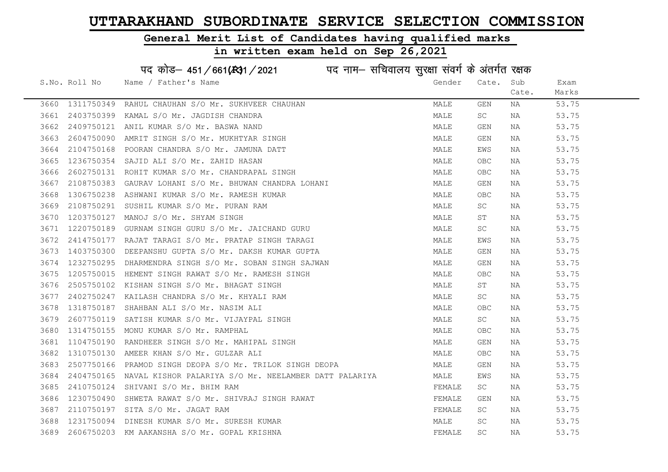## General Merit List of Candidates having qualified marks

|      |               | पद कोड़– 451/661(431/2021 पद नाम– सचिवालय सुरक्षा संवर्ग के अंतर्गत रक्षक |        |                         |       |       |
|------|---------------|---------------------------------------------------------------------------|--------|-------------------------|-------|-------|
|      | S.No. Roll No | Name / Father's Name                                                      | Gender | Cate.                   | Sub   | Exam  |
|      |               |                                                                           |        |                         | Cate. | Marks |
| 3660 | 1311750349    | RAHUL CHAUHAN S/O Mr. SUKHVEER CHAUHAN                                    | MALE   | $\mathop{\mathsf{GEN}}$ | ΝA    | 53.75 |
| 3661 | 2403750399    | KAMAL S/O Mr. JAGDISH CHANDRA                                             | MALE   | SC                      | NA    | 53.75 |
| 3662 | 2409750121    | ANIL KUMAR S/O Mr. BASWA NAND                                             | MALE   | GEN                     | ΝA    | 53.75 |
| 3663 | 2604750090    | AMRIT SINGH S/O Mr. MUKHTYAR SINGH                                        | MALE   | GEN                     | NA    | 53.75 |
| 3664 | 2104750168    | POORAN CHANDRA S/O Mr. JAMUNA DATT                                        | MALE   | EWS                     | NA    | 53.75 |
| 3665 | 1236750354    | SAJID ALI S/O Mr. ZAHID HASAN                                             | MALE   | OBC                     | NA    | 53.75 |
| 3666 | 2602750131    | ROHIT KUMAR S/O Mr. CHANDRAPAL SINGH                                      | MALE   | OBC                     | ΝA    | 53.75 |
| 3667 | 2108750383    | GAURAV LOHANI S/O Mr. BHUWAN CHANDRA LOHANI                               | MALE   | GEN                     | NA    | 53.75 |
| 3668 | 1306750238    | ASHWANI KUMAR S/O Mr. RAMESH KUMAR                                        | MALE   | OBC                     | NA    | 53.75 |
| 3669 | 2108750291    | SUSHIL KUMAR S/O Mr. PURAN RAM                                            | MALE   | SC                      | NA    | 53.75 |
| 3670 | 1203750127    | MANOJ S/O Mr. SHYAM SINGH                                                 | MALE   | SΤ                      | NA    | 53.75 |
| 3671 | 1220750189    | GURNAM SINGH GURU S/O Mr. JAICHAND GURU                                   | MALE   | SC                      | NA    | 53.75 |
| 3672 | 2414750177    | RAJAT TARAGI S/O Mr. PRATAP SINGH TARAGI                                  | MALE   | EWS                     | NA    | 53.75 |
| 3673 | 1403750300    | DEEPANSHU GUPTA S/O Mr. DAKSH KUMAR GUPTA                                 | MALE   | GEN                     | NA    | 53.75 |
| 3674 | 1232750295    | DHARMENDRA SINGH S/O Mr. SOBAN SINGH SAJWAN                               | MALE   | GEN                     | NA    | 53.75 |
| 3675 | 1205750015    | HEMENT SINGH RAWAT S/O Mr. RAMESH SINGH                                   | MALE   | <b>OBC</b>              | ΝA    | 53.75 |
| 3676 | 2505750102    | KISHAN SINGH S/O Mr. BHAGAT SINGH                                         | MALE   | ST                      | NA    | 53.75 |
| 3677 | 2402750247    | KAILASH CHANDRA S/O Mr. KHYALI RAM                                        | MALE   | SC                      | ΝA    | 53.75 |
| 3678 | 1318750187    | SHAHBAN ALI S/O Mr. NASIM ALI                                             | MALE   | OBC                     | NA    | 53.75 |
| 3679 | 2607750119    | SATISH KUMAR S/O Mr. VIJAYPAL SINGH                                       | MALE   | SC                      | NA    | 53.75 |
| 3680 |               | 1314750155 MONU KUMAR S/O Mr. RAMPHAL                                     | MALE   | OBC                     | NA    | 53.75 |
| 3681 | 1104750190    | RANDHEER SINGH S/O Mr. MAHIPAL SINGH                                      | MALE   | GEN                     | ΝA    | 53.75 |
| 3682 | 1310750130    | AMEER KHAN S/O Mr. GULZAR ALI                                             | MALE   | OBC                     | ΝA    | 53.75 |
| 3683 | 2507750166    | PRAMOD SINGH DEOPA S/O Mr. TRILOK SINGH DEOPA                             | MALE   | GEN                     | NA    | 53.75 |
| 3684 | 2404750165    | NAVAL KISHOR PALARIYA S/O Mr. NEELAMBER DATT PALARIYA                     | MALE   | EWS                     | ΝA    | 53.75 |
| 3685 | 2410750124    | SHIVANI S/O Mr. BHIM RAM                                                  | FEMALE | SC                      | ΝA    | 53.75 |
| 3686 | 1230750490    | SHWETA RAWAT S/O Mr. SHIVRAJ SINGH RAWAT                                  | FEMALE | GEN                     | NA    | 53.75 |
| 3687 | 2110750197    | SITA S/O Mr. JAGAT RAM                                                    | FEMALE | SC                      | NA    | 53.75 |
| 3688 |               | 1231750094 DINESH KUMAR S/O Mr. SURESH KUMAR                              | MALE   | SC                      | NA    | 53.75 |
| 3689 |               | 2606750203 KM AAKANSHA S/O Mr. GOPAL KRISHNA                              | FEMALE | SC                      | ΝA    | 53.75 |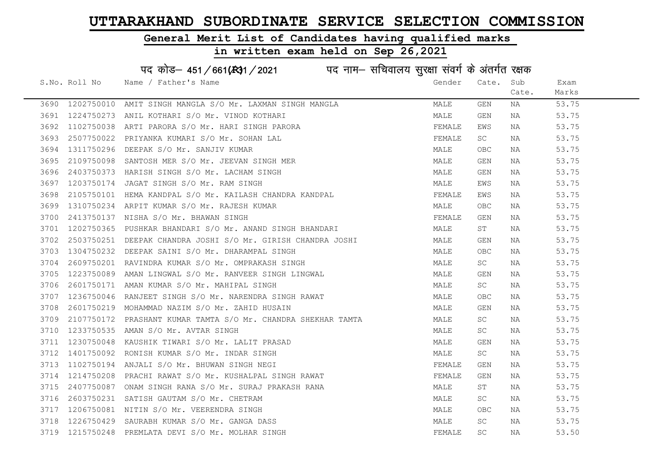#### General Merit List of Candidates having qualified marks

#### in written exam held on Sep 26,2021

S.No. Roll No Wame / Father's Name Gender Cate. Sub Cate. Exam Marks पद कोड़– 451/661(स्था/2021 in uke नाम– सचिवालय सुरक्षा संवर्ग के अंतर्गत रक्षक 3690 1202750010 AMIT SINGH MANGLA S/O Mr. LAXMAN SINGH MANGLA MALE GEN NA 53.75 3691 1224750273 ANIL KOTHARI S/O Mr. VINOD KOTHARI MALE GEN NA 53.75 3692 1102750038 ARTI PARORA S/O Mr. HARI SINGH PARORA TEMALLARE FEMALE EWS NA 53.75 3693 2507750022 PRIYANKA KUMARI S/O Mr. SOHAN LAL TEMALL THE SC NA 53.75 3694 1311750296 DEEPAK S/O Mr. SANJIV KUMAR MARI MALE OBC NA 53.75 3695 2109750098 SANTOSH MER S/O Mr. JEEVAN SINGH MER MALE GEN NA 53.75 3696 2403750373 HARISH SINGH S/O Mr. LACHAM SINGH MALE GEN NA 53.75 3697 1203750174 JAGAT SINGH S/O Mr. RAM SINGH MALE EWS NA 53.75 3698 2105750101 HEMA KANDPAL S/O Mr. KAILASH CHANDRA KANDPAL FRANDRAL FEMALE EWS NA 53.75 3699 1310750234 ARPIT KUMAR S/O Mr. RAJESH KUMAR MALE OBC NA 53.75 3700 2413750137 NISHA S/O Mr. BHAWAN SINGH FEMALE GEN NA 53.75 3701 1202750365 PUSHKAR BHANDARI S/O Mr. ANAND SINGH BHANDARI MALE ST NA 53.75 3702 2503750251 DEEPAK CHANDRA JOSHI S/O Mr. GIRISH CHANDRA JOSHI MALE GEN NA 53.75 3703 1304750232 DEEPAK SAINI S/O Mr. DHARAMPAL SINGH MALE OBC NA 53.75 3704 2609750201 RAVINDRA KUMAR S/O Mr. OMPRAKASH SINGH MALE SC NA 53.75 3705 1223750089 AMAN LINGWAL S/O Mr. RANVEER SINGH LINGWAL MAN MALE GEN NA 53.75 3706 2601750171 AMAN KUMAR S/O Mr. MAHIPAL SINGH MALE SC NA 53.75 3707 1236750046 RANJEET SINGH S/O Mr. NARENDRA SINGH RAWAT MALE OBC NA 53.75 3708 2601750219 MOHAMMAD NAZIM S/O Mr. ZAHID HUSAIN MALE GEN NA 53.75 3709 2107750172 PRASHANT KUMAR TAMTA S/O Mr. CHANDRA SHEKHAR TAMTA MALE SC NA 53.75 3710 1233750535 AMAN S/O Mr. AVTAR SINGH MALE SC NA 53.75 3711 1230750048 KAUSHIK TIWARI S/O Mr. LALIT PRASAD MALE GEN NA 53.75 3712 1401750092 RONISH KUMAR S/O Mr. INDAR SINGH MALE SC NA 53.75 3713 1102750194 ANJALI S/O Mr. BHUWAN SINGH NEGI SANDA SANG TEMALE GEN NA 53.75 3714 1214750208 PRACHI RAWAT S/O Mr. KUSHALPAL SINGH RAWAT SUM SELLE GEN NA 53.75 3715 2407750087 ONAM SINGH RANA S/O Mr. SURAJ PRAKASH RANA MANA MALE ST NA 53.75 3716 2603750231 SATISHGAUTAM S/O Mr. CHETRAM MALE SC NA 53.75 3717 1206750081 NITIN S/O Mr. VEERENDRA SINGH MARE OBC NA 53.75 3718 1226750429 SAURABH KUMAR S/O Mr. GANGA DASS MALE SC NA 53.75

3719 1215750248 PREMLATA DEVI S/O Mr. MOLHAR SINGH FRIDAGE SC NA 53.50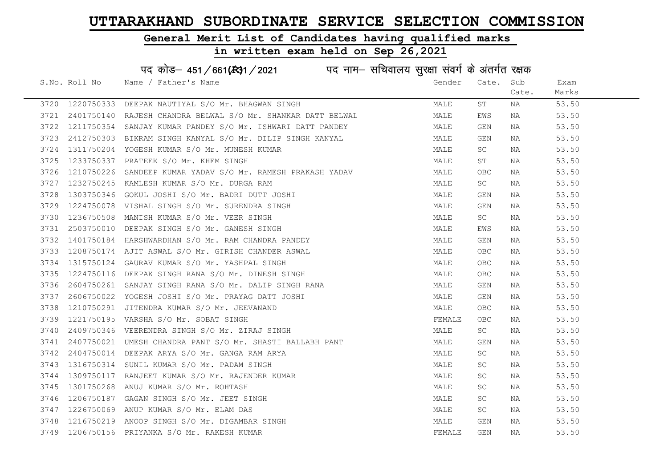#### General Merit List of Candidates having qualified marks

#### in written exam held on Sep 26,2021

S.No. Roll No Wame / Father's Name Gender Cate. Sub Cate. Exam Marks पद कोड– 451/661(स्था) / 2021 विज्ञान सचिवालय सुरक्षा संवर्ग के अंतर्गत रक्षक 3720 1220750333 DEEPAK NAUTIYAL S/O Mr. BHAGWAN SINGH MARE MALE ST NA 53.50 3721 2401750140 RAJESH CHANDRA BELWAL S/O Mr. SHANKAR DATT BELWAL MALL MALE EWS NA 53.50 3722 1211750354 SANJAY KUMAR PANDEY S/O Mr. ISHWARI DATT PANDEY MALE GEN NA 53.50 3723 2412750303 BIKRAM SINGH KANYAL S/O Mr. DILIP SINGH KANYAL MAN MALE GEN NA 53.50 3724 1311750204 YOGESH KUMAR S/O Mr. MUNESH KUMAR MALE SC NA 53.50 3725 1233750337 PRATEEK S/O Mr. KHEM SINGH MALE ST NA 53.50 3726 1210750226 SANDEEP KUMAR YADAV S/O Mr. RAMESH PRAKASH YADAV MALE OBC NA 53.50 3727 1232750245 KAMLESH KUMAR S/O Mr. DURGA RAM MARE SC NA 53.50 3728 1303750346 GOKUL JOSHI S/O Mr. BADRI DUTT JOSHI MALE GEN NA 53.50 3729 1224750078 VISHAL SINGH S/O Mr. SURENDRA SINGH MALE GEN NA 53.50 3730 1236750508 MANISH KUMAR S/O Mr. VEER SINGH MALE SC NA 53.50 3731 2503750010 DEEPAK SINGH S/O Mr. GANESH SINGH MALE EWS NA 53.50 3732 1401750184 HARSHWARDHAN S/O Mr. RAM CHANDRA PANDEY MALE GEN NA 53.50 3733 1208750174 AJIT ASWAL S/O Mr. GIRISH CHANDER ASWAL MARE MALE OBC NA 53.50 3734 1315750124 GAURAV KUMAR S/O Mr. YASHPAL SINGH MALE OBC NA 53.50 3735 1224750116 DEEPAK SINGH RANA S/O Mr. DINESH SINGH MANA MALE OBC NA 53.50 3736 2604750261 SANJAY SINGH RANA S/O Mr. DALIP SINGH RANA MALE GEN NA 53.50 3737 2606750022 YOGESH JOSHI S/O Mr. PRAYAG DATT JOSHI MALE GEN NA 53.50 3738 1210750291 JITENDRA KUMAR S/O Mr. JEEVANAND MALE OBC NA 53.50 3739 1221750195 VARSHA S/O\_Mr. SOBAT SINGH FEMALE OBC NA 53.50 3740 2409750346 VEERENDRA SINGH S/O Mr. ZIRAJ SINGH MALE SC NA 53.50 3741 2407750021 UMESH CHANDRA PANT S/O Mr. SHASTI BALLABH PANT MALE GEN NA 53.50 3742 2404750014 DEEPAKARYA S/O Mr. GANGA RAMARYA MARA MALE SC NA 53.50 3743 1316750314 SUNIL KUMAR S/O Mr. PADAM SINGH MARE MALE SC NA 53.50 3744 1309750117 RANJEET KUMAR S/O Mr. RAJENDER KUMAR MANAR MALE SC NA 53.50 3745 1301750268 ANUJ KUMAR S/O Mr. ROHTASH MALE SC NA 53.50 3746 1206750187 GAGAN SINGH S/O Mr. JEET SINGH MALE SC NA 53.50 3747 1226750069 ANUP KUMAR S/O Mr. ELAM DAS MALE SC NA 53.50 3748 1216750219 ANOOP SINGH S/O Mr. DIGAMBAR SINGH MALE GEN NA 53.50 3749 1206750156 PRIYANKA S/O Mr. RAKESH KUMAR FEMALE GEN NA 53.50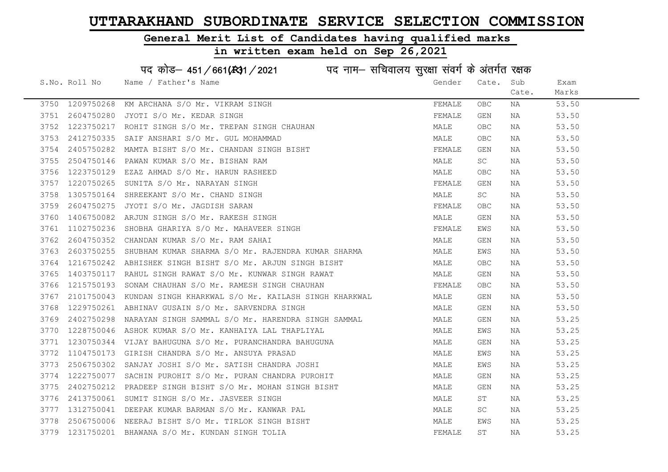#### General Merit List of Candidates having qualified marks

#### in written exam held on Sep 26,2021

S.No. Roll No Wame / Father's Name Gender Cate. Sub Cate. Exam Marks पद कोड– 451/661(स्था) / 2021 व्यान सचिवालय सुरक्षा संवर्ग के अंतर्गत रक्षक 3750 1209750268 KM ARCHANA S/O Mr. VIKRAM SINGH FEMALE OBC NA 53.50 3751 2604750280 JYOTI S/O Mr. KEDAR SINGH FEMALE GEN NA 53.50 3752 1223750217 ROHIT SINGH S/O Mr. TREPAN SINGH CHAUHAN MANA MALE OBC NA 53.50 3753 2412750335 SAIF ANSHARI S/O Mr. GUL MOHAMMAD SAND SAND MALE OBC NA 53.50 3754 2405750282 MAMTA BISHT S/O Mr. CHANDAN SINGH BISHT FRINGH FEMALE GEN NA 53.50 3755 2504750146 PAWAN KUMAR S/O Mr. BISHAN RAM MALE SC NA 53.50 3756 1223750129 EZAZ AHMAD S/O Mr. HARUN RASHEED MALE OBC NA 53.50 3757 1220750265 SUNITA S/O Mr. NARAYAN SINGH FEMALE GEN NA 53.50 3758 1305750164 SHREEKANT S/O Mr. CHAND SINGH MALE SC NA 53.50 3759 2604750275 JYOTI S/O Mr. JAGDISH SARAN FEMALE OBC NA 53.50 3760 1406750082 ARJUN SINGH S/O Mr. RAKESH SINGH MALE GEN NA 53.50 3761 1102750236 SHOBHA GHARIYA S/O Mr. MAHAVEER SINGH FRANCH FEMALE EWS NA 53.50 3762 2604750352 CHANDAN KUMAR S/O Mr. RAM SAHAI MALE GEN NA 53.50 3763 2603750255 SHUBHAM KUMAR SHARMA S/O Mr. RAJENDRA KUMAR SHARMA MANA MALE EWS NA 53.50 3764 1216750242 ABHISHEK SINGH BISHT S/O Mr. ARJUN SINGH BISHT MALE OBC NA 53.50 3765 1403750117 RAHUL SINGH RAWAT S/O Mr. KUNWAR SINGH RAWAT MALE GEN NA 53.50 3766 1215750193 SONAM CHAUHAN S/O Mr. RAMESH SINGH CHAUHAN FRAME THE SEMALE OBC NA 53.50 3767 2101750043 KUNDAN SINGH KHARKWAL S/O Mr. KAILASH SINGH KHARKWAL MALE GEN NA 53.50 3768 1229750261 ABHINAV GUSAIN S/O Mr. SARVENDRA SINGH MALE GEN NA 53.50 3769 2402750298 NARAYAN SINGH SAMMAL S/O Mr. HARENDRA SINGH SAMMAL MALE GEN NA 53.25 3770 1228750046 ASHOK KUMAR S/O Mr. KANHAIYA LAL THAPLIYAL MAN MALE EWS NA 53.25 3771 1230750344 VIJAY BAHUGUNA S/O Mr. PURANCHANDRA BAHUGUNA MANA MALE GEN NA 53.25 3772 1104750173 GIRISH CHANDRA S/O Mr. ANSUYA PRASAD MALE EWS NA 53.25 3773 2506750302 SANJAY JOSHI S/O Mr. SATISH CHANDRA JOSHI MANA MALE EWS NA 53.25 3774 1222750077 SACHIN PUROHIT S/O Mr. PURAN CHANDRA PUROHIT MAN MALE GEN NA 53.25 3775 2402750212 PRADEEP SINGH BISHT S/O Mr. MOHAN SINGH BISHT MAN MALE GEN NA 53.25 3776 2413750061 SUMIT SINGH S/O Mr. JASVEER SINGH MANA MALE ST NA 53.25 3777 1312750041 DEEPAK KUMAR BARMAN S/O Mr. KANWAR PAL MARE MALE SC NA 53.25 3778 2506750006 NEERAJ BISHT S/O Mr. TIRLOK SINGH BISHT MALE EWS NA 53.25 3779 1231750201 BHAWANA S/O Mr. KUNDAN SINGH TOLIA FEMALE ST NA 53.25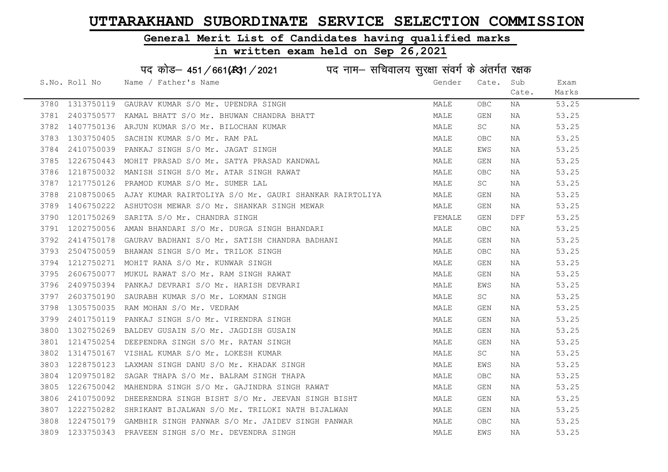#### General Merit List of Candidates having qualified marks

|      |               | पद कोड़- 451/661(431/2021 पद नाम- सचिवालय सुरक्षा संवर्ग के अंतर्गत रक्षक |        |                         |            |       |
|------|---------------|---------------------------------------------------------------------------|--------|-------------------------|------------|-------|
|      | S.No. Roll No | Name / Father's Name                                                      | Gender | Cate.                   | Sub        | Exam  |
|      |               |                                                                           |        |                         | Cate.      | Marks |
| 3780 | 1313750119    | GAURAV KUMAR S/O Mr. UPENDRA SINGH                                        | MALE   | <b>OBC</b>              | NA         | 53.25 |
| 3781 | 2403750577    | KAMAL BHATT S/O Mr. BHUWAN CHANDRA BHATT                                  | MALE   | GEN                     | NA         | 53.25 |
| 3782 | 1407750136    | ARJUN KUMAR S/O Mr. BILOCHAN KUMAR                                        | MALE   | SC                      | NA         | 53.25 |
| 3783 | 1303750405    | SACHIN KUMAR S/O Mr. RAM PAL                                              | MALE   | <b>OBC</b>              | NA         | 53.25 |
| 3784 | 2410750039    | PANKAJ SINGH S/O Mr. JAGAT SINGH                                          | MALE   | EWS                     | NA         | 53.25 |
| 3785 | 1226750443    | MOHIT PRASAD S/O Mr. SATYA PRASAD KANDWAL                                 | MALE   | GEN                     | NA         | 53.25 |
| 3786 | 1218750032    | MANISH SINGH S/O Mr. ATAR SINGH RAWAT                                     | MALE   | <b>OBC</b>              | NA         | 53.25 |
| 3787 | 1217750126    | PRAMOD KUMAR S/O Mr. SUMER LAL                                            | MALE   | SC                      | NA         | 53.25 |
| 3788 | 2108750065    | AJAY KUMAR RAIRTOLIYA S/O Mr. GAURI SHANKAR RAIRTOLIYA                    | MALE   | GEN                     | NA         | 53.25 |
| 3789 | 1406750222    | ASHUTOSH MEWAR S/O Mr. SHANKAR SINGH MEWAR                                | MALE   | GEN                     | NA         | 53.25 |
| 3790 | 1201750269    | SARITA S/O Mr. CHANDRA SINGH                                              | FEMALE | GEN                     | <b>DFF</b> | 53.25 |
| 3791 | 1202750056    | AMAN BHANDARI S/O Mr. DURGA SINGH BHANDARI                                | MALE   | <b>OBC</b>              | NA         | 53.25 |
| 3792 | 2414750178    | GAURAV BADHANI S/O Mr. SATISH CHANDRA BADHANI                             | MALE   | GEN                     | NA         | 53.25 |
| 3793 |               | 2504750059 BHAWAN SINGH S/O Mr. TRILOK SINGH                              | MALE   | <b>OBC</b>              | NA         | 53.25 |
| 3794 |               | 1212750271 MOHIT RANA S/O Mr. KUNWAR SINGH                                | MALE   | GEN                     | NA         | 53.25 |
| 3795 | 2606750077    | MUKUL RAWAT S/O Mr. RAM SINGH RAWAT                                       | MALE   | $\mathop{\mathsf{GEN}}$ | NA         | 53.25 |
| 3796 | 2409750394    | PANKAJ DEVRARI S/O Mr. HARISH DEVRARI                                     | MALE   | EWS                     | NA         | 53.25 |
| 3797 | 2603750190    | SAURABH KUMAR S/O Mr. LOKMAN SINGH                                        | MALE   | SC                      | NA         | 53.25 |
| 3798 | 1305750035    | RAM MOHAN S/O Mr. VEDRAM                                                  | MALE   | GEN                     | NA         | 53.25 |
| 3799 | 2401750119    | PANKAJ SINGH S/O Mr. VIRENDRA SINGH                                       | MALE   | GEN                     | NA         | 53.25 |
| 3800 | 1302750269    | BALDEV GUSAIN S/O Mr. JAGDISH GUSAIN                                      | MALE   | GEN                     | NA         | 53.25 |
| 3801 | 1214750254    | DEEPENDRA SINGH S/O Mr. RATAN SINGH                                       | MALE   | GEN                     | NA         | 53.25 |
| 3802 | 1314750167    | VISHAL KUMAR S/O Mr. LOKESH KUMAR                                         | MALE   | SC                      | NA         | 53.25 |
| 3803 | 1228750123    | LAXMAN SINGH DANU S/O Mr. KHADAK SINGH                                    | MALE   | EWS                     | NA         | 53.25 |
| 3804 | 1209750182    | SAGAR THAPA S/O Mr. BALRAM SINGH THAPA                                    | MALE   | OBC                     | NA         | 53.25 |
| 3805 | 1226750042    | MAHENDRA SINGH S/O Mr. GAJINDRA SINGH RAWAT                               | MALE   | GEN                     | NA         | 53.25 |
| 3806 | 2410750092    | DHEERENDRA SINGH BISHT S/O Mr. JEEVAN SINGH BISHT                         | MALE   | GEN                     | NA         | 53.25 |
| 3807 |               | 1222750282 SHRIKANT BIJALWAN S/O Mr. TRILOKI NATH BIJALWAN                | MALE   | GEN                     | NA         | 53.25 |
| 3808 |               | 1224750179 GAMBHIR SINGH PANWAR S/O Mr. JAIDEV SINGH PANWAR               | MALE   | <b>OBC</b>              | NA         | 53.25 |
|      |               | 3809 1233750343 PRAVEEN SINGH S/O Mr. DEVENDRA SINGH                      | MALE   | EWS                     | ΝA         | 53.25 |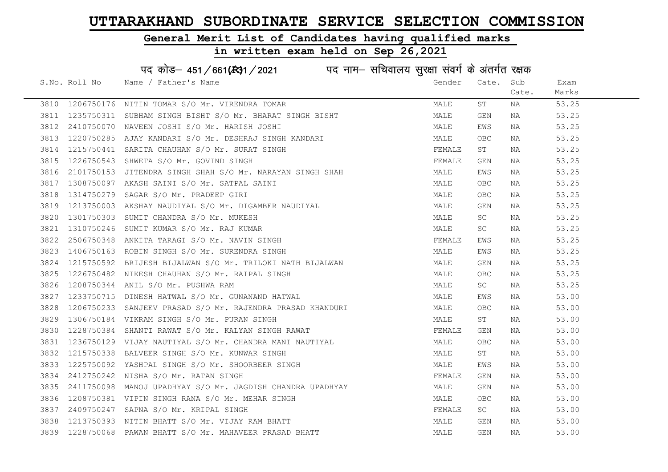## General Merit List of Candidates having qualified marks

|      |               | पद कोड़- 451/661(431/2021 पद नाम- सचिवालय सुरक्षा संवर्ग के अंतर्गत रक्षक |        |                         |       |       |
|------|---------------|---------------------------------------------------------------------------|--------|-------------------------|-------|-------|
|      | S.No. Roll No | Name / Father's Name                                                      | Gender | Cate.                   | Sub   | Exam  |
|      |               |                                                                           |        |                         | Cate. | Marks |
|      |               | 3810 1206750176 NITIN TOMAR S/O Mr. VIRENDRA TOMAR                        | MALE   | SΤ                      | NA    | 53.25 |
| 3811 |               | 1235750311 SUBHAM SINGH BISHT S/O Mr. BHARAT SINGH BISHT                  | MALE   | GEN                     | NA    | 53.25 |
| 3812 |               | 2410750070 NAVEEN JOSHI S/O Mr. HARISH JOSHI                              | MALE   | EWS                     | ΝA    | 53.25 |
| 3813 |               | 1220750285 AJAY KANDARI S/O Mr. DESHRAJ SINGH KANDARI                     | MALE   | <b>OBC</b>              | NA    | 53.25 |
| 3814 |               | 1215750441 SARITA CHAUHAN S/O Mr. SURAT SINGH                             | FEMALE | ST                      | NA    | 53.25 |
| 3815 |               | 1226750543 SHWETA S/O Mr. GOVIND SINGH                                    | FEMALE | GEN                     | NA    | 53.25 |
| 3816 |               | 2101750153 JITENDRA SINGH SHAH S/O Mr. NARAYAN SINGH SHAH                 | MALE   | EWS                     | ΝA    | 53.25 |
| 3817 | 1308750097    | AKASH SAINI S/O Mr. SATPAL SAINI                                          | MALE   | <b>OBC</b>              | ΝA    | 53.25 |
| 3818 | 1314750279    | SAGAR S/O Mr. PRADEEP GIRI                                                | MALE   | <b>OBC</b>              | ΝA    | 53.25 |
| 3819 |               | 1213750003 AKSHAY NAUDIYAL S/O Mr. DIGAMBER NAUDIYAL                      | MALE   | GEN                     | ΝA    | 53.25 |
| 3820 |               | 1301750303 SUMIT CHANDRA S/O Mr. MUKESH                                   | MALE   | SC                      | ΝA    | 53.25 |
| 3821 |               | 1310750246 SUMIT KUMAR S/O Mr. RAJ KUMAR                                  | MALE   | SC                      | NA    | 53.25 |
| 3822 | 2506750348    | ANKITA TARAGI S/O Mr. NAVIN SINGH                                         | FEMALE | EWS                     | NA    | 53.25 |
| 3823 |               | 1406750163 ROBIN SINGH S/O Mr. SURENDRA SINGH                             | MALE   | EWS                     | NA    | 53.25 |
| 3824 |               | 1215750592 BRIJESH BIJALWAN S/O Mr. TRILOKI NATH BIJALWAN                 | MALE   | GEN                     | NA    | 53.25 |
| 3825 | 1226750482    | NIKESH CHAUHAN S/O Mr. RAIPAL SINGH                                       | MALE   | <b>OBC</b>              | ΝA    | 53.25 |
| 3826 | 1208750344    | ANIL S/O Mr. PUSHWA RAM                                                   | MALE   | SC                      | ΝA    | 53.25 |
| 3827 | 1233750715    | DINESH HATWAL S/O Mr. GUNANAND HATWAL                                     | MALE   | EWS                     | NA    | 53.00 |
| 3828 | 1206750233    | SANJEEV PRASAD S/O Mr. RAJENDRA PRASAD KHANDURI                           | MALE   | OBC                     | ΝA    | 53.00 |
| 3829 |               | 1306750184 VIKRAM SINGH S/O Mr. PURAN SINGH                               | MALE   | ST                      | NA    | 53.00 |
| 3830 | 1228750384    | SHANTI RAWAT S/O Mr. KALYAN SINGH RAWAT                                   | FEMALE | GEN                     | NA    | 53.00 |
| 3831 |               | 1236750129 VIJAY NAUTIYAL S/O Mr. CHANDRA MANI NAUTIYAL                   | MALE   | <b>OBC</b>              | ΝA    | 53.00 |
| 3832 | 1215750338    | BALVEER SINGH S/O Mr. KUNWAR SINGH                                        | MALE   | ST                      | NA    | 53.00 |
| 3833 | 1225750092    | YASHPAL SINGH S/O Mr. SHOORBEER SINGH                                     | MALE   | EWS                     | ΝA    | 53.00 |
| 3834 | 2412750242    | NISHA S/O Mr. RATAN SINGH                                                 | FEMALE | GEN                     | ΝA    | 53.00 |
| 3835 |               | 2411750098 MANOJ UPADHYAY S/O Mr. JAGDISH CHANDRA UPADHYAY                | MALE   | GEN                     | NA    | 53.00 |
| 3836 |               | 1208750381 VIPIN SINGH RANA S/O Mr. MEHAR SINGH                           | MALE   | OBC                     | NA    | 53.00 |
| 3837 |               | 2409750247 SAPNA S/O Mr. KRIPAL SINGH                                     | FEMALE | SC                      | NA    | 53.00 |
| 3838 |               | 1213750393 NITIN BHATT S/O Mr. VIJAY RAM BHATT                            | MALE   | $\mathop{\mathsf{GEN}}$ | NA    | 53.00 |
| 3839 | 1228750068    | PAWAN BHATT S/O Mr. MAHAVEER PRASAD BHATT                                 | MALE   | <b>GEN</b>              | ΝA    | 53.00 |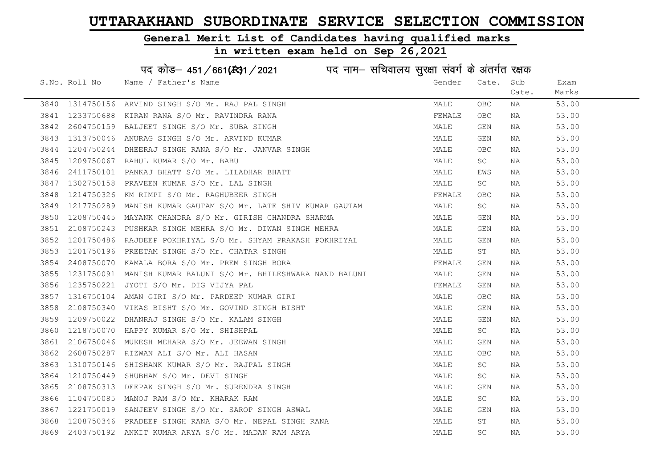#### General Merit List of Candidates having qualified marks

|      |               | पद कोड़– 451/661(431/2021 पद नाम– सचिवालय सुरक्षा संवर्ग के अंतर्गत रक्षक |        |                     |       |       |
|------|---------------|---------------------------------------------------------------------------|--------|---------------------|-------|-------|
|      | S.No. Roll No | Name / Father's Name                                                      | Gender | Cate.               | Sub   | Exam  |
|      |               |                                                                           |        |                     | Cate. | Marks |
| 3840 | 1314750156    | ARVIND SINGH S/O Mr. RAJ PAL SINGH                                        | MALE   | OBC.                | NA    | 53.00 |
| 3841 | 1233750688    | KIRAN RANA S/O Mr. RAVINDRA RANA                                          | FEMALE | <b>OBC</b>          | NA    | 53.00 |
| 3842 | 2604750159    | BALJEET SINGH S/O Mr. SUBA SINGH                                          | MALE   | GEN                 | NA    | 53.00 |
| 3843 | 1313750046    | ANURAG SINGH S/O Mr. ARVIND KUMAR                                         | MALE   | GEN                 | NA    | 53.00 |
| 3844 | 1204750244    | DHEERAJ SINGH RANA S/O Mr. JANVAR SINGH                                   | MALE   | OBC.                | NA    | 53.00 |
| 3845 |               | 1209750067 RAHUL KUMAR S/O Mr. BABU                                       | MALE   | SC                  | NA    | 53.00 |
| 3846 |               | 2411750101 PANKAJ BHATT S/O Mr. LILADHAR BHATT                            | MALE   | EWS                 | NA    | 53.00 |
| 3847 | 1302750158    | PRAVEEN KUMAR S/O Mr. LAL SINGH                                           | MALE   | $\operatorname{SC}$ | NA    | 53.00 |
| 3848 | 1214750326    | KM RIMPI S/O Mr. RAGHUBEER SINGH                                          | FEMALE | OBC                 | NA    | 53.00 |
| 3849 | 1217750289    | MANISH KUMAR GAUTAM S/O Mr. LATE SHIV KUMAR GAUTAM                        | MALE   | SC                  | NA    | 53.00 |
| 3850 | 1208750445    | MAYANK CHANDRA S/O Mr. GIRISH CHANDRA SHARMA                              | MALE   | GEN                 | NA    | 53.00 |
| 3851 | 2108750243    | PUSHKAR SINGH MEHRA S/O Mr. DIWAN SINGH MEHRA                             | MALE   | GEN                 | NA    | 53.00 |
| 3852 |               | 1201750486 RAJDEEP POKHRIYAL S/O Mr. SHYAM PRAKASH POKHRIYAL              | MALE   | GEN                 | NA    | 53.00 |
| 3853 |               | 1201750196 PREETAM SINGH S/O Mr. CHATAR SINGH                             | MALE   | ST                  | NA    | 53.00 |
| 3854 |               | 2408750070 KAMALA BORA S/O Mr. PREM SINGH BORA                            | FEMALE | GEN                 | NA    | 53.00 |
| 3855 | 1231750091    | MANISH KUMAR BALUNI S/O Mr. BHILESHWARA NAND BALUNI                       | MALE   | GEN                 | NA    | 53.00 |
| 3856 | 1235750221    | JYOTI S/O Mr. DIG VIJYA PAL                                               | FEMALE | GEN                 | NA    | 53.00 |
| 3857 | 1316750104    | AMAN GIRI S/O Mr. PARDEEP KUMAR GIRI                                      | MALE   | <b>OBC</b>          | NA    | 53.00 |
| 3858 | 2108750340    | VIKAS BISHT S/O Mr. GOVIND SINGH BISHT                                    | MALE   | GEN                 | NA    | 53.00 |
| 3859 | 1209750022    | DHANRAJ SINGH S/O Mr. KALAM SINGH                                         | MALE   | GEN                 | NA    | 53.00 |
| 3860 | 1218750070    | HAPPY KUMAR S/O Mr. SHISHPAL                                              | MALE   | <b>SC</b>           | NA    | 53.00 |
| 3861 |               | 2106750046 MUKESH MEHARA S/O Mr. JEEWAN SINGH                             | MALE   | GEN                 | NA    | 53.00 |
| 3862 | 2608750287    | RIZWAN ALI S/O Mr. ALI HASAN                                              | MALE   | OBC                 | NA    | 53.00 |
| 3863 | 1310750146    | SHISHANK KUMAR S/O Mr. RAJPAL SINGH                                       | MALE   | SC                  | NA    | 53.00 |
| 3864 | 1210750449    | SHUBHAM S/O Mr. DEVI SINGH                                                | MALE   | SC.                 | NA    | 53.00 |
| 3865 | 2108750313    | DEEPAK SINGH S/O Mr. SURENDRA SINGH                                       | MALE   | GEN                 | NA    | 53.00 |
| 3866 | 1104750085    | MANOJ RAM S/O Mr. KHARAK RAM                                              | MALE   | SC                  | NA    | 53.00 |
| 3867 | 1221750019    | SANJEEV SINGH S/O Mr. SAROP SINGH ASWAL                                   | MALE   | GEN                 | NA    | 53.00 |
| 3868 |               | 1208750346 PRADEEP SINGH RANA S/O Mr. NEPAL SINGH RANA                    | MALE   | ST                  | ΝA    | 53.00 |
|      |               | 3869 2403750192 ANKIT KUMAR ARYA S/O Mr. MADAN RAM ARYA                   | MALE   | $\operatorname{SC}$ | ΝA    | 53.00 |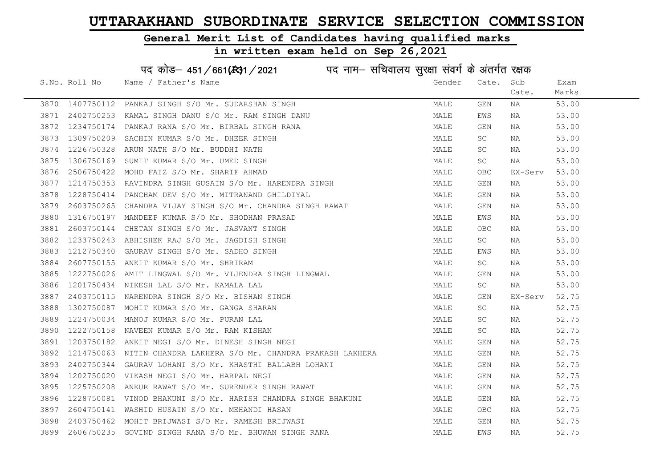#### General Merit List of Candidates having qualified marks

|      |               | पद कोड़– 451/661(स्था/2021 विद्युत्तम- सचिवालय सुरक्षा संवर्ग के अंतर्गत रक्षक |        |                         |         |       |
|------|---------------|--------------------------------------------------------------------------------|--------|-------------------------|---------|-------|
|      | S.No. Roll No | Name / Father's Name                                                           | Gender | Cate.                   | Sub     | Exam  |
|      |               |                                                                                |        |                         | Cate.   | Marks |
| 3870 | 1407750112    | PANKAJ SINGH S/O Mr. SUDARSHAN SINGH                                           | MALE   | GEN                     | NA      | 53.00 |
| 3871 | 2402750253    | KAMAL SINGH DANU S/O Mr. RAM SINGH DANU                                        | MALE   | EWS                     | NA      | 53.00 |
| 3872 | 1234750174    | PANKAJ RANA S/O Mr. BIRBAL SINGH RANA                                          | MALE   | GEN                     | NA      | 53.00 |
| 3873 | 1309750209    | SACHIN KUMAR S/O Mr. DHEER SINGH                                               | MALE   | SC                      | NA      | 53.00 |
| 3874 | 1226750328    | ARUN NATH S/O Mr. BUDDHI NATH                                                  | MALE   | SC                      | NA      | 53.00 |
| 3875 | 1306750169    | SUMIT KUMAR S/O Mr. UMED SINGH                                                 | MALE   | SC                      | NA      | 53.00 |
| 3876 | 2506750422    | MOHD FAIZ S/O Mr. SHARIF AHMAD                                                 | MALE   | <b>OBC</b>              | EX-Serv | 53.00 |
| 3877 | 1214750353    | RAVINDRA SINGH GUSAIN S/O Mr. HARENDRA SINGH                                   | MALE   | GEN                     | NA      | 53.00 |
| 3878 | 1228750414    | PANCHAM DEV S/O Mr. MITRANAND GHILDIYAL                                        | MALE   | GEN                     | NA      | 53.00 |
| 3879 | 2603750265    | CHANDRA VIJAY SINGH S/O Mr. CHANDRA SINGH RAWAT                                | MALE   | GEN                     | NA      | 53.00 |
| 3880 | 1316750197    | MANDEEP KUMAR S/O Mr. SHODHAN PRASAD                                           | MALE   | EWS                     | NA      | 53.00 |
| 3881 | 2603750144    | CHETAN SINGH S/O Mr. JASVANT SINGH                                             | MALE   | <b>OBC</b>              | NA      | 53.00 |
| 3882 | 1233750243    | ABHISHEK RAJ S/O Mr. JAGDISH SINGH                                             | MALE   | SC                      | NA      | 53.00 |
| 3883 |               | 1212750340 GAURAV SINGH S/O Mr. SADHO SINGH                                    | MALE   | EWS                     | NA      | 53.00 |
| 3884 | 2607750155    | ANKIT KUMAR S/O Mr. SHRIRAM                                                    | MALE   | SC                      | NA      | 53.00 |
| 3885 | 1222750026    | AMIT LINGWAL S/O Mr. VIJENDRA SINGH LINGWAL                                    | MALE   | $\mathop{\mathsf{GEN}}$ | NA      | 53.00 |
| 3886 | 1201750434    | NIKESH LAL S/O Mr. KAMALA LAL                                                  | MALE   | SC                      | NA      | 53.00 |
| 3887 | 2403750115    | NARENDRA SINGH S/O Mr. BISHAN SINGH                                            | MALE   | GEN                     | EX-Serv | 52.75 |
| 3888 | 1302750087    | MOHIT KUMAR S/O Mr. GANGA SHARAN                                               | MALE   | SC                      | NA      | 52.75 |
| 3889 | 1224750034    | MANOJ KUMAR S/O Mr. PURAN LAL                                                  | MALE   | SC                      | NA      | 52.75 |
| 3890 | 1222750158    | NAVEEN KUMAR S/O Mr. RAM KISHAN                                                | MALE   | SC                      | NA      | 52.75 |
| 3891 |               | 1203750182 ANKIT NEGI S/O Mr. DINESH SINGH NEGI                                | MALE   | GEN                     | NA      | 52.75 |
| 3892 | 1214750063    | NITIN CHANDRA LAKHERA S/O Mr. CHANDRA PRAKASH LAKHERA                          | MALE   | GEN                     | NA      | 52.75 |
| 3893 | 2402750344    | GAURAV LOHANI S/O Mr. KHASTHI BALLABH LOHANI                                   | MALE   | GEN                     | NA      | 52.75 |
| 3894 | 1202750020    | VIKASH NEGI S/O Mr. HARPAL NEGI                                                | MALE   | GEN                     | NA      | 52.75 |
| 3895 | 1225750208    | ANKUR RAWAT S/O Mr. SURENDER SINGH RAWAT                                       | MALE   | GEN                     | NA      | 52.75 |
| 3896 | 1228750081    | VINOD BHAKUNI S/O Mr. HARISH CHANDRA SINGH BHAKUNI                             | MALE   | GEN                     | NA      | 52.75 |
| 3897 | 2604750141    | WASHID HUSAIN S/O Mr. MEHANDI HASAN                                            | MALE   | <b>OBC</b>              | NA      | 52.75 |
| 3898 | 2403750462    | MOHIT BRIJWASI S/O Mr. RAMESH BRIJWASI                                         | MALE   | GEN                     | NA      | 52.75 |
| 3899 |               | 2606750235 GOVIND SINGH RANA S/O Mr. BHUWAN SINGH RANA                         | MALE   | EWS                     | ΝA      | 52.75 |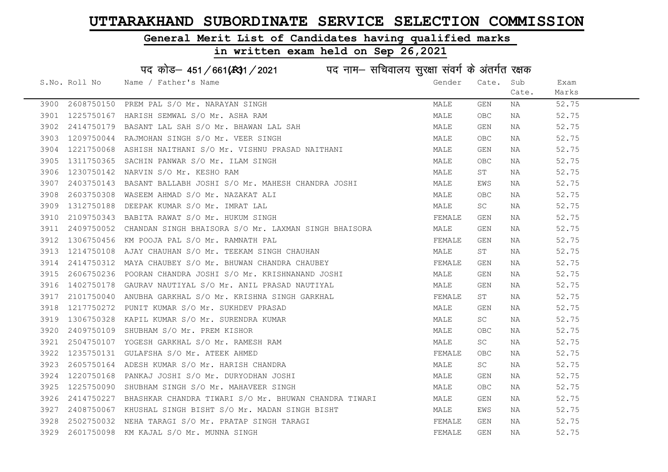#### General Merit List of Candidates having qualified marks

|      |               | पद कोड़– 451/661(431/2021 पद नाम– सचिवालय सुरक्षा संवर्ग के अंतर्गत रक्षक |        |                         |       |       |
|------|---------------|---------------------------------------------------------------------------|--------|-------------------------|-------|-------|
|      | S.No. Roll No | Name / Father's Name                                                      | Gender | Cate.                   | Sub   | Exam  |
|      |               |                                                                           |        |                         | Cate. | Marks |
| 3900 | 2608750150    | PREM PAL S/O Mr. NARAYAN SINGH                                            | MALE   | GEN                     | NA    | 52.75 |
| 3901 | 1225750167    | HARISH SEMWAL S/O Mr. ASHA RAM                                            | MALE   | OBC                     | NA    | 52.75 |
| 3902 | 2414750179    | BASANT LAL SAH S/O Mr. BHAWAN LAL SAH                                     | MALE   | GEN                     | NA    | 52.75 |
| 3903 | 1209750044    | RAJMOHAN SINGH S/O Mr. VEER SINGH                                         | MALE   | OBC                     | NA    | 52.75 |
| 3904 |               | 1221750068 ASHISH NAITHANI S/O Mr. VISHNU PRASAD NAITHANI                 | MALE   | GEN                     | NA    | 52.75 |
| 3905 |               | 1311750365 SACHIN PANWAR S/O Mr. ILAM SINGH                               | MALE   | OBC                     | NA    | 52.75 |
| 3906 | 1230750142    | NARVIN S/O Mr. KESHO RAM                                                  | MALE   | ST                      | NA    | 52.75 |
| 3907 | 2403750143    | BASANT BALLABH JOSHI S/O Mr. MAHESH CHANDRA JOSHI                         | MALE   | EWS                     | NA    | 52.75 |
| 3908 | 2603750308    | WASEEM AHMAD S/O Mr. NAZAKAT ALI                                          | MALE   | OBC                     | NA    | 52.75 |
| 3909 | 1312750188    | DEEPAK KUMAR S/O Mr. IMRAT LAL                                            | MALE   | SC                      | NA    | 52.75 |
| 3910 |               | 2109750343 BABITA RAWAT S/O Mr. HUKUM SINGH                               | FEMALE | GEN                     | NA    | 52.75 |
| 3911 | 2409750052    | CHANDAN SINGH BHAISORA S/O Mr. LAXMAN SINGH BHAISORA                      | MALE   | GEN                     | NA    | 52.75 |
| 3912 | 1306750456    | KM POOJA PAL S/O Mr. RAMNATH PAL                                          | FEMALE | GEN                     | NA    | 52.75 |
| 3913 |               | 1214750108 AJAY CHAUHAN S/O Mr. TEEKAM SINGH CHAUHAN                      | MALE   | ST                      | NA    | 52.75 |
| 3914 | 2414750312    | MAYA CHAUBEY S/O Mr. BHUWAN CHANDRA CHAUBEY                               | FEMALE | GEN                     | NA    | 52.75 |
| 3915 | 2606750236    | POORAN CHANDRA JOSHI S/O Mr. KRISHNANAND JOSHI                            | MALE   | $\mathop{\mathsf{GEN}}$ | NA    | 52.75 |
| 3916 | 1402750178    | GAURAV NAUTIYAL S/O Mr. ANIL PRASAD NAUTIYAL                              | MALE   | GEN                     | NA    | 52.75 |
| 3917 | 2101750040    | ANUBHA GARKHAL S/O Mr. KRISHNA SINGH GARKHAL                              | FEMALE | ST                      | NA    | 52.75 |
| 3918 | 1217750272    | PUNIT KUMAR S/O Mr. SUKHDEV PRASAD                                        | MALE   | GEN                     | NA    | 52.75 |
| 3919 | 1306750328    | KAPIL KUMAR S/O Mr. SURENDRA KUMAR                                        | MALE   | SC                      | NA    | 52.75 |
| 3920 | 2409750109    | SHUBHAM S/O Mr. PREM KISHOR                                               | MALE   | OBC                     | NA    | 52.75 |
| 3921 |               | 2504750107 YOGESH GARKHAL S/O Mr. RAMESH RAM                              | MALE   | SC                      | NA    | 52.75 |
| 3922 | 1235750131    | GULAFSHA S/O Mr. ATEEK AHMED                                              | FEMALE | OBC                     | NA    | 52.75 |
| 3923 | 2605750164    | ADESH KUMAR S/O Mr. HARISH CHANDRA                                        | MALE   | SC                      | NA    | 52.75 |
| 3924 | 1220750168    | PANKAJ JOSHI S/O Mr. DURYODHAN JOSHI                                      | MALE   | GEN                     | NA    | 52.75 |
| 3925 | 1225750090    | SHUBHAM SINGH S/O Mr. MAHAVEER SINGH                                      | MALE   | OBC                     | NA    | 52.75 |
| 3926 | 2414750227    | BHASHKAR CHANDRA TIWARI S/O Mr. BHUWAN CHANDRA TIWARI                     | MALE   | GEN                     | NA    | 52.75 |
| 3927 | 2408750067    | KHUSHAL SINGH BISHT S/O Mr. MADAN SINGH BISHT                             | MALE   | EWS                     | NA    | 52.75 |
| 3928 |               | 2502750032 NEHA TARAGI S/O Mr. PRATAP SINGH TARAGI                        | FEMALE | GEN                     | NA    | 52.75 |
|      |               | 3929 2601750098 KM KAJAL S/O Mr. MUNNA SINGH                              | FEMALE | GEN                     | ΝA    | 52.75 |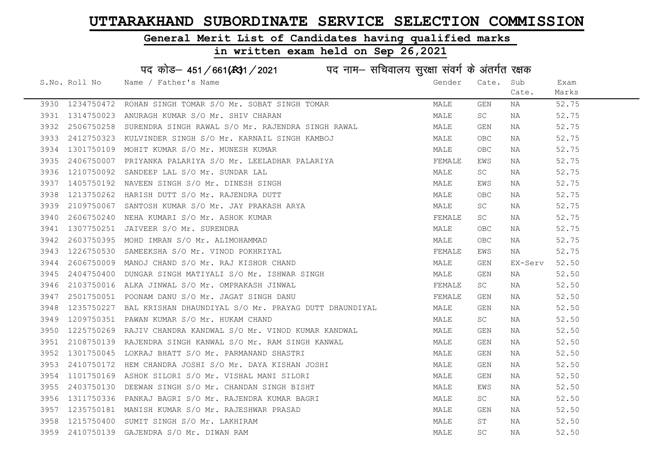#### General Merit List of Candidates having qualified marks

#### in written exam held on Sep 26,2021

S.No. Roll No Wame / Father's Name Gender Cate. Sub Cate. Exam Marks पद कोड– 451/661(स्था) / 2021 विज्ञान सचिवालय सुरक्षा संवर्ग के अंतर्गत रक्षक 3930 1234750472 ROHAN SINGH TOMAR S/O Mr. SOBAT SINGH TOMAR MARRAT MALE GEN NA 52.75 3931 1314750023 ANURAGH KUMAR S/O Mr. SHIV CHARAN MALE SC NA 52.75 3932 2506750258 SURENDRA SINGH RAWAL S/O Mr. RAJENDRA SINGH RAWAL MALE GEN NA 52.75 3933 2412750323 KULVINDER SINGH S/O Mr. KARNAIL SINGH KAMBOJ MALE OBC NA 52.75 3934 1301750109 MOHIT KUMAR S/O Mr. MUNESH KUMAR MALE OBC NA 52.75 3935 2406750007 PRIYANKA PALARIYA S/O Mr. LEELADHAR PALARIYA FRANCHI SEMALE EWS NA 52.75 3936 1210750092 SANDEEP LAL S/O Mr. SUNDAR LAL MALL MALE SC NA 52.75 3937 1405750192 NAVEEN SINGH S/O Mr. DINESH SINGH MALE EWS NA 52.75 3938 1213750262 HARISH DUTT S/O Mr. RAJENDRA DUTT MALE OBC NA 52.75 3939 2109750067 SANTOSH KUMAR S/O Mr. JAY PRAKASH ARYA MALE SC NA 52.75 3940 2606750240 NEHA KUMARI S/O Mr. ASHOK KUMAR FEMALE SC NA 52.75 3941 1307750251 JAIVEER S/O Mr. SURENDRA MALE OBC NA 52.75 3942 2603750395 MOHD IMRAN S/O Mr. ALIMOHAMMAD MALE OBC NA 52.75 3943 1226750530 SAMEEKSHA S/O Mr. VINOD POKHRIYAL FEMALE EWS NA 52.75 3944 2606750009 MANOJ CHAND S/O Mr. RAJ KISHOR CHAND MALE GEN EX-Serv 52.50 3945 2404750400 DUNGAR SINGH MATIYALI S/O Mr. ISHWAR SINGH MALE GEN NA 52.50 3946 2103750016 ALKA JINWAL S/O Mr. OMPRAKASH JINWAL SANDA SANDA SEMALE SC NA 52.50 3947 2501750051 POONAM DANU S/O Mr. JAGAT SINGH DANU FEMALE GEN NA 52.50 3948 1235750227 BAL KRISHAN DHAUNDIYAL S/O Mr. PRAYAG DUTT DHAUNDIYAL MALE GEN NA 52.50 3949 1209750351 PAWAN KUMAR S/O Mr. HUKAM CHAND MALE SC NA 52.50 3950 1225750269 RAJIV CHANDRA KANDWAL S/O Mr. VINOD KUMAR KANDWAL MALL MALE GEN NA 52.50 3951 2108750139 RAJENDRA SINGH KANWAL S/O Mr. RAM SINGH KANWAL MAN MALE GEN NA 52.50 3952 1301750045 LOKRAJ BHATT S/O Mr. PARMANAND SHASTRI MALE GEN NA 52.50 3953 2410750172 HEM CHANDRA JOSHI S/O Mr. DAYA KISHAN JOSHI SAN MALE GEN NA S2.50 3954 1101750169 ASHOK SILORI S/O Mr. VISHAL MANI SILORI MALE GEN NA 52.50 3955 2403750130 DEEWAN SINGH S/O Mr. CHANDAN SINGH BISHT MAN MALE EWS NA 52.50 3956 1311750336 PANKAJ BAGRI S/O Mr. RAJENDRA KUMAR BAGRI MANA MALE SC NA 52.50 3957 1235750181 MANISH KUMAR S/O Mr. RAJESHWAR PRASAD MALE GEN NA 52.50 3958 1215750400 SUMIT SINGH S/O Mr. LAKHIRAM MALE ST NA 52.50 3959 2410750139 GAJENDRA S/O Mr. DIWAN RAM MALE SC NA 52.50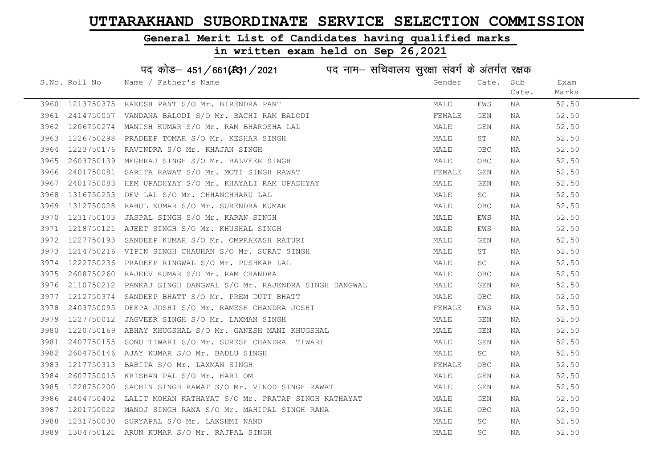#### General Merit List of Candidates having qualified marks

|      |               | पद कोड़– 451/661(131/2021 पद नाम– सचिवालय सुरक्षा संवर्ग के अंतर्गत रक्षक |        |                         |       |       |
|------|---------------|---------------------------------------------------------------------------|--------|-------------------------|-------|-------|
|      | S.No. Roll No | Name / Father's Name                                                      | Gender | Cate.                   | Sub   | Exam  |
|      |               |                                                                           |        |                         | Cate. | Marks |
| 3960 | 1213750375    | RAKESH PANT S/O Mr. BIRENDRA PANT                                         | MALE   | EWS                     | ΝA    | 52.50 |
| 3961 | 2414750057    | VANDANA BALODI S/O Mr. BACHI RAM BALODI                                   | FEMALE | GEN                     | NA    | 52.50 |
| 3962 | 1206750274    | MANISH KUMAR S/O Mr. RAM BHAROSHA LAL                                     | MALE   | GEN                     | NA    | 52.50 |
| 3963 | 1226750298    | PRADEEP TOMAR S/O Mr. KESHAR SINGH                                        | MALE   | ST                      | NA    | 52.50 |
| 3964 | 1223750176    | RAVINDRA S/O Mr. KHAJAN SINGH                                             | MALE   | OBC                     | NA    | 52.50 |
| 3965 |               | 2603750139 MEGHRAJ SINGH S/O Mr. BALVEER SINGH                            | MALE   | OBC                     | NA    | 52.50 |
| 3966 | 2401750081    | SARITA RAWAT S/O Mr. MOTI SINGH RAWAT                                     | FEMALE | GEN                     | NA    | 52.50 |
| 3967 | 2401750083    | HEM UPADHYAY S/O Mr. KHAYALI RAM UPADHYAY                                 | MALE   | $\mathop{\mathsf{GEN}}$ | NA    | 52.50 |
| 3968 | 1316750253    | DEV LAL S/O Mr. CHHANCHHARU LAL                                           | MALE   | SC                      | NA    | 52.50 |
| 3969 | 1312750028    | RAHUL KUMAR S/O Mr. SURENDRA KUMAR                                        | MALE   | OBC                     | NA    | 52.50 |
| 3970 | 1231750103    | JASPAL SINGH S/O Mr. KARAN SINGH                                          | MALE   | EWS                     | NA    | 52.50 |
| 3971 | 1218750121    | AJEET SINGH S/O Mr. KHUSHAL SINGH                                         | MALE   | EWS                     | NA    | 52.50 |
| 3972 | 1227750193    | SANDEEP KUMAR S/O Mr. OMPRAKASH RATURI                                    | MALE   | GEN                     | NA    | 52.50 |
| 3973 |               | 1214750216 VIPIN SINGH CHAUHAN S/O Mr. SURAT SINGH                        | MALE   | ST                      | NA    | 52.50 |
| 3974 | 1222750236    | PRADEEP RINGWAL S/O Mr. PUSHKAR LAL                                       | MALE   | SC                      | NA    | 52.50 |
| 3975 | 2608750260    | RAJEEV KUMAR S/O Mr. RAM CHANDRA                                          | MALE   | <b>OBC</b>              | NA    | 52.50 |
| 3976 | 2110750212    | PANKAJ SINGH DANGWAL S/O Mr. RAJENDRA SINGH DANGWAL                       | MALE   | GEN                     | NA    | 52.50 |
| 3977 | 1212750374    | SANDEEP BHATT S/O Mr. PREM DUTT BHATT                                     | MALE   | OBC                     | NA    | 52.50 |
| 3978 | 2403750095    | DEEPA JOSHI S/O Mr. RAMESH CHANDRA JOSHI                                  | FEMALE | EWS                     | NA    | 52.50 |
| 3979 | 1227750012    | JAGVEER SINGH S/O Mr. LAXMAN SINGH                                        | MALE   | GEN                     | NA    | 52.50 |
| 3980 | 1220750169    | ABHAY KHUGSHAL S/O Mr. GANESH MANI KHUGSHAL                               | MALE   | GEN                     | NA    | 52.50 |
| 3981 | 2407750155    | SONU TIWARI S/O Mr. SURESH CHANDRA TIWARI                                 | MALE   | GEN                     | NA    | 52.50 |
| 3982 | 2604750146    | AJAY KUMAR S/O Mr. BADLU SINGH                                            | MALE   | SC                      | NA    | 52.50 |
| 3983 | 1217750313    | BABITA S/O Mr. LAXMAN SINGH                                               | FEMALE | OBC                     | NA    | 52.50 |
| 3984 | 2607750015    | KRISHAN PAL S/O Mr. HARI OM                                               | MALE   | GEN                     | NA    | 52.50 |
| 3985 | 1228750200    | SACHIN SINGH RAWAT S/O Mr. VINOD SINGH RAWAT                              | MALE   | GEN                     | NA    | 52.50 |
| 3986 | 2404750402    | LALIT MOHAN KATHAYAT S/O Mr. PRATAP SINGH KATHAYAT                        | MALE   | GEN                     | NA    | 52.50 |
| 3987 | 1201750022    | MANOJ SINGH RANA S/O Mr. MAHIPAL SINGH RANA                               | MALE   | OBC.                    | NA    | 52.50 |
| 3988 | 1231750030    | SURYAPAL S/O Mr. LAKSHMI NAND                                             | MALE   | SC                      | NA    | 52.50 |
| 3989 |               | 1304750121 ARUN KUMAR S/O Mr. RAJPAL SINGH                                | MALE   | $\operatorname{SC}$     | ΝA    | 52.50 |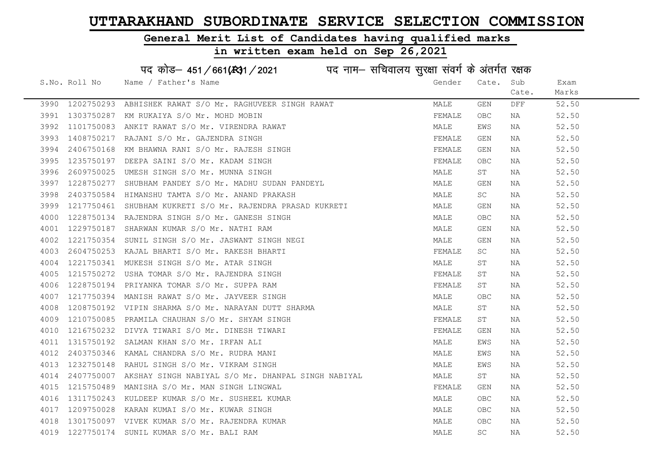#### General Merit List of Candidates having qualified marks

#### in written exam held on Sep 26,2021

पद कोड— 451/661(2021 पद नाम– सचिवालय सुरक्षा संवर्ग के अंतर्गत रक्षक<br>Nane ( Fetherle Nane )

|      | S.No. Roll No | Name / Father's Name                                                                                                                                                                                                                       | Gender | Cate.     | Sub   | Exam  |
|------|---------------|--------------------------------------------------------------------------------------------------------------------------------------------------------------------------------------------------------------------------------------------|--------|-----------|-------|-------|
|      |               |                                                                                                                                                                                                                                            |        |           | Cate. | Marks |
|      |               | 3990 1202750293 ABHISHEK RAWAT S/O Mr. RAGHUVEER SINGH RAWAT                                                                                                                                                                               | MALE   | GEN       | DFF.  | 52.50 |
| 3991 |               | 1303750287 KM RUKAIYA S/O Mr. MOHD MOBIN                                                                                                                                                                                                   | FEMALE | OBC.      | NA    | 52.50 |
| 3992 | 1101750083    | ANKIT RAWAT S/O Mr. VIRENDRA RAWAT                                                                                                                                                                                                         | MALE   | EWS       | NA    | 52.50 |
| 3993 | 1408750217    | RAJANI S/O Mr. GAJENDRA SINGH<br>KM BHAWNA RANI S/O Mr. RAJESH SINGH<br>DEEPA SAINI S/O Mr. KADAM SINGH                                                                                                                                    | FEMALE | GEN       | NA    | 52.50 |
| 3994 | 2406750168    |                                                                                                                                                                                                                                            | FEMALE | GEN       | NA    | 52.50 |
| 3995 | 1235750197    |                                                                                                                                                                                                                                            | FEMALE | OBC.      | NA    | 52.50 |
| 3996 | 2609750025    | UMESH SINGH S/O Mr. MUNNA SINGH                                                                                                                                                                                                            | MALE   | ST        | NA    | 52.50 |
| 3997 |               | 1228750277 SHUBHAM PANDEY S/O Mr. MADHU SUDAN PANDEYL                                                                                                                                                                                      | MALE   | GEN       | NA    | 52.50 |
| 3998 | 2403750584    | HIMANSHU TAMTA S/O Mr. ANAND PRAKASH                                                                                                                                                                                                       | MALE   | SC        | NA    | 52.50 |
| 3999 | 1217750461    | SHUBHAM KUKRETI S/O Mr. RAJENDRA PRASAD KUKRETI                                                                                                                                                                                            | MALE   | GEN       | NA    | 52.50 |
| 4000 |               | 1228750134 RAJENDRA SINGH S/O Mr. GANESH SINGH                                                                                                                                                                                             | MALE   | OBC.      | NA    | 52.50 |
| 4001 |               |                                                                                                                                                                                                                                            | MALE   | GEN       | NA    | 52.50 |
| 4002 |               |                                                                                                                                                                                                                                            | MALE   | GEN       | NA    | 52.50 |
| 4003 |               |                                                                                                                                                                                                                                            | FEMALE | SC.       | NA    | 52.50 |
| 4004 |               |                                                                                                                                                                                                                                            | MALE   | ST        | NA    | 52.50 |
| 4005 |               | 1229750187 SHARWAN KUMAR S/O Mr. NATHI RAM<br>1221750354 SUNIL SINGH S/O Mr. JASWANT SINGH NEGI<br>2604750253 KAJAL BHARTI S/O Mr. RAKESH BHARTI<br>1221750341 MUKESH SINGH S/O Mr. ATAR SINGH<br>1215750272 USHA TOMAR S/O Mr. RAJENDRA S | FEMALE | ST        | NA    | 52.50 |
| 4006 |               |                                                                                                                                                                                                                                            | FEMALE | ST        | NA    | 52.50 |
| 4007 |               | 1217750394 MANISH RAWAT S/O Mr. JAYVEER SINGH                                                                                                                                                                                              | MALE   | OBC       | NA    | 52.50 |
| 4008 |               | 1208750192 VIPIN SHARMA S/O Mr. NARAYAN DUTT SHARMA                                                                                                                                                                                        | MALE   | ST        | NA    | 52.50 |
| 4009 | 1210750085    | PRAMILA CHAUHAN S/O Mr. SHYAM SINGH                                                                                                                                                                                                        | FEMALE | ST        | NA    | 52.50 |
| 4010 | 1216750232    | DIVYA TIWARI S/O Mr. DINESH TIWARI                                                                                                                                                                                                         | FEMALE | GEN       | NA    | 52.50 |
| 4011 |               | 1315750192 SALMAN KHAN S/O Mr. IRFAN ALI                                                                                                                                                                                                   | MALE   | EWS       | NA    | 52.50 |
| 4012 | 2403750346    | KAMAL CHANDRA S/O Mr. RUDRA MANI                                                                                                                                                                                                           | MALE   | EWS       | NA    | 52.50 |
| 4013 |               | 1232750148 RAHUL SINGH S/O Mr. VIKRAM SINGH                                                                                                                                                                                                | MALE   | EWS       | NA    | 52.50 |
| 4014 |               | 2407750007 AKSHAY SINGH NABIYAL S/O Mr. DHANPAL SINGH NABIYAL                                                                                                                                                                              | MALE   | ST        | NA    | 52.50 |
| 4015 | 1215750489    | MANISHA S/O Mr. MAN SINGH LINGWAL                                                                                                                                                                                                          | FEMALE | GEN       | NA    | 52.50 |
| 4016 |               | 1311750243 KULDEEP KUMAR S/O Mr. SUSHEEL KUMAR                                                                                                                                                                                             | MALE   | OBC.      | NA    | 52.50 |
| 4017 | 1209750028    | KARAN KUMAI S/O Mr. KUWAR SINGH                                                                                                                                                                                                            | MALE   | OBC       | NA    | 52.50 |
| 4018 |               | 1301750097 VIVEK KUMAR S/O Mr. RAJENDRA KUMAR                                                                                                                                                                                              | MALE   | OBC.      | NA    | 52.50 |
| 4019 |               | 1227750174 SUNIL KUMAR S/O Mr. BALI RAM                                                                                                                                                                                                    | MALE   | <b>SC</b> | NA    | 52.50 |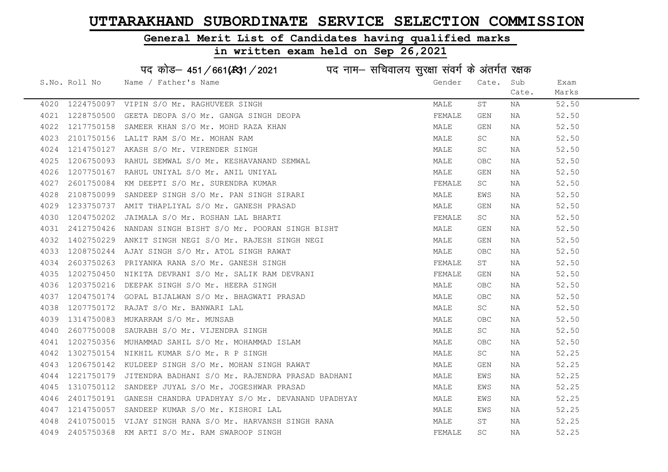#### General Merit List of Candidates having qualified marks

in written exam held on Sep 26,2021

S.No. Roll No Wame / Father's Name Gender Cate. Sub Cate. Exam Marks पद कोड– 451/661(स्था) / 2021 विज्ञान सचिवालय सुरक्षा संवर्ग के अंतर्गत रक्षक 4020 1224750097 VIPIN S/O Mr. RAGHUVEER SINGH MALE ST NA 52.50 4021 1228750500 GEETA DEOPA S/O Mr. GANGA SINGH DEOPA FEMALE GEN NA 52.50 4022 1217750158 SAMEER KHAN S/O Mr. MOHD RAZA KHAN MALE GEN NA 52.50 4023 2101750156 LALIT RAM S/O Mr. MOHAN RAM MALE SC NA 52.50 4024 1214750127 AKASH S/O Mr.VIRENDER SINGH<br>4025 1206750093 RAHUL SEMWAL S/O Mr.KESHAVANAND SEMWAL NAN MALE MALE OBC NA 52.50 4025 1206750093 RAHUL SEMWAL S/O Mr. KESHAVANAND SEMWAL MALE OBC NA 52.50 4026 1207750167 RAHUL UNIYAL S/O Mr. ANIL UNIYAL MALE GEN NA 52.50 4027 2601750084 KM DEEPTI S/O Mr. SURENDRA KUMAR FEMALE SC NA 52.50 4028 2108750099 SANDEEP SINGH S/O Mr. PAN SINGH SIRARI MALE EWS NA 52.50 4029 1233750737 AMIT THAPLIYAL S/O Mr. GANESH PRASAD MALE GEN NA 52.50 4030 1204750202 JAIMALA S/O Mr. ROSHAN LAL BHARTI FEMALE SC NA 52.50 4031 2412750426 NANDAN SINGH BISHT S/O Mr. POORAN SINGH BISHT MALE GEN NA 52.50 4032 1402750229 ANKIT SINGH NEGI S/O Mr. RAJESH SINGH NEGI NA MALE GEN NA 52.50 4033 1208750244 AJAY SINGH S/O Mr. ATOL SINGH RAWAT MALE OBC NA 52.50 4034 2603750263 PRIYANKA RANA S/O Mr. GANESH SINGH FEMALE ST NA 52.50 4035 1202750450 NIKITA DEVRANI S/O Mr. SALIK RAM DEVRANI SARA SEN SEMALE GEN NA S2.50 4036 1203750216 DEEPAK SINGH S/O Mr. HEERA SINGH MALE OBC NA 52.50 4037 1204750174 GOPAL BIJALWAN S/O Mr. BHAGWATI PRASAD MANUNG MALE OBC NA 52.50 4038 1207750172 RAJAT S/O Mr. BANWARI LAL MALE SC NA 52.50 4039 1314750083 MUKARRAM S/O Mr. MUNSAB MALE OBC NA 52.50 4040 2607750008 SAURABH S/O Mr. VIJENDRA SINGH MALE SC NA 52.50 4041 1202750356 MUHAMMAD SAHIL S/O Mr. MOHAMMAD ISLAM MALE OBC NA 52.50 4042 1302750154 NIKHIL KUMAR S/O Mr. R P SINGH MALE SC NA 52.25 4043 1206750142 KULDEEP SINGH S/O Mr. MOHAN SINGH RAWAT MAN MALE GEN NA 52.25 4044 1221750179 JITENDRA BADHANI S/O Mr. RAJENDRA PRASAD BADHANI MALE EWS NA 52.25 4045 1310750112 SANDEEP JUYAL S/O Mr. JOGESHWAR PRASAD MAN MALE EWS NA 52.25 4046 2401750191 GANESH CHANDRA UPADHYAY S/O Mr. DEVANAND UPADHYAY MALE MALE EWS NA 52.25 4047 1214750057 SANDEEP KUMAR S/O Mr. KISHORI LAL MALE EWS NA 52.25 4048 2410750015 VIJAY SINGH RANA S/O Mr. HARVANSH SINGH RANA MANA MALE ST NA 52.25 4049 2405750368 KM ARTI S/O Mr. RAM SWAROOP SINGH FEMALE SC NA 52.25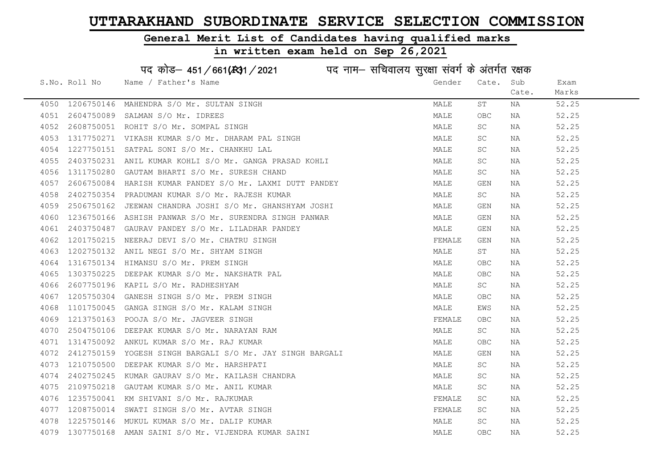#### General Merit List of Candidates having qualified marks

#### in written exam held on Sep 26,2021

S.No. Roll No Wame / Father's Name Gender Cate. Sub Cate. Exam Marks पद कोड– 451/661(स्था) / 2021 व्यान सचिवालय सुरक्षा संवर्ग के अंतर्गत रक्षक 4050 1206750146 MAHENDRA S/O Mr. SULTAN SINGH MALE ST NA 52.25 4051 2604750089 SALMAN S/O Mr. IDREES MALE OBC NA 52.25 4052 2608750051 ROHIT S/O Mr. SOMPAL SINGH MALE SC NA 52.25 4053 1317750271 VIKASH KUMAR S/O Mr. DHARAM PAL SINGH MALE SC NA 52.25 4054 1227750151 SATPAL SONI S/O Mr. CHANKHU LAL MALE SC NA 52.25 4055 2403750231 ANIL KUMAR KOHLI S/O Mr. GANGA PRASAD KOHLI MALE SC NA 52.25 4056 1311750280 GAUTAM BHARTI S/O Mr. SURESH CHAND MALE SC NA 52.25 4057 2606750084 HARISH KUMAR PANDEY S/O Mr. LAXMI DUTT PANDEY MALE GEN NA 52.25 4058 2402750354 PRADUMAN KUMAR S/O Mr. RAJESH KUMAR MARRADUMAN MALE SC NA 52.25 4059 2506750162 JEEWAN CHANDRA JOSHI S/O Mr. GHANSHYAM JOSHI MANA MALE GEN NA 52.25 4060 1236750166 ASHISH PANWAR S/O Mr. SURENDRA SINGH PANWAR MAN MALE GEN NA 52.25 4061 2403750487 GAURAV PANDEY S/O Mr. LILADHAR PANDEY MALE GEN NA 52.25 4062 1201750215 NEERAJ DEVI S/O Mr. CHATRU SINGH FEMALE GEN NA 52.25 4063 1202750132 ANIL NEGI S/O Mr. SHYAM SINGH MALE ST NA 52.25 4064 1316750134 HIMANSU S/O Mr. PREM SINGH MALE OBC NA 52.25 4065 1303750225 DEEPAK KUMAR S/O Mr. NAKSHATR PAL MALE OBC NA 52.25 4066 2607750196 KAPIL S/O Mr. RADHESHYAM MALE SC NA 52.25 4067 1205750304 GANESH SINGH S/O Mr. PREM SINGH MALE OBC NA 52.25 4068 1101750045 GANGA SINGH S/O Mr. KALAM SINGH MALE EWS NA 52.25 4069 1213750163 POOJA S/O Mr. JAGVEER SINGH FEMALE OBC NA 52.25 4070 2504750106 DEEPAK KUMAR S/O Mr. NARAYAN RAM MALE SC NA 52.25 4071 1314750092 ANKUL KUMAR S/O Mr. RAJ KUMAR MALE OBC NA 52.25 4072 2412750159 YOGESH SINGH BARGALI S/O Mr. JAY SINGH BARGALI MALE GEN NA 52.25 4073 1210750500 DEEPAK KUMAR S/O Mr. HARSHPATI MALE SC NA 52.25 4074 2402750245 KUMAR GAURAV S/O Mr. KAILASH CHANDRA NA MALE SC NA 52.25 4075 2109750218 GAUTAM KUMAR S/O Mr. ANIL KUMAR MALE SC NA 52.25 4076 1235750041 KM SHIVANI S/O Mr. RAJKUMAR FEMALE SC NA 52.25 4077 1208750014 SWATI SINGH S/O Mr. AVTAR SINGH FEMALE SC NA 52.25 4078 1225750146 MUKUL KUMAR S/O Mr. DALIP KUMAR MALE SC NA 52.25 4079 1307750168 AMAN SAINI S/O Mr. VIJENDRA KUMAR SAINI MALE OBC NA 52.25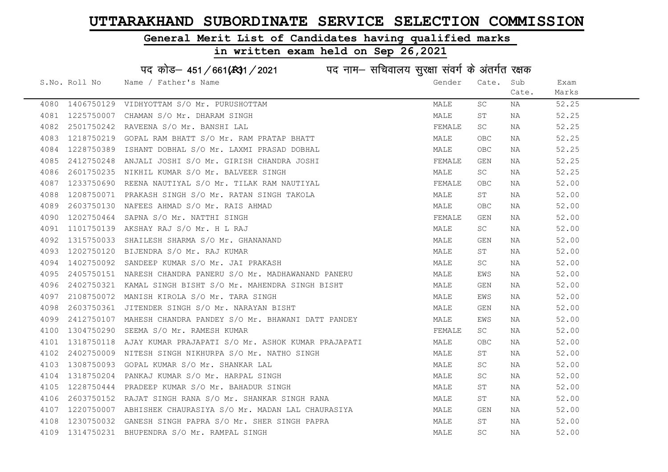#### General Merit List of Candidates having qualified marks

|      |               | पद कोड़– 451/661(131/2021 पद नाम– सचिवालय सुरक्षा संवर्ग के अंतर्गत रक्षक |        |                     |       |       |
|------|---------------|---------------------------------------------------------------------------|--------|---------------------|-------|-------|
|      | S.No. Roll No | Name / Father's Name                                                      | Gender | Cate.               | Sub   | Exam  |
|      |               |                                                                           |        |                     | Cate. | Marks |
| 4080 |               | 1406750129 VIDHYOTTAM S/O Mr. PURUSHOTTAM                                 | MALE   | SC                  | NA    | 52.25 |
| 4081 | 1225750007    | CHAMAN S/O Mr. DHARAM SINGH                                               | MALE   | SΤ                  | NA    | 52.25 |
| 4082 | 2501750242    | RAVEENA S/O Mr. BANSHI LAL                                                | FEMALE | SC                  | NA    | 52.25 |
| 4083 | 1218750219    | GOPAL RAM BHATT S/O Mr. RAM PRATAP BHATT                                  | MALE   | OBC                 | NA    | 52.25 |
| 4084 | 1228750389    | ISHANT DOBHAL S/O Mr. LAXMI PRASAD DOBHAL                                 | MALE   | OBC.                | NA    | 52.25 |
| 4085 | 2412750248    | ANJALI JOSHI S/O Mr. GIRISH CHANDRA JOSHI                                 | FEMALE | GEN                 | NA    | 52.25 |
| 4086 | 2601750235    | NIKHIL KUMAR S/O Mr. BALVEER SINGH                                        | MALE   | SC                  | NA    | 52.25 |
| 4087 | 1233750690    | REENA NAUTIYAL S/O Mr. TILAK RAM NAUTIYAL                                 | FEMALE | ${\sf OBC}$         | NA    | 52.00 |
| 4088 | 1208750071    | PRAKASH SINGH S/O Mr. RATAN SINGH TAKOLA                                  | MALE   | ST                  | NA    | 52.00 |
| 4089 | 2603750130    | NAFEES AHMAD S/O Mr. RAIS AHMAD                                           | MALE   | OBC                 | NA    | 52.00 |
| 4090 | 1202750464    | SAPNA S/O Mr. NATTHI SINGH                                                | FEMALE | GEN                 | NA    | 52.00 |
| 4091 | 1101750139    | AKSHAY RAJ S/O Mr. H L RAJ                                                | MALE   | SC                  | NA    | 52.00 |
| 4092 | 1315750033    | SHAILESH SHARMA S/O Mr. GHANANAND                                         | MALE   | GEN                 | NA    | 52.00 |
| 4093 |               | 1202750120 BIJENDRA S/O Mr. RAJ KUMAR                                     | MALE   | ST                  | NA    | 52.00 |
| 4094 |               | 1402750092 SANDEEP KUMAR S/O Mr. JAI PRAKASH                              | MALE   | SC                  | ΝA    | 52.00 |
| 4095 | 2405750151    | NARESH CHANDRA PANERU S/O Mr. MADHAWANAND PANERU                          | MALE   | EWS                 | NA    | 52.00 |
| 4096 | 2402750321    | KAMAL SINGH BISHT S/O Mr. MAHENDRA SINGH BISHT                            | MALE   | GEN                 | NA    | 52.00 |
| 4097 | 2108750072    | MANISH KIROLA S/O Mr. TARA SINGH                                          | MALE   | EWS                 | NA    | 52.00 |
| 4098 | 2603750361    | JITENDER SINGH S/O Mr. NARAYAN BISHT                                      | MALE   | GEN                 | NA    | 52.00 |
| 4099 | 2412750107    | MAHESH CHANDRA PANDEY S/O Mr. BHAWANI DATT PANDEY                         | MALE   | EWS                 | NA    | 52.00 |
| 4100 | 1304750290    | SEEMA S/O Mr. RAMESH KUMAR                                                | FEMALE | SC                  | NA    | 52.00 |
| 4101 | 1318750118    | AJAY KUMAR PRAJAPATI S/O Mr. ASHOK KUMAR PRAJAPATI                        | MALE   | OBC                 | NA    | 52.00 |
| 4102 | 2402750009    | NITESH SINGH NIKHURPA S/O Mr. NATHO SINGH                                 | MALE   | SТ                  | NA    | 52.00 |
| 4103 | 1308750093    | GOPAL KUMAR S/O Mr. SHANKAR LAL                                           | MALE   | SC                  | NA    | 52.00 |
| 4104 | 1318750204    | PANKAJ KUMAR S/O Mr. HARPAL SINGH                                         | MALE   | SC.                 | NA    | 52.00 |
| 4105 | 1228750444    | PRADEEP KUMAR S/O Mr. BAHADUR SINGH                                       | MALE   | SΤ                  | NA    | 52.00 |
| 4106 | 2603750152    | RAJAT SINGH RANA S/O Mr. SHANKAR SINGH RANA                               | MALE   | SΤ                  | NA    | 52.00 |
| 4107 |               | 1220750007 ABHISHEK CHAURASIYA S/O Mr. MADAN LAL CHAURASIYA               | MALE   | GEN                 | NA    | 52.00 |
| 4108 | 1230750032    | GANESH SINGH PAPRA S/O Mr. SHER SINGH PAPRA                               | MALE   | SΤ                  | NA    | 52.00 |
| 4109 |               | 1314750231 BHUPENDRA S/O Mr. RAMPAL SINGH                                 | MALE   | $\operatorname{SC}$ | ΝA    | 52.00 |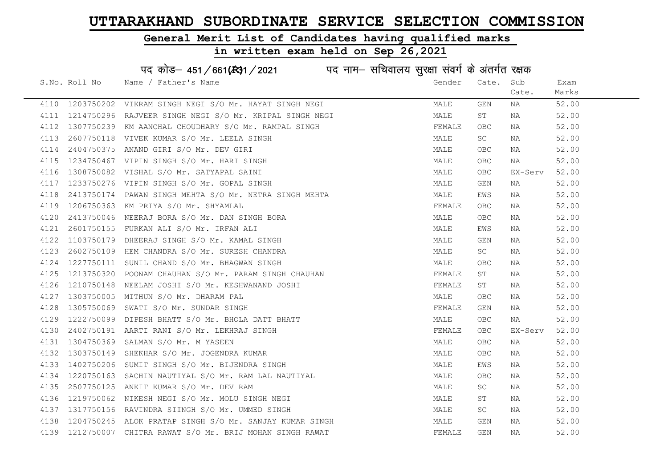#### General Merit List of Candidates having qualified marks

|      |               | पद कोड़- 451/661(431/2021 पद नाम- सचिवालय सुरक्षा संवर्ग के अंतर्गत रक्षक |        |                     |         |       |
|------|---------------|---------------------------------------------------------------------------|--------|---------------------|---------|-------|
|      | S.No. Roll No | Name / Father's Name                                                      | Gender | Cate.               | Sub     | Exam  |
|      |               |                                                                           |        |                     | Cate.   | Marks |
|      |               | 4110 1203750202 VIKRAM SINGH NEGI S/O Mr. HAYAT SINGH NEGI                | MALE   | GEN                 | NA      | 52.00 |
| 4111 |               | 1214750296 RAJVEER SINGH NEGI S/O Mr. KRIPAL SINGH NEGI                   | MALE   | ST                  | NA      | 52.00 |
| 4112 | 1307750239    | KM AANCHAL CHOUDHARY S/O Mr. RAMPAL SINGH                                 | FEMALE | OBC                 | NA      | 52.00 |
| 4113 |               | 2607750118 VIVEK KUMAR S/O Mr. LEELA SINGH                                | MALE   | SC                  | NA      | 52.00 |
| 4114 | 2404750375    | ANAND GIRI S/O Mr. DEV GIRI                                               | MALE   | OBC                 | NA      | 52.00 |
| 4115 |               | 1234750467 VIPIN SINGH S/O Mr. HARI SINGH                                 | MALE   | <b>OBC</b>          | NA      | 52.00 |
| 4116 | 1308750082    | VISHAL S/O Mr. SATYAPAL SAINI                                             | MALE   | <b>OBC</b>          | EX-Serv | 52.00 |
| 4117 | 1233750276    | VIPIN SINGH S/O Mr. GOPAL SINGH                                           | MALE   | GEN                 | NA      | 52.00 |
| 4118 | 2413750174    | PAWAN SINGH MEHTA S/O Mr. NETRA SINGH MEHTA                               | MALE   | EWS                 | NA      | 52.00 |
| 4119 | 1206750363    | KM PRIYA S/O Mr. SHYAMLAL                                                 | FEMALE | <b>OBC</b>          | NA      | 52.00 |
| 4120 | 2413750046    | NEERAJ BORA S/O Mr. DAN SINGH BORA                                        | MALE   | OBC                 | NA      | 52.00 |
| 4121 |               | 2601750155 FURKAN ALI S/O Mr. IRFAN ALI                                   | MALE   | EWS                 | NA      | 52.00 |
| 4122 | 1103750179    | DHEERAJ SINGH S/O Mr. KAMAL SINGH                                         | MALE   | GEN                 | NA      | 52.00 |
| 4123 |               | 2602750109 HEM CHANDRA S/O Mr. SURESH CHANDRA                             | MALE   | SC                  | NA      | 52.00 |
| 4124 |               | 1227750111 SUNIL CHAND S/O Mr. BHAGWAN SINGH                              | MALE   | <b>OBC</b>          | NA      | 52.00 |
| 4125 | 1213750320    | POONAM CHAUHAN S/O Mr. PARAM SINGH CHAUHAN                                | FEMALE | $\operatorname{ST}$ | NA      | 52.00 |
| 4126 | 1210750148    | NEELAM JOSHI S/O Mr. KESHWANAND JOSHI                                     | FEMALE | ST                  | NA      | 52.00 |
| 4127 | 1303750005    | MITHUN S/O Mr. DHARAM PAL                                                 | MALE   | OBC                 | NA      | 52.00 |
| 4128 | 1305750069    | SWATI S/O Mr. SUNDAR SINGH                                                | FEMALE | GEN                 | NA      | 52.00 |
| 4129 | 1222750099    | DIPESH BHATT S/O Mr. BHOLA DATT BHATT                                     | MALE   | OBC.                | NA      | 52.00 |
| 4130 | 2402750191    | AARTI RANI S/O Mr. LEKHRAJ SINGH                                          | FEMALE | OBC.                | EX-Serv | 52.00 |
| 4131 | 1304750369    | SALMAN S/O Mr. M YASEEN                                                   | MALE   | OBC.                | NA      | 52.00 |
| 4132 | 1303750149    | SHEKHAR S/O Mr. JOGENDRA KUMAR                                            | MALE   | OBC                 | NA      | 52.00 |
| 4133 | 1402750206    | SUMIT SINGH S/O Mr. BIJENDRA SINGH                                        | MALE   | EWS                 | NA      | 52.00 |
| 4134 | 1220750163    | SACHIN NAUTIYAL S/O Mr. RAM LAL NAUTIYAL                                  | MALE   | OBC.                | NA      | 52.00 |
| 4135 | 2507750125    | ANKIT KUMAR S/O Mr. DEV RAM                                               | MALE   | SC                  | NA      | 52.00 |
| 4136 | 1219750062    | NIKESH NEGI S/O Mr. MOLU SINGH NEGI                                       | MALE   | SΤ                  | NA      | 52.00 |
| 4137 |               | 1317750156 RAVINDRA SIINGH S/O Mr. UMMED SINGH                            | MALE   | SC                  | NA      | 52.00 |
| 4138 | 1204750245    | ALOK PRATAP SINGH S/O Mr. SANJAY KUMAR SINGH                              | MALE   | GEN                 | NA      | 52.00 |
| 4139 |               | 1212750007 CHITRA RAWAT S/O Mr. BRIJ MOHAN SINGH RAWAT                    | FEMALE | GEN                 | ΝA      | 52.00 |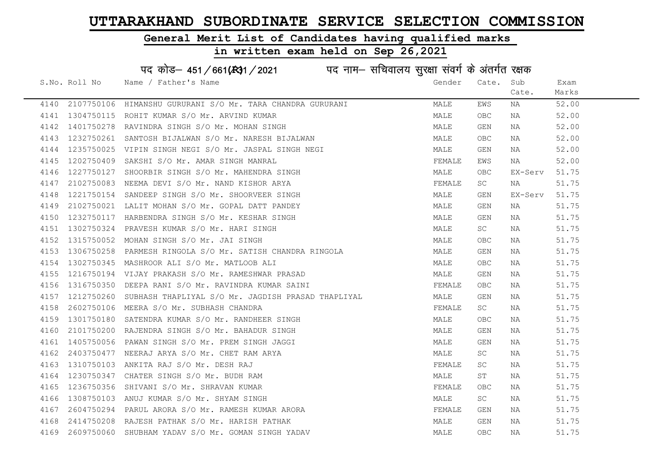#### General Merit List of Candidates having qualified marks

## in written exam held on Sep 26,2021

# पद कोड– 451/661(स्था/2021 व्यान सचिवालय सुरक्षा संवर्ग के अंतर्गत रक्षक

|      | S.No. Roll No | Name / Father's Name                                                                                                                                                                                                                       | Gender | Cate.      | Sub     | Exam  |
|------|---------------|--------------------------------------------------------------------------------------------------------------------------------------------------------------------------------------------------------------------------------------------|--------|------------|---------|-------|
|      |               |                                                                                                                                                                                                                                            |        |            | Cate.   | Marks |
|      |               | 4140 2107750106 HIMANSHU GURURANI S/O Mr. TARA CHANDRA GURURANI                                                                                                                                                                            | MALE   | EWS        | NA      | 52.00 |
| 4141 |               | 1304750115 ROHIT KUMAR S/O Mr. ARVIND KUMAR                                                                                                                                                                                                | MALE   | OBC        | NA      | 52.00 |
| 4142 | 1401750278    | RAVINDRA SINGH S/O Mr. MOHAN SINGH                                                                                                                                                                                                         | MALE   | GEN        | NA      | 52.00 |
| 4143 | 1232750261    | SANTOSH BIJALWAN S/O Mr. NARESH BIJALWAN                                                                                                                                                                                                   | MALE   | OBC.       | NA      | 52.00 |
| 4144 | 1235750025    | VIPIN SINGH NEGI S/O Mr. JASPAL SINGH NEGI                                                                                                                                                                                                 | MALE   | GEN        | NA      | 52.00 |
| 4145 | 1202750409    | SAKSHI S/O Mr. AMAR SINGH MANRAL                                                                                                                                                                                                           | FEMALE | EWS        | NA      | 52.00 |
| 4146 | 1227750127    |                                                                                                                                                                                                                                            | MALE   | OBC.       | EX-Serv | 51.75 |
| 4147 |               | 2102750083 NEEMA DEVI S/O Mr. NAND KISHOR ARYA                                                                                                                                                                                             | FEMALE | SC         | NA      | 51.75 |
| 4148 |               | SHOORBIR SINGH S/O Mr. MAHENDRA SINGH<br>NEEMA DEVI S/O Mr. NAND KISHOR ARYA<br>SANDEEP SINGH S/O Mr. SHOORVEER SINGH<br>1221750154 SANDEEP SINGH S/O Mr. SHOORVEER SINGH                                                                  | MALE   | GEN        | EX-Serv | 51.75 |
| 4149 |               | 2102750021 LALIT MOHAN S/O Mr. GOPAL DATT PANDEY<br>1232750117 HARBENDRA SINGH S/O Mr. KESHAR SINGH                                                                                                                                        | MALE   | GEN        | NA      | 51.75 |
| 4150 |               |                                                                                                                                                                                                                                            | MALE   | GEN        | NA      | 51.75 |
| 4151 | 1302750324    | PRAVESH KUMAR S/O Mr. HARI SINGH                                                                                                                                                                                                           | MALE   | SC         | NA      | 51.75 |
| 4152 |               | 1315750052 MOHAN SINGH S/O Mr. JAI SINGH                                                                                                                                                                                                   | MALE   | OBC.       | NA      | 51.75 |
| 4153 |               | 1306750258 PARMESH RINGOLA S/O Mr. SATISH CHANDRA RINGOLA                                                                                                                                                                                  | MALE   | GEN        | NA      | 51.75 |
| 4154 |               | 1302750345 MASHROOR ALI S/O Mr. MATLOOB ALI                                                                                                                                                                                                | MALE   | <b>OBC</b> | NA      | 51.75 |
| 4155 |               | 1216750194 VIJAY PRAKASH S/O Mr. RAMESHWAR PRASAD                                                                                                                                                                                          | MALE   | GEN        | NA      | 51.75 |
| 4156 |               | 1316750350 DEEPA RANI S/O Mr. RAVINDRA KUMAR SAINI                                                                                                                                                                                         | FEMALE | OBC.       | NA      | 51.75 |
| 4157 |               | 1212750260 SUBHASH THAPLIYAL S/O Mr. JAGDISH PRASAD THAPLIYAL                                                                                                                                                                              | MALE   | GEN        | NA      | 51.75 |
| 4158 |               | 2602750106 MEERA S/O Mr. SUBHASH CHANDRA                                                                                                                                                                                                   | FEMALE | <b>SC</b>  | NA      | 51.75 |
| 4159 |               | 1301750180 SATENDRA KUMAR S/O Mr. RANDHEER SINGH                                                                                                                                                                                           | MALE   | OBC.       | NA      | 51.75 |
| 4160 |               |                                                                                                                                                                                                                                            | MALE   | GEN        | NA      | 51.75 |
| 4161 |               |                                                                                                                                                                                                                                            | MALE   | GEN        | NA      | 51.75 |
| 4162 |               |                                                                                                                                                                                                                                            | MALE   | SC         | NA      | 51.75 |
| 4163 |               |                                                                                                                                                                                                                                            | FEMALE | SC.        | NA      | 51.75 |
| 4164 |               |                                                                                                                                                                                                                                            | MALE   | SΤ         | NA      | 51.75 |
| 4165 |               |                                                                                                                                                                                                                                            | FEMALE | <b>OBC</b> | NA      | 51.75 |
| 4166 |               |                                                                                                                                                                                                                                            | MALE   | SC         | NA      | 51.75 |
| 4167 |               | 1301/90180 SATENDRA KUMAR S/O MT. RANDHEER SINGH<br>2101750200 RAJENDRA SINGH S/O MT. BAHADUR SINGH<br>1405750056 PAWAN SINGH S/O MT. PREM SINGH JAGGI<br>2403750477 NEERAJ ARYA S/O MT. CHET RAM ARYA<br>1310750103 ANKITA RAJ S/O MT. DE | FEMALE | GEN        | NA      | 51.75 |
| 4168 |               |                                                                                                                                                                                                                                            | MALE   | GEN        | NA      | 51.75 |
| 4169 |               |                                                                                                                                                                                                                                            | MALE   | OBC.       | NA      | 51.75 |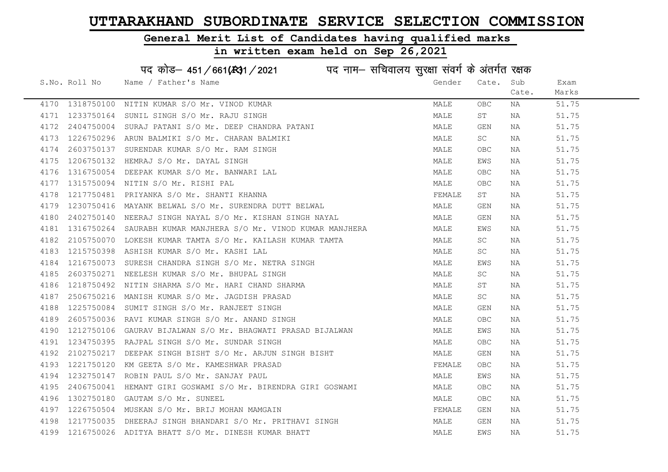#### General Merit List of Candidates having qualified marks

|      |                 | पद कोड़– 451/661(131/2021 पद नाम– सचिवालय सुरक्षा संवर्ग के अंतर्गत रक्षक |        |                                  |       |       |
|------|-----------------|---------------------------------------------------------------------------|--------|----------------------------------|-------|-------|
|      | S.No. Roll No   | Name / Father's Name                                                      | Gender | Cate.                            | Sub   | Exam  |
|      |                 |                                                                           |        |                                  | Cate. | Marks |
|      | 4170 1318750100 | NITIN KUMAR S/O Mr. VINOD KUMAR                                           | MALE   | <b>OBC</b>                       | ΝA    | 51.75 |
| 4171 | 1233750164      | SUNIL SINGH S/O Mr. RAJU SINGH                                            | MALE   | ST                               | NA    | 51.75 |
| 4172 | 2404750004      | SURAJ PATANI S/O Mr. DEEP CHANDRA PATANI                                  | MALE   | GEN                              | NA    | 51.75 |
| 4173 | 1226750296      | ARUN BALMIKI S/O Mr. CHARAN BALMIKI                                       | MALE   | SC                               | NA    | 51.75 |
| 4174 | 2603750137      | SURENDAR KUMAR S/O Mr. RAM SINGH                                          | MALE   | <b>OBC</b>                       | NA    | 51.75 |
| 4175 |                 | 1206750132 HEMRAJ S/O Mr. DAYAL SINGH                                     | MALE   | EWS                              | NA    | 51.75 |
| 4176 |                 | 1316750054 DEEPAK KUMAR S/O Mr. BANWARI LAL                               | MALE   | OBC                              | NA    | 51.75 |
| 4177 | 1315750094      | NITIN S/O Mr. RISHI PAL                                                   | MALE   | $\mathsf{O}\mathsf{B}\mathsf{C}$ | NA    | 51.75 |
| 4178 | 1217750481      | PRIYANKA S/O Mr. SHANTI KHANNA                                            | FEMALE | ST                               | NA    | 51.75 |
| 4179 |                 | 1230750416 MAYANK BELWAL S/O Mr. SURENDRA DUTT BELWAL                     | MALE   | GEN                              | NA    | 51.75 |
| 4180 |                 | 2402750140 NEERAJ SINGH NAYAL S/O Mr. KISHAN SINGH NAYAL                  | MALE   | GEN                              | NA    | 51.75 |
| 4181 | 1316750264      | SAURABH KUMAR MANJHERA S/O Mr. VINOD KUMAR MANJHERA                       | MALE   | EWS                              | NA    | 51.75 |
| 4182 |                 | 2105750070 LOKESH KUMAR TAMTA S/O Mr. KAILASH KUMAR TAMTA                 | MALE   | SC                               | NA    | 51.75 |
| 4183 |                 | 1215750398 ASHISH KUMAR S/O Mr. KASHI LAL                                 | MALE   | SC                               | NA    | 51.75 |
| 4184 |                 | 1216750073 SURESH CHANDRA SINGH S/O Mr. NETRA SINGH                       | MALE   | EWS                              | NA    | 51.75 |
| 4185 | 2603750271      | NEELESH KUMAR S/O Mr. BHUPAL SINGH                                        | MALE   | SC                               | NA    | 51.75 |
| 4186 | 1218750492      | NITIN SHARMA S/O Mr. HARI CHAND SHARMA                                    | MALE   | ST                               | NA    | 51.75 |
| 4187 | 2506750216      | MANISH KUMAR S/O Mr. JAGDISH PRASAD                                       | MALE   | SC                               | NA    | 51.75 |
| 4188 | 1225750084      | SUMIT SINGH S/O Mr. RANJEET SINGH                                         | MALE   | GEN                              | NA    | 51.75 |
| 4189 | 2605750036      | RAVI KUMAR SINGH S/O Mr. ANAND SINGH                                      | MALE   | OBC                              | NA    | 51.75 |
| 4190 | 1212750106      | GAURAV BIJALWAN S/O Mr. BHAGWATI PRASAD BIJALWAN                          | MALE   | EWS                              | NA    | 51.75 |
| 4191 |                 | 1234750395 RAJPAL SINGH S/O Mr. SUNDAR SINGH                              | MALE   | ${\sf OBC}$                      | NA    | 51.75 |
| 4192 | 2102750217      | DEEPAK SINGH BISHT S/O Mr. ARJUN SINGH BISHT                              | MALE   | GEN                              | NA    | 51.75 |
| 4193 | 1221750120      | KM GEETA S/O Mr. KAMESHWAR PRASAD                                         | FEMALE | OBC                              | ΝA    | 51.75 |
| 4194 | 1232750147      | ROBIN PAUL S/O Mr. SANJAY PAUL                                            | MALE   | EWS                              | NA    | 51.75 |
| 4195 | 2406750041      | HEMANT GIRI GOSWAMI S/O Mr. BIRENDRA GIRI GOSWAMI                         | MALE   | <b>OBC</b>                       | NA    | 51.75 |
| 4196 | 1302750180      | GAUTAM S/O Mr. SUNEEL                                                     | MALE   | <b>OBC</b>                       | NA    | 51.75 |
| 4197 |                 | 1226750504 MUSKAN S/O Mr. BRIJ MOHAN MAMGAIN                              | FEMALE | GEN                              | NA    | 51.75 |
| 4198 |                 | 1217750035 DHEERAJ SINGH BHANDARI S/O Mr. PRITHAVI SINGH                  | MALE   | GEN                              | NA    | 51.75 |
|      |                 | 4199 1216750026 ADITYA BHATT S/O Mr. DINESH KUMAR BHATT                   | MALE   | EWS                              | ΝA    | 51.75 |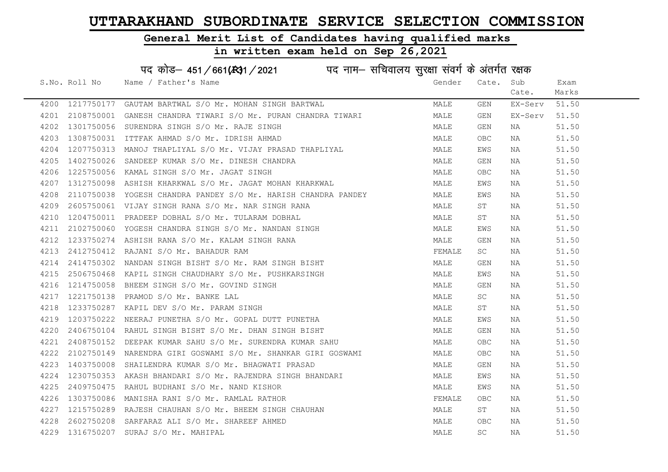## General Merit List of Candidates having qualified marks

|      |               | पद कोड़- 451/661(431/2021 पद नाम- सचिवालय सुरक्षा संवर्ग के अंतर्गत रक्षक |        |            |         |       |
|------|---------------|---------------------------------------------------------------------------|--------|------------|---------|-------|
|      | S.No. Roll No | Name / Father's Name                                                      | Gender | Cate.      | Sub     | Exam  |
|      |               |                                                                           |        |            | Cate.   | Marks |
| 4200 |               | 1217750177 GAUTAM BARTWAL S/O Mr. MOHAN SINGH BARTWAL                     | MALE   | GEN        | EX-Serv | 51.50 |
| 4201 |               | 2108750001 GANESH CHANDRA TIWARI S/O Mr. PURAN CHANDRA TIWARI             | MALE   | GEN        | EX-Serv | 51.50 |
| 4202 |               | 1301750056 SURENDRA SINGH S/O Mr. RAJE SINGH                              | MALE   | GEN        | NA      | 51.50 |
| 4203 | 1308750031    | ITTFAK AHMAD S/O Mr. IDRISH AHMAD                                         | MALE   | OBC        | NA      | 51.50 |
| 4204 |               | 1207750313 MANOJ THAPLIYAL S/O Mr. VIJAY PRASAD THAPLIYAL                 | MALE   | EWS        | NA      | 51.50 |
| 4205 | 1402750026    | SANDEEP KUMAR S/O Mr. DINESH CHANDRA                                      | MALE   | GEN        | NA      | 51.50 |
| 4206 | 1225750056    | KAMAL SINGH S/O Mr. JAGAT SINGH                                           | MALE   | OBC        | NA      | 51.50 |
| 4207 | 1312750098    | ASHISH KHARKWAL S/O Mr. JAGAT MOHAN KHARKWAL                              | MALE   | EWS        | NA      | 51.50 |
| 4208 | 2110750038    | YOGESH CHANDRA PANDEY S/O Mr. HARISH CHANDRA PANDEY                       | MALE   | EWS        | NA      | 51.50 |
| 4209 |               | 2605750061 VIJAY SINGH RANA S/O Mr. NAR SINGH RANA                        | MALE   | SΤ         | NA      | 51.50 |
| 4210 | 1204750011    | PRADEEP DOBHAL S/O Mr. TULARAM DOBHAL                                     | MALE   | SΤ         | NA      | 51.50 |
| 4211 |               | 2102750060 YOGESH CHANDRA SINGH S/O Mr. NANDAN SINGH                      | MALE   | EWS        | NA      | 51.50 |
| 4212 |               | 1233750274 ASHISH RANA S/O Mr. KALAM SINGH RANA                           | MALE   | GEN        | NA      | 51.50 |
| 4213 |               | 2412750412 RAJANI S/O Mr. BAHADUR RAM                                     | FEMALE | SC         | NA      | 51.50 |
| 4214 | 2414750302    | NANDAN SINGH BISHT S/O Mr. RAM SINGH BISHT                                | MALE   | GEN        | NA      | 51.50 |
| 4215 | 2506750468    | KAPIL SINGH CHAUDHARY S/O Mr. PUSHKARSINGH                                | MALE   | EWS        | NA      | 51.50 |
| 4216 |               | 1214750058 BHEEM SINGH S/O Mr. GOVIND SINGH                               | MALE   | GEN        | NA      | 51.50 |
| 4217 | 1221750138    | PRAMOD S/O Mr. BANKE LAL                                                  | MALE   | SC         | NA      | 51.50 |
| 4218 | 1233750287    | KAPIL DEV S/O Mr. PARAM SINGH                                             | MALE   | ST         | NA      | 51.50 |
| 4219 | 1203750222    | NEERAJ PUNETHA S/O Mr. GOPAL DUTT PUNETHA                                 | MALE   | EWS        | NA      | 51.50 |
| 4220 |               | 2406750104 RAHUL SINGH BISHT S/O Mr. DHAN SINGH BISHT                     | MALE   | GEN        | NA      | 51.50 |
| 4221 | 2408750152    | DEEPAK KUMAR SAHU S/O Mr. SURENDRA KUMAR SAHU                             | MALE   | OBC        | NA      | 51.50 |
| 4222 | 2102750149    | NARENDRA GIRI GOSWAMI S/O Mr. SHANKAR GIRI GOSWAMI                        | MALE   | OBC        | NA      | 51.50 |
| 4223 | 1403750008    | SHAILENDRA KUMAR S/O Mr. BHAGWATI PRASAD                                  | MALE   | GEN        | NA      | 51.50 |
| 4224 |               | 1230750353 AKASH BHANDARI S/O Mr. RAJENDRA SINGH BHANDARI                 | MALE   | EWS        | NA      | 51.50 |
| 4225 | 2409750475    | RAHUL BUDHANI S/O Mr. NAND KISHOR                                         | MALE   | EWS        | NA      | 51.50 |
| 4226 | 1303750086    | MANISHA RANI S/O Mr. RAMLAL RATHOR                                        | FEMALE | OBC        | NA      | 51.50 |
| 4227 |               | 1215750289 RAJESH CHAUHAN S/O Mr. BHEEM SINGH CHAUHAN                     | MALE   | SΤ         | NA      | 51.50 |
| 4228 |               | 2602750208 SARFARAZ ALI S/O Mr. SHAREEF AHMED                             | MALE   | <b>OBC</b> | NA      | 51.50 |
| 4229 | 1316750207    | SURAJ S/O Mr. MAHIPAL                                                     | MALE   | SC         | ΝA      | 51.50 |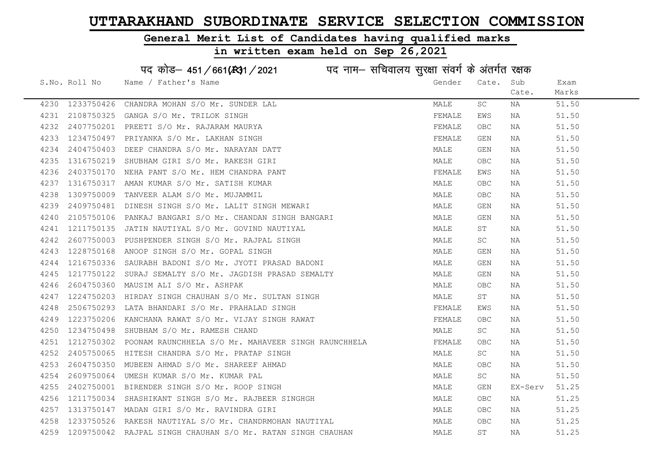#### General Merit List of Candidates having qualified marks

in written exam held on Sep 26,2021

S.No. Roll No Wame / Father's Name Gender Cate. Sub Cate. Exam Marks पद कोड– 451/661(स्था) / 2021 व्यान सचिवालय सुरक्षा संवर्ग के अंतर्गत रक्षक 4230 1233750426 CHANDRA MOHAN S/O Mr. SUNDER LAL MALE SC NA 51.50 4231 2108750325 GANGA S/O Mr. TRILOK SINGH FEMALE EWS NA 51.50 4232 2407750201 PREETI S/O Mr. RAJARAM MAURYA FEMALE OBC NA 51.50 4233 1234750497 PRIYANKA S/O Mr. LAKHAN SINGH FEMALE GEN NA 51.50 4234 2404750403 DEEP CHANDRA S/O Mr. NARAYAN DATT MALE GEN NA 51.50 4235 1316750219 SHUBHAM GIRI S/O Mr. RAKESH GIRI MALE OBC NA 51.50 4236 2403750170 NEHA PANT S/O Mr. HEM CHANDRA PANT THE SAND SERMALE EWS NA 51.50 4237 1316750317 AMAN KUMAR S/O Mr. SATISH KUMAR MALE OBC NA 51.50 4238 1309750009 TANVEER ALAM S/O Mr. MUJAMMIL MALE OBC NA 51.50 4239 2409750481 DINESH SINGH S/O Mr. LALIT SINGH MEWARI MALE GEN NA 51.50 4240 2105750106 PANKAJ BANGARI S/O Mr. CHANDAN SINGH BANGARI MALE GEN NA 51.50 4241 1211750135 JATIN NAUTIYAL S/O Mr. GOVIND NAUTIYAL MALE ST NA 51.50 4242 2607750003 PUSHPENDER SINGH S/O Mr. RAJPAL SINGH MALE SC NA 51.50 4243 1228750168 ANOOP SINGH S/O Mr. GOPAL SINGH MALE GEN NA 51.50 4244 1216750336 SAURABH BADONI S/O Mr. JYOTI PRASAD BADONI MALE GEN NA 51.50 4245 1217750122 SURAJ SEMALTY S/O Mr. JAGDISH PRASAD SEMALTY MAN MALE GEN NA 51.50 4246 2604750360 MAUSIM ALI S/O Mr. ASHPAK MALE OBC NA 51.50 4247 1224750203 HIRDAY SINGH CHAUHAN S/O Mr. SULTAN SINGH MALE ST NA 51.50 4248 2506750293 LATA BHANDARI S/O Mr. PRAHALAD SINGH FEMALAD FEMALE EWS NA 51.50 4249 1223750206 KANCHANA RAWAT S/O Mr. VIJAY SINGH RAWAT SUNDAN SEMALE OBC NA 51.50 4250 1234750498 SHUBHAM S/O Mr. RAMESH CHAND MALE SC NA 51.50 4251 1212750302 POONAM RAUNCHHELA S/O Mr. MAHAVEER SINGH RAUNCHHELA FEMALE OBC NA 51.50 4252 2405750065 HITESH CHANDRA S/O Mr. PRATAP SINGH MALE SC NA 51.50 4253 2604750350 MUBEEN AHMAD S/O Mr. SHAREEF AHMAD MALE OBC NA 51.50 4254 2609750064 UMESH\_KUMAR\_S/O\_Mr.KUMAR\_PAL MALL MALL MALE SC NA 51.50 4255 2402750001 BIRENDER SINGH S/O Mr. ROOP SINGH MALE GEN EX-Serv 51.25 4256 1211750034 SHASHIKANT SINGH S/O Mr. RAJBEER SINGHGH MALE OBC NA 51.25 4257 1313750147 MADAN GIRI S/O Mr. RAVINDRA GIRI MALE OBC NA 51.25 4258 1233750526 RAKESH NAUTIYAL S/O Mr. CHANDRMOHAN NAUTIYAL MALE OBC NA 51.25 4259 1209750042 RAJPAL SINGH CHAUHAN S/O Mr. RATAN SINGH CHAUHAN MALE ST NA 51.25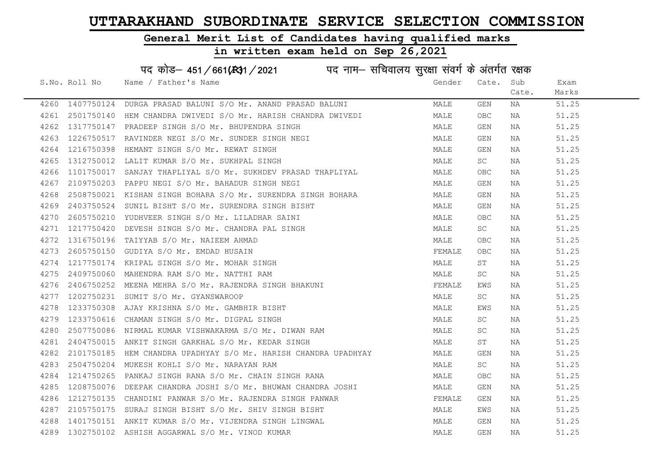#### General Merit List of Candidates having qualified marks

|      |               | पद कोड़– 451/661(431/2021 पद नाम– सचिवालय सुरक्षा संवर्ग के अंतर्गत रक्षक |        |            |       |       |
|------|---------------|---------------------------------------------------------------------------|--------|------------|-------|-------|
|      | S.No. Roll No | Name / Father's Name                                                      | Gender | Cate.      | Sub   | Exam  |
|      |               |                                                                           |        |            | Cate. | Marks |
|      |               | 4260 1407750124 DURGA PRASAD BALUNI S/O Mr. ANAND PRASAD BALUNI           | MALE   | GEN        | NA    | 51.25 |
| 4261 |               | 2501750140 HEM CHANDRA DWIVEDI S/O Mr. HARISH CHANDRA DWIVEDI             | MALE   | <b>OBC</b> | NA    | 51.25 |
| 4262 |               | 1317750147 PRADEEP SINGH S/O Mr. BHUPENDRA SINGH                          | MALE   | GEN        | NA    | 51.25 |
| 4263 | 1226750517    | RAVINDER NEGI S/O Mr. SUNDER SINGH NEGI                                   | MALE   | GEN        | NA    | 51.25 |
| 4264 | 1216750398    | HEMANT SINGH S/O Mr. REWAT SINGH                                          | MALE   | GEN        | NA    | 51.25 |
| 4265 |               | 1312750012 LALIT KUMAR S/O Mr. SUKHPAL SINGH                              | MALE   | SC         | NA    | 51.25 |
| 4266 |               | 1101750017 SANJAY THAPLIYAL S/O Mr. SUKHDEV PRASAD THAPLIYAL              | MALE   | OBC        | NA    | 51.25 |
| 4267 |               | 2109750203 PAPPU NEGI S/O Mr. BAHADUR SINGH NEGI                          | MALE   | GEN        | NA    | 51.25 |
| 4268 | 2508750021    | KISHAN SINGH BOHARA S/O Mr. SURENDRA SINGH BOHARA                         | MALE   | GEN        | NA    | 51.25 |
| 4269 | 2403750524    | SUNIL BISHT S/O Mr. SURENDRA SINGH BISHT                                  | MALE   | GEN        | NA    | 51.25 |
| 4270 |               | 2605750210 YUDHVEER SINGH S/O Mr. LILADHAR SAINI                          | MALE   | OBC        | NA    | 51.25 |
| 4271 | 1217750420    | DEVESH SINGH S/O Mr. CHANDRA PAL SINGH                                    | MALE   | SC         | NA    | 51.25 |
| 4272 |               | 1316750196 TAIYYAB S/O Mr. NAIEEM AHMAD                                   | MALE   | OBC        | NA    | 51.25 |
| 4273 |               | 2605750150 GUDIYA S/O Mr. EMDAD HUSAIN                                    | FEMALE | OBC        | NA    | 51.25 |
| 4274 |               | 1217750174 KRIPAL SINGH S/O Mr. MOHAR SINGH                               | MALE   | ST         | NA    | 51.25 |
| 4275 | 2409750060    | MAHENDRA RAM S/O Mr. NATTHI RAM                                           | MALE   | SC.        | NA    | 51.25 |
| 4276 | 2406750252    | MEENA MEHRA S/O Mr. RAJENDRA SINGH BHAKUNI                                | FEMALE | EWS        | NA    | 51.25 |
| 4277 | 1202750231    | SUMIT S/O Mr. GYANSWAROOP                                                 | MALE   | SC         | NA    | 51.25 |
| 4278 | 1233750308    | AJAY KRISHNA S/O Mr. GAMBHIR BISHT                                        | MALE   | EWS        | NA    | 51.25 |
| 4279 |               | 1233750616 CHAMAN SINGH S/O Mr. DIGPAL SINGH                              | MALE   | SC         | NA    | 51.25 |
| 4280 |               | 2507750086 NIRMAL KUMAR VISHWAKARMA S/O Mr. DIWAN RAM                     | MALE   | SC.        | NA    | 51.25 |
| 4281 |               | 2404750015 ANKIT SINGH GARKHAL S/O Mr. KEDAR SINGH                        | MALE   | ST         | NA    | 51.25 |
| 4282 | 2101750185    | HEM CHANDRA UPADHYAY S/O Mr. HARISH CHANDRA UPADHYAY                      | MALE   | GEN        | NA    | 51.25 |
| 4283 | 2504750204    | MUKESH KOHLI S/O Mr. NARAYAN RAM                                          | MALE   | SC         | NA    | 51.25 |
| 4284 | 1214750265    | PANKAJ SINGH RANA S/O Mr. CHAIN SINGH RANA                                | MALE   | OBC        | NA    | 51.25 |
| 4285 |               | 1208750076 DEEPAK CHANDRA JOSHI S/O Mr. BHUWAN CHANDRA JOSHI              | MALE   | GEN        | NA    | 51.25 |
| 4286 |               | 1212750135 CHANDINI PANWAR S/O Mr. RAJENDRA SINGH PANWAR                  | FEMALE | GEN        | NA    | 51.25 |
| 4287 |               | 2105750175 SURAJ SINGH BISHT S/O Mr. SHIV SINGH BISHT                     | MALE   | EWS        | NA    | 51.25 |
| 4288 |               | 1401750151 ANKIT KUMAR S/O Mr. VIJENDRA SINGH LINGWAL                     | MALE   | GEN        | NA    | 51.25 |
|      |               | 4289 1302750102 ASHISH AGGARWAL S/O Mr. VINOD KUMAR                       | MALE   | GEN        | NA    | 51.25 |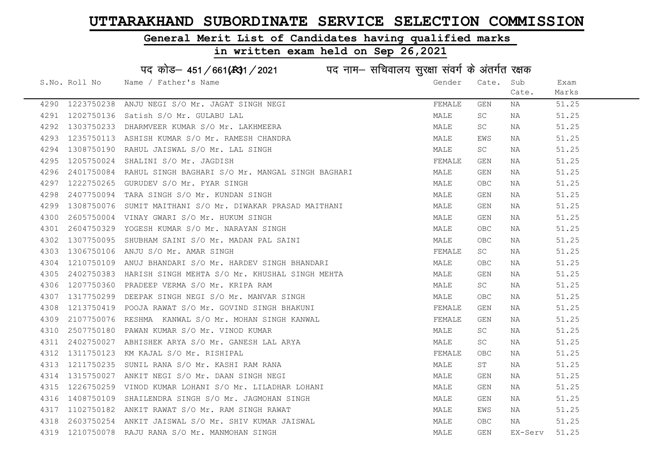#### General Merit List of Candidates having qualified marks

|      |               | पद कोड़- 451/661(431/2021 पद नाम- सचिवालय सुरक्षा संवर्ग के अंतर्गत रक्षक |        |            |         |       |
|------|---------------|---------------------------------------------------------------------------|--------|------------|---------|-------|
|      | S.No. Roll No | Name / Father's Name                                                      | Gender | Cate.      | Sub     | Exam  |
|      |               |                                                                           |        |            | Cate.   | Marks |
| 4290 | 1223750238    | ANJU NEGI S/O Mr. JAGAT SINGH NEGI                                        | FEMALE | GEN        | NA      | 51.25 |
| 4291 | 1202750136    | Satish S/O Mr. GULABU LAL                                                 | MALE   | SC         | NA      | 51.25 |
| 4292 | 1303750233    | DHARMVEER KUMAR S/O Mr. LAKHMEERA                                         | MALE   | SC         | NA      | 51.25 |
| 4293 | 1235750113    | ASHISH KUMAR S/O Mr. RAMESH CHANDRA                                       | MALE   | EWS        | NA      | 51.25 |
| 4294 | 1308750190    | RAHUL JAISWAL S/O Mr. LAL SINGH                                           | MALE   | SC         | NA      | 51.25 |
| 4295 |               | 1205750024 SHALINI S/O Mr. JAGDISH                                        | FEMALE | GEN        | NA      | 51.25 |
| 4296 |               | 2401750084 RAHUL SINGH BAGHARI S/O Mr. MANGAL SINGH BAGHARI               | MALE   | GEN        | NA      | 51.25 |
| 4297 | 1222750265    | GURUDEV S/O Mr. PYAR SINGH                                                | MALE   | <b>OBC</b> | NA      | 51.25 |
| 4298 | 2407750094    | TARA SINGH S/O Mr. KUNDAN SINGH                                           | MALE   | GEN        | NA      | 51.25 |
| 4299 | 1308750076    | SUMIT MAITHANI S/O Mr. DIWAKAR PRASAD MAITHANI                            | MALE   | GEN        | NA      | 51.25 |
| 4300 |               | 2605750004 VINAY GWARI S/O Mr. HUKUM SINGH                                | MALE   | GEN        | NA      | 51.25 |
| 4301 | 2604750329    | YOGESH KUMAR S/O Mr. NARAYAN SINGH                                        | MALE   | <b>OBC</b> | NA      | 51.25 |
| 4302 | 1307750095    | SHUBHAM SAINI S/O Mr. MADAN PAL SAINI                                     | MALE   | <b>OBC</b> | NA      | 51.25 |
| 4303 | 1306750106    | ANJU S/O Mr. AMAR SINGH                                                   | FEMALE | SC         | NA      | 51.25 |
| 4304 | 1210750109    | ANUJ BHANDARI S/O Mr. HARDEV SINGH BHANDARI                               | MALE   | <b>OBC</b> | NA      | 51.25 |
| 4305 | 2402750383    | HARISH SINGH MEHTA S/O Mr. KHUSHAL SINGH MEHTA                            | MALE   | GEN        | NA      | 51.25 |
| 4306 | 1207750360    | PRADEEP VERMA S/O Mr. KRIPA RAM                                           | MALE   | SC         | NA      | 51.25 |
| 4307 | 1317750299    | DEEPAK SINGH NEGI S/O Mr. MANVAR SINGH                                    | MALE   | OBC        | NA      | 51.25 |
| 4308 | 1213750419    | POOJA RAWAT S/O Mr. GOVIND SINGH BHAKUNI                                  | FEMALE | GEN        | NA      | 51.25 |
| 4309 | 2107750076    | RESHMA KANWAL S/O Mr. MOHAN SINGH KANWAL                                  | FEMALE | GEN        | NA      | 51.25 |
| 4310 | 2507750180    | PAWAN KUMAR S/O Mr. VINOD KUMAR                                           | MALE   | SC         | NA      | 51.25 |
| 4311 |               | 2402750027 ABHISHEK ARYA S/O Mr. GANESH LAL ARYA                          | MALE   | SC         | NA      | 51.25 |
| 4312 | 1311750123    | KM KAJAL S/O Mr. RISHIPAL                                                 | FEMALE | <b>OBC</b> | NA      | 51.25 |
| 4313 | 1211750235    | SUNIL RANA S/O Mr. KASHI RAM RANA                                         | MALE   | SΤ         | NA      | 51.25 |
| 4314 | 1315750027    | ANKIT NEGI S/O Mr. DAAN SINGH NEGI                                        | MALE   | GEN        | NA      | 51.25 |
| 4315 |               | 1226750259 VINOD KUMAR LOHANI S/O Mr. LILADHAR LOHANI                     | MALE   | GEN        | NA      | 51.25 |
| 4316 | 1408750109    | SHAILENDRA SINGH S/O Mr. JAGMOHAN SINGH                                   | MALE   | GEN        | NA      | 51.25 |
| 4317 |               | 1102750182 ANKIT RAWAT S/O Mr. RAM SINGH RAWAT                            | MALE   | EWS        | NA      | 51.25 |
| 4318 | 2603750254    | ANKIT JAISWAL S/O Mr. SHIV KUMAR JAISWAL                                  | MALE   | <b>OBC</b> | NA      | 51.25 |
|      |               | 4319 1210750078 RAJU RANA S/O Mr. MANMOHAN SINGH                          | MALE   | GEN        | EX-Serv | 51.25 |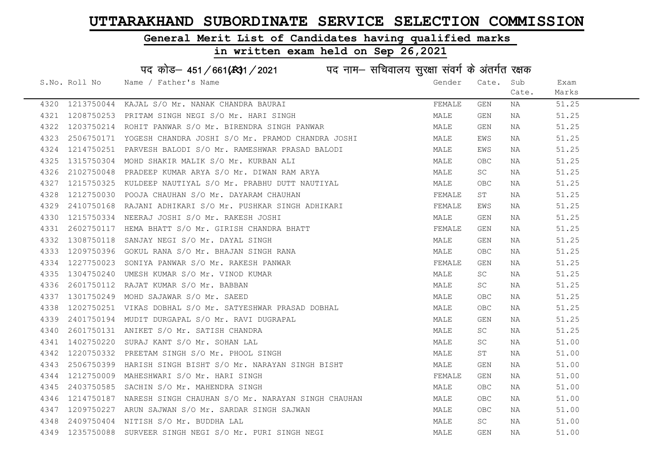#### General Merit List of Candidates having qualified marks

#### in written exam held on Sep 26,2021

S.No. Roll No Wame / Father's Name Gender Cate. Sub Cate. Exam Marks पद कोड– 451/661(स्था / 2021 व्यान सचिवालय सुरक्षा संवर्ग के अंतर्गत रक्षक 4320 1213750044 KAJAL S/O Mr. NANAK CHANDRA BAURAI FEMALANDER SEN NA 51.25 4321 1208750253 PRITAM SINGH NEGI S/O Mr. HARI SINGH MALE GEN NA 51.25 4322 1203750214 ROHIT PANWAR S/O Mr. BIRENDRA SINGH PANWAR MAN MALE GEN NA 51.25 4323 2506750171 YOGESH CHANDRA JOSHI S/O Mr. PRAMOD CHANDRA JOSHI SHAN MALE EWS NA S1.25 4324 1214750251 PARVESH BALODI S/O Mr. RAMESHWAR PRASAD BALODI SAN MALE EWS NA S1.25 4325 1315750304 MOHD SHAKIR MALIK S/O Mr. KURBAN ALI MALE OBC NA 51.25 4326 2102750048 PRADEEP KUMAR ARYA S/O Mr. DIWAN RAM ARYA MARYA MALE SC NA 51.25 4327 1215750325 KULDEEP NAUTIYAL S/O Mr. PRABHU DUTT NAUTIYAL MANA MALE OBC NA 51.25 4328 1212750030 POOJA CHAUHAN S/O Mr. DAYARAM CHAUHAN FEMALE ST NA 51.25 4329 2410750168 RAJANI ADHIKARI S/O Mr. PUSHKAR SINGH ADHIKARI KAN SEMALE EWS NA S1.25 4330 1215750334 NEERAJ JOSHI S/O Mr. RAKESH JOSHI MALE GEN NA 51.25 4331 2602750117 HEMA BHATT S/O Mr. GIRISH CHANDRA BHATT SUN SEMALE GEN NA 51.25 4332 1308750118 SANJAY NEGI S/O Mr. DAYAL SINGH MALE GEN NA 51.25 4333 1209750396 GOKUL RANA S/O Mr. BHAJAN SINGH RANA MANA MALE OBC NA 51.25 4334 1227750023 SONIYA PANWAR S/O Mr. RAKESH PANWAR FEMALE GEN NA 51.25 4335 1304750240 UMESHIKUMAR S/O Mr. VINOD KUMAR MALE SCO NA SCO NA 51.25 4336 2601750112 RAJAT KUMAR S/O Mr. BABBAN MALE SC NA 51.25 4337 1301750249 MOHD SAJAWAR S/O Mr. SAEED MALE OBC NA 51.25 4338 1202750251 VIKAS DOBHAL S/O Mr. SATYESHWAR PRASAD DOBHAL MALE OBC NA 51.25 4339 2401750194 MUDIT DURGAPAL S/O Mr. RAVI DUGRAPAL MALE GEN NA 51.25 4340 2601750131 ANIKET S/O Mr. SATISH CHANDRA MANUS AND SATISH SC NA 51.25 4341 1402750220 SURAJ KANT S/O Mr. SOHAN LAL MALE SC NA 51.00 4342 1220750332 PREETAM SINGH S/O Mr. PHOOL SINGH MALE ST NA 51.00 4343 2506750399 HARISH SINGH BISHT S/O Mr. NARAYAN SINGH BISHT MALE GEN NA 51.00 4344 1212750009 MAHESHWARI S/O Mr. HARI SINGH FEMALE GEN NA 51.00 4345 2403750585 SACHIN S/O Mr. MAHENDRA SINGH MALE OBC NA 51.00 4346 1214750187 NARESH SINGH CHAUHAN S/O Mr. NARAYAN SINGH CHAUHAN MALE OBC NA 51.00 4347 1209750227 ARUN SAJWAN S/O Mr. SARDAR SINGH SAJWAN MALE OBC NA 51.00 4348 2409750404 NITISH S/O Mr. BUDDHA LAL MALE SC NA 51.00 4349 1235750088 SURVEER SINGH NEGI S/O Mr. PURI SINGH NEGI NA SALALE GEN NA 51.00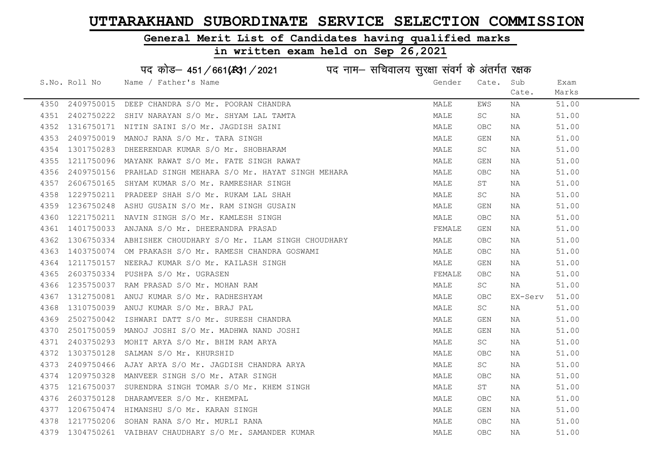#### General Merit List of Candidates having qualified marks

|      | पद कोड़– 451/661(स्था/2021 विद्युत्तम- सचिवालय सुरक्षा संवर्ग के अंतर्गत रक्षक |                                                            |        |            |         |       |  |  |
|------|--------------------------------------------------------------------------------|------------------------------------------------------------|--------|------------|---------|-------|--|--|
|      | S.No. Roll No                                                                  | Name / Father's Name                                       | Gender | Cate.      | Sub     | Exam  |  |  |
|      |                                                                                |                                                            |        |            | Cate.   | Marks |  |  |
| 4350 | 2409750015                                                                     | DEEP CHANDRA S/O Mr. POORAN CHANDRA                        | MALE   | EWS        | NA      | 51.00 |  |  |
| 4351 | 2402750222                                                                     | SHIV NARAYAN S/O Mr. SHYAM LAL TAMTA                       | MALE   | SC         | NA      | 51.00 |  |  |
| 4352 |                                                                                | 1316750171 NITIN SAINI S/O Mr. JAGDISH SAINI               | MALE   | OBC        | NA      | 51.00 |  |  |
| 4353 | 2409750019                                                                     | MANOJ RANA S/O Mr. TARA SINGH                              | MALE   | GEN        | NA      | 51.00 |  |  |
| 4354 | 1301750283                                                                     | DHEERENDAR KUMAR S/O Mr. SHOBHARAM                         | MALE   | SC         | NA      | 51.00 |  |  |
| 4355 |                                                                                | 1211750096 MAYANK RAWAT S/O Mr. FATE SINGH RAWAT           | MALE   | GEN        | NA      | 51.00 |  |  |
| 4356 |                                                                                | 2409750156 PRAHLAD SINGH MEHARA S/O Mr. HAYAT SINGH MEHARA | MALE   | <b>OBC</b> | NA      | 51.00 |  |  |
| 4357 | 2606750165                                                                     | SHYAM KUMAR S/O Mr. RAMRESHAR SINGH                        | MALE   | SΤ         | NA      | 51.00 |  |  |
| 4358 | 1229750211                                                                     | PRADEEP SHAH S/O Mr. RUKAM LAL SHAH                        | MALE   | SC         | NA      | 51.00 |  |  |
| 4359 | 1236750248                                                                     | ASHU GUSAIN S/O Mr. RAM SINGH GUSAIN                       | MALE   | GEN        | NA      | 51.00 |  |  |
| 4360 | 1221750211                                                                     | NAVIN SINGH S/O Mr. KAMLESH SINGH                          | MALE   | <b>OBC</b> | NA      | 51.00 |  |  |
| 4361 | 1401750033                                                                     | ANJANA S/O Mr. DHEERANDRA PRASAD                           | FEMALE | GEN        | NA      | 51.00 |  |  |
| 4362 |                                                                                | 1306750334 ABHISHEK CHOUDHARY S/O Mr. ILAM SINGH CHOUDHARY | MALE   | OBC.       | NA      | 51.00 |  |  |
| 4363 |                                                                                | 1403750074 OM PRAKASH S/O Mr. RAMESH CHANDRA GOSWAMI       | MALE   | <b>OBC</b> | NA      | 51.00 |  |  |
| 4364 |                                                                                | 1211750157 NEERAJ KUMAR S/O Mr. KAILASH SINGH              | MALE   | GEN        | NA      | 51.00 |  |  |
| 4365 | 2603750334                                                                     | PUSHPA S/O Mr. UGRASEN                                     | FEMALE | <b>OBC</b> | NA      | 51.00 |  |  |
| 4366 | 1235750037                                                                     | RAM PRASAD S/O Mr. MOHAN RAM                               | MALE   | SC         | NA      | 51.00 |  |  |
| 4367 | 1312750081                                                                     | ANUJ KUMAR S/O Mr. RADHESHYAM                              | MALE   | OBC        | EX-Serv | 51.00 |  |  |
| 4368 | 1310750039                                                                     | ANUJ KUMAR S/O Mr. BRAJ PAL                                | MALE   | SC         | NA      | 51.00 |  |  |
| 4369 | 2502750042                                                                     | ISHWARI DATT S/O Mr. SURESH CHANDRA                        | MALE   | GEN        | NA      | 51.00 |  |  |
| 4370 | 2501750059                                                                     | MANOJ JOSHI S/O Mr. MADHWA NAND JOSHI                      | MALE   | GEN        | NA      | 51.00 |  |  |
| 4371 |                                                                                | 2403750293 MOHIT ARYA S/O Mr. BHIM RAM ARYA                | MALE   | SC         | NA      | 51.00 |  |  |
| 4372 | 1303750128                                                                     | SALMAN S/O Mr. KHURSHID                                    | MALE   | OBC        | NA      | 51.00 |  |  |
| 4373 | 2409750466                                                                     | AJAY ARYA S/O Mr. JAGDISH CHANDRA ARYA                     | MALE   | SC         | NA      | 51.00 |  |  |
| 4374 | 1209750328                                                                     | MANVEER SINGH S/O Mr. ATAR SINGH                           | MALE   | OBC        | NA      | 51.00 |  |  |
| 4375 | 1216750037                                                                     | SURENDRA SINGH TOMAR S/O Mr. KHEM SINGH                    | MALE   | ST         | NA      | 51.00 |  |  |
| 4376 | 2603750128                                                                     | DHARAMVEER S/O Mr. KHEMPAL                                 | MALE   | <b>OBC</b> | NA      | 51.00 |  |  |
| 4377 |                                                                                | 1206750474 HIMANSHU S/O Mr. KARAN SINGH                    | MALE   | GEN        | NA      | 51.00 |  |  |
| 4378 |                                                                                | 1217750206 SOHAN RANA S/O Mr. MURLI RANA                   | MALE   | <b>OBC</b> | NA      | 51.00 |  |  |
|      |                                                                                | 4379 1304750261 VAIBHAV CHAUDHARY S/O Mr. SAMANDER KUMAR   | MALE   | OBC        | ΝA      | 51.00 |  |  |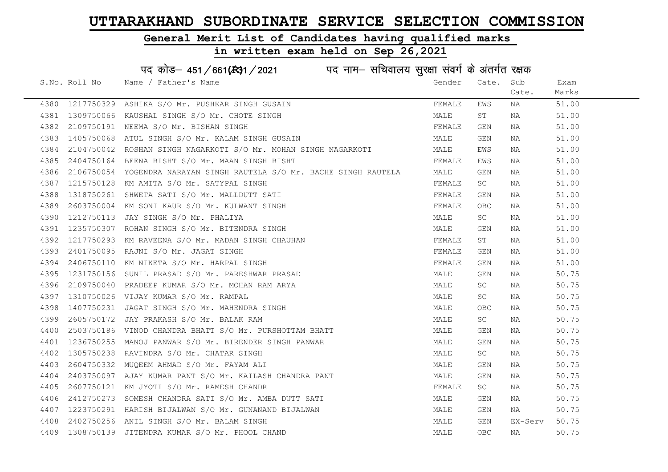#### General Merit List of Candidates having qualified marks

#### in written exam held on Sep 26,2021

S.No. Roll No Wame / Father's Name Gender Cate. Sub Cate. Exam Marks पद कोड– 451/661(स्था) / 2021 विज्ञान सचिवालय सुरक्षा संवर्ग के अंतर्गत रक्षक 4380 1217750329 ASHIKA S/O Mr. PUSHKAR SINGH GUSAIN FRANCH SHANGH EMS NA 51.00 4381 1309750066 KAUSHAL SINGH S/O Mr. CHOTE SINGH MALE ST NA 51.00 4382 2109750191 NEEMA S/O Mr. BISHAN SINGH FEMALE GEN NA 51.00 4383 1405750068 ATUL SINGH S/O Mr. KALAM SINGH GUSAIN MALE GEN NA 51.00 4384 2104750042 ROSHAN SINGH NAGARKOTI S/O Mr. MOHAN SINGH NAGARKOTI MALE EWS NA 51.00 4385 2404750164 BEENA BISHT S/O Mr. MAAN SINGH BISHT FEMALE EWS NA 51.00 4386 2106750054 YOGENDRA NARAYAN SINGH RAUTELA S/O Mr. BACHE SINGH RAUTELA MALE GEN NA 51.00 4387 1215750128 KM AMITA S/O Mr. SATYPAL SINGH FEMALE SC NA 51.00 4388 1318750261 SHWETA SATI S/O Mr. MALLDUTT SATI FEMALE GEN NA 51.00 4389 2603750004 KM SONI KAUR S/O Mr. KULWANT SINGH FEMALE OBC NA 51.00 4390 1212750113 JAY SINGH S/O Mr. PHALIYA MALE SC NA 51.00 4391 1235750307 ROHAN SINGH S/O Mr. BITENDRA SINGH MALE GEN NA 51.00 4392 1217750293 KM RAVEENA S/O Mr. MADAN SINGH CHAUHAN FEMALE ST NA 51.00 4393 2401750095 RAJNI S/O Mr. JAGAT SINGH FEMALE GEN NA 51.00 4394 2406750110 KM NIKETA S/O Mr. HARPAL SINGH FEMALE GEN NA 51.00 4395 1231750156 SUNIL PRASAD S/O Mr. PARESHWAR PRASAD MALE GEN NA 50.75 4396 2109750040 PRADEEP KUMAR S/O Mr. MOHAN RAM ARYA MALE SC NA 50.75 4397 1310750026 VIJAY KUMAR S/O Mr. RAMPAL MALE SC NA 50.75 4398 1407750231 JAGAT SINGH S/O Mr. MAHENDRA SINGH MALE OBC NA 50.75 4399 2605750172 JAY PRAKASH S/O Mr. BALAK RAM MALE SC NA 50.75 4400 2503750186 VINOD CHANDRA BHATT S/O Mr. PURSHOTTAM BHATT NA MALE GEN NA 50.75 4401 1236750255 MANOJ PANWAR S/O Mr. BIRENDER SINGH PANWAR MALE GEN NA 50.75 4402 1305750238 RAVINDRA S/O Mr. CHATAR SINGH MALE SC NA 50.75 4403 2604750332 MUQEEM AHMAD S/O Mr. FAYAM ALI MALE GEN NA 50.75 4404 2403750097 AJAY KUMAR PANT S/O Mr. KAILASH CHANDRA PANT MANA MALE GEN NA 50.75 4405 2607750121 KM JYOTI S/O Mr. RAMESH CHANDR FEMALE SC NA 50.75 4406 2412750273 SOMESH CHANDRA SATI S/O Mr. AMBA DUTT SATI MALE GEN NA 50.75 4407 1223750291 HARISH BIJALWAN S/O Mr. GUNANAND BIJALWAN MALE GEN NA 50.75 4408 2402750256 ANIL SINGH S/O Mr. BALAM SINGH MALE GEN EX-Serv 50.75

4409 1308750139 JITENDRA KUMAR S/O Mr. PHOOL CHAND MALE OBC NA 50.75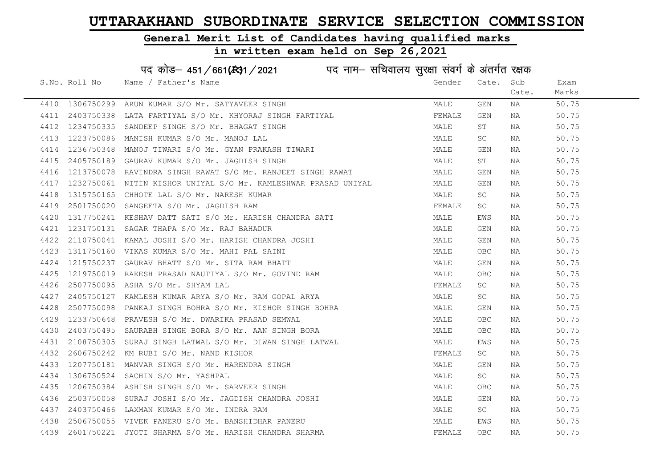#### General Merit List of Candidates having qualified marks

#### in written exam held on Sep 26,2021

S.No. Roll No Wame / Father's Name Gender Cate. Sub Cate. Exam Marks पद कोड– 451/661(स्था/2021 पद नाम– सचिवालय सुरक्षा संवर्ग के अंतर्गत रक्षक 4410 1306750299 ARUN KUMAR S/O Mr. SATYAVEER SINGH MALE GEN NA 50.75 4411 2403750338 LATA FARTIYAL S/O Mr. KHYORAJ SINGH FARTIYAL FRANTIYAL FEMALE GEN NA 50.75 4412 1234750335 SANDEEP SINGH S/O Mr. BHAGAT SINGH MALE ST NA 50.75 4413 1223750086 MANISH KUMAR S/O Mr. MANOJ LAL MARE SC NA 50.75 4414 1236750348 MANOJ TIWARI S/O Mr. GYAN PRAKASH TIWARI MANA MALE GEN NA 50.75 4415 2405750189 GAURAV KUMAR S/O Mr. JAGDISH SINGH MALE ST NA 50.75 4416 1213750078 RAVINDRA SINGH RAWAT S/O Mr. RANJEET SINGH RAWAT MALE GEN NA 50.75 4417 1232750061 NITIN KISHOR UNIYAL S/O Mr. KAMLESHWAR PRASAD UNIYAL MALE GEN NA 50.75 4418 1315750165 CHHOTE LAL S/O Mr. NARESH KUMAR MALE SC NA 50.75 4419 2501750020 SANGEETA S/O Mr. JAGDISH RAM FEMALE SC NA 50.75 4420 1317750241 KESHAV DATT SATI S/O Mr. HARISH CHANDRA SATI MALE EWS NA 50.75 4421 1231750131 SAGAR THAPA S/O Mr. RAJ BAHADUR MALE GEN NA 50.75 4422 2110750041 KAMAL JOSHI S/O Mr. HARISH CHANDRA JOSHI MALE GEN NA 50.75 4423 1311750160 VIKAS KUMAR S/O Mr. MAHI PAL SAINI MALE OBC NA 50.75 4424 1215750237 GAURAV BHATT S/O Mr. SITA RAM BHATT NA SAN MALE GEN NA SO 75 4425 1219750019 RAKESH PRASAD NAUTIYAL S/O Mr. GOVIND RAM MALE OBC NA 50.75 4426 2507750095 ASHA S/O Mr. SHYAM LAL FEMALE SC NA 50.75 4427 2405750127 KAMLESH KUMAR ARYA S/O Mr. RAM GOPAL ARYA MALE SC NA 50.75 4428 2507750098 PANKAJ SINGH BOHRA S/O Mr. KISHOR SINGH BOHRA MALE GEN NA S0.75 4429 1233750648 PRAVESH S/O Mr. DWARIKA PRASAD SEMWAL MANA MALE OBC NA 50.75 4430 2403750495 SAURABH SINGH BORA S/O Mr. AAN SINGH BORA MALE OBC NA 50.75 4431 2108750305 SURAJ SINGH LATWAL S/O Mr. DIWAN SINGH LATWAL MALE EWS NA 50.75 4432 2606750242 KM RUBI S/O Mr. NAND KISHOR FEMALE SC NA 50.75 4433 1207750181 MANVAR SINGH S/O Mr. HARENDRA SINGH MALE GEN NA 50.75 4434 1306750524 SACHIN S/O Mr. YASHPAL MALE SC NA 50.75 4435 1206750384 ASHISH SINGH S/O Mr. SARVEER SINGH MAN MALE OBC NA 50.75 4436 2503750058 SURAJ JOSHI S/O Mr. JAGDISH CHANDRA JOSHI NA MALE GEN NA 50.75 4437 2403750466 LAXMAN KUMAR S/O Mr. INDRA RAM MALE SC NA 50.75 4438 2506750055 VIVEK PANERU S/O Mr. BANSHIDHAR PANERU MALE EWS NA 50.75 4439 2601750221 JYOTI SHARMA S/O Mr. HARISH CHANDRA SHARMA FEMALE OBC NA 50.75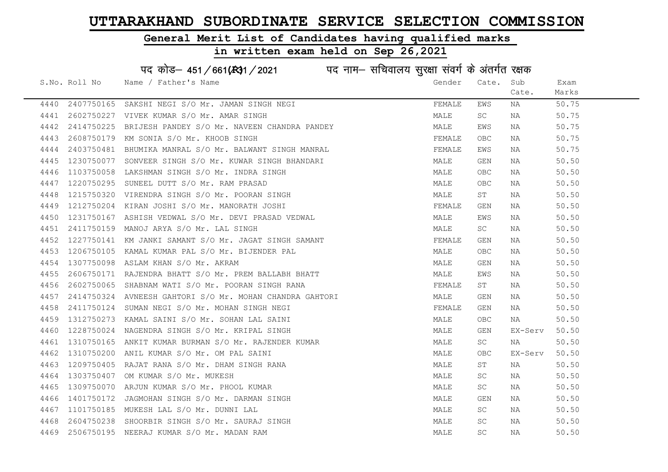#### General Merit List of Candidates having qualified marks

#### in written exam held on Sep 26,2021

S.No. Roll No Wame / Father's Name Gender Cate. Sub Cate. Exam Marks पद कोड– 451/661(स्था / 2021 व्यान सचिवालय सुरक्षा संवर्ग के अंतर्गत रक्षक 4440 2407750165 SAKSHI NEGI S/O Mr. JAMAN SINGH NEGI FEMALE EWS NA 50.75 4441 2602750227 VIVEK KUMAR S/O Mr. AMAR SINGH MALE SC NA 50.75 4442 2414750225 BRIJESH PANDEY S/O Mr. NAVEEN CHANDRA PANDEY MALE EWS NA 50.75 4443 2608750179 KM SONIA S/O Mr. KHOOB SINGH FEMALE OBC NA 50.75 4444 2403750481 BHUMIKA MANRAL S/O Mr. BALWANT SINGH MANRAL SAN SHANAL FEMALE EWS NA SO.75 4445 1230750077 SONVEER SINGH S/O Mr. KUWAR SINGH BHANDARI MALE GEN NA 50.50 4446 1103750058 LAKSHMAN SINGH S/O Mr. INDRA SINGH MALE OBC NA 50.50 4447 1220750295 SUNEEL DUTT S/O Mr. RAM PRASAD MALE OBC NA 50.50 4448 1215750320 VIRENDRA SINGH S/O Mr. POORAN SINGH MALE ST NA 50.50 4449 1212750204 KIRAN JOSHI S/O Mr. MANORATH JOSHI FEMALE GEN NA 50.50 4450 1231750167 ASHISH VEDWAL S/O Mr. DEVI PRASAD VEDWAL MAN MALE EWS NA 50.50 4451 2411750159 MANOJ ARYA S/O Mr. LAL SINGH MALE SC NA 50.50 4452 1227750141 KM JANKI SAMANT S/O Mr. JAGAT SINGH SAMANT SAMANT FEMALE GEN NA 50.50 4453 1206750105 KAMAL KUMAR PAL S/O Mr. BIJENDER PAL MARE MALE OBC NA 50.50 4454 1307750098 ASLAM KHAN S/O Mr. AKRAM MALE GEN NA 50.50 4455 2606750171 RAJENDRA BHATT S/O Mr. PREM BALLABH BHATT **MALE MALE EWS NA 50.50** 4456 2602750065 SHABNAM WATI S/O Mr. POORAN SINGH RANA FEMALE ST NA 50.50 4457 2414750324 AVNEESH GAHTORI S/O Mr. MOHAN CHANDRA GAHTORI SHARA MALE GEN NA SO.50 4458 2411750124 SUMAN NEGI S/O Mr. MOHAN SINGH NEGI SAN SEN SEN SEN NA SO.50 4459 1312750273 KAMAL SAINI S/O Mr. SOHAN LAL SAINI MALE OBC NA 50.50 4460 1228750024 NAGENDRA SINGH S/O Mr. KRIPAL SINGH MALE GEN EX-Serv 50.50 4461 1310750165 ANKIT KUMAR BURMAN S/O Mr. RAJENDER KUMAR MAN MALE SC NA 50.50 4462 1310750200 ANIL KUMAR S/O Mr. OM PAL SAINI MALE OBC EX-Serv 50.50 4463 1209750405 RAJAT RANA S/O Mr. DHAM SINGH RANA MANA MALE ST NA 50.50 4464 1303750407 OM KUMAR S/O Mr. MUKESH MALE SC NA 50.50 4465 1309750070 ARJUN KUMAR S/O Mr. PHOOL KUMAR MALE SC NA 50.50 4466 1401750172 JAGMOHAN SINGH S/O Mr. DARMAN SINGH MALE GEN NA 50.50 4467 1101750185 MUKESH LAL S/O Mr. DUNNI LAL MALE SC NA 50.50 4468 2604750238 SHOORBIR SINGH S/O Mr. SAURAJ SINGH MALE SC NA 50.50 4469 2506750195 NEERAJ KUMAR S/O Mr. MADAN RAM MALE SC NA 50.50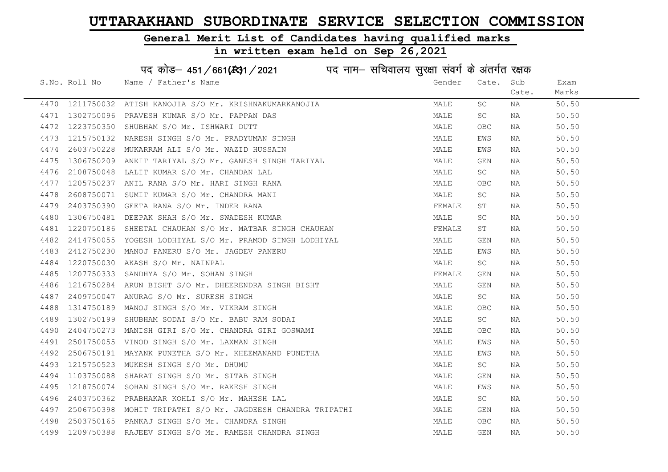#### General Merit List of Candidates having qualified marks

#### in written exam held on Sep 26,2021

S.No. Roll No Wame / Father's Name Gender Cate. Sub Cate. Exam Marks पद कोड– 451/661(स्था / 2021 व्यान सचिवालय सुरक्षा संवर्ग के अंतर्गत रक्षक 4470 1211750032 ATISH KANOJIA S/O Mr. KRISHNAKUMARKANOJIA MALE SC NA 50.50 4471 1302750096 PRAVESH KUMAR S/O Mr. PAPPAN DAS MALE SC NA 50.50 4472 1223750350 SHUBHAM S/O Mr. ISHWARI DUTT MALE OBC NA 50.50 4473 1215750132 NARESH SINGH S/O Mr. PRADYUMAN SINGH MALE EWS NA 50.50 4474 2603750228 MUKARRAM ALI S/O Mr. WAZID HUSSAIN MALE EWS NA 50.50 4475 1306750209 ANKIT TARIYAL S/O Mr. GANESH SINGH TARIYAL MAN MALE GEN NA 50.50 4476 2108750048 LALIT KUMAR S/O Mr. CHANDAN LAL NAN MALE SC NA 50.50 4477 1205750237 ANIL RANA S/O Mr. HARI SINGH RANA MALE OBC NA 50.50 4478 2608750071 SUMIT KUMAR S/O Mr. CHANDRA MANI MALE SC NA 50.50 4479 2403750390 GEETA RANA S/O Mr. INDER RANA FEMALE ST NA 50.50 4480 1306750481 DEEPAK SHAH S/O Mr. SWADESH KUMAR MALE SC NA 50.50 4481 1220750186 SHEETAL CHAUHAN S/O Mr. MATBAR SINGH CHAUHAN FUNITH ST THAN THAN THE ST THAN 50.50 4482 2414750055 YOGESH LODHIYAL S/O Mr. PRAMOD SINGH LODHIYAL MAN MALE GEN NA 50.50 4483 2412750230 MANOJ PANERU S/O Mr. JAGDEV PANERU MALE EWS NA 50.50 4484 1220750030 AKASH S/O Mr. NAINPAL MALE SC NA 50.50 4485 1207750333 SANDHYA S/O Mr. SOHAN SINGH FEMALE GEN NA 50.50 4486 1216750284 ARUN BISHT S/O Mr. DHEERENDRA SINGH BISHT MAN MALE GEN NA 50.50 4487 2409750047 ANURAG S/O Mr. SURESH SINGH MALE SC NA 50.50 4488 1314750189 MANOJ SINGH S/O Mr. VIKRAM SINGH MALE OBC NA 50.50 4489 1302750199 SHUBHAM SODAI S/O Mr. BABU RAM SODAI MALE SC NA 50.50 4490 2404750273 MANISH GIRI S/O Mr. CHANDRA GIRI GOSWAMI MALE OBC NA 50.50 4491 2501750055 VINOD SINGH S/O Mr. LAXMAN SINGH MALE EWS NA 50.50 4492 2506750191 MAYANK PUNETHA S/O Mr. KHEEMANAND PUNETHA MANA MALE EWS NA 50.50 4493 1215750523 MUKESH SINGH S/O Mr. DHUMU MALE SC NA 50.50 4494 1103750088 SHARAT SINGH S/O Mr. SITAB SINGH MALE GEN NA 50.50 4495 1218750074 SOHAN SINGH S/O Mr. RAKESH SINGH MALE EWS NA 50.50 4496 2403750362 PRABHAKAR KOHLI S/O Mr. MAHESH LAL MALE SC NA 50.50 4497 2506750398 MOHIT TRIPATHI S/O Mr. JAGDEESH CHANDRA TRIPATHI MALE GEN NA 50.50 4498 2503750165 PANKAJ SINGH S/O Mr. CHANDRA SINGH MALE OBC NA 50.50 4499 1209750388 RAJEEV SINGH S/O Mr. RAMESH CHANDRA SINGH MALE GEN NA 50.50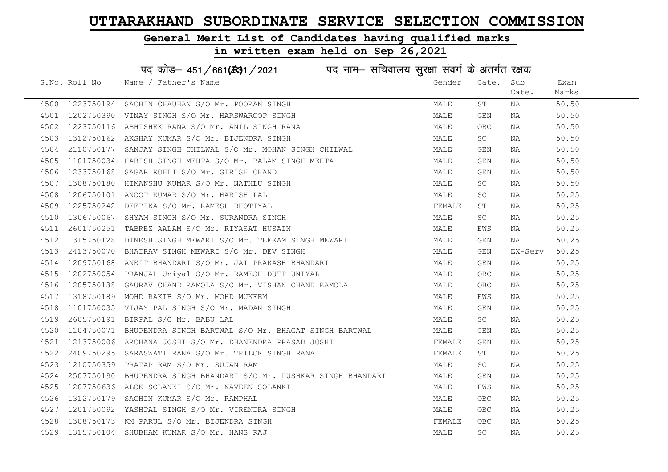#### General Merit List of Candidates having qualified marks

|      |               | पद कोड़– 451/661(431/2021 पद नाम– सचिवालय सुरक्षा संवर्ग के अंतर्गत रक्षक                                |        |                     |         |       |
|------|---------------|----------------------------------------------------------------------------------------------------------|--------|---------------------|---------|-------|
|      | S.No. Roll No | Name / Father's Name                                                                                     | Gender | Cate.               | Sub     | Exam  |
|      |               |                                                                                                          |        |                     | Cate.   | Marks |
|      |               | 4500 1223750194 SACHIN CHAUHAN S/O Mr. POORAN SINGH                                                      | MALE   | ST                  | NA      | 50.50 |
|      |               | 4501 1202750390 VINAY SINGH S/O Mr. HARSWAROOP SINGH                                                     | MALE   | GEN                 | NA      | 50.50 |
| 4502 |               | 1223750116 ABHISHEK RANA S/O Mr. ANIL SINGH RANA                                                         | MALE   | OBC.                | NA      | 50.50 |
| 4503 |               | 1312750162 AKSHAY KUMAR S/O Mr. BIJENDRA SINGH                                                           | MALE   | SC                  | NA      | 50.50 |
| 4504 |               | 2110750177 SANJAY SINGH CHILWAL S/O Mr. MOHAN SINGH CHILWAL                                              | MALE   | GEN                 | NA      | 50.50 |
| 4505 |               | 1101750034 HARISH SINGH MEHTA S/O Mr. BALAM SINGH MEHTA                                                  | MALE   | GEN                 | NA      | 50.50 |
| 4506 |               | 1233750168 SAGAR KOHLI S/O Mr. GIRISH CHAND                                                              | MALE   | GEN                 | NA      | 50.50 |
| 4507 |               | 1308750180 HIMANSHU KUMAR S/O Mr. NATHLU SINGH                                                           | MALE   | SC                  | NA      | 50.50 |
| 4508 | 1206750101    | ANOOP KUMAR S/O Mr. HARISH LAL                                                                           | MALE   | SC                  | NA      | 50.25 |
| 4509 |               | 1225750242 DEEPIKA S/O Mr. RAMESH BHOTIYAL                                                               | FEMALE | SΤ                  | NA      | 50.25 |
| 4510 | 1306750067    | SHYAM SINGH S/O Mr. SURANDRA SINGH                                                                       | MALE   | SC                  | NA      | 50.25 |
| 4511 | 2601750251    | TABREZ AALAM S/O Mr. RIYASAT HUSAIN                                                                      | MALE   | EWS                 | NA      | 50.25 |
| 4512 |               | 1315750128 DINESH SINGH MEWARI S/O Mr. TEEKAM SINGH MEWARI                                               | MALE   | GEN                 | NA NA   | 50.25 |
| 4513 |               | 2413750070 BHAIRAV SINGH MEWARI S/O Mr. DEV SINGH                                                        | MALE   | GEN                 | EX-Serv | 50.25 |
| 4514 |               | 1209750168 ANKIT BHANDARI S/O Mr. JAI PRAKASH BHANDARI                                                   | MALE   | GEN                 | NA      | 50.25 |
| 4515 |               | 1202750054 PRANJAL Uniyal S/O Mr. RAMESH DUTT UNIYAL                                                     | MALE   | OBC                 | NA      | 50.25 |
| 4516 |               |                                                                                                          | MALE   | OBC.                | NA      | 50.25 |
| 4517 |               | 1205750138 GAURAV CHAND RAMOLA S/O Mr. VISHAN CHAND RAMOLA<br>1318750189  MOHD RAKIB S/O Mr. MOHD MUKEEM | MALE   | EWS                 | NA      | 50.25 |
| 4518 |               | 1101750035 VIJAY PAL SINGH S/O Mr. MADAN SINGH                                                           | MALE   | GEN                 | NA      | 50.25 |
| 4519 |               | 2605750191 BIRPAL S/O Mr. BABU LAL                                                                       | MALE   | SC                  | NA      | 50.25 |
| 4520 |               | 1104750071 BHUPENDRA SINGH BARTWAL S/O Mr. BHAGAT SINGH BARTWAL                                          | MALE   | GEN                 | NA      | 50.25 |
| 4521 |               | 1213750006 ARCHANA JOSHI S/O Mr. DHANENDRA PRASAD JOSHI                                                  | FEMALE | GEN                 | NA      | 50.25 |
| 4522 |               | 2409750295 SARASWATI RANA S/O Mr. TRILOK SINGH RANA                                                      | FEMALE | ST                  | ΝA      | 50.25 |
| 4523 |               | 1210750359 PRATAP RAM S/O Mr. SUJAN RAM                                                                  | MALE   | SC                  | NA      | 50.25 |
| 4524 | 2507750190    | BHUPENDRA SINGH BHANDARI S/O Mr. PUSHKAR SINGH BHANDARI                                                  | MALE   | GEN                 | NA      | 50.25 |
| 4525 |               | 1207750636 ALOK SOLANKI S/O Mr. NAVEEN SOLANKI                                                           | MALE   | EWS                 | NA      | 50.25 |
| 4526 |               | 1312750179 SACHIN KUMAR S/O Mr. RAMPHAL                                                                  | MALE   | OBC.                | NA      | 50.25 |
| 4527 |               | 1201750092 YASHPAL SINGH S/O Mr. VIRENDRA SINGH                                                          | MALE   | OBC.                | NA      | 50.25 |
| 4528 |               | 1308750173 KM PARUL S/O Mr. BIJENDRA SINGH                                                               | FEMALE | OBC.                | NA      | 50.25 |
|      |               | 4529 1315750104 SHUBHAM KUMAR S/O Mr. HANS RAJ                                                           | MALE   | $\operatorname{SC}$ | ΝA      | 50.25 |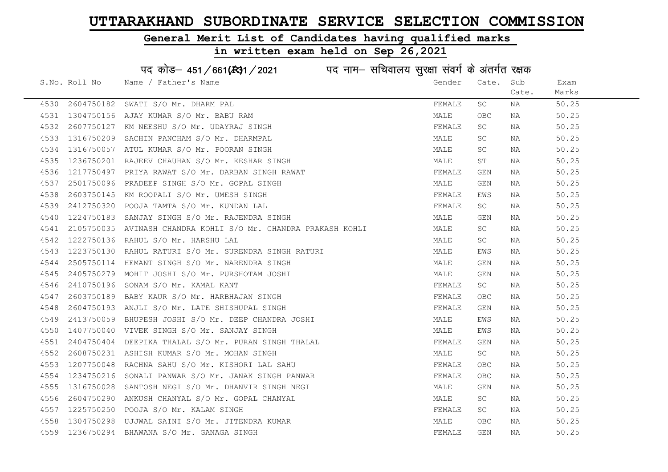#### General Merit List of Candidates having qualified marks

#### in written exam held on Sep 26,2021

S.No. Roll No Wame / Father's Name Gender Cate. Sub Cate. Exam Marks पद कोड– 451/661(स्था) / 2021 विज्ञान सचिवालय सुरक्षा संवर्ग के अंतर्गत रक्षक 4530 2604750182 SWATI S/O Mr. DHARM PAL FEMALE SC NA 50.25 4531 1304750156 AJAY KUMAR S/O Mr. BABU RAM MALE OBC NA 50.25 4532 2607750127 KM NEESHU S/O Mr. UDAYRAJ SINGH FEMALE SC NA 50.25 4533 1316750209 SACHIN PANCHAM S/O Mr. DHARMPAL MALL MALE SC NA 50.25 4534 1316750057 ATUL KUMAR S/O Mr. POORAN SINGH MALE SC NA 50.25 4535 1236750201 RAJEEV CHAUHAN S/O Mr. KESHAR SINGH MALE ST NA 50.25 4536 1217750497 PRIYA RAWAT S/O Mr. DARBAN SINGH RAWAT SAND SEMALE GEN NA 50.25 4537 2501750096 PRADEEP SINGH S/O Mr. GOPAL SINGH MALE GEN NA 50.25 4538 2603750145 KM ROOPALI S/O Mr. UMESH SINGH FEMALE FEMALE EWS NA 50.25 4539 2412750320 POOJA TAMTA S/O Mr. KUNDAN LAL SANDARY SANDARY SANDARY SANDARY SCHOOL ASSESSED AND THE SCHOOL A 4540 1224750183 SANJAY SINGH S/O Mr. RAJENDRA SINGH MALE GEN NA 50.25 4541 2105750035 AVINASH CHANDRA KOHLI S/O Mr. CHANDRA PRAKASH KOHLI MALE SC NA 50.25 4542 1222750136 RAHUL S/O Mr. HARSHU LAL MALE SC NA 50.25 4543 1223750130 RAHUL RATURI S/O Mr. SURENDRA SINGH RATURI MALE EWS NA 50.25 4544 2505750114 HEMANT SINGH S/O Mr. NARENDRA SINGH MALE GEN NA 50.25 4545 2405750279 MOHIT JOSHI S/O Mr. PURSHOTAM JOSHI MALE GEN NA 50.25 4546 2410750196 SONAM S/O Mr. KAMAL KANT FEMALE SC NA 50.25 4547 2603750189 BABY KAUR S/O Mr. HARBHAJAN SINGH FEMALE OBC NA 50.25 4548 2604750193 ANJLI S/O Mr. LATE SHISHUPAL SINGH FEMALE GEN NA 50.25 4549 2413750059 BHUPESH JOSHI S/O Mr. DEEP CHANDRA JOSHI MALE EWS NA 50.25 4550 1407750040 VIVEK SINGH S/O Mr. SANJAY SINGH MALE EWS NA 50.25 4551 2404750404 DEEPIKA THALAL S/O Mr. PURAN SINGH THALAL FEMALE GEN NA 50.25 4552 2608750231 ASHISH KUMAR S/O Mr. MOHAN SINGH MALE SC NA 50.25 4553 1207750048 RACHNA SAHU S/O Mr. KISHORI LAL SAHU **FRANA SAHU SAHA SAHA SAHA SAHA SAHA SAHA** SO.25 4554 1234750216 SONALI PANWAR S/O Mr. JANAK SINGH PANWAR TENALL THE SOLO SOLO SOLO 50.25 4555 1316750028 SANTOSH NEGI S/O Mr. DHANVIR SINGH NEGI MALE GEN NA 50.25 4556 2604750290 ANKUSH CHANYAL S/O Mr. GOPAL CHANYAL MALE SC NA 50.25 4557 1225750250 POOJA S/O Mr. KALAM SINGH FEMALE SC NA 50.25 4558 1304750298 UJJWAL SAINI S/O Mr. JITENDRA KUMAR MALE OBC NA 50.25 4559 1236750294 BHAWANA S/O Mr. GANAGA SINGH FEMALE GEN NA 50.25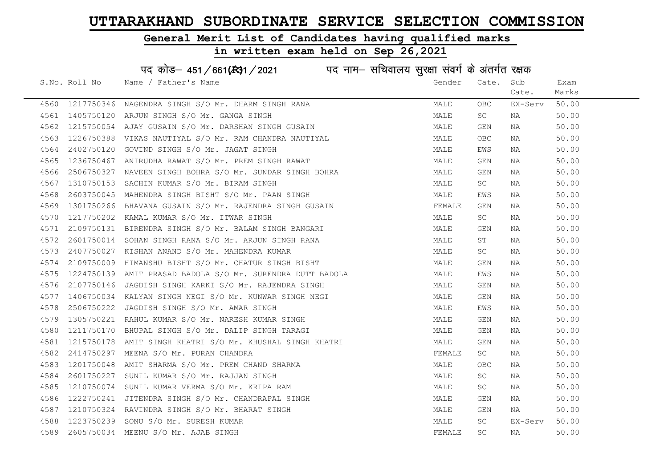#### General Merit List of Candidates having qualified marks

|      |               | पद कोड़– 451/661(स्था/2021 विद्युत्तम- सचिवालय सुरक्षा संवर्ग के अंतर्गत रक्षक |        |                     |         |       |
|------|---------------|--------------------------------------------------------------------------------|--------|---------------------|---------|-------|
|      | S.No. Roll No | Name / Father's Name                                                           | Gender | Cate.               | Sub     | Exam  |
|      |               |                                                                                |        |                     | Cate.   | Marks |
| 4560 | 1217750346    | NAGENDRA SINGH S/O Mr. DHARM SINGH RANA                                        | MALE   | OBC.                | EX-Serv | 50.00 |
| 4561 | 1405750120    | ARJUN SINGH S/O Mr. GANGA SINGH                                                | MALE   | SC                  | NA      | 50.00 |
| 4562 | 1215750054    | AJAY GUSAIN S/O Mr. DARSHAN SINGH GUSAIN                                       | MALE   | GEN                 | NA      | 50.00 |
| 4563 | 1226750388    | VIKAS NAUTIYAL S/O Mr. RAM CHANDRA NAUTIYAL                                    | MALE   | <b>OBC</b>          | NA      | 50.00 |
| 4564 | 2402750120    | GOVIND SINGH S/O Mr. JAGAT SINGH                                               | MALE   | EWS                 | NA      | 50.00 |
| 4565 | 1236750467    | ANIRUDHA RAWAT S/O Mr. PREM SINGH RAWAT                                        | MALE   | GEN                 | NA      | 50.00 |
| 4566 | 2506750327    | NAVEEN SINGH BOHRA S/O Mr. SUNDAR SINGH BOHRA                                  | MALE   | GEN                 | NA      | 50.00 |
| 4567 | 1310750153    | SACHIN KUMAR S/O Mr. BIRAM SINGH                                               | MALE   | $\operatorname{SC}$ | NA      | 50.00 |
| 4568 | 2603750045    | MAHENDRA SINGH BISHT S/O Mr. PAAN SINGH                                        | MALE   | EWS                 | NA      | 50.00 |
| 4569 | 1301750266    | BHAVANA GUSAIN S/O Mr. RAJENDRA SINGH GUSAIN                                   | FEMALE | GEN                 | NA      | 50.00 |
| 4570 | 1217750202    | KAMAL KUMAR S/O Mr. ITWAR SINGH                                                | MALE   | SC                  | ΝA      | 50.00 |
| 4571 | 2109750131    | BIRENDRA SINGH S/O Mr. BALAM SINGH BANGARI                                     | MALE   | GEN                 | NA      | 50.00 |
| 4572 | 2601750014    | SOHAN SINGH RANA S/O Mr. ARJUN SINGH RANA                                      | MALE   | ST                  | NA      | 50.00 |
| 4573 |               | 2407750027 KISHAN ANAND S/O Mr. MAHENDRA KUMAR                                 | MALE   | SC                  | NA      | 50.00 |
| 4574 | 2109750009    | HIMANSHU BISHT S/O Mr. CHATUR SINGH BISHT                                      | MALE   | GEN                 | NA      | 50.00 |
| 4575 | 1224750139    | AMIT PRASAD BADOLA S/O Mr. SURENDRA DUTT BADOLA                                | MALE   | EWS                 | NA      | 50.00 |
| 4576 | 2107750146    | JAGDISH SINGH KARKI S/O Mr. RAJENDRA SINGH                                     | MALE   | GEN                 | NA      | 50.00 |
| 4577 | 1406750034    | KALYAN SINGH NEGI S/O Mr. KUNWAR SINGH NEGI                                    | MALE   | GEN                 | NA      | 50.00 |
| 4578 | 2506750222    | JAGDISH SINGH S/O Mr. AMAR SINGH                                               | MALE   | EWS                 | NA      | 50.00 |
| 4579 | 1305750221    | RAHUL KUMAR S/O Mr. NARESH KUMAR SINGH                                         | MALE   | GEN                 | NA      | 50.00 |
| 4580 | 1211750170    | BHUPAL SINGH S/O Mr. DALIP SINGH TARAGI                                        | MALE   | GEN                 | NA      | 50.00 |
| 4581 |               | 1215750178 AMIT SINGH KHATRI S/O Mr. KHUSHAL SINGH KHATRI                      | MALE   | GEN                 | NA      | 50.00 |
| 4582 | 2414750297    | MEENA S/O Mr. PURAN CHANDRA                                                    | FEMALE | SC.                 | NA      | 50.00 |
| 4583 | 1201750048    | AMIT SHARMA S/O Mr. PREM CHAND SHARMA                                          | MALE   | OBC                 | NA      | 50.00 |
| 4584 | 2601750227    | SUNIL KUMAR S/O Mr. RAJJAN SINGH                                               | MALE   | SC.                 | NA      | 50.00 |
| 4585 | 1210750074    | SUNIL KUMAR VERMA S/O Mr. KRIPA RAM                                            | MALE   | SC                  | NA      | 50.00 |
| 4586 | 1222750241    | JITENDRA SINGH S/O Mr. CHANDRAPAL SINGH                                        | MALE   | GEN                 | NA      | 50.00 |
| 4587 | 1210750324    | RAVINDRA SINGH S/O Mr. BHARAT SINGH                                            | MALE   | GEN                 | NA      | 50.00 |
| 4588 | 1223750239    | SONU S/O Mr. SURESH KUMAR                                                      | MALE   | SC                  | EX-Serv | 50.00 |
| 4589 |               | 2605750034 MEENU S/O Mr. AJAB SINGH                                            | FEMALE | <b>SC</b>           | NA      | 50.00 |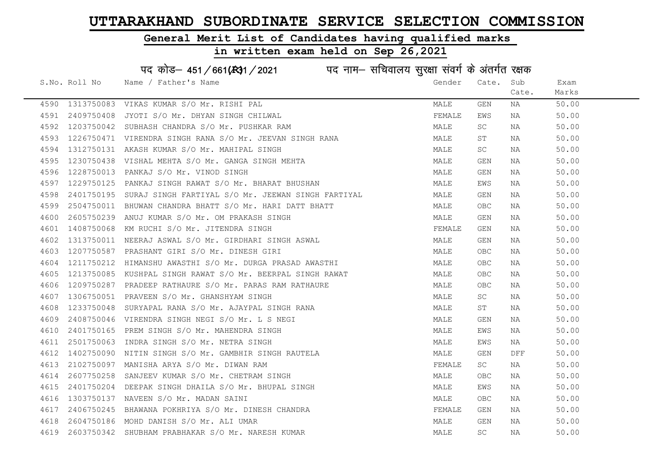#### General Merit List of Candidates having qualified marks

|      |               | पद कोड़- 451/661(431/2021 पद नाम- सचिवालय सुरक्षा संवर्ग के अंतर्गत रक्षक |        |            |       |       |
|------|---------------|---------------------------------------------------------------------------|--------|------------|-------|-------|
|      | S.No. Roll No | Name / Father's Name                                                      | Gender | Cate.      | Sub   | Exam  |
|      |               |                                                                           |        |            | Cate. | Marks |
| 4590 | 1313750083    | VIKAS KUMAR S/O Mr. RISHI PAL                                             | MALE   | GEN        | ΝA    | 50.00 |
| 4591 | 2409750408    | JYOTI S/O Mr. DHYAN SINGH CHILWAL                                         | FEMALE | EWS        | ΝA    | 50.00 |
| 4592 | 1203750042    | SUBHASH CHANDRA S/O Mr. PUSHKAR RAM                                       | MALE   | SC         | NA    | 50.00 |
| 4593 | 1226750471    | VIRENDRA SINGH RANA S/O Mr. JEEVAN SINGH RANA                             | MALE   | SΤ         | NA    | 50.00 |
| 4594 | 1312750131    | AKASH KUMAR S/O Mr. MAHIPAL SINGH                                         | MALE   | SC         | NA    | 50.00 |
| 4595 | 1230750438    | VISHAL MEHTA S/O Mr. GANGA SINGH MEHTA                                    | MALE   | GEN        | NA    | 50.00 |
| 4596 | 1228750013    | PANKAJ S/O Mr. VINOD SINGH                                                | MALE   | GEN        | NA    | 50.00 |
| 4597 | 1229750125    | PANKAJ SINGH RAWAT S/O Mr. BHARAT BHUSHAN                                 | MALE   | EWS        | ΝA    | 50.00 |
| 4598 | 2401750195    | SURAJ SINGH FARTIYAL S/O Mr. JEEWAN SINGH FARTIYAL                        | MALE   | GEN        | ΝA    | 50.00 |
| 4599 | 2504750011    | BHUWAN CHANDRA BHATT S/O Mr. HARI DATT BHATT                              | MALE   | OBC        | ΝA    | 50.00 |
| 4600 | 2605750239    | ANUJ KUMAR S/O Mr. OM PRAKASH SINGH                                       | MALE   | GEN        | ΝA    | 50.00 |
| 4601 | 1408750068    | KM RUCHI S/O Mr. JITENDRA SINGH                                           | FEMALE | GEN        | ΝA    | 50.00 |
| 4602 | 1313750011    | NEERAJ ASWAL S/O Mr. GIRDHARI SINGH ASWAL                                 | MALE   | GEN        | NA    | 50.00 |
| 4603 |               | 1207750587 PRASHANT GIRI S/O Mr. DINESH GIRI                              | MALE   | OBC        | NA    | 50.00 |
| 4604 | 1211750212    | HIMANSHU AWASTHI S/O Mr. DURGA PRASAD AWASTHI                             | MALE   | <b>OBC</b> | ΝA    | 50.00 |
| 4605 | 1213750085    | KUSHPAL SINGH RAWAT S/O Mr. BEERPAL SINGH RAWAT                           | MALE   | <b>OBC</b> | ΝA    | 50.00 |
| 4606 | 1209750287    | PRADEEP RATHAURE S/O Mr. PARAS RAM RATHAURE                               | MALE   | <b>OBC</b> | ΝA    | 50.00 |
| 4607 | 1306750051    | PRAVEEN S/O Mr. GHANSHYAM SINGH                                           | MALE   | SC         | NA    | 50.00 |
| 4608 | 1233750048    | SURYAPAL RANA S/O Mr. AJAYPAL SINGH RANA                                  | MALE   | SΤ         | NA    | 50.00 |
| 4609 | 2408750046    | VIRENDRA SINGH NEGI S/O Mr. L S NEGI                                      | MALE   | GEN        | NA    | 50.00 |
| 4610 | 2401750165    | PREM SINGH S/O Mr. MAHENDRA SINGH                                         | MALE   | EWS        | NA    | 50.00 |
| 4611 | 2501750063    | INDRA SINGH S/O Mr. NETRA SINGH                                           | MALE   | EWS        | NA    | 50.00 |
| 4612 | 1402750090    | NITIN SINGH S/O Mr. GAMBHIR SINGH RAUTELA                                 | MALE   | GEN        | DFF   | 50.00 |
| 4613 | 2102750097    | MANISHA ARYA S/O Mr. DIWAN RAM                                            | FEMALE | SC         | NA    | 50.00 |
| 4614 | 2607750258    | SANJEEV KUMAR S/O Mr. CHETRAM SINGH                                       | MALE   | OBC.       | NA    | 50.00 |
| 4615 | 2401750204    | DEEPAK SINGH DHAILA S/O Mr. BHUPAL SINGH                                  | MALE   | EWS        | NA    | 50.00 |
| 4616 | 1303750137    | NAVEEN S/O Mr. MADAN SAINI                                                | MALE   | OBC        | NA    | 50.00 |
| 4617 | 2406750245    | BHAWANA POKHRIYA S/O Mr. DINESH CHANDRA                                   | FEMALE | GEN        | NA    | 50.00 |
| 4618 | 2604750186    | MOHD DANISH S/O Mr. ALI UMAR                                              | MALE   | GEN        | ΝA    | 50.00 |
| 4619 | 2603750342    | SHUBHAM PRABHAKAR S/O Mr. NARESH KUMAR                                    | MALE   | <b>SC</b>  | ΝA    | 50.00 |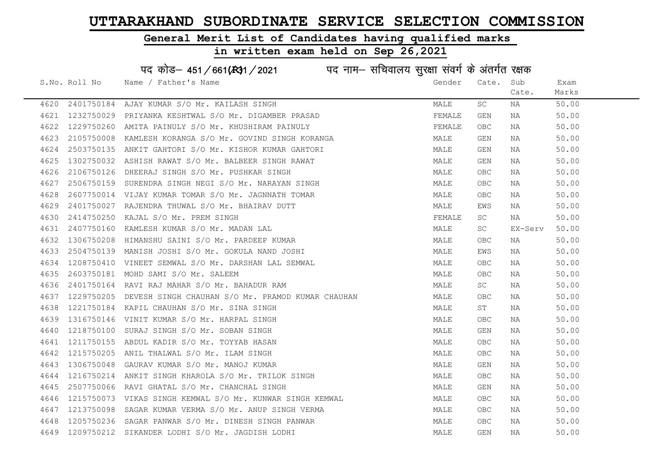#### General Merit List of Candidates having qualified marks

#### in written exam held on Sep 26,2021

S.No. Roll No Wame / Father's Name Gender Cate. Sub Cate. Exam Marks पद कोड– 451/661(स्था / 2021 व्यान सचिवालय सुरक्षा संवर्ग के अंतर्गत रक्षक 4620 2401750184 AJAY KUMAR S/O Mr. KAILASH SINGH MALE SC NA 50.00 4621 1232750029 PRIYANKA KESHTWAL S/O Mr. DIGAMBER PRASAD FEMALE GEN NA 50.00 4622 1229750260 AMITA PAINULY S/O Mr. KHUSHIRAM PAINULY FEMALE OBC NA 50.00 4623 2105750008 KAMLESH KORANGA S/O Mr. GOVIND SINGH KORANGA MALE GEN NA 50.00 4624 2503750135 ANKIT GAHTORI S/O Mr. KISHOR KUMAR GAHTORI MALE GEN NA 50.00 4625 1302750032 ASHISH RAWAT S/O Mr. BALBEER SINGH RAWAT MALE GEN NA 50.00 4626 2106750126 DHEERAJ SINGH S/O Mr. PUSHKAR SINGH MALE OBC NA 50.00 4627 2506750159 SURENDRA SINGH NEGI S/O Mr. NARAYAN SINGH MALE OBC NA 50.00 4628 2607750014 VIJAY KUMAR TOMAR S/O Mr. JAGNNATH TOMAR MALE OBC NA 50.00 4629 2401750027 RAJENDRA THUWAL S/O Mr. BHAIRAV DUTT MALE EWS NA 50.00 4630 2414750250 KAJAL S/O Mr. PREM SINGH FEMALE SC NA 50.00 4631 2407750160 KAMLESH KUMAR S/O Mr. MADAN LAL MALE SC EX-Serv 50.00 4632 1306750208 HIMANSHU SAINI S/O Mr. PARDEEP KUMAR MALE OBC NA 50.00 4633 2504750139 MANISH JOSHI S/O Mr. GOKULA NAND JOSHI NAN MALE EWS NA 50.00 4634 1208750410 VINEET SEMWAL S/O Mr. DARSHAN LAL SEMWAL MALL MALE OBC NA 50.00 4635 2603750181 MOHD SAMI S/O Mr. SALEEM MALE OBC NA 50.00 4636 2401750164 RAVI RAJ MAHAR S/O Mr. BAHADUR RAM MALE SC NA 50.00 4637 1229750205 DEVESH SINGH CHAUHAN S/O Mr. PRAMOD KUMAR CHAUHAN MALE OBC NA 50.00 4638 1221750184 KAPIL CHAUHAN S/O Mr. SINA SINGH MALE ST NA 50.00 4639 1316750146 VINIT KUMAR S/O Mr. HARPAL SINGH MALE OBC NA 50.00 4640 1218750100 SURAJ SINGH S/O Mr. SOBAN SINGH MALE GEN NA 50.00 4641 1211750155 ABDUL KADIR S/O Mr. TOYYAB HASAN MALE OBC NA 50.00 4642 1215750205 ANIL THALWAL S/O Mr. ILAM SINGH MALE OBC NA 50.00 4643 1306750048 GAURAV KUMAR S/O Mr. MANOJ KUMAR MALE GEN NA 50.00 4644 1216750214 ANKIT SINGH KHAROLA S/O Mr. TRILOK SINGH MANA MALE OBC NA 50.00 4645 2507750066 RAVI GHATAL S/O Mr. CHANCHAL SINGH MALE GEN NA 50.00 4646 1215750073 VIKAS SINGH KEMWAL S/O Mr. KUNWAR SINGH KEMWAL MALE OBC NA 50.00 4647 1213750098 SAGAR KUMAR VERMA S/O Mr. ANUP SINGH VERMA MALE OBC NA 50.00 4648 1205750236 SAGAR PANWAR S/O Mr. DINESH SINGH PANWAR MALE OBC NA 50.00 4649 1209750212 SIKANDER LODHI S/O Mr. JAGDISH LODHI MALE GEN NA 50.00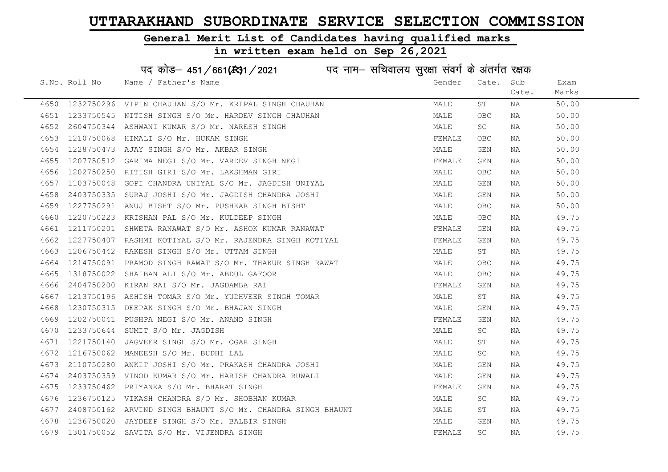#### General Merit List of Candidates having qualified marks

|      |               | पद कोड़- 451/661(431/2021 पद नाम- सचिवालय सुरक्षा संवर्ग के अंतर्गत रक्षक |        |             |       |       |
|------|---------------|---------------------------------------------------------------------------|--------|-------------|-------|-------|
|      | S.No. Roll No | Name / Father's Name                                                      | Gender | Cate.       | Sub   | Exam  |
|      |               |                                                                           |        |             | Cate. | Marks |
|      |               | 4650 1232750296 VIPIN CHAUHAN S/O Mr. KRIPAL SINGH CHAUHAN                | MALE   | ST          | NA    | 50.00 |
| 4651 | 1233750545    | NITISH SINGH S/O Mr. HARDEV SINGH CHAUHAN                                 | MALE   | OBC         | NA    | 50.00 |
| 4652 |               | 2604750344 ASHWANI KUMAR S/O Mr. NARESH SINGH                             | MALE   | SC          | NA    | 50.00 |
| 4653 | 1210750068    | HIMALI S/O Mr. HUKAM SINGH                                                | FEMALE | <b>OBC</b>  | NA    | 50.00 |
| 4654 |               | 1228750473 AJAY SINGH S/O Mr. AKBAR SINGH                                 | MALE   | GEN         | NA    | 50.00 |
| 4655 |               | 1207750512 GARIMA NEGI S/O Mr. VARDEV SINGH NEGI                          | FEMALE | GEN         | NA    | 50.00 |
| 4656 |               | 1202750250 RITISH GIRI S/O Mr. LAKSHMAN GIRI                              | MALE   | OBC.        | NA    | 50.00 |
| 4657 | 1103750048    | GOPI CHANDRA UNIYAL S/O Mr. JAGDISH UNIYAL                                | MALE   | GEN         | NA    | 50.00 |
| 4658 | 2403750335    | SURAJ JOSHI S/O Mr. JAGDISH CHANDRA JOSHI                                 | MALE   | GEN         | NA    | 50.00 |
| 4659 | 1227750291    | ANUJ BISHT S/O Mr. PUSHKAR SINGH BISHT                                    | MALE   | <b>OBC</b>  | NA    | 50.00 |
| 4660 | 1220750223    | KRISHAN PAL S/O Mr. KULDEEP SINGH                                         | MALE   | OBC.        | NA    | 49.75 |
| 4661 | 1211750201    | SHWETA RANAWAT S/O Mr. ASHOK KUMAR RANAWAT                                | FEMALE | GEN         | NA    | 49.75 |
| 4662 | 1227750407    | RASHMI KOTIYAL S/O Mr. RAJENDRA SINGH KOTIYAL                             | FEMALE | GEN         | NA    | 49.75 |
| 4663 |               | 1206750442 RAKESH SINGH S/O Mr. UTTAM SINGH                               | MALE   | ST          | NA    | 49.75 |
| 4664 |               | 1214750091 PRAMOD SINGH RAWAT S/O Mr. THAKUR SINGH RAWAT                  | MALE   | <b>OBC</b>  | NA    | 49.75 |
| 4665 | 1318750022    | SHAIBAN ALI S/O Mr. ABDUL GAFOOR                                          | MALE   | ${\sf OBC}$ | NA    | 49.75 |
| 4666 | 2404750200    | KIRAN RAI S/O Mr. JAGDAMBA RAI                                            | FEMALE | GEN         | NA    | 49.75 |
| 4667 | 1213750196    | ASHISH TOMAR S/O Mr. YUDHVEER SINGH TOMAR                                 | MALE   | ST          | NA    | 49.75 |
| 4668 | 1230750315    | DEEPAK SINGH S/O Mr. BHAJAN SINGH                                         | MALE   | GEN         | NA    | 49.75 |
| 4669 | 1202750041    | PUSHPA NEGI S/O Mr. ANAND SINGH                                           | FEMALE | GEN         | NA    | 49.75 |
| 4670 |               | 1233750644 SUMIT S/O Mr. JAGDISH                                          | MALE   | SC.         | NA    | 49.75 |
| 4671 |               | 1221750140 JAGVEER SINGH S/O Mr. OGAR SINGH                               | MALE   | SΤ          | NA    | 49.75 |
| 4672 |               | 1216750062 MANEESH S/O Mr. BUDHI LAL                                      | MALE   | SC.         | NA    | 49.75 |
| 4673 | 2110750280    | ANKIT JOSHI S/O Mr. PRAKASH CHANDRA JOSHI                                 | MALE   | GEN         | NA    | 49.75 |
| 4674 | 2403750359    | VINOD KUMAR S/O Mr. HARISH CHANDRA RUWALI                                 | MALE   | GEN         | NA    | 49.75 |
| 4675 | 1233750462    | PRIYANKA S/O Mr. BHARAT SINGH                                             | FEMALE | GEN         | NA    | 49.75 |
| 4676 | 1236750125    | VIKASH CHANDRA S/O Mr. SHOBHAN KUMAR                                      | MALE   | SC          | NA    | 49.75 |
| 4677 |               | 2408750162 ARVIND SINGH BHAUNT S/O Mr. CHANDRA SINGH BHAUNT               | MALE   | SΤ          | NA    | 49.75 |
| 4678 | 1236750020    | JAYDEEP SINGH S/O Mr. BALBIR SINGH                                        | MALE   | GEN         | NA    | 49.75 |
| 4679 |               | 1301750052 SAVITA S/O Mr. VIJENDRA SINGH                                  | FEMALE | <b>SC</b>   | ΝA    | 49.75 |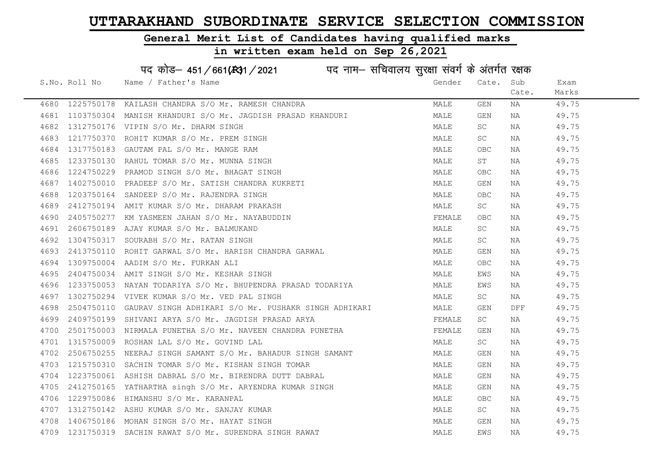#### General Merit List of Candidates having qualified marks

|      |               | पद कोड़– 451/661(स्था/2021 विद्युत्तम- सचिवालय सुरक्षा संवर्ग के अंतर्गत रक्षक |        |            |       |       |
|------|---------------|--------------------------------------------------------------------------------|--------|------------|-------|-------|
|      | S.No. Roll No | Name / Father's Name                                                           | Gender | Cate.      | Sub   | Exam  |
|      |               |                                                                                |        |            | Cate. | Marks |
| 4680 | 1225750178    | KAILASH CHANDRA S/O Mr. RAMESH CHANDRA                                         | MALE   | GEN        | NA    | 49.75 |
| 4681 | 1103750304    | MANISH KHANDURI S/O Mr. JAGDISH PRASAD KHANDURI                                | MALE   | GEN        | NA    | 49.75 |
| 4682 |               | 1312750176 VIPIN S/O Mr. DHARM SINGH                                           | MALE   | SC         | NA    | 49.75 |
| 4683 | 1217750370    | ROHIT KUMAR S/O Mr. PREM SINGH                                                 | MALE   | SC         | NA    | 49.75 |
| 4684 | 1317750183    | GAUTAM PAL S/O Mr. MANGE RAM                                                   | MALE   | <b>OBC</b> | NA    | 49.75 |
| 4685 |               | 1233750130 RAHUL TOMAR S/O Mr. MUNNA SINGH                                     | MALE   | ST         | NA    | 49.75 |
| 4686 |               | 1224750229 PRAMOD SINGH S/O Mr. BHAGAT SINGH                                   | MALE   | <b>OBC</b> | NA    | 49.75 |
| 4687 | 1402750010    | PRADEEP S/O Mr. SATISH CHANDRA KUKRETI                                         | MALE   | GEN        | NA    | 49.75 |
| 4688 | 1203750164    | SANDEEP S/O Mr. RAJENDRA SINGH                                                 | MALE   | OBC.       | NA    | 49.75 |
| 4689 | 2412750194    | AMIT KUMAR S/O Mr. DHARAM PRAKASH                                              | MALE   | SC         | NA    | 49.75 |
| 4690 | 2405750277    | KM YASMEEN JAHAN S/O Mr. NAYABUDDIN                                            | FEMALE | <b>OBC</b> | NA    | 49.75 |
| 4691 | 2606750189    | AJAY KUMAR S/O Mr. BALMUKAND                                                   | MALE   | SC         | NA    | 49.75 |
| 4692 | 1304750317    | SOURABH S/O Mr. RATAN SINGH                                                    | MALE   | SC         | NA    | 49.75 |
| 4693 |               | 2413750110 ROHIT GARWAL S/O Mr. HARISH CHANDRA GARWAL                          | MALE   | GEN        | NA    | 49.75 |
| 4694 |               | 1309750004 AADIM S/O Mr. FURKAN ALI                                            | MALE   | <b>OBC</b> | NA    | 49.75 |
| 4695 | 2404750034    | AMIT SINGH S/O Mr. KESHAR SINGH                                                | MALE   | EWS        | NA    | 49.75 |
| 4696 | 1233750053    | NAYAN TODARIYA S/O Mr. BHUPENDRA PRASAD TODARIYA                               | MALE   | EWS        | NA    | 49.75 |
| 4697 |               | 1302750294 VIVEK KUMAR S/O Mr. VED PAL SINGH                                   | MALE   | SC         | NA    | 49.75 |
| 4698 | 2504750110    | GAURAV SINGH ADHIKARI S/O Mr. PUSHAKR SINGH ADHIKARI                           | MALE   | GEN        | DFF   | 49.75 |
| 4699 | 2409750199    | SHIVANI ARYA S/O Mr. JAGDISH PRASAD ARYA                                       | FEMALE | SC         | NA    | 49.75 |
| 4700 |               | 2501750003 NIRMALA PUNETHA S/O Mr. NAVEEN CHANDRA PUNETHA                      | FEMALE | GEN        | NA    | 49.75 |
| 4701 |               | 1315750009 ROSHAN LAL S/O Mr. GOVIND LAL                                       | MALE   | SC         | NA    | 49.75 |
| 4702 | 2506750255    | NEERAJ SINGH SAMANT S/O Mr. BAHADUR SINGH SAMANT                               | MALE   | GEN        | NA    | 49.75 |
| 4703 | 1215750310    | SACHIN TOMAR S/O Mr. KISHAN SINGH TOMAR                                        | MALE   | GEN        | NA    | 49.75 |
| 4704 | 1223750061    | ASHISH DABRAL S/O Mr. BIRENDRA DUTT DABRAL                                     | MALE   | GEN        | NA    | 49.75 |
| 4705 |               | 2412750165 YATHARTHA singh S/O Mr. ARYENDRA KUMAR SINGH                        | MALE   | GEN        | NA    | 49.75 |
| 4706 | 1229750086    | HIMANSHU S/O Mr. KARANPAL                                                      | MALE   | OBC        | NA    | 49.75 |
| 4707 |               | 1312750142 ASHU KUMAR S/O Mr. SANJAY KUMAR                                     | MALE   | SC         | NA    | 49.75 |
| 4708 |               | 1406750186 MOHAN SINGH S/O Mr. HAYAT SINGH                                     | MALE   | GEN        | NA    | 49.75 |
| 4709 |               | 1231750319 SACHIN RAWAT S/O Mr. SURENDRA SINGH RAWAT                           | MALE   | EWS        | NA    | 49.75 |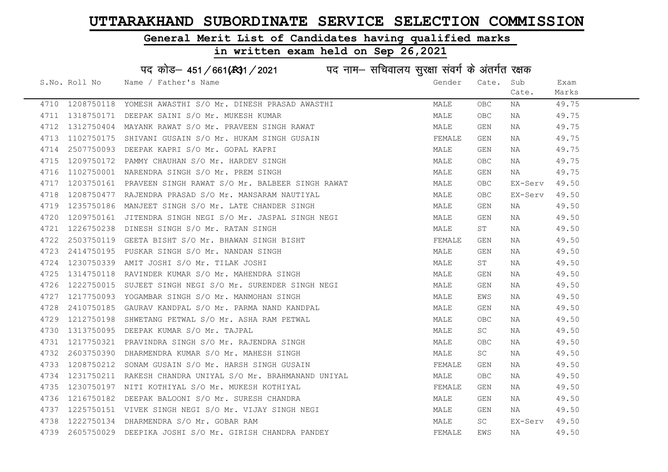#### General Merit List of Candidates having qualified marks

#### in written exam held on Sep 26,2021

S.No. Roll No Wame / Father's Name Gender Cate. Sub Cate. Exam Marks पद कोड– 451/661(स्था/2021 पद नाम– सचिवालय सुरक्षा संवर्ग के अंतर्गत रक्षक 4710 1208750118 YOMESH AWASTHI S/O Mr. DINESH PRASAD AWASTHI MAN MALE OBC NA 49.75 4711 1318750171 DEEPAK SAINI S/O Mr. MUKESH KUMAR MANA MALE OBC NA 49.75 4712 1312750404 MAYANK RAWAT S/O Mr. PRAVEEN SINGH RAWAT MANA MALE GEN NA 49.75 4713 1102750175 SHIVANI GUSAIN S/O Mr. HUKAM SINGH GUSAIN FEMALE GEN NA 49.75 4714 2507750093 DEEPAK KAPRI S/O Mr. GOPAL KAPRI NA MALE MALE GEN NA 49.75 4715 1209750172 PAMMY CHAUHAN S/O Mr. HARDEV SINGH MALE OBC NA 49.75 4716 1102750001 NARENDRA SINGH S/O Mr. PREM SINGH MALE GEN NA 49.75 4717 1203750161 PRAVEEN SINGH RAWAT S/O Mr. BALBEER SINGH RAWAT MALE OBC EX-Serv 49.50 4718 1208750477 RAJENDRA PRASAD S/O Mr. MANSARAM NAUTIYAL MALL MALE OBC EX-Serv 49.50 4719 1235750186 MANJEET SINGH S/O Mr. LATE CHANDER SINGH MAN MALE GEN NA 49.50 4720 1209750161 JITENDRA SINGH NEGI S/O Mr. JASPAL SINGH NEGI MALE GEN NA 49.50 4721 1226750238 DINESH SINGH S/O Mr. RATAN SINGH MALE ST NA 49.50 4722 2503750119 GEETA BISHT S/O Mr. BHAWAN SINGH BISHT FRANCH SERVALE GEN NA 49.50 4723 2414750195 PUSKAR SINGH S/O Mr. NANDAN SINGH MALE GEN NA 49.50 4724 1230750339 AMIT JOSHI S/O Mr. TILAK JOSHI MALE ST NA 49.50 4725 1314750118 RAVINDER KUMAR S/O Mr. MAHENDRA SINGH MALE GEN NA 49.50 4726 1222750015 SUJEET SINGH NEGI S/O Mr. SURENDER SINGH NEGI **MALE GEN NA 49.50** 4727 1217750093 YOGAMBAR SINGH S/O Mr. MANMOHAN SINGH MALE EWS NA 49.50 4728 2410750185 GAURAV KANDPAL S/O Mr. PARMA NAND KANDPAL MANA MALE GEN NA 49.50 4729 1212750198 SHWETANG PETWAL S/O Mr. ASHA RAM PETWAL MARE MALE OBC NA 49.50 4730 1313750095 DEEPAK KUMAR S/O Mr. TAJPAL MALE SC NA 49.50 4731 1217750321 PRAVINDRA SINGH S/O Mr. RAJENDRA SINGH MALE OBC NA 49.50 4732 2603750390 DHARMENDRA KUMAR S/O Mr. MAHESH SINGH MALE SC NA 49.50 4733 1208750212 SONAM GUSAIN S/O Mr. HARSH SINGH GUSAIN FEMALE GEN NA 49.50 4734 1231750211 RAKESH CHANDRA UNIYAL S/O Mr. BRAHMANAND UNIYAL MALE OBC NA 49.50 4735 1230750197 NITI KOTHIYAL S/O Mr. MUKESH KOTHIYAL TERNING THE SEMALE GEN NA 49.50 4736 1216750182 DEEPAK BALOONI S/O Mr. SURESH CHANDRA NA MALE GEN NA 49.50 4737 1225750151 VIVEK SINGH NEGI S/O Mr. VIJAY SINGH NEGI NA SARA MALE GEN NA 49.50 4738 1222750134 DHARMENDRA S/O Mr. GOBAR RAM MALE SC EX-Serv 49.50 4739 2605750029 DEEPIKA JOSHI S/O Mr. GIRISH CHANDRA PANDEY THE SAN THE PEMALE EWS NA THE 49.50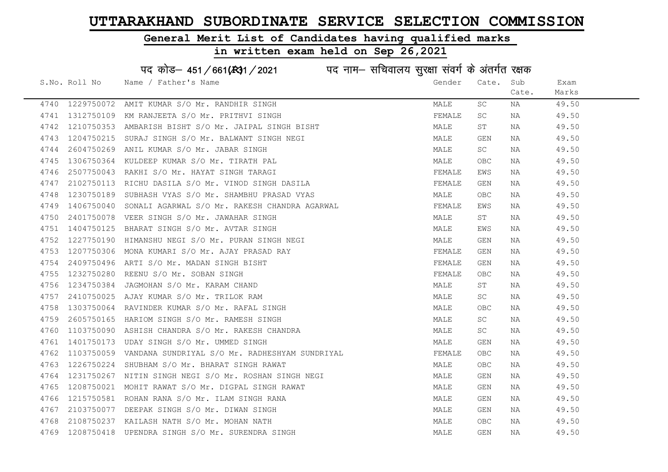#### General Merit List of Candidates having qualified marks

#### in written exam held on Sep 26,2021

S.No. Roll No Wame / Father's Name Gender Cate. Sub Cate. Exam Marks पद कोड– 451/661(स्था) / 2021 विज्ञान सचिवालय सुरक्षा संवर्ग के अंतर्गत रक्षक 4740 1229750072 AMIT KUMAR S/O Mr. RANDHIR SINGH MALE SC NA 49.50 4741 1312750109 KM RANJEETA S/O Mr. PRITHVI SINGH FEMALE SC NA 49.50 4742 1210750353 AMBARISH BISHT S/O Mr. JAIPAL SINGH BISHT MALE ST NA 49.50 4743 1204750215 SURAJ SINGH S/O Mr. BALWANT SINGH NEGI MALE GEN NA 49.50 4744 2604750269 ANIL KUMAR S/O Mr. JABAR SINGH MALE SC NA 49.50 4745 1306750364 KULDEEP KUMAR S/O Mr. TIRATH PAL MALE OBC NA 49.50 4746 2507750043 RAKHI S/O Mr. HAYAT SINGH TARAGI FEMALE EMALE EWS NA 49.50 4747 2102750113 RICHU DASILA S/O Mr. VINOD SINGH DASILA FEMALE GEN NA 49.50 4748 1230750189 SUBHASH VYAS S/O Mr. SHAMBHU PRASAD VYAS MALE OBC NA 49.50 4749 1406750040 SONALI AGARWAL S/O Mr. RAKESH CHANDRA AGARWAL FEMALE EWS NA 19.50 4750 2401750078 VEER SINGH S/O Mr. JAWAHAR SINGH NA SERI ST ST NA 49.50 4751 1404750125 BHARAT SINGH S/O Mr. AVTAR SINGH MALE EWS NA 49.50 4752 1227750190 HIMANSHU NEGI S/O Mr. PURAN SINGH NEGI MALE GEN NA 49.50 4753 1207750306 MONA KUMARI S/O Mr. AJAY PRASAD RAY FEMALE GEN NA 49.50 4754 2409750496 ARTI S/O Mr. MADAN SINGH BISHT FEMALE GEN NA 49.50 4755 1232750280 REENU S/O Mr. SOBAN SINGH FEMALE OBC NA 49.50 4756 1234750384 JAGMOHAN S/O Mr. KARAM CHAND MALE ST NA 49.50 4757 2410750025 AJAY KUMAR S/O Mr. TRILOK RAM MALE SC NA 49.50 4758 1303750064 RAVINDER KUMAR S/O Mr. RAFAL SINGH MALE OBC NA 49.50 4759 2605750165 HARIOM SINGH S/O Mr. RAMESH SINGH MALE SC NA 49.50 4760 1103750090 ASHISH CHANDRA S/O Mr. RAKESH CHANDRA NA MALE SC NA 49.50 4761 1401750173 UDAY SINGH S/O Mr. UMMED SINGH MALE GEN NA 49.50 4762 1103750059 VANDANA SUNDRIYAL S/O Mr. RADHESHYAM SUNDRIYAL SUNDRIYAL REMALE OBC NA 49.50 4763 1226750224 SHUBHAM S/O Mr. BHARAT SINGH RAWAT NAN MALE OBC NA 49.50 4764 1231750267 NITIN SINGH NEGI S/O Mr. ROSHAN SINGH NEGI MALE GEN NA 49.50 4765 1208750021 MOHIT RAWAT S/O Mr. DIGPAL SINGH RAWAT MARE MALE GEN NA 49.50 4766 1215750581 ROHAN RANA S/O Mr. ILAM SINGH RANA MALE GEN NA 49.50 4767 2103750077 DEEPAK SINGH S/O Mr. DIWAN SINGH MALE GEN NA 49.50 4768 2108750237 KAILASH NATH S/O Mr. MOHAN NATH MALE OBC NA 49.50 4769 1208750418 UPENDRA SINGH S/O Mr. SURENDRA SINGH MALE GEN NA 49.50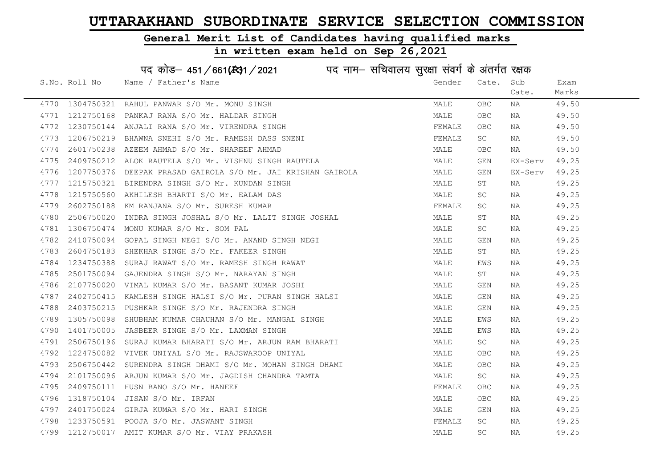# General Merit List of Candidates having qualified marks

|      |               | पद कोड़– 451/661(131/2021 पद नाम– सचिवालय सुरक्षा संवर्ग के अंतर्गत रक्षक |        |                     |         |       |
|------|---------------|---------------------------------------------------------------------------|--------|---------------------|---------|-------|
|      | S.No. Roll No | Name / Father's Name                                                      | Gender | Cate.               | Sub     | Exam  |
|      |               |                                                                           |        |                     | Cate.   | Marks |
| 4770 | 1304750321    | RAHUL PANWAR S/O Mr. MONU SINGH                                           | MALE   | OBC                 | NA      | 49.50 |
| 4771 | 1212750168    | PANKAJ RANA S/O Mr. HALDAR SINGH                                          | MALE   | OBC                 | NA      | 49.50 |
| 4772 | 1230750144    | ANJALI RANA S/O Mr. VIRENDRA SINGH                                        | FEMALE | OBC                 | NA      | 49.50 |
| 4773 | 1206750219    | BHAWNA SNEHI S/O Mr. RAMESH DASS SNENI                                    | FEMALE | SC                  | NA      | 49.50 |
| 4774 | 2601750238    | AZEEM AHMAD S/O Mr. SHAREEF AHMAD                                         | MALE   | OBC                 | NA      | 49.50 |
| 4775 | 2409750212    | ALOK RAUTELA S/O Mr. VISHNU SINGH RAUTELA                                 | MALE   | GEN                 | EX-Serv | 49.25 |
| 4776 | 1207750376    | DEEPAK PRASAD GAIROLA S/O Mr. JAI KRISHAN GAIROLA                         | MALE   | GEN                 | EX-Serv | 49.25 |
| 4777 | 1215750321    | BIRENDRA SINGH S/O Mr. KUNDAN SINGH                                       | MALE   | $\operatorname{ST}$ | ΝA      | 49.25 |
| 4778 | 1215750560    | AKHILESH BHARTI S/O Mr. EALAM DAS                                         | MALE   | SC                  | NA      | 49.25 |
| 4779 | 2602750188    | KM RANJANA S/O Mr. SURESH KUMAR                                           | FEMALE | SC.                 | NA      | 49.25 |
| 4780 | 2506750020    | INDRA SINGH JOSHAL S/O Mr. LALIT SINGH JOSHAL                             | MALE   | ST                  | NA      | 49.25 |
| 4781 | 1306750474    | MONU KUMAR S/O Mr. SOM PAL                                                | MALE   | SC                  | ΝA      | 49.25 |
| 4782 | 2410750094    | GOPAL SINGH NEGI S/O Mr. ANAND SINGH NEGI                                 | MALE   | GEN                 | NA      | 49.25 |
| 4783 | 2604750183    | SHEKHAR SINGH S/O Mr. FAKEER SINGH                                        | MALE   | ST                  | NA      | 49.25 |
| 4784 | 1234750388    | SURAJ RAWAT S/O Mr. RAMESH SINGH RAWAT                                    | MALE   | EWS                 | NA      | 49.25 |
| 4785 | 2501750094    | GAJENDRA SINGH S/O Mr. NARAYAN SINGH                                      | MALE   | ST                  | NA      | 49.25 |
| 4786 | 2107750020    | VIMAL KUMAR S/O Mr. BASANT KUMAR JOSHI                                    | MALE   | GEN                 | NA      | 49.25 |
| 4787 | 2402750415    | KAMLESH SINGH HALSI S/O Mr. PURAN SINGH HALSI                             | MALE   | GEN                 | NA      | 49.25 |
| 4788 | 2403750215    | PUSHKAR SINGH S/O Mr. RAJENDRA SINGH                                      | MALE   | GEN                 | NA      | 49.25 |
| 4789 | 1305750098    | SHUBHAM KUMAR CHAUHAN S/O Mr. MANGAL SINGH                                | MALE   | EWS                 | ΝA      | 49.25 |
| 4790 | 1401750005    | JASBEER SINGH S/O Mr. LAXMAN SINGH                                        | MALE   | EWS                 | NA      | 49.25 |
| 4791 | 2506750196    | SURAJ KUMAR BHARATI S/O Mr. ARJUN RAM BHARATI                             | MALE   | SC                  | NA      | 49.25 |
| 4792 | 1224750082    | VIVEK UNIYAL S/O Mr. RAJSWAROOP UNIYAL                                    | MALE   | OBC                 | NA      | 49.25 |
| 4793 | 2506750442    | SURENDRA SINGH DHAMI S/O Mr. MOHAN SINGH DHAMI                            | MALE   | OBC                 | NA      | 49.25 |
| 4794 | 2101750096    | ARJUN KUMAR S/O Mr. JAGDISH CHANDRA TAMTA                                 | MALE   | SC                  | NA      | 49.25 |
| 4795 | 2409750111    | HUSN BANO S/O Mr. HANEEF                                                  | FEMALE | OBC                 | NA      | 49.25 |
| 4796 | 1318750104    | JISAN S/O Mr. IRFAN                                                       | MALE   | OBC                 | NA      | 49.25 |
| 4797 | 2401750024    | GIRJA KUMAR S/O Mr. HARI SINGH                                            | MALE   | GEN                 | NA      | 49.25 |
| 4798 | 1233750591    | POOJA S/O Mr. JASWANT SINGH                                               | FEMALE | SC                  | NA      | 49.25 |
| 4799 |               | 1212750017 AMIT KUMAR S/O Mr. VIAY PRAKASH                                | MALE   | SC                  | NA      | 49.25 |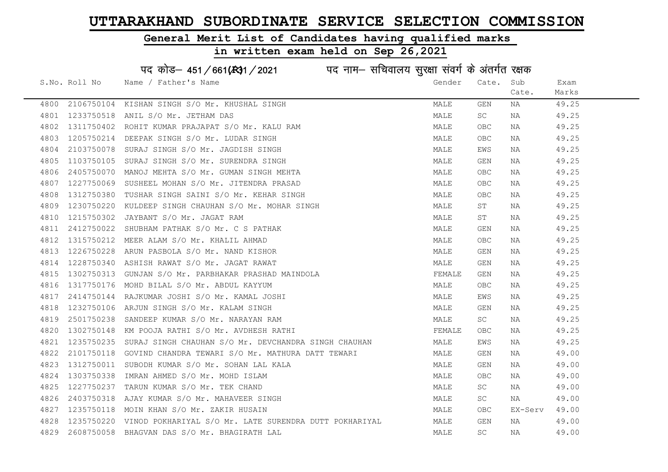#### General Merit List of Candidates having qualified marks

|      |               | पद कोड़– 451/661(431/2021 पद नाम– सचिवालय सुरक्षा संवर्ग के अंतर्गत रक्षक |        |                         |         |       |
|------|---------------|---------------------------------------------------------------------------|--------|-------------------------|---------|-------|
|      | S.No. Roll No | Name / Father's Name                                                      | Gender | Cate.                   | Sub     | Exam  |
|      |               |                                                                           |        |                         | Cate.   | Marks |
| 4800 | 2106750104    | KISHAN SINGH S/O Mr. KHUSHAL SINGH                                        | MALE   | GEN                     | ΝA      | 49.25 |
| 4801 | 1233750518    | ANIL S/O Mr. JETHAM DAS                                                   | MALE   | SC                      | NA      | 49.25 |
| 4802 | 1311750402    | ROHIT KUMAR PRAJAPAT S/O Mr. KALU RAM                                     | MALE   | OBC                     | ΝA      | 49.25 |
| 4803 | 1205750214    | DEEPAK SINGH S/O Mr. LUDAR SINGH                                          | MALE   | OBC                     | ΝA      | 49.25 |
| 4804 | 2103750078    | SURAJ SINGH S/O Mr. JAGDISH SINGH                                         | MALE   | EWS                     | NA      | 49.25 |
| 4805 | 1103750105    | SURAJ SINGH S/O Mr. SURENDRA SINGH                                        | MALE   | GEN                     | NA      | 49.25 |
| 4806 | 2405750070    | MANOJ MEHTA S/O Mr. GUMAN SINGH MEHTA                                     | MALE   | OBC                     | NA      | 49.25 |
| 4807 | 1227750069    | SUSHEEL MOHAN S/O Mr. JITENDRA PRASAD                                     | MALE   | ${\sf OBC}$             | NA      | 49.25 |
| 4808 | 1312750380    | TUSHAR SINGH SAINI S/O Mr. KEHAR SINGH                                    | MALE   | OBC                     | NA      | 49.25 |
| 4809 | 1230750220    | KULDEEP SINGH CHAUHAN S/O Mr. MOHAR SINGH                                 | MALE   | SΤ                      | NA      | 49.25 |
| 4810 | 1215750302    | JAYBANT S/O Mr. JAGAT RAM                                                 | MALE   | SΤ                      | NA      | 49.25 |
| 4811 | 2412750022    | SHUBHAM PATHAK S/O Mr. C S PATHAK                                         | MALE   | GEN                     | NA      | 49.25 |
| 4812 | 1315750212    | MEER ALAM S/O Mr. KHALIL AHMAD                                            | MALE   | <b>OBC</b>              | NA      | 49.25 |
| 4813 | 1226750228    | ARUN PASBOLA S/O Mr. NAND KISHOR                                          | MALE   | GEN                     | NA      | 49.25 |
| 4814 | 1228750340    | ASHISH RAWAT S/O Mr. JAGAT RAWAT                                          | MALE   | GEN                     | ΝA      | 49.25 |
| 4815 | 1302750313    | GUNJAN S/O Mr. PARBHAKAR PRASHAD MAINDOLA                                 | FEMALE | GEN                     | NA      | 49.25 |
| 4816 | 1317750176    | MOHD BILAL S/O Mr. ABDUL KAYYUM                                           | MALE   | <b>OBC</b>              | ΝA      | 49.25 |
| 4817 | 2414750144    | RAJKUMAR JOSHI S/O Mr. KAMAL JOSHI                                        | MALE   | EWS                     | NA      | 49.25 |
| 4818 | 1232750106    | ARJUN SINGH S/O Mr. KALAM SINGH                                           | MALE   | $\mathop{\mathsf{GEN}}$ | ΝA      | 49.25 |
| 4819 | 2501750238    | SANDEEP KUMAR S/O Mr. NARAYAN RAM                                         | MALE   | SC                      | ΝA      | 49.25 |
| 4820 | 1302750148    | KM POOJA RATHI S/O Mr. AVDHESH RATHI                                      | FEMALE | <b>OBC</b>              | NA      | 49.25 |
| 4821 | 1235750235    | SURAJ SINGH CHAUHAN S/O Mr. DEVCHANDRA SINGH CHAUHAN                      | MALE   | EWS                     | NA      | 49.25 |
| 4822 | 2101750118    | GOVIND CHANDRA TEWARI S/O Mr. MATHURA DATT TEWARI                         | MALE   | GEN                     | ΝA      | 49.00 |
| 4823 | 1312750011    | SUBODH KUMAR S/O Mr. SOHAN LAL KALA                                       | MALE   | GEN                     | NA      | 49.00 |
| 4824 | 1303750338    | IMRAN AHMED S/O Mr. MOHD ISLAM                                            | MALE   | OBC                     | NA      | 49.00 |
| 4825 | 1227750237    | TARUN KUMAR S/O Mr. TEK CHAND                                             | MALE   | SC                      | NA      | 49.00 |
| 4826 | 2403750318    | AJAY KUMAR S/O Mr. MAHAVEER SINGH                                         | MALE   | SC                      | NA      | 49.00 |
| 4827 | 1235750118    | MOIN KHAN S/O Mr. ZAKIR HUSAIN                                            | MALE   | OBC                     | EX-Serv | 49.00 |
| 4828 | 1235750220    | VINOD POKHARIYAL S/O Mr. LATE SURENDRA DUTT POKHARIYAL                    | MALE   | GEN                     | NA      | 49.00 |
| 4829 | 2608750058    | BHAGVAN DAS S/O Mr. BHAGIRATH LAL                                         | MALE   | <b>SC</b>               | ΝA      | 49.00 |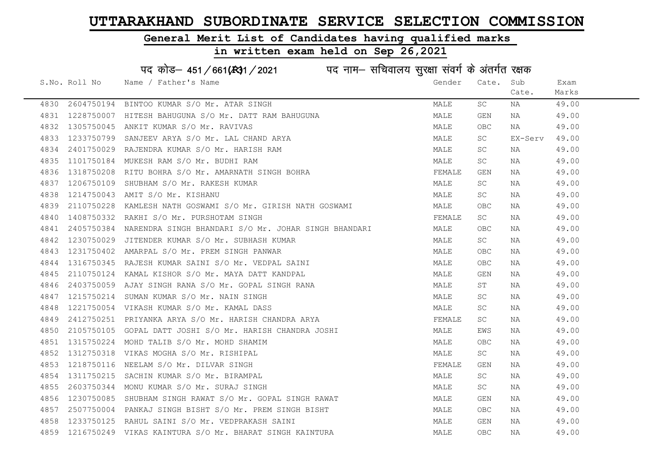# General Merit List of Candidates having qualified marks

|      |               | पद कोड़- 451/661(34) / 2021 पद नाम- सचिवालय सुरक्षा संवर्ग के अंतर्गत रक्षक |        |            |         |       |
|------|---------------|-----------------------------------------------------------------------------|--------|------------|---------|-------|
|      | S.No. Roll No | Name / Father's Name                                                        | Gender | Cate.      | Sub     | Exam  |
|      |               |                                                                             |        |            | Cate.   | Marks |
| 4830 | 2604750194    | BINTOO KUMAR S/O Mr. ATAR SINGH                                             | MALE   | SC         | ΝA      | 49.00 |
| 4831 | 1228750007    | HITESH BAHUGUNA S/O Mr. DATT RAM BAHUGUNA                                   | MALE   | GEN        | ΝA      | 49.00 |
| 4832 | 1305750045    | ANKIT KUMAR S/O Mr. RAVIVAS                                                 | MALE   | OBC        | NA      | 49.00 |
| 4833 | 1233750799    | SANJEEV ARYA S/O Mr. LAL CHAND ARYA                                         | MALE   | SC.        | EX-Serv | 49.00 |
| 4834 | 2401750029    | RAJENDRA KUMAR S/O Mr. HARISH RAM                                           | MALE   | SC         | NA      | 49.00 |
| 4835 | 1101750184    | MUKESH RAM S/O Mr. BUDHI RAM                                                | MALE   | SC         | ΝA      | 49.00 |
| 4836 | 1318750208    | RITU BOHRA S/O Mr. AMARNATH SINGH BOHRA                                     | FEMALE | GEN        | NA      | 49.00 |
| 4837 | 1206750109    | SHUBHAM S/O Mr. RAKESH KUMAR                                                | MALE   | SC         | NA      | 49.00 |
| 4838 | 1214750043    | AMIT S/O Mr. KISHANU                                                        | MALE   | SC         | ΝA      | 49.00 |
| 4839 | 2110750228    | KAMLESH NATH GOSWAMI S/O Mr. GIRISH NATH GOSWAMI                            | MALE   | <b>OBC</b> | NA      | 49.00 |
| 4840 | 1408750332    | RAKHI S/O Mr. PURSHOTAM SINGH                                               | FEMALE | SC         | ΝA      | 49.00 |
| 4841 | 2405750384    | NARENDRA SINGH BHANDARI S/O Mr. JOHAR SINGH BHANDARI                        | MALE   | <b>OBC</b> | ΝA      | 49.00 |
| 4842 | 1230750029    | JITENDER KUMAR S/O Mr. SUBHASH KUMAR                                        | MALE   | <b>SC</b>  | NA      | 49.00 |
| 4843 | 1231750402    | AMARPAL S/O Mr. PREM SINGH PANWAR                                           | MALE   | OBC        | ΝA      | 49.00 |
| 4844 | 1316750345    | RAJESH KUMAR SAINI S/O Mr. VEDPAL SAINI                                     | MALE   | OBC        | ΝA      | 49.00 |
| 4845 | 2110750124    | KAMAL KISHOR S/O Mr. MAYA DATT KANDPAL                                      | MALE   | GEN        | NA      | 49.00 |
| 4846 | 2403750059    | AJAY SINGH RANA S/O Mr. GOPAL SINGH RANA                                    | MALE   | SΤ         | ΝA      | 49.00 |
| 4847 | 1215750214    | SUMAN KUMAR S/O Mr. NAIN SINGH                                              | MALE   | SC         | ΝA      | 49.00 |
| 4848 | 1221750054    | VIKASH KUMAR S/O Mr. KAMAL DASS                                             | MALE   | SC         | ΝA      | 49.00 |
| 4849 | 2412750251    | PRIYANKA ARYA S/O Mr. HARISH CHANDRA ARYA                                   | FEMALE | SC         | NA      | 49.00 |
| 4850 | 2105750105    | GOPAL DATT JOSHI S/O Mr. HARISH CHANDRA JOSHI                               | MALE   | EWS        | NA      | 49.00 |
| 4851 | 1315750224    | MOHD TALIB S/O Mr. MOHD SHAMIM                                              | MALE   | <b>OBC</b> | ΝA      | 49.00 |
| 4852 | 1312750318    | VIKAS MOGHA S/O Mr. RISHIPAL                                                | MALE   | SC         | NA      | 49.00 |
| 4853 | 1218750116    | NEELAM S/O Mr. DILVAR SINGH                                                 | FEMALE | GEN        | ΝA      | 49.00 |
| 4854 | 1311750215    | SACHIN KUMAR S/O Mr. BIRAMPAL                                               | MALE   | SC         | ΝA      | 49.00 |
| 4855 | 2603750344    | MONU KUMAR S/O Mr. SURAJ SINGH                                              | MALE   | SC         | ΝA      | 49.00 |
| 4856 | 1230750085    | SHUBHAM SINGH RAWAT S/O Mr. GOPAL SINGH RAWAT                               | MALE   | GEN        | ΝA      | 49.00 |
| 4857 |               | 2507750004 PANKAJ SINGH BISHT S/O Mr. PREM SINGH BISHT                      | MALE   | <b>OBC</b> | NA      | 49.00 |
| 4858 |               | 1233750125 RAHUL SAINI S/O Mr. VEDPRAKASH SAINI                             | MALE   | GEN        | ΝA      | 49.00 |
| 4859 |               | 1216750249 VIKAS KAINTURA S/O Mr. BHARAT SINGH KAINTURA                     | MALE   | <b>OBC</b> | ΝA      | 49.00 |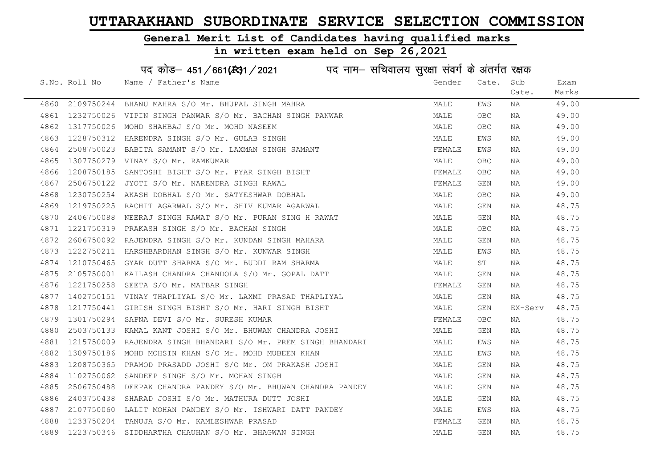# General Merit List of Candidates having qualified marks

|      | पद कोड़– 451/661(431/2021 पद नाम– सचिवालय सुरक्षा संवर्ग के अंतर्गत रक्षक |                                                                |        |            |         |       |  |  |
|------|---------------------------------------------------------------------------|----------------------------------------------------------------|--------|------------|---------|-------|--|--|
|      | S.No. Roll No                                                             | Name / Father's Name                                           | Gender | Cate.      | Sub     | Exam  |  |  |
|      |                                                                           |                                                                |        |            | Cate.   | Marks |  |  |
|      |                                                                           | 4860 2109750244 BHANU MAHRA S/O Mr. BHUPAL SINGH MAHRA         | MALE   | EWS        | NA      | 49.00 |  |  |
| 4861 |                                                                           | 1232750026 VIPIN SINGH PANWAR S/O Mr. BACHAN SINGH PANWAR      | MALE   | OBC        | NA      | 49.00 |  |  |
| 4862 | 1317750026                                                                | MOHD SHAHBAJ S/O Mr. MOHD NASEEM                               | MALE   | OBC        | NA      | 49.00 |  |  |
| 4863 | 1228750312                                                                | HARENDRA SINGH S/O Mr. GULAB SINGH                             | MALE   | EWS        | NA      | 49.00 |  |  |
| 4864 | 2508750023                                                                | BABITA SAMANT S/O Mr. LAXMAN SINGH SAMANT                      | FEMALE | EWS        | NA      | 49.00 |  |  |
| 4865 |                                                                           | 1307750279 VINAY S/O Mr. RAMKUMAR                              | MALE   | OBC        | ΝA      | 49.00 |  |  |
| 4866 | 1208750185                                                                | SANTOSHI BISHT S/O Mr. PYAR SINGH BISHT                        | FEMALE | <b>OBC</b> | ΝA      | 49.00 |  |  |
| 4867 | 2506750122                                                                | JYOTI S/O Mr. NARENDRA SINGH RAWAL                             | FEMALE | GEN        | NA      | 49.00 |  |  |
| 4868 | 1230750254                                                                | AKASH DOBHAL S/O Mr. SATYESHWAR DOBHAL                         | MALE   | OBC        | ΝA      | 49.00 |  |  |
| 4869 | 1219750225                                                                | RACHIT AGARWAL S/O Mr. SHIV KUMAR AGARWAL                      | MALE   | GEN        | NA      | 48.75 |  |  |
| 4870 | 2406750088                                                                | NEERAJ SINGH RAWAT S/O Mr. PURAN SING H RAWAT                  | MALE   | GEN        | NA      | 48.75 |  |  |
| 4871 | 1221750319                                                                | PRAKASH SINGH S/O Mr. BACHAN SINGH                             | MALE   | OBC        | ΝA      | 48.75 |  |  |
| 4872 |                                                                           | 2606750092 RAJENDRA SINGH S/O Mr. KUNDAN SINGH MAHARA          | MALE   | GEN        | NA      | 48.75 |  |  |
| 4873 |                                                                           | 1222750211 HARSHBARDHAN SINGH S/O Mr. KUNWAR SINGH             | MALE   | EWS        | NA      | 48.75 |  |  |
| 4874 |                                                                           | 1210750465 GYAR DUTT SHARMA S/O Mr. BUDDI RAM SHARMA           | MALE   | SΤ         | ΝA      | 48.75 |  |  |
| 4875 | 2105750001                                                                | KAILASH CHANDRA CHANDOLA S/O Mr. GOPAL DATT                    | MALE   | GEN        | ΝA      | 48.75 |  |  |
| 4876 | 1221750258                                                                | SEETA S/O Mr. MATBAR SINGH                                     | FEMALE | GEN        | ΝA      | 48.75 |  |  |
| 4877 |                                                                           | 1402750151 VINAY THAPLIYAL S/O Mr. LAXMI PRASAD THAPLIYAL      | MALE   | GEN        | NA      | 48.75 |  |  |
| 4878 | 1217750441                                                                | GIRISH SINGH BISHT S/O Mr. HARI SINGH BISHT                    | MALE   | GEN        | EX-Serv | 48.75 |  |  |
| 4879 | 1301750294                                                                | SAPNA DEVI S/O Mr. SURESH KUMAR                                | FEMALE | <b>OBC</b> | NA      | 48.75 |  |  |
| 4880 |                                                                           | 2503750133 KAMAL KANT JOSHI S/O Mr. BHUWAN CHANDRA JOSHI       | MALE   | GEN        | NA      | 48.75 |  |  |
| 4881 |                                                                           | 1215750009 RAJENDRA SINGH BHANDARI S/O Mr. PREM SINGH BHANDARI | MALE   | EWS        | ΝA      | 48.75 |  |  |
| 4882 | 1309750186                                                                | MOHD MOHSIN KHAN S/O Mr. MOHD MUBEEN KHAN                      | MALE   | EWS        | NA      | 48.75 |  |  |
| 4883 | 1208750365                                                                | PRAMOD PRASADD JOSHI S/O Mr. OM PRAKASH JOSHI                  | MALE   | GEN        | ΝA      | 48.75 |  |  |
| 4884 | 1102750062                                                                | SANDEEP SINGH S/O Mr. MOHAN SINGH                              | MALE   | GEN        | ΝA      | 48.75 |  |  |
| 4885 |                                                                           | 2506750488 DEEPAK CHANDRA PANDEY S/O Mr. BHUWAN CHANDRA PANDEY | MALE   | GEN        | NA      | 48.75 |  |  |
| 4886 | 2403750438                                                                | SHARAD JOSHI S/O Mr. MATHURA DUTT JOSHI                        | MALE   | GEN        | ΝA      | 48.75 |  |  |
| 4887 |                                                                           | 2107750060 LALIT MOHAN PANDEY S/O Mr. ISHWARI DATT PANDEY      | MALE   | EWS        | NA      | 48.75 |  |  |
| 4888 | 1233750204                                                                | TANUJA S/O Mr. KAMLESHWAR PRASAD                               | FEMALE | <b>GEN</b> | NA      | 48.75 |  |  |
| 4889 | 1223750346                                                                | SIDDHARTHA CHAUHAN S/O Mr. BHAGWAN SINGH                       | MALE   | <b>GEN</b> | ΝA      | 48.75 |  |  |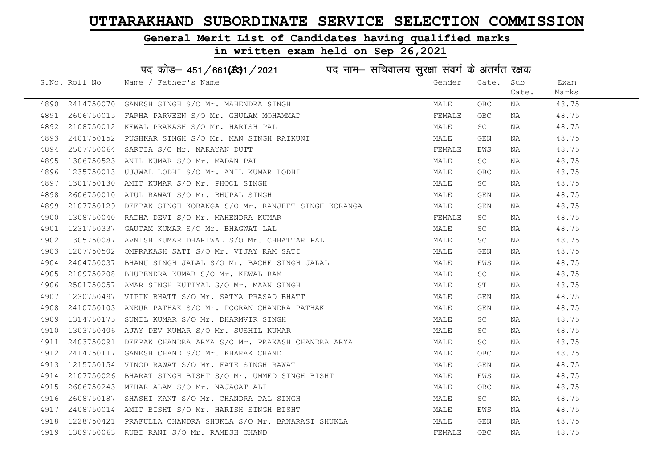# General Merit List of Candidates having qualified marks

|      |               | पद कोड– 451/661(431/2021 पद नाम– सचिवालय सुरक्षा संवर्ग के अंतर्गत रक्षक |        |            |       |       |
|------|---------------|--------------------------------------------------------------------------|--------|------------|-------|-------|
|      | S.No. Roll No | Name / Father's Name                                                     | Gender | Cate.      | Sub   | Exam  |
|      |               |                                                                          |        |            | Cate. | Marks |
| 4890 | 2414750070    | GANESH SINGH S/O Mr. MAHENDRA SINGH                                      | MALE   | <b>OBC</b> | ΝA    | 48.75 |
| 4891 | 2606750015    | FARHA PARVEEN S/O Mr. GHULAM MOHAMMAD                                    | FEMALE | <b>OBC</b> | ΝA    | 48.75 |
| 4892 | 2108750012    | KEWAL PRAKASH S/O Mr. HARISH PAL                                         | MALE   | SC         | NA    | 48.75 |
| 4893 | 2401750152    | PUSHKAR SINGH S/O Mr. MAN SINGH RAIKUNI                                  | MALE   | GEN        | NA    | 48.75 |
| 4894 | 2507750064    | SARTIA S/O Mr. NARAYAN DUTT                                              | FEMALE | EWS        | NA    | 48.75 |
| 4895 | 1306750523    | ANIL KUMAR S/O Mr. MADAN PAL                                             | MALE   | SC         | ΝA    | 48.75 |
| 4896 | 1235750013    | UJJWAL LODHI S/O Mr. ANIL KUMAR LODHI                                    | MALE   | <b>OBC</b> | ΝA    | 48.75 |
| 4897 | 1301750130    | AMIT KUMAR S/O Mr. PHOOL SINGH                                           | MALE   | SC         | ΝA    | 48.75 |
| 4898 | 2606750010    | ATUL RAWAT S/O Mr. BHUPAL SINGH                                          | MALE   | GEN        | ΝA    | 48.75 |
| 4899 | 2107750129    | DEEPAK SINGH KORANGA S/O Mr. RANJEET SINGH KORANGA                       | MALE   | GEN        | NA    | 48.75 |
| 4900 |               | 1308750040 RADHA DEVI S/O Mr. MAHENDRA KUMAR                             | FEMALE | SC         | ΝA    | 48.75 |
| 4901 | 1231750337    | GAUTAM KUMAR S/O Mr. BHAGWAT LAL                                         | MALE   | SC         | ΝA    | 48.75 |
| 4902 | 1305750087    | AVNISH KUMAR DHARIWAL S/O Mr. CHHATTAR PAL                               | MALE   | SC         | NA    | 48.75 |
| 4903 |               | 1207750502 OMPRAKASH SATI S/O Mr. VIJAY RAM SATI                         | MALE   | GEN        | NA    | 48.75 |
| 4904 |               | 2404750037 BHANU SINGH JALAL S/O Mr. BACHE SINGH JALAL                   | MALE   | EWS        | ΝA    | 48.75 |
| 4905 | 2109750208    | BHUPENDRA KUMAR S/O Mr. KEWAL RAM                                        | MALE   | SC         | ΝA    | 48.75 |
| 4906 | 2501750057    | AMAR SINGH KUTIYAL S/O Mr. MAAN SINGH                                    | MALE   | ST         | ΝA    | 48.75 |
| 4907 | 1230750497    | VIPIN BHATT S/O Mr. SATYA PRASAD BHATT                                   | MALE   | GEN        | NA    | 48.75 |
| 4908 | 2410750103    | ANKUR PATHAK S/O Mr. POORAN CHANDRA PATHAK                               | MALE   | GEN        | ΝA    | 48.75 |
| 4909 | 1314750175    | SUNIL KUMAR S/O Mr. DHARMVIR SINGH                                       | MALE   | SC         | ΝA    | 48.75 |
| 4910 | 1303750406    | AJAY DEV KUMAR S/O Mr. SUSHIL KUMAR                                      | MALE   | SC.        | NA    | 48.75 |
| 4911 |               | 2403750091 DEEPAK CHANDRA ARYA S/O Mr. PRAKASH CHANDRA ARYA              | MALE   | SC         | ΝA    | 48.75 |
| 4912 | 2414750117    | GANESH CHAND S/O Mr. KHARAK CHAND                                        | MALE   | <b>OBC</b> | ΝA    | 48.75 |
| 4913 | 1215750154    | VINOD RAWAT S/O Mr. FATE SINGH RAWAT                                     | MALE   | GEN        | NA    | 48.75 |
| 4914 | 2107750026    | BHARAT SINGH BISHT S/O Mr. UMMED SINGH BISHT                             | MALE   | EWS        | ΝA    | 48.75 |
| 4915 |               | 2606750243 MEHAR ALAM S/O Mr. NAJAQAT ALI                                | MALE   | OBC        | NA    | 48.75 |
| 4916 | 2608750187    | SHASHI KANT S/O Mr. CHANDRA PAL SINGH                                    | MALE   | SC         | ΝA    | 48.75 |
| 4917 |               | 2408750014 AMIT BISHT S/O Mr. HARISH SINGH BISHT                         | MALE   | EWS        | NA    | 48.75 |
| 4918 | 1228750421    | PRAFULLA CHANDRA SHUKLA S/O Mr. BANARASI SHUKLA                          | MALE   | <b>GEN</b> | ΝA    | 48.75 |
| 4919 |               | 1309750063 RUBI RANI S/O Mr. RAMESH CHAND                                | FEMALE | <b>OBC</b> | ΝA    | 48.75 |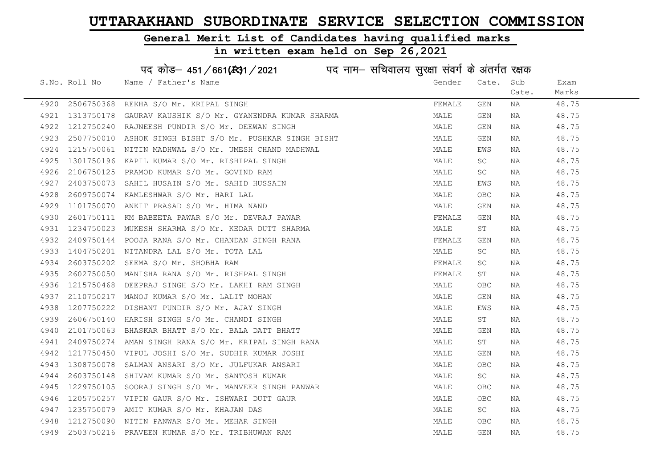#### General Merit List of Candidates having qualified marks

#### in written exam held on Sep 26,2021

S.No. Roll No Wame / Father's Name Gender Cate. Sub Cate. Exam Marks पद कोड– 451/661(स्था) / 2021 विज्ञान सचिवालय सुरक्षा संवर्ग के अंतर्गत रक्षक 4920 2506750368 REKHA S/O Mr. KRIPAL SINGH FEMALE GEN NA 48.75 4921 1313750178 GAURAV KAUSHIK S/O Mr. GYANENDRA KUMAR SHARMA MAN MALE GEN NA 48.75 4922 1212750240 RAJNEESH PUNDIR S/O Mr. DEEWAN SINGH MARE MALE GEN NA 48.75 4923 2507750010 ASHOK SINGH BISHT S/O Mr. PUSHKAR SINGH BISHT MANA MALE GEN NA 48.75 4924 1215750061 NITIN MADHWAL S/O Mr. UMESH CHAND MADHWAL MARE MALE EWS NA 48.75 4925 1301750196 KAPIL KUMAR S/O Mr. RISHIPAL SINGH MALE SC NA 48.75 4926 2106750125 PRAMOD KUMAR S/O Mr. GOVIND RAM MALE SC NA 48.75 4927 2403750073 SAHIL HUSAIN S/O Mr. SAHID HUSSAIN MALE EWS NA 48.75 4928 2609750074 KAMLESHWAR S/O Mr. HARI LAL MALE OBC NA 48.75 4929 1101750070 ANKIT PRASAD S/O Mr. HIMA NAND MALE GEN NA 48.75 4930 2601750111 KM BABEETA PAWAR S/O Mr. DEVRAJ PAWAR TENNER FEMALE GEN NA 48.75 4931 1234750023 MUKESH SHARMA S/O Mr. KEDAR DUTT SHARMA MANA MALE ST NA 48.75 4932 2409750144 POOJA RANA S/O Mr. CHANDAN SINGH RANA FEMALE GEN NA 48.75 4933 1404750201 NITANDRA LAL S/O Mr. TOTA LAL MALL SANDA SANDA MALE SC NA 48.75 4934 2603750202 SEEMA S/O Mr. SHOBHA RAM FEMALE SC NA 48.75 4935 2602750050 MANISHA RANA S/O Mr. RISHPAL SINGH FEMALE ST NA 48.75 4936 1215750468 DEEPRAJ SINGH S/O Mr. LAKHI RAM SINGH MALE OBC NA 48.75 4937 2110750217 MANOJ KUMAR S/O Mr. LALIT MOHAN MALE GEN NA 48.75 4938 1207750222 DISHANT PUNDIR S/O Mr. AJAY SINGH MALE EWS NA 48.75 4939 2606750140 HARISH SINGH S/O Mr. CHANDI SINGH MALE ST NA 48.75 4940 2101750063 BHASKAR BHATT S/O Mr. BALA DATT BHATT MAN MALE GEN NA 48.75 4941 2409750274 AMAN SINGH RANA S/O Mr. KRIPAL SINGH RANA MALE ST NA 48.75 4942 1217750450 VIPUL JOSHI S/O Mr. SUDHIR KUMAR JOSHI MALE GEN NA 48.75 4943 1308750078 SALMAN ANSARI S/O Mr. JULFUKAR ANSARI MALE OBC NA 48.75 4944 2603750148 SHIVAM KUMAR S/O Mr. SANTOSH KUMAR NAN MALE SC NA 48.75 4945 1229750105 SOORAJ SINGH S/O Mr. MANVEER SINGH PANWAR MALE MALE OBC NA 48.75 4946 1205750257 VIPIN GAUR S/O Mr. ISHWARI DUTT GAUR MALE OBC NA 48.75 4947 1235750079 AMIT KUMAR S/O Mr. KHAJAN DAS MALE SC NA 48.75 4948 1212750090 NITIN PANWAR S/O Mr. MEHAR SINGH MALE OBC NA 48.75 4949 2503750216 PRAVEEN KUMAR S/O Mr. TRIBHUWAN RAM MALE GEN NA 48.75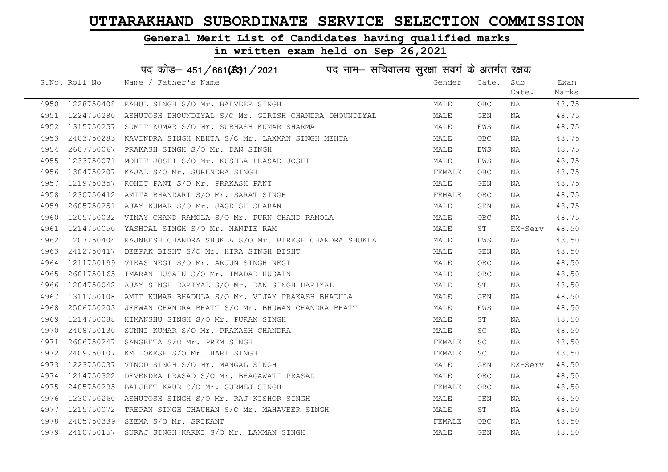#### General Merit List of Candidates having qualified marks

#### in written exam held on Sep 26,2021

S.No. Roll No Wame / Father's Name Gender Cate. Sub Cate. Exam Marks पद कोड– 451/661(स्था) / 2021 विज्ञान सचिवालय सुरक्षा संवर्ग के अंतर्गत रक्षक 4950 1228750408 RAHUL SINGH S/O Mr. BALVEER SINGH MALE OBC NA 48.75 4951 1224750280 ASHUTOSH DHOUNDIYAL S/O Mr. GIRISH CHANDRA DHOUNDIYAL MALE GEN NA 48.75 4952 1315750257 SUMIT KUMAR S/O Mr. SUBHASH KUMAR SHARMA MALE EWS NA 48.75 4953 2403750283 KAVINDRA SINGH MEHTA S/O Mr. LAXMAN SINGH MEHTA MANILL OBC NA 48.75 4954 2607750067 PRAKASH SINGH S/O Mr. DAN SINGH<br>4955 1233750071 MOHIT JOSHI S/O Mr. KUSHLA PRASAD JOSHI MALE EWS NA 48.75 4955 1233750071 MOHIT JOSHI S/O Mr. KUSHLA PRASAD JOSHI MALE EWS NA 48.75 4956 1304750207 KAJAL S/O Mr. SURENDRA SINGH FEMALE OBC NA 48.75 4957 1219750357 ROHIT PANT S/O Mr. PRAKASH PANT MALE GEN NA 48.75 4958 1230750412 AMITA BHANDARI S/O Mr. SARAT SINGH FRANCH SAN SERMALE OBC NA 48.75 4959 2605750251 AJAY KUMAR S/O Mr. JAGDISH SHARAN MALE GEN NA 48.75 4960 1205750032 VINAY CHAND RAMOLA S/O Mr. PURN CHAND RAMOLA MALE OBC NA 48.75 4961 1214750050 YASHPAL SINGH S/O Mr. NANTIE RAM MALE ST EX-Serv 48.50 4962 1207750404 RAJNEESH CHANDRA SHUKLA S/O Mr. BIRESH CHANDRA SHUKLA MALE EWS NA 48.50 4963 2412750417 DEEPAK BISHT S/O Mr. HIRA SINGH BISHT MALE GEN NA 48.50 4964 1211750199 VIKAS NEGI S/O Mr. ARJUN SINGH NEGI MALE OBC NA 48.50 4965 2601750165 IMARAN HUSAIN S/O Mr. IMADAD HUSAIN MALE OBC NA 48.50 4966 1204750042 AJAY SINGH DARIYAL S/O Mr. DAN SINGH DARIYAL MALE ST NA 48.50 4967 1311750108 AMIT KUMAR BHADULA S/O Mr. VIJAY PRAKASH BHADULA MARINA MALE GEN NA 48.50 4968 2506750203 JEEWAN CHANDRA BHATT S/O Mr. BHUWAN CHANDRA BHATT MALE MALE EWS NA 48.50 4969 1214750088 HIMANSHU SINGH S/O Mr. PURAN SINGH MALE ST NA 48.50 4970 2408750130 SUNNI KUMAR S/O Mr. PRAKASH CHANDRA MALE SC NA 48.50 4971 2606750247 SANGEETA S/O Mr. PREM SINGH FEMALE SC NA 48.50 4972 2409750107 KM LOKESH S/O Mr. HARI SINGH FEMALE SC NA 48.50 4973 1223750037 VINOD SINGH S/O Mr. MANGAL SINGH MALE GEN EX-Serv 48.50 4974 1214750322 DEVENDRA PRASAD S/O Mr. BHAGAWATI PRASAD MANA MALE OBC NA 48.50 4975 2405750295 BALJEET KAUR S/O Mr. GURMEJ SINGH FEMALE OBC NA 48.50 4976 1230750260 ASHUTOSH SINGH S/O Mr. RAJ KISHOR SINGH MALE GEN NA 48.50 4977 1215750072 TREPAN SINGH CHAUHAN S/O Mr. MAHAVEER SINGH MANA MALE ST NA 48.50 4978 2405750339 SEEMA S/O Mr. SRIKANT **FEMALE** OBC NA 48.50 4979 2410750157 SURAJ SINGH KARKI S/O Mr. LAXMAN SINGH MALE GEN NA 48.50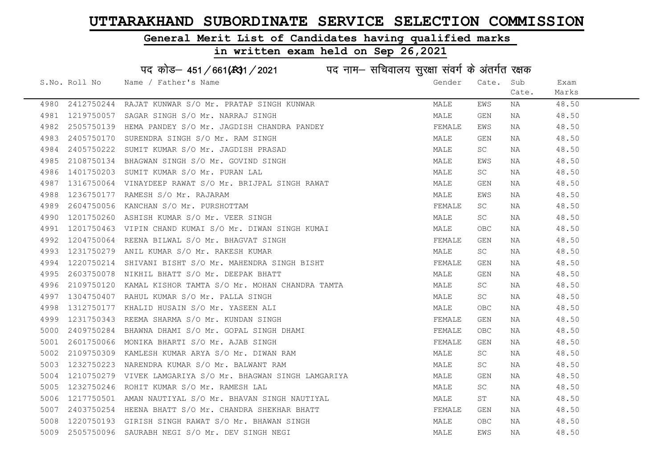# General Merit List of Candidates having qualified marks

|      |               | पद कोड़- 451/661(431/2021 पद नाम- सचिवालय सुरक्षा संवर्ग के अंतर्गत रक्षक |        |            |       |       |
|------|---------------|---------------------------------------------------------------------------|--------|------------|-------|-------|
|      | S.No. Roll No | Name / Father's Name                                                      | Gender | Cate.      | Sub   | Exam  |
|      |               |                                                                           |        |            | Cate. | Marks |
| 4980 |               | 2412750244 RAJAT KUNWAR S/O Mr. PRATAP SINGH KUNWAR                       | MALE   | EWS        | ΝA    | 48.50 |
| 4981 |               | 1219750057 SAGAR SINGH S/O Mr. NARRAJ SINGH                               | MALE   | GEN        | NA    | 48.50 |
| 4982 |               | 2505750139 HEMA PANDEY S/O Mr. JAGDISH CHANDRA PANDEY                     | FEMALE | EWS        | NA    | 48.50 |
| 4983 | 2405750170    | SURENDRA SINGH S/O Mr. RAM SINGH                                          | MALE   | GEN        | NA    | 48.50 |
| 4984 |               | 2405750222 SUMIT KUMAR S/O Mr. JAGDISH PRASAD                             | MALE   | SC         | NA    | 48.50 |
| 4985 |               | 2108750134 BHAGWAN SINGH S/O Mr. GOVIND SINGH                             | MALE   | EWS        | NA    | 48.50 |
| 4986 |               | 1401750203 SUMIT KUMAR S/O Mr. PURAN LAL                                  | MALE   | SC         | NA    | 48.50 |
| 4987 |               | 1316750064 VINAYDEEP RAWAT S/O Mr. BRIJPAL SINGH RAWAT                    | MALE   | GEN        | NA    | 48.50 |
| 4988 |               | 1236750177 RAMESH S/O Mr. RAJARAM                                         | MALE   | EWS        | NA    | 48.50 |
| 4989 |               | 2604750056 KANCHAN S/O Mr. PURSHOTTAM                                     | FEMALE | SC         | NA    | 48.50 |
| 4990 | 1201750260    | ASHISH KUMAR S/O Mr. VEER SINGH                                           | MALE   | SC         | NA    | 48.50 |
| 4991 |               | 1201750463 VIPIN CHAND KUMAI S/O Mr. DIWAN SINGH KUMAI                    | MALE   | OBC        | NA    | 48.50 |
| 4992 | 1204750064    | REENA BILWAL S/O Mr. BHAGVAT SINGH                                        | FEMALE | GEN        | NA    | 48.50 |
| 4993 |               | 1231750279 ANIL KUMAR S/O Mr. RAKESH KUMAR                                | MALE   | SC         | NA    | 48.50 |
| 4994 | 1220750214    | SHIVANI BISHT S/O Mr. MAHENDRA SINGH BISHT                                | FEMALE | GEN        | NA    | 48.50 |
| 4995 | 2603750078    | NIKHIL BHATT S/O Mr. DEEPAK BHATT                                         | MALE   | GEN        | NA    | 48.50 |
| 4996 | 2109750120    | KAMAL KISHOR TAMTA S/O Mr. MOHAN CHANDRA TAMTA                            | MALE   | SC         | NA    | 48.50 |
| 4997 |               | 1304750407 RAHUL KUMAR S/O Mr. PALLA SINGH                                | MALE   | SC         | NA    | 48.50 |
| 4998 | 1312750177    | KHALID HUSAIN S/O Mr. YASEEN ALI                                          | MALE   | OBC        | NA    | 48.50 |
| 4999 |               | 1231750343 REEMA SHARMA S/O Mr. KUNDAN SINGH                              | FEMALE | GEN        | NA    | 48.50 |
| 5000 |               | 2409750284 BHAWNA DHAMI S/O Mr. GOPAL SINGH DHAMI                         | FEMALE | OBC        | NA    | 48.50 |
| 5001 | 2601750066    | MONIKA BHARTI S/O Mr. AJAB SINGH                                          | FEMALE | GEN        | NA    | 48.50 |
| 5002 | 2109750309    | KAMLESH KUMAR ARYA S/O Mr. DIWAN RAM                                      | MALE   | SC         | NA    | 48.50 |
| 5003 | 1232750223    | NARENDRA KUMAR S/O Mr. BALWANT RAM                                        | MALE   | SC         | NA    | 48.50 |
| 5004 | 1210750279    | VIVEK LAMGARIYA S/O Mr. BHAGWAN SINGH LAMGARIYA                           | MALE   | GEN        | NA    | 48.50 |
| 5005 |               | 1232750246 ROHIT KUMAR S/O Mr. RAMESH LAL                                 | MALE   | SC         | NA    | 48.50 |
| 5006 |               | 1217750501 AMAN NAUTIYAL S/O Mr. BHAVAN SINGH NAUTIYAL                    | MALE   | ST         | NA    | 48.50 |
| 5007 |               | 2403750254 HEENA BHATT S/O Mr. CHANDRA SHEKHAR BHATT                      | FEMALE | GEN        | NA    | 48.50 |
| 5008 |               | 1220750193 GIRISH SINGH RAWAT S/O Mr. BHAWAN SINGH                        | MALE   | <b>OBC</b> | NA    | 48.50 |
| 5009 |               | 2505750096 SAURABH NEGI S/O Mr. DEV SINGH NEGI                            | MALE   | EWS        | ΝA    | 48.50 |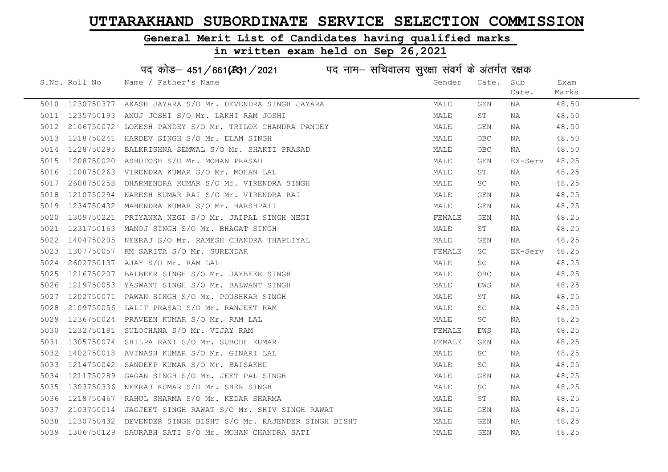# General Merit List of Candidates having qualified marks

| पद कोड़– 451/661(431/2021 पद नाम– सचिवालय सुरक्षा संवर्ग के अंतर्गत रक्षक |               |                                                   |  |        |            |         |       |
|---------------------------------------------------------------------------|---------------|---------------------------------------------------|--|--------|------------|---------|-------|
|                                                                           | S.No. Roll No | Name / Father's Name                              |  | Gender | Cate.      | Sub     | Exam  |
|                                                                           |               |                                                   |  |        |            | Cate.   | Marks |
| 5010                                                                      | 1230750377    | AKASH JAYARA S/O Mr. DEVENDRA SINGH JAYARA        |  | MALE   | GEN        | ΝA      | 48.50 |
| 5011                                                                      | 1235750193    | ANUJ JOSHI S/O Mr. LAKHI RAM JOSHI                |  | MALE   | SΤ         | NA      | 48.50 |
| 5012                                                                      | 2106750072    | LOKESH PANDEY S/O Mr. TRILOK CHANDRA PANDEY       |  | MALE   | GEN        | NA      | 48.50 |
| 5013                                                                      | 1218750241    | HARDEV SINGH S/O Mr. ELAM SINGH                   |  | MALE   | OBC        | NA      | 48.50 |
| 5014                                                                      | 1228750295    | BALKRISHNA SEMWAL S/O Mr. SHAKTI PRASAD           |  | MALE   | <b>OBC</b> | NA      | 48.50 |
| 5015                                                                      | 1208750020    | ASHUTOSH S/O Mr. MOHAN PRASAD                     |  | MALE   | GEN        | EX-Serv | 48.25 |
| 5016                                                                      | 1208750263    | VIRENDRA KUMAR S/O Mr. MOHAN LAL                  |  | MALE   | SΤ         | ΝA      | 48.25 |
| 5017                                                                      | 2608750258    | DHARMENDRA KUMAR S/O Mr. VIRENDRA SINGH           |  | MALE   | SC         | NA      | 48.25 |
| 5018                                                                      | 1210750294    | NARESH KUMAR RAI S/O Mr. VIRENDRA RAI             |  | MALE   | GEN        | NA      | 48.25 |
| 5019                                                                      | 1234750432    | MAHENDRA KUMAR S/O Mr. HARSHPATI                  |  | MALE   | GEN        | NA      | 48.25 |
| 5020                                                                      | 1309750221    | PRIYANKA NEGI S/O Mr. JAIPAL SINGH NEGI           |  | FEMALE | <b>GEN</b> | NA      | 48.25 |
| 5021                                                                      | 1231750163    | MANOJ SINGH S/O Mr. BHAGAT SINGH                  |  | MALE   | SТ         | NA      | 48.25 |
| 5022                                                                      | 1404750205    | NEERAJ S/O Mr. RAMESH CHANDRA THAPLIYAL           |  | MALE   | GEN        | NA      | 48.25 |
| 5023                                                                      | 1307750057    | KM SARITA S/O Mr. SURENDAR                        |  | FEMALE | SC         | EX-Serv | 48.25 |
| 5024                                                                      | 2602750137    | AJAY S/O Mr. RAM LAL                              |  | MALE   | SC         | NA      | 48.25 |
| 5025                                                                      | 1216750207    | BALBEER SINGH S/O Mr. JAYBEER SINGH               |  | MALE   | OBC        | NA      | 48.25 |
| 5026                                                                      | 1219750053    | YASWANT SINGH S/O Mr. BALWANT SINGH               |  | MALE   | EWS        | NA      | 48.25 |
| 5027                                                                      | 1202750071    | PAWAN SINGH S/O Mr. POUSHKAR SINGH                |  | MALE   | SТ         | NA      | 48.25 |
| 5028                                                                      | 2109750056    | LALIT PRASAD S/O Mr. RANJEET RAM                  |  | MALE   | SC         | NA      | 48.25 |
| 5029                                                                      | 1236750024    | PRAVEEN KUMAR S/O Mr. RAM LAL                     |  | MALE   | SC         | NA      | 48.25 |
| 5030                                                                      | 1232750181    | SULOCHANA S/O Mr. VIJAY RAM                       |  | FEMALE | EWS        | NA      | 48.25 |
| 5031                                                                      | 1305750074    | SHILPA RANI S/O Mr. SUBODH KUMAR                  |  | FEMALE | GEN        | NA      | 48.25 |
| 5032                                                                      | 1402750018    | AVINASH KUMAR S/O Mr. GINARI LAL                  |  | MALE   | SC         | NA      | 48.25 |
| 5033                                                                      | 1214750042    | SANDEEP KUMAR S/O Mr. BAISAKHU                    |  | MALE   | SC         | NA      | 48.25 |
| 5034                                                                      | 1211750289    | GAGAN SINGH S/O Mr. JEET PAL SINGH                |  | MALE   | GEN        | NA      | 48.25 |
| 5035                                                                      | 1303750336    | NEERAJ KUMAR S/O Mr. SHER SINGH                   |  | MALE   | SC         | NA      | 48.25 |
| 5036                                                                      | 1218750467    | RAHUL SHARMA S/O Mr. KEDAR SHARMA                 |  | MALE   | SΤ         | NA      | 48.25 |
| 5037                                                                      | 2103750014    | JAGJEET SINGH RAWAT S/O Mr. SHIV SINGH RAWAT      |  | MALE   | GEN        | NA      | 48.25 |
| 5038                                                                      | 1230750432    | DEVENDER SINGH BISHT S/O Mr. RAJENDER SINGH BISHT |  | MALE   | GEN        | NA      | 48.25 |
| 5039                                                                      | 1306750129    | SAURABH SATI S/O Mr. MOHAN CHANDRA SATI           |  | MALE   | <b>GEN</b> | ΝA      | 48.25 |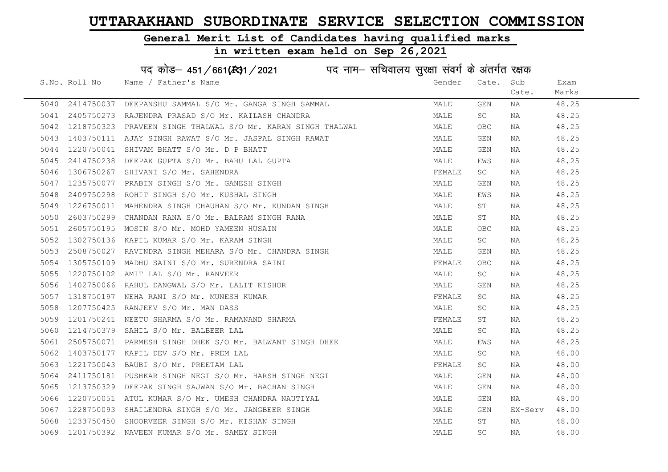#### General Merit List of Candidates having qualified marks

#### in written exam held on Sep 26,2021

S.No. Roll No Wame / Father's Name Gender Cate. Sub Cate. Exam Marks पद कोड– 451/661(स्था) / 2021 विज्ञान सचिवालय सुरक्षा संवर्ग के अंतर्गत रक्षक 5040 2414750037 DEEPANSHU SAMMAL S/O Mr. GANGA SINGH SAMMAL MALE GEN NA 48.25 5041 2405750273 RAJENDRA PRASAD S/O Mr. KAILASH CHANDRA NA MALE SC NA 48.25 5042 1218750323 PRAVEEN SINGH THALWAL S/O Mr. KARAN SINGH THALWAL MALE OBC NA 48.25 5043 1403750111 AJAY SINGH RAWAT S/O Mr. JASPAL SINGH RAWAT MANAT MALE GEN NA 48.25 5044 1220750041 SHIVAM BHATT S/O Mr. D P BHATT MALE GEN NA 48.25 5045 2414750238 DEEPAK GUPTA S/O Mr. BABU LAL GUPTA MALE EWS NA 48.25 5046 1306750267 SHIVANI S/O Mr. SAHENDRA FEMALE SC NA 48.25 5047 1235750077 PRABIN SINGH S/O Mr. GANESH SINGH MALE GEN NA 48.25 5048 2409750298 ROHIT SINGH S/O Mr. KUSHAL SINGH MALE EWS NA 48.25 5049 1226750011 MAHENDRA SINGH CHAUHAN S/O Mr. KUNDAN SINGH MALE ST NA 48.25 5050 2603750299 CHANDAN RANA S/O Mr. BALRAM SINGH RANA MALE ST NA 48.25 5051 2605750195 MOSIN S/O Mr. MOHD YAMEEN HUSAIN MALE OBC NA 48.25 5052 1302750136 KAPIL KUMAR S/O Mr. KARAM SINGH MALE SC NA 48.25 5053 2508750027 RAVINDRA SINGH MEHARA S/O Mr. CHANDRA SINGH MALE GEN NA 48.25 5054 1305750109 MADHU SAINI S/O Mr. SURENDRA SAINI FEMALE OBC NA 48.25 5055 1220750102 AMIT LAL S/O Mr. RANVEER MALE SC NA 48.25 5056 1402750066 RAHUL DANGWAL S/O Mr. LALIT KISHOR MALE GEN NA 48.25 5057 1318750197 NEHA RANI S/O Mr. MUNESH KUMAR FEMALE SC NA 48.25 5058 1207750425 RANJEEV S/O Mr. MAN DASS MALE SC NA 48.25 5059 1201750241 NEETU SHARMA S/O Mr. RAMANAND SHARMA FEMALE ST NA 48.25 5060 1214750379 SAHIL S/O Mr. BALBEER LAL MALE SC NA 48.25 5061 2505750071 PARMESH SINGH DHEK S/O Mr. BALWANT SINGH DHEK MALE EWS NA 48.25 5062 1403750177 KAPIL DEV S/O Mr. PREM LAL MALE SC NA 48.00 5063 1221750043 BAUBI S/O Mr. PREETAM LAL FEMALE SC NA 48.00 5064 2411750181 PUSHKAR SINGH NEGI S/O Mr. HARSH SINGH NEGI MALE GEN NA 48.00 5065 1213750329 DEEPAK SINGH SAJWAN S/O Mr. BACHAN SINGH MALE GEN NA 48.00 5066 1220750051 ATUL KUMAR S/O Mr. UMESH CHANDRA NAUTIYAL MALE GEN NA 48.00 5067 1228750093 SHAILENDRA SINGH S/O Mr. JANGBEER SINGH MALE GEN EX-Serv 48.00 5068 1233750450 SHOORVEER SINGH S/O Mr. KISHAN SINGH MALE ST NA 48.00 5069 1201750392 NAVEEN KUMAR S/O Mr. SAMEY SINGH MALE SC NA 48.00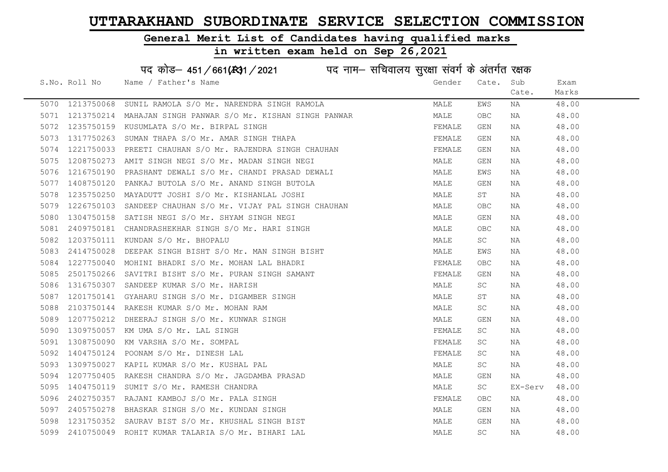#### General Merit List of Candidates having qualified marks

#### in written exam held on Sep 26,2021

S.No. Roll No Wame / Father's Name Gender Cate. Sub Cate. Exam Marks पद कोड– 451/661(स्था) / 2021 विज्ञान सचिवालय सुरक्षा संवर्ग के अंतर्गत रक्षक 5070 1213750068 SUNIL RAMOLA S/O Mr. NARENDRA SINGH RAMOLA MALE EWS NA 48.00 5071 1213750214 MAHAJAN SINGH PANWAR S/O Mr. KISHAN SINGH PANWAR MALE OBC NA 48.00 5072 1235750159 KUSUMLATA S/O Mr. BIRPAL SINGH FEMALE GEN NA 48.00 5073 1317750263 SUMAN THAPA S/O Mr. AMAR SINGH THAPA FEMALE GEN NA 48.00 5074 1221750033 PREETI CHAUHAN S/O Mr. RAJENDRA SINGH CHAUHAN FEMALE GEN NA 48.00 5075 1208750273 AMIT SINGH NEGI S/O Mr. MADAN SINGH NEGI MALE GEN NA 48.00 5076 1216750190 PRASHANT DEWALI S/O Mr. CHANDI PRASAD DEWALI MALE EWS NA 48.00 5077 1408750120 PANKAJ BUTOLA S/O Mr. ANAND SINGH BUTOLA MALE GEN NA 48.00 5078 1235750250 MAYADUTT JOSHI S/O Mr. KISHANLAL JOSHI MALE ST NA 48.00 5079 1226750103 SANDEEP CHAUHAN S/O Mr. VIJAY PAL SINGH CHAUHAN MALE OBC NA 48.00 5080 1304750158 SATISH NEGI S/O Mr. SHYAM SINGH NEGI MALE GEN NA 48.00 5081 2409750181 CHANDRASHEKHAR SINGH S/O Mr. HARI SINGH MALE OBC NA 48.00 5082 1203750111 KUNDAN S/O Mr. BHOPALU MALE SC NA 48.00 5083 2414750028 DEEPAK SINGH BISHT S/O Mr. MAN SINGH BISHT MALE EWS NA 48.00 5084 1227750040 MOHINI BHADRI S/O Mr. MOHAN LAL BHADRI FEMALE OBC NA 48.00 5085 2501750266 SAVITRI BISHT S/O Mr. PURAN SINGH SAMANT FEMALE GEN NA 48.00 5086 1316750307 SANDEEP KUMAR S/O Mr. HARISH MALE SC NA 48.00 5087 1201750141 GYAHARU SINGH S/O Mr. DIGAMBER SINGH MALE ST NA 48.00 5088 2103750144 RAKESH KUMAR S/O Mr. MOHAN RAM MALE SC NA 48.00 5089 1207750212 DHEERAJ SINGH S/O Mr. KUNWAR SINGH MALE GEN NA 48.00 5090 1309750057 KM UMA S/O Mr. LAL SINGH FEMALE SC NA 48.00 5091 1308750090 KM VARSHA S/O Mr. SOMPAL FEMALE SC NA 48.00 5092 1404750124 POONAM S/O Mr. DINESH LAL FEMALE SC NA 48.00 5093 1309750027 KAPIL KUMAR S/O Mr. KUSHAL PAL MALE SC NA 48.00 5094 1207750405 RAKESH CHANDRA S/O Mr. JAGDAMBA PRASAD MALE GEN NA 48.00 5095 1404750119 SUMIT S/O Mr. RAMESH CHANDRA MALE SC EX-Serv 48.00 5096 2402750357 RAJANI KAMBOJ S/O Mr. PALA SINGH FEMALE OBC NA 48.00 5097 2405750278 BHASKAR SINGH S/O Mr. KUNDAN SINGH MALE GEN NA 48.00 5098 1231750352 SAURAV BIST S/O Mr. KHUSHAL SINGH BIST MALE GEN NA 48.00 5099 2410750049 ROHIT KUMAR TALARIA S/O Mr. BIHARI LAL MALE SC NA 48.00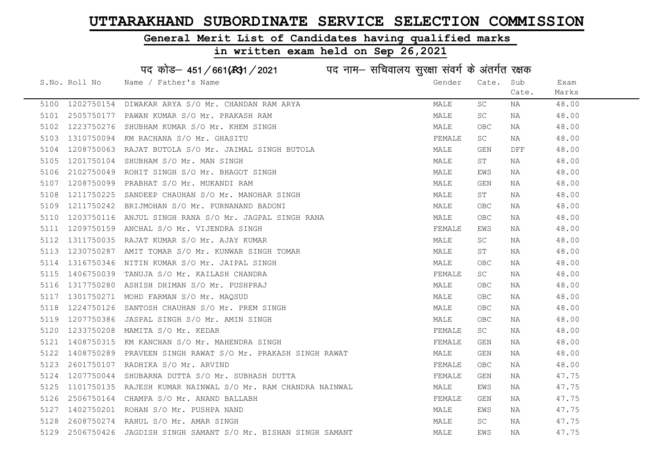# General Merit List of Candidates having qualified marks

| पद कोड़- 451/661(431/2021 पद नाम- सचिवालय सुरक्षा संवर्ग के अंतर्गत रक्षक |               |                                                             |        |            |       |       |  |
|---------------------------------------------------------------------------|---------------|-------------------------------------------------------------|--------|------------|-------|-------|--|
|                                                                           | S.No. Roll No | Name / Father's Name                                        | Gender | Cate.      | Sub   | Exam  |  |
|                                                                           |               |                                                             |        |            | Cate. | Marks |  |
| 5100                                                                      | 1202750154    | DIWAKAR ARYA S/O Mr. CHANDAN RAM ARYA                       | MALE   | SC         | ΝA    | 48.00 |  |
| 5101                                                                      | 2505750177    | PAWAN KUMAR S/O Mr. PRAKASH RAM                             | MALE   | SC         | NA    | 48.00 |  |
| 5102                                                                      | 1223750276    | SHUBHAM KUMAR S/O Mr. KHEM SINGH                            | MALE   | OBC        | NA    | 48.00 |  |
| 5103                                                                      | 1310750094    | KM RACHANA S/O Mr. GHASITU                                  | FEMALE | SC         | ΝA    | 48.00 |  |
| 5104                                                                      | 1208750063    | RAJAT BUTOLA S/O Mr. JAIMAL SINGH BUTOLA                    | MALE   | GEN        | DFF   | 48.00 |  |
| 5105                                                                      | 1201750104    | SHUBHAM S/O Mr. MAN SINGH                                   | MALE   | SΤ         | NA    | 48.00 |  |
| 5106                                                                      | 2102750049    | ROHIT SINGH S/O Mr. BHAGOT SINGH                            | MALE   | EWS        | ΝA    | 48.00 |  |
| 5107                                                                      | 1208750099    | PRABHAT S/O Mr. MUKANDI RAM                                 | MALE   | GEN        | NA    | 48.00 |  |
| 5108                                                                      | 1211750225    | SANDEEP CHAUHAN S/O Mr. MANOHAR SINGH                       | MALE   | ST         | NA    | 48.00 |  |
| 5109                                                                      | 1211750242    | BRIJMOHAN S/O Mr. PURNANAND BADONI                          | MALE   | OBC        | ΝA    | 48.00 |  |
| 5110                                                                      | 1203750116    | ANJUL SINGH RANA S/O Mr. JAGPAL SINGH RANA                  | MALE   | OBC        | NA    | 48.00 |  |
| 5111                                                                      | 1209750159    | ANCHAL S/O Mr. VIJENDRA SINGH                               | FEMALE | EWS        | NA    | 48.00 |  |
| 5112                                                                      | 1311750035    | RAJAT KUMAR S/O Mr. AJAY KUMAR                              | MALE   | SC         | NA    | 48.00 |  |
| 5113                                                                      | 1230750287    | AMIT TOMAR S/O Mr. KUNWAR SINGH TOMAR                       | MALE   | SΤ         | NA    | 48.00 |  |
| 5114                                                                      | 1316750346    | NITIN KUMAR S/O Mr. JAIPAL SINGH                            | MALE   | <b>OBC</b> | ΝA    | 48.00 |  |
| 5115                                                                      | 1406750039    | TANUJA S/O Mr. KAILASH CHANDRA                              | FEMALE | SC         | ΝA    | 48.00 |  |
| 5116                                                                      | 1317750280    | ASHISH DHIMAN S/O Mr. PUSHPRAJ                              | MALE   | <b>OBC</b> | ΝA    | 48.00 |  |
| 5117                                                                      | 1301750271    | MOHD FARMAN S/O Mr. MAQSUD                                  | MALE   | <b>OBC</b> | ΝA    | 48.00 |  |
| 5118                                                                      | 1224750126    | SANTOSH CHAUHAN S/O Mr. PREM SINGH                          | MALE   | <b>OBC</b> | NA    | 48.00 |  |
| 5119                                                                      | 1207750386    | JASPAL SINGH S/O Mr. AMIN SINGH                             | MALE   | OBC        | NA    | 48.00 |  |
| 5120                                                                      | 1233750208    | MAMITA S/O Mr. KEDAR                                        | FEMALE | SC         | NA    | 48.00 |  |
| 5121                                                                      |               | 1408750315 KM KANCHAN S/O Mr. MAHENDRA SINGH                | FEMALE | GEN        | NA    | 48.00 |  |
| 5122                                                                      | 1408750289    | PRAVEEN SINGH RAWAT S/O Mr. PRAKASH SINGH RAWAT             | MALE   | GEN        | ΝA    | 48.00 |  |
| 5123                                                                      | 2601750107    | RADHIKA S/O Mr. ARVIND                                      | FEMALE | <b>OBC</b> | ΝA    | 48.00 |  |
| 5124                                                                      | 1207750044    | SHUBARNA DUTTA S/O Mr. SUBHASH DUTTA                        | FEMALE | GEN        | ΝA    | 47.75 |  |
| 5125                                                                      |               | 1101750135 RAJESH KUMAR NAINWAL S/O Mr. RAM CHANDRA NAINWAL | MALE   | EWS        | ΝA    | 47.75 |  |
| 5126                                                                      | 2506750164    | CHAMPA S/O Mr. ANAND BALLABH                                | FEMALE | GEN        | NA    | 47.75 |  |
| 5127                                                                      | 1402750201    | ROHAN S/O Mr. PUSHPA NAND                                   | MALE   | EWS        | NA    | 47.75 |  |
| 5128                                                                      |               | 2608750274 RAHUL S/O Mr. AMAR SINGH                         | MALE   | SC         | NA    | 47.75 |  |
| 5129                                                                      |               | 2506750426 JAGDISH SINGH SAMANT S/O Mr. BISHAN SINGH SAMANT | MALE   | EWS        | ΝA    | 47.75 |  |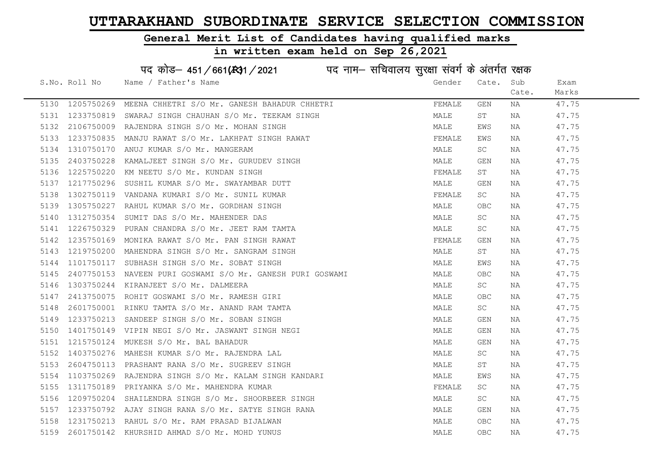Exam Marks

#### General Merit List of Candidates having qualified marks

#### in written exam held on Sep 26,2021

S.No. Roll No Wame / Father's Name Gender Cate. Sub Cate. पद कोड– 451/661(स्था) / 2021 व्यान सचिवालय सुरक्षा संवर्ग के अंतर्गत रक्षक 5130 1205750269 MEENA CHHETRI S/O Mr. GANESH BAHADUR CHHETRI THE SAN THEMALE GEN NA 47.75 5131 1233750819 SWARAJ SINGH CHAUHAN S/O Mr. TEEKAM SINGH MAN MALE ST NA 47.75 5132 2106750009 RAJENDRA SINGH S/O Mr. MOHAN SINGH MANA MALE EWS NA 47.75 5133 1233750835 MANJU RAWAT S/O Mr. LAKHPAT SINGH RAWAT SAND THE SEMALE EWS NA 547.75 5134 1310750170 ANUJ KUMAR S/O Mr. MANGERAM MALE SC NA 47.75 5135 2403750228 KAMALJEET SINGH S/O Mr. GURUDEV SINGH MALE GEN NA 47.75 5136 1225750220 KM NEETU S/O Mr. KUNDAN SINGH FEMALE ST NA 47.75 5137 1217750296 SUSHIL KUMAR S/O Mr. SWAYAMBAR DUTT NA MALE GEN NA 47.75 5138 1302750119 VANDANA KUMARI S/O Mr. SUNIL KUMAR TENAL TERNAL SC NA 47.75 5139 1305750227 RAHUL KUMAR S/O Mr. GORDHAN SINGH MALE OBC NA 47.75 5140 1312750354 SUMIT DAS S/O Mr. MAHENDER DAS MALE SC NA 47.75 5141 1226750329 PURAN CHANDRA S/O Mr. JEET RAM TAMTA MANA MALE SC NA 47.75 5142 1235750169 MONIKA RAWAT S/O Mr. PAN SINGH RAWAT FRAMAT FEMALE GEN NA 47.75 5143 1219750200 MAHENDRA SINGH S/O Mr. SANGRAM SINGH MALE ST NA 47.75 5144 1101750117 SUBHASH SINGH S/O Mr. SOBAT SINGH MALE EWS NA 47.75 5145 2407750153 NAVEEN PURI GOSWAMI S/O Mr. GANESH PURI GOSWAMI MALE OBC NA 47.75 5146 1303750244 KIRANJEET S/O Mr. DALMEERA MALE SC NA 47.75 5147 2413750075 ROHIT GOSWAMI S/O Mr. RAMESH GIRI MALE OBC NA 47.75 5148 2601750001 RINKU TAMTA S/O Mr. ANAND RAM TAMTA MARE SC NA 47.75 5149 1233750213 SANDEEP SINGH S/O Mr. SOBAN SINGH MALE GEN NA 47.75 5150 1401750149 VIPIN NEGI S/O Mr. JASWANT SINGH NEGI NA MALE GEN NA HALE 47.75 5151 1215750124 MUKESH S/O Mr. BAL BAHADUR MALE GEN NA 47.75 5152 1403750276 MAHESH KUMAR S/O Mr. RAJENDRA LAL MALE SC NA 47.75 5153 2604750113 PRASHANT RANA S/O Mr. SUGREEV SINGH MANA MALE ST NA 47.75 5154 1103750269 RAJENDRA SINGH S/O Mr. KALAM SINGH KANDARI MAN MALE EWS NA 47.75 5155 1311750189 PRIYANKA S/O Mr. MAHENDRA KUMAR SARA TEMALE SC NA 47.75 5156 1209750204 SHAILENDRA SINGH S/O Mr. SHOORBEER SINGH MALE SC NA 47.75 5157 1233750792 AJAY SINGH RANA S/O Mr. SATYE SINGH RANA MALE GEN NA 47.75

5158 1231750213 RAHUL S/O Mr. RAM PRASAD BIJALWAN MALE OBC NA 47.75 5159 2601750142 KHURSHID AHMAD S/O Mr. MOHD YUNUS MALE OBC NA 47.75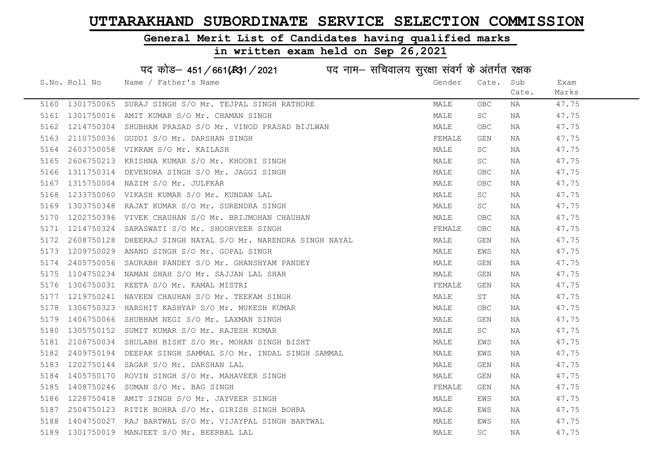#### General Merit List of Candidates having qualified marks

#### in written exam held on Sep 26,2021

S.No. Roll No Wame / Father's Name Gender Cate. Sub Cate. Exam Marks पद कोड– 451/661(स्था) / 2021 व्यान सचिवालय सुरक्षा संवर्ग के अंतर्गत रक्षक 5160 1301750065 SURAJ SINGH S/O Mr. TEJPAL SINGH RATHORE MANA MALE OBC NA 47.75 5161 1301750016 AMIT KUMAR S/O Mr. CHAMAN SINGH MARE MALE SC NA 47.75 5162 1214750304 SHUBHAM PRASAD S/O Mr. VINOD PRASAD BIJLWAN MANA MALE OBC NA 47.75 5163 2110750036 GUDDI S/O Mr. DARSHAN SINGH FEMALE GEN NA 47.75 5164 2603750058 VIKRAM S/O Mr. KAILASH MALE SC NA 47.75 5165 2606750213 KRISHNA KUMAR S/O Mr. KHOOBI SINGH MALE SC NA 47.75 5166 1311750314 DEVENDRA SINGH S/O Mr. JAGGI SINGH MANA MALE OBC NA 47.75 5167 1315750004 NAZIM S/O Mr. JULFKAR MARE OBC NA 47.75 5168 1233750060 VIKASH\_KUMAR\_S/O\_Mr. KUNDAN\_LAL MARE SC NA 47.75 5169 1303750348 RAJAT KUMAR S/O Mr. SURENDRA SINGH MALE SC NA 47.75 5170 1202750396 VIVEK CHAUHAN S/O Mr. BRIJMOHAN CHAUHAN MANILL OBC NA 47.75 5171 1214750324 SARASWATI S/O Mr. SHOORVEER SINGH FEMALE OBC NA 47.75 5172 2608750128 DHEERAJ SINGH NAYAL S/O Mr. NARENDRA SINGH NAYAL MALE GEN NA 47.75 5173 1209750029 ANAND SINGH S/O Mr. GOPAL SINGH MALE EWS NA 47.75 5174 2405750056 SAURABH PANDEY S/O Mr. GHANSHYAM PANDEY MALE GEN NA 47.75 5175 1104750234 NAMAN SHAH S/O Mr. SAJJAN LAL SHAH MALE GEN NA 47.75 5176 1306750031 REETAS/OM C. KAMAL MISTRI FEMAL TO SAN SERVALE GEN NA 47.75 5177 1219750241 NAVEEN CHAUHAN S/O Mr. TEEKAM SINGH MALE ST NA 47.75 5178 1306750323 HARSHIT KASHYAP S/O Mr. MUKESH KUMAR MARRIT MARRIT MALE OBC NA 47.75 5179 1406750066 SHUBHAM NEGI S/O Mr. LAXMAN SINGH MALE GEN NA 47.75 5180 1305750152 SUMIT KUMAR S/O Mr. RAJESH KUMAR MALE SC NA 47.75 5181 2108750034 SHULABH BISHT S/O Mr. MOHAN SINGH BISHT MANA MALE EWS NA 47.75 5182 2409750194 DEEPAK SINGH SAMMAL S/O Mr. INDAL SINGH SAMMAL MANA MALE EWS NA 47.75 5183 1202750144 SAGAR S/O Mr. DARSHAN LAL MALE GEN NA 47.75 5184 1405750170 ROVIN SINGH S/O Mr. MAHAVEER SINGH MAN MALE GEN NA 47.75 5185 1408750246 SUMAN S/O Mr. BAG SINGH **FEMALE** GEN NA 47.75 5186 1228750418 AMIT SINGH S/O Mr. JAYVEER SINGH MALE EWS NA 47.75 5187 2504750123 RITIK BOHRA S/O Mr. GIRISH SINGH BOHRA NA MALE EWS NA 47.75 5188 1404750027 RAJ BARTWAL S/O Mr. VIJAYPAL SINGH BARTWAL MAN MALE EWS NA 47.75 5189 1301750019 MANJEET S/O Mr. BEERBAL LAL CHARL MANA MALE SC NA 47.75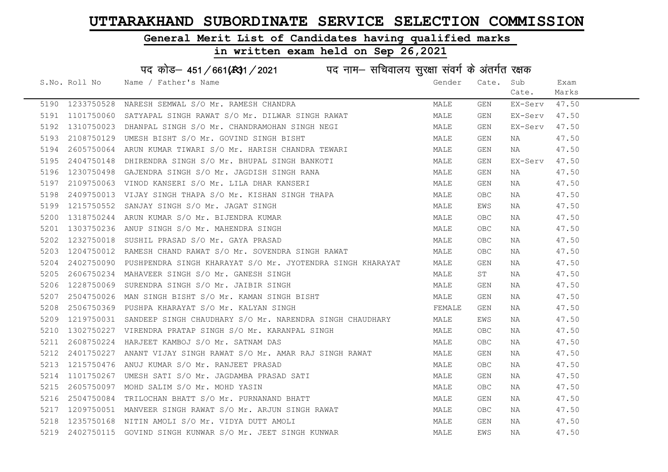#### General Merit List of Candidates having qualified marks

#### in written exam held on Sep 26,2021

S.No. Roll No Name / Father's Name Gender Cate. Sub Cate. Exam Marks पद कोड़– 451/661(स्था/2021 व्याम - सचिवालय सुरक्षा संवर्ग के अंतर्गत रक्षक 5190 1233750528 NARESH SEMWAL S/O Mr. RAMESH CHANDRA MANA MALE GEN EX-Serv 47.50 5191 1101750060 SATYAPAL SINGH RAWAT S/O Mr. DILWAR SINGH RAWAT MALE GEN EX-Serv 47.50 5192 1310750023 DHANPAL SINGH S/O Mr. CHANDRAMOHAN SINGH NEGI MALE GEN EX-Serv 47.50 5193 2108750129 UMESH BISHT S/O Mr. GOVIND SINGH BISHT MAN MALE GEN NA 47.50 5194 2605750064 ARUN KUMAR TIWARI S/O Mr. HARISH CHANDRA TEWARI MAN MALE GEN NA 47.50 5195 2404750148 DHIRENDRA SINGH S/O Mr. BHUPAL SINGH BANKOTI SAN MALE GEN EX-Serv 47.50 5196 1230750498 GAJENDRA SINGH S/O Mr. JAGDISH SINGH RANA MANA MALE GEN NA 47.50 5197 2109750063 VINOD KANSERI S/O Mr. LILA DHAR KANSERI MANA MALE GEN NA 47.50 5198 2409750013 VIJAY SINGH THAPA S/O Mr. KISHAN SINGH THAPA MALE OBC NA 47.50 5199 1215750552 SANJAY SINGH S/O Mr. JAGAT SINGH MALE EWS NA 47.50 5200 1318750244 ARUN KUMAR S/O Mr. BIJENDRA KUMAR MALE OBC NA 47.50 5201 1303750236 ANUP SINGH S/O Mr. MAHENDRA SINGH MALE OBC NA 47.50 5202 1232750018 SUSHIL PRASAD S/O Mr. GAYA PRASAD MALE OBC NA 47.50 5203 1204750012 RAMESH CHAND RAWAT S/O Mr. SOVENDRA SINGH RAWAT MALE OBC NA 47.50 5204 2402750090 PUSHPENDRA SINGH KHARAYAT S/O Mr. JYOTENDRA SINGH KHARAYAT MALE GEN NA 47.50 5205 2606750234 MAHAVEER SINGH S/O Mr. GANESH SINGH MALE ST NA 47.50 5206 1228750069 SURENDRA SINGH S/O Mr. JAIBIR SINGH MALE GEN NA 47.50 5207 2504750026 MAN SINGH BISHT S/O Mr. KAMAN SINGH BISHT MALE GEN NA 47.50 5208 2506750369 PUSHPA KHARAYAT S/O Mr. KALYAN SINGH FEMALE GEN NA 50.50 5209 1219750031 SANDEEP SINGH CHAUDHARY S/O Mr. NARENDRA SINGH CHAUDHARY MALE EWS NA 47.50 5210 1302750227 VIRENDRA PRATAP SINGH S/O Mr. KARANPAL SINGH MALE MALE OBC NA 47.50 5211 2608750224 HARJEET KAMBOJ S/O Mr. SATNAM DAS MANA MALE OBC NA 47.50 5212 2401750227 ANANT VIJAY SINGH RAWAT S/O Mr. AMAR RAJ SINGH RAWAT MALE GEN NA 47.50 5213 1215750476 ANUJ KUMAR S/O Mr. RANJEET PRASAD NA MALE OBC NA 47.50 5214 1101750267 UMESH SATI S/O Mr. JAGDAMBA PRASAD SATI SATI SATI MALE GEN NA 47.50 5215 2605750097 MOHD SALIM S/O Mr. MOHD YASIN MALE OBC NA 47.50 5216 2504750084 TRILOCHAN BHATT S/O Mr. PURNANAND BHATT NA MALE GEN NA 47.50 5217 1209750051 MANVEER SINGH RAWAT S/O Mr. ARJUN SINGH RAWAT MALE OBC NA 47.50 5218 1235750168 NITIN AMOLI S/O Mr. VIDYA DUTT AMOLI MALE GEN NA 47.50 5219 2402750115 GOVIND SINGH KUNWAR S/O Mr. JEET SINGH KUNWAR MANA MALA MALE EWS NA 47.50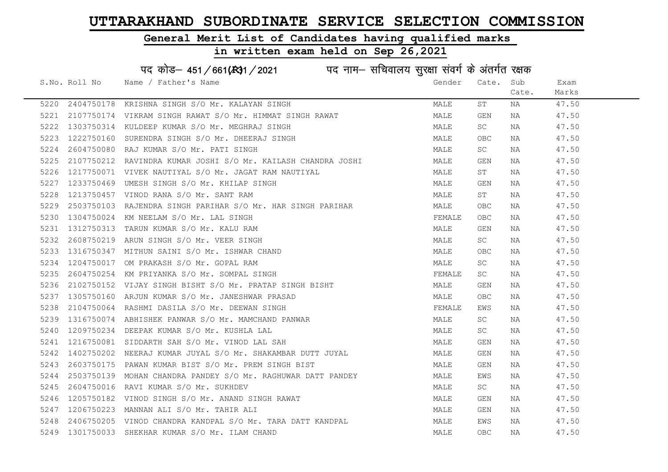# General Merit List of Candidates having qualified marks

|      |               | पद कोड़- 451/661(स्था/2021 पद नाम- सचिवालय सुरक्षा संवर्ग के अंतर्गत रक्षक |        |            |       |       |
|------|---------------|----------------------------------------------------------------------------|--------|------------|-------|-------|
|      | S.No. Roll No | Name / Father's Name                                                       | Gender | Cate. Sub  |       | Exam  |
|      |               |                                                                            |        |            | Cate. | Marks |
| 5220 |               | 2404750178 KRISHNA SINGH S/O Mr. KALAYAN SINGH                             | MALE   | ST         | ΝA    | 47.50 |
| 5221 |               | 2107750174 VIKRAM SINGH RAWAT S/O Mr. HIMMAT SINGH RAWAT                   | MALE   | GEN        | NA    | 47.50 |
| 5222 |               | 1303750314 KULDEEP KUMAR S/O Mr. MEGHRAJ SINGH                             | MALE   | SC         | NA    | 47.50 |
| 5223 | 1222750160    | SURENDRA SINGH S/O Mr. DHEERAJ SINGH                                       | MALE   | OBC        | NA    | 47.50 |
| 5224 | 2604750080    | RAJ KUMAR S/O Mr. PATI SINGH                                               | MALE   | SC         | ΝA    | 47.50 |
| 5225 |               | 2107750212 RAVINDRA KUMAR JOSHI S/O Mr. KAILASH CHANDRA JOSHI              | MALE   | GEN        | NA    | 47.50 |
| 5226 |               | 1217750071 VIVEK NAUTIYAL S/O Mr. JAGAT RAM NAUTIYAL                       | MALE   | SΤ         | NA    | 47.50 |
| 5227 | 1233750469    | UMESH SINGH S/O Mr. KHILAP SINGH                                           | MALE   | GEN        | NA    | 47.50 |
| 5228 | 1213750457    | VINOD RANA S/O Mr. SANT RAM                                                | MALE   | SΤ         | NA    | 47.50 |
| 5229 | 2503750103    | RAJENDRA SINGH PARIHAR S/O Mr. HAR SINGH PARIHAR                           | MALE   | OBC        | NA    | 47.50 |
| 5230 | 1304750024    | KM NEELAM S/O Mr. LAL SINGH                                                | FEMALE | <b>OBC</b> | NA    | 47.50 |
| 5231 | 1312750313    | TARUN KUMAR S/O Mr. KALU RAM                                               | MALE   | GEN        | NA    | 47.50 |
| 5232 | 2608750219    | ARUN SINGH S/O Mr. VEER SINGH                                              | MALE   | SC         | NA    | 47.50 |
| 5233 |               | 1316750347 MITHUN SAINI S/O Mr. ISHWAR CHAND                               | MALE   | OBC        | ΝA    | 47.50 |
| 5234 | 1204750017    | OM PRAKASH S/O Mr. GOPAL RAM                                               | MALE   | SC         | NA    | 47.50 |
| 5235 | 2604750254    | KM PRIYANKA S/O Mr. SOMPAL SINGH                                           | FEMALE | SC         | NA    | 47.50 |
| 5236 | 2102750152    | VIJAY SINGH BISHT S/O Mr. PRATAP SINGH BISHT                               | MALE   | GEN        | NA    | 47.50 |
| 5237 | 1305750160    | ARJUN KUMAR S/O Mr. JANESHWAR PRASAD                                       | MALE   | <b>OBC</b> | NA    | 47.50 |
| 5238 |               | 2104750064 RASHMI DASILA S/O Mr. DEEWAN SINGH                              | FEMALE | EWS        | NA    | 47.50 |
| 5239 |               | 1316750074 ABHISHEK PANWAR S/O Mr. MAMCHAND PANWAR                         | MALE   | SC         | NA    | 47.50 |
| 5240 |               | 1209750234 DEEPAK KUMAR S/O Mr. KUSHLA LAL                                 | MALE   | SC         | ΝA    | 47.50 |
| 5241 |               | 1216750081 SIDDARTH SAH S/O Mr. VINOD LAL SAH                              | MALE   | GEN        | ΝA    | 47.50 |
| 5242 | 1402750202    | NEERAJ KUMAR JUYAL S/O Mr. SHAKAMBAR DUTT JUYAL                            | MALE   | GEN        | NA    | 47.50 |
| 5243 | 2603750175    | PAWAN KUMAR BIST S/O Mr. PREM SINGH BIST                                   | MALE   | GEN        | NA    | 47.50 |
| 5244 | 2503750139    | MOHAN CHANDRA PANDEY S/O Mr. RAGHUWAR DATT PANDEY                          | MALE   | EWS        | NA    | 47.50 |
| 5245 | 2604750016    | RAVI KUMAR S/O Mr. SUKHDEV                                                 | MALE   | SC         | NA    | 47.50 |
| 5246 | 1205750182    | VINOD SINGH S/O Mr. ANAND SINGH RAWAT                                      | MALE   | GEN        | ΝA    | 47.50 |
| 5247 |               | 1206750223 MANNAN ALI S/O Mr. TAHIR ALI                                    | MALE   | GEN        | NA    | 47.50 |
| 5248 |               | 2406750205 VINOD CHANDRA KANDPAL S/O Mr. TARA DATT KANDPAL                 | MALE   | EWS        | NA    | 47.50 |
| 5249 |               | 1301750033 SHEKHAR KUMAR S/O Mr. ILAM CHAND                                | MALE   | <b>OBC</b> | ΝA    | 47.50 |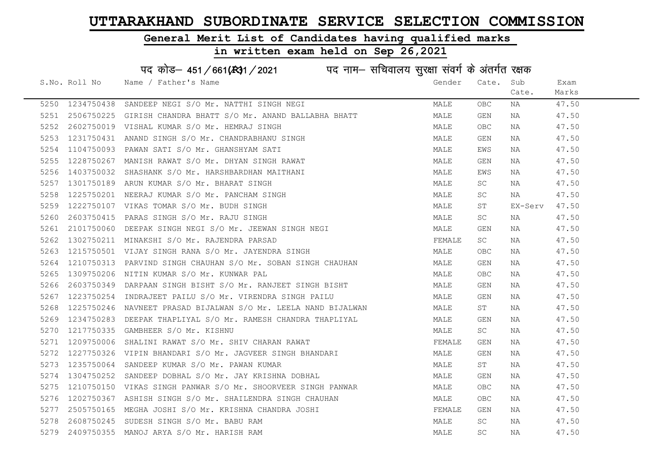#### General Merit List of Candidates having qualified marks

#### in written exam held on Sep 26,2021

S.No. Roll No Wame / Father's Name Gender Cate. Sub Cate. Exam Marks पद कोड– 451/661(स्था) / 2021 विज्ञान सचिवालय सुरक्षा संवर्ग के अंतर्गत रक्षक 5250 1234750438 SANDEEP NEGI S/O Mr. NATTHI SINGH NEGI MALE OBC NA 47.50 5251 2506750225 GIRISH CHANDRA BHATT S/O Mr. ANAND BALLABHA BHATT MANAND MALE GEN NA 47.50 5252 2602750019 VISHAL KUMAR S/O Mr. HEMRAJ SINGH MALE OBC NA 47.50 5253 1231750431 ANAND SINGH S/O Mr. CHANDRABHANU SINGH MANA MALE GEN NA 47.50 5254 1104750093 PAWAN SATI S/O Mr. GHANSHYAM SATI MALE EWS NA 47.50 5255 1228750267 MANISH RAWAT S/O Mr. DHYAN SINGH RAWAT MALE GEN NA 47.50 5256 1403750032 SHASHANK S/O Mr. HARSHBARDHAN MAITHANI MAN MARE EWS NA 47.50 5257 1301750189 ARUN KUMAR S/O Mr. BHARAT SINGH MALE SC NA 47.50 5258 1225750201 NEERAJ KUMAR S/O Mr. PANCHAM SINGH MALE SC NA 47.50 5259 1222750107 VIKAS TOMAR S/O Mr. BUDH SINGH MALE ST EX-Serv 47.50 5260 2603750415 PARAS SINGH S/O Mr. RAJU SINGH MALE SC NA 47.50 5261 2101750060 DEEPAK SINGH NEGI S/O Mr. JEEWAN SINGH NEGI MALE GEN NA 47.50 5262 1302750211 MINAKSHI S/O Mr. RAJENDRA PARSAD FEMALE SC NA 47.50 5263 1215750501 VIJAY SINGH RANA S/O Mr. JAYENDRA SINGH MANA MALE OBC NA 47.50 5264 1210750313 PARVIND SINGH CHAUHAN S/O Mr. SOBAN SINGH CHAUHAN MANILL GEN NA 47.50 5265 1309750206 NITIN KUMAR S/O Mr. KUNWAR PAL MALL MALL MALE OBC NA 47.50 5266 2603750349 DARPAAN SINGH BISHT S/O Mr. RANJEET SINGH BISHT MALE GEN NA 47.50 5267 1223750254 INDRAJEET PAILU S/O Mr. VIRENDRA SINGH PAILU MALE GEN NA 47.50 5268 1225750246 NAVNEET PRASAD BIJALWAN S/O Mr. LEELA NAND BIJALWAN MALE ST NA 47.50 5269 1234750283 DEEPAK THAPLIYAL S/O Mr. RAMESH CHANDRA THAPLIYAL MARRITTAN MALE GEN NA 47.50 5270 1217750335 GAMBHEER S/O Mr. KISHNU MALE SC NA 47.50 5271 1209750006 SHALINI RAWAT S/O Mr. SHIV CHARAN RAWAT SHANG THE SEMALE GEN NA 47.50 5272 1227750326 VIPIN BHANDARI S/O Mr. JAGVEER SINGH BHANDARI MAN MALE GEN NA 47.50 5273 1235750064 SANDEEP KUMAR S/O Mr. PAWAN KUMAR MARRE ST MALE ST NA 47.50 5274 1304750252 SANDEEP DOBHAL S/O Mr. JAY KRISHNA DOBHAL NA MALE GEN NA 47.50 5275 1210750150 VIKAS SINGH PANWAR S/O Mr. SHOORVEER SINGH PANWAR MALE OBC NA 47.50 5276 1202750367 ASHISH SINGH S/O Mr. SHAILENDRA SINGH CHAUHAN MALE OBC NA 47.50 5277 2505750165 MEGHA JOSHI S/O Mr. KRISHNA CHANDRA JOSHI SAN SHANA TEMALE GEN NA 47.50 5278 2608750245 SUDESH SINGH S/O Mr. BABU RAM **MALE** SC NA 47.50 5279 2409750355 MANOJ ARYA S/O Mr. HARISH RAM MALE SC NA 47.50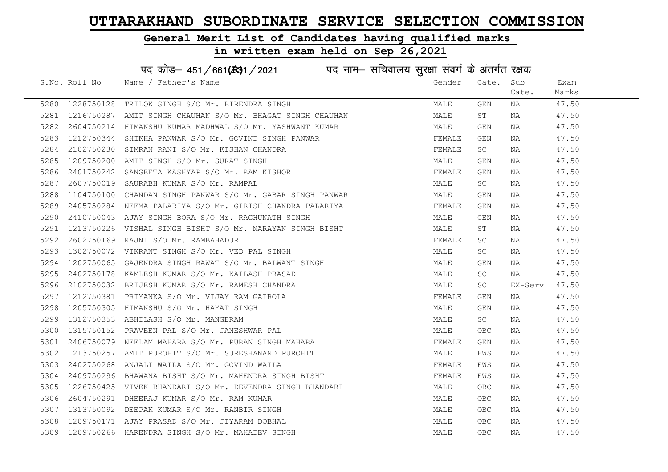# General Merit List of Candidates having qualified marks

| पद कोड़– 451/661(431/2021 पद नाम– सचिवालय सुरक्षा संवर्ग के अंतर्गत रक्षक |               |                                                           |        |                         |         |       |
|---------------------------------------------------------------------------|---------------|-----------------------------------------------------------|--------|-------------------------|---------|-------|
|                                                                           | S.No. Roll No | Name / Father's Name                                      | Gender | Cate.                   | Sub     | Exam  |
|                                                                           |               |                                                           |        |                         | Cate.   | Marks |
| 5280                                                                      | 1228750128    | TRILOK SINGH S/O Mr. BIRENDRA SINGH                       | MALE   | $\mathop{\mathsf{GEN}}$ | ΝA      | 47.50 |
| 5281                                                                      | 1216750287    | AMIT SINGH CHAUHAN S/O Mr. BHAGAT SINGH CHAUHAN           | MALE   | ST                      | NA      | 47.50 |
| 5282                                                                      | 2604750214    | HIMANSHU KUMAR MADHWAL S/O Mr. YASHWANT KUMAR             | MALE   | GEN                     | ΝA      | 47.50 |
| 5283                                                                      | 1212750344    | SHIKHA PANWAR S/O Mr. GOVIND SINGH PANWAR                 | FEMALE | GEN                     | NA      | 47.50 |
| 5284                                                                      | 2102750230    | SIMRAN RANI S/O Mr. KISHAN CHANDRA                        | FEMALE | SC                      | NA      | 47.50 |
| 5285                                                                      | 1209750200    | AMIT SINGH S/O Mr. SURAT SINGH                            | MALE   | GEN                     | NA      | 47.50 |
| 5286                                                                      | 2401750242    | SANGEETA KASHYAP S/O Mr. RAM KISHOR                       | FEMALE | GEN                     | NA      | 47.50 |
| 5287                                                                      | 2607750019    | SAURABH KUMAR S/O Mr. RAMPAL                              | MALE   | SC                      | NA      | 47.50 |
| 5288                                                                      | 1104750100    | CHANDAN SINGH PANWAR S/O Mr. GABAR SINGH PANWAR           | MALE   | GEN                     | NA      | 47.50 |
| 5289                                                                      |               | 2405750284 NEEMA PALARIYA S/O Mr. GIRISH CHANDRA PALARIYA | FEMALE | GEN                     | NA      | 47.50 |
| 5290                                                                      |               | 2410750043 AJAY SINGH BORA S/O Mr. RAGHUNATH SINGH        | MALE   | GEN                     | NA      | 47.50 |
| 5291                                                                      | 1213750226    | VISHAL SINGH BISHT S/O Mr. NARAYAN SINGH BISHT            | MALE   | ST                      | NA      | 47.50 |
| 5292                                                                      | 2602750169    | RAJNI S/O Mr. RAMBAHADUR                                  | FEMALE | SC.                     | NA      | 47.50 |
| 5293                                                                      | 1302750072    | VIKRANT SINGH S/O Mr. VED PAL SINGH                       | MALE   | SC.                     | NA      | 47.50 |
| 5294                                                                      | 1202750065    | GAJENDRA SINGH RAWAT S/O Mr. BALWANT SINGH                | MALE   | GEN                     | NA      | 47.50 |
| 5295                                                                      | 2402750178    | KAMLESH KUMAR S/O Mr. KAILASH PRASAD                      | MALE   | <b>SC</b>               | NA      | 47.50 |
| 5296                                                                      | 2102750032    | BRIJESH KUMAR S/O Mr. RAMESH CHANDRA                      | MALE   | SC                      | EX-Serv | 47.50 |
| 5297                                                                      |               | 1212750381 PRIYANKA S/O Mr. VIJAY RAM GAIROLA             | FEMALE | GEN                     | NA      | 47.50 |
| 5298                                                                      | 1205750305    | HIMANSHU S/O Mr. HAYAT SINGH                              | MALE   | GEN                     | NA      | 47.50 |
| 5299                                                                      | 1312750353    | ABHILASH S/O Mr. MANGERAM                                 | MALE   | <b>SC</b>               | NA      | 47.50 |
| 5300                                                                      |               | 1315750152 PRAVEEN PAL S/O Mr. JANESHWAR PAL              | MALE   | <b>OBC</b>              | NA      | 47.50 |
| 5301                                                                      | 2406750079    | NEELAM MAHARA S/O Mr. PURAN SINGH MAHARA                  | FEMALE | GEN                     | NA      | 47.50 |
| 5302                                                                      | 1213750257    | AMIT PUROHIT S/O Mr. SURESHANAND PUROHIT                  | MALE   | EWS                     | NA      | 47.50 |
| 5303                                                                      | 2402750268    | ANJALI WAILA S/O Mr. GOVIND WAILA                         | FEMALE | EWS                     | NA      | 47.50 |
| 5304                                                                      | 2409750296    | BHAWANA BISHT S/O Mr. MAHENDRA SINGH BISHT                | FEMALE | EWS                     | NA      | 47.50 |
| 5305                                                                      |               | 1226750425 VIVEK BHANDARI S/O Mr. DEVENDRA SINGH BHANDARI | MALE   | <b>OBC</b>              | NA      | 47.50 |
| 5306                                                                      | 2604750291    | DHEERAJ KUMAR S/O Mr. RAM KUMAR                           | MALE   | OBC                     | NA      | 47.50 |
| 5307                                                                      |               | 1313750092 DEEPAK KUMAR S/O Mr. RANBIR SINGH              | MALE   | OBC                     | NA      | 47.50 |
| 5308                                                                      |               | 1209750171 AJAY PRASAD S/O Mr. JIYARAM DOBHAL             | MALE   | OBC.                    | NA      | 47.50 |
| 5309                                                                      |               | 1209750266 HARENDRA SINGH S/O Mr. MAHADEV SINGH           | MALE   | <b>OBC</b>              | ΝA      | 47.50 |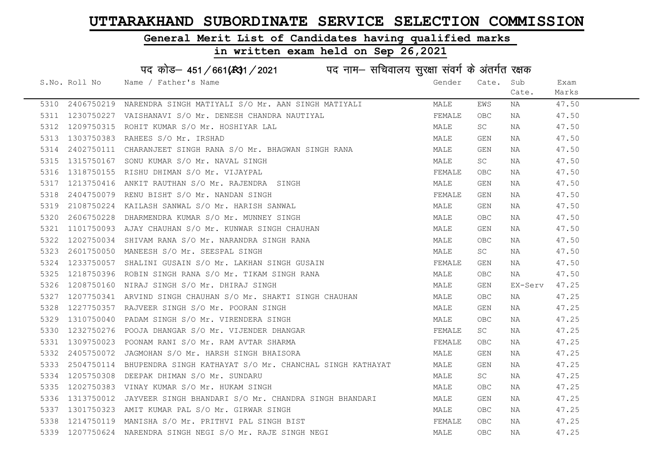#### General Merit List of Candidates having qualified marks

#### in written exam held on Sep 26,2021

S.No. Roll No Wame / Father's Name Gender Cate. Sub Cate. Exam Marks पद कोड़– 451/661(स्था/2021 व्याम - सचिवालय सुरक्षा संवर्ग के अंतर्गत रक्षक 5310 2406750219 NARENDRA SINGH MATIYALI S/O Mr. AAN SINGH MATIYALI MALE EWS NA 47.50 5311 1230750227 VAISHANAVI S/O Mr. DENESH CHANDRA NAUTIYAL SUN SUN SEMALE OBC NA 47.50 5312 1209750315 ROHIT KUMAR S/O Mr. HOSHIYAR LAL NAN MANA MALE SC NA 47.50 5313 1303750383 RAHEES S/O Mr. IRSHAD MALE GEN NA 47.50 5314 2402750111 CHARANJEET SINGH RANA S/O Mr. BHAGWAN SINGH RANA MALE GEN NA 47.50 5315 1315750167 SONU KUMAR S/O Mr. NAVAL SINGH MALE SC NA 47.50 5316 1318750155 RISHU DHIMAN S/O Mr. VIJAYPAL **FEMALE OBC NA 47.50** 5317 1213750416 ANKIT RAUTHAN S/O Mr. RAJENDRA SINGH MALE GEN NA 47.50 5318 2404750079 RENU BISHT S/O Mr. NANDAN SINGH FEMALE GEN NA 47.50 5319 2108750224 KAILASH SANWAL S/O Mr. HARISH SANWAL MAN MALE GEN NA 47.50 5320 2606750228 DHARMENDRA KUMAR S/O Mr. MUNNEY SINGH MARE MALE OBC NA 47.50 5321 1101750093 AJAY CHAUHAN S/O Mr. KUNWAR SINGH CHAUHAN MAN MALE GEN NA 47.50 5322 1202750034 SHIVAM RANA S/O Mr. NARANDRA SINGH RANA MANA MALE OBC NA 47.50 5323 2601750050 MANEESH S/O Mr. SEESPAL SINGH MALE SC NA 47.50 5324 1233750057 SHALINI GUSAIN S/O Mr. LAKHAN SINGH GUSAIN SUNA FEMALE GEN NA 47.50 5325 1218750396 ROBIN SINGH RANA S/O Mr. TIKAM SINGH RANA MALE OBC NA 47.50 5326 1208750160 NIRAJ SINGH S/O Mr. DHIRAJ SINGH MALE GEN EX-Serv 47.25 5327 1207750341 ARVIND SINGH CHAUHAN S/O Mr. SHAKTI SINGH CHAUHAN MALE OBC NA 47.25 5328 1227750357 RAJVEER SINGH S/O Mr. POORAN SINGH MALE GEN NA 47.25 5329 1310750040 PADAM SINGH S/O Mr. VIRENDERA SINGH MALE OBC NA 47.25 5330 1232750276 POOJA DHANGAR S/O Mr. VIJENDER DHANGAR SARA TEMALE SC NA 47.25 5331 1309750023 POONAM RANI S/O Mr. RAM AVTAR SHARMA FORDAGA SHARMA FEMALE OBC NA 47.25 5332 2405750072 JAGMOHAN S/O Mr. HARSH SINGH BHAISORA MALE GEN NA 47.25 5333 2504750114 BHUPENDRA SINGH KATHAYAT S/O Mr. CHANCHAL SINGH KATHAYAT MALE GEN NA 47.25 5334 1205750308 DEEPAK DHIMAN S/O Mr. SUNDARU NAN MALE SC NA 47.25 5335 1202750383 VINAY KUMAR S/O Mr. HUKAM SINGH MARE MALE OBC NA 47.25 5336 1313750012 JAYVEER SINGH BHANDARI S/O Mr. CHANDRA SINGH BHANDARI MALE GEN NA 47.25 5337 1301750323 AMIT KUMAR PAL S/O Mr. GIRWAR SINGH MALE OBC NA 47.25 5338 1214750119 MANISHA S/O Mr. PRITHVI PAL SINGH BIST FRANCE OBC NA 547.25 5339 1207750624 NARENDRA SINGH NEGI S/O Mr. RAJE SINGH NEGI MANA MALA MALE OBC NA 47.25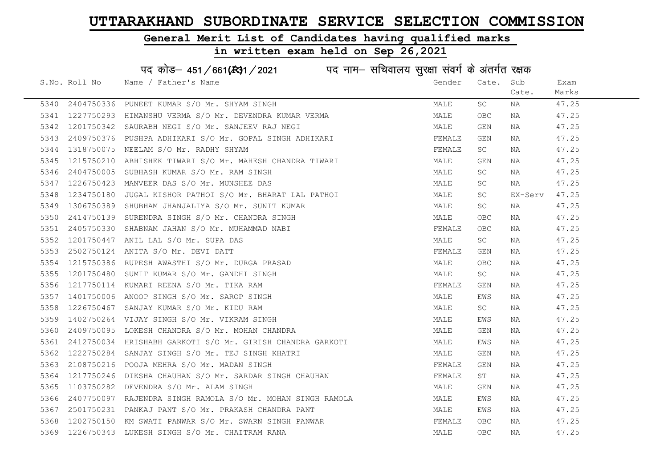#### General Merit List of Candidates having qualified marks

#### in written exam held on Sep 26,2021

S.No. Roll No Wame / Father's Name Gender Cate. Sub Cate. Exam Marks पद कोड– 451/661(स्था) / 2021 विज्ञान सचिवालय सुरक्षा संवर्ग के अंतर्गत रक्षक 5340 2404750336 PUNEET KUMAR S/O Mr. SHYAM SINGH MARE MALE SC NA 47.25 5341 1227750293 HIMANSHU VERMA S/O Mr. DEVENDRA KUMAR VERMA MAN MALE OBC NA 47.25 5342 1201750342 SAURABH NEGI S/O Mr. SANJEEV RAJ NEGI MALE GEN NA 47.25 5343 2409750376 PUSHPA ADHIKARI S/O Mr. GOPAL SINGH ADHIKARI SAN SHANALE GEN NA 17.25 5344 1318750075 NEELAM S/O Mr. RADHY SHYAM FEMALE SC NA 47.25 5345 1215750210 ABHISHEK TIWARI S/O Mr. MAHESH CHANDRA TIWARI MAN MALE GEN NA 47.25 5346 2404750005 SUBHASH KUMAR S/O Mr. RAM SINGH MALE MALE SC NA 47.25 5347 1226750423 MANVEER DAS S/O Mr. MUNSHEE DAS MALE SC NA 47.25 5348 1234750180 JUGAL KISHOR PATHOI S/O Mr. BHARAT LAL PATHOI MALE SC EX-Serv 47.25 5349 1306750389 SHUBHAM JHANJALIYA S/O Mr. SUNIT KUMAR MARRADINA MALE SC NA 47.25 5350 2414750139 SURENDRA SINGH S/O Mr. CHANDRA SINGH MANILL MALE OBC NA 47.25 5351 2405750330 SHABNAM JAHAN S/O Mr. MUHAMMAD NABI FEMALE OBC NA 47.25 5352 1201750447 ANIL LAL S/O Mr. SUPA DAS MALE SC NA 47.25 5353 2502750124 ANITA S/O Mr. DEVI DATT FEMALE GEN NA 47.25 5354 1215750386 RUPESH AWASTHI S/O Mr. DURGA PRASAD MALE OBC NA 47.25 5355 1201750480 SUMIT KUMAR S/O Mr. GANDHI SINGH MALE SC NA 47.25 5356 1217750114 KUMARI REENA S/O Mr. TIKA RAM SANDA SANDA SERMALE GEN NA 17.25 5357 1401750006 ANOOP SINGH S/O Mr. SAROP SINGH MALE EWS NA 47.25 5358 1226750467 SANJAY KUMAR S/O Mr. KIDU RAM MALE SC NA 47.25 5359 1402750264 VIJAY SINGH S/O Mr. VIKRAM SINGH MALE EWS NA 47.25 5360 2409750095 LOKESH CHANDRA S/O Mr. MOHAN CHANDRA MAN SAN MALE GEN NA 47.25 5361 2412750034 HRISHABH GARKOTI S/O Mr. GIRISH CHANDRA GARKOTI MALE EWS NA 47.25 5362 1222750284 SANJAY SINGH S/O Mr. TEJ SINGH KHATRI MALE GEN NA 47.25 5363 2108750216 POOJA MEHRA S/O Mr. MADAN SINGH FEMALE GEN NA 47.25 5364 1217750246 DIKSHA CHAUHAN S/O Mr. SARDAR SINGH CHAUHAN SUMMAN FEMALE ST NA 47.25 5365 1103750282 DEVENDRA S/O Mr. ALAM SINGH MANA MALE GEN NA 47.25 5366 2407750097 RAJENDRA SINGH RAMOLA S/O Mr. MOHAN SINGH RAMOLA MALE EWS NA 47.25 5367 2501750231 PANKAJ PANT S/O Mr. PRAKASH CHANDRA PANT MANA MALE EWS NA 47.25 5368 1202750151 HINNIO HINT S/O HI: HUINIOH CHINERI HINT<br>5368 1202750150 KM SWATI PANWAR S/O Mr. SWARN SINGH PANWAR FEMALE OBC NA 47.25 5369 1226750343 LUKESH SINGH S/O Mr. CHAITRAM RANA MALE OBC NA 47.25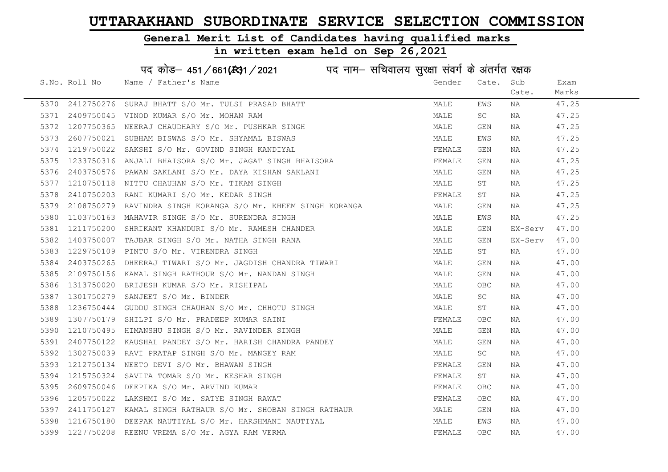#### General Merit List of Candidates having qualified marks

#### in written exam held on Sep 26,2021

S.No. Roll No Wame / Father's Name Gender Cate. Sub Cate. Exam Marks पद कोड– 451/661(स्था) / 2021 विज्ञान सचिवालय सुरक्षा संवर्ग के अंतर्गत रक्षक 5370 2412750276 SURAJ BHATT S/O Mr. TULSI PRASAD BHATT NA MALE MALE EWS NA 47.25 5371 2409750045 VINOD KUMAR S/O Mr. MOHAN RAM MALE SC NA 47.25 5372 1207750365 NEERAJ CHAUDHARY S/O Mr. PUSHKAR SINGH MARE MALE GEN NA 47.25 5373 2607750021 SUBHAM BISWAS S/O Mr. SHYAMAL BISWAS MARE MALE EWS NA 47.25 5374 1219750022 SAKSHI S/O Mr. GOVIND SINGH KANDIYAL FEMALE GEN NA 547.25 5375 1233750316 ANJALI BHAISORA S/O Mr. JAGAT SINGH BHAISORA THA SHANGH TEMALE GEN NA 47.25 5376 2403750576 PAWAN SAKLANI S/O Mr. DAYA KISHAN SAKLANI MARA MALE GEN NA 47.25 5377 1210750118 NITTU CHAUHAN S/O Mr. TIKAM SINGH MARE MALE ST NA 47.25 5378 2410750203 RANI KUMARI S/O Mr. KEDAR SINGH FEMALE ST NA 47.25 5379 2108750279 RAVINDRA SINGH KORANGA S/O Mr. KHEEM SINGH KORANGA MALE GEN NA 47.25 5380 1103750163 MAHAVIR SINGH S/O Mr. SURENDRA SINGH MANA MALE EWS NA 47.25 5381 1211750200 SHRIKANT KHANDURI S/O Mr. RAMESH CHANDER MALE MALE GEN EX-Serv 47.00 5382 1403750007 TAJBAR SINGH S/O Mr. NATHA SINGH RANA MALE GEN EX-Serv 47.00 5383 1229750109 PINTU S/O Mr. VIRENDRA SINGH MALE ST NA 47.00 5384 2403750265 DHEERAJ TIWARI S/O Mr. JAGDISH CHANDRA TIWARI MARE MALE GEN NA 47.00 5385 2109750156 KAMAL SINGH RATHOUR S/O Mr. NANDAN SINGH MALE GEN NA 47.00 5386 1313750020 BRIJESH KUMAR S/O Mr. RISHIPAL MARE MALE OBC NA 47.00 5387 1301750279 SANJEET S/O Mr. BINDER MALE SC NA 47.00 5388 1236750444 GUDDU SINGH CHAUHAN S/O Mr. CHHOTU SINGH MALE ST NA 47.00 5389 1307750179 SHILPI S/O Mr. PRADEEP KUMAR SAINI FEMALE OBC NA 47.00 5390 1210750495 HIMANSHU SINGH S/O Mr. RAVINDER SINGH MALE GEN NA 47.00 5391 2407750122 KAUSHAL PANDEY S/O Mr. HARISH CHANDRA PANDEY MANILL GEN NA 47.00 5392 1302750039 RAVI PRATAP SINGH S/O Mr. MANGEY RAM MALE SC NA 47.00 5393 1212750134 NEETO DEVI S/O Mr. BHAWAN SINGH FEMALE GEN NA 47.00 5394 1215750324 SAVITA TOMAR S/O Mr. KESHAR SINGH FEMALE ST NA 47.00 5395 2609750046 DEEPIKA S/O Mr. ARVIND KUMAR FEMALE OBC NA 47.00 5396 1205750022 LAKSHMI S/O Mr. SATYE SINGH RAWAT FEMALE OBC NA 47.00 5397 2411750127 KAMAL SINGH RATHAUR S/O Mr. SHOBAN SINGH RATHAUR MANAN MALE GEN NA 47.00 5398 1216750180 DEEPAK NAUTIYAL S/O Mr. HARSHMANI NAUTIYAL MAN MALE EWS NA 47.00 5399 1227750208 REENU VREMA S/O Mr. AGYA RAM VERMA FEMALE OBC NA 47.00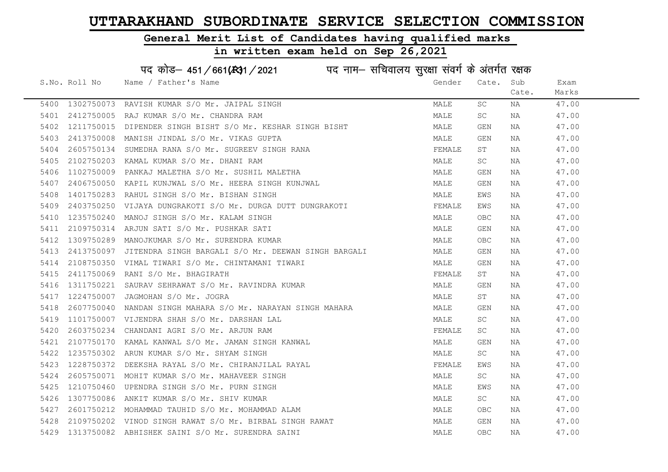### General Merit List of Candidates having qualified marks

|      |               | पद कोड़- 451/661(431/2021 पद नाम- सचिवालय सुरक्षा संवर्ग के अंतर्गत रक्षक |        |            |       |       |
|------|---------------|---------------------------------------------------------------------------|--------|------------|-------|-------|
|      | S.No. Roll No | Name / Father's Name                                                      | Gender | Cate.      | Sub   | Exam  |
|      |               |                                                                           |        |            | Cate. | Marks |
| 5400 | 1302750073    | RAVISH KUMAR S/O Mr. JAIPAL SINGH                                         | MALE   | SC         | NA    | 47.00 |
| 5401 | 2412750005    | RAJ KUMAR S/O Mr. CHANDRA RAM                                             | MALE   | SC         | NA    | 47.00 |
| 5402 | 1211750015    | DIPENDER SINGH BISHT S/O Mr. KESHAR SINGH BISHT                           | MALE   | <b>GEN</b> | NA    | 47.00 |
| 5403 | 2413750008    | MANISH JINDAL S/O Mr. VIKAS GUPTA                                         | MALE   | GEN        | NA    | 47.00 |
| 5404 |               | 2605750134 SUMEDHA RANA S/O Mr. SUGREEV SINGH RANA                        | FEMALE | ST         | NA    | 47.00 |
| 5405 |               | 2102750203 KAMAL KUMAR S/O Mr. DHANI RAM                                  | MALE   | SC         | NA    | 47.00 |
| 5406 |               | 1102750009 PANKAJ MALETHA S/O Mr. SUSHIL MALETHA                          | MALE   | GEN        | NA    | 47.00 |
| 5407 | 2406750050    | KAPIL KUNJWAL S/O Mr. HEERA SINGH KUNJWAL                                 | MALE   | GEN        | ΝA    | 47.00 |
| 5408 | 1401750283    | RAHUL SINGH S/O Mr. BISHAN SINGH                                          | MALE   | EWS        | NA    | 47.00 |
| 5409 | 2403750250    | VIJAYA DUNGRAKOTI S/O Mr. DURGA DUTT DUNGRAKOTI                           | FEMALE | EWS        | ΝA    | 47.00 |
| 5410 | 1235750240    | MANOJ SINGH S/O Mr. KALAM SINGH                                           | MALE   | OBC        | ΝA    | 47.00 |
| 5411 |               | 2109750314 ARJUN SATI S/O Mr. PUSHKAR SATI                                | MALE   | GEN        | NA    | 47.00 |
| 5412 |               | 1309750289 MANOJKUMAR S/O Mr. SURENDRA KUMAR                              | MALE   | <b>OBC</b> | NA    | 47.00 |
| 5413 |               | 2413750097 JITENDRA SINGH BARGALI S/O Mr. DEEWAN SINGH BARGALI            | MALE   | GEN        | NA    | 47.00 |
| 5414 | 2108750350    | VIMAL TIWARI S/O Mr. CHINTAMANI TIWARI                                    | MALE   | GEN        | NA    | 47.00 |
| 5415 | 2411750069    | RANI S/O Mr. BHAGIRATH                                                    | FEMALE | SΤ         | NA    | 47.00 |
| 5416 | 1311750221    | SAURAV SEHRAWAT S/O Mr. RAVINDRA KUMAR                                    | MALE   | GEN        | NA    | 47.00 |
| 5417 | 1224750007    | JAGMOHAN S/O Mr. JOGRA                                                    | MALE   | SΤ         | NA    | 47.00 |
| 5418 | 2607750040    | NANDAN SINGH MAHARA S/O Mr. NARAYAN SINGH MAHARA                          | MALE   | GEN        | NA    | 47.00 |
| 5419 |               | 1101750007 VIJENDRA SHAH S/O Mr. DARSHAN LAL                              | MALE   | SC         | NA    | 47.00 |
| 5420 |               | 2603750234 CHANDANI AGRI S/O Mr. ARJUN RAM                                | FEMALE | SC         | NA    | 47.00 |
| 5421 | 2107750170    | KAMAL KANWAL S/O Mr. JAMAN SINGH KANWAL                                   | MALE   | <b>GEN</b> | NA    | 47.00 |
| 5422 | 1235750302    | ARUN KUMAR S/O Mr. SHYAM SINGH                                            | MALE   | SC         | NA    | 47.00 |
| 5423 | 1228750372    | DEEKSHA RAYAL S/O Mr. CHIRANJILAL RAYAL                                   | FEMALE | EWS        | NA    | 47.00 |
| 5424 |               | 2605750071 MOHIT KUMAR S/O Mr. MAHAVEER SINGH                             | MALE   | SC         | NA    | 47.00 |
| 5425 | 1210750460    | UPENDRA SINGH S/O Mr. PURN SINGH                                          | MALE   | EWS        | NA    | 47.00 |
| 5426 |               | 1307750086 ANKIT KUMAR S/O Mr. SHIV KUMAR                                 | MALE   | SC         | NA    | 47.00 |
| 5427 |               | 2601750212 MOHAMMAD TAUHID S/O Mr. MOHAMMAD ALAM                          | MALE   | OBC        | NA    | 47.00 |
| 5428 |               | 2109750202 VINOD SINGH RAWAT S/O Mr. BIRBAL SINGH RAWAT                   | MALE   | GEN        | NA    | 47.00 |
| 5429 |               | 1313750082 ABHISHEK SAINI S/O Mr. SURENDRA SAINI                          | MALE   | <b>OBC</b> | ΝA    | 47.00 |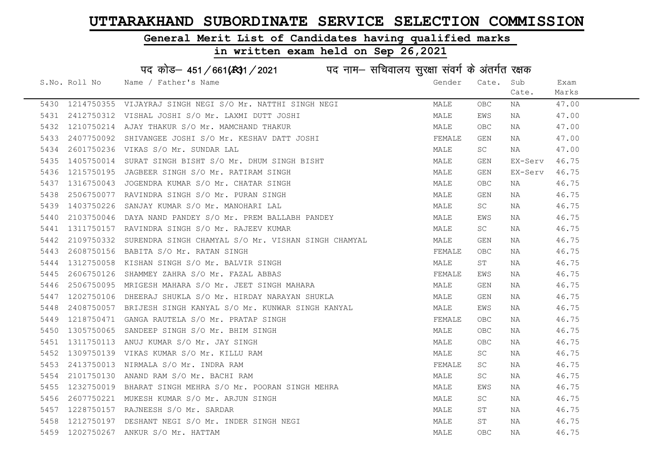#### General Merit List of Candidates having qualified marks

|      | पद कोड़– 451/661(431/2021 पद नाम– सचिवालय सुरक्षा संवर्ग के अंतर्गत रक्षक |                                                               |        |            |         |       |  |  |  |
|------|---------------------------------------------------------------------------|---------------------------------------------------------------|--------|------------|---------|-------|--|--|--|
|      | S.No. Roll No                                                             | Name / Father's Name                                          | Gender | Cate.      | Sub     | Exam  |  |  |  |
|      |                                                                           |                                                               |        |            | Cate.   | Marks |  |  |  |
|      |                                                                           | 5430 1214750355 VIJAYRAJ SINGH NEGI S/O Mr. NATTHI SINGH NEGI | MALE   | <b>OBC</b> | NA      | 47.00 |  |  |  |
| 5431 | 2412750312                                                                | VISHAL JOSHI S/O Mr. LAXMI DUTT JOSHI                         | MALE   | EWS        | NA      | 47.00 |  |  |  |
| 5432 |                                                                           | 1210750214 AJAY THAKUR S/O Mr. MAMCHAND THAKUR                | MALE   | OBC.       | NA      | 47.00 |  |  |  |
| 5433 | 2407750092                                                                | SHIVANGEE JOSHI S/O Mr. KESHAV DATT JOSHI                     | FEMALE | GEN        | NA      | 47.00 |  |  |  |
| 5434 |                                                                           | 2601750236 VIKAS S/O Mr. SUNDAR LAL                           | MALE   | SC         | NA      | 47.00 |  |  |  |
| 5435 |                                                                           | 1405750014 SURAT SINGH BISHT S/O Mr. DHUM SINGH BISHT         | MALE   | GEN        | EX-Serv | 46.75 |  |  |  |
| 5436 |                                                                           | 1215750195 JAGBEER SINGH S/O Mr. RATIRAM SINGH                | MALE   | GEN        | EX-Serv | 46.75 |  |  |  |
| 5437 |                                                                           | 1316750043 JOGENDRA KUMAR S/O Mr. CHATAR SINGH                | MALE   | <b>OBC</b> | NA      | 46.75 |  |  |  |
| 5438 | 2506750077                                                                | RAVINDRA SINGH S/O Mr. PURAN SINGH                            | MALE   | GEN        | NA      | 46.75 |  |  |  |
| 5439 |                                                                           | 1403750226 SANJAY KUMAR S/O Mr. MANOHARI LAL                  | MALE   | SC         | NA      | 46.75 |  |  |  |
| 5440 |                                                                           | 2103750046 DAYA NAND PANDEY S/O Mr. PREM BALLABH PANDEY       | MALE   | EWS        | NA      | 46.75 |  |  |  |
| 5441 |                                                                           | 1311750157 RAVINDRA SINGH S/O Mr. RAJEEV KUMAR                | MALE   | SC         | NA      | 46.75 |  |  |  |
| 5442 | 2109750332                                                                | SURENDRA SINGH CHAMYAL S/O Mr. VISHAN SINGH CHAMYAL           | MALE   | GEN        | NA      | 46.75 |  |  |  |
| 5443 |                                                                           | 2608750156 BABITA S/O Mr. RATAN SINGH                         | FEMALE | <b>OBC</b> | NA      | 46.75 |  |  |  |
| 5444 | 1312750058                                                                | KISHAN SINGH S/O Mr. BALVIR SINGH                             | MALE   | ST         | NA      | 46.75 |  |  |  |
| 5445 | 2606750126                                                                | SHAMMEY ZAHRA S/O Mr. FAZAL ABBAS                             | FEMALE | EWS        | NA      | 46.75 |  |  |  |
| 5446 | 2506750095                                                                | MRIGESH MAHARA S/O Mr. JEET SINGH MAHARA                      | MALE   | GEN        | NA      | 46.75 |  |  |  |
| 5447 |                                                                           | 1202750106 DHEERAJ SHUKLA S/O Mr. HIRDAY NARAYAN SHUKLA       | MALE   | GEN        | NA      | 46.75 |  |  |  |
| 5448 |                                                                           | 2408750057 BRIJESH SINGH KANYAL S/O Mr. KUNWAR SINGH KANYAL   | MALE   | EWS        | ΝA      | 46.75 |  |  |  |
| 5449 |                                                                           | 1218750471 GANGA RAUTELA S/O Mr. PRATAP SINGH                 | FEMALE | OBC        | NA      | 46.75 |  |  |  |
| 5450 |                                                                           | 1305750065 SANDEEP SINGH S/O Mr. BHIM SINGH                   | MALE   | OBC        | NA      | 46.75 |  |  |  |
| 5451 |                                                                           | 1311750113 ANUJ KUMAR S/O Mr. JAY SINGH                       | MALE   | OBC        | NA      | 46.75 |  |  |  |
| 5452 | 1309750139                                                                | VIKAS KUMAR S/O Mr. KILLU RAM                                 | MALE   | SC.        | NA      | 46.75 |  |  |  |
| 5453 | 2413750013                                                                | NIRMALA S/O Mr. INDRA RAM                                     | FEMALE | SC         | NA      | 46.75 |  |  |  |
| 5454 | 2101750130                                                                | ANAND RAM S/O Mr. BACHI RAM                                   | MALE   | SC.        | NA      | 46.75 |  |  |  |
| 5455 |                                                                           | 1232750019 BHARAT SINGH MEHRA S/O Mr. POORAN SINGH MEHRA      | MALE   | EWS        | NA      | 46.75 |  |  |  |
| 5456 | 2607750221                                                                | MUKESH KUMAR S/O Mr. ARJUN SINGH                              | MALE   | SC.        | NA      | 46.75 |  |  |  |
| 5457 |                                                                           | 1228750157 RAJNEESH S/O Mr. SARDAR                            | MALE   | ST         | NA      | 46.75 |  |  |  |
| 5458 | 1212750197                                                                | DESHANT NEGI S/O Mr. INDER SINGH NEGI                         | MALE   | ST         | NA      | 46.75 |  |  |  |
|      |                                                                           | 5459 1202750267 ANKUR S/O Mr. HATTAM                          | MALE   | OBC        | NA      | 46.75 |  |  |  |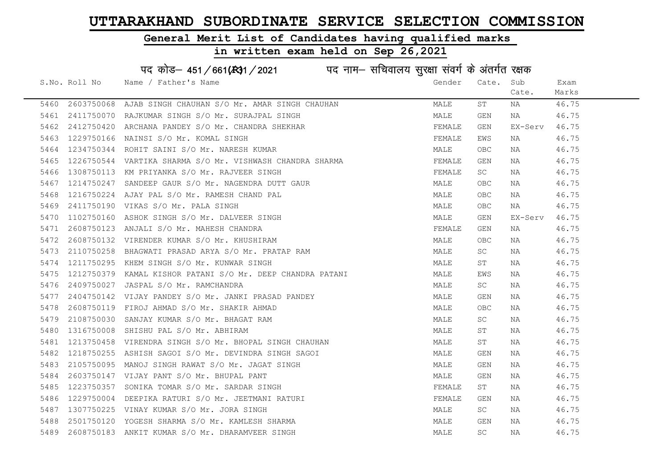#### General Merit List of Candidates having qualified marks

#### in written exam held on Sep 26,2021

S.No. Roll No Wame / Father's Name Gender Cate. Sub Cate. Exam Marks पद कोड– 451/661(स्था) / 2021 विद्युत्त नाम– सचिवालय सुरक्षा संवर्ग के अंतर्गत रक्षक 5460 2603750068 AJAB SINGH CHAUHAN S/O Mr. AMAR SINGH CHAUHAN MALE ST NA 46.75 5461 2411750070 RAJKUMAR SINGH S/O Mr. SURAJPAL SINGH MALE GEN NA 46.75 5462 2412750420 ARCHANA PANDEY S/O Mr. CHANDRA SHEKHAR FEMALE GEN EX-Serv 46.75 5463 1229750166 NAINSI S/O Mr. KOMAL SINGH FEMAL FEMALE EWS NA 46.75 5464 1234750344 ROHIT SAINI S/O Mr. NARESH KUMAR MALE OBC NA 46.75 5465 1226750544 VARTIKA SHARMA S/O Mr. VISHWASH CHANDRA SHARMA SHARMA FEMALE GEN NA 46.75 5466 1308750113 KM PRIYANKA S/O Mr. RAJVEER SINGH FEMALE SC NA 46.75 5467 1214750247 SANDEEP GAUR S/O Mr. NAGENDRA DUTT GAUR MALE OBC NA 46.75 5468 1216750224 AJAY PAL S/O Mr. RAMESH CHAND PAL MALE OBC NA 46.75 5469 2411750190 VIKAS S/O Mr. PALA SINGH MALE OBC NA 46.75 5470 1102750160 ASHOK SINGH S/O Mr. DALVEER SINGH MALE GEN EX-Serv 46.75 5471 2608750123 ANJALI S/O Mr. MAHESH CHANDRA FEMALE GEN NA 46.75 5472 2608750132 VIRENDER KUMAR S/O Mr. KHUSHIRAM MALE OBC NA 46.75 5473 2110750258 BHAGWATI PRASAD ARYA S/O Mr. PRATAP RAM MALE SC NA 46.75 5474 1211750295 KHEM SINGH S/O Mr. KUNWAR SINGH MALE ST NA 46.75 5475 1212750379 KAMAL KISHOR PATANI S/O Mr. DEEP CHANDRA PATANI MALE MALE EWS NA 46.75 5476 2409750027 JASPAL S/O Mr. RAMCHANDRA MALE SC NA 46.75 5477 2404750142 VIJAY PANDEY S/O Mr. JANKI PRASAD PANDEY MALE GEN NA 46.75 5478 2608750119 FIROJ AHMAD S/O Mr. SHAKIR AHMAD MALE OBC NA 46.75 5479 2108750030 SANJAY KUMAR S/O Mr. BHAGAT RAM MALE SC NA 46.75 5480 1316750008 SHISHU PAL S/O Mr. ABHIRAM MALE ST NA 46.75 5481 1213750458 VIRENDRA SINGH S/O Mr. BHOPAL SINGH CHAUHAN MANILLAND MALE ST NA 46.75 5482 1218750255 ASHISH SAGOI S/O Mr. DEVINDRA SINGH SAGOI MALE GEN NA 46.75 5483 2105750095 MANOJ SINGH RAWAT S/O Mr. JAGAT SINGH MALE GEN NA 46.75 5484 2603750147 VIJAY PANT S/O Mr. BHUPAL PANT MALE GEN NA 46.75 5485 1223750357 SONIKA TOMAR S/O Mr. SARDAR SINGH FEMALE ST NA 46.75 5486 1229750004 DEEPIKA RATURI S/O Mr. JEETMANI RATURI FEMALE GEN NA 46.75 5487 1307750225 VINAY KUMAR S/O Mr. JORA SINGH MALE SC NA 46.75 5488 2501750120 YOGESH SHARMA S/O Mr. KAMLESH SHARMA MALE GEN NA 46.75 5489 2608750183 ANKIT KUMAR S/O Mr. DHARAMVEER SINGH MALE SC NA 46.75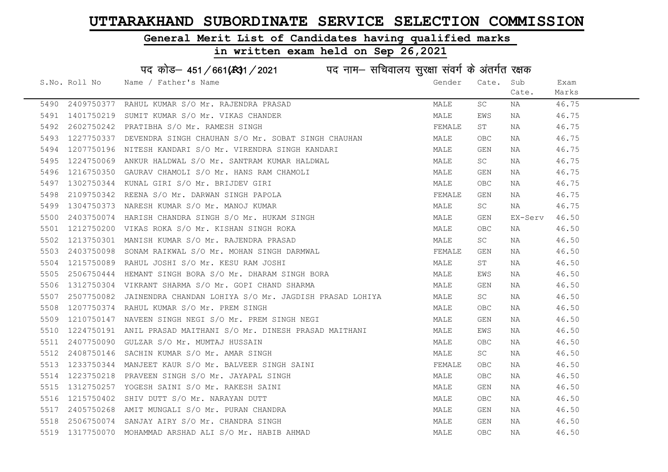#### General Merit List of Candidates having qualified marks

#### in written exam held on Sep 26,2021

S.No. Roll No Wame / Father's Name Gender Cate. Sub Cate. Exam Marks पद कोड– 451/661(स्था) / 2021 विद्युत्त नाम– सचिवालय सुरक्षा संवर्ग के अंतर्गत रक्षक 5490 2409750377 RAHUL KUMAR S/O Mr. RAJENDRA PRASAD MALE SC NA 46.75 5491 1401750219 SUMIT KUMAR S/O Mr. VIKAS CHANDER NAN MALE RES NA MALE RES NA 46.75 5492 2602750242 PRATIBHA S/O Mr. RAMESH SINGH FEMALE ST NA 46.75 5493 1227750337 DEVENDRA SINGH CHAUHAN S/O Mr. SOBAT SINGH CHAUHAN MALE OBC NA 46.75 5494 1207750196 NITESH KANDARI S/O Mr. VIRENDRA SINGH KANDARI MALE GEN NA 46.75 5495 1224750069 ANKUR HALDWAL S/O Mr. SANTRAM KUMAR HALDWAL MAN MALE SC NA 46.75 5496 1216750350 GAURAV CHAMOLI S/O Mr. HANS RAM CHAMOLI CHAMOLI MALE GEN NA 46.75 5497 1302750344 KUNAL GIRI S/O Mr. BRIJDEV GIRI MALE OBC NA 46.75 5498 2109750342 REENA S/O Mr. DARWAN SINGH PAPOLA **FEMALE GEN NA 46.75** 5499 1304750373 NARESH KUMAR S/O Mr. MANOJ KUMAR MALE SC NA 46.75 5500 2403750074 HARISH CHANDRA SINGH S/O Mr. HUKAM SINGH MALE GEN EX-Serv 46.50 5501 1212750200 VIKAS ROKA S/O Mr. KISHAN SINGH ROKA MALE OBC NA 46.50 5502 1213750301 MANISH KUMAR S/O Mr. RAJENDRA PRASAD MALE SC NA 46.50 5503 2403750098 SONAM RAIKWAL S/O Mr. MOHAN SINGH DARMWAL FEMALE GEN NA 46.50 5504 1215750089 RAHUL JOSHI S/O Mr. KESU RAM JOSHI MALE ST NA 46.50 5505 2506750444 HEMANT SINGH BORA S/O Mr. DHARAM SINGH BORA MALE EWS NA 46.50 5506 1312750304 VIKRANT SHARMA S/O Mr. GOPI CHAND SHARMA MANA MALANDANG MALE GEN NA 46.50 5507 2507750082 JAINENDRA CHANDAN LOHIYA S/O Mr. JAGDISH PRASAD LOHIYA MALE SC NA 46.50 5508 1207750374 RAHUL KUMAR S/O Mr. PREM SINGH MALE OBC NA 46.50 5509 1210750147 NAVEEN SINGH NEGI S/O Mr. PREM SINGH NEGI MALE GEN NA 46.50 5510 1224750191 ANIL PRASAD MAITHANI S/O Mr. DINESH PRASAD MAITHANI MALE EWS NA 46.50 5511 2407750090 GULZAR S/O Mr. MUMTAJ HUSSAIN MALE OBC NA 46.50 5512 2408750146 SACHIN KUMAR S/O Mr. AMAR SINGH MALE SC NA 46.50 5513 1233750344 MANJEET KAUR S/O Mr. BALVEER SINGH SAINI THE SAND SANALE OBC NA 36.50 5514 1223750218 PRAVEEN SINGH S/O Mr. JAYAPAL SINGH MANA MALE OBC NA 46.50 5515 1312750257 YOGESH SAINI S/O Mr. RAKESH SAINI MALE GEN NA 46.50 5516 1215750402 SHIV DUTT S/O Mr. NARAYAN DUTT SALL SHOW THE MALE OBC NA 46.50 5517 2405750268 AMIT MUNGALI S/O Mr. PURAN CHANDRA MALE GEN NA 46.50 5518 2506750074 SANJAY AIRY S/O Mr. CHANDRA SINGH MALE GEN NA 46.50 5519 1317750070 MOHAMMAD ARSHAD ALI S/O Mr. HABIB AHMAD MALE OBC NA 46.50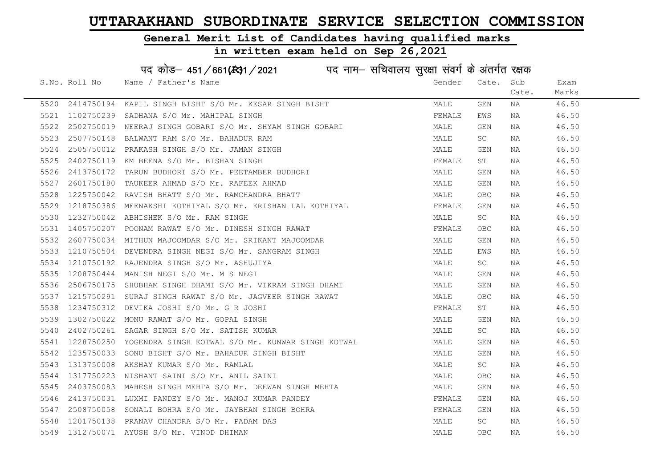#### General Merit List of Candidates having qualified marks

## in written exam held on Sep 26,2021

# पद कोड– 451/661(स्था/2021 व्यान सचिवालय सुरक्षा संवर्ग के अंतर्गत रक्षक

|      | S.No. Roll No | Name / Father's Name                                                                                                                                                                                                                       | Gender | Cate.      | Sub   | Exam  |
|------|---------------|--------------------------------------------------------------------------------------------------------------------------------------------------------------------------------------------------------------------------------------------|--------|------------|-------|-------|
|      |               |                                                                                                                                                                                                                                            |        |            | Cate. | Marks |
|      |               | 5520 2414750194 KAPIL SINGH BISHT S/O Mr. KESAR SINGH BISHT                                                                                                                                                                                | MALE   | GEN        | NA    | 46.50 |
|      |               |                                                                                                                                                                                                                                            | FEMALE | EWS        | NA    | 46.50 |
| 5522 |               | 2502750019 NEERAJ SINGH GOBARI S/O Mr. SHYAM SINGH GOBARI                                                                                                                                                                                  | MALE   | GEN        | NA    | 46.50 |
| 5523 |               |                                                                                                                                                                                                                                            | MALE   | SC         | NA    | 46.50 |
| 5524 |               |                                                                                                                                                                                                                                            | MALE   | GEN        | NA    | 46.50 |
| 5525 |               |                                                                                                                                                                                                                                            | FEMALE | ST         | NA    | 46.50 |
| 5526 |               |                                                                                                                                                                                                                                            | MALE   | GEN        | NA    | 46.50 |
| 5527 |               | 2507750148 BALWANT RAM S/O Mr. BAHADUR RAM<br>2505750012 PRAKASH SINGH S/O Mr. JAMAN SINGH<br>2402750119 KM BEENA S/O Mr. BISHAN SINGH<br>2413750172 TARUN BUDHORI S/O Mr. PEETAMBER BUDHORI<br>2601750180 TAUKEER AHMAD S/O Mr. RAFEEK AH | MALE   | GEN        | NA    | 46.50 |
| 5528 |               |                                                                                                                                                                                                                                            | MALE   | OBC.       | NA    | 46.50 |
| 5529 |               | 1218750386 MEENAKSHI KOTHIYAL S/O Mr. KRISHAN LAL KOTHIYAL<br>1232750042 ABHISHEK S/O Mr. RAM SINGH                                                                                                                                        | FEMALE | GEN        | NA    | 46.50 |
| 5530 |               |                                                                                                                                                                                                                                            | MALE   | SC         | NA    | 46.50 |
| 5531 |               | 1405750207 POONAM RAWAT S/O Mr. DINESH SINGH RAWAT                                                                                                                                                                                         | FEMALE | OBC.       | NA    | 46.50 |
| 5532 |               | 2607750034 MITHUN MAJOOMDAR S/O Mr. SRIKANT MAJOOMDAR                                                                                                                                                                                      | MALE   | GEN        | NA    | 46.50 |
| 5533 |               |                                                                                                                                                                                                                                            | MALE   | EWS        | NA    | 46.50 |
| 5534 |               |                                                                                                                                                                                                                                            | MALE   | SC         | NA    | 46.50 |
| 5535 |               | 1210750504 DEVENDRA SINGH NEGI S/O Mr. SANGRAM SINGH<br>1210750192 RAJENDRA SINGH S/O Mr. ASHUJIYA<br>1208750444 MANISH NEGI S/O Mr. M S NEGI                                                                                              | MALE   | GEN        | NA    | 46.50 |
| 5536 |               | 2506750175 SHUBHAM SINGH DHAMI S/O Mr. VIKRAM SINGH DHAMI                                                                                                                                                                                  | MALE   | GEN        | NA    | 46.50 |
| 5537 |               | 1215750291 SURAJ SINGH RAWAT S/O Mr. JAGVEER SINGH RAWAT                                                                                                                                                                                   | MALE   | OBC.       | NA    | 46.50 |
| 5538 |               | 1234750312 DEVIKA JOSHI S/O Mr. G R JOSHI                                                                                                                                                                                                  | FEMALE | ST         | NA    | 46.50 |
| 5539 |               | 1302750022 MONU RAWAT S/O Mr. GOPAL SINGH                                                                                                                                                                                                  | MALE   | GEN        | NA    | 46.50 |
| 5540 |               | 2402750261 SAGAR SINGH S/O Mr. SATISH KUMAR                                                                                                                                                                                                | MALE   | <b>SC</b>  | NA    | 46.50 |
| 5541 |               | 1228750250 YOGENDRA SINGH KOTWAL S/O Mr. KUNWAR SINGH KOTWAL                                                                                                                                                                               | MALE   | GEN        | NA    | 46.50 |
| 5542 |               | 1235750033 SONU BISHT S/O Mr. BAHADUR SINGH BISHT                                                                                                                                                                                          | MALE   | GEN        | NA    | 46.50 |
| 5543 |               | 1313750008 AKSHAY KUMAR S/O Mr. RAMLAL                                                                                                                                                                                                     | MALE   | SC         | NA    | 46.50 |
| 5544 |               | 1317750223 NISHANT SAINI S/O Mr. ANIL SAINI                                                                                                                                                                                                | MALE   | <b>OBC</b> | NA    | 46.50 |
| 5545 |               | 2403750083 MAHESH SINGH MEHTA S/O Mr. DEEWAN SINGH MEHTA                                                                                                                                                                                   | MALE   | GEN        | NA    | 46.50 |
| 5546 |               | 2413750031 LUXMI PANDEY S/O Mr. MANOJ KUMAR PANDEY                                                                                                                                                                                         | FEMALE | GEN        | NA    | 46.50 |
| 5547 |               | --<br>1201750138  PRANAV CHANDRA S/O Mr. JAYBHAN SINGH BOHRA<br>1312750071  AYUSH S/O Mr. VINOD DHIMAN                                                                                                                                     | FEMALE | GEN        | NA    | 46.50 |
| 5548 |               |                                                                                                                                                                                                                                            | MALE   | SC         | NA    | 46.50 |
|      |               | 5549 1312750071 AYUSH S/O Mr. VINOD DHIMAN                                                                                                                                                                                                 | MALE   | OBC.       | NA    | 46.50 |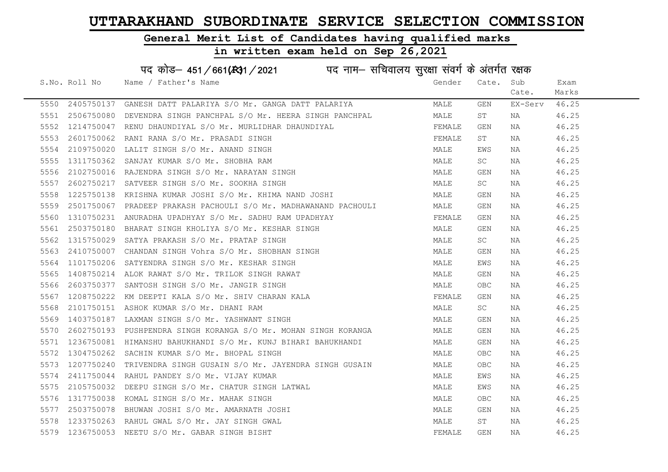#### General Merit List of Candidates having qualified marks

## in written exam held on Sep 26,2021

# पद कोड– 451/661(स्था/2021 व्यान सचिवालय सुरक्षा संवर्ग के अंतर्गत रक्षक

|      | S.No. Roll No Name / Father's Name                                                                                                                                                                                                            | Gender | Cate.      | Sub     | Exam  |
|------|-----------------------------------------------------------------------------------------------------------------------------------------------------------------------------------------------------------------------------------------------|--------|------------|---------|-------|
|      |                                                                                                                                                                                                                                               |        |            | Cate.   | Marks |
|      | 5550 2405750137 GANESH DATT PALARIYA S/O Mr. GANGA DATT PALARIYA                                                                                                                                                                              | MALE   | GEN        | EX-Serv | 46.25 |
|      | 5551 2506750080 DEVENDRA SINGH PANCHPAL S/O Mr. HEERA SINGH PANCHPAL                                                                                                                                                                          | MALE   | ST         | NA      | 46.25 |
| 5552 | 1214750047 RENU DHAUNDIYAL S/O Mr. MURLIDHAR DHAUNDIYAL                                                                                                                                                                                       | FEMALE | GEN        | NA      | 46.25 |
| 5553 |                                                                                                                                                                                                                                               | FEMALE | ST         | NA      | 46.25 |
| 5554 |                                                                                                                                                                                                                                               | MALE   | EWS        | NA      | 46.25 |
| 5555 |                                                                                                                                                                                                                                               | MALE   | SC         | NA      | 46.25 |
| 5556 |                                                                                                                                                                                                                                               | MALE   | GEN        | NA      | 46.25 |
| 5557 | 1214750047 KENU DHAUNDIIAD 070 AD .<br>2601750062 RANI RANA S/O Mr. PRASADI SINGH<br>2109750020 LALIT SINGH S/O Mr. ANAND SINGH<br>1311750362 SANJAY KUMAR S/O Mr. SHOBHA RAM<br>2102750016 RAJENDRA SINGH S/O Mr. NARAYAN SINGH<br>260275021 | MALE   | SC.        | NA      | 46.25 |
| 5558 | 1225750138 KRISHNA KUMAR JOSHI S/O Mr. KHIMA NAND JOSHI                                                                                                                                                                                       | MALE   | GEN        | NA      | 46.25 |
| 5559 | 2501750067 PRADEEP PRAKASH PACHOULI S/O Mr. MADHAWANAND PACHOULI                                                                                                                                                                              | MALE   | GEN        | NA      | 46.25 |
| 5560 | 1310750231 ANURADHA UPADHYAY S/O Mr. SADHU RAM UPADHYAY                                                                                                                                                                                       | FEMALE | GEN        | NA      | 46.25 |
|      | 5561 2503750180 BHARAT SINGH KHOLIYA S/O Mr. KESHAR SINGH                                                                                                                                                                                     | MALE   | GEN        | NA      | 46.25 |
|      |                                                                                                                                                                                                                                               | MALE   | SC         | NA      | 46.25 |
|      |                                                                                                                                                                                                                                               | MALE   | GEN        | NA      | 46.25 |
|      |                                                                                                                                                                                                                                               | MALE   | EWS        | NA      | 46.25 |
|      |                                                                                                                                                                                                                                               | MALE   | GEN        | NA      | 46.25 |
|      | 3301 2303730100 BMAN1 SINGH MHOLITA 370 MT. NESHAN SINGH<br>5562 1315750029 SATYA PRAKASH S/O MT. PRATAP SINGH<br>5563 2410750007 CHANDAN SINGH Vohra S/O MT. SHOBHAN SINGH<br>5564 1101750206 SATYENDRA SINGH S/O MT. KESHAR SINGH<br>556    | MALE   | OBC        | NA      | 46.25 |
|      |                                                                                                                                                                                                                                               | FEMALE | GEN        | NA      | 46.25 |
|      |                                                                                                                                                                                                                                               | MALE   | SC         | NA      | 46.25 |
|      |                                                                                                                                                                                                                                               | MALE   | GEN        | NA      | 46.25 |
| 5570 | 2602750193 PUSHPENDRA SINGH KORANGA S/O Mr. MOHAN SINGH KORANGA                                                                                                                                                                               | MALE   | GEN        | NA      | 46.25 |
| 5571 | 1236750081 HIMANSHU BAHUKHANDI S/O Mr. KUNJ BIHARI BAHUKHANDI                                                                                                                                                                                 | MALE   | GEN        | NA      | 46.25 |
| 5572 | 1304750262 SACHIN KUMAR S/O Mr. BHOPAL SINGH                                                                                                                                                                                                  | MALE   | OBC        | NA      | 46.25 |
| 5573 | 1207750240 TRIVENDRA SINGH GUSAIN S/O Mr. JAYENDRA SINGH GUSAIN MALE                                                                                                                                                                          |        | <b>OBC</b> | NA      | 46.25 |
| 5574 | 2411750044 RAHUL PANDEY S/O Mr. VIJAY KUMAR                                                                                                                                                                                                   | MALE   | EWS        | NA      | 46.25 |
| 5575 | 2105750032 DEEPU SINGH S/O Mr. CHATUR SINGH LATWAL                                                                                                                                                                                            | MALE   | EWS        | NA      | 46.25 |
| 5576 | 1317750038 KOMAL SINGH S/O Mr. MAHAK SINGH                                                                                                                                                                                                    | MALE   | <b>OBC</b> | NA      | 46.25 |
| 5577 | 1317750038 KOMAL SINGH S/O Mr. MAHAK SINGH<br>2503750078 BHUWAN JOSHI S/O Mr. AMARNATH JOSHI<br>1233750263 RAHUL GWAL S/O Mr. JAY SINGH GWAL<br>1236750053 NEETU S/O Mr. GABAR SINGH BISHT                                                    | MALE   | GEN        | NA      | 46.25 |
| 5578 | 1233750263 RAHUL GWAL S/O Mr. JAY SINGH GWAL                                                                                                                                                                                                  | MALE   | ST         | NA      | 46.25 |
|      | 5579 1236750053 NEETU S/O Mr. GABAR SINGH BISHT                                                                                                                                                                                               | FEMALE | GEN        | NA      | 46.25 |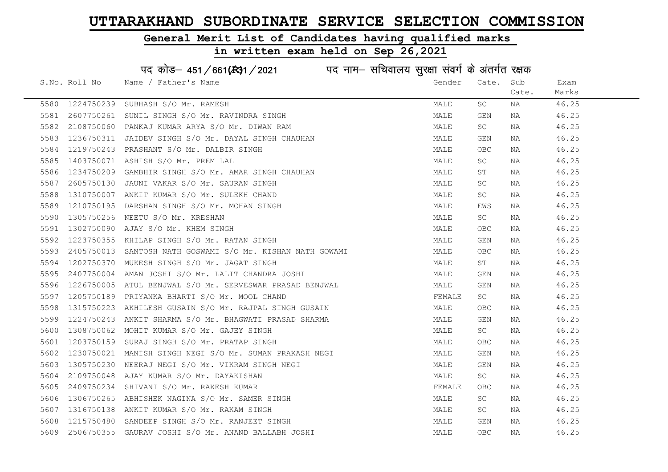#### General Merit List of Candidates having qualified marks

|      |               | पद कोड़– 451/661(131/2021 पद नाम– सचिवालय सुरक्षा संवर्ग के अंतर्गत रक्षक |        |                     |       |       |
|------|---------------|---------------------------------------------------------------------------|--------|---------------------|-------|-------|
|      | S.No. Roll No | Name / Father's Name                                                      | Gender | Cate.               | Sub   | Exam  |
|      |               |                                                                           |        |                     | Cate. | Marks |
| 5580 | 1224750239    | SUBHASH S/O Mr. RAMESH                                                    | MALE   | $\operatorname{SC}$ | ΝA    | 46.25 |
| 5581 | 2607750261    | SUNIL SINGH S/O Mr. RAVINDRA SINGH                                        | MALE   | GEN                 | NA    | 46.25 |
| 5582 | 2108750060    | PANKAJ KUMAR ARYA S/O Mr. DIWAN RAM                                       | MALE   | SC                  | ΝA    | 46.25 |
| 5583 | 1236750311    | JAIDEV SINGH S/O Mr. DAYAL SINGH CHAUHAN                                  | MALE   | GEN                 | ΝA    | 46.25 |
| 5584 | 1219750243    | PRASHANT S/O Mr. DALBIR SINGH                                             | MALE   | <b>OBC</b>          | NA    | 46.25 |
| 5585 |               | 1403750071 ASHISH S/O Mr. PREM LAL                                        | MALE   | SC                  | NA    | 46.25 |
| 5586 | 1234750209    | GAMBHIR SINGH S/O Mr. AMAR SINGH CHAUHAN                                  | MALE   | ST                  | NA    | 46.25 |
| 5587 | 2605750130    | JAUNI VAKAR S/O Mr. SAURAN SINGH                                          | MALE   | SC                  | ΝA    | 46.25 |
| 5588 | 1310750007    | ANKIT KUMAR S/O Mr. SULEKH CHAND                                          | MALE   | SC                  | ΝA    | 46.25 |
| 5589 | 1210750195    | DARSHAN SINGH S/O Mr. MOHAN SINGH                                         | MALE   | EWS                 | NA    | 46.25 |
| 5590 | 1305750256    | NEETU S/O Mr. KRESHAN                                                     | MALE   | SC                  | NA    | 46.25 |
| 5591 | 1302750090    | AJAY S/O Mr. KHEM SINGH                                                   | MALE   | OBC                 | ΝA    | 46.25 |
| 5592 | 1223750355    | KHILAP SINGH S/O Mr. RATAN SINGH                                          | MALE   | GEN                 | NA    | 46.25 |
| 5593 |               | 2405750013 SANTOSH NATH GOSWAMI S/O Mr. KISHAN NATH GOWAMI                | MALE   | <b>OBC</b>          | NA    | 46.25 |
| 5594 | 1202750370    | MUKESH SINGH S/O Mr. JAGAT SINGH                                          | MALE   | SΤ                  | ΝA    | 46.25 |
| 5595 | 2407750004    | AMAN JOSHI S/O Mr. LALIT CHANDRA JOSHI                                    | MALE   | <b>GEN</b>          | NA    | 46.25 |
| 5596 | 1226750005    | ATUL BENJWAL S/O Mr. SERVESWAR PRASAD BENJWAL                             | MALE   | <b>GEN</b>          | ΝA    | 46.25 |
| 5597 | 1205750189    | PRIYANKA BHARTI S/O Mr. MOOL CHAND                                        | FEMALE | $\operatorname{SC}$ | ΝA    | 46.25 |
| 5598 | 1315750223    | AKHILESH GUSAIN S/O Mr. RAJPAL SINGH GUSAIN                               | MALE   | OBC                 | ΝA    | 46.25 |
| 5599 | 1224750243    | ANKIT SHARMA S/O Mr. BHAGWATI PRASAD SHARMA                               | MALE   | <b>GEN</b>          | ΝA    | 46.25 |
| 5600 | 1308750062    | MOHIT KUMAR S/O Mr. GAJEY SINGH                                           | MALE   | SC                  | NA    | 46.25 |
| 5601 | 1203750159    | SURAJ SINGH S/O Mr. PRATAP SINGH                                          | MALE   | $_{\rm OBC}$        | NA    | 46.25 |
| 5602 | 1230750021    | MANISH SINGH NEGI S/O Mr. SUMAN PRAKASH NEGI                              | MALE   | GEN                 | NA    | 46.25 |
| 5603 | 1305750230    | NEERAJ NEGI S/O Mr. VIKRAM SINGH NEGI                                     | MALE   | GEN                 | NA    | 46.25 |
| 5604 | 2109750048    | AJAY KUMAR S/O Mr. DAYAKISHAN                                             | MALE   | SC                  | ΝA    | 46.25 |
| 5605 | 2409750234    | SHIVANI S/O Mr. RAKESH KUMAR                                              | FEMALE | OBC                 | NA    | 46.25 |
| 5606 | 1306750265    | ABHISHEK NAGINA S/O Mr. SAMER SINGH                                       | MALE   | SC                  | ΝA    | 46.25 |
| 5607 | 1316750138    | ANKIT KUMAR S/O Mr. RAKAM SINGH                                           | MALE   | SC                  | NA    | 46.25 |
| 5608 |               | 1215750480 SANDEEP SINGH S/O Mr. RANJEET SINGH                            | MALE   | GEN                 | NA    | 46.25 |
| 5609 |               | 2506750355 GAURAV JOSHI S/O Mr. ANAND BALLABH JOSHI                       | MALE   | <b>OBC</b>          | ΝA    | 46.25 |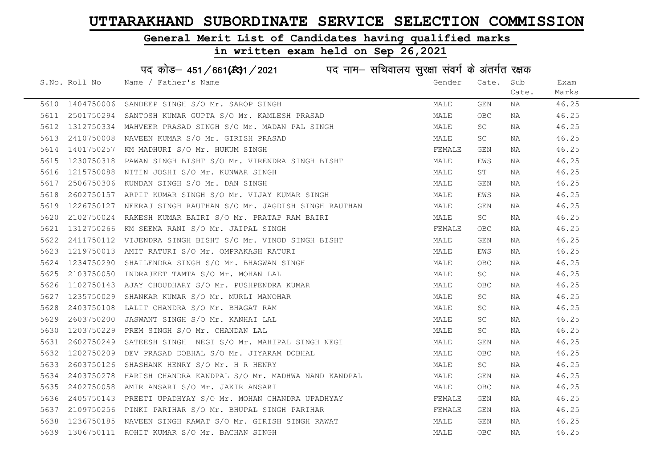#### General Merit List of Candidates having qualified marks

|      |               | पद कोड़– 451/661(431/2021 पद नाम– सचिवालय सुरक्षा संवर्ग के अंतर्गत रक्षक                                                                                         |  |        |            |       |       |
|------|---------------|-------------------------------------------------------------------------------------------------------------------------------------------------------------------|--|--------|------------|-------|-------|
|      | S.No. Roll No | Name / Father's Name                                                                                                                                              |  | Gender | Cate.      | Sub   | Exam  |
|      |               |                                                                                                                                                                   |  |        |            | Cate. | Marks |
|      |               | 5610 1404750006 SANDEEP SINGH S/O Mr. SAROP SINGH                                                                                                                 |  | MALE   | GEN        | NA    | 46.25 |
| 5611 |               | 2501750294 SANTOSH KUMAR GUPTA S/O Mr. KAMLESH PRASAD                                                                                                             |  | MALE   | <b>OBC</b> | NA    | 46.25 |
| 5612 |               | 1312750334 MAHVEER PRASAD SINGH S/O Mr. MADAN PAL SINGH                                                                                                           |  | MALE   | SC         | NA    | 46.25 |
| 5613 |               | 2410750008 NAVEEN KUMAR S/O Mr. GIRISH PRASAD                                                                                                                     |  | MALE   | SC         | NA    | 46.25 |
| 5614 |               | 1401750257 KM MADHURI S/O Mr. HUKUM SINGH                                                                                                                         |  | FEMALE | GEN        | NA    | 46.25 |
| 5615 |               | 1230750318 PAWAN SINGH BISHT S/O Mr. VIRENDRA SINGH BISHT                                                                                                         |  | MALE   | EWS        | NA    | 46.25 |
| 5616 |               | 1215750088 NITIN JOSHI S/O Mr. KUNWAR SINGH                                                                                                                       |  | MALE   | ST         | NA    | 46.25 |
| 5617 | 2506750306    | KUNDAN SINGH S/O Mr. DAN SINGH                                                                                                                                    |  | MALE   | GEN        | NA    | 46.25 |
| 5618 | 2602750157    | ARPIT KUMAR SINGH S/O Mr. VIJAY KUMAR SINGH                                                                                                                       |  | MALE   | EWS        | NA    | 46.25 |
| 5619 | 1226750127    | NEERAJ SINGH RAUTHAN S/O Mr. JAGDISH SINGH RAUTHAN                                                                                                                |  | MALE   | GEN        | NA    | 46.25 |
| 5620 | 2102750024    | RAKESH KUMAR BAIRI S/O Mr. PRATAP RAM BAIRI                                                                                                                       |  | MALE   | SC         | NA    | 46.25 |
| 5621 |               | 1312750266 KM SEEMA RANI S/O Mr. JAIPAL SINGH                                                                                                                     |  | FEMALE | OBC        | NA    | 46.25 |
| 5622 |               | 2411750112 VIJENDRA SINGH BISHT S/O Mr. VINOD SINGH BISHT<br>1219750013 AMIT RATURI S/O Mr. OMPRAKASH RATURI<br>1234750290 SHAILENDRA SINGH S/O Mr. BHAGWAN SINGH |  | MALE   | GEN        | NA    | 46.25 |
| 5623 |               |                                                                                                                                                                   |  | MALE   | EWS        | NA    | 46.25 |
| 5624 |               |                                                                                                                                                                   |  | MALE   | OBC.       | NA    | 46.25 |
| 5625 | 2103750050    | INDRAJEET TAMTA S/O Mr. MOHAN LAL                                                                                                                                 |  | MALE   | SC         | NA    | 46.25 |
| 5626 | 1102750143    | AJAY CHOUDHARY S/O Mr. PUSHPENDRA KUMAR                                                                                                                           |  | MALE   | <b>OBC</b> | NA    | 46.25 |
| 5627 | 1235750029    | SHANKAR KUMAR S/O Mr. MURLI MANOHAR                                                                                                                               |  | MALE   | SC         | NA    | 46.25 |
| 5628 | 2403750108    | LALIT CHANDRA S/O Mr. BHAGAT RAM                                                                                                                                  |  | MALE   | SC         | NA    | 46.25 |
| 5629 | 2603750200    | JASWANT SINGH S/O Mr. KANHAI LAL                                                                                                                                  |  | MALE   | SC         | NA    | 46.25 |
| 5630 |               | 1203750229 PREM SINGH S/O Mr. CHANDAN LAL                                                                                                                         |  | MALE   | SC         | NA    | 46.25 |
| 5631 |               | 2602750249 SATEESH SINGH NEGI S/O Mr. MAHIPAL SINGH NEGI                                                                                                          |  | MALE   | GEN        | NA    | 46.25 |
| 5632 | 1202750209    | DEV PRASAD DOBHAL S/O Mr. JIYARAM DOBHAL                                                                                                                          |  | MALE   | OBC        | NA    | 46.25 |
| 5633 | 2603750126    | SHASHANK HENRY S/O Mr. H R HENRY                                                                                                                                  |  | MALE   | SC         | NA    | 46.25 |
| 5634 | 2403750278    | HARISH CHANDRA KANDPAL S/O Mr. MADHWA NAND KANDPAL<br>AMIR ANSARI S/O Mr. JAKIR ANSARI                                                                            |  | MALE   | GEN        | NA    | 46.25 |
| 5635 |               | 2402750058 AMIR ANSARI S/O Mr. JAKIR ANSARI                                                                                                                       |  | MALE   | <b>OBC</b> | NA    | 46.25 |
| 5636 | 2405750143    | PREETI UPADHYAY S/O Mr. MOHAN CHANDRA UPADHYAY                                                                                                                    |  | FEMALE | GEN        | NA    | 46.25 |
| 5637 |               | 2109750256 PINKI PARIHAR S/O Mr. BHUPAL SINGH PARIHAR                                                                                                             |  | FEMALE | GEN        | NA    | 46.25 |
| 5638 |               | 1236750185 NAVEEN SINGH RAWAT S/O Mr. GIRISH SINGH RAWAT                                                                                                          |  | MALE   | GEN        | NA    | 46.25 |
|      |               | 5639 1306750111 ROHIT KUMAR S/O Mr. BACHAN SINGH                                                                                                                  |  | MALE   | OBC        | NA    | 46.25 |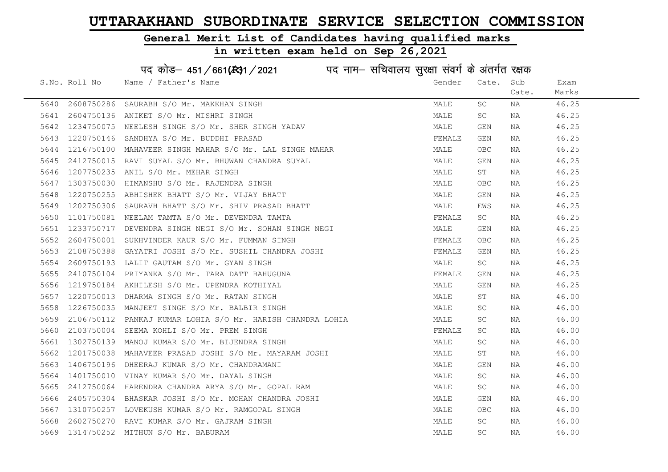#### General Merit List of Candidates having qualified marks

|      |               | पद कोड़– 451/661(431/2021 पद नाम– सचिवालय सुरक्षा संवर्ग के अंतर्गत रक्षक |        |                         |       |       |
|------|---------------|---------------------------------------------------------------------------|--------|-------------------------|-------|-------|
|      | S.No. Roll No | Name / Father's Name                                                      | Gender | Cate. Sub               |       | Exam  |
|      |               |                                                                           |        |                         | Cate. | Marks |
| 5640 | 2608750286    | SAURABH S/O Mr. MAKKHAN SINGH                                             | MALE   | SC                      | NA    | 46.25 |
| 5641 |               | 2604750136 ANIKET S/O Mr. MISHRI SINGH                                    | MALE   | SC                      | NA    | 46.25 |
| 5642 | 1234750075    | NEELESH SINGH S/O Mr. SHER SINGH YADAV                                    | MALE   | GEN                     | ΝA    | 46.25 |
| 5643 | 1220750146    | SANDHYA S/O Mr. BUDDHI PRASAD                                             | FEMALE | GEN                     | NA    | 46.25 |
| 5644 | 1216750100    | MAHAVEER SINGH MAHAR S/O Mr. LAL SINGH MAHAR                              | MALE   | OBC.                    | NA    | 46.25 |
| 5645 |               | 2412750015 RAVI SUYAL S/O Mr. BHUWAN CHANDRA SUYAL                        | MALE   | GEN                     | NA    | 46.25 |
| 5646 | 1207750235    | ANIL S/O Mr. MEHAR SINGH                                                  | MALE   | ST                      | NA    | 46.25 |
| 5647 | 1303750030    | HIMANSHU S/O Mr. RAJENDRA SINGH                                           | MALE   | <b>OBC</b>              | NA    | 46.25 |
| 5648 | 1220750255    | ABHISHEK BHATT S/O Mr. VIJAY BHATT                                        | MALE   | GEN                     | NA    | 46.25 |
| 5649 |               | 1202750306 SAURAVH BHATT S/O Mr. SHIV PRASAD BHATT                        | MALE   | EWS                     | NA    | 46.25 |
| 5650 |               | 1101750081 NEELAM TAMTA S/O Mr. DEVENDRA TAMTA                            | FEMALE | SC                      | NA    | 46.25 |
| 5651 | 1233750717    | DEVENDRA SINGH NEGI S/O Mr. SOHAN SINGH NEGI                              | MALE   | GEN                     | NA    | 46.25 |
| 5652 |               | 2604750001 SUKHVINDER KAUR S/O Mr. FUMMAN SINGH                           | FEMALE | OBC                     | NA    | 46.25 |
| 5653 |               | 2108750388 GAYATRI JOSHI S/O Mr. SUSHIL CHANDRA JOSHI                     | FEMALE | GEN                     | NA    | 46.25 |
| 5654 |               | 2609750193 LALIT GAUTAM S/O Mr. GYAN SINGH                                | MALE   | SC                      | NA    | 46.25 |
| 5655 | 2410750104    | PRIYANKA S/O Mr. TARA DATT BAHUGUNA                                       | FEMALE | $\mathop{\mathsf{GEN}}$ | NA    | 46.25 |
| 5656 | 1219750184    | AKHILESH S/O Mr. UPENDRA KOTHIYAL                                         | MALE   | GEN                     | NA    | 46.25 |
| 5657 | 1220750013    | DHARMA SINGH S/O Mr. RATAN SINGH                                          | MALE   | ST                      | NA    | 46.00 |
| 5658 | 1226750035    | MANJEET SINGH S/O Mr. BALBIR SINGH                                        | MALE   | SC                      | NA    | 46.00 |
| 5659 | 2106750112    | PANKAJ KUMAR LOHIA S/O Mr. HARISH CHANDRA LOHIA                           | MALE   | SC                      | NA    | 46.00 |
| 5660 |               | 2103750004 SEEMA KOHLI S/O Mr. PREM SINGH                                 | FEMALE | SC.                     | NA    | 46.00 |
| 5661 |               | 1302750139 MANOJ KUMAR S/O Mr. BIJENDRA SINGH                             | MALE   | SC                      | NA    | 46.00 |
| 5662 | 1201750038    | MAHAVEER PRASAD JOSHI S/O Mr. MAYARAM JOSHI                               | MALE   | ST                      | NA    | 46.00 |
| 5663 | 1406750196    | DHEERAJ KUMAR S/O Mr. CHANDRAMANI                                         | MALE   | GEN                     | NA    | 46.00 |
| 5664 | 1401750010    | VINAY KUMAR S/O Mr. DAYAL SINGH                                           | MALE   | SC                      | NA    | 46.00 |
| 5665 |               | 2412750064 HARENDRA CHANDRA ARYA S/O Mr. GOPAL RAM                        | MALE   | SC                      | NA    | 46.00 |
| 5666 | 2405750304    | BHASKAR JOSHI S/O Mr. MOHAN CHANDRA JOSHI                                 | MALE   | GEN                     | NA    | 46.00 |
| 5667 |               | 1310750257 LOVEKUSH KUMAR S/O Mr. RAMGOPAL SINGH                          | MALE   | <b>OBC</b>              | NA    | 46.00 |
| 5668 | 2602750270    | RAVI KUMAR S/O Mr. GAJRAM SINGH                                           | MALE   | SC                      | NA    | 46.00 |
| 5669 |               | 1314750252 MITHUN S/O Mr. BABURAM                                         | MALE   | SC                      | ΝA    | 46.00 |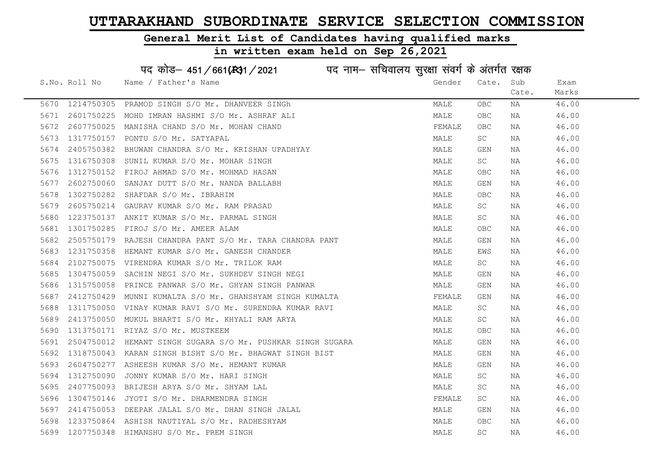#### General Merit List of Candidates having qualified marks

|      |               | पद कोड़- 451/661(431/2021 पद नाम- सचिवालय सुरक्षा संवर्ग के अंतर्गत रक्षक |        |                         |       |       |
|------|---------------|---------------------------------------------------------------------------|--------|-------------------------|-------|-------|
|      | S.No. Roll No | Name / Father's Name                                                      | Gender | Cate.                   | Sub   | Exam  |
|      |               |                                                                           |        |                         | Cate. | Marks |
| 5670 | 1214750305    | PRAMOD SINGH S/O Mr. DHANVEER SINGh                                       | MALE   | OBC.                    | NA    | 46.00 |
| 5671 | 2601750225    | MOHD IMRAN HASHMI S/O Mr. ASHRAF ALI                                      | MALE   | <b>OBC</b>              | NA    | 46.00 |
| 5672 | 2607750025    | MANISHA CHAND S/O Mr. MOHAN CHAND                                         | FEMALE | OBC.                    | NA    | 46.00 |
| 5673 | 1317750157    | PONTU S/O Mr. SATYAPAL                                                    | MALE   | SC                      | NA    | 46.00 |
| 5674 | 2405750382    | BHUWAN CHANDRA S/O Mr. KRISHAN UPADHYAY                                   | MALE   | GEN                     | NA    | 46.00 |
| 5675 | 1316750308    | SUNIL KUMAR S/O Mr. MOHAR SINGH                                           | MALE   | SC                      | NA    | 46.00 |
| 5676 | 1312750152    | FIROJ AHMAD S/O Mr. MOHMAD HASAN                                          | MALE   | OBC                     | NA    | 46.00 |
| 5677 | 2602750060    | SANJAY DUTT S/O Mr. NANDA BALLABH                                         | MALE   | GEN                     | NA    | 46.00 |
| 5678 | 1302750282    | SHAFDAR S/O Mr. IBRAHIM                                                   | MALE   | OBC                     | NA    | 46.00 |
| 5679 | 2605750214    | GAURAV KUMAR S/O Mr. RAM PRASAD                                           | MALE   | SC                      | NA    | 46.00 |
| 5680 | 1223750137    | ANKIT KUMAR S/O Mr. PARMAL SINGH                                          | MALE   | SC                      | NA    | 46.00 |
| 5681 | 1301750285    | FIROJ S/O Mr. AMEER ALAM                                                  | MALE   | OBC                     | NA    | 46.00 |
| 5682 | 2505750179    | RAJESH CHANDRA PANT S/O Mr. TARA CHANDRA PANT                             | MALE   | GEN                     | NA    | 46.00 |
| 5683 | 1231750358    | HEMANT KUMAR S/O Mr. GANESH CHANDER                                       | MALE   | EWS                     | NA    | 46.00 |
| 5684 | 2102750075    | VIRENDRA KUMAR S/O Mr. TRILOK RAM                                         | MALE   | SC                      | NA    | 46.00 |
| 5685 | 1304750059    | SACHIN NEGI S/O Mr. SUKHDEV SINGH NEGI                                    | MALE   | $\mathop{\mathsf{GEN}}$ | NA    | 46.00 |
| 5686 | 1315750058    | PRINCE PANWAR S/O Mr. GHYAN SINGH PANWAR                                  | MALE   | GEN                     | NA    | 46.00 |
| 5687 | 2412750429    | MUNNI KUMALTA S/O Mr. GHANSHYAM SINGH KUMALTA                             | FEMALE | GEN                     | NA    | 46.00 |
| 5688 | 1311750050    | VINAY KUMAR RAVI S/O Mr. SURENDRA KUMAR RAVI                              | MALE   | SC                      | NA    | 46.00 |
| 5689 | 2413750050    | MUKUL BHARTI S/O Mr. KHYALI RAM ARYA                                      | MALE   | SC                      | NA    | 46.00 |
| 5690 | 1313750171    | RIYAZ S/O Mr. MUSTKEEM                                                    | MALE   | OBC                     | NA    | 46.00 |
| 5691 | 2504750012    | HEMANT SINGH SUGARA S/O Mr. PUSHKAR SINGH SUGARA                          | MALE   | GEN                     | NA    | 46.00 |
| 5692 | 1318750043    | KARAN SINGH BISHT S/O Mr. BHAGWAT SINGH BIST                              | MALE   | GEN                     | NA    | 46.00 |
| 5693 | 2604750277    | ASHEESH KUMAR S/O Mr. HEMANT KUMAR                                        | MALE   | GEN                     | NA    | 46.00 |
| 5694 | 1312750090    | JONNY KUMAR S/O Mr. HARI SINGH                                            | MALE   | SC                      | NA    | 46.00 |
| 5695 | 2407750093    | BRIJESH ARYA S/O Mr. SHYAM LAL                                            | MALE   | SC                      | NA    | 46.00 |
| 5696 | 1304750146    | JYOTI S/O Mr. DHARMENDRA SINGH                                            | FEMALE | SC                      | NA    | 46.00 |
| 5697 | 2414750053    | DEEPAK JALAL S/O Mr. DHAN SINGH JALAL                                     | MALE   | GEN                     | NA    | 46.00 |
| 5698 | 1233750864    | ASHISH NAUTIYAL S/O Mr. RADHESHYAM                                        | MALE   | <b>OBC</b>              | NA    | 46.00 |
| 5699 |               | 1207750348 HIMANSHU S/O Mr. PREM SINGH                                    | MALE   | <b>SC</b>               | ΝA    | 46.00 |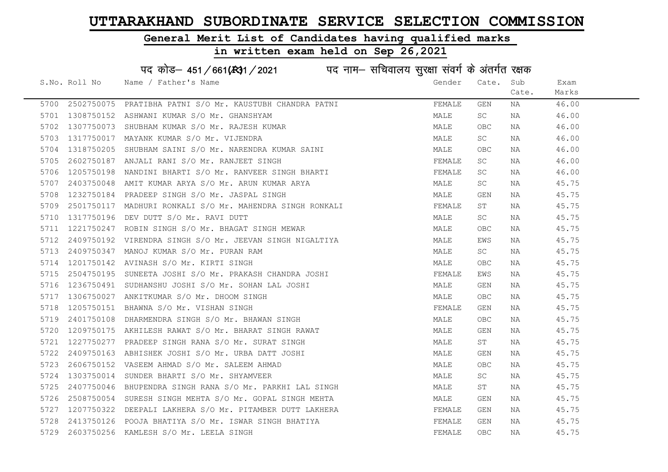Cate.

Exam Marks

#### General Merit List of Candidates having qualified marks

#### in written exam held on Sep 26,2021

S.No. Roll No Wame / Father's Name Gender Cate. Sub पद कोड– 451/661( $k$ 31/2021 in ura नाम– सचिवालय सुरक्षा संवर्ग के अंतर्गत रक्षक 5700 2502750075 PRATIBHA PATNI S/O Mr. KAUSTUBH CHANDRA PATNI SAN SHEMALE GEN NA 46.00 5701 1308750152 ASHWANI KUMAR S/O Mr. GHANSHYAM MARE MALE SC NA 46.00 5702 1307750073 SHUBHAM KUMAR S/O Mr. RAJESH KUMAR MANA MALE OBC NA 46.00 5703 1317750017 MAYANK KUMAR S/O Mr. VIJENDRA MANA MALE SC NA 46.00 5704 1318750205 SHUBHAM SAINI S/O Mr. NARENDRA KUMAR SAINI MALE OBC NA 46.00 5705 2602750187 ANJALI RANI S/O Mr. RANJEET SINGH FEMALE SC NA 46.00 5706 1205750198 NANDINI BHARTI S/O Mr. RANVEER SINGH BHARTI SAN SHEMALE SC NA 36.00 5707 2403750048 AMIT KUMAR ARYA S/O Mr. ARUN KUMAR ARYA MARI MALE SC NA 45.75 5708 1232750184 PRADEEP SINGH S/O Mr. JASPAL SINGH MALE GEN NA 45.75 5709 2501750117 MADHURI RONKALI S/O Mr. MAHENDRA SINGH RONKALI STREMALE ST NA 45.75 5710 1317750196 DEV DUTT S/O Mr. RAVI DUTT **12000 12000 12000 12000 12000 1317750196** A 45.75 5711 1221750247 ROBIN SINGH S/O Mr. BHAGAT SINGH MEWAR MAN MALE OBC NA 45.75

| 5712 | 2409750192      | VIRENDRA SINGH S/O Mr. JEEVAN SINGH NIGALTIYA             | MALE   | EWS        | NA | 45.75 |
|------|-----------------|-----------------------------------------------------------|--------|------------|----|-------|
| 5713 | 2409750347      | MANOJ KUMAR S/O Mr. PURAN RAM                             | MALE   | SC         | ΝA | 45.75 |
| 5714 | 1201750142      | AVINASH S/O Mr. KIRTI SINGH                               | MALE   | OBC        | ΝA | 45.75 |
| 5715 | 2504750195      | SUNEETA JOSHI S/O Mr. PRAKASH CHANDRA JOSHI               | FEMALE | EWS        | NA | 45.75 |
| 5716 | 1236750491      | SUDHANSHU JOSHI S/O Mr. SOHAN LAL JOSHI                   | MALE   | GEN        | NA | 45.75 |
| 5717 | 1306750027      | ANKITKUMAR S/O Mr. DHOOM SINGH                            | MALE   | <b>OBC</b> | NA | 45.75 |
| 5718 | 1205750151      | BHAWNA S/O Mr. VISHAN SINGH                               | FEMALE | GEN        | NA | 45.75 |
|      | 5719 2401750108 | DHARMENDRA SINGH S/O Mr. BHAWAN SINGH                     | MALE   | OBC        | NA | 45.75 |
|      |                 | 5720 1209750175 AKHILESH RAWAT S/O Mr. BHARAT SINGH RAWAT | MALE   | GEN        | NA | 45.75 |
| 5721 | 1227750277      | PRADEEP SINGH RANA S/O Mr. SURAT SINGH                    | MALE   | ST         | NA | 45.75 |
| 5722 | 2409750163      | ABHISHEK JOSHI S/O Mr. URBA DATT JOSHI                    | MALE   | GEN        | NA | 45.75 |
| 5723 | 2606750152      | VASEEM AHMAD S/O Mr. SALEEM AHMAD                         | MALE   | OBC        | NA | 45.75 |
| 5724 |                 | 1303750014 SUNDER BHARTI S/O Mr. SHYAMVEER                | MALE   | SC.        | NA | 45.75 |
| 5725 |                 | 2407750046 BHUPENDRA SINGH RANA S/O Mr. PARKHI LAL SINGH  | MALE   | ST         | NA | 45.75 |
| 5726 | 2508750054      | SURESH SINGH MEHTA S/O Mr. GOPAL SINGH MEHTA              | MALE   | GEN        | NA | 45.75 |
|      | 5727 1207750322 | DEEPALI LAKHERA S/O Mr. PITAMBER DUTT LAKHERA             | FEMALE | GEN        | ΝA | 45.75 |
|      |                 | 5728 2413750126 POOJA BHATIYA S/O Mr. ISWAR SINGH BHATIYA | FEMALE | GEN        | NA | 45.75 |
|      |                 | 5729 2603750256 KAMLESH S/O Mr. LEELA SINGH               | FEMALE | OBC        | ΝA | 45.75 |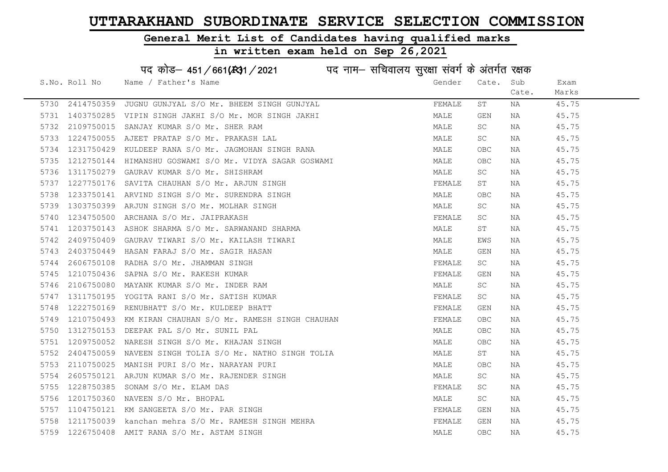### General Merit List of Candidates having qualified marks

|      |               | पद कोड़- 451/661(431/2021 पद नाम- सचिवालय सुरक्षा संवर्ग के अंतर्गत रक्षक |        |            |       |       |
|------|---------------|---------------------------------------------------------------------------|--------|------------|-------|-------|
|      | S.No. Roll No | Name / Father's Name                                                      | Gender | Cate.      | Sub   | Exam  |
|      |               |                                                                           |        |            | Cate. | Marks |
| 5730 | 2414750359    | JUGNU GUNJYAL S/O Mr. BHEEM SINGH GUNJYAL                                 | FEMALE | ST         | ΝA    | 45.75 |
| 5731 | 1403750285    | VIPIN SINGH JAKHI S/O Mr. MOR SINGH JAKHI                                 | MALE   | GEN        | NA    | 45.75 |
| 5732 | 2109750015    | SANJAY KUMAR S/O Mr. SHER RAM                                             | MALE   | SC         | NA    | 45.75 |
| 5733 | 1224750055    | AJEET PRATAP S/O Mr. PRAKASH LAL                                          | MALE   | SC         | NA    | 45.75 |
| 5734 | 1231750429    | KULDEEP RANA S/O Mr. JAGMOHAN SINGH RANA                                  | MALE   | OBC        | NA    | 45.75 |
| 5735 | 1212750144    | HIMANSHU GOSWAMI S/O Mr. VIDYA SAGAR GOSWAMI                              | MALE   | <b>OBC</b> | NA    | 45.75 |
| 5736 | 1311750279    | GAURAV KUMAR S/O Mr. SHISHRAM                                             | MALE   | SC         | ΝA    | 45.75 |
| 5737 | 1227750176    | SAVITA CHAUHAN S/O Mr. ARJUN SINGH                                        | FEMALE | SΤ         | ΝA    | 45.75 |
| 5738 | 1233750141    | ARVIND SINGH S/O Mr. SURENDRA SINGH                                       | MALE   | <b>OBC</b> | NA    | 45.75 |
| 5739 | 1303750399    | ARJUN SINGH S/O Mr. MOLHAR SINGH                                          | MALE   | SC         | NA    | 45.75 |
| 5740 | 1234750500    | ARCHANA S/O Mr. JAIPRAKASH                                                | FEMALE | SC         | ΝA    | 45.75 |
| 5741 | 1203750143    | ASHOK SHARMA S/O Mr. SARWANAND SHARMA                                     | MALE   | SΤ         | NA    | 45.75 |
| 5742 | 2409750409    | GAURAV TIWARI S/O Mr. KAILASH TIWARI                                      | MALE   | EWS        | NA    | 45.75 |
| 5743 | 2403750449    | HASAN FARAJ S/O Mr. SAGIR HASAN                                           | MALE   | GEN        | NA    | 45.75 |
| 5744 | 2606750108    | RADHA S/O Mr. JHAMMAN SINGH                                               | FEMALE | SC         | ΝA    | 45.75 |
| 5745 | 1210750436    | SAPNA S/O Mr. RAKESH KUMAR                                                | FEMALE | <b>GEN</b> | NA    | 45.75 |
| 5746 | 2106750080    | MAYANK KUMAR S/O Mr. INDER RAM                                            | MALE   | SC         | ΝA    | 45.75 |
| 5747 | 1311750195    | YOGITA RANI S/O Mr. SATISH KUMAR                                          | FEMALE | SC         | NA    | 45.75 |
| 5748 | 1222750169    | RENUBHATT S/O Mr. KULDEEP BHATT                                           | FEMALE | GEN        | NA    | 45.75 |
| 5749 | 1210750493    | KM KIRAN CHAUHAN S/O Mr. RAMESH SINGH CHAUHAN                             | FEMALE | <b>OBC</b> | NA    | 45.75 |
| 5750 | 1312750153    | DEEPAK PAL S/O Mr. SUNIL PAL                                              | MALE   | OBC        | NA    | 45.75 |
| 5751 | 1209750052    | NARESH SINGH S/O Mr. KHAJAN SINGH                                         | MALE   | <b>OBC</b> | NA    | 45.75 |
| 5752 | 2404750059    | NAVEEN SINGH TOLIA S/O Mr. NATHO SINGH TOLIA                              | MALE   | SΤ         | ΝA    | 45.75 |
| 5753 | 2110750025    | MANISH PURI S/O Mr. NARAYAN PURI                                          | MALE   | <b>OBC</b> | NA    | 45.75 |
| 5754 | 2605750121    | ARJUN KUMAR S/O Mr. RAJENDER SINGH                                        | MALE   | SC         | ΝA    | 45.75 |
| 5755 | 1228750385    | SONAM S/O Mr. ELAM DAS                                                    | FEMALE | SC         | NA    | 45.75 |
| 5756 | 1201750360    | NAVEEN S/O Mr. BHOPAL                                                     | MALE   | SC         | NA    | 45.75 |
| 5757 |               | 1104750121 KM SANGEETA S/O Mr. PAR SINGH                                  | FEMALE | GEN        | NA    | 45.75 |
| 5758 | 1211750039    | kanchan mehra S/O Mr. RAMESH SINGH MEHRA                                  | FEMALE | GEN        | ΝA    | 45.75 |
| 5759 | 1226750408    | AMIT RANA S/O Mr. ASTAM SINGH                                             | MALE   | <b>OBC</b> | NA    | 45.75 |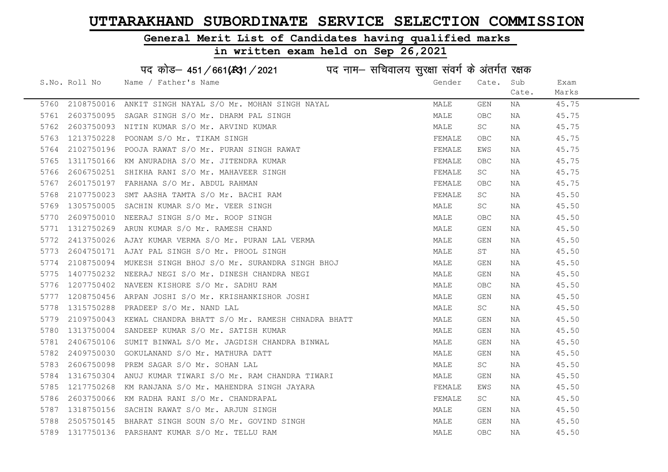#### General Merit List of Candidates having qualified marks

#### in written exam held on Sep 26,2021

S.No. Roll No Wame / Father's Name Gender Cate. Sub Cate. Exam Marks पद कोड– 451/661(स्था) / 2021 विद्युत्त नाम– सचिवालय सुरक्षा संवर्ग के अंतर्गत रक्षक 5760 2108750016 ANKIT SINGH NAYAL S/O Mr. MOHAN SINGH NAYAL MANAN MALE GEN NA 45.75 5761 2603750095 SAGAR SINGH S/O Mr. DHARM PAL SINGH MALE OBC NA 45.75 5762 2603750093 NITIN KUMAR S/O Mr. ARVIND KUMAR MALE SC NA 45.75 5763 1213750228 POONAM S/O Mr. TIKAM SINGH FEMALE OBC NA 45.75 5764 2102750196 POOJARAWAT S/O Mr. PURAN SINGH RAWAT TEMALE EWS NA THEMALE EWS NA 45.75 5765 1311750166 KM ANURADHA S/O Mr. JITENDRA KUMAR FEMALE OBC NA 45.75 5766 2606750251 SHIKHA RANI S/O Mr. MAHAVEER SINGH FEMALE SC NA 45.75 5767 2601750197 FARHANA S/O Mr. ABDUL RAHMAN FEMALE OBC NA 45.75 5768 2107750023 SMT AASHA TAMTA S/O Mr. BACHI RAM FEMALE SC NA 45.50 5769 1305750005 SACHIN KUMAR S/O Mr. VEER SINGH MALE SC NA 45.50 5770 2609750010 NEERAJ SINGH S/O Mr. ROOP SINGH MALE OBC NA 45.50 5771 1312750269 ARUN KUMAR S/O Mr. RAMESH CHAND MALE GEN NA 45.50 5772 2413750026 AJAY KUMAR VERMA S/O Mr. PURAN LAL VERMA MAN MALE GEN NA 45.50 5773 2604750171 AJAY PAL SINGH S/O Mr. PHOOL SINGH MALE ST NA 45.50 5774 2108750094 MUKESH SINGH BHOJ S/O Mr. SURANDRA SINGH BHOJ MALE GEN NA 45.50 5775 1407750232 NEERAJ NEGI S/O Mr. DINESH CHANDRA NEGI MALE GEN NA 45.50 5776 1207750402 NAVEEN KISHORE S/O Mr. SADHU RAM MANA MALE OBC NA 45.50 5777 1208750456 ARPAN JOSHI S/O Mr. KRISHANKISHOR JOSHI MALE GEN NA 45.50 5778 1315750288 PRADEEP S/O Mr. NAND LAL MALE SC NA 45.50 5779 2109750043 KEWAL CHANDRA BHATT S/O Mr. RAMESH CHNADRA BHATT MALE GEN NA 45.50 5780 1313750004 SANDEEP KUMAR S/O Mr. SATISH KUMAR MARRE MANA MALE GEN NA 45.50 5781 2406750106 SUMIT BINWAL S/O Mr. JAGDISH CHANDRA BINWAL MAN MALE GEN NA 45.50 5782 2409750030 GOKULANAND S/O Mr. MATHURA DATT MALE GEN NA 45.50 5783 2606750098 PREM SAGAR S/O Mr. SOHAN LAL MALE SC NA 45.50 5784 1316750304 ANUJ KUMAR TIWARI S/O Mr. RAM CHANDRA TIWARI MAN MALE GEN NA 45.50 5785 1217750268 KM RANJANA S/O Mr. MAHENDRA SINGH JAYARA FRANTING SHANDALE EWS NA 45.50 5786 2603750066 KM RADHA RANI S/O Mr. CHANDRAPAL FEMAL FEMALE SC NA 45.50 5787 1318750156 SACHIN RAWAT S/O Mr. ARJUN SINGH MALE GEN NA 45.50 5788 2505750145 BHARAT SINGH SOUN S/O Mr. GOVIND SINGH MALE GEN NA 45.50 5789 1317750136 PARSHANT KUMAR S/O Mr. TELLU RAM MALE OBC NA 45.50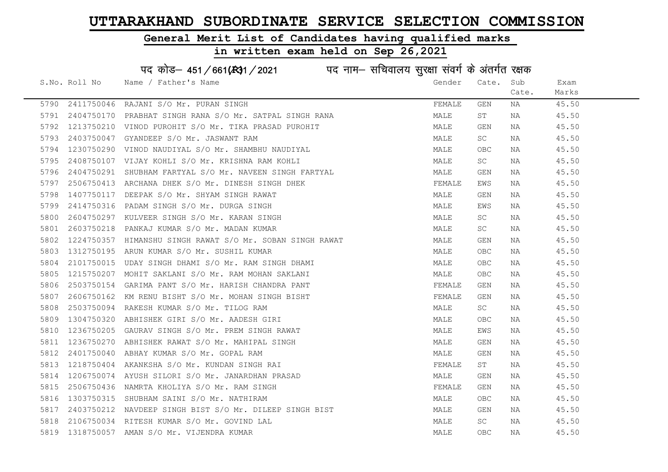#### General Merit List of Candidates having qualified marks

|      |               | पद कोड़- 451/661(431/2021 पद नाम- सचिवालय सुरक्षा संवर्ग के अंतर्गत रक्षक |        |                                  |       |       |
|------|---------------|---------------------------------------------------------------------------|--------|----------------------------------|-------|-------|
|      | S.No. Roll No | Name / Father's Name                                                      | Gender | Cate.                            | Sub   | Exam  |
|      |               |                                                                           |        |                                  | Cate. | Marks |
| 5790 |               | 2411750046 RAJANI S/O Mr. PURAN SINGH                                     | FEMALE | GEN                              | NA    | 45.50 |
| 5791 | 2404750170    | PRABHAT SINGH RANA S/O Mr. SATPAL SINGH RANA                              | MALE   | ST                               | NA    | 45.50 |
| 5792 | 1213750210    | VINOD PUROHIT S/O Mr. TIKA PRASAD PUROHIT                                 | MALE   | GEN                              | NA    | 45.50 |
| 5793 | 2403750047    | GYANDEEP S/O Mr. JASWANT RAM                                              | MALE   | SC                               | NA    | 45.50 |
| 5794 | 1230750290    | VINOD NAUDIYAL S/O Mr. SHAMBHU NAUDIYAL                                   | MALE   | <b>OBC</b>                       | NA    | 45.50 |
| 5795 |               | 2408750107 VIJAY KOHLI S/O Mr. KRISHNA RAM KOHLI                          | MALE   | SC                               | NA    | 45.50 |
| 5796 | 2404750291    | SHUBHAM FARTYAL S/O Mr. NAVEEN SINGH FARTYAL                              | MALE   | GEN                              | NA    | 45.50 |
| 5797 | 2506750413    | ARCHANA DHEK S/O Mr. DINESH SINGH DHEK                                    | FEMALE | EWS                              | NA    | 45.50 |
| 5798 | 1407750117    | DEEPAK S/O Mr. SHYAM SINGH RAWAT                                          | MALE   | GEN                              | NA    | 45.50 |
| 5799 | 2414750316    | PADAM SINGH S/O Mr. DURGA SINGH                                           | MALE   | EWS                              | NA    | 45.50 |
| 5800 | 2604750297    | KULVEER SINGH S/O Mr. KARAN SINGH                                         | MALE   | SC                               | NA    | 45.50 |
| 5801 | 2603750218    | PANKAJ KUMAR S/O Mr. MADAN KUMAR                                          | MALE   | SC                               | NA    | 45.50 |
| 5802 | 1224750357    | HIMANSHU SINGH RAWAT S/O Mr. SOBAN SINGH RAWAT                            | MALE   | GEN                              | NA    | 45.50 |
| 5803 |               | 1312750195 ARUN KUMAR S/O Mr. SUSHIL KUMAR                                | MALE   | <b>OBC</b>                       | NA    | 45.50 |
| 5804 | 2101750015    | UDAY SINGH DHAMI S/O Mr. RAM SINGH DHAMI                                  | MALE   | OBC                              | NA    | 45.50 |
| 5805 | 1215750207    | MOHIT SAKLANI S/O Mr. RAM MOHAN SAKLANI                                   | MALE   | $\mathsf{O}\mathsf{B}\mathsf{C}$ | NA    | 45.50 |
| 5806 | 2503750154    | GARIMA PANT S/O Mr. HARISH CHANDRA PANT                                   | FEMALE | GEN                              | NA    | 45.50 |
| 5807 | 2606750162    | KM RENU BISHT S/O Mr. MOHAN SINGH BISHT                                   | FEMALE | GEN                              | NA    | 45.50 |
| 5808 | 2503750094    | RAKESH KUMAR S/O Mr. TILOG RAM                                            | MALE   | SC                               | ΝA    | 45.50 |
| 5809 | 1304750320    | ABHISHEK GIRI S/O Mr. AADESH GIRI                                         | MALE   | OBC                              | NA    | 45.50 |
| 5810 | 1236750205    | GAURAV SINGH S/O Mr. PREM SINGH RAWAT                                     | MALE   | EWS                              | NA    | 45.50 |
| 5811 |               | 1236750270 ABHISHEK RAWAT S/O Mr. MAHIPAL SINGH                           | MALE   | GEN                              | NA    | 45.50 |
| 5812 | 2401750040    | ABHAY KUMAR S/O Mr. GOPAL RAM                                             | MALE   | GEN                              | NA    | 45.50 |
| 5813 | 1218750404    | AKANKSHA S/O Mr. KUNDAN SINGH RAI                                         | FEMALE | ST                               | NA    | 45.50 |
| 5814 | 1206750074    | AYUSH SILORI S/O Mr. JANARDHAN PRASAD                                     | MALE   | GEN                              | NA    | 45.50 |
| 5815 | 2506750436    | NAMRTA KHOLIYA S/O Mr. RAM SINGH                                          | FEMALE | GEN                              | NA    | 45.50 |
| 5816 | 1303750315    | SHUBHAM SAINI S/O Mr. NATHIRAM                                            | MALE   | OBC                              | NA    | 45.50 |
| 5817 |               | 2403750212 NAVDEEP SINGH BIST S/O Mr. DILEEP SINGH BIST                   | MALE   | GEN                              | NA    | 45.50 |
| 5818 |               | 2106750034 RITESH KUMAR S/O Mr. GOVIND LAL                                | MALE   | SC                               | NA    | 45.50 |
| 5819 |               | 1318750057 AMAN S/O Mr. VIJENDRA KUMAR                                    | MALE   | OBC                              | ΝA    | 45.50 |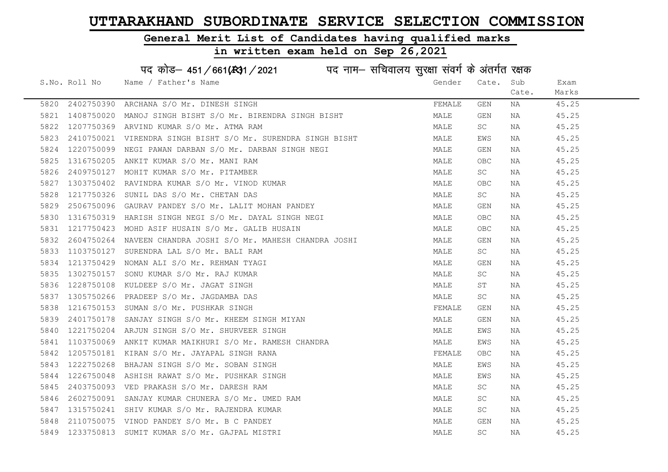#### General Merit List of Candidates having qualified marks

|      |               | पद कोड़– 451/661(431/2021 पद नाम– सचिवालय सुरक्षा संवर्ग के अंतर्गत रक्षक |        |                     |       |       |
|------|---------------|---------------------------------------------------------------------------|--------|---------------------|-------|-------|
|      | S.No. Roll No | Name / Father's Name                                                      | Gender | Cate.               | Sub   | Exam  |
|      |               |                                                                           |        |                     | Cate. | Marks |
| 5820 | 2402750390    | ARCHANA S/O Mr. DINESH SINGH                                              | FEMALE | GEN                 | NA    | 45.25 |
| 5821 | 1408750020    | MANOJ SINGH BISHT S/O Mr. BIRENDRA SINGH BISHT                            | MALE   | GEN                 | NA    | 45.25 |
| 5822 | 1207750369    | ARVIND KUMAR S/O Mr. ATMA RAM                                             | MALE   | SC                  | NA    | 45.25 |
| 5823 | 2410750021    | VIRENDRA SINGH BISHT S/O Mr. SURENDRA SINGH BISHT                         | MALE   | EWS                 | NA    | 45.25 |
| 5824 | 1220750099    | NEGI PAWAN DARBAN S/O Mr. DARBAN SINGH NEGI                               | MALE   | GEN                 | NA    | 45.25 |
| 5825 | 1316750205    | ANKIT KUMAR S/O Mr. MANI RAM                                              | MALE   | <b>OBC</b>          | NA    | 45.25 |
| 5826 | 2409750127    | MOHIT KUMAR S/O Mr. PITAMBER                                              | MALE   | SC                  | NA    | 45.25 |
| 5827 | 1303750402    | RAVINDRA KUMAR S/O Mr. VINOD KUMAR                                        | MALE   | <b>OBC</b>          | NA    | 45.25 |
| 5828 | 1217750326    | SUNIL DAS S/O Mr. CHETAN DAS                                              | MALE   | <b>SC</b>           | NA    | 45.25 |
| 5829 | 2506750096    | GAURAV PANDEY S/O Mr. LALIT MOHAN PANDEY                                  | MALE   | GEN                 | NA    | 45.25 |
| 5830 | 1316750319    | HARISH SINGH NEGI S/O Mr. DAYAL SINGH NEGI                                | MALE   | <b>OBC</b>          | NA    | 45.25 |
| 5831 | 1217750423    | MOHD ASIF HUSAIN S/O Mr. GALIB HUSAIN                                     | MALE   | <b>OBC</b>          | NA    | 45.25 |
| 5832 | 2604750264    | NAVEEN CHANDRA JOSHI S/O Mr. MAHESH CHANDRA JOSHI                         | MALE   | GEN                 | NA    | 45.25 |
| 5833 | 1103750127    | SURENDRA LAL S/O Mr. BALI RAM                                             | MALE   | SC                  | NA    | 45.25 |
| 5834 | 1213750429    | NOMAN ALI S/O Mr. REHMAN TYAGI                                            | MALE   | GEN                 | NA    | 45.25 |
| 5835 | 1302750157    | SONU KUMAR S/O Mr. RAJ KUMAR                                              | MALE   | $\operatorname{SC}$ | NA    | 45.25 |
| 5836 | 1228750108    | KULDEEP S/O Mr. JAGAT SINGH                                               | MALE   | ST                  | NA    | 45.25 |
| 5837 | 1305750266    | PRADEEP S/O Mr. JAGDAMBA DAS                                              | MALE   | SC                  | NA    | 45.25 |
| 5838 | 1216750153    | SUMAN S/O Mr. PUSHKAR SINGH                                               | FEMALE | GEN                 | NA    | 45.25 |
| 5839 | 2401750178    | SANJAY SINGH S/O Mr. KHEEM SINGH MIYAN                                    | MALE   | GEN                 | NA    | 45.25 |
| 5840 |               | 1221750204 ARJUN SINGH S/O Mr. SHURVEER SINGH                             | MALE   | EWS                 | NA    | 45.25 |
| 5841 | 1103750069    | ANKIT KUMAR MAIKHURI S/O Mr. RAMESH CHANDRA                               | MALE   | EWS                 | NA    | 45.25 |
| 5842 | 1205750181    | KIRAN S/O Mr. JAYAPAL SINGH RANA                                          | FEMALE | OBC                 | NA    | 45.25 |
| 5843 | 1222750268    | BHAJAN SINGH S/O Mr. SOBAN SINGH                                          | MALE   | EWS                 | NA    | 45.25 |
| 5844 | 1226750048    | ASHISH RAWAT S/O Mr. PUSHKAR SINGH                                        | MALE   | EWS                 | NA    | 45.25 |
| 5845 |               | 2403750093 VED PRAKASH S/O Mr. DARESH RAM                                 | MALE   | SC                  | NA    | 45.25 |
| 5846 | 2602750091    | SANJAY KUMAR CHUNERA S/O Mr. UMED RAM                                     | MALE   | SC                  | NA    | 45.25 |
| 5847 |               | 1315750241 SHIV KUMAR S/O Mr. RAJENDRA KUMAR                              | MALE   | SC                  | NA    | 45.25 |
| 5848 | 2110750075    | VINOD PANDEY S/O Mr. B C PANDEY                                           | MALE   | GEN                 | NA    | 45.25 |
| 5849 | 1233750813    | SUMIT KUMAR S/O Mr. GAJPAL MISTRI                                         | MALE   | $\operatorname{SC}$ | ΝA    | 45.25 |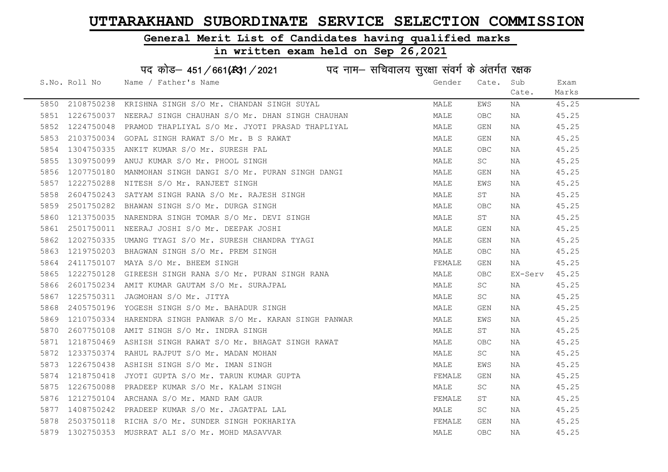#### General Merit List of Candidates having qualified marks

|      |               | पद कोड़- 451/661(स्था / 2021 विद्युत्तम- सचिवालय सुरक्षा संवर्ग के अंतर्गत रक्षक |        |            |         |       |
|------|---------------|----------------------------------------------------------------------------------|--------|------------|---------|-------|
|      | S.No. Roll No | Name / Father's Name                                                             | Gender | Cate.      | Sub     | Exam  |
|      |               |                                                                                  |        |            | Cate.   | Marks |
| 5850 |               | 2108750238 KRISHNA SINGH S/O Mr. CHANDAN SINGH SUYAL                             | MALE   | EWS        | ΝA      | 45.25 |
| 5851 | 1226750037    | NEERAJ SINGH CHAUHAN S/O Mr. DHAN SINGH CHAUHAN                                  | MALE   | OBC        | NA      | 45.25 |
| 5852 | 1224750048    | PRAMOD THAPLIYAL S/O Mr. JYOTI PRASAD THAPLIYAL                                  | MALE   | GEN        | NA      | 45.25 |
| 5853 | 2103750034    | GOPAL SINGH RAWAT S/O Mr. B S RAWAT                                              | MALE   | GEN        | NA      | 45.25 |
| 5854 | 1304750335    | ANKIT KUMAR S/O Mr. SURESH PAL                                                   | MALE   | OBC        | NA      | 45.25 |
| 5855 | 1309750099    | ANUJ KUMAR S/O Mr. PHOOL SINGH                                                   | MALE   | SC         | NA      | 45.25 |
| 5856 | 1207750180    | MANMOHAN SINGH DANGI S/O Mr. PURAN SINGH DANGI                                   | MALE   | GEN        | NA      | 45.25 |
| 5857 | 1222750288    | NITESH S/O Mr. RANJEET SINGH                                                     | MALE   | EWS        | NA      | 45.25 |
| 5858 | 2604750243    | SATYAM SINGH RANA S/O Mr. RAJESH SINGH                                           | MALE   | ST         | NA      | 45.25 |
| 5859 | 2501750282    | BHAWAN SINGH S/O Mr. DURGA SINGH                                                 | MALE   | OBC        | NA      | 45.25 |
| 5860 | 1213750035    | NARENDRA SINGH TOMAR S/O Mr. DEVI SINGH                                          | MALE   | ST         | NA      | 45.25 |
| 5861 | 2501750011    | NEERAJ JOSHI S/O Mr. DEEPAK JOSHI                                                | MALE   | GEN        | NA      | 45.25 |
| 5862 | 1202750335    | UMANG TYAGI S/O Mr. SURESH CHANDRA TYAGI                                         | MALE   | GEN        | NA      | 45.25 |
| 5863 |               | 1219750203 BHAGWAN SINGH S/O Mr. PREM SINGH                                      | MALE   | OBC        | NA      | 45.25 |
| 5864 | 2411750107    | MAYA S/O Mr. BHEEM SINGH                                                         | FEMALE | GEN        | NA      | 45.25 |
| 5865 | 1222750128    | GIREESH SINGH RANA S/O Mr. PURAN SINGH RANA                                      | MALE   | OBC        | EX-Serv | 45.25 |
| 5866 | 2601750234    | AMIT KUMAR GAUTAM S/O Mr. SURAJPAL                                               | MALE   | SC         | NA      | 45.25 |
| 5867 | 1225750311    | JAGMOHAN S/O Mr. JITYA                                                           | MALE   | SC         | NA      | 45.25 |
| 5868 | 2405750196    | YOGESH SINGH S/O Mr. BAHADUR SINGH                                               | MALE   | GEN        | NA      | 45.25 |
| 5869 | 1210750334    | HARENDRA SINGH PANWAR S/O Mr. KARAN SINGH PANWAR                                 | MALE   | EWS        | NA      | 45.25 |
| 5870 | 2607750108    | AMIT SINGH S/O Mr. INDRA SINGH                                                   | MALE   | ST         | NA      | 45.25 |
| 5871 | 1218750469    | ASHISH SINGH RAWAT S/O Mr. BHAGAT SINGH RAWAT                                    | MALE   | OBC        | NA      | 45.25 |
| 5872 | 1233750374    | RAHUL RAJPUT S/O Mr. MADAN MOHAN                                                 | MALE   | SC         | ΝA      | 45.25 |
| 5873 | 1226750438    | ASHISH SINGH S/O Mr. IMAN SINGH                                                  | MALE   | EWS        | NA      | 45.25 |
| 5874 | 1218750418    | JYOTI GUPTA S/O Mr. TARUN KUMAR GUPTA                                            | FEMALE | GEN        | NA      | 45.25 |
| 5875 | 1226750088    | PRADEEP KUMAR S/O Mr. KALAM SINGH                                                | MALE   | SC         | NA      | 45.25 |
| 5876 |               | 1212750104 ARCHANA S/O Mr. MAND RAM GAUR                                         | FEMALE | SΤ         | NA      | 45.25 |
| 5877 |               | 1408750242 PRADEEP KUMAR S/O Mr. JAGATPAL LAL                                    | MALE   | SC         | NA      | 45.25 |
| 5878 |               | 2503750118 RICHA S/O Mr. SUNDER SINGH POKHARIYA                                  | FEMALE | <b>GEN</b> | NA      | 45.25 |
| 5879 |               | 1302750353 MUSRRAT ALI S/O Mr. MOHD MASAVVAR                                     | MALE   | OBC        | ΝA      | 45.25 |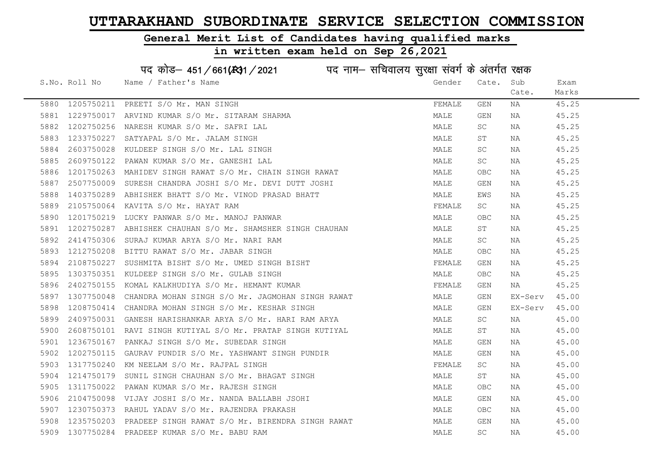#### General Merit List of Candidates having qualified marks

in written exam held on Sep 26,2021

S.No. Roll No Wame / Father's Name Gender Cate. Sub Cate. Exam Marks पद कोड– 451/661(स्था) / 2021 विद्युत्त नाम– सचिवालय सुरक्षा संवर्ग के अंतर्गत रक्षक 5880 1205750211 PREETI S/O Mr. MAN SINGH FEMALE GEN NA 45.25 5881 1229750017 ARVIND KUMAR S/O Mr. SITARAM SHARMA MALE GEN NA 45.25 5882 1202750256 NARESH KUMAR S/O Mr. SAFRI LAL MALE SC NA 45.25 5883 1233750227 SATYAPAL S/O Mr. JALAM SINGH MALE ST NA 45.25 5884 2603750028 KULDEEP SINGH S/O Mr. LAL SINGH MALE SC NA 45.25 5885 2609750122 PAWAN KUMAR S/O Mr. GANESHI LAL MALE SC NA 45.25 5886 1201750263 MAHIDEV SINGH RAWAT S/O Mr. CHAIN SINGH RAWAT MALE OBC NA 45.25 5887 2507750009 SURESH CHANDRA JOSHI S/O Mr. DEVI DUTT JOSHI MALE GEN NA 45.25 5888 1403750289 ABHISHEK BHATT S/O Mr. VINOD PRASAD BHATT MALE EWS NA 45.25 5889 2105750064 KAVITA S/O Mr. HAYAT RAM FEMALE SC NA 45.25 5890 1201750219 LUCKY PANWAR S/O Mr. MANOJ PANWAR MALE OBC NA 45.25 5891 1202750287 ABHISHEK CHAUHAN S/O Mr. SHAMSHER SINGH CHAUHAN MALE ST NA 45.25 5892 2414750306 SURAJ KUMAR ARYA S/O Mr. NARI RAM MALE SC NA 45.25 5893 1212750208 BITTU RAWAT S/O Mr. JABAR SINGH MALE OBC NA 45.25 5894 2108750227 SUSHMITA BISHT S/O Mr. UMED SINGH BISHT FRANCH STRANGH REMALE GEN NA 45.25 5895 1303750351 KULDEEP SINGH S/O Mr. GULAB SINGH MALE OBC NA 45.25 5896 2402750155 KOMAL KALKHUDIYA S/O Mr. HEMANT KUMAR FEMAL FEMALE GEN NA 45.25 5897 1307750048 CHANDRA MOHAN SINGH S/O Mr. JAGMOHAN SINGH RAWAT MALE GEN EX-Serv 45.00 5898 1208750414 CHANDRA MOHAN SINGH S/O Mr. KESHAR SINGH MALE GEN EX-Serv 45.00 5899 2409750031 GANESH HARISHANKAR ARYA S/O Mr. HARI RAM ARYA MALE SC NA 45.00 5900 2608750101 RAVI SINGH KUTIYAL S/O Mr. PRATAP SINGH KUTIYAL MALE ST NA 45.00 5901 1236750167 PANKAJ SINGH S/O Mr. SUBEDAR SINGH MALE GEN NA 45.00 5902 1202750115 GAURAV PUNDIR S/O Mr. YASHWANT SINGH PUNDIR MANA MALE GEN NA 45.00 5903 1317750240 KM NEELAM S/O Mr. RAJPAL SINGH FEMAL SO SEEMALE SC NA 45.00 5904 1214750179 SUNIL SINGH CHAUHAN S/O Mr. BHAGAT SINGH MAN MALE ST NA 45.00 5905 1311750022 PAWAN KUMAR S/O Mr. RAJESH SINGH MALE OBC NA 45.00 5906 2104750098 VIJAY JOSHI S/O Mr. NANDA BALLABH JSOHI MALE GEN NA 45.00 5907 1230750373 RAHUL YADAV S/O Mr. RAJENDRA PRAKASH MALE OBC NA 45.00 5908 1235750203 PRADEEP SINGH RAWAT S/O Mr. BIRENDRA SINGH RAWAT MALE GEN NA 45.00 5909 1307750284 PRADEEP KUMAR S/O Mr. BABU RAM MALE SC NA 45.00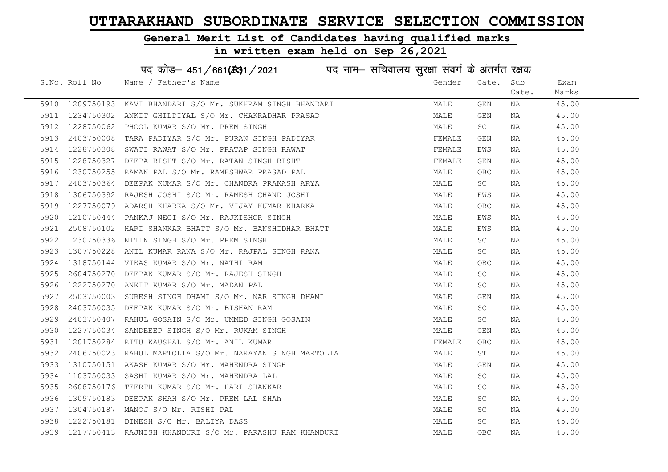### General Merit List of Candidates having qualified marks

|      |               | पद कोड़– 451/661(131/2021 पद नाम– सचिवालय सुरक्षा संवर्ग के अंतर्गत रक्षक |        |                     |       |       |
|------|---------------|---------------------------------------------------------------------------|--------|---------------------|-------|-------|
|      | S.No. Roll No | Name / Father's Name                                                      | Gender | Cate.               | Sub   | Exam  |
|      |               |                                                                           |        |                     | Cate. | Marks |
| 5910 | 1209750193    | KAVI BHANDARI S/O Mr. SUKHRAM SINGH BHANDARI                              | MALE   | GEN                 | NA    | 45.00 |
| 5911 | 1234750302    | ANKIT GHILDIYAL S/O Mr. CHAKRADHAR PRASAD                                 | MALE   | GEN                 | NA    | 45.00 |
| 5912 | 1228750062    | PHOOL KUMAR S/O Mr. PREM SINGH                                            | MALE   | SC                  | NA    | 45.00 |
| 5913 | 2403750008    | TARA PADIYAR S/O Mr. PURAN SINGH PADIYAR                                  | FEMALE | GEN                 | NA    | 45.00 |
| 5914 | 1228750308    | SWATI RAWAT S/O Mr. PRATAP SINGH RAWAT                                    | FEMALE | EWS                 | NA    | 45.00 |
| 5915 | 1228750327    | DEEPA BISHT S/O Mr. RATAN SINGH BISHT                                     | FEMALE | GEN                 | NA    | 45.00 |
| 5916 | 1230750255    | RAMAN PAL S/O Mr. RAMESHWAR PRASAD PAL                                    | MALE   | OBC                 | ΝA    | 45.00 |
| 5917 | 2403750364    | DEEPAK KUMAR S/O Mr. CHANDRA PRAKASH ARYA                                 | MALE   | SC                  | ΝA    | 45.00 |
| 5918 | 1306750392    | RAJESH JOSHI S/O Mr. RAMESH CHAND JOSHI                                   | MALE   | EWS                 | NA    | 45.00 |
| 5919 | 1227750079    | ADARSH KHARKA S/O Mr. VIJAY KUMAR KHARKA                                  | MALE   | OBC                 | NA    | 45.00 |
| 5920 | 1210750444    | PANKAJ NEGI S/O Mr. RAJKISHOR SINGH                                       | MALE   | EWS                 | NA    | 45.00 |
| 5921 | 2508750102    | HARI SHANKAR BHATT S/O Mr. BANSHIDHAR BHATT                               | MALE   | EWS                 | NA    | 45.00 |
| 5922 | 1230750336    | NITIN SINGH S/O Mr. PREM SINGH                                            | MALE   | SC                  | NA    | 45.00 |
| 5923 | 1307750228    | ANIL KUMAR RANA S/O Mr. RAJPAL SINGH RANA                                 | MALE   | $\operatorname{SC}$ | ΝA    | 45.00 |
| 5924 | 1318750144    | VIKAS KUMAR S/O Mr. NATHI RAM                                             | MALE   | OBC                 | ΝA    | 45.00 |
| 5925 | 2604750270    | DEEPAK KUMAR S/O Mr. RAJESH SINGH                                         | MALE   | SC                  | ΝA    | 45.00 |
| 5926 | 1222750270    | ANKIT KUMAR S/O Mr. MADAN PAL                                             | MALE   | SC                  | ΝA    | 45.00 |
| 5927 | 2503750003    | SURESH SINGH DHAMI S/O Mr. NAR SINGH DHAMI                                | MALE   | GEN                 | ΝA    | 45.00 |
| 5928 | 2403750035    | DEEPAK KUMAR S/O Mr. BISHAN RAM                                           | MALE   | SC                  | ΝA    | 45.00 |
| 5929 | 2403750407    | RAHUL GOSAIN S/O Mr. UMMED SINGH GOSAIN                                   | MALE   | SC                  | ΝA    | 45.00 |
| 5930 | 1227750034    | SANDEEEP SINGH S/O Mr. RUKAM SINGH                                        | MALE   | GEN                 | NA    | 45.00 |
| 5931 | 1201750284    | RITU KAUSHAL S/O Mr. ANIL KUMAR                                           | FEMALE | OBC                 | NA    | 45.00 |
| 5932 | 2406750023    | RAHUL MARTOLIA S/O Mr. NARAYAN SINGH MARTOLIA                             | MALE   | $\operatorname{ST}$ | ΝA    | 45.00 |
| 5933 | 1310750151    | AKASH KUMAR S/O Mr. MAHENDRA SINGH                                        | MALE   | GEN                 | ΝA    | 45.00 |
| 5934 | 1103750033    | SASHI KUMAR S/O Mr. MAHENDRA LAL                                          | MALE   | SC                  | NA    | 45.00 |
| 5935 | 2608750176    | TEERTH KUMAR S/O Mr. HARI SHANKAR                                         | MALE   | SC                  | NA    | 45.00 |
| 5936 | 1309750183    | DEEPAK SHAH S/O Mr. PREM LAL SHAh                                         | MALE   | SC                  | ΝA    | 45.00 |
| 5937 | 1304750187    | MANOJ S/O Mr. RISHI PAL                                                   | MALE   | SC                  | ΝA    | 45.00 |
| 5938 | 1222750181    | DINESH S/O Mr. BALIYA DASS                                                | MALE   | $\operatorname{SC}$ | ΝA    | 45.00 |
| 5939 |               | 1217750413 RAJNISH KHANDURI S/O Mr. PARASHU RAM KHANDURI                  | MALE   | <b>OBC</b>          | ΝA    | 45.00 |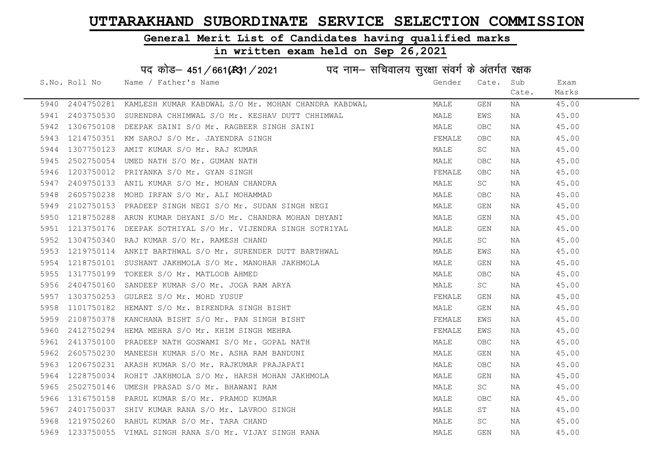#### General Merit List of Candidates having qualified marks

## in written exam held on Sep 26,2021

# पद कोड– 451/661(स्था/2021 विद्युत्तम- सचिवालय सुरक्षा संवर्ग के अंतर्गत रक्षक

|      | S.No. Roll No | Name / Father's Name                                                                                                                                                                          | Gender | Cate.      | Sub   | Exam  |
|------|---------------|-----------------------------------------------------------------------------------------------------------------------------------------------------------------------------------------------|--------|------------|-------|-------|
|      |               |                                                                                                                                                                                               |        |            | Cate. | Marks |
|      |               | 5940 2404750281 KAMLESH KUMAR KABDWAL S/O Mr. MOHAN CHANDRA KABDWAL                                                                                                                           | MALE   | GEN        | NA    | 45.00 |
|      |               | 5941  2403750530  SURENDRA CHHIMWAL S/O Mr. KESHAV DUTT CHHIMWAL                                                                                                                              | MALE   | EWS        | NA    | 45.00 |
| 5942 |               | 1306750108 DEEPAK SAINI S/O Mr. RAGBEER SINGH SAINI                                                                                                                                           | MALE   | OBC        | NA    | 45.00 |
| 5943 |               | 1214750351 KM SAROJ S/O Mr. JAYENDRA SINGH                                                                                                                                                    | FEMALE | <b>OBC</b> | NA    | 45.00 |
| 5944 |               | 1307750123 AMIT KUMAR S/O Mr. RAJ KUMAR                                                                                                                                                       | MALE   | <b>SC</b>  | NA    | 45.00 |
| 5945 | 2502750054    | UMED NATH S/O Mr. GUMAN NATH                                                                                                                                                                  | MALE   | <b>OBC</b> | NA    | 45.00 |
| 5946 |               | 1203750012 PRIYANKA S/O Mr. GYAN SINGH                                                                                                                                                        | FEMALE | <b>OBC</b> | NA    | 45.00 |
| 5947 |               | 2409750133 ANIL KUMAR S/O Mr. MOHAN CHANDRA                                                                                                                                                   | MALE   | SC.        | NA    | 45.00 |
| 5948 |               | 2605750238 MOHD IRFAN S/O Mr. ALI MOHAMMAD                                                                                                                                                    | MALE   | OBC        | NA    | 45.00 |
| 5949 |               | 2102750153 PRADEEP SINGH NEGI S/O Mr. SUDAN SINGH NEGI                                                                                                                                        | MALE   | GEN        | NA    | 45.00 |
| 5950 |               | 1218750288 ARUN KUMAR DHYANI S/O Mr. CHANDRA MOHAN DHYANI                                                                                                                                     | MALE   | GEN        | NA    | 45.00 |
|      |               | 5951 1213750176 DEEPAK SOTHIYAL S/O Mr. VIJENDRA SINGH SOTHIYAL                                                                                                                               | MALE   | GEN        | NA    | 45.00 |
|      |               | 5952 1304750340 RAJ KUMAR S/O Mr. RAMESH CHAND                                                                                                                                                | MALE   | SC.        | NA    | 45.00 |
| 5953 |               | 1219750114 ANKIT BARTHWAL S/O Mr. SURENDER DUTT BARTHWAL                                                                                                                                      | MALE   | EWS        | NA    | 45.00 |
| 5954 |               | 1218750101 SUSHANT JAKHMOLA S/O Mr. MANOHAR JAKHMOLA                                                                                                                                          | MALE   | GEN        | NA    | 45.00 |
| 5955 |               | 1317750199 TOKEER S/O Mr. MATLOOB AHMED                                                                                                                                                       | MALE   | <b>OBC</b> | NA    | 45.00 |
| 5956 |               | 2404750160 SANDEEP KUMAR S/O Mr. JOGA RAM ARYA<br>1303750253 GULREZ S/O Mr. MOHD YUSUF<br>1101750182 HEMANT S/O Mr. BIRENDRA SINGH BISHT<br>2108750378 KANCHANA BISHT S/O Mr. PAN SINGH BISHT | MALE   | SC         | NA    | 45.00 |
|      |               | 5957 1303750253 GULREZ S/O Mr. MOHD YUSUF                                                                                                                                                     | FEMALE | GEN        | NA    | 45.00 |
| 5958 |               |                                                                                                                                                                                               | MALE   | GEN        | NA    | 45.00 |
| 5959 |               |                                                                                                                                                                                               | FEMALE | EWS        | NA    | 45.00 |
| 5960 |               | 2412750294 HEMA MEHRA S/O Mr. KHIM SINGH MEHRA                                                                                                                                                | FEMALE | EWS        | NA    | 45.00 |
| 5961 |               | 2413750100 PRADEEP NATH GOSWAMI S/O Mr. GOPAL NATH                                                                                                                                            | MALE   | <b>OBC</b> | NA    | 45.00 |
| 5962 |               | 2605750230 MANEESH KUMAR S/O Mr. ASHA RAM BANDUNI                                                                                                                                             | MALE   | GEN        | NA    | 45.00 |
|      |               | 5963 1206750231 AKASH KUMAR S/O Mr. RAJKUMAR PRAJAPATI                                                                                                                                        | MALE   | <b>OBC</b> | NA    | 45.00 |
| 5964 |               | 1228750034 ROHIT JAKHMOLA S/O Mr. HARSH MOHAN JAKHMOLA                                                                                                                                        | MALE   | GEN        | NA    | 45.00 |
| 5965 |               | 2502750146 UMESH PRASAD S/O Mr. BHAWANI RAM                                                                                                                                                   | MALE   | SC         | NA    | 45.00 |
| 5966 |               |                                                                                                                                                                                               | MALE   | OBC        | NA    | 45.00 |
| 5967 |               |                                                                                                                                                                                               | MALE   | ST         | NA    | 45.00 |
| 5968 |               | 1316750158 PARUL KUMAR S/O Mr. PRAMOD KUMAR<br>2401750037 SHIV KUMAR RANA S/O Mr. LAVROO SINGH<br>1219750260 RAHUL KUMAR S/O Mr. TARA CHAND<br>1219750260 RAHUL KUMAR S/O Mr. TARA CHAND      | MALE   | <b>SC</b>  | NA    | 45.00 |
|      |               | 5969 1233750055 VIMAL SINGH RANA S/O Mr. VIJAY SINGH RANA                                                                                                                                     | MALE   | <b>GEN</b> | NA    | 45.00 |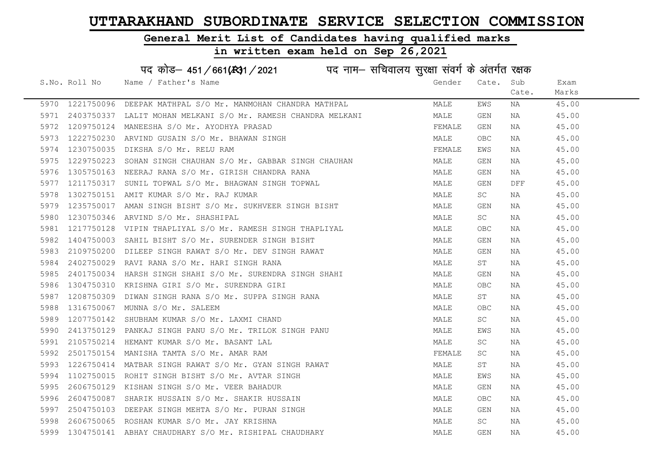#### General Merit List of Candidates having qualified marks

#### in written exam held on Sep 26,2021

S.No. Roll No Wame / Father's Name Gender Cate. Sub Cate. Exam Marks पद कोड– 451/661(स्था/2021 पद नाम– सचिवालय सुरक्षा संवर्ग के अंतर्गत रक्षक 5970 1221750096 DEEPAK MATHPAL S/O Mr. MANMOHAN CHANDRA MATHPAL MANILLAND MALE EWS NA 45.00 5971 2403750337 LALIT MOHAN MELKANI S/O Mr. RAMESH CHANDRA MELKANI MALE GEN NA 45.00 5972 1209750124 MANEESHA S/O Mr. AYODHYA PRASAD SAN SANG TEMALE GEN NA 45.00 5973 1222750230 ARVIND GUSAIN S/O Mr. BHAWAN SINGH MALE OBC NA 45.00 5974 1230750035 DIKSHA S/O Mr. RELU RAM FEMALE EWS NA 45.00 5975 1229750223 SOHAN SINGH CHAUHAN S/O Mr. GABBAR SINGH CHAUHAN MALE GEN NA 45.00 5976 1305750163 NEERAJ RANA S/O Mr. GIRISH CHANDRA RANA MANA MALE GEN NA 45.00 5977 1211750317 SUNIL TOPWAL S/O Mr. BHAGWAN SINGH TOPWAL MALL MALE GEN DFF 45.00 5978 1302750151 AMIT KUMAR S/O Mr. RAJ KUMAR MALE SC NA 45.00 5979 1235750017 AMAN SINGH BISHT S/O Mr. SUKHVEER SINGH BISHT MAN MALE GEN NA 45.00 5980 1230750346 ARVIND S/O Mr. SHASHIPAL MALE SC NA 45.00 5981 1217750128 VIPIN THAPLIYAL S/O Mr. RAMESH SINGH THAPLIYAL MAN MALE OBC NA 45.00 5982 1404750003 SAHIL BISHT S/O Mr. SURENDER SINGH BISHT MALE GEN NA 45.00 5983 2109750200 DILEEP SINGH RAWAT S/O Mr. DEV SINGH RAWAT MANA MALE GEN NA 45.00 5984 2402750029 RAVI RANA S/O Mr. HARI SINGH RANA MANA MALE ST NA 45.00 5985 2401750034 HARSH SINGH SHAHI S/O Mr. SURENDRA SINGH SHAHI MAN MALE GEN NA 45.00 5986 1304750310 KRISHNA GIRI S/O Mr. SURENDRA GIRI MALE OBC NA 45.00 5987 1208750309 DIWAN SINGH RANA S/O Mr. SUPPA SINGH RANA MALE ST NA 45.00 5988 1316750067 MUNNA S/O Mr. SALEEM MALE OBC NA 45.00 5989 1207750142 SHUBHAM KUMAR S/O Mr. LAXMI CHAND MALE SC NA 45.00 5990 2413750129 PANKAJ SINGH PANU S/O Mr. TRILOK SINGH PANU MALE EWS NA 45.00 5991 2105750214 HEMANT KUMAR S/O Mr. BASANT LAL MALE SC NA 45.00 5992 2501750154 MANISHA TAMTA S/O Mr. AMAR RAM FEMALE SC NA 45.00 5993 1226750414 MATBAR SINGH RAWAT S/O Mr. GYAN SINGH RAWAT MANAT MALE ST NA 45.00 5994 1102750015 ROHIT SINGH BISHT S/O Mr. AVTAR SINGH MALE EWS NA 45.00 5995 2606750129 KISHAN SINGH S/O Mr. VEER BAHADUR MALE GEN NA 45.00 5996 2604750087 SHARIK HUSSAIN S/O Mr. SHAKIR HUSSAIN MALE OBC NA 45.00 5997 2504750103 DEEPAK SINGH MEHTA S/O Mr. PURAN SINGH MALE GEN NA 45.00 5998 2606750065 ROSHAN KUMAR S/O Mr. JAY KRISHNA MALE SC NA 45.00 5999 1304750141 ABHAY CHAUDHARY S/O Mr. RISHIPAL CHAUDHARY MAN MALE GEN NA 45.00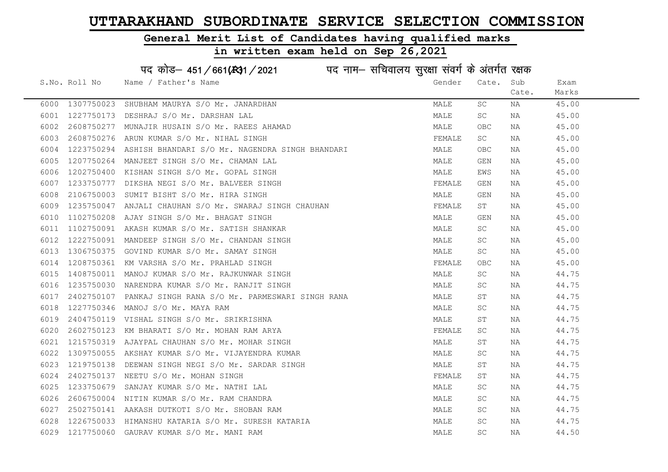#### General Merit List of Candidates having qualified marks

|      |               | पद कोड़– 451/661(431/2021 पद नाम– सचिवालय सुरक्षा संवर्ग के अंतर्गत रक्षक |        |                     |       |       |
|------|---------------|---------------------------------------------------------------------------|--------|---------------------|-------|-------|
|      | S.No. Roll No | Name / Father's Name                                                      | Gender | Cate.               | Sub   | Exam  |
|      |               |                                                                           |        |                     | Cate. | Marks |
| 6000 | 1307750023    | SHUBHAM MAURYA S/O Mr. JANARDHAN                                          | MALE   | SC                  | NA    | 45.00 |
| 6001 | 1227750173    | DESHRAJ S/O Mr. DARSHAN LAL                                               | MALE   | SC                  | NA    | 45.00 |
| 6002 | 2608750277    | MUNAJIR HUSAIN S/O Mr. RAEES AHAMAD                                       | MALE   | OBC                 | NA    | 45.00 |
| 6003 | 2608750276    | ARUN KUMAR S/O Mr. NIHAL SINGH                                            | FEMALE | SC                  | NA    | 45.00 |
| 6004 | 1223750294    | ASHISH BHANDARI S/O Mr. NAGENDRA SINGH BHANDARI                           | MALE   | <b>OBC</b>          | NA    | 45.00 |
| 6005 | 1207750264    | MANJEET SINGH S/O Mr. CHAMAN LAL                                          | MALE   | GEN                 | NA    | 45.00 |
| 6006 | 1202750400    | KISHAN SINGH S/O Mr. GOPAL SINGH                                          | MALE   | EWS                 | NA    | 45.00 |
| 6007 | 1233750777    | DIKSHA NEGI S/O Mr. BALVEER SINGH                                         | FEMALE | GEN                 | NA    | 45.00 |
| 6008 | 2106750003    | SUMIT BISHT S/O Mr. HIRA SINGH                                            | MALE   | GEN                 | NA    | 45.00 |
| 6009 | 1235750047    | ANJALI CHAUHAN S/O Mr. SWARAJ SINGH CHAUHAN                               | FEMALE | ST                  | NA    | 45.00 |
| 6010 | 1102750208    | AJAY SINGH S/O Mr. BHAGAT SINGH                                           | MALE   | GEN                 | NA    | 45.00 |
| 6011 | 1102750091    | AKASH KUMAR S/O Mr. SATISH SHANKAR                                        | MALE   | SC                  | NA    | 45.00 |
| 6012 | 1222750091    | MANDEEP SINGH S/O Mr. CHANDAN SINGH                                       | MALE   | SC                  | NA    | 45.00 |
| 6013 |               | 1306750375 GOVIND KUMAR S/O Mr. SAMAY SINGH                               | MALE   | SC                  | NA    | 45.00 |
| 6014 |               | 1208750361 KM VARSHA S/O Mr. PRAHLAD SINGH                                | FEMALE | OBC                 | NA    | 45.00 |
| 6015 | 1408750011    | MANOJ KUMAR S/O Mr. RAJKUNWAR SINGH                                       | MALE   | $\operatorname{SC}$ | NA    | 44.75 |
| 6016 | 1235750030    | NARENDRA KUMAR S/O Mr. RANJIT SINGH                                       | MALE   | SC.                 | NA    | 44.75 |
| 6017 | 2402750107    | PANKAJ SINGH RANA S/O Mr. PARMESWARI SINGH RANA                           | MALE   | ST                  | NA    | 44.75 |
| 6018 | 1227750346    | MANOJ S/O Mr. MAYA RAM                                                    | MALE   | SC                  | NA    | 44.75 |
| 6019 | 2404750119    | VISHAL SINGH S/O Mr. SRIKRISHNA                                           | MALE   | SΤ                  | NA    | 44.75 |
| 6020 | 2602750123    | KM BHARATI S/O Mr. MOHAN RAM ARYA                                         | FEMALE | SC                  | NA    | 44.75 |
| 6021 | 1215750319    | AJAYPAL CHAUHAN S/O Mr. MOHAR SINGH                                       | MALE   | SТ                  | NA    | 44.75 |
| 6022 | 1309750055    | AKSHAY KUMAR S/O Mr. VIJAYENDRA KUMAR                                     | MALE   | SC                  | NA    | 44.75 |
| 6023 | 1219750138    | DEEWAN SINGH NEGI S/O Mr. SARDAR SINGH                                    | MALE   | ST                  | NA    | 44.75 |
| 6024 | 2402750137    | NEETU S/O Mr. MOHAN SINGH                                                 | FEMALE | SТ                  | NA    | 44.75 |
| 6025 | 1233750679    | SANJAY KUMAR S/O Mr. NATHI LAL                                            | MALE   | SC                  | NA    | 44.75 |
| 6026 | 2606750004    | NITIN KUMAR S/O Mr. RAM CHANDRA                                           | MALE   | SC.                 | NA    | 44.75 |
| 6027 |               | 2502750141 AAKASH DUTKOTI S/O Mr. SHOBAN RAM                              | MALE   | SC                  | NA    | 44.75 |
| 6028 | 1226750033    | HIMANSHU KATARIA S/O Mr. SURESH KATARIA                                   | MALE   | SC                  | NA    | 44.75 |
| 6029 | 1217750060    | GAURAV KUMAR S/O Mr. MANI RAM                                             | MALE   | SC                  | ΝA    | 44.50 |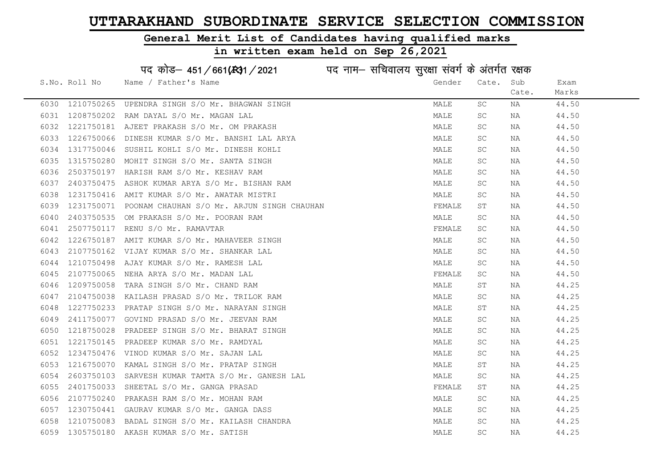#### General Merit List of Candidates having qualified marks

|      |               | पद कोड़- 451/661(34) / 2021 पद नाम- सचिवालय सुरक्षा संवर्ग के अंतर्गत रक्षक |        |                     |       |       |
|------|---------------|-----------------------------------------------------------------------------|--------|---------------------|-------|-------|
|      | S.No. Roll No | Name / Father's Name                                                        | Gender | Cate.               | Sub   | Exam  |
|      |               |                                                                             |        |                     | Cate. | Marks |
| 6030 | 1210750265    | UPENDRA SINGH S/O Mr. BHAGWAN SINGH                                         | MALE   | SC                  | NA    | 44.50 |
| 6031 | 1208750202    | RAM DAYAL S/O Mr. MAGAN LAL                                                 | MALE   | SC                  | NA    | 44.50 |
| 6032 | 1221750181    | AJEET PRAKASH S/O Mr. OM PRAKASH                                            | MALE   | SC                  | NA    | 44.50 |
| 6033 | 1226750066    | DINESH KUMAR S/O Mr. BANSHI LAL ARYA                                        | MALE   | SC                  | NA    | 44.50 |
| 6034 | 1317750046    | SUSHIL KOHLI S/O Mr. DINESH KOHLI                                           | MALE   | SC                  | NA    | 44.50 |
| 6035 | 1315750280    | MOHIT SINGH S/O Mr. SANTA SINGH                                             | MALE   | $\operatorname{SC}$ | NA    | 44.50 |
| 6036 | 2503750197    | HARISH RAM S/O Mr. KESHAV RAM                                               | MALE   | SC.                 | NA    | 44.50 |
| 6037 | 2403750475    | ASHOK KUMAR ARYA S/O Mr. BISHAN RAM                                         | MALE   | $\operatorname{SC}$ | NA    | 44.50 |
| 6038 | 1231750416    | AMIT KUMAR S/O Mr. AWATAR MISTRI                                            | MALE   | SC.                 | NA    | 44.50 |
| 6039 | 1231750071    | POONAM CHAUHAN S/O Mr. ARJUN SINGH CHAUHAN                                  | FEMALE | SΤ                  | NA    | 44.50 |
| 6040 | 2403750535    | OM PRAKASH S/O Mr. POORAN RAM                                               | MALE   | SC                  | NA    | 44.50 |
| 6041 | 2507750117    | RENU S/O Mr. RAMAVTAR                                                       | FEMALE | SC                  | NA    | 44.50 |
| 6042 | 1226750187    | AMIT KUMAR S/O Mr. MAHAVEER SINGH                                           | MALE   | SC.                 | NA    | 44.50 |
| 6043 | 2107750162    | VIJAY KUMAR S/O Mr. SHANKAR LAL                                             | MALE   | SC                  | NA    | 44.50 |
| 6044 | 1210750498    | AJAY KUMAR S/O Mr. RAMESH LAL                                               | MALE   | SC                  | NA    | 44.50 |
| 6045 | 2107750065    | NEHA ARYA S/O Mr. MADAN LAL                                                 | FEMALE | SC                  | NA    | 44.50 |
| 6046 | 1209750058    | TARA SINGH S/O Mr. CHAND RAM                                                | MALE   | SΤ                  | NA    | 44.25 |
| 6047 | 2104750038    | KAILASH PRASAD S/O Mr. TRILOK RAM                                           | MALE   | SC                  | NA    | 44.25 |
| 6048 | 1227750233    | PRATAP SINGH S/O Mr. NARAYAN SINGH                                          | MALE   | SΤ                  | NA    | 44.25 |
| 6049 | 2411750077    | GOVIND PRASAD S/O Mr. JEEVAN RAM                                            | MALE   | SC                  | NA    | 44.25 |
| 6050 | 1218750028    | PRADEEP SINGH S/O Mr. BHARAT SINGH                                          | MALE   | <b>SC</b>           | NA    | 44.25 |
| 6051 | 1221750145    | PRADEEP KUMAR S/O Mr. RAMDYAL                                               | MALE   | SC                  | NA    | 44.25 |
| 6052 | 1234750476    | VINOD KUMAR S/O Mr. SAJAN LAL                                               | MALE   | SC                  | NA    | 44.25 |
| 6053 | 1216750070    | KAMAL SINGH S/O Mr. PRATAP SINGH                                            | MALE   | ST                  | NA    | 44.25 |
| 6054 | 2603750103    | SARVESH KUMAR TAMTA S/O Mr. GANESH LAL                                      | MALE   | SC                  | NA    | 44.25 |
| 6055 | 2401750033    | SHEETAL S/O Mr. GANGA PRASAD                                                | FEMALE | SΤ                  | NA    | 44.25 |
| 6056 | 2107750240    | PRAKASH RAM S/O Mr. MOHAN RAM                                               | MALE   | SC                  | NA    | 44.25 |
| 6057 | 1230750441    | GAURAV KUMAR S/O Mr. GANGA DASS                                             | MALE   | SC                  | NA    | 44.25 |
| 6058 | 1210750083    | BADAL SINGH S/O Mr. KAILASH CHANDRA                                         | MALE   | SC                  | NA    | 44.25 |
| 6059 | 1305750180    | AKASH KUMAR S/O Mr. SATISH                                                  | MALE   | SC                  | ΝA    | 44.25 |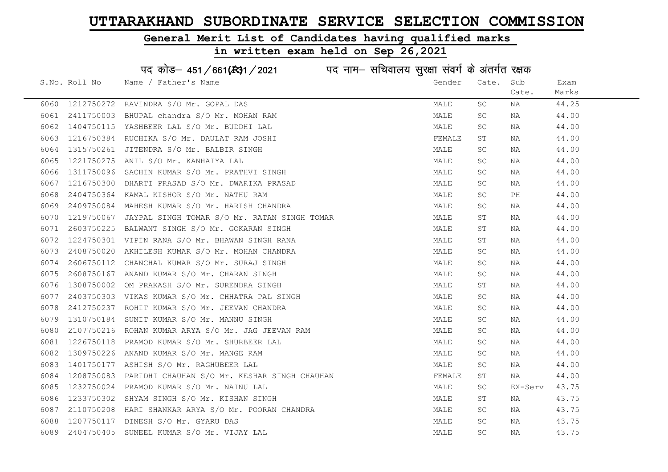#### General Merit List of Candidates having qualified marks

|      |               | पद कोड़– 451/661(431/2021 पद नाम– सचिवालय सुरक्षा संवर्ग के अंतर्गत रक्षक |        |                     |         |       |
|------|---------------|---------------------------------------------------------------------------|--------|---------------------|---------|-------|
|      | S.No. Roll No | Name / Father's Name                                                      | Gender | Cate.               | Sub     | Exam  |
|      |               |                                                                           |        |                     | Cate.   | Marks |
| 6060 | 1212750272    | RAVINDRA S/O Mr. GOPAL DAS                                                | MALE   | SC.                 | NA      | 44.25 |
| 6061 | 2411750003    | BHUPAL chandra S/O Mr. MOHAN RAM                                          | MALE   | SC                  | NA      | 44.00 |
| 6062 | 1404750115    | YASHBEER LAL S/O Mr. BUDDHI LAL                                           | MALE   | SC.                 | NA      | 44.00 |
| 6063 | 1216750384    | RUCHIKA S/O Mr. DAULAT RAM JOSHI                                          | FEMALE | ST                  | NA      | 44.00 |
| 6064 | 1315750261    | JITENDRA S/O Mr. BALBIR SINGH                                             | MALE   | SC                  | NA      | 44.00 |
| 6065 | 1221750275    | ANIL S/O Mr. KANHAIYA LAL                                                 | MALE   | SC                  | NA      | 44.00 |
| 6066 | 1311750096    | SACHIN KUMAR S/O Mr. PRATHVI SINGH                                        | MALE   | SC                  | NA      | 44.00 |
| 6067 | 1216750300    | DHARTI PRASAD S/O Mr. DWARIKA PRASAD                                      | MALE   | SC                  | NA      | 44.00 |
| 6068 | 2404750364    | KAMAL KISHOR S/O Mr. NATHU RAM                                            | MALE   | SC                  | PH      | 44.00 |
| 6069 | 2409750084    | MAHESH KUMAR S/O Mr. HARISH CHANDRA                                       | MALE   | SC                  | NA      | 44.00 |
| 6070 | 1219750067    | JAYPAL SINGH TOMAR S/O Mr. RATAN SINGH TOMAR                              | MALE   | ST                  | NA      | 44.00 |
| 6071 | 2603750225    | BALWANT SINGH S/O Mr. GOKARAN SINGH                                       | MALE   | ST                  | NA      | 44.00 |
| 6072 | 1224750301    | VIPIN RANA S/O Mr. BHAWAN SINGH RANA                                      | MALE   | ST                  | NA      | 44.00 |
| 6073 |               | 2408750020 AKHILESH KUMAR S/O Mr. MOHAN CHANDRA                           | MALE   | SC                  | NA      | 44.00 |
| 6074 | 2606750112    | CHANCHAL KUMAR S/O Mr. SURAJ SINGH                                        | MALE   | SC                  | NA      | 44.00 |
| 6075 | 2608750167    | ANAND KUMAR S/O Mr. CHARAN SINGH                                          | MALE   | $\operatorname{SC}$ | NA      | 44.00 |
| 6076 | 1308750002    | OM PRAKASH S/O Mr. SURENDRA SINGH                                         | MALE   | ST                  | NA      | 44.00 |
| 6077 | 2403750303    | VIKAS KUMAR S/O Mr. CHHATRA PAL SINGH                                     | MALE   | SC                  | NA      | 44.00 |
| 6078 | 2412750237    | ROHIT KUMAR S/O Mr. JEEVAN CHANDRA                                        | MALE   | SC                  | NA      | 44.00 |
| 6079 | 1310750184    | SUNIT KUMAR S/O Mr. MANNU SINGH                                           | MALE   | SC                  | NA      | 44.00 |
| 6080 | 2107750216    | ROHAN KUMAR ARYA S/O Mr. JAG JEEVAN RAM                                   | MALE   | SC                  | NA      | 44.00 |
| 6081 | 1226750118    | PRAMOD KUMAR S/O Mr. SHURBEER LAL                                         | MALE   | $\operatorname{SC}$ | NA      | 44.00 |
| 6082 | 1309750226    | ANAND KUMAR S/O Mr. MANGE RAM                                             | MALE   | SC                  | NA      | 44.00 |
| 6083 | 1401750177    | ASHISH S/O Mr. RAGHUBEER LAL                                              | MALE   | SC                  | NA      | 44.00 |
| 6084 | 1208750083    | PARIDHI CHAUHAN S/O Mr. KESHAR SINGH CHAUHAN                              | FEMALE | SТ                  | NA      | 44.00 |
| 6085 | 1232750024    | PRAMOD KUMAR S/O Mr. NAINU LAL                                            | MALE   | SC                  | EX-Serv | 43.75 |
| 6086 | 1233750302    | SHYAM SINGH S/O Mr. KISHAN SINGH                                          | MALE   | ST                  | NA      | 43.75 |
| 6087 | 2110750208    | HARI SHANKAR ARYA S/O Mr. POORAN CHANDRA                                  | MALE   | SC                  | NA      | 43.75 |
| 6088 | 1207750117    | DINESH S/O Mr. GYARU DAS                                                  | MALE   | SC                  | NA      | 43.75 |
| 6089 | 2404750405    | SUNEEL KUMAR S/O Mr. VIJAY LAL                                            | MALE   | SC                  | ΝA      | 43.75 |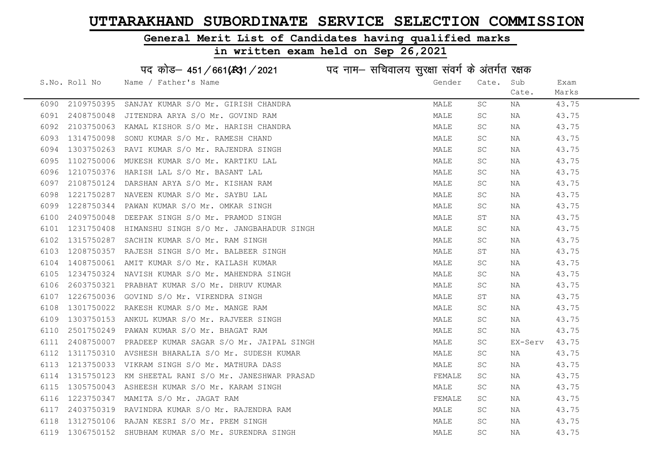#### General Merit List of Candidates having qualified marks

|      |               | पद कोड़- 451/661(431/2021 पद नाम- सचिवालय सुरक्षा संवर्ग के अंतर्गत रक्षक |        |                     |         |       |
|------|---------------|---------------------------------------------------------------------------|--------|---------------------|---------|-------|
|      | S.No. Roll No | Name / Father's Name                                                      | Gender | Cate.               | Sub     | Exam  |
|      |               |                                                                           |        |                     | Cate.   | Marks |
| 6090 | 2109750395    | SANJAY KUMAR S/O Mr. GIRISH CHANDRA                                       | MALE   | SC                  | ΝA      | 43.75 |
| 6091 | 2408750048    | JITENDRA ARYA S/O Mr. GOVIND RAM                                          | MALE   | <b>SC</b>           | ΝA      | 43.75 |
| 6092 | 2103750063    | KAMAL KISHOR S/O Mr. HARISH CHANDRA                                       | MALE   | SC                  | ΝA      | 43.75 |
| 6093 | 1314750098    | SONU KUMAR S/O Mr. RAMESH CHAND                                           | MALE   | SC                  | NA      | 43.75 |
| 6094 | 1303750263    | RAVI KUMAR S/O Mr. RAJENDRA SINGH                                         | MALE   | SC                  | NA      | 43.75 |
| 6095 | 1102750006    | MUKESH KUMAR S/O Mr. KARTIKU LAL                                          | MALE   | <b>SC</b>           | NA      | 43.75 |
| 6096 | 1210750376    | HARISH LAL S/O Mr. BASANT LAL                                             | MALE   | <b>SC</b>           | ΝA      | 43.75 |
| 6097 | 2108750124    | DARSHAN ARYA S/O Mr. KISHAN RAM                                           | MALE   | <b>SC</b>           | NA      | 43.75 |
| 6098 | 1221750287    | NAVEEN KUMAR S/O Mr. SAYBU LAL                                            | MALE   | SC                  | ΝA      | 43.75 |
| 6099 | 1228750344    | PAWAN KUMAR S/O Mr. OMKAR SINGH                                           | MALE   | SC                  | NA      | 43.75 |
| 6100 | 2409750048    | DEEPAK SINGH S/O Mr. PRAMOD SINGH                                         | MALE   | SΤ                  | ΝA      | 43.75 |
| 6101 | 1231750408    | HIMANSHU SINGH S/O Mr. JANGBAHADUR SINGH                                  | MALE   | SC                  | ΝA      | 43.75 |
| 6102 | 1315750287    | SACHIN KUMAR S/O Mr. RAM SINGH                                            | MALE   | SC                  | NA      | 43.75 |
| 6103 | 1208750357    | RAJESH SINGH S/O Mr. BALBEER SINGH                                        | MALE   | ST                  | NA      | 43.75 |
| 6104 | 1408750061    | AMIT KUMAR S/O Mr. KAILASH KUMAR                                          | MALE   | <b>SC</b>           | NA      | 43.75 |
| 6105 | 1234750324    | NAVISH KUMAR S/O Mr. MAHENDRA SINGH                                       | MALE   | $\operatorname{SC}$ | NA      | 43.75 |
| 6106 | 2603750321    | PRABHAT KUMAR S/O Mr. DHRUV KUMAR                                         | MALE   | SC                  | ΝA      | 43.75 |
| 6107 | 1226750036    | GOVIND S/O Mr. VIRENDRA SINGH                                             | MALE   | SТ                  | NA      | 43.75 |
| 6108 | 1301750022    | RAKESH KUMAR S/O Mr. MANGE RAM                                            | MALE   | SC                  | NA      | 43.75 |
| 6109 | 1303750153    | ANKUL KUMAR S/O Mr. RAJVEER SINGH                                         | MALE   | SC                  | NA      | 43.75 |
| 6110 | 2501750249    | PAWAN KUMAR S/O Mr. BHAGAT RAM                                            | MALE   | SC                  | NA      | 43.75 |
| 6111 | 2408750007    | PRADEEP KUMAR SAGAR S/O Mr. JAIPAL SINGH                                  | MALE   | <b>SC</b>           | EX-Serv | 43.75 |
| 6112 | 1311750310    | AVSHESH BHARALIA S/O Mr. SUDESH KUMAR                                     | MALE   | SC                  | NA      | 43.75 |
| 6113 | 1213750033    | VIKRAM SINGH S/O Mr. MATHURA DASS                                         | MALE   | <b>SC</b>           | NA      | 43.75 |
| 6114 | 1315750123    | KM SHEETAL RANI S/O Mr. JANESHWAR PRASAD                                  | FEMALE | SC                  | NA      | 43.75 |
| 6115 | 1305750043    | ASHEESH KUMAR S/O Mr. KARAM SINGH                                         | MALE   | $\operatorname{SC}$ | NA      | 43.75 |
| 6116 | 1223750347    | MAMITA S/O Mr. JAGAT RAM                                                  | FEMALE | <b>SC</b>           | NA      | 43.75 |
| 6117 | 2403750319    | RAVINDRA KUMAR S/O Mr. RAJENDRA RAM                                       | MALE   | SC                  | NA      | 43.75 |
| 6118 | 1312750106    | RAJAN KESRI S/O Mr. PREM SINGH                                            | MALE   | SC                  | ΝA      | 43.75 |
| 6119 | 1306750152    | SHUBHAM KUMAR S/O Mr. SURENDRA SINGH                                      | MALE   | $\operatorname{SC}$ | ΝA      | 43.75 |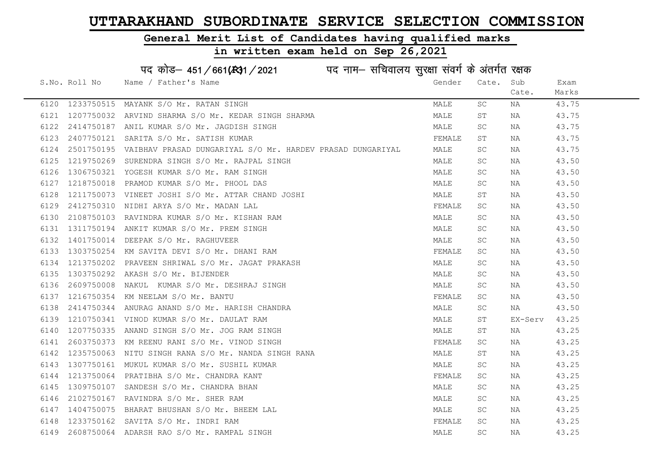### General Merit List of Candidates having qualified marks

|      | पद कोड़- 451/661(431/2021 पद नाम- सचिवालय सुरक्षा संवर्ग के अंतर्गत रक्षक |                                                            |  |        |       |         |       |  |
|------|---------------------------------------------------------------------------|------------------------------------------------------------|--|--------|-------|---------|-------|--|
|      | S.No. Roll No                                                             | Name / Father's Name                                       |  | Gender | Cate. | Sub     | Exam  |  |
|      |                                                                           |                                                            |  |        |       | Cate.   | Marks |  |
| 6120 |                                                                           | 1233750515 MAYANK S/O Mr. RATAN SINGH                      |  | MALE   | SC    | ΝA      | 43.75 |  |
| 6121 |                                                                           | 1207750032 ARVIND SHARMA S/O Mr. KEDAR SINGH SHARMA        |  | MALE   | ST    | NA      | 43.75 |  |
| 6122 |                                                                           | 2414750187 ANIL KUMAR S/O Mr. JAGDISH SINGH                |  | MALE   | SC    | ΝA      | 43.75 |  |
| 6123 | 2407750121                                                                | SARITA S/O Mr. SATISH KUMAR                                |  | FEMALE | SΤ    | ΝA      | 43.75 |  |
| 6124 | 2501750195                                                                | VAIBHAV PRASAD DUNGARIYAL S/O Mr. HARDEV PRASAD DUNGARIYAL |  | MALE   | SC    | ΝA      | 43.75 |  |
| 6125 |                                                                           | 1219750269 SURENDRA SINGH S/O Mr. RAJPAL SINGH             |  | MALE   | SC    | ΝA      | 43.50 |  |
| 6126 |                                                                           | 1306750321 YOGESH KUMAR S/O Mr. RAM SINGH                  |  | MALE   | SC    | ΝA      | 43.50 |  |
| 6127 | 1218750018                                                                | PRAMOD KUMAR S/O Mr. PHOOL DAS                             |  | MALE   | SC    | ΝA      | 43.50 |  |
| 6128 | 1211750073                                                                | VINEET JOSHI S/O Mr. ATTAR CHAND JOSHI                     |  | MALE   | ST    | NA      | 43.50 |  |
| 6129 |                                                                           | 2412750310 NIDHI ARYA S/O Mr. MADAN LAL                    |  | FEMALE | SC    | NA      | 43.50 |  |
| 6130 |                                                                           | 2108750103 RAVINDRA KUMAR S/O Mr. KISHAN RAM               |  | MALE   | SC    | ΝA      | 43.50 |  |
| 6131 |                                                                           | 1311750194 ANKIT KUMAR S/O Mr. PREM SINGH                  |  | MALE   | SC    | ΝA      | 43.50 |  |
| 6132 |                                                                           | 1401750014 DEEPAK S/O Mr. RAGHUVEER                        |  | MALE   | SC    | ΝA      | 43.50 |  |
| 6133 |                                                                           | 1303750254 KM SAVITA DEVI S/O Mr. DHANI RAM                |  | FEMALE | SC.   | ΝA      | 43.50 |  |
| 6134 |                                                                           | 1213750202 PRAVEEN SHRIWAL S/O Mr. JAGAT PRAKASH           |  | MALE   | SC    | NA      | 43.50 |  |
| 6135 | 1303750292                                                                | AKASH S/O Mr. BIJENDER                                     |  | MALE   | SC    | NA      | 43.50 |  |
| 6136 | 2609750008                                                                | NAKUL KUMAR S/O Mr. DESHRAJ SINGH                          |  | MALE   | SC    | NA      | 43.50 |  |
| 6137 | 1216750354                                                                | KM NEELAM S/O Mr. BANTU                                    |  | FEMALE | SC    | NA      | 43.50 |  |
| 6138 | 2414750344                                                                | ANURAG ANAND S/O Mr. HARISH CHANDRA                        |  | MALE   | SC    | NA      | 43.50 |  |
| 6139 | 1210750341                                                                | VINOD KUMAR S/O Mr. DAULAT RAM                             |  | MALE   | ST    | EX-Serv | 43.25 |  |
| 6140 |                                                                           | 1207750335 ANAND SINGH S/O Mr. JOG RAM SINGH               |  | MALE   | ST    | NA      | 43.25 |  |
| 6141 | 2603750373                                                                | KM REENU RANI S/O Mr. VINOD SINGH                          |  | FEMALE | SC    | NA      | 43.25 |  |
| 6142 | 1235750063                                                                | NITU SINGH RANA S/O Mr. NANDA SINGH RANA                   |  | MALE   | ST    | ΝA      | 43.25 |  |
| 6143 | 1307750161                                                                | MUKUL KUMAR S/O Mr. SUSHIL KUMAR                           |  | MALE   | SC    | NA      | 43.25 |  |
| 6144 |                                                                           | 1213750064 PRATIBHA S/O Mr. CHANDRA KANT                   |  | FEMALE | SC    | ΝA      | 43.25 |  |
| 6145 | 1309750107                                                                | SANDESH S/O Mr. CHANDRA BHAN                               |  | MALE   | SC    | NA      | 43.25 |  |
| 6146 |                                                                           | 2102750167 RAVINDRA S/O Mr. SHER RAM                       |  | MALE   | SC    | ΝA      | 43.25 |  |
| 6147 |                                                                           | 1404750075 BHARAT BHUSHAN S/O Mr. BHEEM LAL                |  | MALE   | SC    | ΝA      | 43.25 |  |
| 6148 |                                                                           | 1233750162 SAVITA S/O Mr. INDRI RAM                        |  | FEMALE | SC    | NA      | 43.25 |  |
| 6149 |                                                                           | 2608750064 ADARSH RAO S/O Mr. RAMPAL SINGH                 |  | MALE   | SC    | ΝA      | 43.25 |  |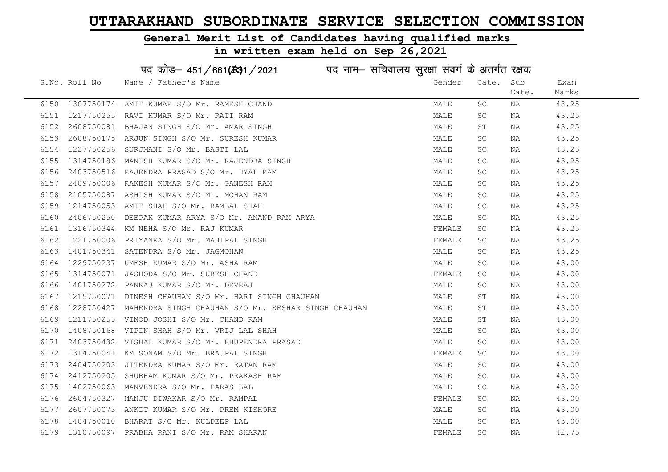#### General Merit List of Candidates having qualified marks

|      |                 | पद कोड़– 451/661(131/2021 पद नाम– सचिवालय सुरक्षा संवर्ग के अंतर्गत रक्षक |        |                     |       |       |
|------|-----------------|---------------------------------------------------------------------------|--------|---------------------|-------|-------|
|      | S.No. Roll No   | Name / Father's Name                                                      | Gender | Cate.               | Sub   | Exam  |
|      |                 |                                                                           |        |                     | Cate. | Marks |
| 6150 | 1307750174      | AMIT KUMAR S/O Mr. RAMESH CHAND                                           | MALE   | SC                  | ΝA    | 43.25 |
| 6151 | 1217750255      | RAVI KUMAR S/O Mr. RATI RAM                                               | MALE   | SC                  | NA    | 43.25 |
| 6152 | 2608750081      | BHAJAN SINGH S/O Mr. AMAR SINGH                                           | MALE   | ST                  | NA    | 43.25 |
| 6153 | 2608750175      | ARJUN SINGH S/O Mr. SURESH KUMAR                                          | MALE   | SC                  | NA    | 43.25 |
| 6154 | 1227750256      | SURJMANI S/O Mr. BASTI LAL                                                | MALE   | SC                  | NA    | 43.25 |
| 6155 | 1314750186      | MANISH KUMAR S/O Mr. RAJENDRA SINGH                                       | MALE   | $\operatorname{SC}$ | NA    | 43.25 |
| 6156 | 2403750516      | RAJENDRA PRASAD S/O Mr. DYAL RAM                                          | MALE   | SC.                 | NA    | 43.25 |
| 6157 | 2409750006      | RAKESH KUMAR S/O Mr. GANESH RAM                                           | MALE   | $\operatorname{SC}$ | NA    | 43.25 |
| 6158 | 2105750087      | ASHISH KUMAR S/O Mr. MOHAN RAM                                            | MALE   | SC                  | NA    | 43.25 |
| 6159 | 1214750053      | AMIT SHAH S/O Mr. RAMLAL SHAH                                             | MALE   | SC                  | NA    | 43.25 |
| 6160 | 2406750250      | DEEPAK KUMAR ARYA S/O Mr. ANAND RAM ARYA                                  | MALE   | SC                  | ΝA    | 43.25 |
| 6161 | 1316750344      | KM NEHA S/O Mr. RAJ KUMAR                                                 | FEMALE | SC                  | NA    | 43.25 |
| 6162 | 1221750006      | PRIYANKA S/O Mr. MAHIPAL SINGH                                            | FEMALE | SC.                 | NA    | 43.25 |
| 6163 | 1401750341      | SATENDRA S/O Mr. JAGMOHAN                                                 | MALE   | SC                  | NA    | 43.25 |
| 6164 | 1229750237      | UMESH KUMAR S/O Mr. ASHA RAM                                              | MALE   | SC                  | NA    | 43.00 |
| 6165 | 1314750071      | JASHODA S/O Mr. SURESH CHAND                                              | FEMALE | SC                  | NA    | 43.00 |
| 6166 | 1401750272      | PANKAJ KUMAR S/O Mr. DEVRAJ                                               | MALE   | SC                  | ΝA    | 43.00 |
| 6167 | 1215750071      | DINESH CHAUHAN S/O Mr. HARI SINGH CHAUHAN                                 | MALE   | ST                  | NA    | 43.00 |
| 6168 | 1228750427      | MAHENDRA SINGH CHAUHAN S/O Mr. KESHAR SINGH CHAUHAN                       | MALE   | ST                  | NA    | 43.00 |
| 6169 | 1211750255      | VINOD JOSHI S/O Mr. CHAND RAM                                             | MALE   | SΤ                  | NA    | 43.00 |
| 6170 | 1408750168      | VIPIN SHAH S/O Mr. VRIJ LAL SHAH                                          | MALE   | <b>SC</b>           | NA    | 43.00 |
| 6171 | 2403750432      | VISHAL KUMAR S/O Mr. BHUPENDRA PRASAD                                     | MALE   | SC                  | ΝA    | 43.00 |
| 6172 | 1314750041      | KM SONAM S/O Mr. BRAJPAL SINGH                                            | FEMALE | SC                  | NA    | 43.00 |
| 6173 | 2404750203      | JITENDRA KUMAR S/O Mr. RATAN RAM                                          | MALE   | SC                  | NA    | 43.00 |
| 6174 | 2412750205      | SHUBHAM KUMAR S/O Mr. PRAKASH RAM                                         | MALE   | SC                  | NA    | 43.00 |
| 6175 | 1402750063      | MANVENDRA S/O Mr. PARAS LAL                                               | MALE   | SC                  | NA    | 43.00 |
| 6176 | 2604750327      | MANJU DIWAKAR S/O Mr. RAMPAL                                              | FEMALE | SC.                 | NA    | 43.00 |
| 6177 | 2607750073      | ANKIT KUMAR S/O Mr. PREM KISHORE                                          | MALE   | SC                  | NA    | 43.00 |
| 6178 | 1404750010      | BHARAT S/O Mr. KULDEEP LAL                                                | MALE   | SC                  | NA    | 43.00 |
|      | 6179 1310750097 | PRABHA RANI S/O Mr. RAM SHARAN                                            | FEMALE | SC                  | ΝA    | 42.75 |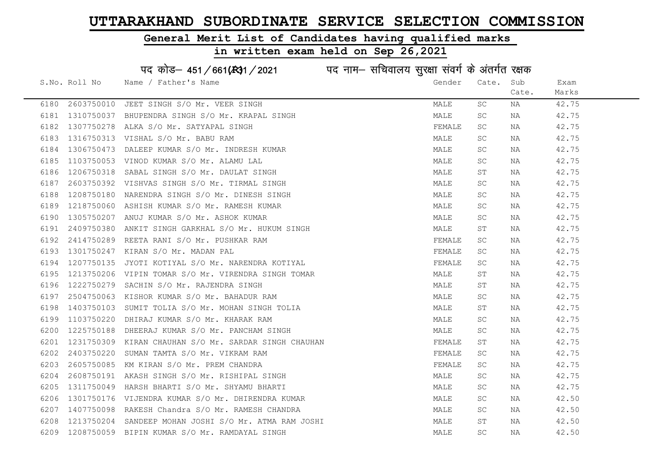#### General Merit List of Candidates having qualified marks

|      |               | पद कोड़- 451/661(431/2021 पद नाम- सचिवालय सुरक्षा संवर्ग के अंतर्गत रक्षक |        |                     |       |       |
|------|---------------|---------------------------------------------------------------------------|--------|---------------------|-------|-------|
|      | S.No. Roll No | Name / Father's Name                                                      | Gender | Cate.               | Sub   | Exam  |
|      |               |                                                                           |        |                     | Cate. | Marks |
| 6180 | 2603750010    | JEET SINGH S/O Mr. VEER SINGH                                             | MALE   | SC                  | NA    | 42.75 |
| 6181 | 1310750037    | BHUPENDRA SINGH S/O Mr. KRAPAL SINGH                                      | MALE   | SC                  | NA    | 42.75 |
| 6182 | 1307750278    | ALKA S/O Mr. SATYAPAL SINGH                                               | FEMALE | SC.                 | NA    | 42.75 |
| 6183 |               | 1316750313 VISHAL S/O Mr. BABU RAM                                        | MALE   | SC                  | NA    | 42.75 |
| 6184 | 1306750473    | DALEEP KUMAR S/O Mr. INDRESH KUMAR                                        | MALE   | SC                  | NA    | 42.75 |
| 6185 |               | 1103750053 VINOD KUMAR S/O Mr. ALAMU LAL                                  | MALE   | <b>SC</b>           | NA    | 42.75 |
| 6186 | 1206750318    | SABAL SINGH S/O Mr. DAULAT SINGH                                          | MALE   | ST                  | NA    | 42.75 |
| 6187 | 2603750392    | VISHVAS SINGH S/O Mr. TIRMAL SINGH                                        | MALE   | <b>SC</b>           | NA    | 42.75 |
| 6188 | 1208750180    | NARENDRA SINGH S/O Mr. DINESH SINGH                                       | MALE   | SC.                 | NA    | 42.75 |
| 6189 |               | 1218750060 ASHISH KUMAR S/O Mr. RAMESH KUMAR                              | MALE   | SC                  | NA    | 42.75 |
| 6190 | 1305750207    | ANUJ KUMAR S/O Mr. ASHOK KUMAR                                            | MALE   | SC                  | NA    | 42.75 |
| 6191 | 2409750380    | ANKIT SINGH GARKHAL S/O Mr. HUKUM SINGH                                   | MALE   | ST                  | NA    | 42.75 |
| 6192 | 2414750289    | REETA RANI S/O Mr. PUSHKAR RAM                                            | FEMALE | SC                  | NA    | 42.75 |
| 6193 | 1301750247    | KIRAN S/O Mr. MADAN PAL                                                   | FEMALE | SC                  | NA    | 42.75 |
| 6194 | 1207750135    | JYOTI KOTIYAL S/O Mr. NARENDRA KOTIYAL                                    | FEMALE | SC.                 | NA    | 42.75 |
| 6195 | 1213750206    | VIPIN TOMAR S/O Mr. VIRENDRA SINGH TOMAR                                  | MALE   | $\operatorname{ST}$ | NA    | 42.75 |
| 6196 | 1222750279    | SACHIN S/O Mr. RAJENDRA SINGH                                             | MALE   | ST                  | NA    | 42.75 |
| 6197 | 2504750063    | KISHOR KUMAR S/O Mr. BAHADUR RAM                                          | MALE   | SC                  | NA    | 42.75 |
| 6198 | 1403750103    | SUMIT TOLIA S/O Mr. MOHAN SINGH TOLIA                                     | MALE   | SТ                  | NA    | 42.75 |
| 6199 | 1103750220    | DHIRAJ KUMAR S/O Mr. KHARAK RAM                                           | MALE   | SC.                 | NA    | 42.75 |
| 6200 | 1225750188    | DHEERAJ KUMAR S/O Mr. PANCHAM SINGH                                       | MALE   | SC                  | NA    | 42.75 |
| 6201 |               | 1231750309 KIRAN CHAUHAN S/O Mr. SARDAR SINGH CHAUHAN                     | FEMALE | SΤ                  | NA    | 42.75 |
| 6202 | 2403750220    | SUMAN TAMTA S/O Mr. VIKRAM RAM                                            | FEMALE | SC                  | NA    | 42.75 |
| 6203 | 2605750085    | KM KIRAN S/O Mr. PREM CHANDRA                                             | FEMALE | SC.                 | NA    | 42.75 |
| 6204 | 2608750191    | AKASH SINGH S/O Mr. RISHIPAL SINGH                                        | MALE   | SC                  | NA    | 42.75 |
| 6205 | 1311750049    | HARSH BHARTI S/O Mr. SHYAMU BHARTI                                        | MALE   | SC                  | NA    | 42.75 |
| 6206 | 1301750176    | VIJENDRA KUMAR S/O Mr. DHIRENDRA KUMAR                                    | MALE   | SC.                 | NA    | 42.50 |
| 6207 | 1407750098    | RAKESH Chandra S/O Mr. RAMESH CHANDRA                                     | MALE   | SC                  | NA    | 42.50 |
| 6208 | 1213750204    | SANDEEP MOHAN JOSHI S/O Mr. ATMA RAM JOSHI                                | MALE   | ST                  | NA    | 42.50 |
| 6209 |               | 1208750059 BIPIN KUMAR S/O Mr. RAMDAYAL SINGH                             | MALE   | $\operatorname{SC}$ | ΝA    | 42.50 |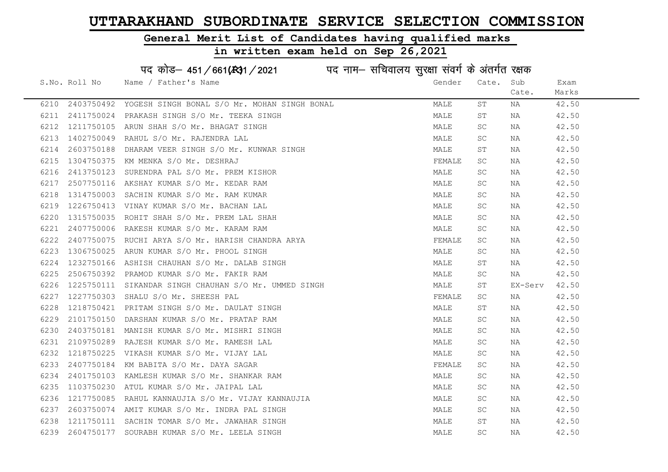#### General Merit List of Candidates having qualified marks

#### in written exam held on Sep 26,2021

S.No. Roll No Wame / Father's Name Gender Cate. Sub Cate. Exam Marks पद कोड– 451/661(स्था) / 2021 विज्ञान सचिवालय सुरक्षा संवर्ग के अंतर्गत रक्षक 6210 2403750492 YOGESH SINGH BONAL S/O Mr. MOHAN SINGH BONAL MALL MALE ST NA 42.50 6211 2411750024 PRAKASH SINGH S/O Mr. TEEKA SINGH MALE ST NA 42.50 6212 1211750105 ARUN SHAH S/O Mr. BHAGAT SINGH MALE SC NA 42.50 6213 1402750049 RAHUL S/O Mr. RAJENDRA LAL MALE SC NA 42.50 6214 2603750188 DHARAM VEER SINGH S/O Mr. KUNWAR SINGH MALE ST NA 42.50 6215 1304750375 KM MENKA S/O Mr. DESHRAJ FEMALE SC NA 42.50 6216 2413750123 SURENDRA PAL S/O Mr. PREM KISHOR MARE MALE SC NA 42.50 6217 2507750116 AKSHAY KUMAR S/O Mr. KEDAR RAM MALE SC NA 42.50 6218 1314750003 SACHIN KUMAR S/O Mr. RAM KUMAR MARRIAN MALE SC NA 42.50 6219 1226750413 VINAY KUMAR S/O Mr. BACHAN LAL MANA MALE SC NA 42.50 6220 1315750035 ROHIT SHAH S/O Mr. PREM LAL SHAH MALE SC NA 42.50 6221 2407750006 RAKESH KUMAR S/O Mr. KARAM RAM MALE SC NA 42.50 6222 2407750075 RUCHI ARYA S/O Mr. HARISH CHANDRA ARYA FRANCE SC NA 42.50 6223 1306750025 ARUN KUMAR S/O Mr. PHOOL SINGH MALE SC NA 42.50 6224 1232750166 ASHISH CHAUHAN S/O Mr. DALAB SINGH MALE ST NA 42.50 6225 2506750392 PRAMOD KUMAR S/O Mr. FAKIR RAM MALE SC NA 42.50 6226 1225750111 SIKANDAR SINGH CHAUHAN S/O Mr. UMMED SINGH MALE MALE ST EX-Serv 42.50 6227 1227750303 SHALU S/O Mr. SHEESH PAL FEMALE SC NA 42.50 6228 1218750421 PRITAM SINGH S/O Mr. DAULAT SINGH MALE ST NA 42.50 6229 2101750150 DARSHAN KUMAR S/O Mr. PRATAP RAM MALE SC NA 42.50 6230 2403750181 MANISH KUMAR S/O Mr. MISHRI SINGH MALE SC NA 42.50 6231 2109750289 RAJESH KUMAR S/O Mr. RAMESH LAL MALE SC NA 42.50 6232 1218750225 VIKASH KUMAR S/O Mr. VIJAY LAL MALE SC NA 42.50 6233 2407750184 KM BABITA S/O Mr. DAYA SAGAR FEMALE SC NA 42.50 6234 2401750103 KAMLESH KUMAR S/O Mr. SHANKAR RAM MALE SC NA 42.50 6235 1103750230 ATUL KUMAR S/O Mr. JAIPAL LAL MALL MALE SC NA 42.50 6236 1217750085 RAHUL KANNAUJIA S/O Mr. VIJAY KANNAUJIA MARE SC NA 42.50 6237 2603750074 AMIT KUMAR S/O Mr. INDRA PAL SINGH MALE SC NA 42.50 6238 1211750111 SACHIN TOMAR S/O Mr. JAWAHAR SINGH MALE ST NA 42.50 6239 2604750177 SOURABH KUMAR S/O Mr. LEELA SINGH MARE MALE SC NA 42.50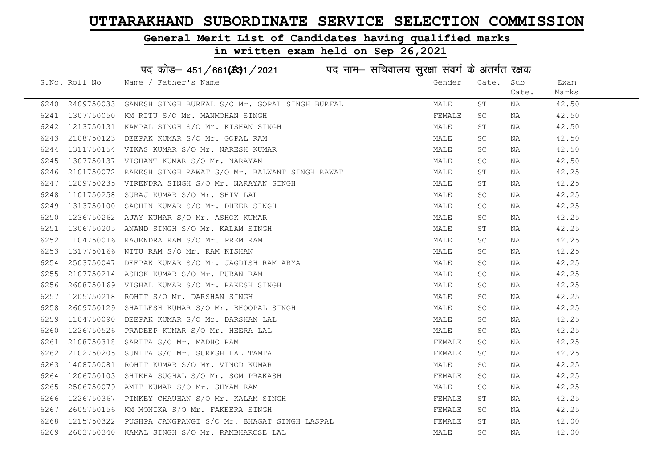#### General Merit List of Candidates having qualified marks

## in written exam held on Sep 26,2021

# पद कोड– 451/661(स्था/2021 व्यान सचिवालय सुरक्षा संवर्ग के अंतर्गत रक्षक

|      | S.No. Roll No | Name / Father's Name                                      | Gender | Cate.     | Sub   | Exam  |
|------|---------------|-----------------------------------------------------------|--------|-----------|-------|-------|
|      |               |                                                           |        |           | Cate. | Marks |
| 6240 |               | 2409750033 GANESH SINGH BURFAL S/O Mr. GOPAL SINGH BURFAL | MALE   | SТ        | NA    | 42.50 |
| 6241 |               | 1307750050 KM RITU S/O Mr. MANMOHAN SINGH                 | FEMALE | SC.       | NA    | 42.50 |
| 6242 |               | 1213750131 KAMPAL SINGH S/O Mr. KISHAN SINGH              | MALE   | ST        | NA    | 42.50 |
| 6243 | 2108750123    | DEEPAK KUMAR S/O Mr. GOPAL RAM                            | MALE   | SC.       | NA    | 42.50 |
| 6244 |               | 1311750154 VIKAS KUMAR S/O Mr. NARESH KUMAR               | MALE   | SC.       | NA    | 42.50 |
| 6245 |               | 1307750137 VISHANT KUMAR S/O Mr. NARAYAN                  | MALE   | SC.       | NA    | 42.50 |
| 6246 | 2101750072    | RAKESH SINGH RAWAT S/O Mr. BALWANT SINGH RAWAT            | MALE   | ST        | NA    | 42.25 |
| 6247 |               | 1209750235 VIRENDRA SINGH S/O Mr. NARAYAN SINGH           | MALE   | ST        | NA    | 42.25 |
| 6248 | 1101750258    | SURAJ KUMAR S/O Mr. SHIV LAL                              | MALE   | SC.       | NA    | 42.25 |
| 6249 | 1313750100    | SACHIN KUMAR S/O Mr. DHEER SINGH                          | MALE   | SC.       | NA    | 42.25 |
| 6250 |               | 1236750262 AJAY KUMAR S/O Mr. ASHOK KUMAR                 | MALE   | SC.       | NA    | 42.25 |
| 6251 | 1306750205    | ANAND SINGH S/O Mr. KALAM SINGH                           | MALE   | ST        | NA    | 42.25 |
| 6252 |               | 1104750016 RAJENDRA RAM S/O Mr. PREM RAM                  | MALE   | SC.       | NA    | 42.25 |
| 6253 |               | 1317750166 NITU RAM S/O Mr. RAM KISHAN                    | MALE   | SC.       | NA    | 42.25 |
| 6254 | 2503750047    | DEEPAK KUMAR S/O Mr. JAGDISH RAM ARYA                     | MALE   | SC.       | NA    | 42.25 |
| 6255 |               | 2107750214 ASHOK KUMAR S/O Mr. PURAN RAM                  | MALE   | SC.       | NA    | 42.25 |
| 6256 | 2608750169    | VISHAL KUMAR S/O Mr. RAKESH SINGH                         | MALE   | SC.       | NA    | 42.25 |
| 6257 | 1205750218    | ROHIT S/O Mr. DARSHAN SINGH                               | MALE   | SC.       | NA    | 42.25 |
| 6258 |               | 2609750129 SHAILESH KUMAR S/O Mr. BHOOPAL SINGH           | MALE   | SC.       | NA    | 42.25 |
| 6259 | 1104750090    | DEEPAK KUMAR S/O Mr. DARSHAN LAL                          | MALE   | <b>SC</b> | NA    | 42.25 |
| 6260 |               | 1226750526 PRADEEP KUMAR S/O Mr. HEERA LAL                | MALE   | SC.       | NA    | 42.25 |
| 6261 | 2108750318    | SARITA S/O Mr. MADHO RAM                                  | FEMALE | <b>SC</b> | NA    | 42.25 |
| 6262 | 2102750205    | SUNITA S/O Mr. SURESH LAL TAMTA                           | FEMALE | SC.       | NA    | 42.25 |
| 6263 |               | 1408750081 ROHIT KUMAR S/O Mr. VINOD KUMAR                | MALE   | SC.       | NA    | 42.25 |
| 6264 |               | 1206750103 SHIKHA SUGHAL S/O Mr. SOM PRAKASH              | FEMALE | SC.       | NA    | 42.25 |
| 6265 | 2506750079    | AMIT KUMAR S/O Mr. SHYAM RAM                              | MALE   | SC.       | NA    | 42.25 |
| 6266 |               | 1226750367 PINKEY CHAUHAN S/O Mr. KALAM SINGH             | FEMALE | ST        | NA    | 42.25 |
| 6267 |               | 2605750156 KM MONIKA S/O Mr. FAKEERA SINGH                | FEMALE | SC.       | NA    | 42.25 |
| 6268 |               | 1215750322 PUSHPA JANGPANGI S/O Mr. BHAGAT SINGH LASPAL   | FEMALE | ST        | NA    | 42.00 |
| 6269 |               | 2603750340 KAMAL SINGH S/O Mr. RAMBHAROSE LAL             | MALE   | SC.       | NA    | 42.00 |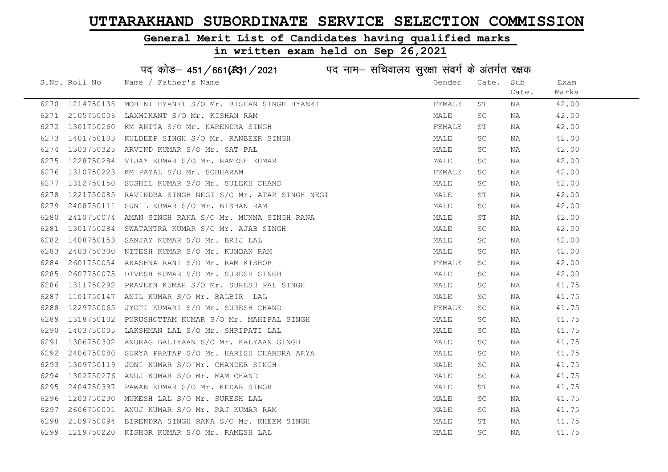#### General Merit List of Candidates having qualified marks

## in written exam held on Sep 26,2021

# पद कोड– 451/661(स्था/2021 व्यान सचिवालय सुरक्षा संवर्ग के अंतर्गत रक्षक

|      | S.No. Roll No   | Name / Father's Name                        | Gender | Cate.     | Sub   | Exam  |
|------|-----------------|---------------------------------------------|--------|-----------|-------|-------|
|      |                 |                                             |        |           | Cate. | Marks |
|      | 6270 1214750138 | MOHINI HYANKI S/O Mr. BISHAN SINGH HYANKI   | FEMALE | ST        | NA    | 42.00 |
| 6271 | 2105750006      | LAXMIKANT S/O Mr. KISHAN RAM                | MALE   | <b>SC</b> | NA    | 42.00 |
| 6272 | 1301750260      | KM ANITA S/O Mr. NARENDRA SINGH             | FEMALE | SΤ        | NA    | 42.00 |
| 6273 | 1401750103      | KULDEEP SINGH S/O Mr. RANBEER SINGH         | MALE   | SC.       | NA    | 42.00 |
| 6274 | 1303750325      | ARVIND KUMAR S/O Mr. SAT PAL                | MALE   | SC.       | NA    | 42.00 |
| 6275 | 1228750284      | VIJAY KUMAR S/O Mr. RAMESH KUMAR            | MALE   | SC        | NA    | 42.00 |
| 6276 | 1310750223      | KM PAYAL S/O Mr. SOBHARAM                   | FEMALE | SC        | NA    | 42.00 |
| 6277 | 1312750150      | SUSHIL KUMAR S/O Mr. SULEKH CHAND           | MALE   | SC.       | NA    | 42.00 |
| 6278 | 1221750085      | RAVINDRA SINGH NEGI S/O Mr. ATAR SINGH NEGI | MALE   | ST        | NA    | 42.00 |
| 6279 | 2408750111      | SUNIL KUMAR S/O Mr. BISHAN RAM              | MALE   | SC        | NA    | 42.00 |
| 6280 | 2410750074      | AMAN SINGH RANA S/O Mr. MUNNA SINGH RANA    | MALE   | ST        | NA    | 42.00 |
| 6281 | 1301750284      | SWATANTRA KUMAR S/O Mr. AJAB SINGH          | MALE   | SC.       | NA    | 42.00 |
| 6282 |                 | 1408750153 SANJAY KUMAR S/O Mr. BRIJ LAL    | MALE   | SC.       | NA    | 42.00 |
| 6283 | 2403750300      | NITESH KUMAR S/O Mr. KUNDAN RAM             | MALE   | SC.       | NA    | 42.00 |
| 6284 | 2601750054      | AKASHNA RANI S/O Mr. RAM KISHOR             | FEMALE | <b>SC</b> | NA    | 42.00 |
| 6285 | 2607750075      | DIVESH KUMAR S/O Mr. SURESH SINGH           | MALE   | SC        | NA    | 42.00 |
| 6286 | 1311750292      | PRAVEEN KUMAR S/O Mr. SURESH PAL SINGH      | MALE   | SC.       | NA    | 41.75 |
| 6287 | 1101750147      | ANIL KUMAR S/O Mr. BALBIR LAL               | MALE   | SC.       | NA    | 41.75 |
| 6288 | 1229750065      | JYOTI KUMARI S/O Mr. SURESH CHAND           | FEMALE | SC.       | NA    | 41.75 |
| 6289 | 1318750102      | PURUSHOTTAM KUMAR S/O Mr. MAHIPAL SINGH     | MALE   | SC.       | NA    | 41.75 |
| 6290 | 1403750005      | LAKSHMAN LAL S/O Mr. SHRIPATI LAL           | MALE   | SC.       | NA    | 41.75 |
| 6291 | 1306750302      | ANURAG BALIYAAN S/O Mr. KALYAAN SINGH       | MALE   | SC.       | NA    | 41.75 |
| 6292 | 2406750080      | SURYA PRATAP S/O Mr. HARISH CHANDRA ARYA    | MALE   | SC        | NA    | 41.75 |
| 6293 | 1309750119      | JONI KUMAR S/O Mr. CHANDER SINGH            | MALE   | SC.       | NA    | 41.75 |
| 6294 | 1302750276      | ANUJ KUMAR S/O Mr. MAM CHAND                | MALE   | SC        | NA    | 41.75 |
| 6295 | 2404750397      | PAWAN KUMAR S/O Mr. KEDAR SINGH             | MALE   | ST        | NA    | 41.75 |
| 6296 | 1203750230      | MUKESH LAL S/O Mr. SURESH LAL               | MALE   | SC.       | NA    | 41.75 |
| 6297 |                 | 2606750001 ANUJ KUMAR S/O Mr. RAJ KUMAR RAM | MALE   | SC.       | NA    | 41.75 |
| 6298 | 2109750094      | BIRENDRA SINGH RANA S/O Mr. KHEEM SINGH     | MALE   | ST        | NA    | 41.75 |
| 6299 |                 | 1219750220 KISHOR KUMAR S/O Mr. RAMESH LAL  | MALE   | <b>SC</b> | NA    | 41.75 |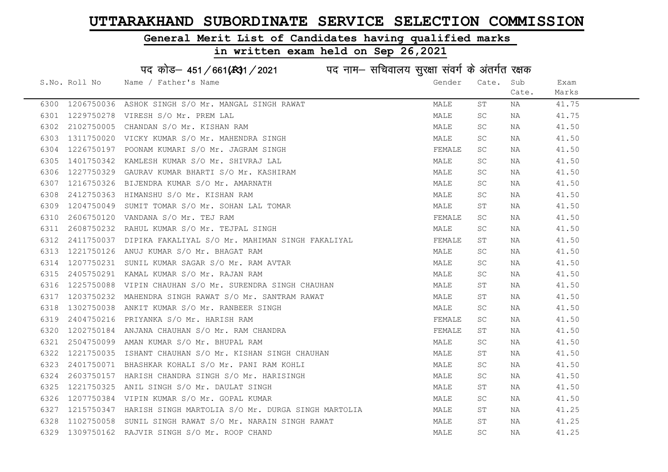#### General Merit List of Candidates having qualified marks

#### in written exam held on Sep 26,2021

S.No. Roll No Wame / Father's Name Gender Cate. Sub Cate. Exam Marks पद कोड– 451/661(स्था) / 2021 विज्ञान सचिवालय सुरक्षा संवर्ग के अंतर्गत रक्षक 6300 1206750036 ASHOK SINGH S/O Mr. MANGAL SINGH RAWAT NA MALE ST NA 41.75 6301 1229750278 VIRESH S/O Mr. PREM LAL MALE SC NA 41.75 6302 2102750005 CHANDAN S/O Mr. KISHAN RAM MALE SC NA 41.50 6303 1311750020 VICKY KUMAR S/O Mr. MAHENDRA SINGH MANA MALE SC NA 41.50 6304 1226750197 POONAM KUMARI S/O Mr. JAGRAM SINGH FEMALE SC NA 41.50 6305 1401750342 KAMLESH KUMAR S/O Mr. SHIVRAJ LAL MALE SC NA 41.50 6306 1227750329 GAURAV KUMAR BHARTI S/O Mr. KASHIRAM MARE MALE SC NA 41.50 6307 1216750326 BIJENDRA KUMAR S/O Mr. AMARNATH MALE MALE SC NA 41.50 6308 2412750363 HIMANSHU S/O Mr. KISHAN RAM MALE SC NA 41.50 6309 1204750049 SUMIT TOMAR S/O Mr. SOHAN LAL TOMAR MALE ST NA 41.50 6310 2606750120 VANDANA S/O Mr. TEJ RAM FEMALE SC NA 41.50 6311 2608750232 RAHUL KUMAR S/O Mr. TEJPAL SINGH MALE SC NA 41.50 6312 2411750037 DIPIKA FAKALIYAL S/O Mr. MAHIMAN SINGH FAKALIYAL SAN TEMALE ST NA 41.50 6313 1221750126 ANUJ KUMAR S/O Mr. BHAGAT RAM MALE SC NA 41.50 6314 1207750231 SUNIL KUMAR SAGAR S/O Mr. RAM AVTAR MALE SC NA 41.50 6315 2405750291 KAMAL KUMAR S/O Mr. RAJAN RAM MALE SC NA 41.50 6316 1225750088 VIPIN CHAUHAN S/O Mr. SURENDRA SINGH CHAUHAN MANA MALE ST NA 41.50 6317 1203750232 MAHENDRA SINGH RAWAT S/O Mr. SANTRAM RAWAT MANA MALE ST NA 41.50 6318 1302750038 ANKIT KUMAR S/O Mr. RANBEER SINGH MALE SC NA 41.50 6319 2404750216 PRIYANKA S/O Mr. HARISH RAM FEMALE SC NA 41.50 6320 1202750184 ANJANA CHAUHAN S/O Mr. RAM CHANDRA **FEMALE** ST NA 41.50 6321 2504750099 AMAN KUMAR S/O Mr. BHUPAL RAM MALE SC NA 41.50 6322 1221750035 ISHANT CHAUHAN S/O Mr. KISHAN SINGH CHAUHAN MALE ST NA 41.50 6323 2401750071 BHASHKAR KOHALI S/O Mr. PANI RAM KOHLI NAN MALE SC NA 41.50 6324 2603750157 HARISH CHANDRA SINGH S/O Mr. HARISINGH MALL MALE SC NA 41.50 6325 1221750325 ANIL SINGH S/O Mr. DAULAT SINGH MALE ST NA 41.50 6326 1207750384 VIPIN KUMAR S/O Mr. GOPAL KUMAR MARRE SC MANALE SC NA 41.50 6327 1215750347 HARISH SINGH MARTOLIA S/O Mr. DURGA SINGH MARTOLIA MALE ST NA 41.25 6328 1102750058 SUNIL SINGH RAWAT S/O Mr. NARAIN SINGH RAWAT MALE ST NA 41.25 6329 1309750162 RAJVIR SINGH S/O Mr. ROOP CHAND MALE SC NA 41.25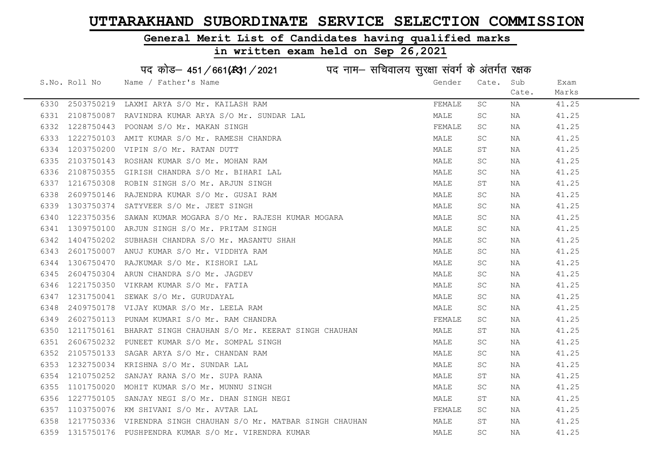### General Merit List of Candidates having qualified marks

|      |               | पद कोड़- 451/661(स्था / 2021 विद्युत्तम- सचिवालय सुरक्षा संवर्ग के अंतर्गत रक्षक |        |           |       |       |
|------|---------------|----------------------------------------------------------------------------------|--------|-----------|-------|-------|
|      | S.No. Roll No | Name / Father's Name                                                             | Gender | Cate.     | Sub   | Exam  |
|      |               |                                                                                  |        |           | Cate. | Marks |
| 6330 | 2503750219    | LAXMI ARYA S/O Mr. KAILASH RAM                                                   | FEMALE | SC        | ΝA    | 41.25 |
| 6331 | 2108750087    | RAVINDRA KUMAR ARYA S/O Mr. SUNDAR LAL                                           | MALE   | SC        | NA    | 41.25 |
| 6332 | 1228750443    | POONAM S/O Mr. MAKAN SINGH                                                       | FEMALE | SC        | NA    | 41.25 |
| 6333 | 1222750103    | AMIT KUMAR S/O Mr. RAMESH CHANDRA                                                | MALE   | SC        | NA    | 41.25 |
| 6334 | 1203750200    | VIPIN S/O Mr. RATAN DUTT                                                         | MALE   | SΤ        | NA    | 41.25 |
| 6335 | 2103750143    | ROSHAN KUMAR S/O Mr. MOHAN RAM                                                   | MALE   | SC        | NA    | 41.25 |
| 6336 | 2108750355    | GIRISH CHANDRA S/O Mr. BIHARI LAL                                                | MALE   | SC        | ΝA    | 41.25 |
| 6337 | 1216750308    | ROBIN SINGH S/O Mr. ARJUN SINGH                                                  | MALE   | ST        | ΝA    | 41.25 |
| 6338 | 2609750146    | RAJENDRA KUMAR S/O Mr. GUSAI RAM                                                 | MALE   | SC        | NA    | 41.25 |
| 6339 |               | 1303750374 SATYVEER S/O Mr. JEET SINGH                                           | MALE   | SC        | NA    | 41.25 |
| 6340 | 1223750356    | SAWAN KUMAR MOGARA S/O Mr. RAJESH KUMAR MOGARA                                   | MALE   | SC        | ΝA    | 41.25 |
| 6341 |               | 1309750100 ARJUN SINGH S/O Mr. PRITAM SINGH                                      | MALE   | SC        | NA    | 41.25 |
| 6342 | 1404750202    | SUBHASH CHANDRA S/O Mr. MASANTU SHAH                                             | MALE   | SC        | NA    | 41.25 |
| 6343 |               | 2601750007 ANUJ KUMAR S/O Mr. VIDDHYA RAM                                        | MALE   | SC        | NA    | 41.25 |
| 6344 | 1306750470    | RAJKUMAR S/O Mr. KISHORI LAL                                                     | MALE   | SC        | NA    | 41.25 |
| 6345 | 2604750304    | ARUN CHANDRA S/O Mr. JAGDEV                                                      | MALE   | SC        | NA    | 41.25 |
| 6346 | 1221750350    | VIKRAM KUMAR S/O Mr. FATIA                                                       | MALE   | SC        | NA    | 41.25 |
| 6347 | 1231750041    | SEWAK S/O Mr. GURUDAYAL                                                          | MALE   | SC        | NA    | 41.25 |
| 6348 | 2409750178    | VIJAY KUMAR S/O Mr. LEELA RAM                                                    | MALE   | SC        | ΝA    | 41.25 |
| 6349 | 2602750113    | PUNAM KUMARI S/O Mr. RAM CHANDRA                                                 | FEMALE | SC        | NA    | 41.25 |
| 6350 |               | 1211750161 BHARAT SINGH CHAUHAN S/O Mr. KEERAT SINGH CHAUHAN                     | MALE   | ST        | NA    | 41.25 |
| 6351 | 2606750232    | PUNEET KUMAR S/O Mr. SOMPAL SINGH                                                | MALE   | SC        | NA    | 41.25 |
| 6352 | 2105750133    | SAGAR ARYA S/O Mr. CHANDAN RAM                                                   | MALE   | SC        | NA    | 41.25 |
| 6353 | 1232750034    | KRISHNA S/O Mr. SUNDAR LAL                                                       | MALE   | SC        | NA    | 41.25 |
| 6354 | 1210750252    | SANJAY RANA S/O Mr. SUPA RANA                                                    | MALE   | SΤ        | NA    | 41.25 |
| 6355 | 1101750020    | MOHIT KUMAR S/O Mr. MUNNU SINGH                                                  | MALE   | SC        | ΝA    | 41.25 |
| 6356 | 1227750105    | SANJAY NEGI S/O Mr. DHAN SINGH NEGI                                              | MALE   | SΤ        | NA    | 41.25 |
| 6357 |               | 1103750076 KM SHIVANI S/O Mr. AVTAR LAL                                          | FEMALE | SC        | NA    | 41.25 |
| 6358 |               | 1217750336 VIRENDRA SINGH CHAUHAN S/O Mr. MATBAR SINGH CHAUHAN                   | MALE   | ST        | NA    | 41.25 |
| 6359 |               | 1315750176 PUSHPENDRA KUMAR S/O Mr. VIRENDRA KUMAR                               | MALE   | <b>SC</b> | ΝA    | 41.25 |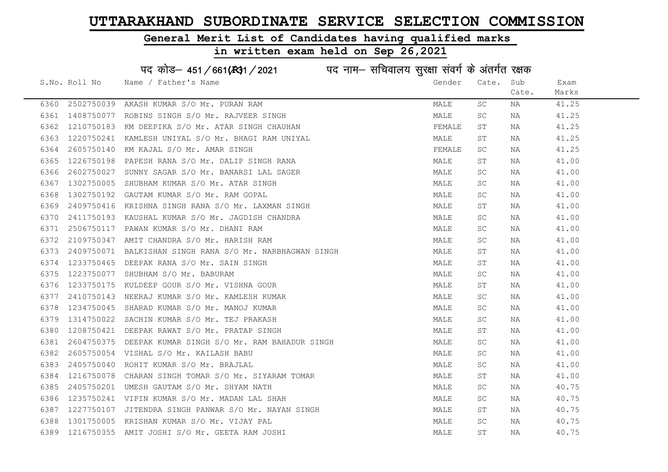#### General Merit List of Candidates having qualified marks

in written exam held on Sep 26,2021

S.No. Roll No Wame / Father's Name Gender Cate. Sub Cate. Exam Marks पद कोड– 451/661(स्था) / 2021 विज्ञान सचिवालय सुरक्षा संवर्ग के अंतर्गत रक्षक 6360 2502750039 AKASH KUMAR S/O Mr. PURAN RAM MALE SC NA 41.25 6361 1408750077 ROBINS SINGH S/O Mr. RAJVEER SINGH MALE SC NA 41.25 6362 1210750183 KM DEEPIKA S/O Mr. ATAR SINGH CHAUHAN **FEMALE** ST NA 41.25 6363 1220750241 KAMLESH UNIYAL S/O Mr. BHAGI RAM UNIYAL MANA MALE ST NA 41.25 6364 2605750140 KM KAJAL S/O Mr. AMAR SINGH FEMALE SC NA 41.25 6365 1226750198 PAPESH RANA S/O Mr. DALIP SINGH RANA MALE ST NA 41.00 6366 2602750027 SUNNY SAGAR S/O Mr. BANARSI LAL SAGER MANARE MALE SC NA 41.00 6367 1302750005 SHUBHAM KUMAR S/O Mr. ATAR SINGH MALE SC NA 41.00 6368 1302750192 GAUTAM KUMAR S/O Mr. RAM GOPAL MALE SC NA 41.00 6369 2409750416 KRISHNA SINGH RANA S/O Mr. LAXMAN SINGH MALE ST NA 41.00 6370 2411750193 KAUSHAL KUMAR S/O Mr. JAGDISH CHANDRA NA MALE SC NA 41.00 6371 2506750117 PAWAN KUMAR S/O Mr. DHANI RAM MALE SC NA 41.00 6372 2109750347 AMIT CHANDRA S/O Mr. HARISH RAM MALE SC NA 41.00 6373 2409750071 BALKISHAN SINGH RANA S/O Mr. NARBHAGWAN SINGH MALE ST NA 41.00 6374 1233750465 DEEPAK RANA S/O Mr. SAIN SINGH MALE ST NA 41.00 6375 1223750077 SHUBHAM S/O Mr. BABURAM MALE SC NA 41.00 6376 1233750175 KULDEEP GOUR S/O Mr. VISHNA GOUR MALE ST NA 41.00 6377 2410750143 NEERAJ KUMAR S/O Mr. KAMLESH KUMAR MALE SC NA 41.00 6378 1234750045 SHARAD KUMAR S/O Mr. MANOJ KUMAR MALE SC NA 41.00 6379 1314750022 SACHIN KUMAR S/O Mr. TEJ PRAKASH MALE SC NA 41.00 6380 1208750421 DEEPAK RAWAT S/O Mr. PRATAP SINGH MALE ST NA 41.00 6381 2604750375 DEEPAK KUMAR SINGH S/O Mr. RAM BAHADUR SINGH MALE SC NA 41.00 6382 2605750054 VISHAL S/O Mr. KAILASH BABU MALE SC NA 41.00 6383 2405750040 ROHIT KUMAR S/O Mr. BRAJLAL MALE SC NA 41.00 6384 1216750078 CHARAN SINGH TOMAR S/O Mr. SIYARAM TOMAR MANA MALE ST NA 41.00 6385 2405750201 UMESH GAUTAM S/O Mr. SHYAM NATH SAN MANA MARE SC NA 40.75 6386 1235750241 VIPIN KUMAR S/O Mr. MADAN LAL SHAH MALE SC NA 40.75 6387 1227750107 JITENDRA SINGH PANWAR S/O Mr. NAYAN SINGH MALE ST NA 40.75 6388 1301750005 KRISHAN KUMAR S/O Mr. VIJAY PAL MALE SC NA 40.75 6389 1216750355 AMIT JOSHI S/O Mr. GEETA RAM JOSHI MALE ST NA 40.75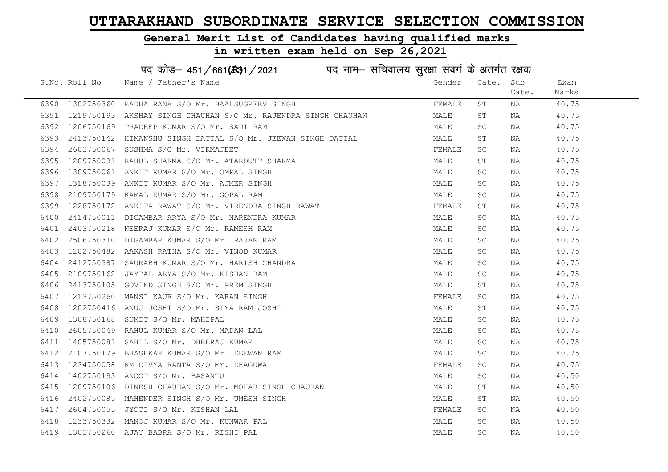#### General Merit List of Candidates having qualified marks

#### in written exam held on Sep 26,2021

S.No. Roll No Wame / Father's Name Gender Cate. Sub Cate. Exam Marks पद कोड– 451/661(स्था) / 2021 विज्ञान सचिवालय सुरक्षा संवर्ग के अंतर्गत रक्षक 6390 1302750360 RADHA RANA S/O Mr. BAALSUGREEV SINGH FEMALL ST NA 40.75 6391 1219750193 AKSHAY SINGH CHAUHAN S/O Mr. RAJENDRA SINGH CHAUHAN MALE ST NA 40.75 6392 1206750169 PRADEEP KUMAR S/O Mr. SADI RAM MALE SC NA 40.75 6393 2413750142 HIMANSHU SINGH DATTAL S/O Mr. JEEWAN SINGH DATTAL MALE ST NA 40.75 6394 2603750067 SUSHMA S/O Mr. VIRMAJEET FEMALE SC NA 40.75 6395 1209750091 RAHUL SHARMA S/O Mr. ATARDUTT SHARMA MALE ST NA 40.75 6396 1309750061 ANKIT KUMAR S/O Mr. OMPAL SINGH MALE SC NA 40.75 6397 1318750039 ANKIT KUMAR S/O Mr. AJMER SINGH MALE SC NA 40.75 6398 2109750179 KAMAL KUMAR S/O Mr. GOPAL RAM MALE SC NA 40.75 6399 1228750172 ANKITA RAWAT S/O Mr. VIRENDRA SINGH RAWAT FEMALE ST NA 40.75 6400 2414750011 DIGAMBAR ARYA S/O Mr. NARENDRA KUMAR MARRE SCHANALE SCHA MALE SCHA 40.75 6401 2403750218 NEERAJ KUMAR S/O Mr. RAMESH RAM MALE SC NA 40.75 6402 2506750310 DIGAMBAR KUMAR S/O Mr. RAJAN RAM MALE SC NA 40.75 6403 1202750482 AAKASH RATHA S/O Mr. VINOD KUMAR MALE SC NA 40.75 6404 2412750387 SAURABH KUMAR S/O Mr. HARISH CHANDRA MALE SC NA 40.75 6405 2109750162 JAYPAL ARYA S/O Mr. KISHAN RAM MALE SC NA 40.75 6406 2413750105 GOVIND SINGH S/O Mr. PREM SINGH MALE ST NA 40.75 6407 1213750260 MANSI KAUR S/O Mr. KARAN SINGH FEMALE SC NA 40.75 6408 1202750416 ANUJ JOSHI S/O Mr. SIYA RAM JOSHI MALE ST NA 40.75 6409 1308750168 SUMIT S/O Mr. MAHIPAL MALE SC NA 40.75 6410 2605750049 RAHUL KUMAR S/O Mr. MADAN LAL MALE SC NA 40.75 6411 1405750081 SAHIL S/O Mr. DHEERAJ KUMAR MALE SC NA 40.75 6412 2107750179 BHASHKAR KUMAR S/O Mr. DEEWAN RAM MALE SC NA 40.75 6413 1234750058 KM DIVYA RANTA S/O Mr. DHAGUWA **FEMALE** SC NA 40.75 6414 1402750193 ANOOP S/O Mr. BASANTU MALE SC NA 40.50 6415 1209750106 DINESH CHAUHAN S/O Mr. MOHAR SINGH CHAUHAN MAN MALE ST NA 40.50 6416 2402750085 MAHENDER SINGH S/O Mr. UMESH SINGH MALE ST NA 40.50 6417 2604750055 JYOTI S/O Mr. KISHAN LAL FEMALE SC NA 40.50 6418 1233750332 MANOJ KUMAR S/O Mr. KUNWAR PAL MARE SC NA 40.50

6419 1303750260 AJAY BABRA S/O Mr. RISHI PAL MALE SC NA 40.50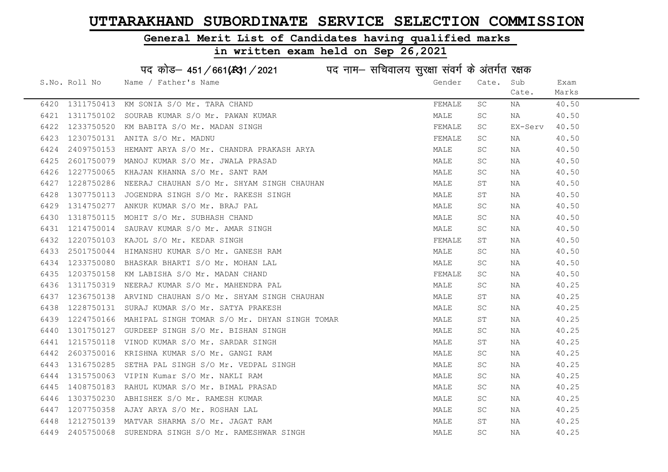#### General Merit List of Candidates having qualified marks

#### in written exam held on Sep 26,2021

S.No. Roll No Wame / Father's Name Gender Cate. Sub Cate. Exam Marks पद कोड– 451/661(स्था) / 2021 विज्ञान सचिवालय सुरक्षा संवर्ग के अंतर्गत रक्षक 6420 1311750413 KM SONIA S/O Mr. TARA CHAND **FEMALE** SC NA 40.50 6421 1311750102 SOURAB KUMAR S/O Mr. PAWAN KUMAR MARRE MANALE SC NA 40.50 6422 1233750520 KM BABITA S/O Mr. MADAN SINGH FEMALE SC EX-Serv 40.50 6423 1230750131 ANITA S/O Mr. MADNU FEMALE SC NA 40.50 6424 2409750153 HEMANT ARYA S/O Mr. CHANDRA PRAKASH ARYA MANA MALE SC NA 40.50 6425 2601750079 MANOJ KUMAR S/O Mr. JWALA PRASAD MALE SC NA 40.50 6426 1227750065 KHAJAN KHANNA S/O Mr. SANT RAM MALE SC NA 40.50 6427 1228750286 NEERAJ CHAUHAN S/O Mr. SHYAM SINGH CHAUHAN MALE ST NA 40.50 6428 1307750113 JOGENDRA SINGH S/O Mr. RAKESH SINGH MALE ST NA 40.50 6429 1314750277 ANKUR KUMAR S/O Mr. BRAJ PAL MALE SC NA 40.50 6430 1318750115 MOHIT S/O Mr. SUBHASH CHAND MALE SC NA 40.50 6431 1214750014 SAURAV KUMAR S/O Mr. AMAR SINGH MALE SC NA 40.50 6432 1220750103 KAJOL S/O Mr. KEDAR SINGH FEMALE ST NA 40.50 6433 2501750044 HIMANSHU KUMAR S/O Mr. GANESH RAM MALE SC NA 40.50 6434 1233750080 BHASKAR BHARTI S/O Mr. MOHAN LAL MALE SC NA 40.50 6435 1203750158 KM LABISHA S/O Mr. MADAN CHAND FEMALE SC NA 40.50 6436 1311750319 NEERAJ KUMAR S/O Mr. MAHENDRA PAL MALE SC NA 40.25 6437 1236750138 ARVIND CHAUHAN S/O Mr. SHYAM SINGH CHAUHAN MAN MALE ST NA 40.25 6438 1228750131 SURAJ KUMAR S/O Mr. SATYA PRAKESH MALE SC NA 40.25 6439 1224750166 MAHIPAL SINGH TOMAR S/O Mr. DHYAN SINGH TOMAR MALE ST NA 40.25 6440 1301750127 GURDEEP SINGH S/O Mr. BISHAN SINGH MALE SC NA 40.25 6441 1215750118 VINOD KUMAR S/O Mr. SARDAR SINGH MALE ST NA 40.25 6442 2603750016 KRISHNA KUMAR S/O Mr. GANGI RAM MALE SC NA 40.25 6443 1316750285 SETHA PAL SINGH S/O Mr. VEDPAL SINGH MALL MALE SC NA 40.25 6444 1315750063 VIPIN Kumar S/O Mr. NAKLI RAM MALE SC NA 40.25 6445 1408750183 RAHUL KUMAR S/O Mr. BIMAL PRASAD MALE SC NA 40.25 6446 1303750230 ABHISHEK S/O Mr. RAMESH KUMAR MALE MALE SC NA 40.25 6447 1207750358 AJAY ARYA S/O Mr. ROSHAN LAL MALE SC NA 40.25 6448 1212750139 MATVAR SHARMA S/O Mr. JAGAT RAM MALE ST NA 40.25 6449 2405750068 SURENDRA SINGH S/O Mr. RAMESHWAR SINGH MALL MALE SC NA 40.25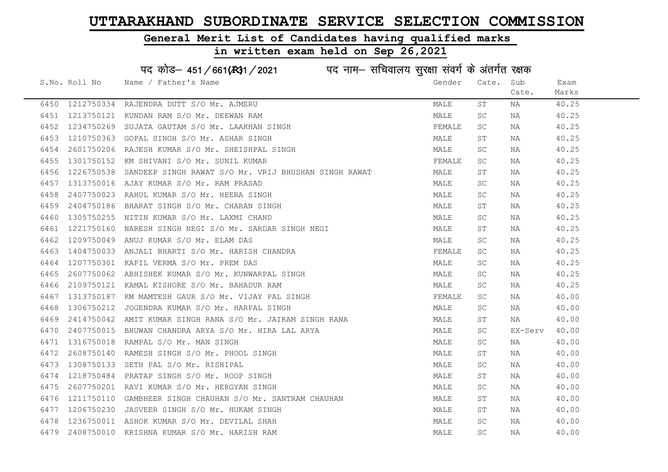### General Merit List of Candidates having qualified marks

|      | पद कोड़- 451/661(431/2021 पद नाम- सचिवालय सुरक्षा संवर्ग के अंतर्गत रक्षक |                                                            |        |                     |         |       |  |  |
|------|---------------------------------------------------------------------------|------------------------------------------------------------|--------|---------------------|---------|-------|--|--|
|      | S.No. Roll No                                                             | Name / Father's Name                                       | Gender | Cate.               | Sub     | Exam  |  |  |
|      |                                                                           |                                                            |        |                     | Cate.   | Marks |  |  |
|      |                                                                           | 6450 1212750334 RAJENDRA DUTT S/O Mr. AJMERU               | MALE   | SΤ                  | ΝA      | 40.25 |  |  |
| 6451 | 1213750121                                                                | KUNDAN RAM S/O Mr. DEEWAN RAM                              | MALE   | SC                  | NA      | 40.25 |  |  |
| 6452 | 1234750269                                                                | SUJATA GAUTAM S/O Mr. LAAKHAN SINGH                        | FEMALE | SC                  | NA      | 40.25 |  |  |
| 6453 | 1210750363                                                                | GOPAL SINGH S/O Mr. ASHAR SINGH                            | MALE   | ST                  | NA      | 40.25 |  |  |
| 6454 | 2601750206                                                                | RAJESH KUMAR S/O Mr. SHEISHPAL SINGH                       | MALE   | SC                  | NA      | 40.25 |  |  |
| 6455 |                                                                           | 1301750152 KM SHIVANI S/O Mr. SUNIL KUMAR                  | FEMALE | <b>SC</b>           | NA      | 40.25 |  |  |
| 6456 | 1226750538                                                                | SANDEEP SINGH RAWAT S/O Mr. VRIJ BHUSHAN SINGH RAWAT       | MALE   | ST                  | NA      | 40.25 |  |  |
| 6457 | 1313750016                                                                | AJAY KUMAR S/O Mr. RAM PRASAD                              | MALE   | <b>SC</b>           | NA      | 40.25 |  |  |
| 6458 | 2407750023                                                                | RAHUL KUMAR S/O Mr. HEERA SINGH                            | MALE   | <b>SC</b>           | NA      | 40.25 |  |  |
| 6459 |                                                                           | 2404750186 BHARAT SINGH S/O Mr. CHARAN SINGH               | MALE   | ST                  | NA      | 40.25 |  |  |
| 6460 |                                                                           | 1305750255 NITIN KUMAR S/O Mr. LAXMI CHAND                 | MALE   | SC                  | NA      | 40.25 |  |  |
| 6461 | 1221750160                                                                | NARESH SINGH NEGI S/O Mr. SARDAR SINGH NEGI                | MALE   | ST                  | NA      | 40.25 |  |  |
| 6462 | 1209750049                                                                | ANUJ KUMAR S/O Mr. ELAM DAS                                | MALE   | <b>SC</b>           | NA      | 40.25 |  |  |
| 6463 |                                                                           | 1404750033 ANJALI BHARTI S/O Mr. HARISH CHANDRA            | FEMALE | <b>SC</b>           | NA      | 40.25 |  |  |
| 6464 |                                                                           | 1207750301 KAPIL VERMA S/O Mr. PREM DAS                    | MALE   | SC                  | NA      | 40.25 |  |  |
| 6465 | 2607750062                                                                | ABHISHEK KUMAR S/O Mr. KUNWARPAL SINGH                     | MALE   | $\operatorname{SC}$ | ΝA      | 40.25 |  |  |
| 6466 | 2109750121                                                                | KAMAL KISHORE S/O Mr. BAHADUR RAM                          | MALE   | SC                  | NA      | 40.25 |  |  |
| 6467 | 1313750187                                                                | KM MAMTESH GAUR S/O Mr. VIJAY PAL SINGH                    | FEMALE | SC                  | NA      | 40.00 |  |  |
| 6468 | 1306750212                                                                | JOGENDRA KUMAR S/O Mr. HARPAL SINGH                        | MALE   | SC                  | ΝA      | 40.00 |  |  |
| 6469 |                                                                           | 2414750042 AMIT KUMAR SINGH RANA S/O Mr. JAIRAM SINGH RANA | MALE   | ST                  | NA      | 40.00 |  |  |
| 6470 | 2407750015                                                                | BHUWAN CHANDRA ARYA S/O Mr. HIRA LAL ARYA                  | MALE   | <b>SC</b>           | EX-Serv | 40.00 |  |  |
| 6471 |                                                                           | 1316750018 RAMPAL S/O Mr. MAN SINGH                        | MALE   | SC                  | ΝA      | 40.00 |  |  |
| 6472 | 2608750140                                                                | RAMESH SINGH S/O Mr. PHOOL SINGH                           | MALE   | ST                  | ΝA      | 40.00 |  |  |
| 6473 | 1308750133                                                                | SETH PAL S/O Mr. RISHIPAL                                  | MALE   | SC                  | ΝA      | 40.00 |  |  |
| 6474 | 1218750484                                                                | PRATAP SINGH S/O Mr. ROOP SINGH                            | MALE   | SΤ                  | ΝA      | 40.00 |  |  |
| 6475 |                                                                           | 2607750201 RAVI KUMAR S/O Mr. HERGYAN SINGH                | MALE   | SC                  | NA      | 40.00 |  |  |
| 6476 |                                                                           | 1211750110 GAMBHEER SINGH CHAUHAN S/O Mr. SANTRAM CHAUHAN  | MALE   | ST                  | NA      | 40.00 |  |  |
| 6477 |                                                                           | 1206750230 JASVEER SINGH S/O Mr. HUKAM SINGH               | MALE   | ST                  | NA      | 40.00 |  |  |
| 6478 |                                                                           | 1236750011 ASHOK KUMAR S/O Mr. DEVILAL SHAH                | MALE   | <b>SC</b>           | NA      | 40.00 |  |  |
| 6479 |                                                                           | 2408750010 KRISHNA KUMAR S/O Mr. HARISH RAM                | MALE   | SC                  | NA      | 40.00 |  |  |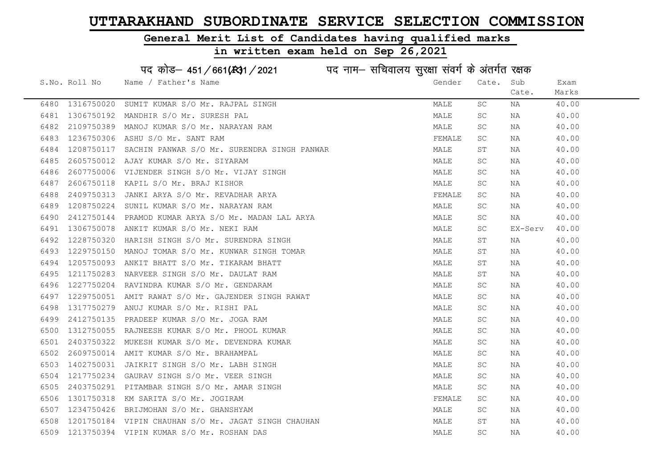#### General Merit List of Candidates having qualified marks

|      |               | पद कोड़- 451/661(431/2021 पद नाम- सचिवालय सुरक्षा संवर्ग के अंतर्गत रक्षक |        |             |         |       |
|------|---------------|---------------------------------------------------------------------------|--------|-------------|---------|-------|
|      | S.No. Roll No | Name / Father's Name                                                      | Gender | Cate.       | Sub     | Exam  |
|      |               |                                                                           |        |             | Cate.   | Marks |
| 6480 | 1316750020    | SUMIT KUMAR S/O Mr. RAJPAL SINGH                                          | MALE   | SC.         | NA      | 40.00 |
| 6481 | 1306750192    | MANDHIR S/O Mr. SURESH PAL                                                | MALE   | SC          | NA      | 40.00 |
| 6482 | 2109750389    | MANOJ KUMAR S/O Mr. NARAYAN RAM                                           | MALE   | SC.         | NA      | 40.00 |
| 6483 | 1236750306    | ASHU S/O Mr. SANT RAM                                                     | FEMALE | SC.         | NA      | 40.00 |
| 6484 | 1208750117    | SACHIN PANWAR S/O Mr. SURENDRA SINGH PANWAR                               | MALE   | SΤ          | NA      | 40.00 |
| 6485 | 2605750012    | AJAY KUMAR S/O Mr. SIYARAM                                                | MALE   | SC          | NA      | 40.00 |
| 6486 | 2607750006    | VIJENDER SINGH S/O Mr. VIJAY SINGH                                        | MALE   | SC          | NA      | 40.00 |
| 6487 | 2606750118    | KAPIL S/O Mr. BRAJ KISHOR                                                 | MALE   | SC          | NA      | 40.00 |
| 6488 | 2409750313    | JANKI ARYA S/O Mr. REVADHAR ARYA                                          | FEMALE | SC          | NA      | 40.00 |
| 6489 | 1208750224    | SUNIL KUMAR S/O Mr. NARAYAN RAM                                           | MALE   | SC          | NA      | 40.00 |
| 6490 | 2412750144    | PRAMOD KUMAR ARYA S/O Mr. MADAN LAL ARYA                                  | MALE   | SC          | NA      | 40.00 |
| 6491 | 1306750078    | ANKIT KUMAR S/O Mr. NEKI RAM                                              | MALE   | SC          | EX-Serv | 40.00 |
| 6492 | 1228750320    | HARISH SINGH S/O Mr. SURENDRA SINGH                                       | MALE   | ST          | NA      | 40.00 |
| 6493 | 1229750150    | MANOJ TOMAR S/O Mr. KUNWAR SINGH TOMAR                                    | MALE   | ST          | NA      | 40.00 |
| 6494 | 1205750093    | ANKIT BHATT S/O Mr. TIKARAM BHATT                                         | MALE   | SΤ          | NA      | 40.00 |
| 6495 | 1211750283    | NARVEER SINGH S/O Mr. DAULAT RAM                                          | MALE   | $\mbox{ST}$ | NA      | 40.00 |
| 6496 | 1227750204    | RAVINDRA KUMAR S/O Mr. GENDARAM                                           | MALE   | SC.         | NA      | 40.00 |
| 6497 | 1229750051    | AMIT RAWAT S/O Mr. GAJENDER SINGH RAWAT                                   | MALE   | SC          | NA      | 40.00 |
| 6498 | 1317750279    | ANUJ KUMAR S/O Mr. RISHI PAL                                              | MALE   | SC          | NA      | 40.00 |
| 6499 | 2412750135    | PRADEEP KUMAR S/O Mr. JOGA RAM                                            | MALE   | SC          | NA      | 40.00 |
| 6500 | 1312750055    | RAJNEESH KUMAR S/O Mr. PHOOL KUMAR                                        | MALE   | SC.         | NA      | 40.00 |
| 6501 | 2403750322    | MUKESH KUMAR S/O Mr. DEVENDRA KUMAR                                       | MALE   | SC          | NA      | 40.00 |
| 6502 | 2609750014    | AMIT KUMAR S/O Mr. BRAHAMPAL                                              | MALE   | SC          | NA      | 40.00 |
| 6503 | 1402750031    | JAIKRIT SINGH S/O Mr. LABH SINGH                                          | MALE   | SC          | NA      | 40.00 |
| 6504 | 1217750234    | GAURAV SINGH S/O Mr. VEER SINGH                                           | MALE   | SC.         | NA      | 40.00 |
| 6505 | 2403750291    | PITAMBAR SINGH S/O Mr. AMAR SINGH                                         | MALE   | SC          | NA      | 40.00 |
| 6506 | 1301750318    | KM SARITA S/O Mr. JOGIRAM                                                 | FEMALE | SC          | NA      | 40.00 |
| 6507 | 1234750426    | BRIJMOHAN S/O Mr. GHANSHYAM                                               | MALE   | SC          | NA      | 40.00 |
| 6508 | 1201750184    | VIPIN CHAUHAN S/O Mr. JAGAT SINGH CHAUHAN                                 | MALE   | SΤ          | NA      | 40.00 |
| 6509 |               | 1213750394 VIPIN KUMAR S/O Mr. ROSHAN DAS                                 | MALE   | SC          | ΝA      | 40.00 |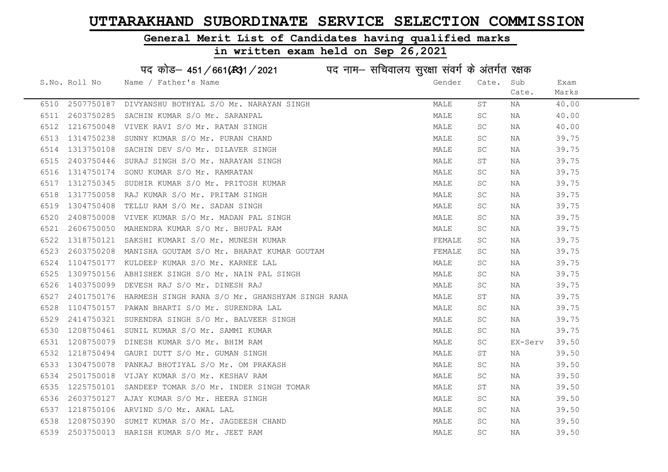# General Merit List of Candidates having qualified marks

|      |               | पद कोड़- 451/661(431/2021 पद नाम- सचिवालय सुरक्षा संवर्ग के अंतर्गत रक्षक |        |                     |         |       |
|------|---------------|---------------------------------------------------------------------------|--------|---------------------|---------|-------|
|      | S.No. Roll No | Name / Father's Name                                                      | Gender | Cate.               | Sub     | Exam  |
|      |               |                                                                           |        |                     | Cate.   | Marks |
| 6510 | 2507750187    | DIVYANSHU BOTHYAL S/O Mr. NARAYAN SINGH                                   | MALE   | ST                  | ΝA      | 40.00 |
| 6511 | 2603750285    | SACHIN KUMAR S/O Mr. SARANPAL                                             | MALE   | <b>SC</b>           | NA      | 40.00 |
| 6512 | 1216750048    | VIVEK RAVI S/O Mr. RATAN SINGH                                            | MALE   | SC                  | ΝA      | 40.00 |
| 6513 | 1314750238    | SUNNY KUMAR S/O Mr. PURAN CHAND                                           | MALE   | SC                  | NA      | 39.75 |
| 6514 | 1313750108    | SACHIN DEV S/O Mr. DILAVER SINGH                                          | MALE   | SC                  | NA      | 39.75 |
| 6515 | 2403750446    | SURAJ SINGH S/O Mr. NARAYAN SINGH                                         | MALE   | ST                  | ΝA      | 39.75 |
| 6516 | 1314750174    | SONU KUMAR S/O Mr. RAMRATAN                                               | MALE   | SC                  | ΝA      | 39.75 |
| 6517 | 1312750345    | SUDHIR KUMAR S/O Mr. PRITOSH KUMAR                                        | MALE   | <b>SC</b>           | NA      | 39.75 |
| 6518 | 1317750058    | RAJ KUMAR S/O Mr. PRITAM SINGH                                            | MALE   | SC                  | NA      | 39.75 |
| 6519 | 1304750408    | TELLU RAM S/O Mr. SADAN SINGH                                             | MALE   | SC                  | NA      | 39.75 |
| 6520 | 2408750008    | VIVEK KUMAR S/O Mr. MADAN PAL SINGH                                       | MALE   | SC                  | NA      | 39.75 |
| 6521 | 2606750050    | MAHENDRA KUMAR S/O Mr. BHUPAL RAM                                         | MALE   | SC                  | NA      | 39.75 |
| 6522 | 1318750121    | SAKSHI KUMARI S/O Mr. MUNESH KUMAR                                        | FEMALE | SC                  | NA      | 39.75 |
| 6523 | 2603750208    | MANISHA GOUTAM S/O Mr. BHARAT KUMAR GOUTAM                                | FEMALE | <b>SC</b>           | ΝA      | 39.75 |
| 6524 | 1104750177    | KULDEEP KUMAR S/O Mr. KARNEE LAL                                          | MALE   | SC                  | ΝA      | 39.75 |
| 6525 | 1309750156    | ABHISHEK SINGH S/O Mr. NAIN PAL SINGH                                     | MALE   | <b>SC</b>           | ΝA      | 39.75 |
| 6526 | 1403750099    | DEVESH RAJ S/O Mr. DINESH RAJ                                             | MALE   | SC                  | ΝA      | 39.75 |
| 6527 | 2401750176    | HARMESH SINGH RANA S/O Mr. GHANSHYAM SINGH RANA                           | MALE   | ST                  | ΝA      | 39.75 |
| 6528 | 1104750157    | PAWAN BHARTI S/O Mr. SURENDRA LAL                                         | MALE   | SC                  | ΝA      | 39.75 |
| 6529 | 2414750321    | SURENDRA SINGH S/O Mr. BALVEER SINGH                                      | MALE   | SC                  | NA      | 39.75 |
| 6530 | 1208750461    | SUNIL KUMAR S/O Mr. SAMMI KUMAR                                           | MALE   | SC                  | NA      | 39.75 |
| 6531 | 1208750079    | DINESH KUMAR S/O Mr. BHIM RAM                                             | MALE   | SC                  | EX-Serv | 39.50 |
| 6532 | 1218750494    | GAURI DUTT S/O Mr. GUMAN SINGH                                            | MALE   | SΤ                  | ΝA      | 39.50 |
| 6533 | 1304750078    | PANKAJ BHOTIYAL S/O Mr. OM PRAKASH                                        | MALE   | SC                  | NA      | 39.50 |
| 6534 | 2501750018    | VIJAY KUMAR S/O Mr. KESHAV RAM                                            | MALE   | SC                  | ΝA      | 39.50 |
| 6535 | 1225750101    | SANDEEP TOMAR S/O Mr. INDER SINGH TOMAR                                   | MALE   | ST                  | ΝA      | 39.50 |
| 6536 | 2603750127    | AJAY KUMAR S/O Mr. HEERA SINGH                                            | MALE   | SC                  | ΝA      | 39.50 |
| 6537 |               | 1218750106 ARVIND S/O Mr. AWAL LAL                                        | MALE   | SC                  | NA      | 39.50 |
| 6538 | 1208750390    | SUMIT KUMAR S/O Mr. JAGDEESH CHAND                                        | MALE   | $\operatorname{SC}$ | ΝA      | 39.50 |
| 6539 | 2503750013    | HARISH KUMAR S/O Mr. JEET RAM                                             | MALE   | <b>SC</b>           | ΝA      | 39.50 |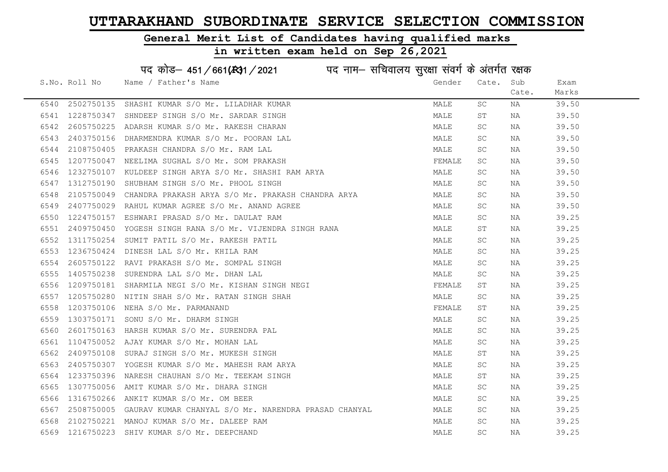#### General Merit List of Candidates having qualified marks

|      |                 | पद कोड़- 451/661(431/2021 पद नाम- सचिवालय सुरक्षा संवर्ग के अंतर्गत रक्षक |        |                     |       |       |
|------|-----------------|---------------------------------------------------------------------------|--------|---------------------|-------|-------|
|      | S.No. Roll No   | Name / Father's Name                                                      | Gender | Cate.               | Sub   | Exam  |
|      |                 |                                                                           |        |                     | Cate. | Marks |
| 6540 | 2502750135      | SHASHI KUMAR S/O Mr. LILADHAR KUMAR                                       | MALE   | SC.                 | NA    | 39.50 |
| 6541 | 1228750347      | SHNDEEP SINGH S/O Mr. SARDAR SINGH                                        | MALE   | ST                  | NA    | 39.50 |
| 6542 | 2605750225      | ADARSH KUMAR S/O Mr. RAKESH CHARAN                                        | MALE   | SC.                 | NA    | 39.50 |
| 6543 | 2403750156      | DHARMENDRA KUMAR S/O Mr. POORAN LAL                                       | MALE   | SC                  | NA    | 39.50 |
| 6544 | 2108750405      | PRAKASH CHANDRA S/O Mr. RAM LAL                                           | MALE   | SC                  | NA    | 39.50 |
| 6545 |                 | 1207750047 NEELIMA SUGHAL S/O Mr. SOM PRAKASH                             | FEMALE | SC                  | NA    | 39.50 |
| 6546 |                 | 1232750107 KULDEEP SINGH ARYA S/O Mr. SHASHI RAM ARYA                     | MALE   | SC.                 | NA    | 39.50 |
| 6547 | 1312750190      | SHUBHAM SINGH S/O Mr. PHOOL SINGH                                         | MALE   | SC.                 | NA    | 39.50 |
| 6548 | 2105750049      | CHANDRA PRAKASH ARYA S/O Mr. PRAKASH CHANDRA ARYA                         | MALE   | SC.                 | NA    | 39.50 |
| 6549 | 2407750029      | RAHUL KUMAR AGREE S/O Mr. ANAND AGREE                                     | MALE   | SC.                 | NA    | 39.50 |
| 6550 | 1224750157      | ESHWARI PRASAD S/O Mr. DAULAT RAM                                         | MALE   | SC                  | NA    | 39.25 |
| 6551 | 2409750450      | YOGESH SINGH RANA S/O Mr. VIJENDRA SINGH RANA                             | MALE   | ST                  | NA    | 39.25 |
| 6552 | 1311750254      | SUMIT PATIL S/O Mr. RAKESH PATIL                                          | MALE   | SC                  | NA    | 39.25 |
| 6553 |                 | 1236750424 DINESH LAL S/O Mr. KHILA RAM                                   | MALE   | SC.                 | NA    | 39.25 |
| 6554 |                 | 2605750122 RAVI PRAKASH S/O Mr. SOMPAL SINGH                              | MALE   | SC.                 | NA    | 39.25 |
| 6555 | 1405750238      | SURENDRA LAL S/O Mr. DHAN LAL                                             | MALE   | SC.                 | NA    | 39.25 |
| 6556 | 1209750181      | SHARMILA NEGI S/O Mr. KISHAN SINGH NEGI                                   | FEMALE | ST                  | NA    | 39.25 |
| 6557 |                 | 1205750280 NITIN SHAH S/O Mr. RATAN SINGH SHAH                            | MALE   | SC                  | NA    | 39.25 |
| 6558 | 1203750106      | NEHA S/O Mr. PARMANAND                                                    | FEMALE | SТ                  | NA    | 39.25 |
| 6559 | 1303750171      | SONU S/O Mr. DHARM SINGH                                                  | MALE   | SC                  | NA    | 39.25 |
| 6560 | 2601750163      | HARSH KUMAR S/O Mr. SURENDRA PAL                                          | MALE   | SC.                 | NA    | 39.25 |
| 6561 |                 | 1104750052 AJAY KUMAR S/O Mr. MOHAN LAL                                   | MALE   | SC.                 | NA    | 39.25 |
| 6562 | 2409750108      | SURAJ SINGH S/O Mr. MUKESH SINGH                                          | MALE   | SΤ                  | NA    | 39.25 |
| 6563 | 2405750307      | YOGESH KUMAR S/O Mr. MAHESH RAM ARYA                                      | MALE   | SC.                 | NA    | 39.25 |
| 6564 | 1233750396      | NARESH CHAUHAN S/O Mr. TEEKAM SINGH                                       | MALE   | SТ                  | NA    | 39.25 |
| 6565 | 1307750056      | AMIT KUMAR S/O Mr. DHARA SINGH                                            | MALE   | SC.                 | NA    | 39.25 |
| 6566 |                 | 1316750266 ANKIT KUMAR S/O Mr. OM BEER                                    | MALE   | SC.                 | NA    | 39.25 |
| 6567 | 2508750005      | GAURAV KUMAR CHANYAL S/O Mr. NARENDRA PRASAD CHANYAL                      | MALE   | SC                  | NA    | 39.25 |
| 6568 |                 | 2102750221 MANOJ KUMAR S/O Mr. DALEEP RAM                                 | MALE   | SC                  | NA    | 39.25 |
|      | 6569 1216750223 | SHIV KUMAR S/O Mr. DEEPCHAND                                              | MALE   | $\operatorname{SC}$ | ΝA    | 39.25 |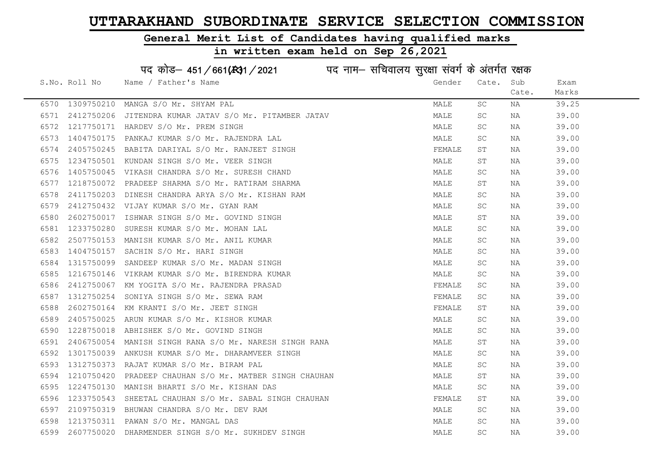# General Merit List of Candidates having qualified marks

| पद कोड़- 451/661(431/2021 पद नाम- सचिवालय सुरक्षा संवर्ग के अंतर्गत रक्षक |               |                                                   |  |        |                     |       |       |  |
|---------------------------------------------------------------------------|---------------|---------------------------------------------------|--|--------|---------------------|-------|-------|--|
|                                                                           | S.No. Roll No | Name / Father's Name                              |  | Gender | Cate.               | Sub   | Exam  |  |
|                                                                           |               |                                                   |  |        |                     | Cate. | Marks |  |
| 6570                                                                      | 1309750210    | MANGA S/O Mr. SHYAM PAL                           |  | MALE   | SC                  | ΝA    | 39.25 |  |
| 6571                                                                      | 2412750206    | JITENDRA KUMAR JATAV S/O Mr. PITAMBER JATAV       |  | MALE   | SC                  | NA    | 39.00 |  |
| 6572                                                                      |               | 1217750171 HARDEV S/O Mr. PREM SINGH              |  | MALE   | SC                  | ΝA    | 39.00 |  |
| 6573                                                                      | 1404750175    | PANKAJ KUMAR S/O Mr. RAJENDRA LAL                 |  | MALE   | SC                  | ΝA    | 39.00 |  |
| 6574                                                                      |               | 2405750245 BABITA DARIYAL S/O Mr. RANJEET SINGH   |  | FEMALE | SΤ                  | NA    | 39.00 |  |
| 6575                                                                      |               | 1234750501 KUNDAN SINGH S/O Mr. VEER SINGH        |  | MALE   | SΤ                  | NA    | 39.00 |  |
| 6576                                                                      | 1405750045    | VIKASH CHANDRA S/O Mr. SURESH CHAND               |  | MALE   | SC                  | ΝA    | 39.00 |  |
| 6577                                                                      | 1218750072    | PRADEEP SHARMA S/O Mr. RATIRAM SHARMA             |  | MALE   | SΤ                  | ΝA    | 39.00 |  |
| 6578                                                                      | 2411750203    | DINESH CHANDRA ARYA S/O Mr. KISHAN RAM            |  | MALE   | SC                  | NA    | 39.00 |  |
| 6579                                                                      | 2412750432    | VIJAY KUMAR S/O Mr. GYAN RAM                      |  | MALE   | SC                  | NA    | 39.00 |  |
| 6580                                                                      | 2602750017    | ISHWAR SINGH S/O Mr. GOVIND SINGH                 |  | MALE   | $\operatorname{ST}$ | ΝA    | 39.00 |  |
| 6581                                                                      | 1233750280    | SURESH KUMAR S/O Mr. MOHAN LAL                    |  | MALE   | SC                  | NA    | 39.00 |  |
| 6582                                                                      |               | 2507750153 MANISH KUMAR S/O Mr. ANIL KUMAR        |  | MALE   | SC                  | NA    | 39.00 |  |
| 6583                                                                      |               | 1404750157 SACHIN S/O Mr. HARI SINGH              |  | MALE   | SC                  | NA    | 39.00 |  |
| 6584                                                                      | 1315750099    | SANDEEP KUMAR S/O Mr. MADAN SINGH                 |  | MALE   | SC                  | ΝA    | 39.00 |  |
| 6585                                                                      | 1216750146    | VIKRAM KUMAR S/O Mr. BIRENDRA KUMAR               |  | MALE   | SC                  | ΝA    | 39.00 |  |
| 6586                                                                      | 2412750067    | KM YOGITA S/O Mr. RAJENDRA PRASAD                 |  | FEMALE | SC                  | ΝA    | 39.00 |  |
| 6587                                                                      | 1312750254    | SONIYA SINGH S/O Mr. SEWA RAM                     |  | FEMALE | SC                  | NA    | 39.00 |  |
| 6588                                                                      | 2602750164    | KM KRANTI S/O Mr. JEET SINGH                      |  | FEMALE | SΤ                  | ΝA    | 39.00 |  |
| 6589                                                                      | 2405750025    | ARUN KUMAR S/O Mr. KISHOR KUMAR                   |  | MALE   | <b>SC</b>           | NA    | 39.00 |  |
| 6590                                                                      | 1228750018    | ABHISHEK S/O Mr. GOVIND SINGH                     |  | MALE   | SC                  | NA    | 39.00 |  |
| 6591                                                                      | 2406750054    | MANISH SINGH RANA S/O Mr. NARESH SINGH RANA       |  | MALE   | SΤ                  | ΝA    | 39.00 |  |
| 6592                                                                      | 1301750039    | ANKUSH KUMAR S/O Mr. DHARAMVEER SINGH             |  | MALE   | $\operatorname{SC}$ | ΝA    | 39.00 |  |
| 6593                                                                      | 1312750373    | RAJAT KUMAR S/O Mr. BIRAM PAL                     |  | MALE   | SC                  | ΝA    | 39.00 |  |
| 6594                                                                      | 1210750420    | PRADEEP CHAUHAN S/O Mr. MATBER SINGH CHAUHAN      |  | MALE   | SΤ                  | NA    | 39.00 |  |
| 6595                                                                      | 1224750130    | MANISH BHARTI S/O Mr. KISHAN DAS                  |  | MALE   | SC                  | ΝA    | 39.00 |  |
| 6596                                                                      | 1233750543    | SHEETAL CHAUHAN S/O Mr. SABAL SINGH CHAUHAN       |  | FEMALE | SΤ                  | NA    | 39.00 |  |
| 6597                                                                      |               | 2109750319 BHUWAN CHANDRA S/O Mr. DEV RAM         |  | MALE   | SC                  | NA    | 39.00 |  |
| 6598                                                                      |               | 1213750311 PAWAN S/O Mr. MANGAL DAS               |  | MALE   | SC                  | ΝA    | 39.00 |  |
| 6599                                                                      |               | 2607750020 DHARMENDER SINGH S/O Mr. SUKHDEV SINGH |  | MALE   | SC                  | ΝA    | 39.00 |  |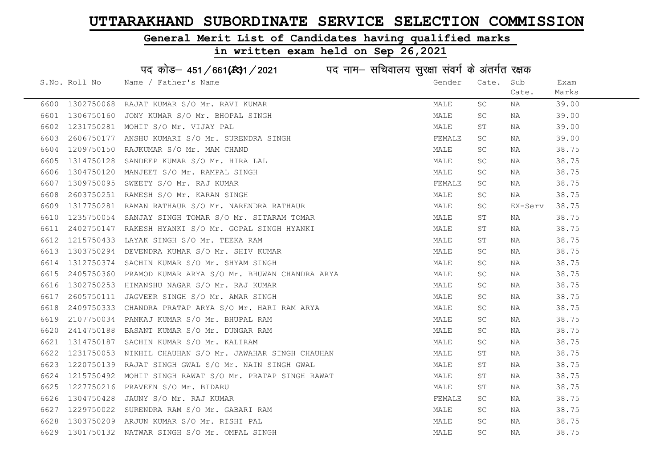#### General Merit List of Candidates having qualified marks

|      |               | पद कोड़- 451/661(431/2021 पद नाम- सचिवालय सुरक्षा संवर्ग के अंतर्गत रक्षक |        |                      |         |       |
|------|---------------|---------------------------------------------------------------------------|--------|----------------------|---------|-------|
|      | S.No. Roll No | Name / Father's Name                                                      | Gender | Cate.                | Sub     | Exam  |
|      |               |                                                                           |        |                      | Cate.   | Marks |
| 6600 | 1302750068    | RAJAT KUMAR S/O Mr. RAVI KUMAR                                            | MALE   | SC                   | ΝA      | 39.00 |
| 6601 | 1306750160    | JONY KUMAR S/O Mr. BHOPAL SINGH                                           | MALE   | SC                   | NA      | 39.00 |
| 6602 | 1231750281    | MOHIT S/O Mr. VIJAY PAL                                                   | MALE   | SΤ                   | ΝA      | 39.00 |
| 6603 | 2606750177    | ANSHU KUMARI S/O Mr. SURENDRA SINGH                                       | FEMALE | $\operatorname{SC}$  | ΝA      | 39.00 |
| 6604 | 1209750150    | RAJKUMAR S/O Mr. MAM CHAND                                                | MALE   | <b>SC</b>            | ΝA      | 38.75 |
| 6605 | 1314750128    | SANDEEP KUMAR S/O Mr. HIRA LAL                                            | MALE   | $\operatorname{SC}$  | NA      | 38.75 |
| 6606 | 1304750120    | MANJEET S/O Mr. RAMPAL SINGH                                              | MALE   | $\operatorname{SC}$  | ΝA      | 38.75 |
| 6607 | 1309750095    | SWEETY S/O Mr. RAJ KUMAR                                                  | FEMALE | $\operatorname{SC}$  | NA      | 38.75 |
| 6608 | 2603750251    | RAMESH S/O Mr. KARAN SINGH                                                | MALE   | SC                   | NA      | 38.75 |
| 6609 | 1317750281    | RAMAN RATHAUR S/O Mr. NARENDRA RATHAUR                                    | MALE   | SC                   | EX-Serv | 38.75 |
| 6610 | 1235750054    | SANJAY SINGH TOMAR S/O Mr. SITARAM TOMAR                                  | MALE   | SΤ                   | ΝA      | 38.75 |
| 6611 | 2402750147    | RAKESH HYANKI S/O Mr. GOPAL SINGH HYANKI                                  | MALE   | SΤ                   | NA      | 38.75 |
| 6612 | 1215750433    | LAYAK SINGH S/O Mr. TEEKA RAM                                             | MALE   | ST                   | NA      | 38.75 |
| 6613 | 1303750294    | DEVENDRA KUMAR S/O Mr. SHIV KUMAR                                         | MALE   | <b>SC</b>            | ΝA      | 38.75 |
| 6614 | 1312750374    | SACHIN KUMAR S/O Mr. SHYAM SINGH                                          | MALE   | SC                   | NA      | 38.75 |
| 6615 | 2405750360    | PRAMOD KUMAR ARYA S/O Mr. BHUWAN CHANDRA ARYA                             | MALE   | $\operatorname{SC}$  | ΝA      | 38.75 |
| 6616 | 1302750253    | HIMANSHU NAGAR S/O Mr. RAJ KUMAR                                          | MALE   | $\operatorname{SC}$  | ΝA      | 38.75 |
| 6617 | 2605750111    | JAGVEER SINGH S/O Mr. AMAR SINGH                                          | MALE   | SC                   | ΝA      | 38.75 |
| 6618 | 2409750333    | CHANDRA PRATAP ARYA S/O Mr. HARI RAM ARYA                                 | MALE   | SC                   | ΝA      | 38.75 |
| 6619 | 2107750034    | PANKAJ KUMAR S/O Mr. BHUPAL RAM                                           | MALE   | $\operatorname{SC}$  | ΝA      | 38.75 |
| 6620 | 2414750188    | BASANT KUMAR S/O Mr. DUNGAR RAM                                           | MALE   | SC                   | ΝA      | 38.75 |
| 6621 | 1314750187    | SACHIN KUMAR S/O Mr. KALIRAM                                              | MALE   | $\operatorname{SC}$  | ΝA      | 38.75 |
| 6622 | 1231750053    | NIKHIL CHAUHAN S/O Mr. JAWAHAR SINGH CHAUHAN                              | MALE   | $\mbox{S}\,\mbox{T}$ | ΝA      | 38.75 |
| 6623 | 1220750139    | RAJAT SINGH GWAL S/O Mr. NAIN SINGH GWAL                                  | MALE   | SΤ                   | ΝA      | 38.75 |
| 6624 | 1215750492    | MOHIT SINGH RAWAT S/O Mr. PRATAP SINGH RAWAT                              | MALE   | SΤ                   | NA      | 38.75 |
| 6625 | 1227750216    | PRAVEEN S/O Mr. BIDARU                                                    | MALE   | ST                   | NA      | 38.75 |
| 6626 | 1304750428    | JAUNY S/O Mr. RAJ KUMAR                                                   | FEMALE | SC                   | NA      | 38.75 |
| 6627 | 1229750022    | SURENDRA RAM S/O Mr. GABARI RAM                                           | MALE   | SC                   | NA      | 38.75 |
| 6628 |               | 1303750209 ARJUN KUMAR S/O Mr. RISHI PAL                                  | MALE   | SC                   | NA      | 38.75 |
| 6629 |               | 1301750132 NATWAR SINGH S/O Mr. OMPAL SINGH                               | MALE   | <b>SC</b>            | ΝA      | 38.75 |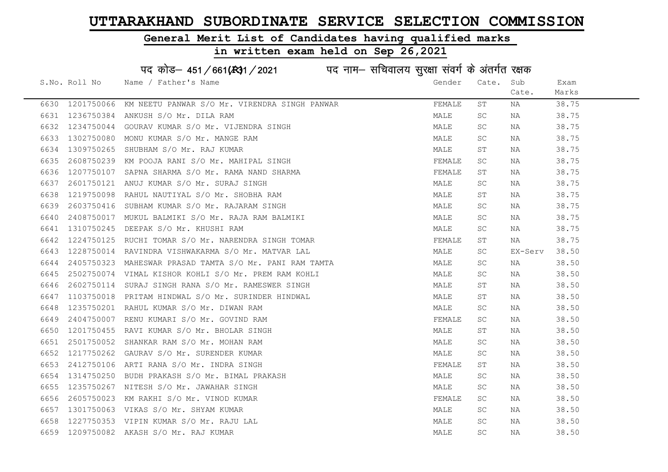#### General Merit List of Candidates having qualified marks

# in written exam held on Sep 26,2021

# पद कोड– 451/661(स्था/2021 व्यान सचिवालय सुरक्षा संवर्ग के अंतर्गत रक्षक

|      | S.No. Roll No   | Name / Father's Name                                                                             | Gender | Cate.     | Sub     | Exam  |
|------|-----------------|--------------------------------------------------------------------------------------------------|--------|-----------|---------|-------|
|      |                 |                                                                                                  |        |           | Cate.   | Marks |
|      | 6630 1201750066 | KM NEETU PANWAR S/O Mr. VIRENDRA SINGH PANWAR                                                    | FEMALE | SΤ        | NA      | 38.75 |
| 6631 |                 | 1236750384 ANKUSH S/O Mr. DILA RAM                                                               | MALE   | <b>SC</b> | NA      | 38.75 |
| 6632 |                 | 1234750044 GOURAV KUMAR S/O Mr. VIJENDRA SINGH                                                   | MALE   | SC        | NA      | 38.75 |
| 6633 | 1302750080      | MONU KUMAR S/O Mr. MANGE RAM<br>SHUBHAM S/O Mr. RAJ KUMAR<br>KM POOJA RANI S/O Mr. MAHIPAL SINGH | MALE   | <b>SC</b> | NA      | 38.75 |
| 6634 | 1309750265      |                                                                                                  | MALE   | ST        | NA      | 38.75 |
| 6635 | 2608750239      |                                                                                                  | FEMALE | <b>SC</b> | NA      | 38.75 |
| 6636 |                 | 1207750107 SAPNA SHARMA S/O Mr. RAMA NAND SHARMA                                                 | FEMALE | SТ        | NA      | 38.75 |
| 6637 |                 | 2601750121 ANUJ KUMAR S/O Mr. SURAJ SINGH                                                        | MALE   | <b>SC</b> | NA      | 38.75 |
| 6638 | 1219750098      | RAHUL NAUTIYAL S/O Mr. SHOBHA RAM                                                                | MALE   | SТ        | NA      | 38.75 |
| 6639 | 2603750416      | SUBHAM KUMAR S/O Mr. RAJARAM SINGH                                                               | MALE   | SC        | NA      | 38.75 |
| 6640 |                 | 2408750017 MUKUL BALMIKI S/O Mr. RAJA RAM BALMIKI                                                | MALE   | SC        | NA      | 38.75 |
| 6641 | 1310750245      | DEEPAK S/O Mr. KHUSHI RAM                                                                        | MALE   | <b>SC</b> | NA      | 38.75 |
| 6642 |                 | 1224750125 RUCHI TOMAR S/O Mr. NARENDRA SINGH TOMAR                                              | FEMALE | SТ        | NA      | 38.75 |
| 6643 |                 | 1228750014 RAVINDRA VISHWAKARMA S/O Mr. MATVAR LAL                                               | MALE   | SC        | EX-Serv | 38.50 |
| 6644 | 2405750323      | MAHESWAR PRASAD TAMTA S/O Mr. PANI RAM TAMTA                                                     | MALE   | SC        | NA      | 38.50 |
| 6645 |                 | 2502750074 VIMAL KISHOR KOHLI S/O Mr. PREM RAM KOHLI                                             | MALE   | SC        | NA      | 38.50 |
| 6646 | 2602750114      | SURAJ SINGH RANA S/O Mr. RAMESWER SINGH                                                          | MALE   | SТ        | NA      | 38.50 |
| 6647 |                 | 1103750018 PRITAM HINDWAL S/O Mr. SURINDER HINDWAL                                               | MALE   | ST        | NA      | 38.50 |
| 6648 |                 | 1235750201 RAHUL KUMAR S/O Mr. DIWAN RAM                                                         | MALE   | SC        | NA      | 38.50 |
| 6649 | 2404750007      | RENU KUMARI S/O Mr. GOVIND RAM                                                                   | FEMALE | <b>SC</b> | NA      | 38.50 |
| 6650 | 1201750455      | RAVI KUMAR S/O Mr. BHOLAR SINGH                                                                  | MALE   | SТ        | NA      | 38.50 |
| 6651 | 2501750052      | SHANKAR RAM S/O Mr. MOHAN RAM                                                                    | MALE   | <b>SC</b> | NA      | 38.50 |
| 6652 | 1217750262      | GAURAV S/O Mr. SURENDER KUMAR                                                                    | MALE   | SC.       | NA      | 38.50 |
| 6653 |                 | 2412750106 ARTI RANA S/O Mr. INDRA SINGH                                                         | FEMALE | ST        | NA      | 38.50 |
| 6654 |                 | 1314750250 BUDH PRAKASH S/O Mr. BIMAL PRAKASH                                                    | MALE   | SC        | NA      | 38.50 |
| 6655 |                 | 1235750267 NITESH S/O Mr. JAWAHAR SINGH                                                          | MALE   | <b>SC</b> | NA      | 38.50 |
| 6656 | 2605750023      | KM RAKHI S/O Mr. VINOD KUMAR                                                                     | FEMALE | SC        | NA      | 38.50 |
| 6657 |                 | 1301750063 VIKAS S/O Mr. SHYAM KUMAR                                                             | MALE   | SC.       | NA      | 38.50 |
| 6658 |                 | 1227750353 VIPIN KUMAR S/O Mr. RAJU LAL                                                          | MALE   | <b>SC</b> | NA      | 38.50 |
| 6659 |                 | 1209750082 AKASH S/O Mr. RAJ KUMAR                                                               | MALE   | <b>SC</b> | NA      | 38.50 |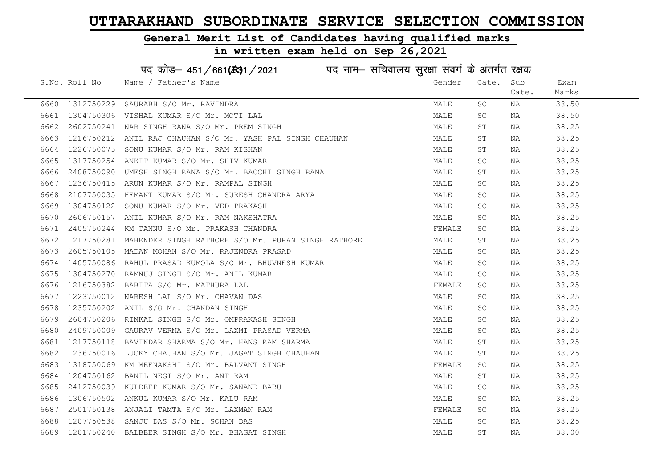#### General Merit List of Candidates having qualified marks

|      |               | पद कोड़- 451/661(431/2021 पद नाम- सचिवालय सुरक्षा संवर्ग के अंतर्गत रक्षक |        |                     |       |       |
|------|---------------|---------------------------------------------------------------------------|--------|---------------------|-------|-------|
|      | S.No. Roll No | Name / Father's Name                                                      | Gender | Cate.               | Sub   | Exam  |
|      |               |                                                                           |        |                     | Cate. | Marks |
| 6660 | 1312750229    | SAURABH S/O Mr. RAVINDRA                                                  | MALE   | SC                  | ΝA    | 38.50 |
| 6661 | 1304750306    | VISHAL KUMAR S/O Mr. MOTI LAL                                             | MALE   | SC                  | NA    | 38.50 |
| 6662 | 2602750241    | NAR SINGH RANA S/O Mr. PREM SINGH                                         | MALE   | SΤ                  | NA    | 38.25 |
| 6663 | 1216750212    | ANIL RAJ CHAUHAN S/O Mr. YASH PAL SINGH CHAUHAN                           | MALE   | SΤ                  | NA    | 38.25 |
| 6664 | 1226750075    | SONU KUMAR S/O Mr. RAM KISHAN                                             | MALE   | SΤ                  | NA    | 38.25 |
| 6665 | 1317750254    | ANKIT KUMAR S/O Mr. SHIV KUMAR                                            | MALE   | SC                  | NA    | 38.25 |
| 6666 | 2408750090    | UMESH SINGH RANA S/O Mr. BACCHI SINGH RANA                                | MALE   | SΤ                  | NA    | 38.25 |
| 6667 | 1236750415    | ARUN KUMAR S/O Mr. RAMPAL SINGH                                           | MALE   | SC                  | NA    | 38.25 |
| 6668 | 2107750035    | HEMANT KUMAR S/O Mr. SURESH CHANDRA ARYA                                  | MALE   | SC                  | NA    | 38.25 |
| 6669 | 1304750122    | SONU KUMAR S/O Mr. VED PRAKASH                                            | MALE   | SC                  | NA    | 38.25 |
| 6670 | 2606750157    | ANIL KUMAR S/O Mr. RAM NAKSHATRA                                          | MALE   | SC                  | NA    | 38.25 |
| 6671 | 2405750244    | KM TANNU S/O Mr. PRAKASH CHANDRA                                          | FEMALE | SC                  | NA    | 38.25 |
| 6672 | 1217750281    | MAHENDER SINGH RATHORE S/O Mr. PURAN SINGH RATHORE                        | MALE   | ST                  | NA    | 38.25 |
| 6673 |               | 2605750105 MADAN MOHAN S/O Mr. RAJENDRA PRASAD                            | MALE   | SC                  | NA    | 38.25 |
| 6674 | 1405750086    | RAHUL PRASAD KUMOLA S/O Mr. BHUVNESH KUMAR                                | MALE   | SC                  | NA    | 38.25 |
| 6675 | 1304750270    | RAMNUJ SINGH S/O Mr. ANIL KUMAR                                           | MALE   | $\operatorname{SC}$ | NA    | 38.25 |
| 6676 | 1216750382    | BABITA S/O Mr. MATHURA LAL                                                | FEMALE | SC                  | ΝA    | 38.25 |
| 6677 | 1223750012    | NARESH LAL S/O Mr. CHAVAN DAS                                             | MALE   | SC                  | NA    | 38.25 |
| 6678 | 1235750202    | ANIL S/O Mr. CHANDAN SINGH                                                | MALE   | SC                  | NA    | 38.25 |
| 6679 | 2604750206    | RINKAL SINGH S/O Mr. OMPRAKASH SINGH                                      | MALE   | SC                  | NA    | 38.25 |
| 6680 | 2409750009    | GAURAV VERMA S/O Mr. LAXMI PRASAD VERMA                                   | MALE   | SC                  | NA    | 38.25 |
| 6681 | 1217750118    | BAVINDAR SHARMA S/O Mr. HANS RAM SHARMA                                   | MALE   | SΤ                  | NA    | 38.25 |
| 6682 | 1236750016    | LUCKY CHAUHAN S/O Mr. JAGAT SINGH CHAUHAN                                 | MALE   | ST                  | NA    | 38.25 |
| 6683 | 1318750069    | KM MEENAKSHI S/O Mr. BALVANT SINGH                                        | FEMALE | SC                  | ΝA    | 38.25 |
| 6684 | 1204750162    | BANIL NEGI S/O Mr. ANT RAM                                                | MALE   | SΤ                  | ΝA    | 38.25 |
| 6685 | 2412750039    | KULDEEP KUMAR S/O Mr. SANAND BABU                                         | MALE   | SC                  | NA    | 38.25 |
| 6686 | 1306750502    | ANKUL KUMAR S/O Mr. KALU RAM                                              | MALE   | SC                  | NA    | 38.25 |
| 6687 | 2501750138    | ANJALI TAMTA S/O Mr. LAXMAN RAM                                           | FEMALE | SC                  | NA    | 38.25 |
| 6688 | 1207750538    | SANJU DAS S/O Mr. SOHAN DAS                                               | MALE   | SC                  | NA    | 38.25 |
| 6689 |               | 1201750240 BALBEER SINGH S/O Mr. BHAGAT SINGH                             | MALE   | ST                  | ΝA    | 38.00 |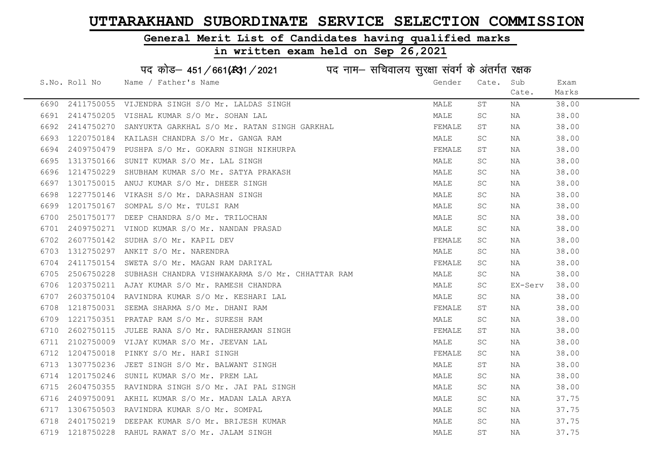#### General Merit List of Candidates having qualified marks

|      |               | पद कोड़- 451/661(431/2021 पद नाम- सचिवालय सुरक्षा संवर्ग के अंतर्गत रक्षक |        |                     |         |       |
|------|---------------|---------------------------------------------------------------------------|--------|---------------------|---------|-------|
|      | S.No. Roll No | Name / Father's Name                                                      | Gender | Cate.               | Sub     | Exam  |
|      |               |                                                                           |        |                     | Cate.   | Marks |
| 6690 | 2411750055    | VIJENDRA SINGH S/O Mr. LALDAS SINGH                                       | MALE   | SΤ                  | NA      | 38.00 |
| 6691 | 2414750205    | VISHAL KUMAR S/O Mr. SOHAN LAL                                            | MALE   | SC                  | NA      | 38.00 |
| 6692 | 2414750270    | SANYUKTA GARKHAL S/O Mr. RATAN SINGH GARKHAL                              | FEMALE | SΤ                  | NA      | 38.00 |
| 6693 | 1220750184    | KAILASH CHANDRA S/O Mr. GANGA RAM                                         | MALE   | SC                  | NA      | 38.00 |
| 6694 | 2409750479    | PUSHPA S/O Mr. GOKARN SINGH NIKHURPA                                      | FEMALE | SΤ                  | NA      | 38.00 |
| 6695 | 1313750166    | SUNIT KUMAR S/O Mr. LAL SINGH                                             | MALE   | <b>SC</b>           | NA      | 38.00 |
| 6696 | 1214750229    | SHUBHAM KUMAR S/O Mr. SATYA PRAKASH                                       | MALE   | <b>SC</b>           | NA      | 38.00 |
| 6697 | 1301750015    | ANUJ KUMAR S/O Mr. DHEER SINGH                                            | MALE   | <b>SC</b>           | NA      | 38.00 |
| 6698 | 1227750146    | VIKASH S/O Mr. DARASHAN SINGH                                             | MALE   | SC.                 | NA      | 38.00 |
| 6699 | 1201750167    | SOMPAL S/O Mr. TULSI RAM                                                  | MALE   | SC                  | NA      | 38.00 |
| 6700 | 2501750177    | DEEP CHANDRA S/O Mr. TRILOCHAN                                            | MALE   | SC                  | NA      | 38.00 |
| 6701 | 2409750271    | VINOD KUMAR S/O Mr. NANDAN PRASAD                                         | MALE   | <b>SC</b>           | NA      | 38.00 |
| 6702 | 2607750142    | SUDHA S/O Mr. KAPIL DEV                                                   | FEMALE | SC                  | NA      | 38.00 |
| 6703 | 1312750297    | ANKIT S/O Mr. NARENDRA                                                    | MALE   | <b>SC</b>           | NA      | 38.00 |
| 6704 | 2411750154    | SWETA S/O Mr. MAGAN RAM DARIYAL                                           | FEMALE | SC                  | NA      | 38.00 |
| 6705 | 2506750228    | SUBHASH CHANDRA VISHWAKARMA S/O Mr. CHHATTAR RAM                          | MALE   | $\operatorname{SC}$ | NA      | 38.00 |
| 6706 | 1203750211    | AJAY KUMAR S/O Mr. RAMESH CHANDRA                                         | MALE   | SC.                 | EX-Serv | 38.00 |
| 6707 | 2603750104    | RAVINDRA KUMAR S/O Mr. KESHARI LAL                                        | MALE   | SC                  | NA      | 38.00 |
| 6708 | 1218750031    | SEEMA SHARMA S/O Mr. DHANI RAM                                            | FEMALE | SΤ                  | NA      | 38.00 |
| 6709 | 1221750351    | PRATAP RAM S/O Mr. SURESH RAM                                             | MALE   | SC                  | NA      | 38.00 |
| 6710 | 2602750115    | JULEE RANA S/O Mr. RADHERAMAN SINGH                                       | FEMALE | SΤ                  | NA      | 38.00 |
| 6711 |               | 2102750009 VIJAY KUMAR S/O Mr. JEEVAN LAL                                 | MALE   | <b>SC</b>           | NA      | 38.00 |
| 6712 | 1204750018    | PINKY S/O Mr. HARI SINGH                                                  | FEMALE | SC                  | NA      | 38.00 |
| 6713 | 1307750236    | JEET SINGH S/O Mr. BALWANT SINGH                                          | MALE   | SΤ                  | NA      | 38.00 |
| 6714 | 1201750246    | SUNIL KUMAR S/O Mr. PREM LAL                                              | MALE   | SC.                 | NA      | 38.00 |
| 6715 | 2604750355    | RAVINDRA SINGH S/O Mr. JAI PAL SINGH                                      | MALE   | SC                  | NA      | 38.00 |
| 6716 | 2409750091    | AKHIL KUMAR S/O Mr. MADAN LALA ARYA                                       | MALE   | SC.                 | NA      | 37.75 |
| 6717 |               | 1306750503 RAVINDRA KUMAR S/O Mr. SOMPAL                                  | MALE   | SC                  | NA      | 37.75 |
| 6718 | 2401750219    | DEEPAK KUMAR S/O Mr. BRIJESH KUMAR                                        | MALE   | <b>SC</b>           | ΝA      | 37.75 |
| 6719 |               | 1218750228 RAHUL RAWAT S/O Mr. JALAM SINGH                                | MALE   | ST                  | ΝA      | 37.75 |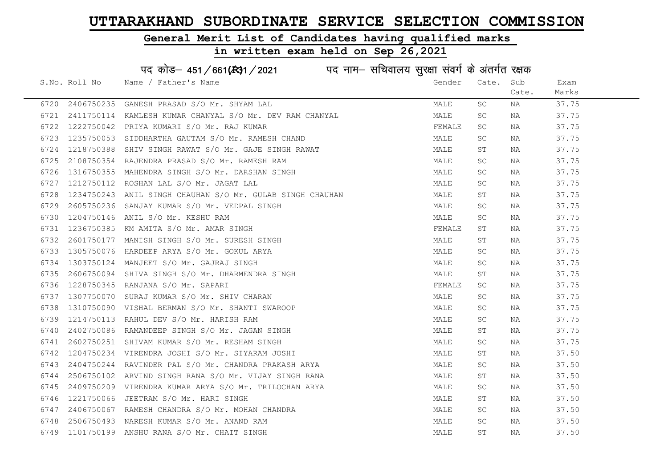#### General Merit List of Candidates having qualified marks

|      |               | पद कोड़– 451/661(431/2021 पद नाम– सचिवालय सुरक्षा संवर्ग के अंतर्गत रक्षक |        |                     |       |       |
|------|---------------|---------------------------------------------------------------------------|--------|---------------------|-------|-------|
|      | S.No. Roll No | Name / Father's Name                                                      | Gender | Cate. Sub           |       | Exam  |
|      |               |                                                                           |        |                     | Cate. | Marks |
| 6720 | 2406750235    | GANESH PRASAD S/O Mr. SHYAM LAL                                           | MALE   | SC                  | NA    | 37.75 |
| 6721 | 2411750114    | KAMLESH KUMAR CHANYAL S/O Mr. DEV RAM CHANYAL                             | MALE   | SC                  | NA    | 37.75 |
| 6722 | 1222750042    | PRIYA KUMARI S/O Mr. RAJ KUMAR                                            | FEMALE | SC                  | NA    | 37.75 |
| 6723 | 1235750053    | SIDDHARTHA GAUTAM S/O Mr. RAMESH CHAND                                    | MALE   | SC                  | NA    | 37.75 |
| 6724 | 1218750388    | SHIV SINGH RAWAT S/O Mr. GAJE SINGH RAWAT                                 | MALE   | ST                  | NA    | 37.75 |
| 6725 | 2108750354    | RAJENDRA PRASAD S/O Mr. RAMESH RAM                                        | MALE   | SC                  | NA    | 37.75 |
| 6726 | 1316750355    | MAHENDRA SINGH S/O Mr. DARSHAN SINGH                                      | MALE   | SC                  | NA    | 37.75 |
| 6727 | 1212750112    | ROSHAN LAL S/O Mr. JAGAT LAL                                              | MALE   | SC                  | NA    | 37.75 |
| 6728 | 1234750243    | ANIL SINGH CHAUHAN S/O Mr. GULAB SINGH CHAUHAN                            | MALE   | SΤ                  | ΝA    | 37.75 |
| 6729 | 2605750236    | SANJAY KUMAR S/O Mr. VEDPAL SINGH                                         | MALE   | SC                  | NA    | 37.75 |
| 6730 | 1204750146    | ANIL S/O Mr. KESHU RAM                                                    | MALE   | SC                  | ΝA    | 37.75 |
| 6731 | 1236750385    | KM AMITA S/O Mr. AMAR SINGH                                               | FEMALE | SΤ                  | NA    | 37.75 |
| 6732 | 2601750177    | MANISH SINGH S/O Mr. SURESH SINGH                                         | MALE   | SΤ                  | ΝA    | 37.75 |
| 6733 |               | 1305750076 HARDEEP ARYA S/O Mr. GOKUL ARYA                                | MALE   | SC                  | NA    | 37.75 |
| 6734 |               | 1303750124 MANJEET S/O Mr. GAJRAJ SINGH                                   | MALE   | SC                  | NA    | 37.75 |
| 6735 | 2606750094    | SHIVA SINGH S/O Mr. DHARMENDRA SINGH                                      | MALE   | $\operatorname{ST}$ | NA    | 37.75 |
| 6736 | 1228750345    | RANJANA S/O Mr. SAPARI                                                    | FEMALE | SC                  | NA    | 37.75 |
| 6737 | 1307750070    | SURAJ KUMAR S/O Mr. SHIV CHARAN                                           | MALE   | SC                  | NA    | 37.75 |
| 6738 | 1310750090    | VISHAL BERMAN S/O Mr. SHANTI SWAROOP                                      | MALE   | SC                  | NA    | 37.75 |
| 6739 | 1214750113    | RAHUL DEV S/O Mr. HARISH RAM                                              | MALE   | SC                  | NA    | 37.75 |
| 6740 | 2402750086    | RAMANDEEP SINGH S/O Mr. JAGAN SINGH                                       | MALE   | SΤ                  | ΝA    | 37.75 |
| 6741 |               | 2602750251 SHIVAM KUMAR S/O Mr. RESHAM SINGH                              | MALE   | SC                  | NA    | 37.75 |
| 6742 | 1204750234    | VIRENDRA JOSHI S/O Mr. SIYARAM JOSHI                                      | MALE   | SΤ                  | ΝA    | 37.50 |
| 6743 | 2404750244    | RAVINDER PAL S/O Mr. CHANDRA PRAKASH ARYA                                 | MALE   | SC                  | NA    | 37.50 |
| 6744 | 2506750102    | ARVIND SINGH RANA S/O Mr. VIJAY SINGH RANA                                | MALE   | SΤ                  | NA    | 37.50 |
| 6745 |               | 2409750209 VIRENDRA KUMAR ARYA S/O Mr. TRILOCHAN ARYA                     | MALE   | SC                  | NA    | 37.50 |
| 6746 | 1221750066    | JEETRAM S/O Mr. HARI SINGH                                                | MALE   | SΤ                  | NA    | 37.50 |
| 6747 | 2406750067    | RAMESH CHANDRA S/O Mr. MOHAN CHANDRA                                      | MALE   | SC                  | NA    | 37.50 |
| 6748 |               | 2506750493 NARESH KUMAR S/O Mr. ANAND RAM                                 | MALE   | SC                  | NA    | 37.50 |
|      |               | 6749 1101750199 ANSHU RANA S/O Mr. CHAIT SINGH                            | MALE   | ST                  | ΝA    | 37.50 |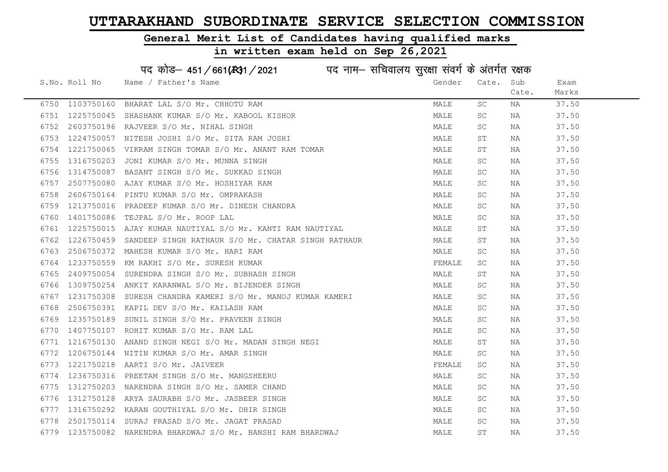# General Merit List of Candidates having qualified marks

|      |               | पद कोड़- 451/661(431/2021 पद नाम- सचिवालय सुरक्षा संवर्ग के अंतर्गत रक्षक |        |       |       |       |
|------|---------------|---------------------------------------------------------------------------|--------|-------|-------|-------|
|      | S.No. Roll No | Name / Father's Name                                                      | Gender | Cate. | Sub   | Exam  |
|      |               |                                                                           |        |       | Cate. | Marks |
| 6750 | 1103750160    | BHARAT LAL S/O Mr. CHHOTU RAM                                             | MALE   | SC    | ΝA    | 37.50 |
| 6751 | 1225750045    | SHASHANK KUMAR S/O Mr. KABOOL KISHOR                                      | MALE   | SC    | ΝA    | 37.50 |
| 6752 | 2603750196    | RAJVEER S/O Mr. NIHAL SINGH                                               | MALE   | SC    | ΝA    | 37.50 |
| 6753 | 1224750057    | NITESH JOSHI S/O Mr. SITA RAM JOSHI                                       | MALE   | ST    | NA    | 37.50 |
| 6754 | 1221750065    | VIKRAM SINGH TOMAR S/O Mr. ANANT RAM TOMAR                                | MALE   | SΤ    | NA    | 37.50 |
| 6755 | 1316750203    | JONI KUMAR S/O Mr. MUNNA SINGH                                            | MALE   | SC    | NA    | 37.50 |
| 6756 | 1314750087    | BASANT SINGH S/O Mr. SUKKAD SINGH                                         | MALE   | SC    | ΝA    | 37.50 |
| 6757 | 2507750080    | AJAY KUMAR S/O Mr. HOSHIYAR RAM                                           | MALE   | SC    | ΝA    | 37.50 |
| 6758 | 2606750164    | PINTU KUMAR S/O Mr. OMPRAKASH                                             | MALE   | SC    | NA    | 37.50 |
| 6759 | 1213750016    | PRADEEP KUMAR S/O Mr. DINESH CHANDRA                                      | MALE   | SC    | NA    | 37.50 |
| 6760 | 1401750086    | TEJPAL S/O Mr. ROOP LAL                                                   | MALE   | SC    | ΝA    | 37.50 |
| 6761 | 1225750015    | AJAY KUMAR NAUTIYAL S/O Mr. KANTI RAM NAUTIYAL                            | MALE   | SТ    | NA    | 37.50 |
| 6762 | 1226750459    | SANDEEP SINGH RATHAUR S/O Mr. CHATAR SINGH RATHAUR                        | MALE   | ST    | NA    | 37.50 |
| 6763 | 2506750372    | MAHESH KUMAR S/O Mr. HARI RAM                                             | MALE   | SC    | NA    | 37.50 |
| 6764 | 1233750559    | KM RAKHI S/O Mr. SURESH KUMAR                                             | FEMALE | SC    | ΝA    | 37.50 |
| 6765 | 2409750054    | SURENDRA SINGH S/O Mr. SUBHASH SINGH                                      | MALE   | SΤ    | NA    | 37.50 |
| 6766 | 1309750254    | ANKIT KARANWAL S/O Mr. BIJENDER SINGH                                     | MALE   | SC    | ΝA    | 37.50 |
| 6767 | 1231750308    | SURESH CHANDRA KAMERI S/O Mr. MANOJ KUMAR KAMERI                          | MALE   | SC.   | ΝA    | 37.50 |
| 6768 | 2506750391    | KAPIL DEV S/O Mr. KAILASH RAM                                             | MALE   | SC    | ΝA    | 37.50 |
| 6769 | 1235750189    | SUNIL SINGH S/O Mr. PRAVEEN SINGH                                         | MALE   | SC    | NA    | 37.50 |
| 6770 | 1407750107    | ROHIT KUMAR S/O Mr. RAM LAL                                               | MALE   | SC    | NA    | 37.50 |
| 6771 | 1216750130    | ANAND SINGH NEGI S/O Mr. MADAN SINGH NEGI                                 | MALE   | ST    | NA    | 37.50 |
| 6772 | 1206750144    | NITIN KUMAR S/O Mr. AMAR SINGH                                            | MALE   | SC    | ΝA    | 37.50 |
| 6773 | 1221750218    | AARTI S/O Mr. JAIVEER                                                     | FEMALE | SC    | ΝA    | 37.50 |
| 6774 | 1236750316    | PREETAM SINGH S/O Mr. MANGSHEERU                                          | MALE   | SC    | NA    | 37.50 |
| 6775 | 1312750203    | NARENDRA SINGH S/O Mr. SAMER CHAND                                        | MALE   | SC.   | ΝA    | 37.50 |
| 6776 | 1312750128    | ARYA SAURABH S/O Mr. JASBEER SINGH                                        | MALE   | SC    | NA    | 37.50 |
| 6777 | 1316750292    | KARAN GOUTHIYAL S/O Mr. DHIR SINGH                                        | MALE   | SC.   | NA    | 37.50 |
| 6778 | 2501750114    | SURAJ PRASAD S/O Mr. JAGAT PRASAD                                         | MALE   | SC    | ΝA    | 37.50 |
| 6779 | 1235750082    | NARENDRA BHARDWAJ S/O Mr. BANSHI RAM BHARDWAJ                             | MALE   | ST    | ΝA    | 37.50 |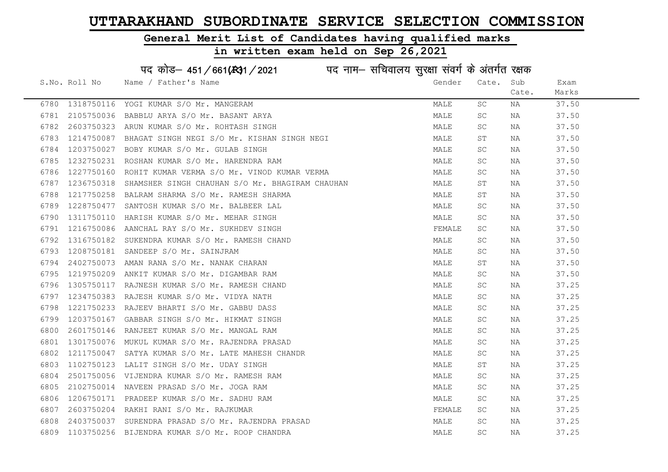# General Merit List of Candidates having qualified marks

|      |               | पद कोड़- 451/661(431/2021 पद नाम- सचिवालय सुरक्षा संवर्ग के अंतर्गत रक्षक |        |           |       |       |
|------|---------------|---------------------------------------------------------------------------|--------|-----------|-------|-------|
|      | S.No. Roll No | Name / Father's Name                                                      | Gender | Cate.     | Sub   | Exam  |
|      |               |                                                                           |        |           | Cate. | Marks |
| 6780 | 1318750116    | YOGI KUMAR S/O Mr. MANGERAM                                               | MALE   | SC        | ΝA    | 37.50 |
| 6781 | 2105750036    | BABBLU ARYA S/O Mr. BASANT ARYA                                           | MALE   | SC        | NA    | 37.50 |
| 6782 | 2603750323    | ARUN KUMAR S/O Mr. ROHTASH SINGH                                          | MALE   | SC        | ΝA    | 37.50 |
| 6783 | 1214750087    | BHAGAT SINGH NEGI S/O Mr. KISHAN SINGH NEGI                               | MALE   | SΤ        | NA    | 37.50 |
| 6784 | 1203750027    | BOBY KUMAR S/O Mr. GULAB SINGH                                            | MALE   | SC        | NA    | 37.50 |
| 6785 | 1232750231    | ROSHAN KUMAR S/O Mr. HARENDRA RAM                                         | MALE   | SC        | NA    | 37.50 |
| 6786 | 1227750160    | ROHIT KUMAR VERMA S/O Mr. VINOD KUMAR VERMA                               | MALE   | SC        | ΝA    | 37.50 |
| 6787 | 1236750318    | SHAMSHER SINGH CHAUHAN S/O Mr. BHAGIRAM CHAUHAN                           | MALE   | ST        | ΝA    | 37.50 |
| 6788 | 1217750258    | BALRAM SHARMA S/O Mr. RAMESH SHARMA                                       | MALE   | ST        | ΝA    | 37.50 |
| 6789 | 1228750477    | SANTOSH KUMAR S/O Mr. BALBEER LAL                                         | MALE   | SC        | ΝA    | 37.50 |
| 6790 | 1311750110    | HARISH KUMAR S/O Mr. MEHAR SINGH                                          | MALE   | SC        | ΝA    | 37.50 |
| 6791 | 1216750086    | AANCHAL RAY S/O Mr. SUKHDEV SINGH                                         | FEMALE | SC        | NA    | 37.50 |
| 6792 | 1316750182    | SUKENDRA KUMAR S/O Mr. RAMESH CHAND                                       | MALE   | SC        | NA    | 37.50 |
| 6793 | 1208750181    | SANDEEP S/O Mr. SAINJRAM                                                  | MALE   | SC.       | NA    | 37.50 |
| 6794 | 2402750073    | AMAN RANA S/O Mr. NANAK CHARAN                                            | MALE   | ST        | NA    | 37.50 |
| 6795 | 1219750209    | ANKIT KUMAR S/O Mr. DIGAMBAR RAM                                          | MALE   | SC        | ΝA    | 37.50 |
| 6796 | 1305750117    | RAJNESH KUMAR S/O Mr. RAMESH CHAND                                        | MALE   | SC.       | ΝA    | 37.25 |
| 6797 | 1234750383    | RAJESH KUMAR S/O Mr. VIDYA NATH                                           | MALE   | SC.       | ΝA    | 37.25 |
| 6798 | 1221750233    | RAJEEV BHARTI S/O Mr. GABBU DASS                                          | MALE   | SC        | NA    | 37.25 |
| 6799 | 1203750167    | GABBAR SINGH S/O Mr. HIKMAT SINGH                                         | MALE   | SC.       | ΝA    | 37.25 |
| 6800 | 2601750146    | RANJEET KUMAR S/O Mr. MANGAL RAM                                          | MALE   | SC.       | NA    | 37.25 |
| 6801 | 1301750076    | MUKUL KUMAR S/O Mr. RAJENDRA PRASAD                                       | MALE   | SC.       | ΝA    | 37.25 |
| 6802 | 1211750047    | SATYA KUMAR S/O Mr. LATE MAHESH CHANDR                                    | MALE   | SC        | ΝA    | 37.25 |
| 6803 | 1102750123    | LALIT SINGH S/O Mr. UDAY SINGH                                            | MALE   | SΤ        | ΝA    | 37.25 |
| 6804 | 2501750056    | VIJENDRA KUMAR S/O Mr. RAMESH RAM                                         | MALE   | SC.       | ΝA    | 37.25 |
| 6805 | 2102750014    | NAVEEN PRASAD S/O Mr. JOGA RAM                                            | MALE   | SC.       | ΝA    | 37.25 |
| 6806 | 1206750171    | PRADEEP KUMAR S/O Mr. SADHU RAM                                           | MALE   | SC        | NA    | 37.25 |
| 6807 | 2603750204    | RAKHI RANI S/O Mr. RAJKUMAR                                               | FEMALE | SC.       | NA    | 37.25 |
| 6808 | 2403750037    | SURENDRA PRASAD S/O Mr. RAJENDRA PRASAD                                   | MALE   | SC        | ΝA    | 37.25 |
| 6809 | 1103750256    | BIJENDRA KUMAR S/O Mr. ROOP CHANDRA                                       | MALE   | <b>SC</b> | ΝA    | 37.25 |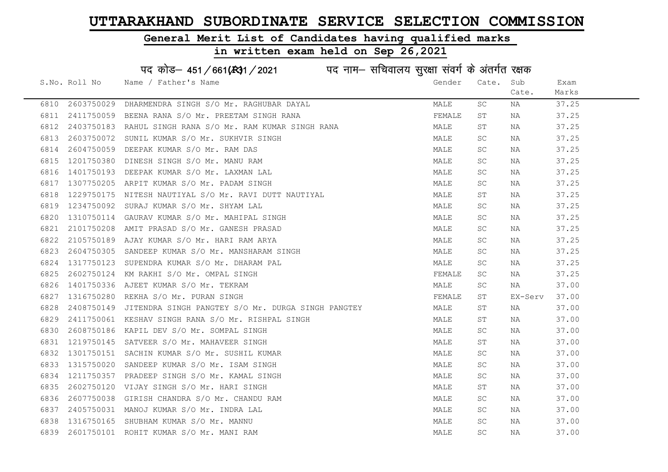#### General Merit List of Candidates having qualified marks

|      |               | पद कोड़– 451/661(431/2021 पद नाम– सचिवालय सुरक्षा संवर्ग के अंतर्गत रक्षक |        |       |         |       |
|------|---------------|---------------------------------------------------------------------------|--------|-------|---------|-------|
|      | S.No. Roll No | Name / Father's Name                                                      | Gender | Cate. | Sub     | Exam  |
|      |               |                                                                           |        |       | Cate.   | Marks |
| 6810 | 2603750029    | DHARMENDRA SINGH S/O Mr. RAGHUBAR DAYAL                                   | MALE   | SC.   | NA      | 37.25 |
| 6811 | 2411750059    | BEENA RANA S/O Mr. PREETAM SINGH RANA                                     | FEMALE | ST    | NA      | 37.25 |
| 6812 | 2403750183    | RAHUL SINGH RANA S/O Mr. RAM KUMAR SINGH RANA                             | MALE   | ST    | NA      | 37.25 |
| 6813 | 2603750072    | SUNIL KUMAR S/O Mr. SUKHVIR SINGH                                         | MALE   | SC    | NA      | 37.25 |
| 6814 | 2604750059    | DEEPAK KUMAR S/O Mr. RAM DAS                                              | MALE   | SC    | NA      | 37.25 |
| 6815 | 1201750380    | DINESH SINGH S/O Mr. MANU RAM                                             | MALE   | SC    | NA      | 37.25 |
| 6816 | 1401750193    | DEEPAK KUMAR S/O Mr. LAXMAN LAL                                           | MALE   | SC    | NA      | 37.25 |
| 6817 | 1307750205    | ARPIT KUMAR S/O Mr. PADAM SINGH                                           | MALE   | SC    | NA      | 37.25 |
| 6818 | 1229750175    | NITESH NAUTIYAL S/O Mr. RAVI DUTT NAUTIYAL                                | MALE   | ST    | NA      | 37.25 |
| 6819 | 1234750092    | SURAJ KUMAR S/O Mr. SHYAM LAL                                             | MALE   | SC    | NA      | 37.25 |
| 6820 | 1310750114    | GAURAV KUMAR S/O Mr. MAHIPAL SINGH                                        | MALE   | SC    | ΝA      | 37.25 |
| 6821 | 2101750208    | AMIT PRASAD S/O Mr. GANESH PRASAD                                         | MALE   | SC    | NA      | 37.25 |
| 6822 | 2105750189    | AJAY KUMAR S/O Mr. HARI RAM ARYA                                          | MALE   | SC    | NA      | 37.25 |
| 6823 | 2604750305    | SANDEEP KUMAR S/O Mr. MANSHARAM SINGH                                     | MALE   | SC    | NA      | 37.25 |
| 6824 | 1317750123    | SUPENDRA KUMAR S/O Mr. DHARAM PAL                                         | MALE   | SC    | NA      | 37.25 |
| 6825 | 2602750124    | KM RAKHI S/O Mr. OMPAL SINGH                                              | FEMALE | SC    | NA      | 37.25 |
| 6826 | 1401750336    | AJEET KUMAR S/O Mr. TEKRAM                                                | MALE   | SC    | NA      | 37.00 |
| 6827 | 1316750280    | REKHA S/O Mr. PURAN SINGH                                                 | FEMALE | ST    | EX-Serv | 37.00 |
| 6828 | 2408750149    | JITENDRA SINGH PANGTEY S/O Mr. DURGA SINGH PANGTEY                        | MALE   | SТ    | NA      | 37.00 |
| 6829 | 2411750061    | KESHAV SINGH RANA S/O Mr. RISHPAL SINGH                                   | MALE   | SТ    | NA      | 37.00 |
| 6830 | 2608750186    | KAPIL DEV S/O Mr. SOMPAL SINGH                                            | MALE   | SC.   | NA      | 37.00 |
| 6831 |               | 1219750145 SATVEER S/O Mr. MAHAVEER SINGH                                 | MALE   | ST    | NA      | 37.00 |
| 6832 | 1301750151    | SACHIN KUMAR S/O Mr. SUSHIL KUMAR                                         | MALE   | SC    | NA      | 37.00 |
| 6833 | 1315750020    | SANDEEP KUMAR S/O Mr. ISAM SINGH                                          | MALE   | SC    | NA      | 37.00 |
| 6834 | 1211750357    | PRADEEP SINGH S/O Mr. KAMAL SINGH                                         | MALE   | SC.   | NA      | 37.00 |
| 6835 | 2602750120    | VIJAY SINGH S/O Mr. HARI SINGH                                            | MALE   | ST    | NA      | 37.00 |
| 6836 | 2607750038    | GIRISH CHANDRA S/O Mr. CHANDU RAM                                         | MALE   | SC.   | NA      | 37.00 |
| 6837 | 2405750031    | MANOJ KUMAR S/O Mr. INDRA LAL                                             | MALE   | SC    | NA      | 37.00 |
| 6838 | 1316750165    | SHUBHAM KUMAR S/O Mr. MANNU                                               | MALE   | SC    | NA      | 37.00 |
| 6839 |               | 2601750101 ROHIT KUMAR S/O Mr. MANI RAM                                   | MALE   | SC    | ΝA      | 37.00 |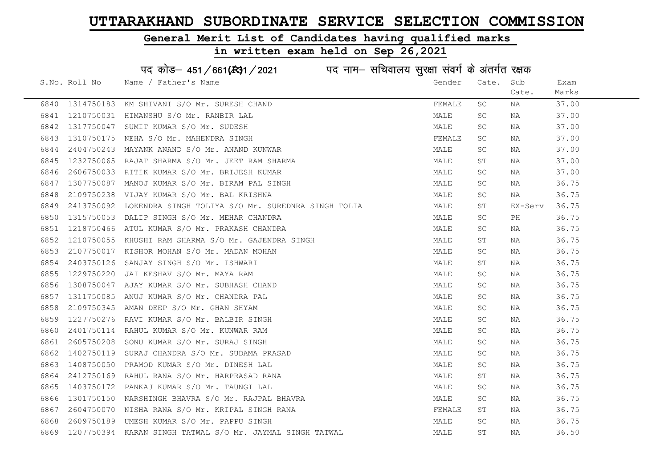#### General Merit List of Candidates having qualified marks

#### in written exam held on Sep 26,2021

S.No. Roll No Wame / Father's Name Gender Cate. Sub Cate. Exam Marks पद कोड– 451/661(स्था / 2021 व्यान सचिवालय सुरक्षा संवर्ग के अंतर्गत रक्षक 6840 1314750183 KM SHIVANI S/O Mr. SURESH CHAND FEMALE SC NA 37.00 6841 1210750031 HIMANSHU S/O Mr. RANBIR LAL MALE SC NA 37.00 6842 1317750047 SUMIT KUMAR S/O Mr. SUDESH MALE SC NA 37.00 6843 1310750175 NEHA S/O Mr. MAHENDRA SINGH FEMALE SC NA 37.00 6844 2404750243 MAYANK ANAND S/O Mr. ANAND KUNWAR MALE SC NA 37.00 6845 1232750065 RAJAT SHARMA S/O Mr. JEET RAM SHARMA MALE ST NA 37.00 6846 2606750033 RITIK KUMAR S/O Mr. BRIJESH KUMAR MALE SC NA 37.00 6847 1307750087 MANOJ KUMAR S/O Mr. BIRAM PAL SINGH MALE SC NA 36.75 6848 2109750238 VIJAY KUMAR S/O Mr. BAL KRISHNA MALE SC NA 36.75 6849 2413750092 LOKENDRA SINGH TOLIYA S/O Mr. SUREDNRA SINGH TOLIA MALE ST EX-Serv 36.75 6850 1315750053 DALIP SINGH S/O Mr. MEHAR CHANDRA NAME SC PH 36.75 6851 1218750466 ATUL KUMAR S/O Mr. PRAKASH CHANDRA MALE SC NA 36.75 6852 1210750055 KHUSHI RAM SHARMA S/O Mr. GAJENDRA SINGH MAN MALE ST NA 36.75 6853 2107750017 KISHOR MOHAN S/O Mr. MADAN MOHAN MALE SC NA 36.75 6854 2403750126 SANJAY SINGH S/O Mr. ISHWARI MALE ST NA 36.75 6855 1229750220 JAI KESHAV S/O Mr. MAYA RAM MALE SC NA 36.75 6856 1308750047 AJAY KUMAR S/O Mr. SUBHASH CHAND MALE SC NA 36.75 6857 1311750085 ANUJ KUMAR S/O Mr. CHANDRA PAL MALL SAND STRAND MALE SC NA 36.75 6858 2109750345 AMAN DEEP S/O Mr. GHAN SHYAM MALE SC NA 36.75 6859 1227750276 RAVI KUMAR S/O Mr. BALBIR SINGH MALE SC NA 36.75 6860 2401750114 RAHUL KUMAR S/O Mr. KUNWAR RAM MALE SC NA 36.75 6861 2605750208 SONU KUMAR S/O Mr. SURAJ SINGH MALE SC NA 36.75 6862 1402750119 SURAJ CHANDRA S/O Mr. SUDAMA PRASAD MALE SC NA 36.75 6863 1408750050 PRAMOD KUMAR S/O Mr. DINESH LAL MARE MALE SC NA 36.75 6864 2412750169 RAHUL RANA S/O Mr. HARPRASAD RANA MANA MALE ST NA 36.75 6865 1403750172 PANKAJ KUMAR S/O Mr. TAUNGI LAL MARE MALE SC NA 36.75 6866 1301750150 NARSHINGH BHAVRA S/O Mr. RAJPAL BHAVRA MALE SC NA 36.75 6867 2604750070 NISHA RANA S/O Mr. KRIPAL SINGH RANA FEMALE ST NA 36.75 6868 2609750189 UMESH KUMAR S/O Mr. PAPPU SINGH MALE SC NA 36.75 6869 1207750394 KARAN SINGH TATWAL S/O Mr. JAYMAL SINGH TATWAL MALE ST NA 36.50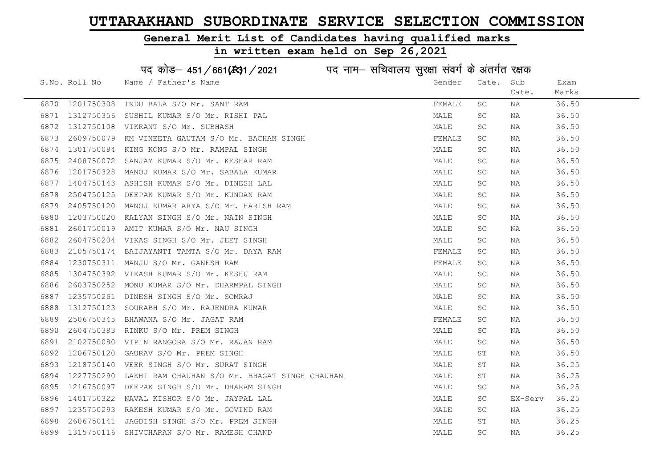#### General Merit List of Candidates having qualified marks

#### in written exam held on Sep 26,2021

S.No. Roll No Wame / Father's Name Gender Cate. Sub Cate. Exam Marks पद कोड– 451/661(स्था / 2021 व्यान सचिवालय सुरक्षा संवर्ग के अंतर्गत रक्षक 6870 1201750308 INDU BALA S/O Mr. SANT RAM FEMALE SC NA 36.50 6871 1312750356 SUSHIL KUMAR S/O Mr. RISHI PAL MALE SC NA 36.50 6872 1312750108 VIKRANT S/O Mr. SUBHASH MALE SC NA 36.50 6873 2609750079 KM VINEETA GAUTAM S/O Mr. BACHAN SINGH FEMALE SC NA 36.50 6874 1301750084 KING KONG S/O Mr. RAMPAL SINGH MALE SC NA 36.50 6875 2408750072 SANJAY KUMAR S/O Mr. KESHAR RAM MALE SC NA 36.50 6876 1201750328 MANOJ KUMAR S/O Mr. SABALA KUMAR MARRE MANA MALE SC NA 36.50 6877 1404750143 ASHISH KUMAR S/O Mr. DINESH LAL MALE SC NA 36.50 6878 2504750125 DEEPAK KUMAR S/O Mr. KUNDAN RAM MALE SC NA 36.50 6879 2405750120 MANOJ KUMAR ARYA S/O Mr. HARISH RAM MALE SC NA 36.50 6880 1203750020 KALYAN SINGH S/O Mr. NAIN SINGH MALE SC NA 36.50 6881 2601750019 AMIT KUMAR S/O Mr. NAU SINGH MALE SC NA 36.50 6882 2604750204 VIKAS SINGH S/O Mr. JEET SINGH MALE SC NA 36.50 6883 2105750174 BAIJAYANTI TAMTA S/O Mr. DAYA RAM FEMALE SC NA 36.50 6884 1230750311 MANJU S/O Mr. GANESH RAM FEMALE SC NA 36.50 6885 1304750392 VIKASH KUMAR S/O Mr. KESHU RAM MALE SC NA 36.50 6886 2603750252 MONU KUMAR S/O Mr. DHARMPAL SINGH MALE SC NA 36.50 6887 1235750261 DINESH SINGH S/O Mr. SOMRAJ MALE SC NA 36.50 6888 1312750123 SOURABH S/O Mr. RAJENDRA KUMAR MALE SC NA 36.50 6889 2506750345 BHAWANA S/O Mr. JAGAT RAM FEMALE SC NA 36.50 6890 2604750383 RINKU S/O Mr. PREM SINGH MALE SC NA 36.50 6891 2102750080 VIPIN RANGORA S/O Mr. RAJAN RAM MALE SC NA 36.50 6892 1206750120 GAURAV S/O Mr. PREM SINGH MALE ST NA 36.50 6893 1218750140 VEER SINGH S/O Mr. SURAT SINGH MALE ST NA 36.25 6894 1227750290 LAKHI RAM CHAUHAN S/O Mr. BHAGAT SINGH CHAUHAN MAN MALE ST NA 36.25 6895 1216750097 DEEPAK SINGH S/O Mr. DHARAM SINGH MALE SC NA 36.25 6896 1401750322 NAVAL KISHOR S/O Mr. JAYPAL LAL MALE SC EX-Serv 36.25 6897 1235750293 RAKESH KUMAR S/O Mr. GOVIND RAM MALE SC NA 36.25 6898 2606750141 JAGDISH SINGH S/O Mr. PREM SINGH MALE ST NA 36.25 6899 1315750116 SHIVCHARAN S/O Mr. RAMESH CHAND MALE SC NA 36.25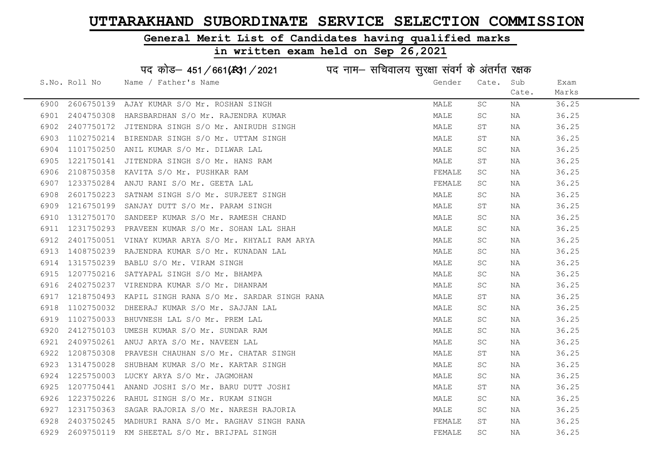#### General Merit List of Candidates having qualified marks

|      |               | पद कोड़- 451/661(431/2021 पद नाम- सचिवालय सुरक्षा संवर्ग के अंतर्गत रक्षक |        |                     |       |       |
|------|---------------|---------------------------------------------------------------------------|--------|---------------------|-------|-------|
|      | S.No. Roll No | Name / Father's Name                                                      | Gender | Cate.               | Sub   | Exam  |
|      |               |                                                                           |        |                     | Cate. | Marks |
| 6900 | 2606750139    | AJAY KUMAR S/O Mr. ROSHAN SINGH                                           | MALE   | SC                  | ΝA    | 36.25 |
| 6901 | 2404750308    | HARSBARDHAN S/O Mr. RAJENDRA KUMAR                                        | MALE   | <b>SC</b>           | ΝA    | 36.25 |
| 6902 | 2407750172    | JITENDRA SINGH S/O Mr. ANIRUDH SINGH                                      | MALE   | SΤ                  | ΝA    | 36.25 |
| 6903 | 1102750214    | BIRENDAR SINGH S/O Mr. UTTAM SINGH                                        | MALE   | SΤ                  | ΝA    | 36.25 |
| 6904 | 1101750250    | ANIL KUMAR S/O Mr. DILWAR LAL                                             | MALE   | SC                  | ΝA    | 36.25 |
| 6905 | 1221750141    | JITENDRA SINGH S/O Mr. HANS RAM                                           | MALE   | $\operatorname{ST}$ | ΝA    | 36.25 |
| 6906 | 2108750358    | KAVITA S/O Mr. PUSHKAR RAM                                                | FEMALE | SC                  | NA    | 36.25 |
| 6907 | 1233750284    | ANJU RANI S/O Mr. GEETA LAL                                               | FEMALE | $\operatorname{SC}$ | ΝA    | 36.25 |
| 6908 | 2601750223    | SATNAM SINGH S/O Mr. SURJEET SINGH                                        | MALE   | $\operatorname{SC}$ | NA    | 36.25 |
| 6909 | 1216750199    | SANJAY DUTT S/O Mr. PARAM SINGH                                           | MALE   | ST                  | ΝA    | 36.25 |
| 6910 | 1312750170    | SANDEEP KUMAR S/O Mr. RAMESH CHAND                                        | MALE   | SC                  | NA    | 36.25 |
| 6911 | 1231750293    | PRAVEEN KUMAR S/O Mr. SOHAN LAL SHAH                                      | MALE   | <b>SC</b>           | NA    | 36.25 |
| 6912 | 2401750051    | VINAY KUMAR ARYA S/O Mr. KHYALI RAM ARYA                                  | MALE   | <b>SC</b>           | ΝA    | 36.25 |
| 6913 | 1408750239    | RAJENDRA KUMAR S/O Mr. KUNADAN LAL                                        | MALE   | $\operatorname{SC}$ | NA    | 36.25 |
| 6914 | 1315750239    | BABLU S/O Mr. VIRAM SINGH                                                 | MALE   | SC                  | NA    | 36.25 |
| 6915 | 1207750216    | SATYAPAL SINGH S/O Mr. BHAMPA                                             | MALE   | $\operatorname{SC}$ | ΝA    | 36.25 |
| 6916 | 2402750237    | VIRENDRA KUMAR S/O Mr. DHANRAM                                            | MALE   | SC                  | ΝA    | 36.25 |
| 6917 | 1218750493    | KAPIL SINGH RANA S/O Mr. SARDAR SINGH RANA                                | MALE   | ST                  | ΝA    | 36.25 |
| 6918 | 1102750032    | DHEERAJ KUMAR S/O Mr. SAJJAN LAL                                          | MALE   | SC                  | ΝA    | 36.25 |
| 6919 | 1102750033    | BHUVNESH LAL S/O Mr. PREM LAL                                             | MALE   | $\operatorname{SC}$ | ΝA    | 36.25 |
| 6920 | 2412750103    | UMESH KUMAR S/O Mr. SUNDAR RAM                                            | MALE   | <b>SC</b>           | ΝA    | 36.25 |
| 6921 | 2409750261    | ANUJ ARYA S/O Mr. NAVEEN LAL                                              | MALE   | $\operatorname{SC}$ | ΝA    | 36.25 |
| 6922 | 1208750308    | PRAVESH CHAUHAN S/O Mr. CHATAR SINGH                                      | MALE   | SΤ                  | ΝA    | 36.25 |
| 6923 | 1314750028    | SHUBHAM KUMAR S/O Mr. KARTAR SINGH                                        | MALE   | $\operatorname{SC}$ | ΝA    | 36.25 |
| 6924 | 1225750003    | LUCKY ARYA S/O Mr. JAGMOHAN                                               | MALE   | SC                  | NA    | 36.25 |
| 6925 | 1207750441    | ANAND JOSHI S/O Mr. BARU DUTT JOSHI                                       | MALE   | $\operatorname{ST}$ | ΝA    | 36.25 |
| 6926 | 1223750226    | RAHUL SINGH S/O Mr. RUKAM SINGH                                           | MALE   | SC                  | NA    | 36.25 |
| 6927 | 1231750363    | SAGAR RAJORIA S/O Mr. NARESH RAJORIA                                      | MALE   | SC                  | NA    | 36.25 |
| 6928 | 2403750245    | MADHURI RANA S/O Mr. RAGHAV SINGH RANA                                    | FEMALE | ST                  | NA    | 36.25 |
| 6929 | 2609750119    | KM SHEETAL S/O Mr. BRIJPAL SINGH                                          | FEMALE | SC                  | ΝA    | 36.25 |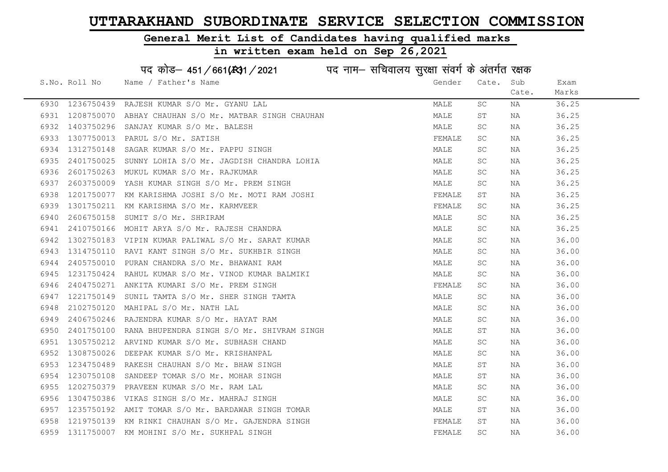# General Merit List of Candidates having qualified marks

|      |               | पद कोड़- 451/661(स्था/2021 पद नाम- सचिवालय सुरक्षा संवर्ग के अंतर्गत रक्षक |        |       |       |       |
|------|---------------|----------------------------------------------------------------------------|--------|-------|-------|-------|
|      | S.No. Roll No | Name / Father's Name                                                       | Gender | Cate. | Sub   | Exam  |
|      |               |                                                                            |        |       | Cate. | Marks |
| 6930 |               | 1236750439 RAJESH KUMAR S/O Mr. GYANU LAL                                  | MALE   | SC    | NA    | 36.25 |
| 6931 |               | 1208750070 ABHAY CHAUHAN S/O Mr. MATBAR SINGH CHAUHAN                      | MALE   | SΤ    | NA    | 36.25 |
| 6932 | 1403750296    | SANJAY KUMAR S/O Mr. BALESH                                                | MALE   | SC    | NA    | 36.25 |
| 6933 | 1307750013    | PARUL S/O Mr. SATISH                                                       | FEMALE | SC    | NA    | 36.25 |
| 6934 |               | 1312750148 SAGAR KUMAR S/O Mr. PAPPU SINGH                                 | MALE   | SC    | NA    | 36.25 |
| 6935 |               | 2401750025 SUNNY LOHIA S/O Mr. JAGDISH CHANDRA LOHIA                       | MALE   | SC    | NA    | 36.25 |
| 6936 |               | 2601750263 MUKUL KUMAR S/O Mr. RAJKUMAR                                    | MALE   | SC    | NA    | 36.25 |
| 6937 | 2603750009    | YASH KUMAR SINGH S/O Mr. PREM SINGH                                        | MALE   | SC    | NA    | 36.25 |
| 6938 | 1201750077    | KM KARISHMA JOSHI S/O Mr. MOTI RAM JOSHI                                   | FEMALE | SΤ    | NA    | 36.25 |
| 6939 |               | 1301750211 KM KARISHMA S/O Mr. KARMVEER                                    | FEMALE | SC    | NA    | 36.25 |
| 6940 |               | 2606750158 SUMIT S/O Mr. SHRIRAM                                           | MALE   | SC    | NA    | 36.25 |
| 6941 | 2410750166    | MOHIT ARYA S/O Mr. RAJESH CHANDRA                                          | MALE   | SC    | NA    | 36.25 |
| 6942 |               | 1302750183 VIPIN KUMAR PALIWAL S/O Mr. SARAT KUMAR                         | MALE   | SC    | NA    | 36.00 |
| 6943 |               | 1314750110 RAVI KANT SINGH S/O Mr. SUKHBIR SINGH                           | MALE   | SC    | NA    | 36.00 |
| 6944 |               | 2405750010 PURAN CHANDRA S/O Mr. BHAWANI RAM                               | MALE   | SC    | NA    | 36.00 |
| 6945 | 1231750424    | RAHUL KUMAR S/O Mr. VINOD KUMAR BALMIKI                                    | MALE   | SC    | NA    | 36.00 |
| 6946 | 2404750271    | ANKITA KUMARI S/O Mr. PREM SINGH                                           | FEMALE | SC    | NA    | 36.00 |
| 6947 |               | 1221750149 SUNIL TAMTA S/O Mr. SHER SINGH TAMTA                            | MALE   | SC    | ΝA    | 36.00 |
| 6948 | 2102750120    | MAHIPAL S/O Mr. NATH LAL                                                   | MALE   | SC    | NA    | 36.00 |
| 6949 | 2406750246    | RAJENDRA KUMAR S/O Mr. HAYAT RAM                                           | MALE   | SC    | NA    | 36.00 |
| 6950 |               | 2401750100 RANA BHUPENDRA SINGH S/O Mr. SHIVRAM SINGH                      | MALE   | SΤ    | NA    | 36.00 |
| 6951 |               | 1305750212 ARVIND KUMAR S/O Mr. SUBHASH CHAND                              | MALE   | SC    | ΝA    | 36.00 |
| 6952 | 1308750026    | DEEPAK KUMAR S/O Mr. KRISHANPAL                                            | MALE   | SC    | NA    | 36.00 |
| 6953 |               | 1234750489 RAKESH CHAUHAN S/O Mr. BHAW SINGH                               | MALE   | SΤ    | NA    | 36.00 |
| 6954 | 1230750108    | SANDEEP TOMAR S/O Mr. MOHAR SINGH                                          | MALE   | SΤ    | NA    | 36.00 |
| 6955 |               | 1202750379 PRAVEEN KUMAR S/O Mr. RAM LAL                                   | MALE   | SC    | NA    | 36.00 |
| 6956 |               | 1304750386 VIKAS SINGH S/O Mr. MAHRAJ SINGH                                | MALE   | SC    | NA    | 36.00 |
| 6957 |               | 1235750192 AMIT TOMAR S/O Mr. BARDAWAR SINGH TOMAR                         | MALE   | SΤ    | NA    | 36.00 |
| 6958 |               | 1219750139 KM RINKI CHAUHAN S/O Mr. GAJENDRA SINGH                         | FEMALE | ST    | NA    | 36.00 |
| 6959 |               | 1311750007 KM MOHINI S/O Mr. SUKHPAL SINGH                                 | FEMALE | SC    | ΝA    | 36.00 |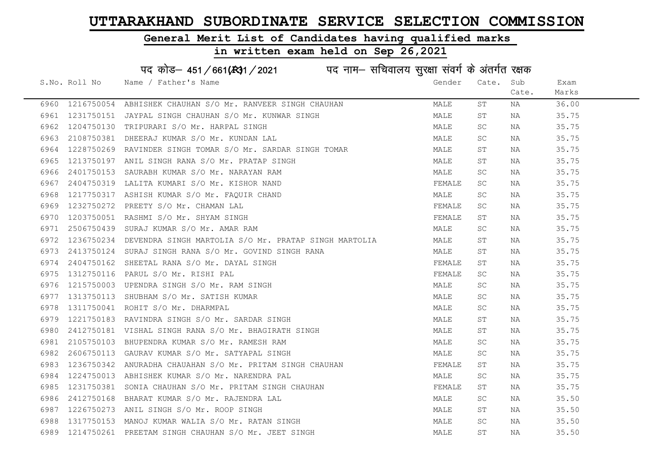# General Merit List of Candidates having qualified marks

| पद कोड़- 451/661(स्था / 2021 विद्युत्तम- सचिवालय सुरक्षा संवर्ग के अंतर्गत रक्षक |               |                                                           |  |        |           |       |       |
|----------------------------------------------------------------------------------|---------------|-----------------------------------------------------------|--|--------|-----------|-------|-------|
|                                                                                  | S.No. Roll No | Name / Father's Name                                      |  | Gender | Cate.     | Sub   | Exam  |
|                                                                                  |               |                                                           |  |        |           | Cate. | Marks |
| 6960                                                                             |               | 1216750054 ABHISHEK CHAUHAN S/O Mr. RANVEER SINGH CHAUHAN |  | MALE   | SΤ        | ΝA    | 36.00 |
| 6961                                                                             | 1231750151    | JAYPAL SINGH CHAUHAN S/O Mr. KUNWAR SINGH                 |  | MALE   | SΤ        | NA    | 35.75 |
| 6962                                                                             | 1204750130    | TRIPURARI S/O Mr. HARPAL SINGH                            |  | MALE   | SC        | NA    | 35.75 |
| 6963                                                                             | 2108750381    | DHEERAJ KUMAR S/O Mr. KUNDAN LAL                          |  | MALE   | SC        | NA    | 35.75 |
| 6964                                                                             | 1228750269    | RAVINDER SINGH TOMAR S/O Mr. SARDAR SINGH TOMAR           |  | MALE   | ST        | NA    | 35.75 |
| 6965                                                                             |               | 1213750197 ANIL SINGH RANA S/O Mr. PRATAP SINGH           |  | MALE   | ST        | NA    | 35.75 |
| 6966                                                                             | 2401750153    | SAURABH KUMAR S/O Mr. NARAYAN RAM                         |  | MALE   | SC        | NA    | 35.75 |
| 6967                                                                             | 2404750319    | LALITA KUMARI S/O Mr. KISHOR NAND                         |  | FEMALE | <b>SC</b> | NA    | 35.75 |
| 6968                                                                             | 1217750317    | ASHISH KUMAR S/O Mr. FAQUIR CHAND                         |  | MALE   | SC        | ΝA    | 35.75 |
| 6969                                                                             | 1232750272    | PREETY S/O Mr. CHAMAN LAL                                 |  | FEMALE | SC        | ΝA    | 35.75 |
| 6970                                                                             | 1203750051    | RASHMI S/O Mr. SHYAM SINGH                                |  | FEMALE | SΤ        | ΝA    | 35.75 |
| 6971                                                                             | 2506750439    | SURAJ KUMAR S/O Mr. AMAR RAM                              |  | MALE   | SC        | NA    | 35.75 |
| 6972                                                                             | 1236750234    | DEVENDRA SINGH MARTOLIA S/O Mr. PRATAP SINGH MARTOLIA     |  | MALE   | SΤ        | NA    | 35.75 |
| 6973                                                                             |               | 2413750124 SURAJ SINGH RANA S/O Mr. GOVIND SINGH RANA     |  | MALE   | ST        | NA    | 35.75 |
| 6974                                                                             | 2404750162    | SHEETAL RANA S/O Mr. DAYAL SINGH                          |  | FEMALE | SΤ        | NA    | 35.75 |
| 6975                                                                             | 1312750116    | PARUL S/O Mr. RISHI PAL                                   |  | FEMALE | SC        | NA    | 35.75 |
| 6976                                                                             | 1215750003    | UPENDRA SINGH S/O Mr. RAM SINGH                           |  | MALE   | <b>SC</b> | ΝA    | 35.75 |
| 6977                                                                             | 1313750113    | SHUBHAM S/O Mr. SATISH KUMAR                              |  | MALE   | SC        | ΝA    | 35.75 |
| 6978                                                                             |               | 1311750041 ROHIT S/O Mr. DHARMPAL                         |  | MALE   | SC        | NA    | 35.75 |
| 6979                                                                             | 1221750183    | RAVINDRA SINGH S/O Mr. SARDAR SINGH                       |  | MALE   | ST        | NA    | 35.75 |
| 6980                                                                             |               | 2412750181 VISHAL SINGH RANA S/O Mr. BHAGIRATH SINGH      |  | MALE   | ST        | NA    | 35.75 |
| 6981                                                                             |               | 2105750103 BHUPENDRA KUMAR S/O Mr. RAMESH RAM             |  | MALE   | SC.       | NA    | 35.75 |
| 6982                                                                             | 2606750113    | GAURAV KUMAR S/O Mr. SATYAPAL SINGH                       |  | MALE   | SC        | NA    | 35.75 |
| 6983                                                                             | 1236750342    | ANURADHA CHAUAHAN S/O Mr. PRITAM SINGH CHAUHAN            |  | FEMALE | SΤ        | ΝA    | 35.75 |
| 6984                                                                             | 1224750013    | ABHISHEK KUMAR S/O Mr. NARENDRA PAL                       |  | MALE   | SC        | ΝA    | 35.75 |
| 6985                                                                             |               | 1231750381 SONIA CHAUHAN S/O Mr. PRITAM SINGH CHAUHAN     |  | FEMALE | SΤ        | NA    | 35.75 |
| 6986                                                                             | 2412750168    | BHARAT KUMAR S/O Mr. RAJENDRA LAL                         |  | MALE   | SC        | NA    | 35.50 |
| 6987                                                                             |               | 1226750273 ANIL SINGH S/O Mr. ROOP SINGH                  |  | MALE   | ST        | NA    | 35.50 |
| 6988                                                                             | 1317750153    | MANOJ KUMAR WALIA S/O Mr. RATAN SINGH                     |  | MALE   | SC        | NA    | 35.50 |
| 6989                                                                             |               | 1214750261 PREETAM SINGH CHAUHAN S/O Mr. JEET SINGH       |  | MALE   | ST        | ΝA    | 35.50 |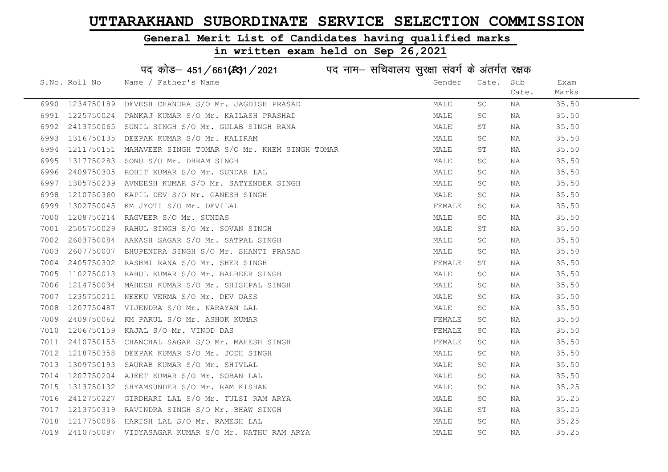#### General Merit List of Candidates having qualified marks

|      |               | पद कोड़- 451/661(341/2021 पद नाम- सचिवालय सुरक्षा संवर्ग के अंतर्गत रक्षक |        |           |       |       |
|------|---------------|---------------------------------------------------------------------------|--------|-----------|-------|-------|
|      | S.No. Roll No | Name / Father's Name                                                      | Gender | Cate.     | Sub   | Exam  |
|      |               |                                                                           |        |           | Cate. | Marks |
| 6990 | 1234750189    | DEVESH CHANDRA S/O Mr. JAGDISH PRASAD                                     | MALE   | SC.       | NA    | 35.50 |
| 6991 | 1225750024    | PANKAJ KUMAR S/O Mr. KAILASH PRASHAD                                      | MALE   | SC        | NA    | 35.50 |
| 6992 | 2413750065    | SUNIL SINGH S/O Mr. GULAB SINGH RANA                                      | MALE   | SΤ        | NA    | 35.50 |
| 6993 | 1316750135    | DEEPAK KUMAR S/O Mr. KALIRAM                                              | MALE   | SC.       | NA    | 35.50 |
| 6994 | 1211750151    | MAHAVEER SINGH TOMAR S/O Mr. KHEM SINGH TOMAR                             | MALE   | ST        | NA    | 35.50 |
| 6995 | 1317750283    | SONU S/O Mr. DHRAM SINGH                                                  | MALE   | SC        | NA    | 35.50 |
| 6996 | 2409750305    | ROHIT KUMAR S/O Mr. SUNDAR LAL                                            | MALE   | SC        | NA    | 35.50 |
| 6997 | 1305750239    | AVNEESH KUMAR S/O Mr. SATYENDER SINGH                                     | MALE   | SC        | NA    | 35.50 |
| 6998 | 1210750360    | KAPIL DEV S/O Mr. GANESH SINGH                                            | MALE   | SC        | NA    | 35.50 |
| 6999 | 1302750045    | KM JYOTI S/O Mr. DEVILAL                                                  | FEMALE | SC        | NA    | 35.50 |
| 7000 | 1208750214    | RAGVEER S/O Mr. SUNDAS                                                    | MALE   | SC        | NA    | 35.50 |
| 7001 | 2505750029    | RAHUL SINGH S/O Mr. SOVAN SINGH                                           | MALE   | SΤ        | NA    | 35.50 |
| 7002 | 2603750084    | AAKASH SAGAR S/O Mr. SATPAL SINGH                                         | MALE   | SC        | NA    | 35.50 |
| 7003 | 2607750007    | BHUPENDRA SINGH S/O Mr. SHANTI PRASAD                                     | MALE   | SC        | NA    | 35.50 |
| 7004 | 2405750302    | RASHMI RANA S/O Mr. SHER SINGH                                            | FEMALE | SΤ        | NA    | 35.50 |
| 7005 | 1102750013    | RAHUL KUMAR S/O Mr. BALBEER SINGH                                         | MALE   | <b>SC</b> | NA    | 35.50 |
| 7006 | 1214750034    | MAHESH KUMAR S/O Mr. SHISHPAL SINGH                                       | MALE   | SC.       | NA    | 35.50 |
| 7007 | 1235750211    | NEEKU VERMA S/O Mr. DEV DASS                                              | MALE   | SC        | NA    | 35.50 |
| 7008 | 1207750487    | VIJENDRA S/O Mr. NARAYAN LAL                                              | MALE   | SC        | NA    | 35.50 |
| 7009 | 2409750062    | KM PARUL S/O Mr. ASHOK KUMAR                                              | FEMALE | SC        | NA    | 35.50 |
| 7010 | 1206750159    | KAJAL S/O Mr. VINOD DAS                                                   | FEMALE | SC.       | NA    | 35.50 |
| 7011 | 2410750155    | CHANCHAL SAGAR S/O Mr. MAHESH SINGH                                       | FEMALE | SC        | NA    | 35.50 |
| 7012 | 1218750358    | DEEPAK KUMAR S/O Mr. JODH SINGH                                           | MALE   | SC        | NA    | 35.50 |
| 7013 | 1309750193    | SAURAB KUMAR S/O Mr. SHIVLAL                                              | MALE   | SC        | NA    | 35.50 |
| 7014 | 1207750204    | AJEET KUMAR S/O Mr. SOBAN LAL                                             | MALE   | SC.       | NA    | 35.50 |
| 7015 | 1313750132    | SHYAMSUNDER S/O Mr. RAM KISHAN                                            | MALE   | SC        | NA    | 35.25 |
| 7016 | 2412750227    | GIRDHARI LAL S/O Mr. TULSI RAM ARYA                                       | MALE   | SC        | NA    | 35.25 |
| 7017 | 1213750319    | RAVINDRA SINGH S/O Mr. BHAW SINGH                                         | MALE   | ST        | NA    | 35.25 |
| 7018 | 1217750086    | HARISH LAL S/O Mr. RAMESH LAL                                             | MALE   | SC        | ΝA    | 35.25 |
| 7019 |               | 2410750087 VIDYASAGAR KUMAR S/O Mr. NATHU RAM ARYA                        | MALE   | SC        | ΝA    | 35.25 |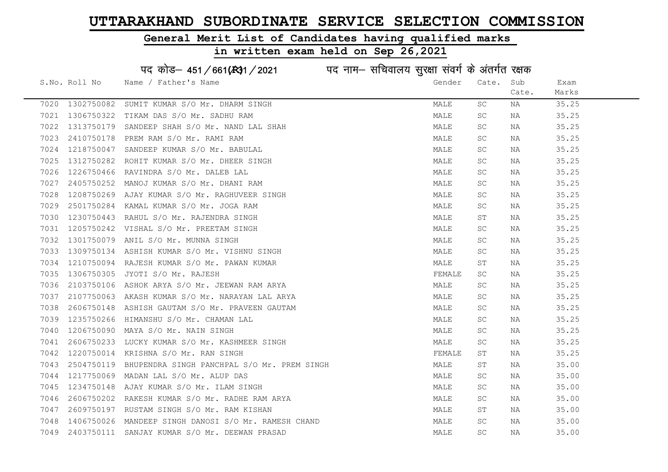#### General Merit List of Candidates having qualified marks

|      |               | पद कोड़– 451/661(431/2021 पद नाम– सचिवालय सुरक्षा संवर्ग के अंतर्गत रक्षक |        |                      |       |       |
|------|---------------|---------------------------------------------------------------------------|--------|----------------------|-------|-------|
|      | S.No. Roll No | Name / Father's Name                                                      | Gender | Cate.                | Sub   | Exam  |
|      |               |                                                                           |        |                      | Cate. | Marks |
| 7020 | 1302750082    | SUMIT KUMAR S/O Mr. DHARM SINGH                                           | MALE   | SC                   | ΝA    | 35.25 |
| 7021 | 1306750322    | TIKAM DAS S/O Mr. SADHU RAM                                               | MALE   | SC                   | NA    | 35.25 |
| 7022 | 1313750179    | SANDEEP SHAH S/O Mr. NAND LAL SHAH                                        | MALE   | SC                   | NA    | 35.25 |
| 7023 | 2410750178    | PREM RAM S/O Mr. RAMI RAM                                                 | MALE   | SC                   | NA    | 35.25 |
| 7024 | 1218750047    | SANDEEP KUMAR S/O Mr. BABULAL                                             | MALE   | SC.                  | NA    | 35.25 |
| 7025 | 1312750282    | ROHIT KUMAR S/O Mr. DHEER SINGH                                           | MALE   | <b>SC</b>            | NA    | 35.25 |
| 7026 | 1226750466    | RAVINDRA S/O Mr. DALEB LAL                                                | MALE   | SC                   | NA    | 35.25 |
| 7027 | 2405750252    | MANOJ KUMAR S/O Mr. DHANI RAM                                             | MALE   | $\operatorname{SC}$  | NA    | 35.25 |
| 7028 | 1208750269    | AJAY KUMAR S/O Mr. RAGHUVEER SINGH                                        | MALE   | SC.                  | NA    | 35.25 |
| 7029 | 2501750284    | KAMAL KUMAR S/O Mr. JOGA RAM                                              | MALE   | SC.                  | NA    | 35.25 |
| 7030 | 1230750443    | RAHUL S/O Mr. RAJENDRA SINGH                                              | MALE   | SТ                   | NA    | 35.25 |
| 7031 | 1205750242    | VISHAL S/O Mr. PREETAM SINGH                                              | MALE   | SC                   | NA    | 35.25 |
| 7032 | 1301750079    | ANIL S/O Mr. MUNNA SINGH                                                  | MALE   | SC.                  | NA    | 35.25 |
| 7033 |               | 1309750134 ASHISH KUMAR S/O Mr. VISHNU SINGH                              | MALE   | <b>SC</b>            | NA    | 35.25 |
| 7034 |               | 1210750094 RAJESH KUMAR S/O Mr. PAWAN KUMAR                               | MALE   | $\mbox{S}\,\mbox{T}$ | NA    | 35.25 |
| 7035 | 1306750305    | JYOTI S/O Mr. RAJESH                                                      | FEMALE | <b>SC</b>            | NA    | 35.25 |
| 7036 | 2103750106    | ASHOK ARYA S/O Mr. JEEWAN RAM ARYA                                        | MALE   | SC                   | ΝA    | 35.25 |
| 7037 |               | 2107750063 AKASH KUMAR S/O Mr. NARAYAN LAL ARYA                           | MALE   | SC                   | NA    | 35.25 |
| 7038 | 2606750148    | ASHISH GAUTAM S/O Mr. PRAVEEN GAUTAM                                      | MALE   | SC                   | NA    | 35.25 |
| 7039 | 1235750266    | HIMANSHU S/O Mr. CHAMAN LAL                                               | MALE   | SC.                  | NA    | 35.25 |
| 7040 | 1206750090    | MAYA S/O Mr. NAIN SINGH                                                   | MALE   | <b>SC</b>            | NA    | 35.25 |
| 7041 |               | 2606750233 LUCKY KUMAR S/O Mr. KASHMEER SINGH                             | MALE   | $\operatorname{SC}$  | NA    | 35.25 |
| 7042 | 1220750014    | KRISHNA S/O Mr. RAN SINGH                                                 | FEMALE | SΤ                   | NA    | 35.25 |
| 7043 | 2504750119    | BHUPENDRA SINGH PANCHPAL S/O Mr. PREM SINGH                               | MALE   | $\mbox{S}\,\mbox{T}$ | NA    | 35.00 |
| 7044 | 1217750069    | MADAN LAL S/O Mr. ALUP DAS                                                | MALE   | SC.                  | NA    | 35.00 |
| 7045 | 1234750148    | AJAY KUMAR S/O Mr. ILAM SINGH                                             | MALE   | SC.                  | NA    | 35.00 |
| 7046 | 2606750202    | RAKESH KUMAR S/O Mr. RADHE RAM ARYA                                       | MALE   | SC.                  | NA    | 35.00 |
| 7047 |               | 2609750197 RUSTAM SINGH S/O Mr. RAM KISHAN                                | MALE   | ST                   | NA    | 35.00 |
| 7048 | 1406750026    | MANDEEP SINGH DANOSI S/O Mr. RAMESH CHAND                                 | MALE   | <b>SC</b>            | NA    | 35.00 |
| 7049 | 2403750111    | SANJAY KUMAR S/O Mr. DEEWAN PRASAD                                        | MALE   | $\operatorname{SC}$  | ΝA    | 35.00 |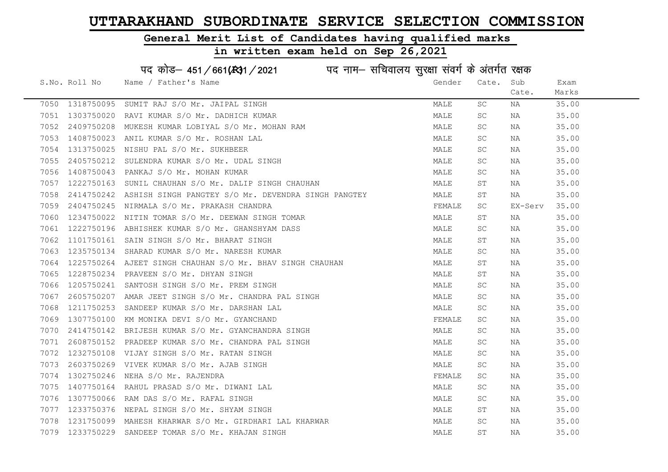#### General Merit List of Candidates having qualified marks

|      |               | पद कोड़– 451/661(131/2021 पद नाम– सचिवालय सुरक्षा संवर्ग के अंतर्गत रक्षक |        |                     |         |       |
|------|---------------|---------------------------------------------------------------------------|--------|---------------------|---------|-------|
|      | S.No. Roll No | Name / Father's Name                                                      | Gender | Cate.               | Sub     | Exam  |
|      |               |                                                                           |        |                     | Cate.   | Marks |
| 7050 | 1318750095    | SUMIT RAJ S/O Mr. JAIPAL SINGH                                            | MALE   | SC                  | ΝA      | 35.00 |
| 7051 | 1303750020    | RAVI KUMAR S/O Mr. DADHICH KUMAR                                          | MALE   | SC                  | ΝA      | 35.00 |
| 7052 | 2409750208    | MUKESH KUMAR LOBIYAL S/O Mr. MOHAN RAM                                    | MALE   | SC                  | ΝA      | 35.00 |
| 7053 | 1408750023    | ANIL KUMAR S/O Mr. ROSHAN LAL                                             | MALE   | SC                  | NA      | 35.00 |
| 7054 | 1313750025    | NISHU PAL S/O Mr. SUKHBEER                                                | MALE   | SC.                 | NA      | 35.00 |
| 7055 | 2405750212    | SULENDRA KUMAR S/O Mr. UDAL SINGH                                         | MALE   | SC                  | NA      | 35.00 |
| 7056 | 1408750043    | PANKAJ S/O Mr. MOHAN KUMAR                                                | MALE   | SC.                 | NA      | 35.00 |
| 7057 | 1222750163    | SUNIL CHAUHAN S/O Mr. DALIP SINGH CHAUHAN                                 | MALE   | $\operatorname{ST}$ | NA      | 35.00 |
| 7058 | 2414750242    | ASHISH SINGH PANGTEY S/O Mr. DEVENDRA SINGH PANGTEY                       | MALE   | SТ                  | NA      | 35.00 |
| 7059 | 2404750245    | NIRMALA S/O Mr. PRAKASH CHANDRA                                           | FEMALE | SC                  | EX-Serv | 35.00 |
| 7060 | 1234750022    | NITIN TOMAR S/O Mr. DEEWAN SINGH TOMAR                                    | MALE   | ST                  | ΝA      | 35.00 |
| 7061 | 1222750196    | ABHISHEK KUMAR S/O Mr. GHANSHYAM DASS                                     | MALE   | SC                  | NA      | 35.00 |
| 7062 | 1101750161    | SAIN SINGH S/O Mr. BHARAT SINGH                                           | MALE   | SТ                  | NA      | 35.00 |
| 7063 | 1235750134    | SHARAD KUMAR S/O Mr. NARESH KUMAR                                         | MALE   | <b>SC</b>           | NA      | 35.00 |
| 7064 | 1225750264    | AJEET SINGH CHAUHAN S/O Mr. BHAV SINGH CHAUHAN                            | MALE   | ST                  | NA      | 35.00 |
| 7065 | 1228750234    | PRAVEEN S/O Mr. DHYAN SINGH                                               | MALE   | ST                  | ΝA      | 35.00 |
| 7066 | 1205750241    | SANTOSH SINGH S/O Mr. PREM SINGH                                          | MALE   | SC                  | ΝA      | 35.00 |
| 7067 | 2605750207    | AMAR JEET SINGH S/O Mr. CHANDRA PAL SINGH                                 | MALE   | SC                  | ΝA      | 35.00 |
| 7068 | 1211750253    | SANDEEP KUMAR S/O Mr. DARSHAN LAL                                         | MALE   | SC                  | ΝA      | 35.00 |
| 7069 | 1307750100    | KM MONIKA DEVI S/O Mr. GYANCHAND                                          | FEMALE | SC                  | NA      | 35.00 |
| 7070 | 2414750142    | BRIJESH KUMAR S/O Mr. GYANCHANDRA SINGH                                   | MALE   | SC                  | NA      | 35.00 |
| 7071 | 2608750152    | PRADEEP KUMAR S/O Mr. CHANDRA PAL SINGH                                   | MALE   | <b>SC</b>           | NA      | 35.00 |
| 7072 | 1232750108    | VIJAY SINGH S/O Mr. RATAN SINGH                                           | MALE   | SC                  | ΝA      | 35.00 |
| 7073 | 2603750269    | VIVEK KUMAR S/O Mr. AJAB SINGH                                            | MALE   | SC                  | ΝA      | 35.00 |
| 7074 | 1302750246    | NEHA S/O Mr. RAJENDRA                                                     | FEMALE | SC                  | ΝA      | 35.00 |
| 7075 | 1407750164    | RAHUL PRASAD S/O Mr. DIWANI LAL                                           | MALE   | SC                  | ΝA      | 35.00 |
| 7076 | 1307750066    | RAM DAS S/O Mr. RAFAL SINGH                                               | MALE   | SC.                 | ΝA      | 35.00 |
| 7077 | 1233750376    | NEPAL SINGH S/O Mr. SHYAM SINGH                                           | MALE   | ST                  | NA      | 35.00 |
| 7078 | 1231750099    | MAHESH KHARWAR S/O Mr. GIRDHARI LAL KHARWAR                               | MALE   | SC                  | NA      | 35.00 |
| 7079 | 1233750229    | SANDEEP TOMAR S/O Mr. KHAJAN SINGH                                        | MALE   | ST                  | ΝA      | 35.00 |